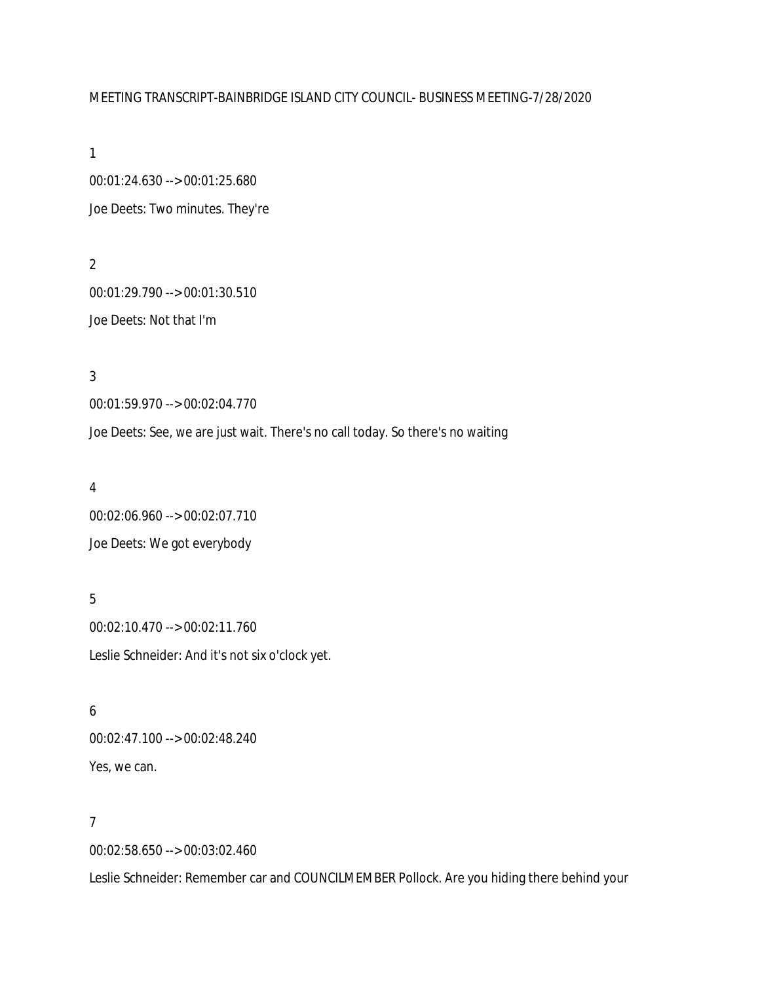## MEETING TRANSCRIPT-BAINBRIDGE ISLAND CITY COUNCIL- BUSINESS MEETING-7/28/2020

1

00:01:24.630 --> 00:01:25.680 Joe Deets: Two minutes. They're

2 00:01:29.790 --> 00:01:30.510 Joe Deets: Not that I'm

3 00:01:59.970 --> 00:02:04.770 Joe Deets: See, we are just wait. There's no call today. So there's no waiting

4 00:02:06.960 --> 00:02:07.710 Joe Deets: We got everybody

5 00:02:10.470 --> 00:02:11.760 Leslie Schneider: And it's not six o'clock yet.

6 00:02:47.100 --> 00:02:48.240 Yes, we can.

# 7

00:02:58.650 --> 00:03:02.460

Leslie Schneider: Remember car and COUNCILMEMBER Pollock. Are you hiding there behind your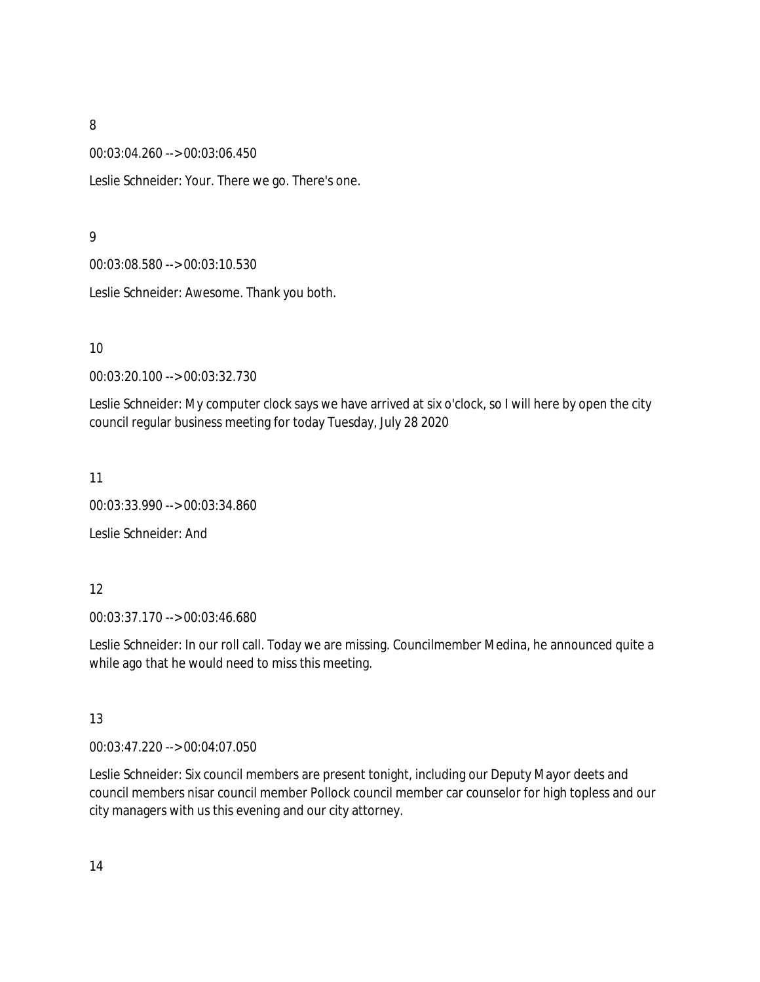00:03:04.260 --> 00:03:06.450

Leslie Schneider: Your. There we go. There's one.

#### 9

00:03:08.580 --> 00:03:10.530

Leslie Schneider: Awesome. Thank you both.

10

00:03:20.100 --> 00:03:32.730

Leslie Schneider: My computer clock says we have arrived at six o'clock, so I will here by open the city council regular business meeting for today Tuesday, July 28 2020

11

00:03:33.990 --> 00:03:34.860

Leslie Schneider: And

#### 12

00:03:37.170 --> 00:03:46.680

Leslie Schneider: In our roll call. Today we are missing. Councilmember Medina, he announced quite a while ago that he would need to miss this meeting.

#### 13

00:03:47.220 --> 00:04:07.050

Leslie Schneider: Six council members are present tonight, including our Deputy Mayor deets and council members nisar council member Pollock council member car counselor for high topless and our city managers with us this evening and our city attorney.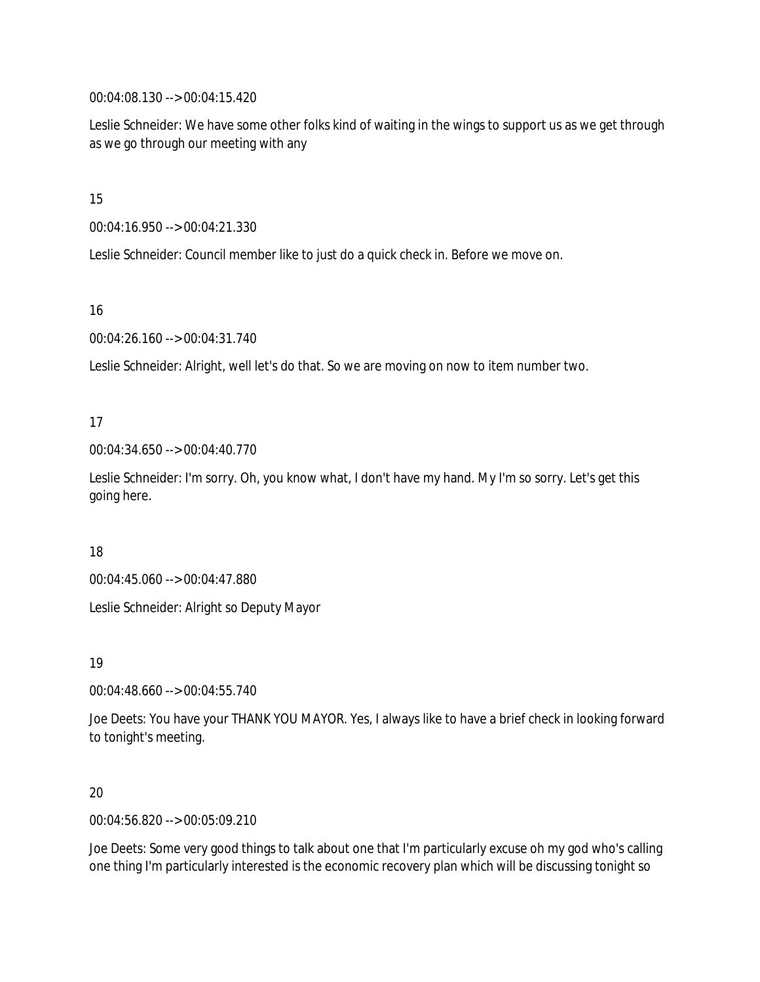00:04:08.130 --> 00:04:15.420

Leslie Schneider: We have some other folks kind of waiting in the wings to support us as we get through as we go through our meeting with any

15

00:04:16.950 --> 00:04:21.330

Leslie Schneider: Council member like to just do a quick check in. Before we move on.

16

00:04:26.160 --> 00:04:31.740

Leslie Schneider: Alright, well let's do that. So we are moving on now to item number two.

17

00:04:34.650 --> 00:04:40.770

Leslie Schneider: I'm sorry. Oh, you know what, I don't have my hand. My I'm so sorry. Let's get this going here.

#### 18

00:04:45.060 --> 00:04:47.880

Leslie Schneider: Alright so Deputy Mayor

19

00:04:48.660 --> 00:04:55.740

Joe Deets: You have your THANK YOU MAYOR. Yes, I always like to have a brief check in looking forward to tonight's meeting.

#### 20

00:04:56.820 --> 00:05:09.210

Joe Deets: Some very good things to talk about one that I'm particularly excuse oh my god who's calling one thing I'm particularly interested is the economic recovery plan which will be discussing tonight so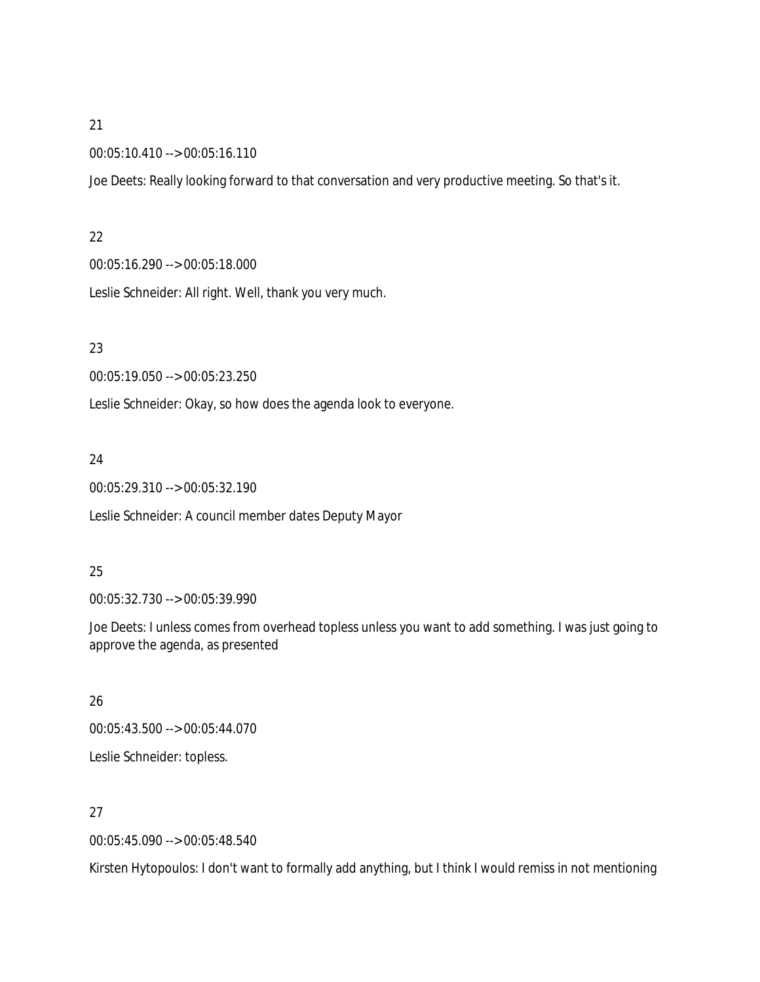00:05:10.410 --> 00:05:16.110

Joe Deets: Really looking forward to that conversation and very productive meeting. So that's it.

#### 22

00:05:16.290 --> 00:05:18.000

Leslie Schneider: All right. Well, thank you very much.

### 23

00:05:19.050 --> 00:05:23.250

Leslie Schneider: Okay, so how does the agenda look to everyone.

## 24

00:05:29.310 --> 00:05:32.190

Leslie Schneider: A council member dates Deputy Mayor

## 25

00:05:32.730 --> 00:05:39.990

Joe Deets: I unless comes from overhead topless unless you want to add something. I was just going to approve the agenda, as presented

# 26

00:05:43.500 --> 00:05:44.070 Leslie Schneider: topless.

# 27

00:05:45.090 --> 00:05:48.540

Kirsten Hytopoulos: I don't want to formally add anything, but I think I would remiss in not mentioning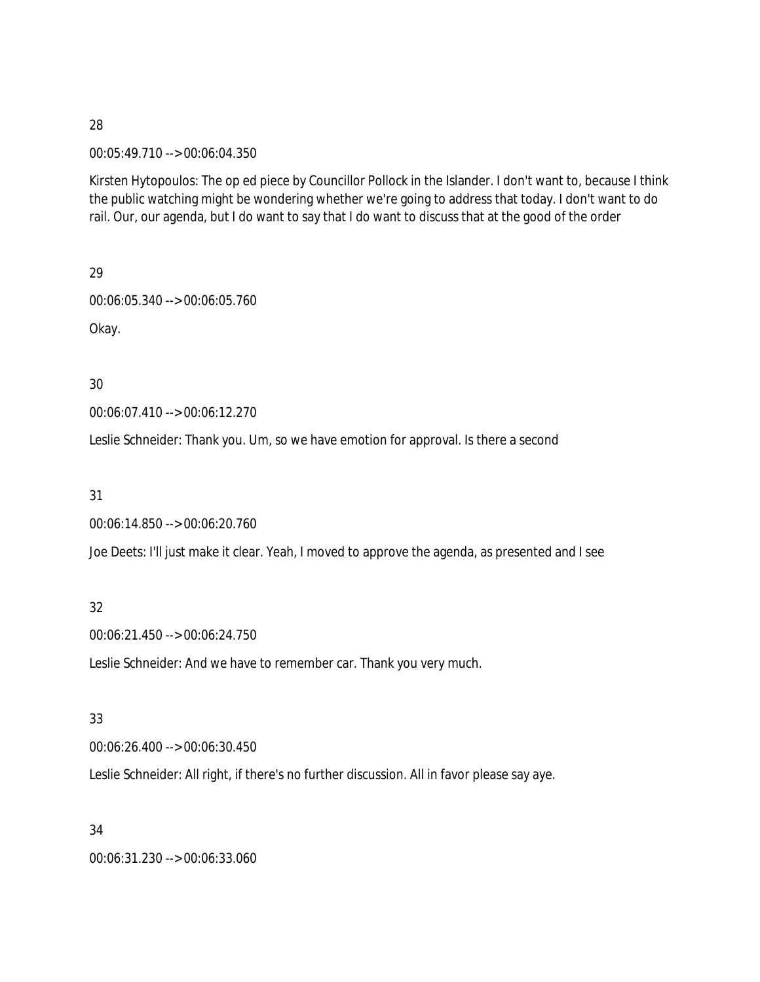#### 00:05:49.710 --> 00:06:04.350

Kirsten Hytopoulos: The op ed piece by Councillor Pollock in the Islander. I don't want to, because I think the public watching might be wondering whether we're going to address that today. I don't want to do rail. Our, our agenda, but I do want to say that I do want to discuss that at the good of the order

29 00:06:05.340 --> 00:06:05.760 Okay.

30

00:06:07.410 --> 00:06:12.270

Leslie Schneider: Thank you. Um, so we have emotion for approval. Is there a second

31

00:06:14.850 --> 00:06:20.760

Joe Deets: I'll just make it clear. Yeah, I moved to approve the agenda, as presented and I see

#### 32

00:06:21.450 --> 00:06:24.750

Leslie Schneider: And we have to remember car. Thank you very much.

#### 33

00:06:26.400 --> 00:06:30.450

Leslie Schneider: All right, if there's no further discussion. All in favor please say aye.

34

00:06:31.230 --> 00:06:33.060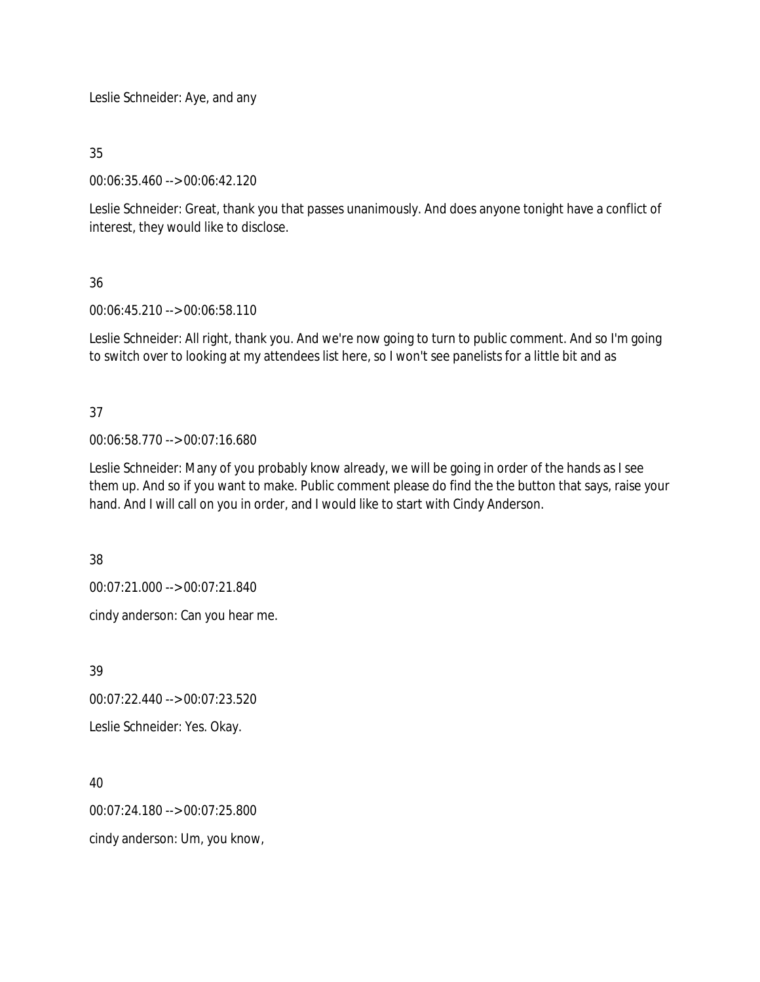Leslie Schneider: Aye, and any

35

00:06:35.460 --> 00:06:42.120

Leslie Schneider: Great, thank you that passes unanimously. And does anyone tonight have a conflict of interest, they would like to disclose.

# 36

00:06:45.210 --> 00:06:58.110

Leslie Schneider: All right, thank you. And we're now going to turn to public comment. And so I'm going to switch over to looking at my attendees list here, so I won't see panelists for a little bit and as

# 37

00:06:58.770 --> 00:07:16.680

Leslie Schneider: Many of you probably know already, we will be going in order of the hands as I see them up. And so if you want to make. Public comment please do find the the button that says, raise your hand. And I will call on you in order, and I would like to start with Cindy Anderson.

38

00:07:21.000 --> 00:07:21.840

cindy anderson: Can you hear me.

39

00:07:22.440 --> 00:07:23.520

Leslie Schneider: Yes. Okay.

40

00:07:24.180 --> 00:07:25.800

cindy anderson: Um, you know,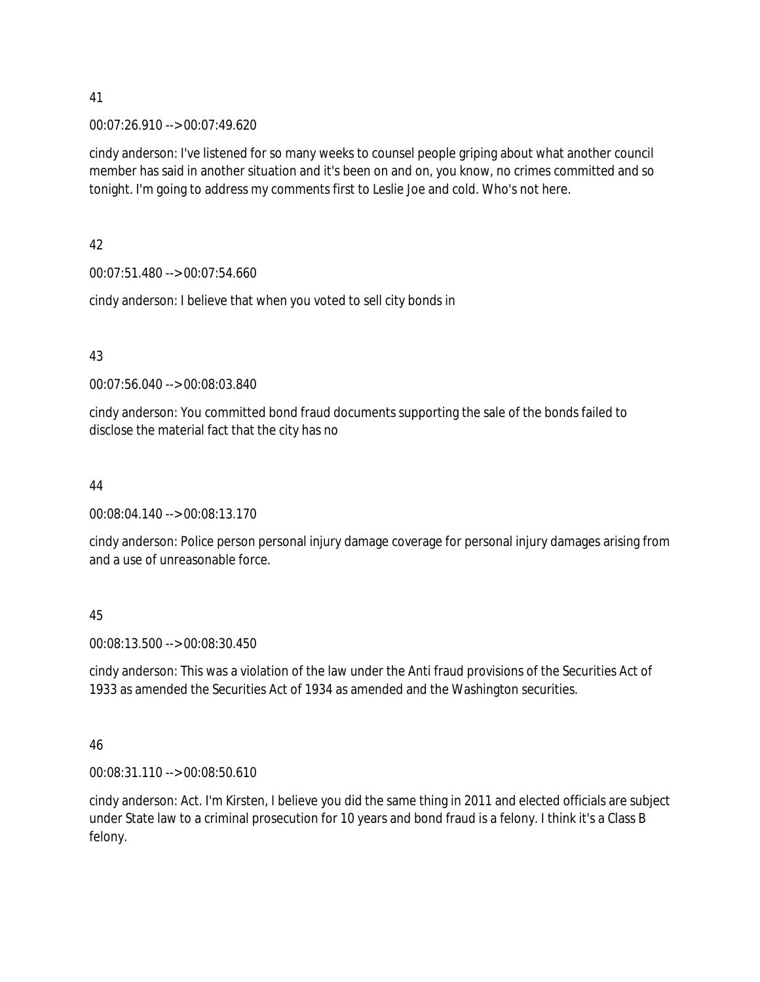00:07:26.910 --> 00:07:49.620

cindy anderson: I've listened for so many weeks to counsel people griping about what another council member has said in another situation and it's been on and on, you know, no crimes committed and so tonight. I'm going to address my comments first to Leslie Joe and cold. Who's not here.

42

00:07:51.480 --> 00:07:54.660

cindy anderson: I believe that when you voted to sell city bonds in

43

00:07:56.040 --> 00:08:03.840

cindy anderson: You committed bond fraud documents supporting the sale of the bonds failed to disclose the material fact that the city has no

44

00:08:04.140 --> 00:08:13.170

cindy anderson: Police person personal injury damage coverage for personal injury damages arising from and a use of unreasonable force.

45

00:08:13.500 --> 00:08:30.450

cindy anderson: This was a violation of the law under the Anti fraud provisions of the Securities Act of 1933 as amended the Securities Act of 1934 as amended and the Washington securities.

46

00:08:31.110 --> 00:08:50.610

cindy anderson: Act. I'm Kirsten, I believe you did the same thing in 2011 and elected officials are subject under State law to a criminal prosecution for 10 years and bond fraud is a felony. I think it's a Class B felony.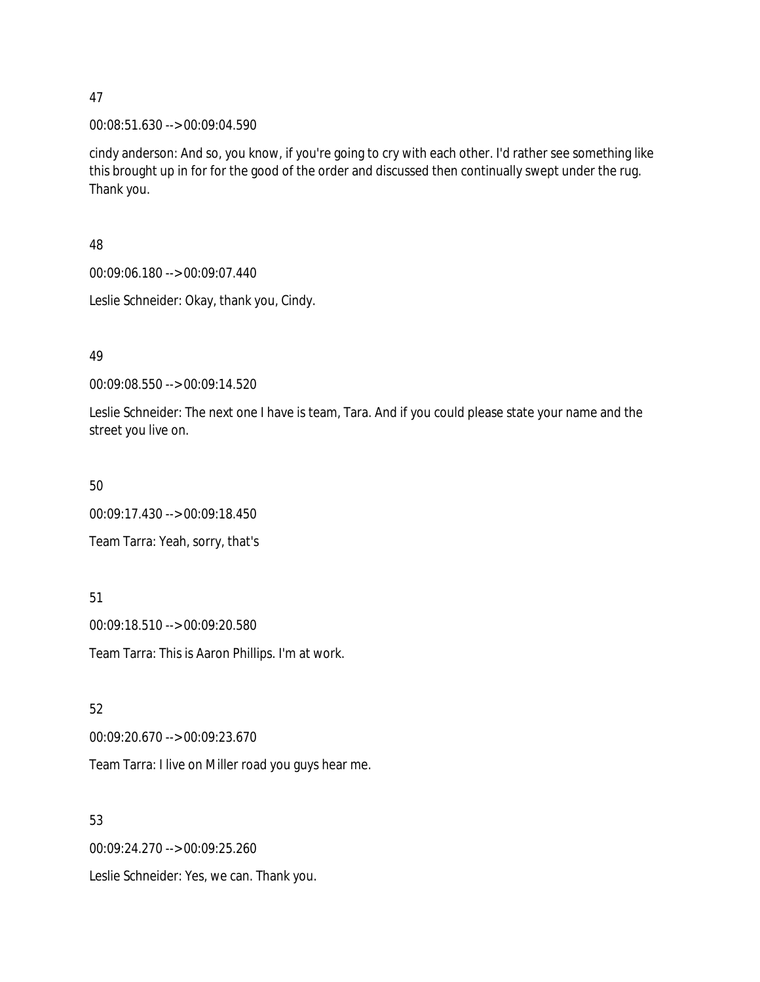00:08:51.630 --> 00:09:04.590

cindy anderson: And so, you know, if you're going to cry with each other. I'd rather see something like this brought up in for for the good of the order and discussed then continually swept under the rug. Thank you.

#### 48

00:09:06.180 --> 00:09:07.440

Leslie Schneider: Okay, thank you, Cindy.

### 49

00:09:08.550 --> 00:09:14.520

Leslie Schneider: The next one I have is team, Tara. And if you could please state your name and the street you live on.

#### 50

00:09:17.430 --> 00:09:18.450 Team Tarra: Yeah, sorry, that's

## 51

00:09:18.510 --> 00:09:20.580 Team Tarra: This is Aaron Phillips. I'm at work.

## 52

00:09:20.670 --> 00:09:23.670

Team Tarra: I live on Miller road you guys hear me.

# 53

00:09:24.270 --> 00:09:25.260

Leslie Schneider: Yes, we can. Thank you.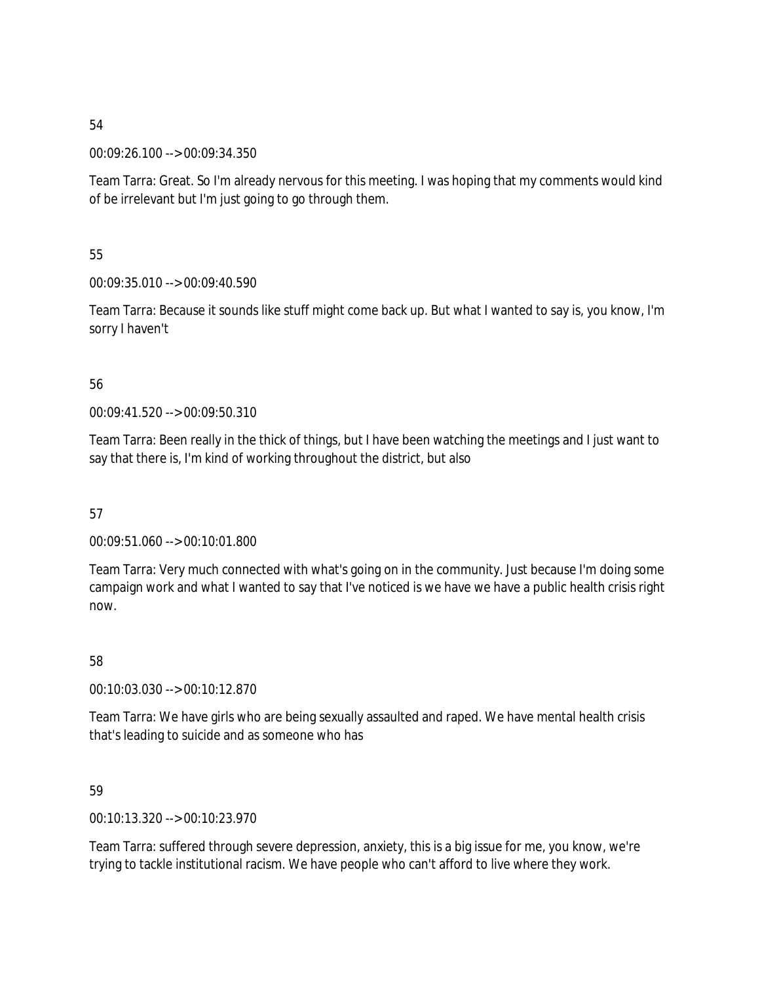00:09:26.100 --> 00:09:34.350

Team Tarra: Great. So I'm already nervous for this meeting. I was hoping that my comments would kind of be irrelevant but I'm just going to go through them.

55

00:09:35.010 --> 00:09:40.590

Team Tarra: Because it sounds like stuff might come back up. But what I wanted to say is, you know, I'm sorry I haven't

## 56

00:09:41.520 --> 00:09:50.310

Team Tarra: Been really in the thick of things, but I have been watching the meetings and I just want to say that there is, I'm kind of working throughout the district, but also

57

00:09:51.060 --> 00:10:01.800

Team Tarra: Very much connected with what's going on in the community. Just because I'm doing some campaign work and what I wanted to say that I've noticed is we have we have a public health crisis right now.

58

00:10:03.030 --> 00:10:12.870

Team Tarra: We have girls who are being sexually assaulted and raped. We have mental health crisis that's leading to suicide and as someone who has

59

00:10:13.320 --> 00:10:23.970

Team Tarra: suffered through severe depression, anxiety, this is a big issue for me, you know, we're trying to tackle institutional racism. We have people who can't afford to live where they work.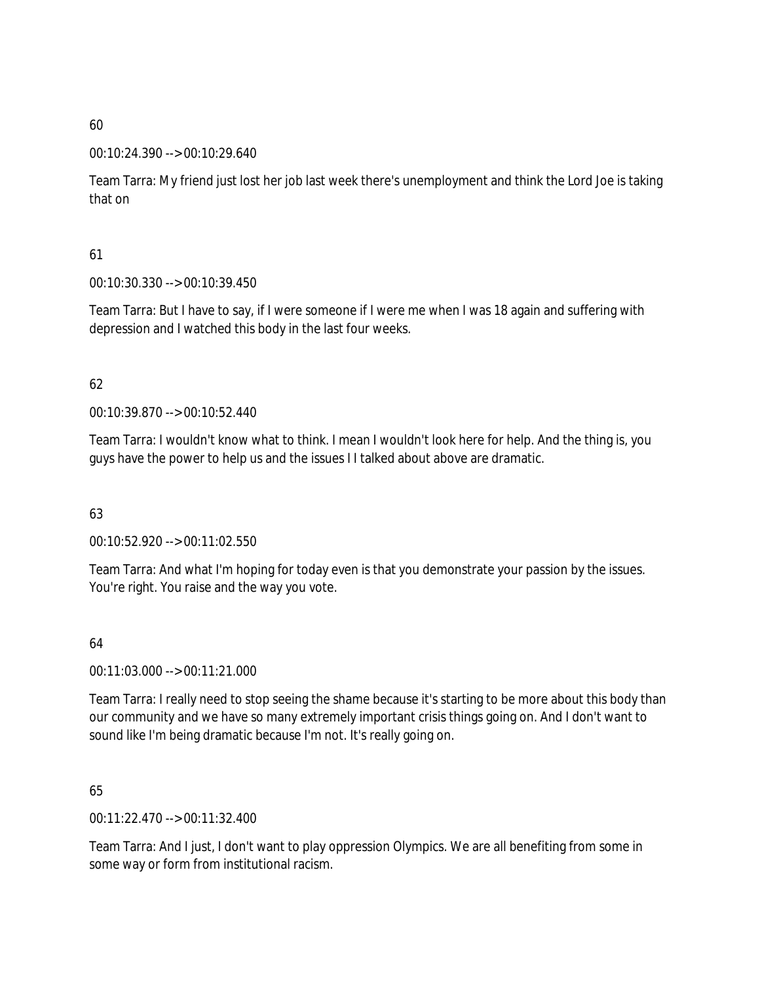#### 00:10:24.390 --> 00:10:29.640

Team Tarra: My friend just lost her job last week there's unemployment and think the Lord Joe is taking that on

## 61

00:10:30.330 --> 00:10:39.450

Team Tarra: But I have to say, if I were someone if I were me when I was 18 again and suffering with depression and I watched this body in the last four weeks.

# 62

00:10:39.870 --> 00:10:52.440

Team Tarra: I wouldn't know what to think. I mean I wouldn't look here for help. And the thing is, you guys have the power to help us and the issues I I talked about above are dramatic.

## 63

00:10:52.920 --> 00:11:02.550

Team Tarra: And what I'm hoping for today even is that you demonstrate your passion by the issues. You're right. You raise and the way you vote.

## 64

00:11:03.000 --> 00:11:21.000

Team Tarra: I really need to stop seeing the shame because it's starting to be more about this body than our community and we have so many extremely important crisis things going on. And I don't want to sound like I'm being dramatic because I'm not. It's really going on.

## 65

00:11:22.470 --> 00:11:32.400

Team Tarra: And I just, I don't want to play oppression Olympics. We are all benefiting from some in some way or form from institutional racism.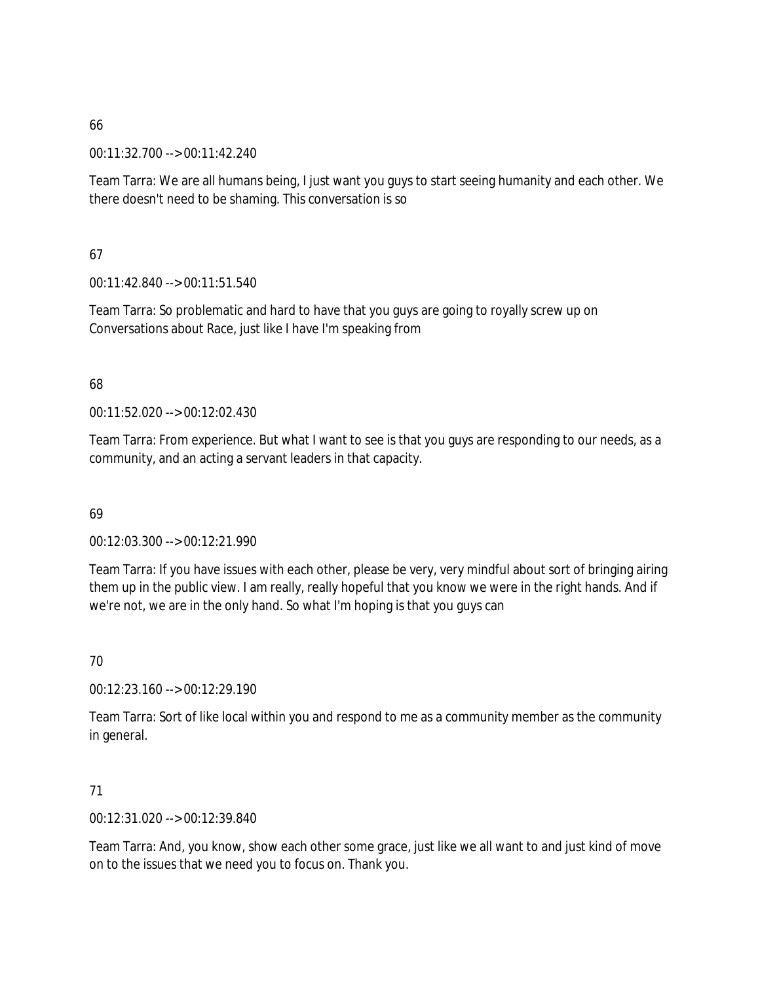00:11:32.700 --> 00:11:42.240

Team Tarra: We are all humans being, I just want you guys to start seeing humanity and each other. We there doesn't need to be shaming. This conversation is so

67

00:11:42.840 --> 00:11:51.540

Team Tarra: So problematic and hard to have that you guys are going to royally screw up on Conversations about Race, just like I have I'm speaking from

68

00:11:52.020 --> 00:12:02.430

Team Tarra: From experience. But what I want to see is that you guys are responding to our needs, as a community, and an acting a servant leaders in that capacity.

69

00:12:03.300 --> 00:12:21.990

Team Tarra: If you have issues with each other, please be very, very mindful about sort of bringing airing them up in the public view. I am really, really hopeful that you know we were in the right hands. And if we're not, we are in the only hand. So what I'm hoping is that you guys can

70

00:12:23.160 --> 00:12:29.190

Team Tarra: Sort of like local within you and respond to me as a community member as the community in general.

71

00:12:31.020 --> 00:12:39.840

Team Tarra: And, you know, show each other some grace, just like we all want to and just kind of move on to the issues that we need you to focus on. Thank you.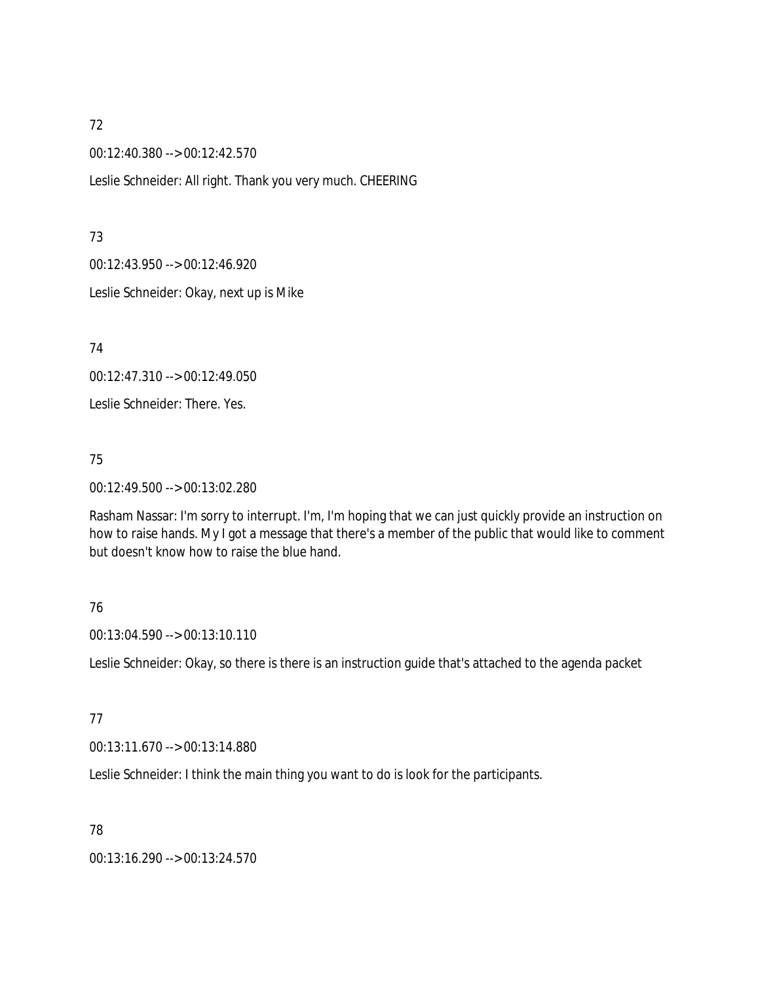00:12:40.380 --> 00:12:42.570

Leslie Schneider: All right. Thank you very much. CHEERING

73

00:12:43.950 --> 00:12:46.920

Leslie Schneider: Okay, next up is Mike

74

00:12:47.310 --> 00:12:49.050

Leslie Schneider: There. Yes.

75

00:12:49.500 --> 00:13:02.280

Rasham Nassar: I'm sorry to interrupt. I'm, I'm hoping that we can just quickly provide an instruction on how to raise hands. My I got a message that there's a member of the public that would like to comment but doesn't know how to raise the blue hand.

## 76

00:13:04.590 --> 00:13:10.110

Leslie Schneider: Okay, so there is there is an instruction guide that's attached to the agenda packet

#### 77

00:13:11.670 --> 00:13:14.880

Leslie Schneider: I think the main thing you want to do is look for the participants.

78

00:13:16.290 --> 00:13:24.570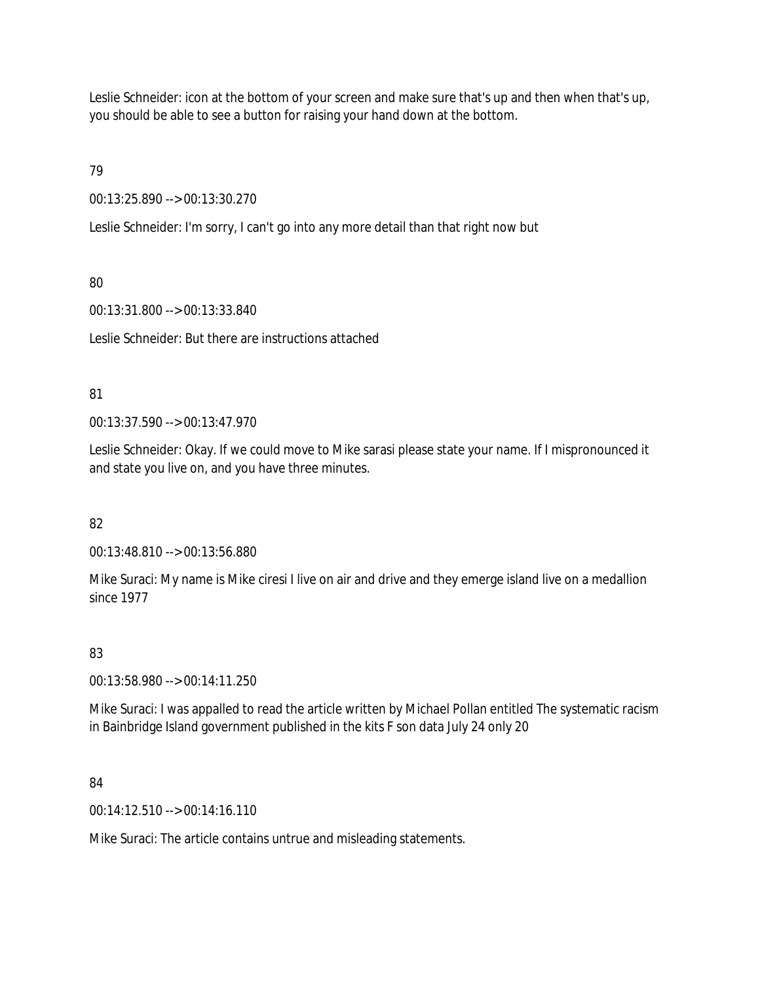Leslie Schneider: icon at the bottom of your screen and make sure that's up and then when that's up, you should be able to see a button for raising your hand down at the bottom.

79

00:13:25.890 --> 00:13:30.270

Leslie Schneider: I'm sorry, I can't go into any more detail than that right now but

# 80

00:13:31.800 --> 00:13:33.840

Leslie Schneider: But there are instructions attached

# 81

00:13:37.590 --> 00:13:47.970

Leslie Schneider: Okay. If we could move to Mike sarasi please state your name. If I mispronounced it and state you live on, and you have three minutes.

# 82

00:13:48.810 --> 00:13:56.880

Mike Suraci: My name is Mike ciresi I live on air and drive and they emerge island live on a medallion since 1977

# 83

00:13:58.980 --> 00:14:11.250

Mike Suraci: I was appalled to read the article written by Michael Pollan entitled The systematic racism in Bainbridge Island government published in the kits F son data July 24 only 20

## 84

00:14:12.510 --> 00:14:16.110

Mike Suraci: The article contains untrue and misleading statements.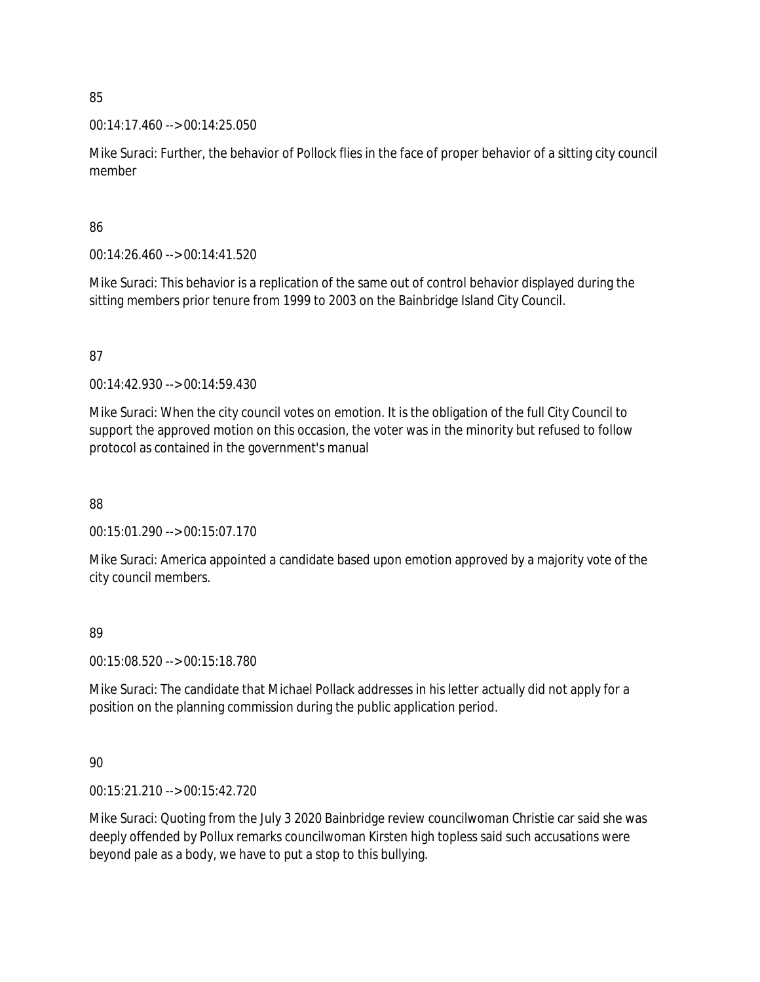00:14:17.460 --> 00:14:25.050

Mike Suraci: Further, the behavior of Pollock flies in the face of proper behavior of a sitting city council member

### 86

00:14:26.460 --> 00:14:41.520

Mike Suraci: This behavior is a replication of the same out of control behavior displayed during the sitting members prior tenure from 1999 to 2003 on the Bainbridge Island City Council.

## 87

00:14:42.930 --> 00:14:59.430

Mike Suraci: When the city council votes on emotion. It is the obligation of the full City Council to support the approved motion on this occasion, the voter was in the minority but refused to follow protocol as contained in the government's manual

88

00:15:01.290 --> 00:15:07.170

Mike Suraci: America appointed a candidate based upon emotion approved by a majority vote of the city council members.

## 89

00:15:08.520 --> 00:15:18.780

Mike Suraci: The candidate that Michael Pollack addresses in his letter actually did not apply for a position on the planning commission during the public application period.

## 90

00:15:21.210 --> 00:15:42.720

Mike Suraci: Quoting from the July 3 2020 Bainbridge review councilwoman Christie car said she was deeply offended by Pollux remarks councilwoman Kirsten high topless said such accusations were beyond pale as a body, we have to put a stop to this bullying.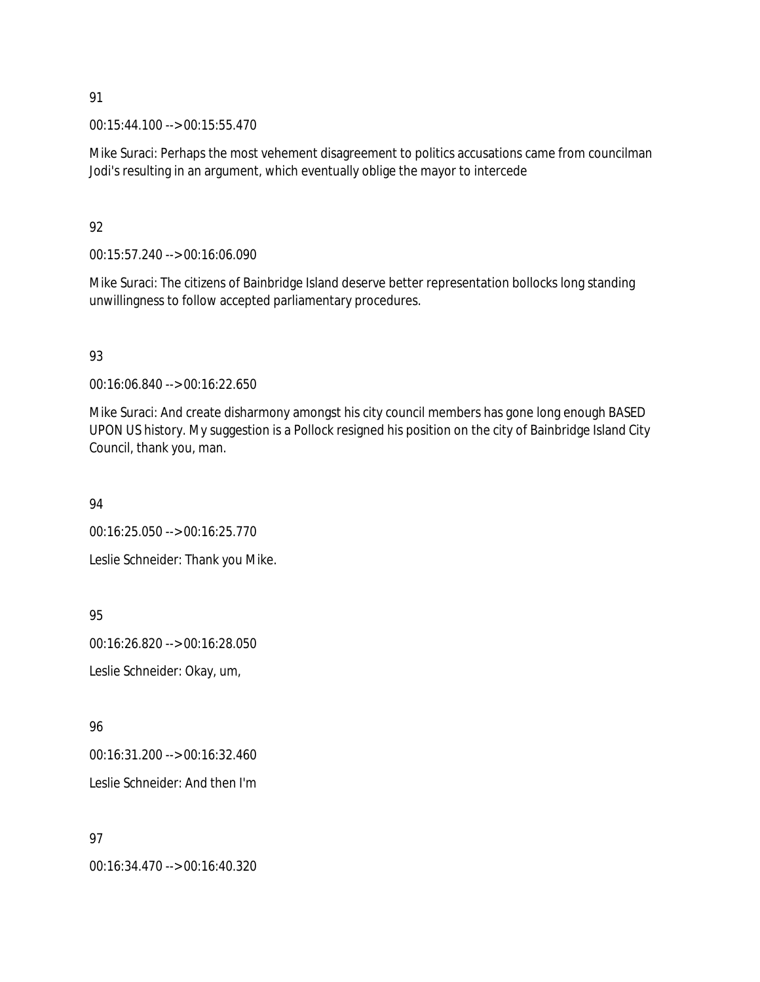00:15:44.100 --> 00:15:55.470

Mike Suraci: Perhaps the most vehement disagreement to politics accusations came from councilman Jodi's resulting in an argument, which eventually oblige the mayor to intercede

92

00:15:57.240 --> 00:16:06.090

Mike Suraci: The citizens of Bainbridge Island deserve better representation bollocks long standing unwillingness to follow accepted parliamentary procedures.

93

00:16:06.840 --> 00:16:22.650

Mike Suraci: And create disharmony amongst his city council members has gone long enough BASED UPON US history. My suggestion is a Pollock resigned his position on the city of Bainbridge Island City Council, thank you, man.

94

00:16:25.050 --> 00:16:25.770

Leslie Schneider: Thank you Mike.

95

00:16:26.820 --> 00:16:28.050

Leslie Schneider: Okay, um,

96

00:16:31.200 --> 00:16:32.460

Leslie Schneider: And then I'm

97

00:16:34.470 --> 00:16:40.320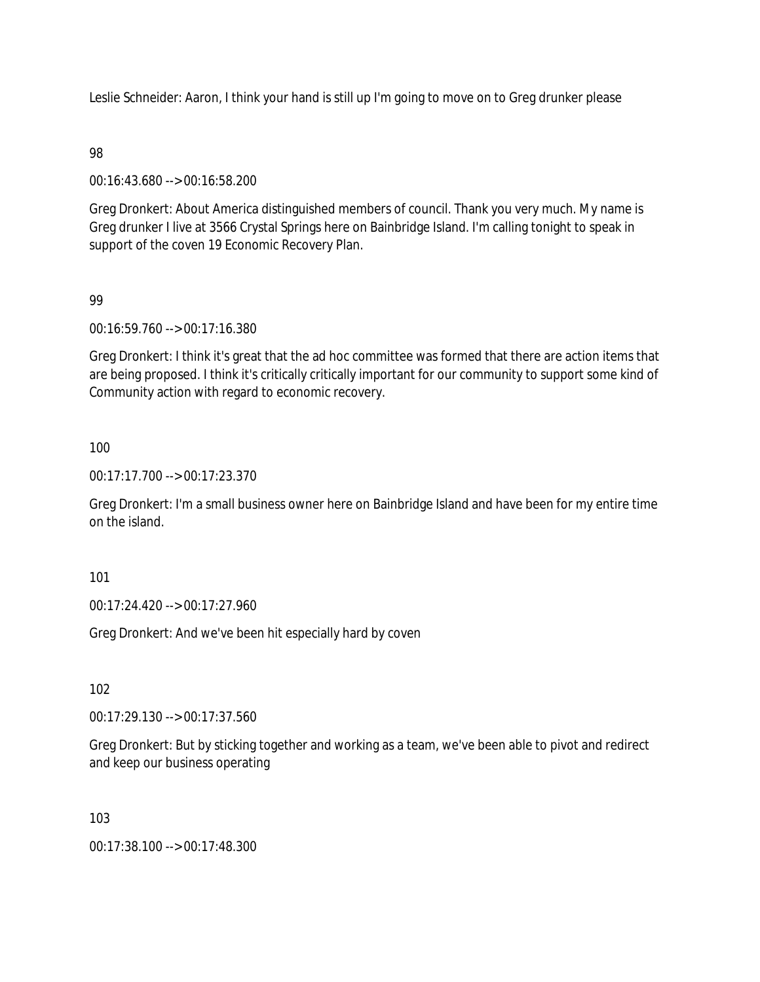Leslie Schneider: Aaron, I think your hand is still up I'm going to move on to Greg drunker please

### 98

00:16:43.680 --> 00:16:58.200

Greg Dronkert: About America distinguished members of council. Thank you very much. My name is Greg drunker I live at 3566 Crystal Springs here on Bainbridge Island. I'm calling tonight to speak in support of the coven 19 Economic Recovery Plan.

## 99

00:16:59.760 --> 00:17:16.380

Greg Dronkert: I think it's great that the ad hoc committee was formed that there are action items that are being proposed. I think it's critically critically important for our community to support some kind of Community action with regard to economic recovery.

### 100

00:17:17.700 --> 00:17:23.370

Greg Dronkert: I'm a small business owner here on Bainbridge Island and have been for my entire time on the island.

101

00:17:24.420 --> 00:17:27.960

Greg Dronkert: And we've been hit especially hard by coven

102

00:17:29.130 --> 00:17:37.560

Greg Dronkert: But by sticking together and working as a team, we've been able to pivot and redirect and keep our business operating

103

00:17:38.100 --> 00:17:48.300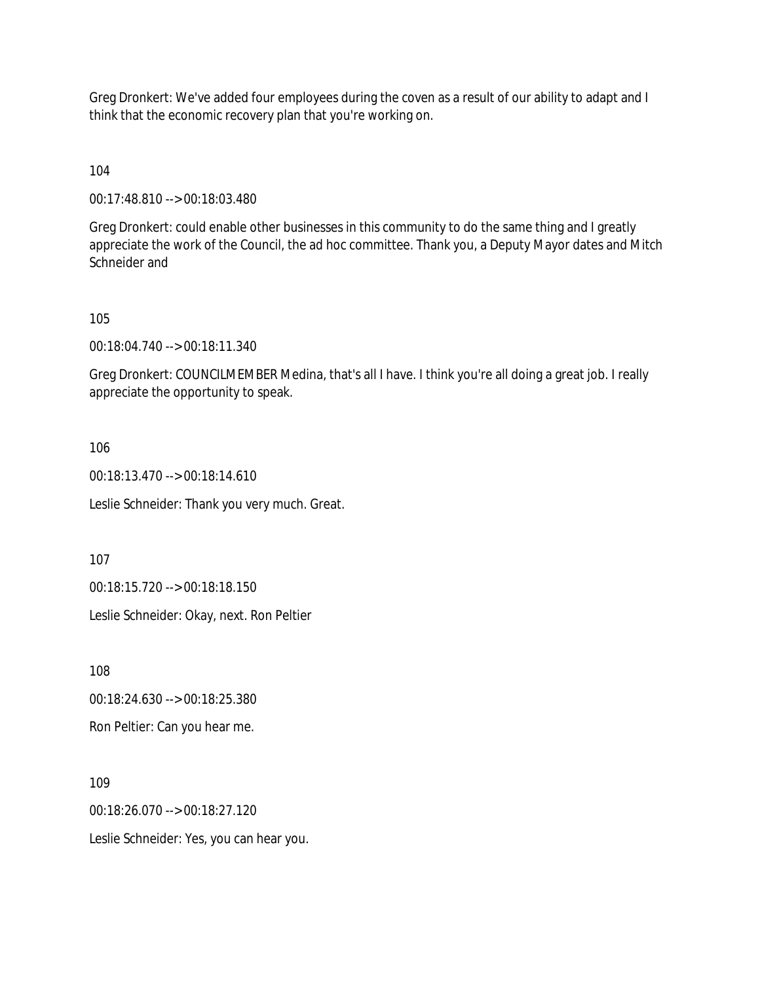Greg Dronkert: We've added four employees during the coven as a result of our ability to adapt and I think that the economic recovery plan that you're working on.

104

00:17:48.810 --> 00:18:03.480

Greg Dronkert: could enable other businesses in this community to do the same thing and I greatly appreciate the work of the Council, the ad hoc committee. Thank you, a Deputy Mayor dates and Mitch Schneider and

105

00:18:04.740 --> 00:18:11.340

Greg Dronkert: COUNCILMEMBER Medina, that's all I have. I think you're all doing a great job. I really appreciate the opportunity to speak.

106

00:18:13.470 --> 00:18:14.610

Leslie Schneider: Thank you very much. Great.

107

00:18:15.720 --> 00:18:18.150

Leslie Schneider: Okay, next. Ron Peltier

108

00:18:24.630 --> 00:18:25.380

Ron Peltier: Can you hear me.

109

00:18:26.070 --> 00:18:27.120

Leslie Schneider: Yes, you can hear you.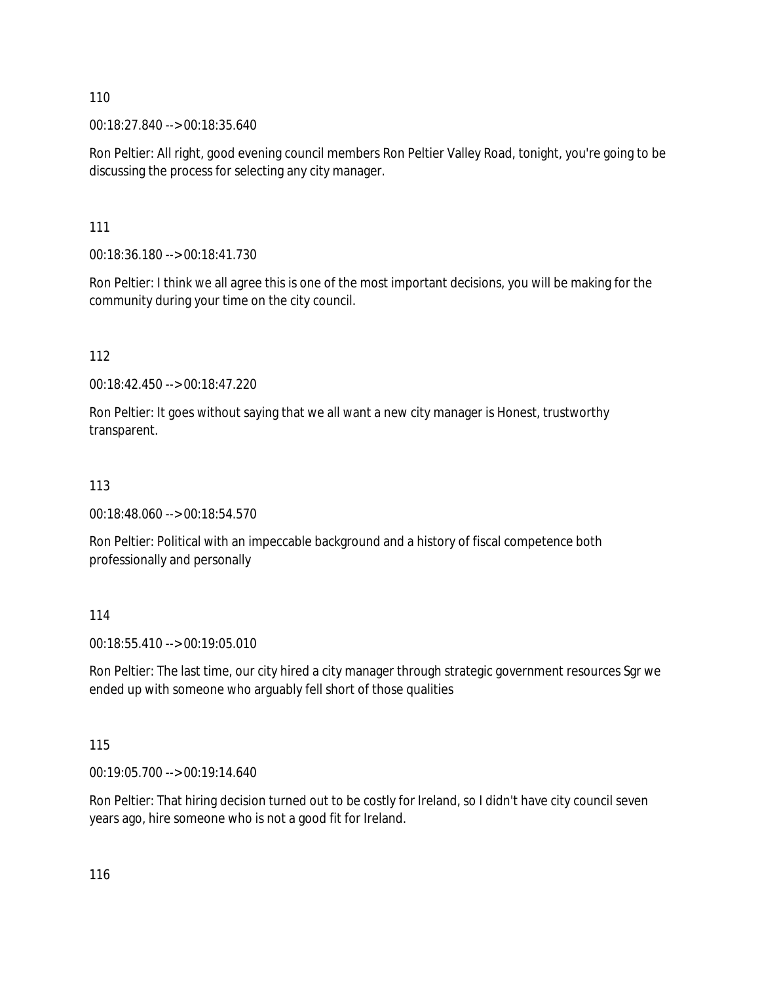00:18:27.840 --> 00:18:35.640

Ron Peltier: All right, good evening council members Ron Peltier Valley Road, tonight, you're going to be discussing the process for selecting any city manager.

111

00:18:36.180 --> 00:18:41.730

Ron Peltier: I think we all agree this is one of the most important decisions, you will be making for the community during your time on the city council.

112

00:18:42.450 --> 00:18:47.220

Ron Peltier: It goes without saying that we all want a new city manager is Honest, trustworthy transparent.

## 113

00:18:48.060 --> 00:18:54.570

Ron Peltier: Political with an impeccable background and a history of fiscal competence both professionally and personally

114

00:18:55.410 --> 00:19:05.010

Ron Peltier: The last time, our city hired a city manager through strategic government resources Sgr we ended up with someone who arguably fell short of those qualities

115

00:19:05.700 --> 00:19:14.640

Ron Peltier: That hiring decision turned out to be costly for Ireland, so I didn't have city council seven years ago, hire someone who is not a good fit for Ireland.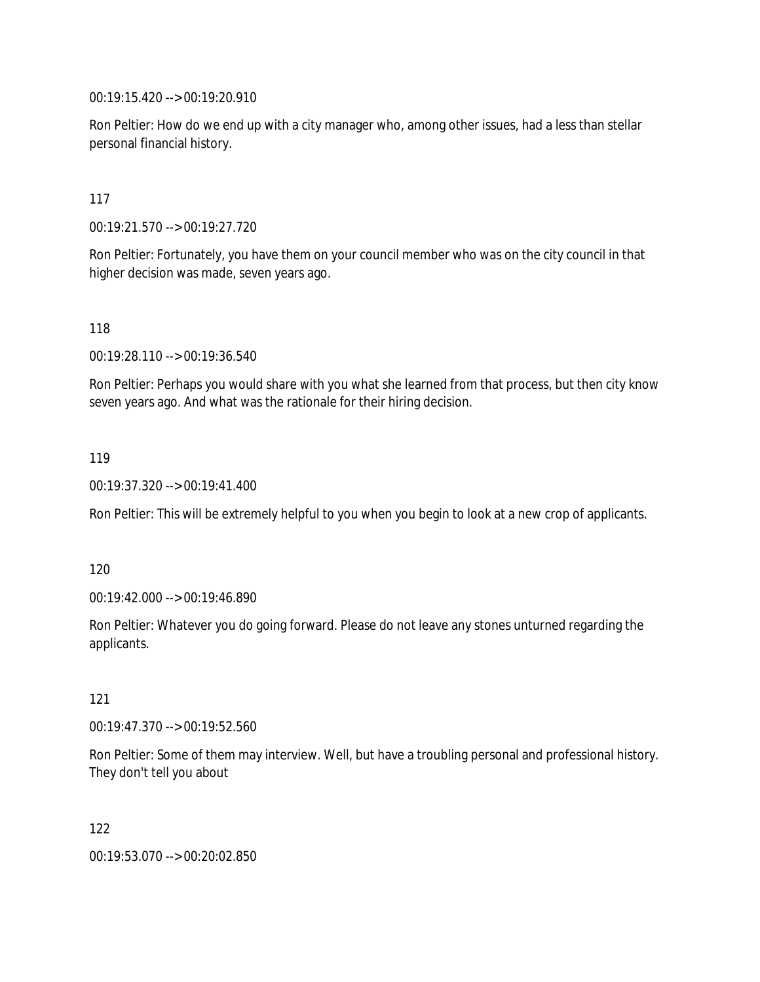00:19:15.420 --> 00:19:20.910

Ron Peltier: How do we end up with a city manager who, among other issues, had a less than stellar personal financial history.

117

00:19:21.570 --> 00:19:27.720

Ron Peltier: Fortunately, you have them on your council member who was on the city council in that higher decision was made, seven years ago.

118

00:19:28.110 --> 00:19:36.540

Ron Peltier: Perhaps you would share with you what she learned from that process, but then city know seven years ago. And what was the rationale for their hiring decision.

119

00:19:37.320 --> 00:19:41.400

Ron Peltier: This will be extremely helpful to you when you begin to look at a new crop of applicants.

120

00:19:42.000 --> 00:19:46.890

Ron Peltier: Whatever you do going forward. Please do not leave any stones unturned regarding the applicants.

121

00:19:47.370 --> 00:19:52.560

Ron Peltier: Some of them may interview. Well, but have a troubling personal and professional history. They don't tell you about

122

00:19:53.070 --> 00:20:02.850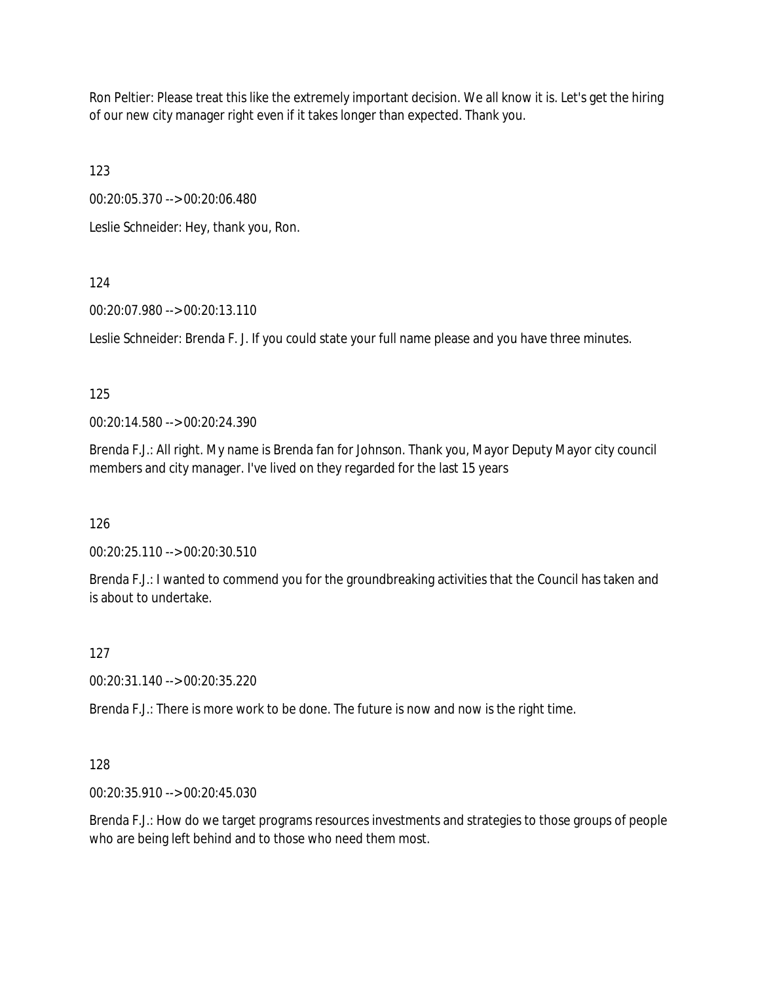Ron Peltier: Please treat this like the extremely important decision. We all know it is. Let's get the hiring of our new city manager right even if it takes longer than expected. Thank you.

123

00:20:05.370 --> 00:20:06.480

Leslie Schneider: Hey, thank you, Ron.

# 124

00:20:07.980 --> 00:20:13.110

Leslie Schneider: Brenda F. J. If you could state your full name please and you have three minutes.

## 125

00:20:14.580 --> 00:20:24.390

Brenda F.J.: All right. My name is Brenda fan for Johnson. Thank you, Mayor Deputy Mayor city council members and city manager. I've lived on they regarded for the last 15 years

126

00:20:25.110 --> 00:20:30.510

Brenda F.J.: I wanted to commend you for the groundbreaking activities that the Council has taken and is about to undertake.

## 127

00:20:31.140 --> 00:20:35.220

Brenda F.J.: There is more work to be done. The future is now and now is the right time.

## 128

00:20:35.910 --> 00:20:45.030

Brenda F.J.: How do we target programs resources investments and strategies to those groups of people who are being left behind and to those who need them most.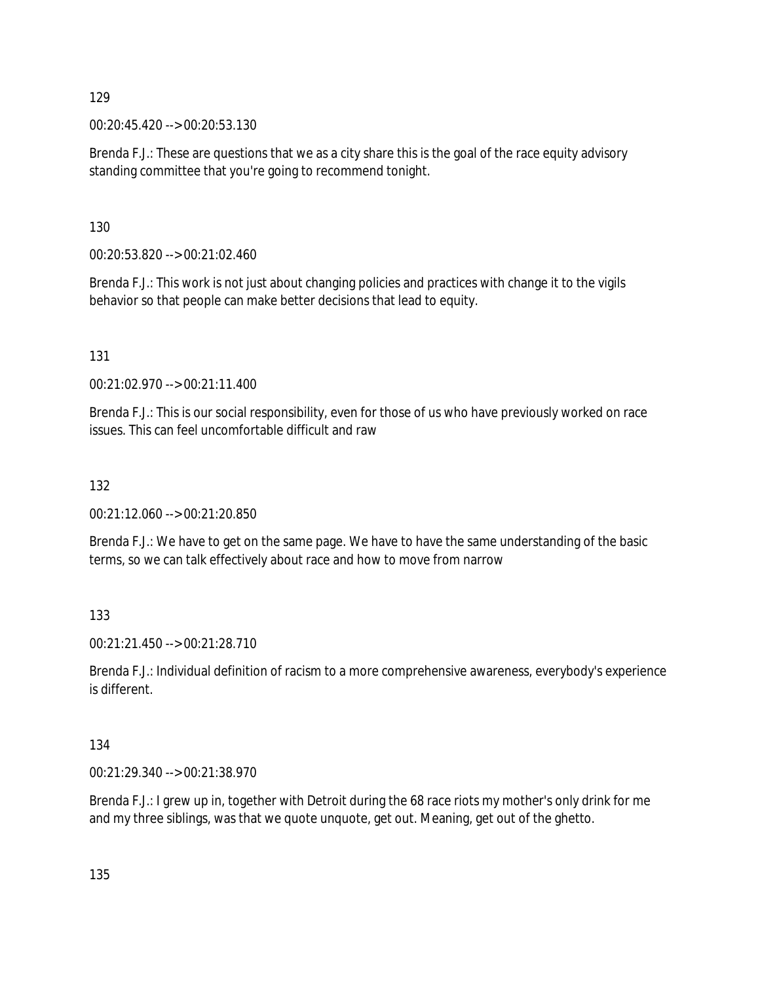00:20:45.420 --> 00:20:53.130

Brenda F.J.: These are questions that we as a city share this is the goal of the race equity advisory standing committee that you're going to recommend tonight.

130

00:20:53.820 --> 00:21:02.460

Brenda F.J.: This work is not just about changing policies and practices with change it to the vigils behavior so that people can make better decisions that lead to equity.

131

00:21:02.970 --> 00:21:11.400

Brenda F.J.: This is our social responsibility, even for those of us who have previously worked on race issues. This can feel uncomfortable difficult and raw

132

00:21:12.060 --> 00:21:20.850

Brenda F.J.: We have to get on the same page. We have to have the same understanding of the basic terms, so we can talk effectively about race and how to move from narrow

133

00:21:21.450 --> 00:21:28.710

Brenda F.J.: Individual definition of racism to a more comprehensive awareness, everybody's experience is different.

134

00:21:29.340 --> 00:21:38.970

Brenda F.J.: I grew up in, together with Detroit during the 68 race riots my mother's only drink for me and my three siblings, was that we quote unquote, get out. Meaning, get out of the ghetto.

135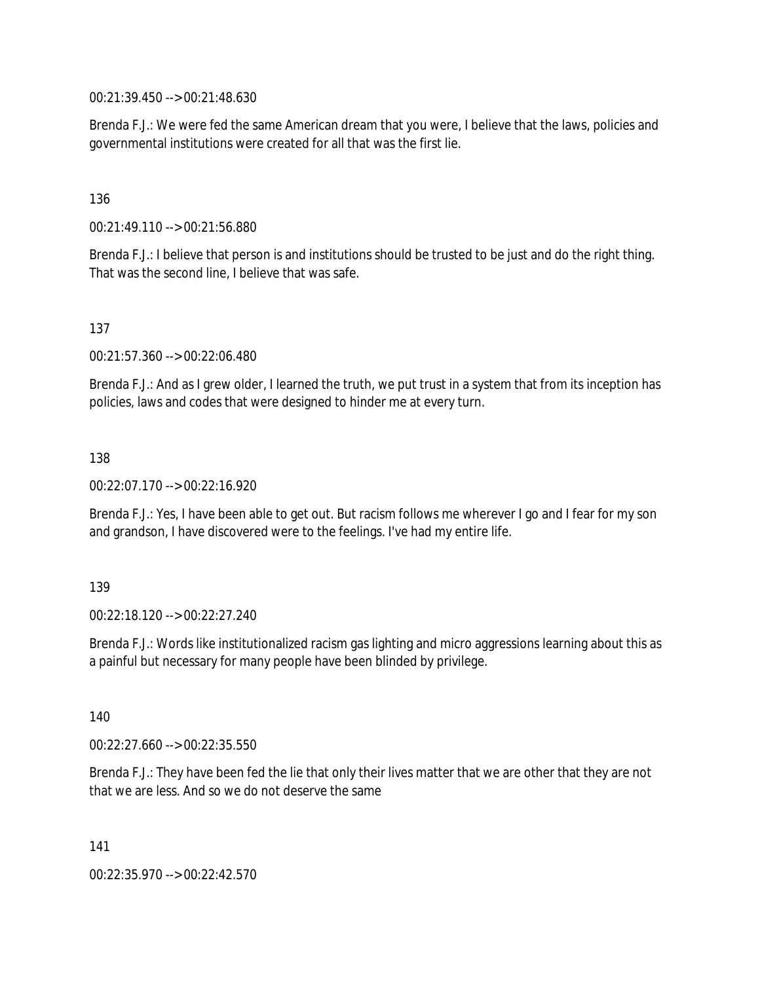00:21:39.450 --> 00:21:48.630

Brenda F.J.: We were fed the same American dream that you were, I believe that the laws, policies and governmental institutions were created for all that was the first lie.

#### 136

00:21:49.110 --> 00:21:56.880

Brenda F.J.: I believe that person is and institutions should be trusted to be just and do the right thing. That was the second line, I believe that was safe.

137

00:21:57.360 --> 00:22:06.480

Brenda F.J.: And as I grew older, I learned the truth, we put trust in a system that from its inception has policies, laws and codes that were designed to hinder me at every turn.

#### 138

00:22:07.170 --> 00:22:16.920

Brenda F.J.: Yes, I have been able to get out. But racism follows me wherever I go and I fear for my son and grandson, I have discovered were to the feelings. I've had my entire life.

#### 139

00:22:18.120 --> 00:22:27.240

Brenda F.J.: Words like institutionalized racism gas lighting and micro aggressions learning about this as a painful but necessary for many people have been blinded by privilege.

140

00:22:27.660 --> 00:22:35.550

Brenda F.J.: They have been fed the lie that only their lives matter that we are other that they are not that we are less. And so we do not deserve the same

141

00:22:35.970 --> 00:22:42.570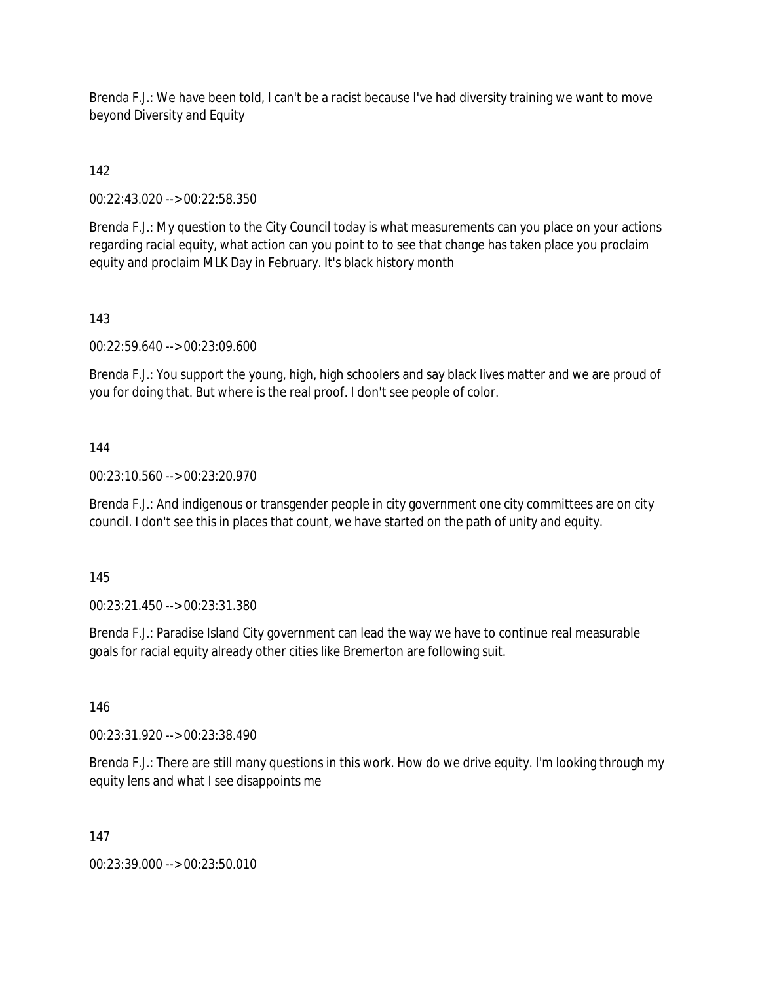Brenda F.J.: We have been told, I can't be a racist because I've had diversity training we want to move beyond Diversity and Equity

## 142

00:22:43.020 --> 00:22:58.350

Brenda F.J.: My question to the City Council today is what measurements can you place on your actions regarding racial equity, what action can you point to to see that change has taken place you proclaim equity and proclaim MLK Day in February. It's black history month

## 143

00:22:59.640 --> 00:23:09.600

Brenda F.J.: You support the young, high, high schoolers and say black lives matter and we are proud of you for doing that. But where is the real proof. I don't see people of color.

#### 144

00:23:10.560 --> 00:23:20.970

Brenda F.J.: And indigenous or transgender people in city government one city committees are on city council. I don't see this in places that count, we have started on the path of unity and equity.

#### 145

00:23:21.450 --> 00:23:31.380

Brenda F.J.: Paradise Island City government can lead the way we have to continue real measurable goals for racial equity already other cities like Bremerton are following suit.

146

00:23:31.920 --> 00:23:38.490

Brenda F.J.: There are still many questions in this work. How do we drive equity. I'm looking through my equity lens and what I see disappoints me

#### 147

00:23:39.000 --> 00:23:50.010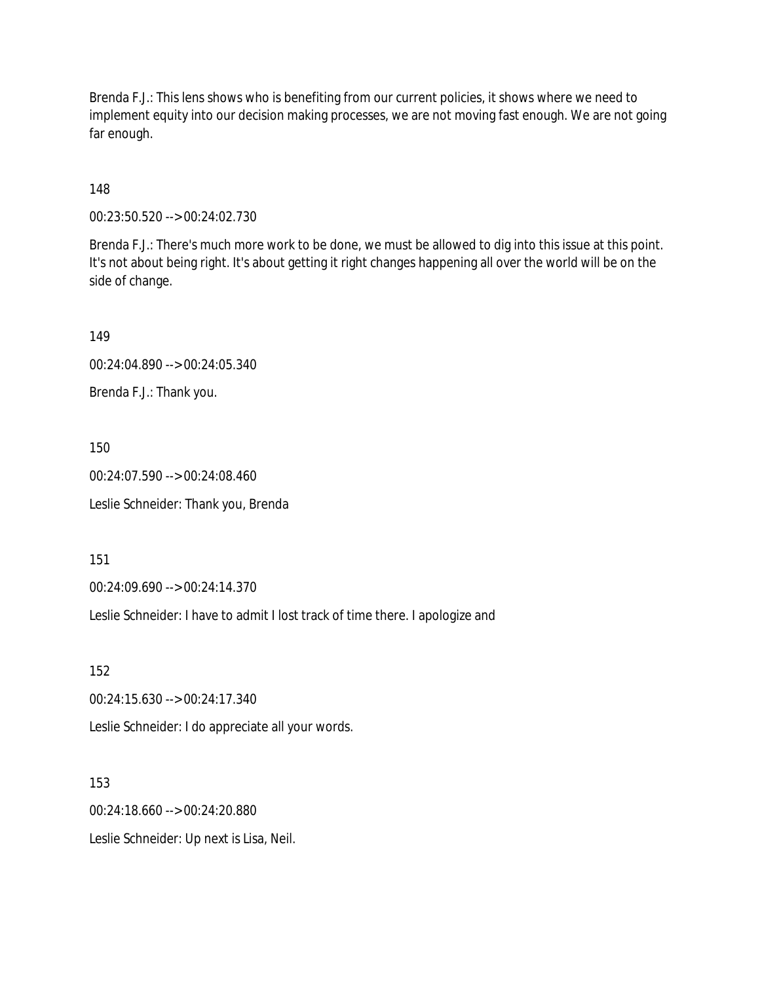Brenda F.J.: This lens shows who is benefiting from our current policies, it shows where we need to implement equity into our decision making processes, we are not moving fast enough. We are not going far enough.

148

00:23:50.520 --> 00:24:02.730

Brenda F.J.: There's much more work to be done, we must be allowed to dig into this issue at this point. It's not about being right. It's about getting it right changes happening all over the world will be on the side of change.

149

00:24:04.890 --> 00:24:05.340

Brenda F.J.: Thank you.

150

00:24:07.590 --> 00:24:08.460

Leslie Schneider: Thank you, Brenda

151

00:24:09.690 --> 00:24:14.370

Leslie Schneider: I have to admit I lost track of time there. I apologize and

152

00:24:15.630 --> 00:24:17.340

Leslie Schneider: I do appreciate all your words.

153

00:24:18.660 --> 00:24:20.880

Leslie Schneider: Up next is Lisa, Neil.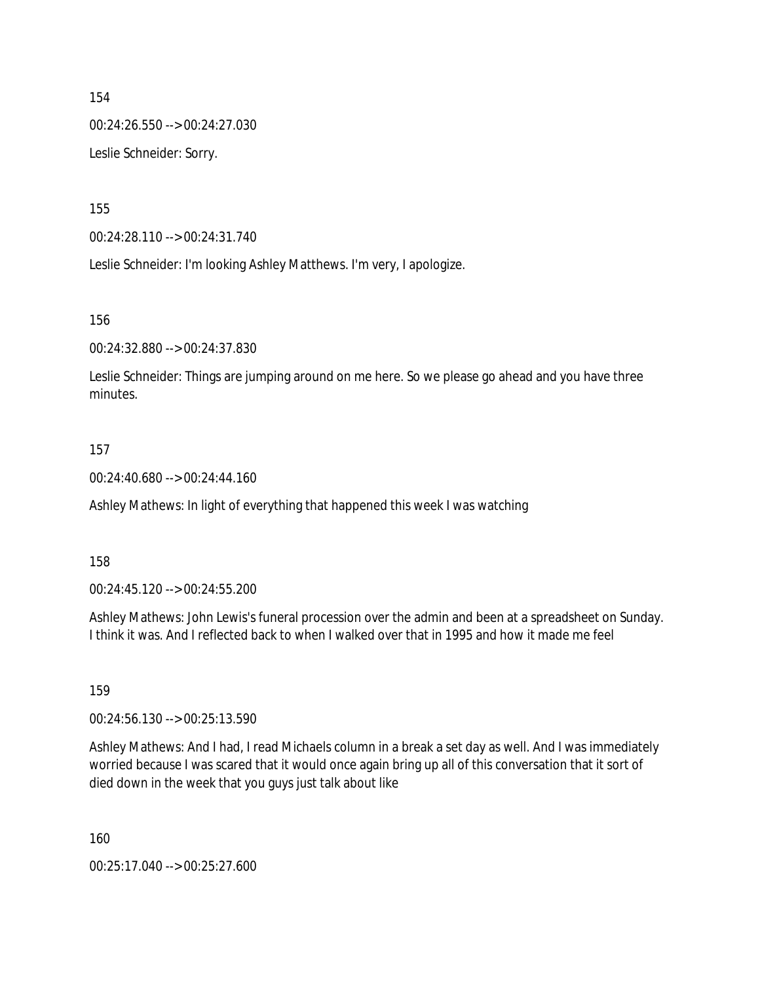00:24:26.550 --> 00:24:27.030

Leslie Schneider: Sorry.

155

00:24:28.110 --> 00:24:31.740

Leslie Schneider: I'm looking Ashley Matthews. I'm very, I apologize.

156

00:24:32.880 --> 00:24:37.830

Leslie Schneider: Things are jumping around on me here. So we please go ahead and you have three minutes.

#### 157

00:24:40.680 --> 00:24:44.160

Ashley Mathews: In light of everything that happened this week I was watching

#### 158

00:24:45.120 --> 00:24:55.200

Ashley Mathews: John Lewis's funeral procession over the admin and been at a spreadsheet on Sunday. I think it was. And I reflected back to when I walked over that in 1995 and how it made me feel

#### 159

00:24:56.130 --> 00:25:13.590

Ashley Mathews: And I had, I read Michaels column in a break a set day as well. And I was immediately worried because I was scared that it would once again bring up all of this conversation that it sort of died down in the week that you guys just talk about like

160

00:25:17.040 --> 00:25:27.600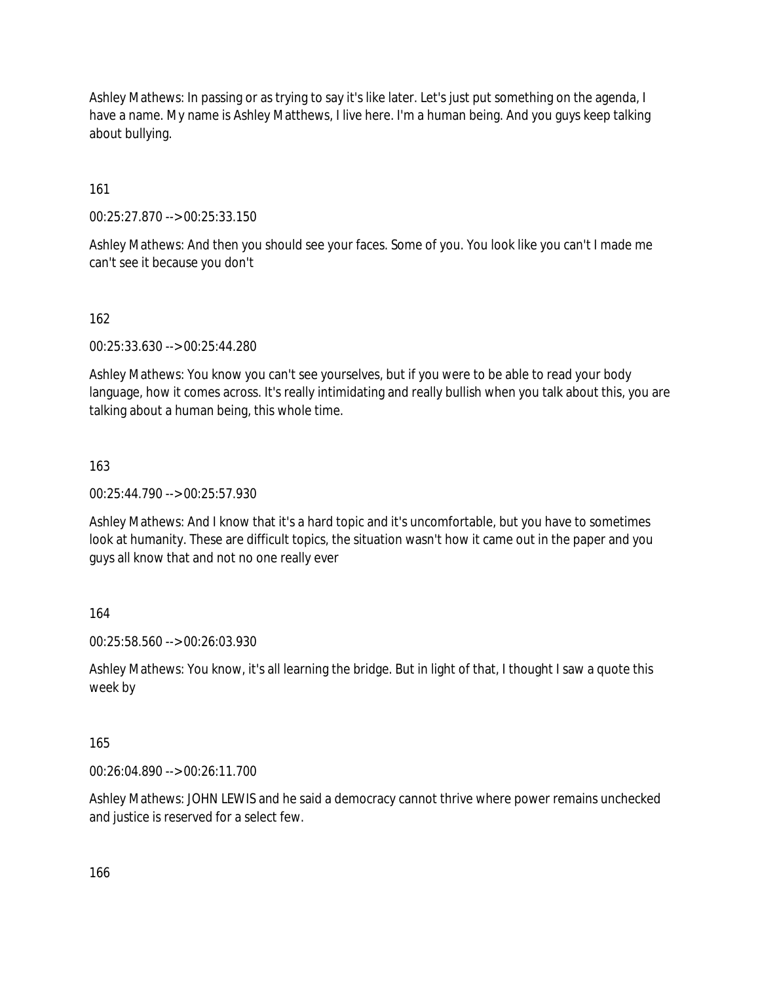Ashley Mathews: In passing or as trying to say it's like later. Let's just put something on the agenda, I have a name. My name is Ashley Matthews, I live here. I'm a human being. And you guys keep talking about bullying.

161

00:25:27.870 --> 00:25:33.150

Ashley Mathews: And then you should see your faces. Some of you. You look like you can't I made me can't see it because you don't

### 162

00:25:33.630 --> 00:25:44.280

Ashley Mathews: You know you can't see yourselves, but if you were to be able to read your body language, how it comes across. It's really intimidating and really bullish when you talk about this, you are talking about a human being, this whole time.

### 163

00:25:44.790 --> 00:25:57.930

Ashley Mathews: And I know that it's a hard topic and it's uncomfortable, but you have to sometimes look at humanity. These are difficult topics, the situation wasn't how it came out in the paper and you guys all know that and not no one really ever

#### 164

00:25:58.560 --> 00:26:03.930

Ashley Mathews: You know, it's all learning the bridge. But in light of that, I thought I saw a quote this week by

#### 165

00:26:04.890 --> 00:26:11.700

Ashley Mathews: JOHN LEWIS and he said a democracy cannot thrive where power remains unchecked and justice is reserved for a select few.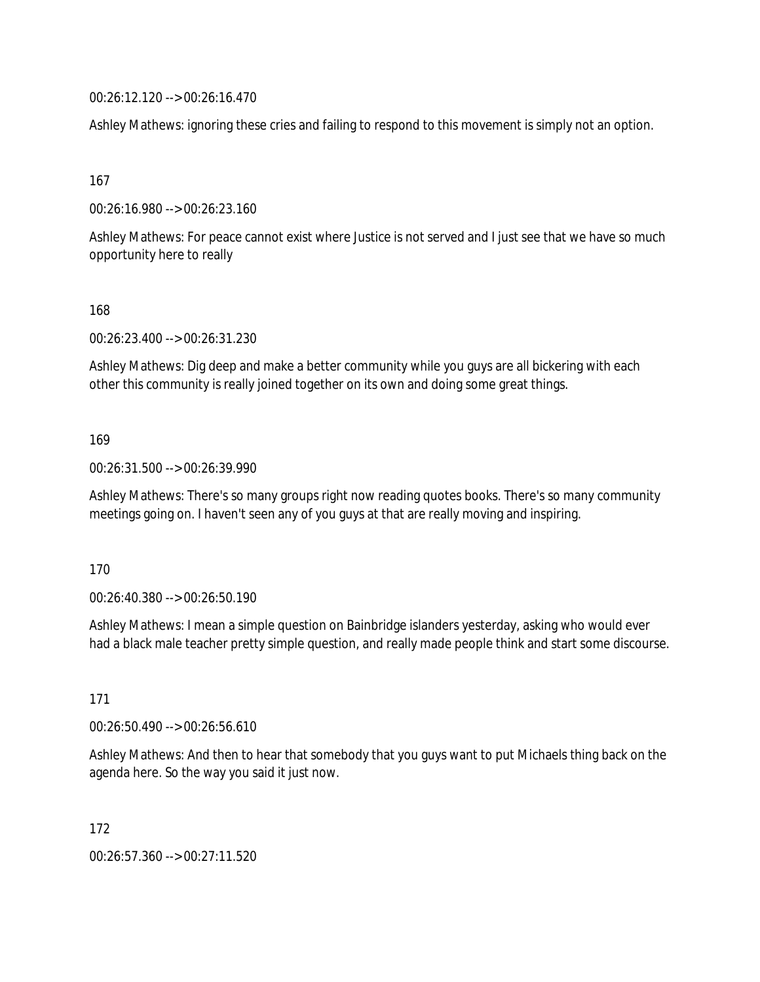00:26:12.120 --> 00:26:16.470

Ashley Mathews: ignoring these cries and failing to respond to this movement is simply not an option.

167

00:26:16.980 --> 00:26:23.160

Ashley Mathews: For peace cannot exist where Justice is not served and I just see that we have so much opportunity here to really

168

00:26:23.400 --> 00:26:31.230

Ashley Mathews: Dig deep and make a better community while you guys are all bickering with each other this community is really joined together on its own and doing some great things.

#### 169

00:26:31.500 --> 00:26:39.990

Ashley Mathews: There's so many groups right now reading quotes books. There's so many community meetings going on. I haven't seen any of you guys at that are really moving and inspiring.

#### 170

00:26:40.380 --> 00:26:50.190

Ashley Mathews: I mean a simple question on Bainbridge islanders yesterday, asking who would ever had a black male teacher pretty simple question, and really made people think and start some discourse.

171

00:26:50.490 --> 00:26:56.610

Ashley Mathews: And then to hear that somebody that you guys want to put Michaels thing back on the agenda here. So the way you said it just now.

172

00:26:57.360 --> 00:27:11.520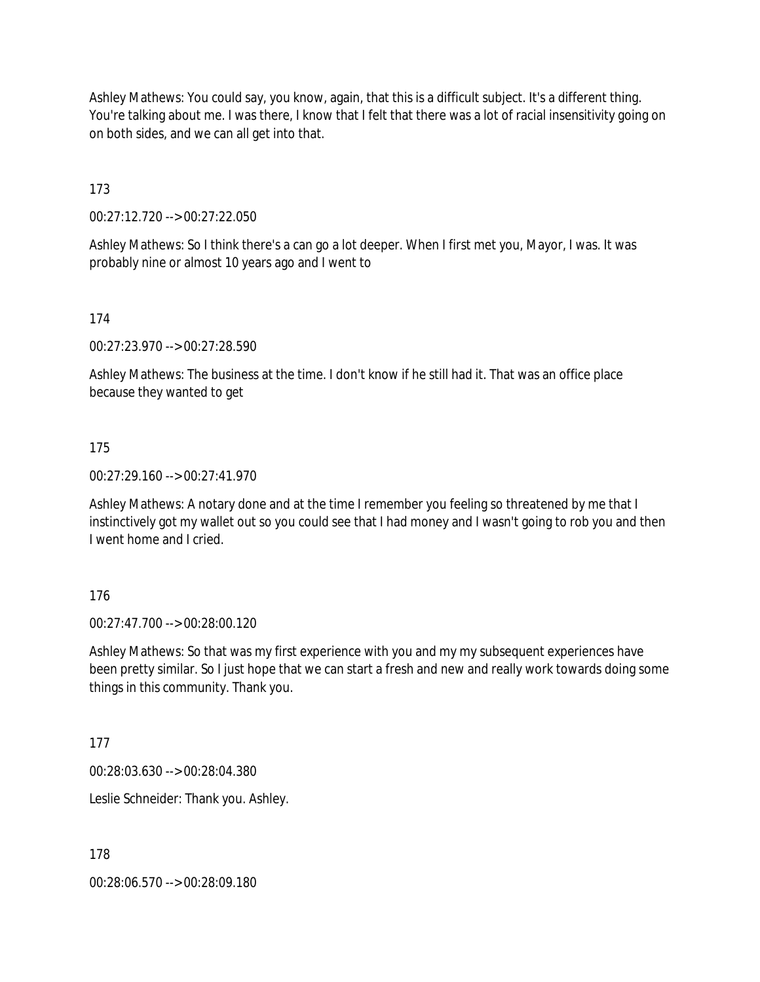Ashley Mathews: You could say, you know, again, that this is a difficult subject. It's a different thing. You're talking about me. I was there, I know that I felt that there was a lot of racial insensitivity going on on both sides, and we can all get into that.

173

00:27:12.720 --> 00:27:22.050

Ashley Mathews: So I think there's a can go a lot deeper. When I first met you, Mayor, I was. It was probably nine or almost 10 years ago and I went to

174

00:27:23.970 --> 00:27:28.590

Ashley Mathews: The business at the time. I don't know if he still had it. That was an office place because they wanted to get

175

00:27:29.160 --> 00:27:41.970

Ashley Mathews: A notary done and at the time I remember you feeling so threatened by me that I instinctively got my wallet out so you could see that I had money and I wasn't going to rob you and then I went home and I cried.

176

00:27:47.700 --> 00:28:00.120

Ashley Mathews: So that was my first experience with you and my my subsequent experiences have been pretty similar. So I just hope that we can start a fresh and new and really work towards doing some things in this community. Thank you.

177

00:28:03.630 --> 00:28:04.380

Leslie Schneider: Thank you. Ashley.

178

00:28:06.570 --> 00:28:09.180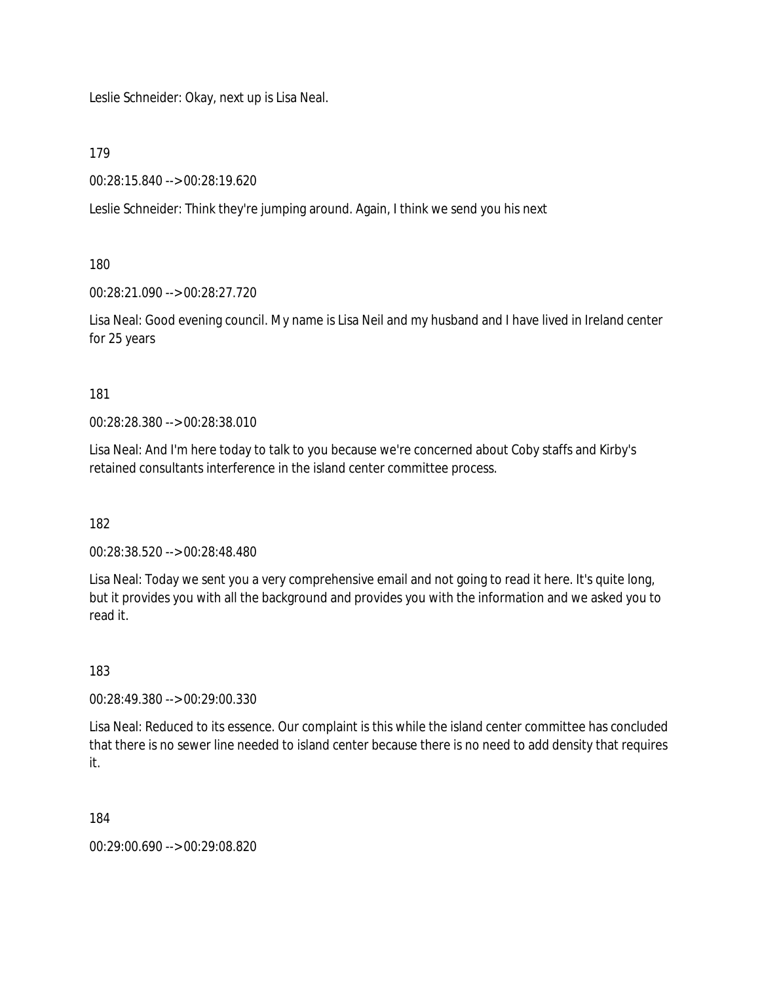Leslie Schneider: Okay, next up is Lisa Neal.

179

00:28:15.840 --> 00:28:19.620

Leslie Schneider: Think they're jumping around. Again, I think we send you his next

180

00:28:21.090 --> 00:28:27.720

Lisa Neal: Good evening council. My name is Lisa Neil and my husband and I have lived in Ireland center for 25 years

181

00:28:28.380 --> 00:28:38.010

Lisa Neal: And I'm here today to talk to you because we're concerned about Coby staffs and Kirby's retained consultants interference in the island center committee process.

182

00:28:38.520 --> 00:28:48.480

Lisa Neal: Today we sent you a very comprehensive email and not going to read it here. It's quite long, but it provides you with all the background and provides you with the information and we asked you to read it.

183

00:28:49.380 --> 00:29:00.330

Lisa Neal: Reduced to its essence. Our complaint is this while the island center committee has concluded that there is no sewer line needed to island center because there is no need to add density that requires it.

184

00:29:00.690 --> 00:29:08.820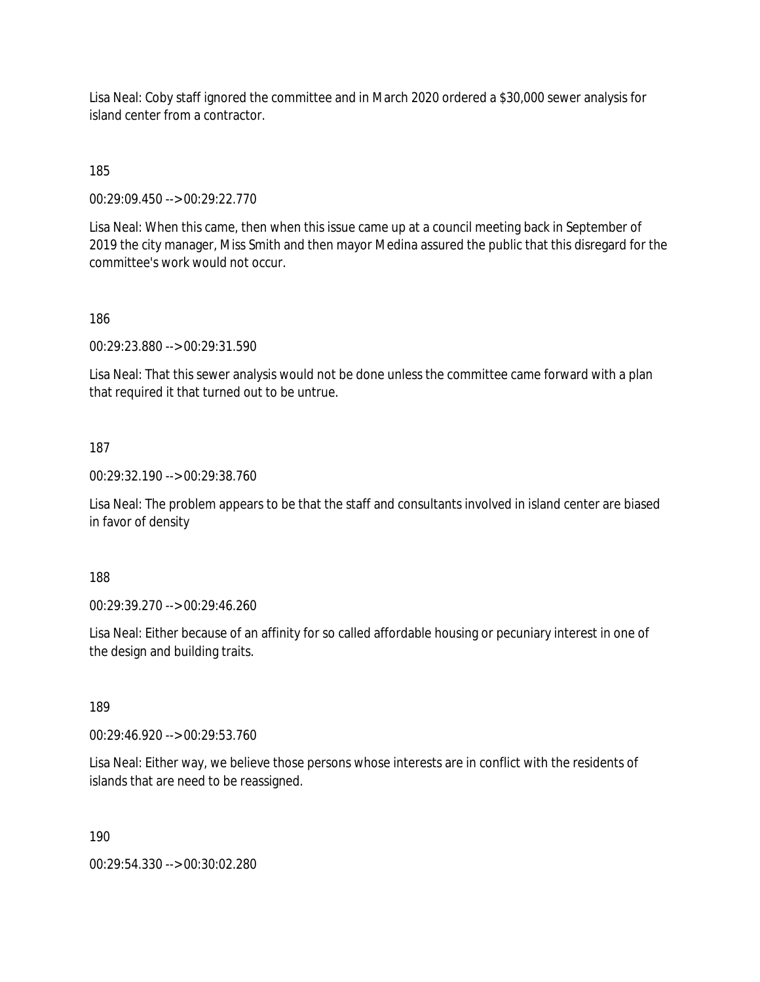Lisa Neal: Coby staff ignored the committee and in March 2020 ordered a \$30,000 sewer analysis for island center from a contractor.

185

00:29:09.450 --> 00:29:22.770

Lisa Neal: When this came, then when this issue came up at a council meeting back in September of 2019 the city manager, Miss Smith and then mayor Medina assured the public that this disregard for the committee's work would not occur.

186

00:29:23.880 --> 00:29:31.590

Lisa Neal: That this sewer analysis would not be done unless the committee came forward with a plan that required it that turned out to be untrue.

187

00:29:32.190 --> 00:29:38.760

Lisa Neal: The problem appears to be that the staff and consultants involved in island center are biased in favor of density

188

00:29:39.270 --> 00:29:46.260

Lisa Neal: Either because of an affinity for so called affordable housing or pecuniary interest in one of the design and building traits.

189

00:29:46.920 --> 00:29:53.760

Lisa Neal: Either way, we believe those persons whose interests are in conflict with the residents of islands that are need to be reassigned.

190

00:29:54.330 --> 00:30:02.280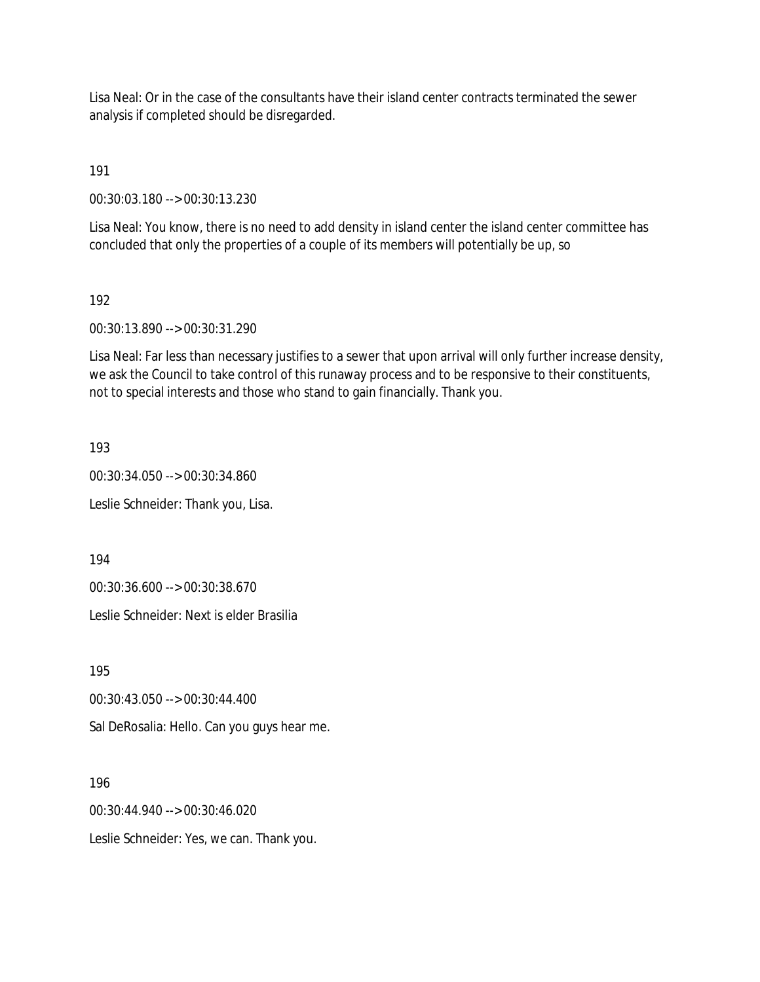Lisa Neal: Or in the case of the consultants have their island center contracts terminated the sewer analysis if completed should be disregarded.

191

00:30:03.180 --> 00:30:13.230

Lisa Neal: You know, there is no need to add density in island center the island center committee has concluded that only the properties of a couple of its members will potentially be up, so

192

00:30:13.890 --> 00:30:31.290

Lisa Neal: Far less than necessary justifies to a sewer that upon arrival will only further increase density, we ask the Council to take control of this runaway process and to be responsive to their constituents, not to special interests and those who stand to gain financially. Thank you.

193

00:30:34.050 --> 00:30:34.860

Leslie Schneider: Thank you, Lisa.

194

00:30:36.600 --> 00:30:38.670

Leslie Schneider: Next is elder Brasilia

195

00:30:43.050 --> 00:30:44.400

Sal DeRosalia: Hello. Can you guys hear me.

196

00:30:44.940 --> 00:30:46.020

Leslie Schneider: Yes, we can. Thank you.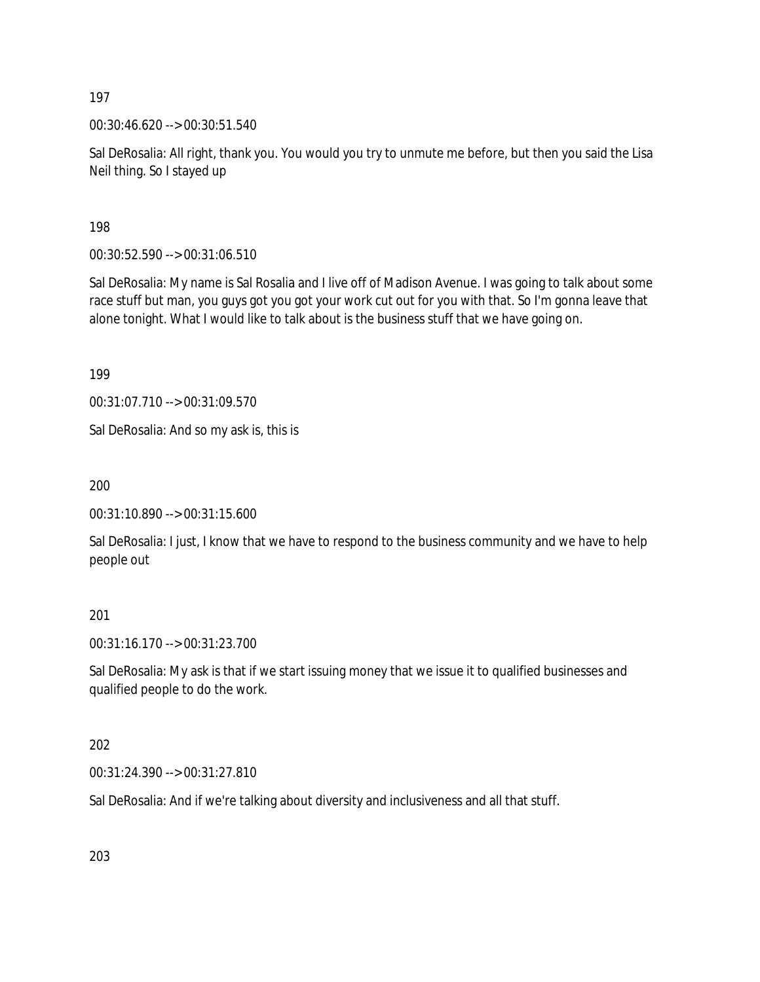00:30:46.620 --> 00:30:51.540

Sal DeRosalia: All right, thank you. You would you try to unmute me before, but then you said the Lisa Neil thing. So I stayed up

198

00:30:52.590 --> 00:31:06.510

Sal DeRosalia: My name is Sal Rosalia and I live off of Madison Avenue. I was going to talk about some race stuff but man, you guys got you got your work cut out for you with that. So I'm gonna leave that alone tonight. What I would like to talk about is the business stuff that we have going on.

199

00:31:07.710 --> 00:31:09.570

Sal DeRosalia: And so my ask is, this is

200

00:31:10.890 --> 00:31:15.600

Sal DeRosalia: I just, I know that we have to respond to the business community and we have to help people out

201

00:31:16.170 --> 00:31:23.700

Sal DeRosalia: My ask is that if we start issuing money that we issue it to qualified businesses and qualified people to do the work.

202

00:31:24.390 --> 00:31:27.810

Sal DeRosalia: And if we're talking about diversity and inclusiveness and all that stuff.

203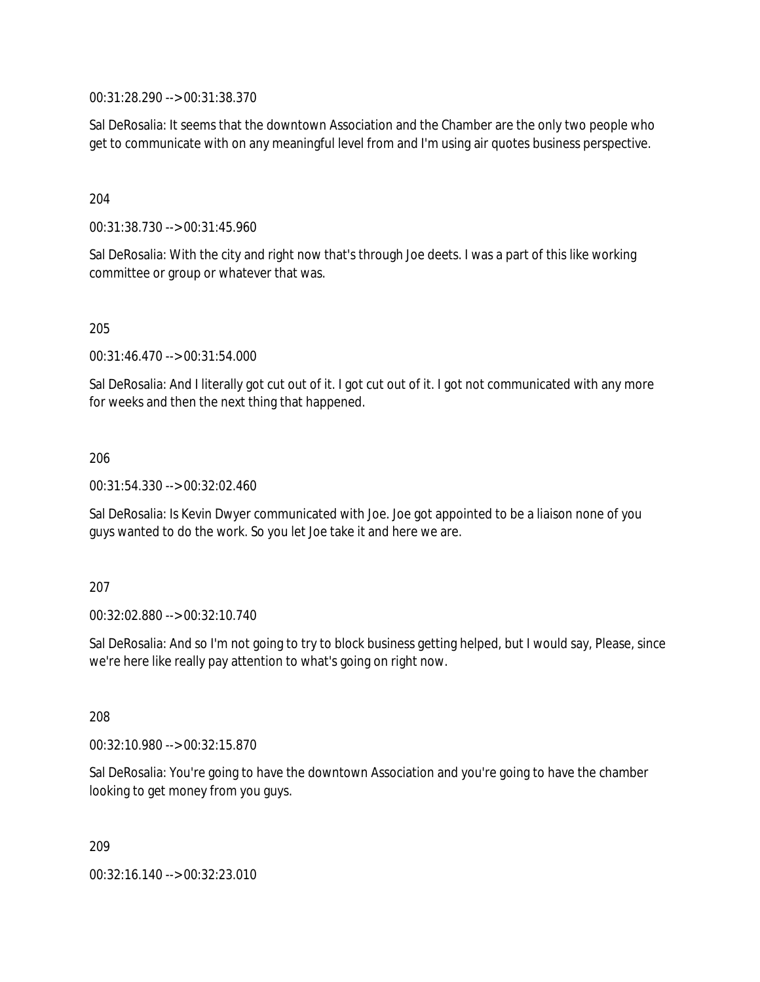00:31:28.290 --> 00:31:38.370

Sal DeRosalia: It seems that the downtown Association and the Chamber are the only two people who get to communicate with on any meaningful level from and I'm using air quotes business perspective.

204

00:31:38.730 --> 00:31:45.960

Sal DeRosalia: With the city and right now that's through Joe deets. I was a part of this like working committee or group or whatever that was.

205

00:31:46.470 --> 00:31:54.000

Sal DeRosalia: And I literally got cut out of it. I got cut out of it. I got not communicated with any more for weeks and then the next thing that happened.

206

00:31:54.330 --> 00:32:02.460

Sal DeRosalia: Is Kevin Dwyer communicated with Joe. Joe got appointed to be a liaison none of you guys wanted to do the work. So you let Joe take it and here we are.

207

00:32:02.880 --> 00:32:10.740

Sal DeRosalia: And so I'm not going to try to block business getting helped, but I would say, Please, since we're here like really pay attention to what's going on right now.

208

00:32:10.980 --> 00:32:15.870

Sal DeRosalia: You're going to have the downtown Association and you're going to have the chamber looking to get money from you guys.

209

00:32:16.140 --> 00:32:23.010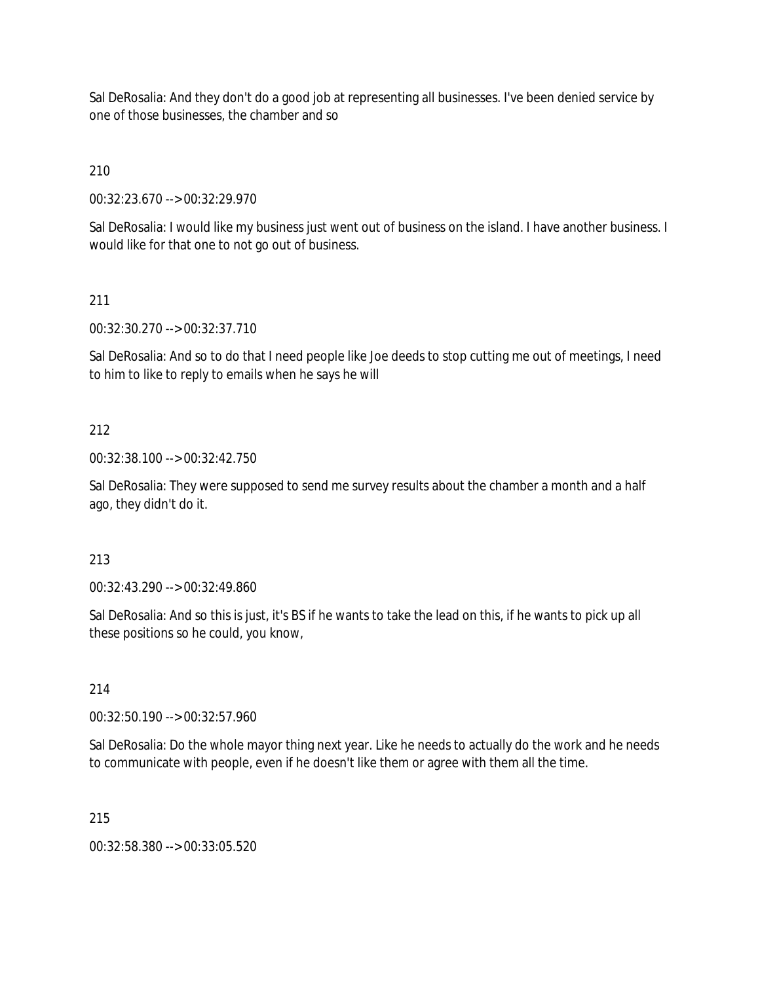Sal DeRosalia: And they don't do a good job at representing all businesses. I've been denied service by one of those businesses, the chamber and so

210

00:32:23.670 --> 00:32:29.970

Sal DeRosalia: I would like my business just went out of business on the island. I have another business. I would like for that one to not go out of business.

## 211

00:32:30.270 --> 00:32:37.710

Sal DeRosalia: And so to do that I need people like Joe deeds to stop cutting me out of meetings, I need to him to like to reply to emails when he says he will

### 212

00:32:38.100 --> 00:32:42.750

Sal DeRosalia: They were supposed to send me survey results about the chamber a month and a half ago, they didn't do it.

#### 213

00:32:43.290 --> 00:32:49.860

Sal DeRosalia: And so this is just, it's BS if he wants to take the lead on this, if he wants to pick up all these positions so he could, you know,

#### 214

00:32:50.190 --> 00:32:57.960

Sal DeRosalia: Do the whole mayor thing next year. Like he needs to actually do the work and he needs to communicate with people, even if he doesn't like them or agree with them all the time.

#### 215

00:32:58.380 --> 00:33:05.520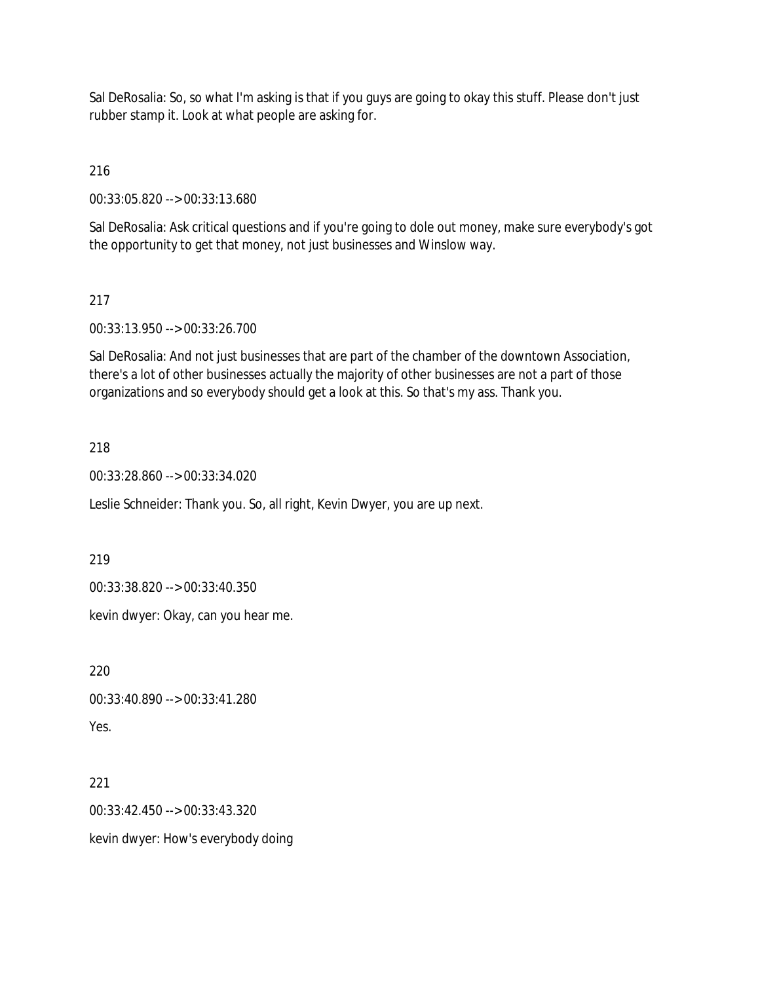Sal DeRosalia: So, so what I'm asking is that if you guys are going to okay this stuff. Please don't just rubber stamp it. Look at what people are asking for.

216

00:33:05.820 --> 00:33:13.680

Sal DeRosalia: Ask critical questions and if you're going to dole out money, make sure everybody's got the opportunity to get that money, not just businesses and Winslow way.

## 217

00:33:13.950 --> 00:33:26.700

Sal DeRosalia: And not just businesses that are part of the chamber of the downtown Association, there's a lot of other businesses actually the majority of other businesses are not a part of those organizations and so everybody should get a look at this. So that's my ass. Thank you.

### 218

00:33:28.860 --> 00:33:34.020

Leslie Schneider: Thank you. So, all right, Kevin Dwyer, you are up next.

219

00:33:38.820 --> 00:33:40.350

kevin dwyer: Okay, can you hear me.

220

00:33:40.890 --> 00:33:41.280

Yes.

#### 221

00:33:42.450 --> 00:33:43.320

kevin dwyer: How's everybody doing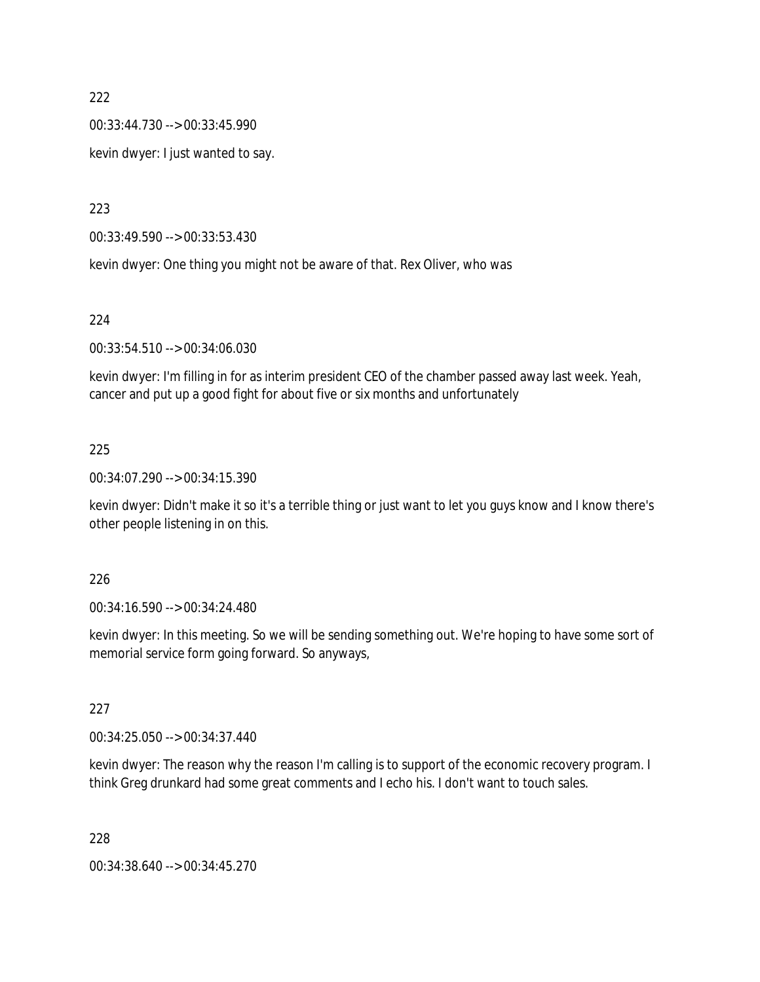00:33:44.730 --> 00:33:45.990

kevin dwyer: I just wanted to say.

223

00:33:49.590 --> 00:33:53.430

kevin dwyer: One thing you might not be aware of that. Rex Oliver, who was

#### 224

00:33:54.510 --> 00:34:06.030

kevin dwyer: I'm filling in for as interim president CEO of the chamber passed away last week. Yeah, cancer and put up a good fight for about five or six months and unfortunately

#### 225

00:34:07.290 --> 00:34:15.390

kevin dwyer: Didn't make it so it's a terrible thing or just want to let you guys know and I know there's other people listening in on this.

#### 226

00:34:16.590 --> 00:34:24.480

kevin dwyer: In this meeting. So we will be sending something out. We're hoping to have some sort of memorial service form going forward. So anyways,

### 227

00:34:25.050 --> 00:34:37.440

kevin dwyer: The reason why the reason I'm calling is to support of the economic recovery program. I think Greg drunkard had some great comments and I echo his. I don't want to touch sales.

228

00:34:38.640 --> 00:34:45.270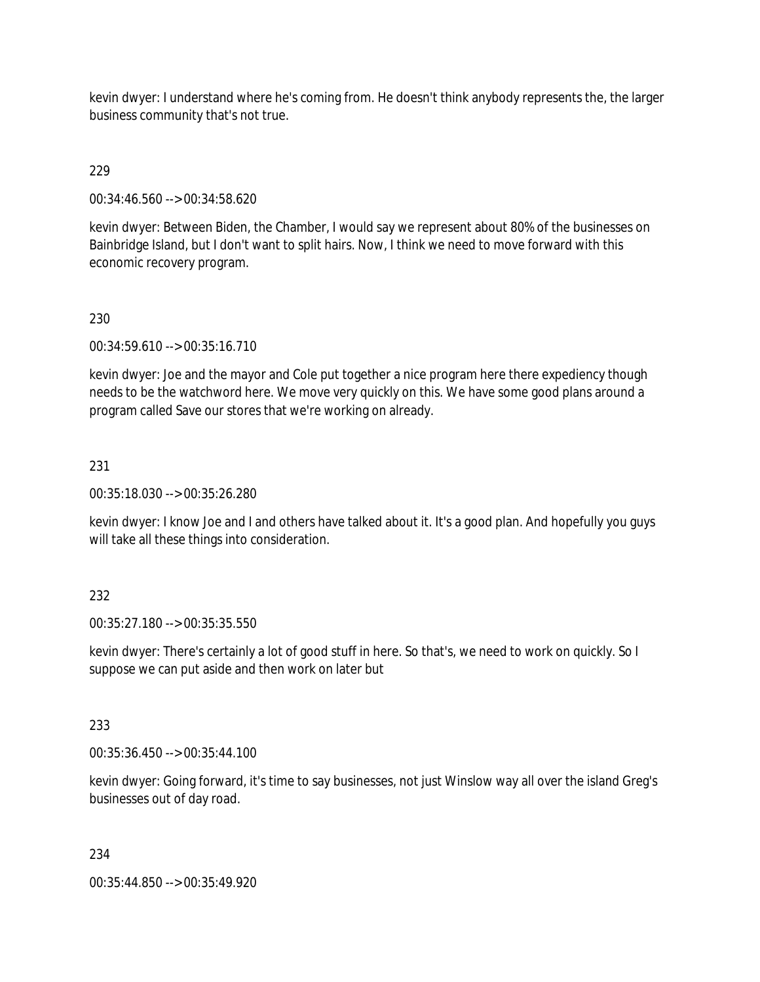kevin dwyer: I understand where he's coming from. He doesn't think anybody represents the, the larger business community that's not true.

# 229

00:34:46.560 --> 00:34:58.620

kevin dwyer: Between Biden, the Chamber, I would say we represent about 80% of the businesses on Bainbridge Island, but I don't want to split hairs. Now, I think we need to move forward with this economic recovery program.

# 230

00:34:59.610 --> 00:35:16.710

kevin dwyer: Joe and the mayor and Cole put together a nice program here there expediency though needs to be the watchword here. We move very quickly on this. We have some good plans around a program called Save our stores that we're working on already.

# 231

00:35:18.030 --> 00:35:26.280

kevin dwyer: I know Joe and I and others have talked about it. It's a good plan. And hopefully you guys will take all these things into consideration.

# 232

00:35:27.180 --> 00:35:35.550

kevin dwyer: There's certainly a lot of good stuff in here. So that's, we need to work on quickly. So I suppose we can put aside and then work on later but

### 233

00:35:36.450 --> 00:35:44.100

kevin dwyer: Going forward, it's time to say businesses, not just Winslow way all over the island Greg's businesses out of day road.

### 234

00:35:44.850 --> 00:35:49.920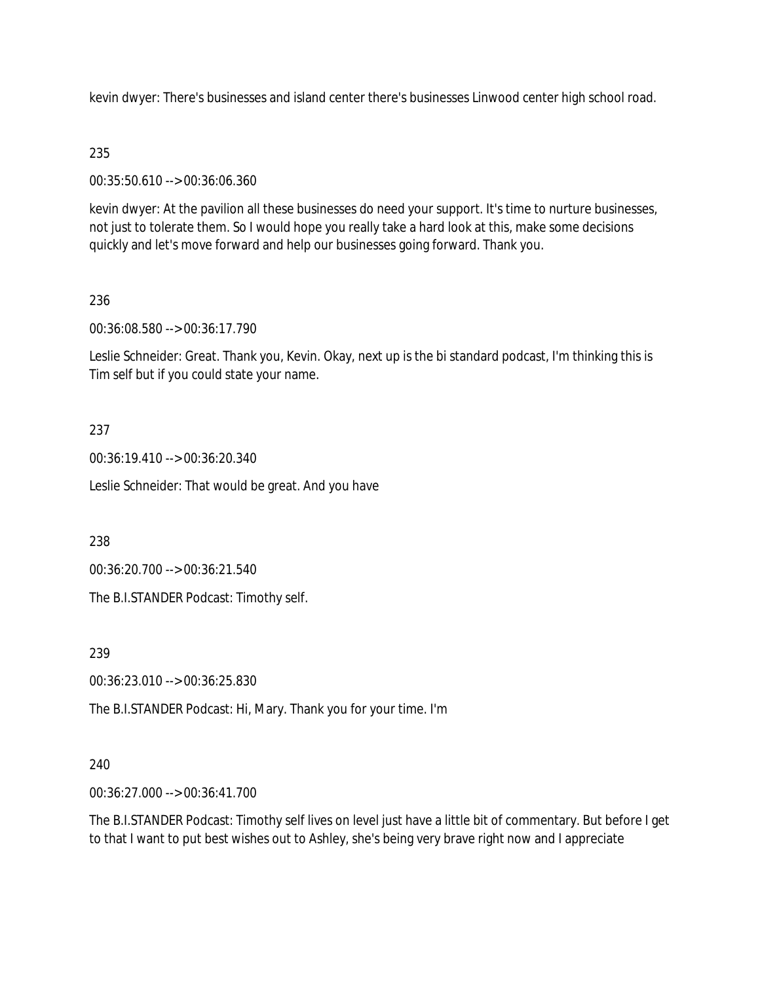kevin dwyer: There's businesses and island center there's businesses Linwood center high school road.

# 235

00:35:50.610 --> 00:36:06.360

kevin dwyer: At the pavilion all these businesses do need your support. It's time to nurture businesses, not just to tolerate them. So I would hope you really take a hard look at this, make some decisions quickly and let's move forward and help our businesses going forward. Thank you.

# 236

00:36:08.580 --> 00:36:17.790

Leslie Schneider: Great. Thank you, Kevin. Okay, next up is the bi standard podcast, I'm thinking this is Tim self but if you could state your name.

# 237

00:36:19.410 --> 00:36:20.340

Leslie Schneider: That would be great. And you have

238

00:36:20.700 --> 00:36:21.540

The B.I.STANDER Podcast: Timothy self.

239

00:36:23.010 --> 00:36:25.830

The B.I.STANDER Podcast: Hi, Mary. Thank you for your time. I'm

### 240

00:36:27.000 --> 00:36:41.700

The B.I.STANDER Podcast: Timothy self lives on level just have a little bit of commentary. But before I get to that I want to put best wishes out to Ashley, she's being very brave right now and I appreciate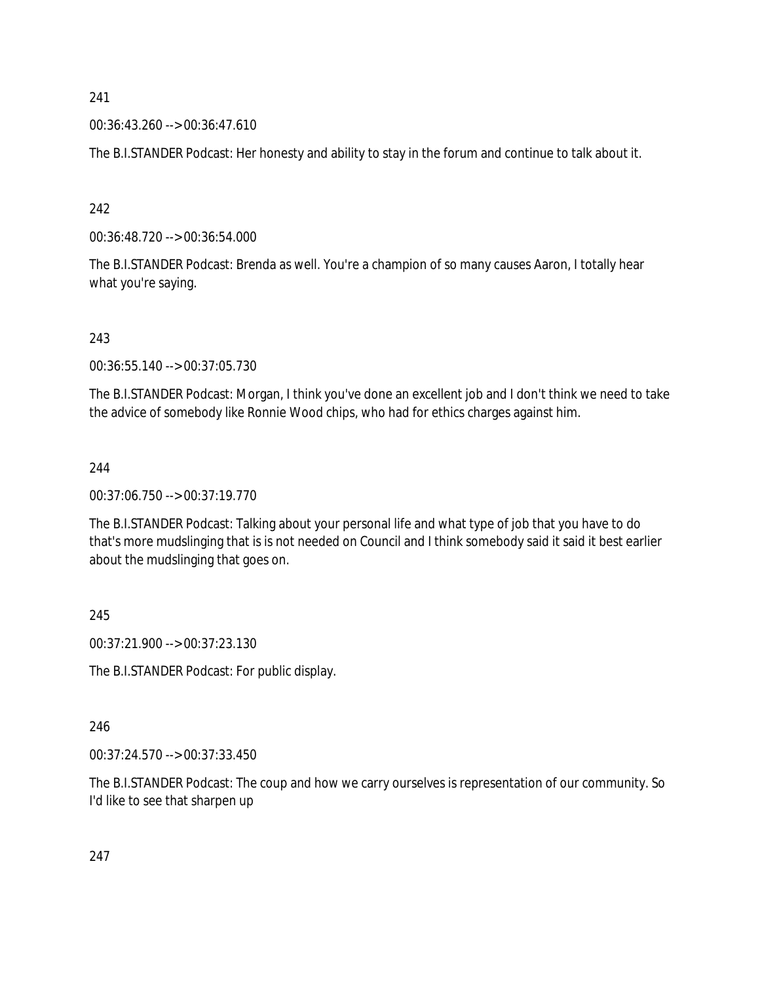00:36:43.260 --> 00:36:47.610

The B.I.STANDER Podcast: Her honesty and ability to stay in the forum and continue to talk about it.

242

00:36:48.720 --> 00:36:54.000

The B.I.STANDER Podcast: Brenda as well. You're a champion of so many causes Aaron, I totally hear what you're saying.

243

00:36:55.140 --> 00:37:05.730

The B.I.STANDER Podcast: Morgan, I think you've done an excellent job and I don't think we need to take the advice of somebody like Ronnie Wood chips, who had for ethics charges against him.

### 244

00:37:06.750 --> 00:37:19.770

The B.I.STANDER Podcast: Talking about your personal life and what type of job that you have to do that's more mudslinging that is is not needed on Council and I think somebody said it said it best earlier about the mudslinging that goes on.

245

00:37:21.900 --> 00:37:23.130

The B.I.STANDER Podcast: For public display.

### 246

00:37:24.570 --> 00:37:33.450

The B.I.STANDER Podcast: The coup and how we carry ourselves is representation of our community. So I'd like to see that sharpen up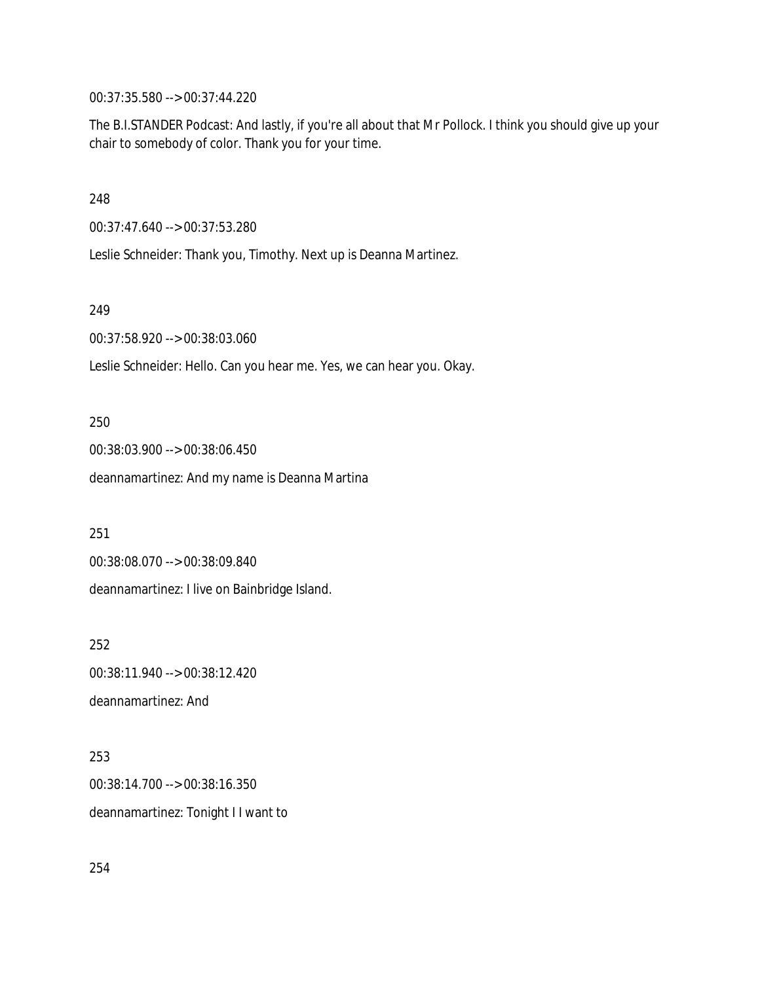00:37:35.580 --> 00:37:44.220

The B.I.STANDER Podcast: And lastly, if you're all about that Mr Pollock. I think you should give up your chair to somebody of color. Thank you for your time.

248

00:37:47.640 --> 00:37:53.280

Leslie Schneider: Thank you, Timothy. Next up is Deanna Martinez.

249

00:37:58.920 --> 00:38:03.060

Leslie Schneider: Hello. Can you hear me. Yes, we can hear you. Okay.

250

00:38:03.900 --> 00:38:06.450 deannamartinez: And my name is Deanna Martina

251

00:38:08.070 --> 00:38:09.840

deannamartinez: I live on Bainbridge Island.

252

00:38:11.940 --> 00:38:12.420 deannamartinez: And

253 00:38:14.700 --> 00:38:16.350 deannamartinez: Tonight I I want to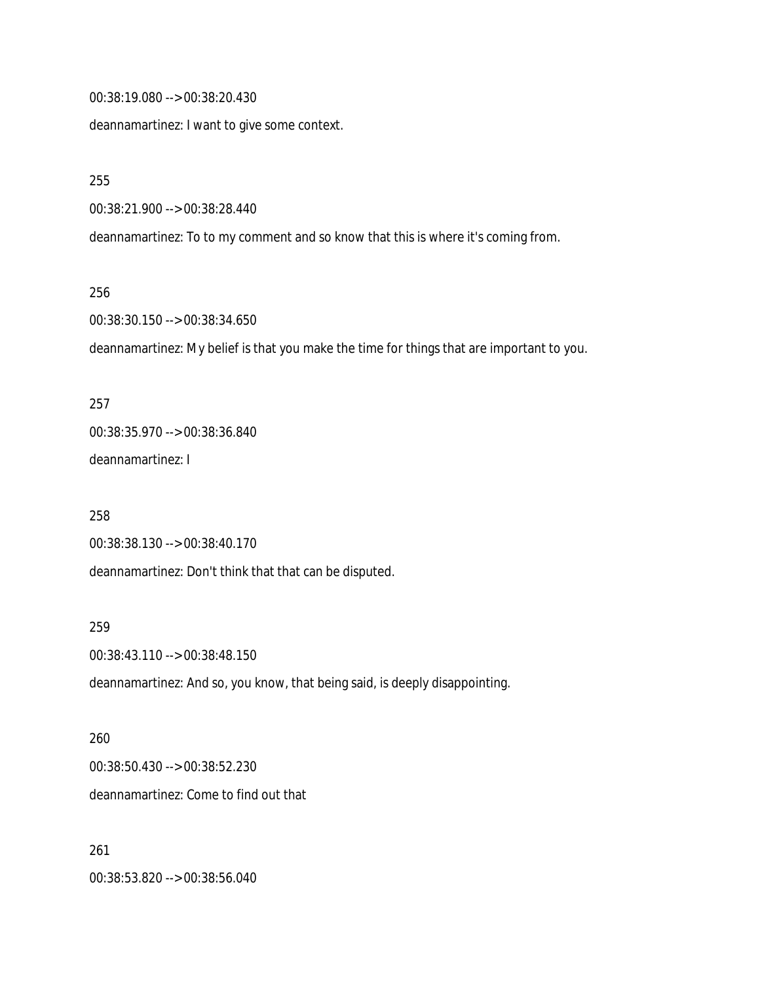00:38:19.080 --> 00:38:20.430

deannamartinez: I want to give some context.

255

00:38:21.900 --> 00:38:28.440

deannamartinez: To to my comment and so know that this is where it's coming from.

256

00:38:30.150 --> 00:38:34.650

deannamartinez: My belief is that you make the time for things that are important to you.

257 00:38:35.970 --> 00:38:36.840 deannamartinez: I

258 00:38:38.130 --> 00:38:40.170 deannamartinez: Don't think that that can be disputed.

259

00:38:43.110 --> 00:38:48.150

deannamartinez: And so, you know, that being said, is deeply disappointing.

260 00:38:50.430 --> 00:38:52.230 deannamartinez: Come to find out that

261 00:38:53.820 --> 00:38:56.040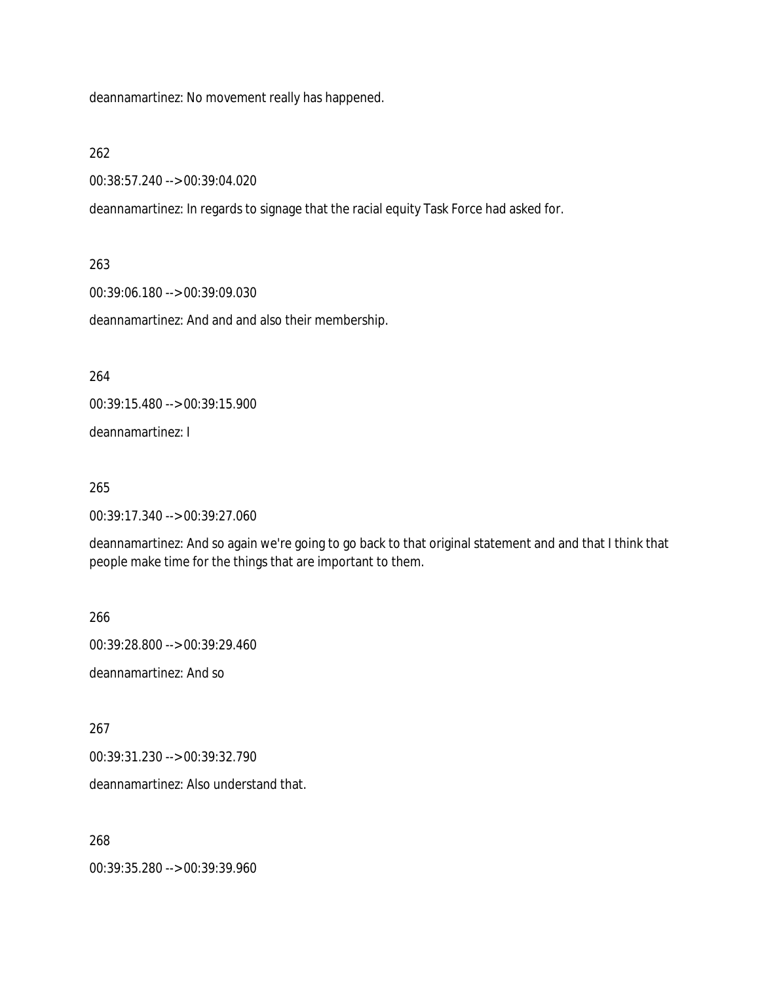deannamartinez: No movement really has happened.

### 262

00:38:57.240 --> 00:39:04.020

deannamartinez: In regards to signage that the racial equity Task Force had asked for.

### 263

00:39:06.180 --> 00:39:09.030

deannamartinez: And and and also their membership.

264

00:39:15.480 --> 00:39:15.900

deannamartinez: I

### 265

00:39:17.340 --> 00:39:27.060

deannamartinez: And so again we're going to go back to that original statement and and that I think that people make time for the things that are important to them.

266

00:39:28.800 --> 00:39:29.460 deannamartinez: And so

267

00:39:31.230 --> 00:39:32.790

deannamartinez: Also understand that.

268

00:39:35.280 --> 00:39:39.960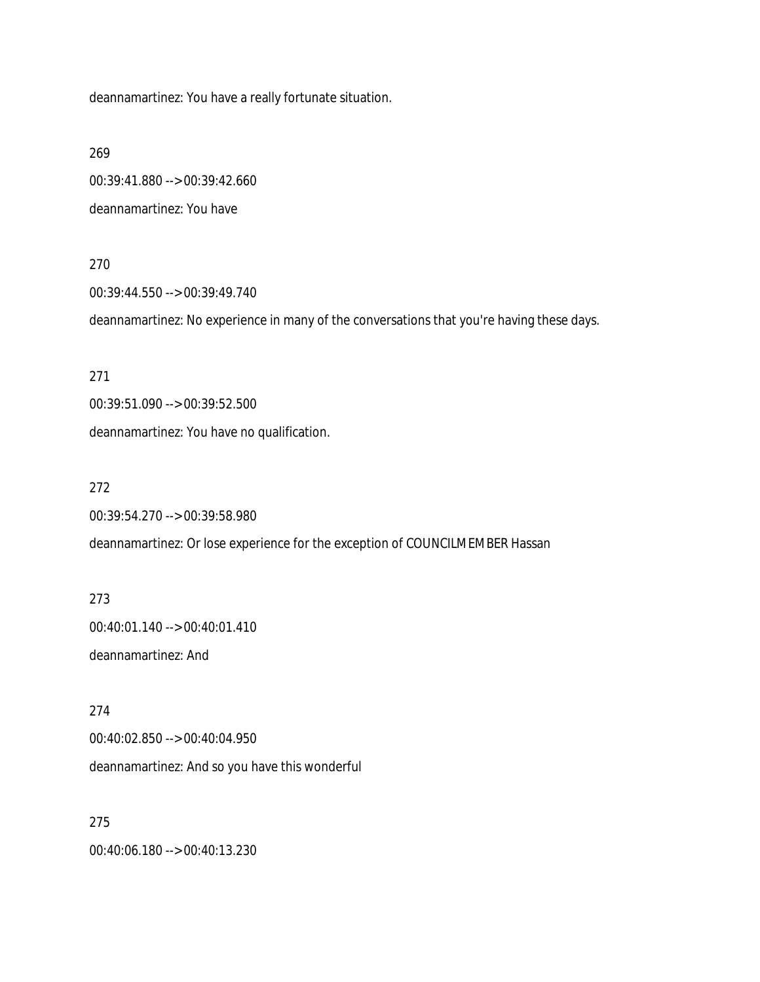deannamartinez: You have a really fortunate situation.

269

00:39:41.880 --> 00:39:42.660 deannamartinez: You have

270

00:39:44.550 --> 00:39:49.740

deannamartinez: No experience in many of the conversations that you're having these days.

271

00:39:51.090 --> 00:39:52.500

deannamartinez: You have no qualification.

272

00:39:54.270 --> 00:39:58.980

deannamartinez: Or lose experience for the exception of COUNCILMEMBER Hassan

273 00:40:01.140 --> 00:40:01.410 deannamartinez: And

274

00:40:02.850 --> 00:40:04.950

deannamartinez: And so you have this wonderful

275 00:40:06.180 --> 00:40:13.230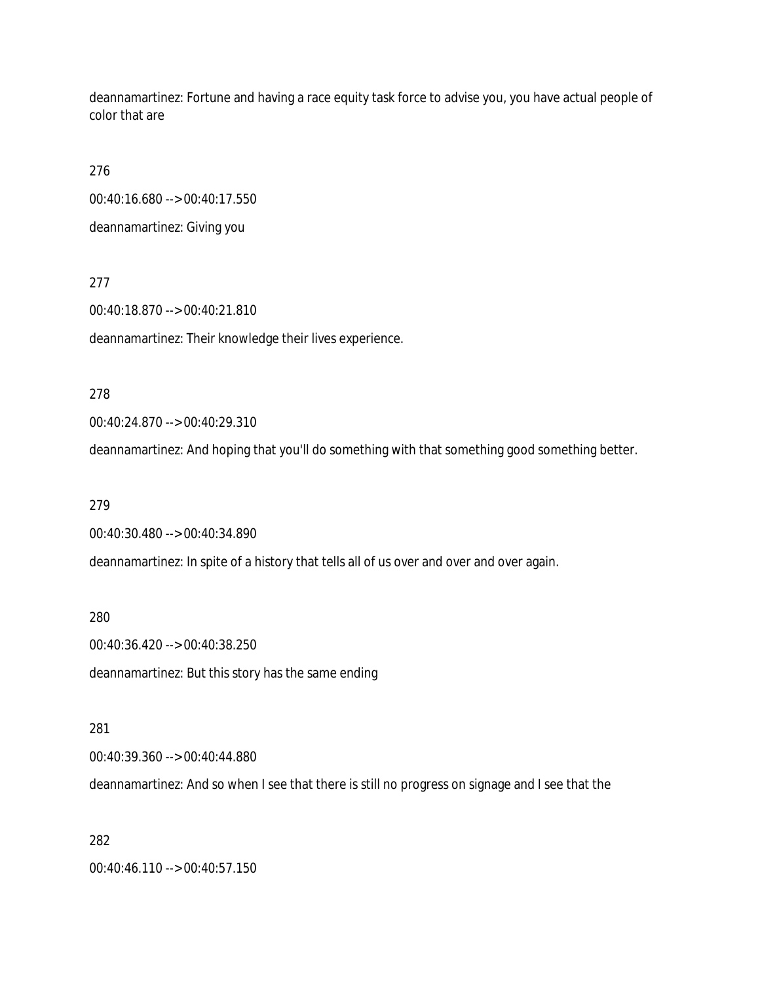deannamartinez: Fortune and having a race equity task force to advise you, you have actual people of color that are

276

00:40:16.680 --> 00:40:17.550

deannamartinez: Giving you

277

00:40:18.870 --> 00:40:21.810

deannamartinez: Their knowledge their lives experience.

278

00:40:24.870 --> 00:40:29.310

deannamartinez: And hoping that you'll do something with that something good something better.

279

00:40:30.480 --> 00:40:34.890

deannamartinez: In spite of a history that tells all of us over and over and over again.

280

00:40:36.420 --> 00:40:38.250

deannamartinez: But this story has the same ending

281

00:40:39.360 --> 00:40:44.880

deannamartinez: And so when I see that there is still no progress on signage and I see that the

282

00:40:46.110 --> 00:40:57.150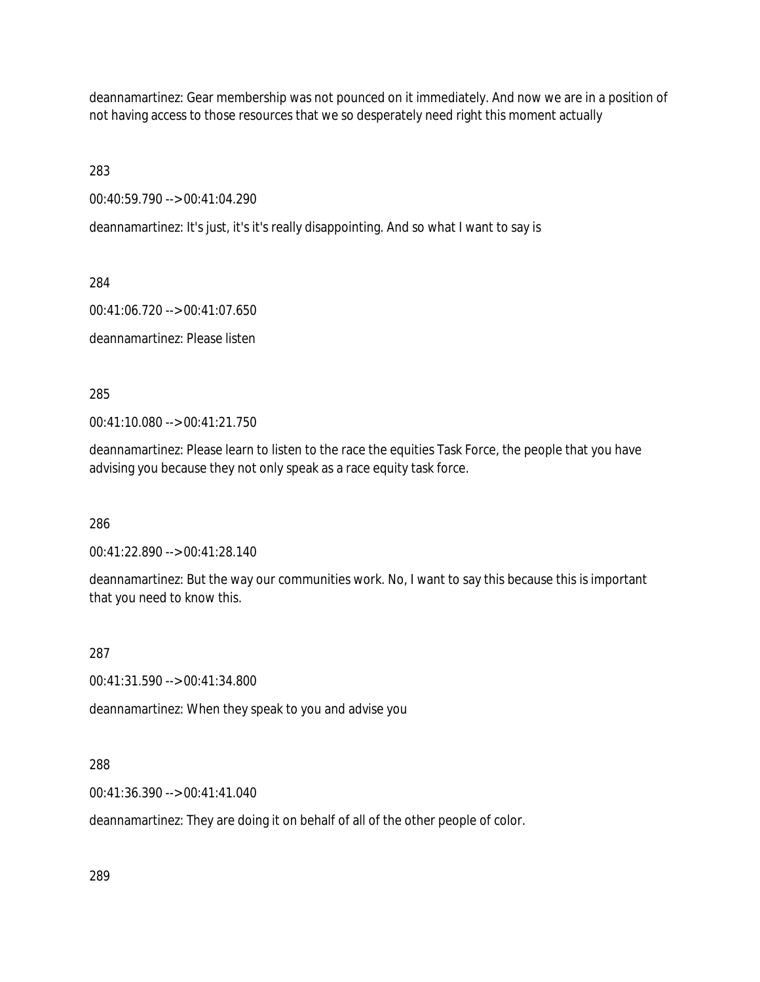deannamartinez: Gear membership was not pounced on it immediately. And now we are in a position of not having access to those resources that we so desperately need right this moment actually

283

00:40:59.790 --> 00:41:04.290

deannamartinez: It's just, it's it's really disappointing. And so what I want to say is

284

00:41:06.720 --> 00:41:07.650

deannamartinez: Please listen

285

00:41:10.080 --> 00:41:21.750

deannamartinez: Please learn to listen to the race the equities Task Force, the people that you have advising you because they not only speak as a race equity task force.

286

00:41:22.890 --> 00:41:28.140

deannamartinez: But the way our communities work. No, I want to say this because this is important that you need to know this.

287

00:41:31.590 --> 00:41:34.800

deannamartinez: When they speak to you and advise you

288

00:41:36.390 --> 00:41:41.040

deannamartinez: They are doing it on behalf of all of the other people of color.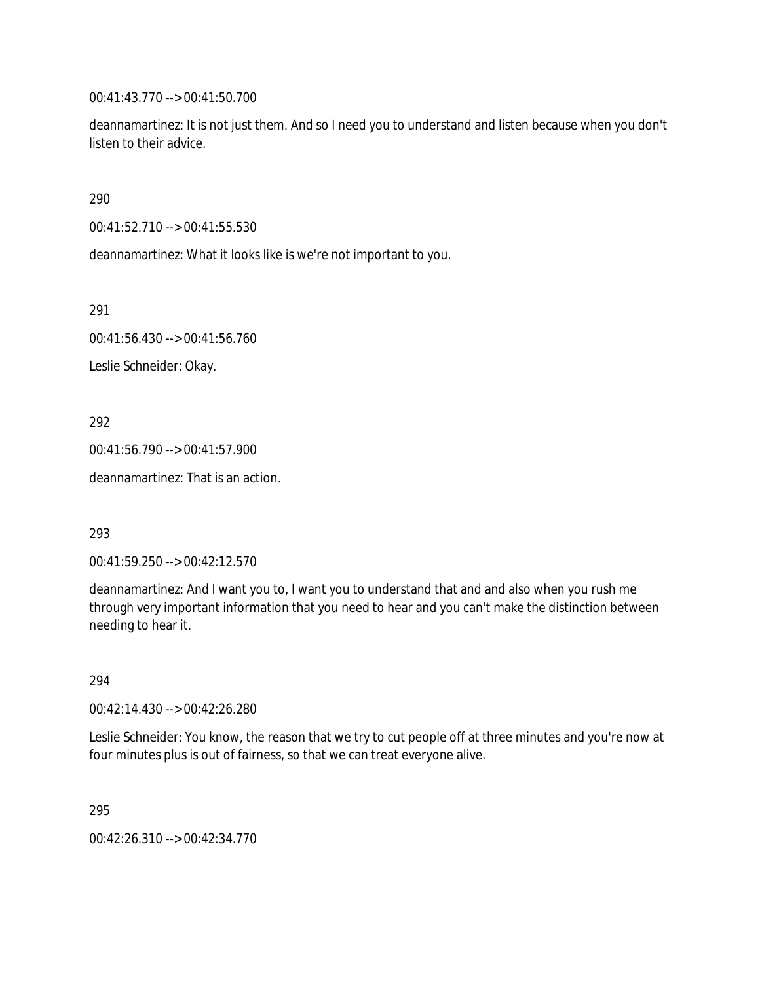00:41:43.770 --> 00:41:50.700

deannamartinez: It is not just them. And so I need you to understand and listen because when you don't listen to their advice.

290

00:41:52.710 --> 00:41:55.530

deannamartinez: What it looks like is we're not important to you.

291

00:41:56.430 --> 00:41:56.760

Leslie Schneider: Okay.

292

00:41:56.790 --> 00:41:57.900

deannamartinez: That is an action.

293

00:41:59.250 --> 00:42:12.570

deannamartinez: And I want you to, I want you to understand that and and also when you rush me through very important information that you need to hear and you can't make the distinction between needing to hear it.

294

00:42:14.430 --> 00:42:26.280

Leslie Schneider: You know, the reason that we try to cut people off at three minutes and you're now at four minutes plus is out of fairness, so that we can treat everyone alive.

295

00:42:26.310 --> 00:42:34.770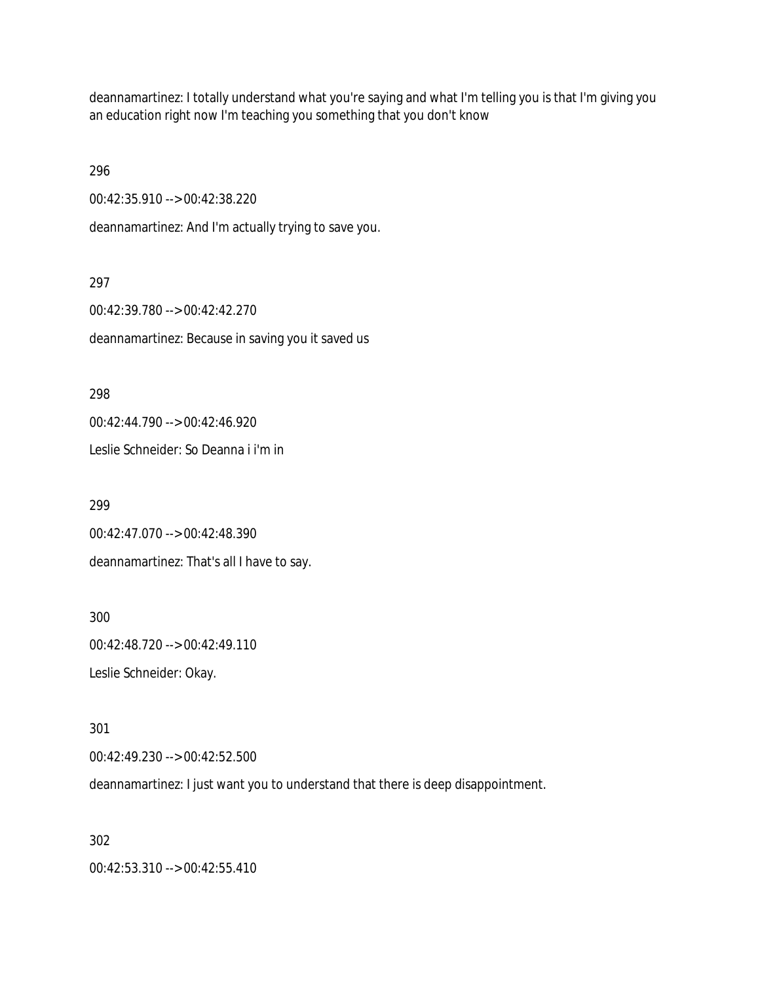deannamartinez: I totally understand what you're saying and what I'm telling you is that I'm giving you an education right now I'm teaching you something that you don't know

296

00:42:35.910 --> 00:42:38.220

deannamartinez: And I'm actually trying to save you.

297

00:42:39.780 --> 00:42:42.270 deannamartinez: Because in saving you it saved us

298

00:42:44.790 --> 00:42:46.920

Leslie Schneider: So Deanna i i'm in

299

00:42:47.070 --> 00:42:48.390

deannamartinez: That's all I have to say.

300 00:42:48.720 --> 00:42:49.110 Leslie Schneider: Okay.

301

00:42:49.230 --> 00:42:52.500

deannamartinez: I just want you to understand that there is deep disappointment.

302

00:42:53.310 --> 00:42:55.410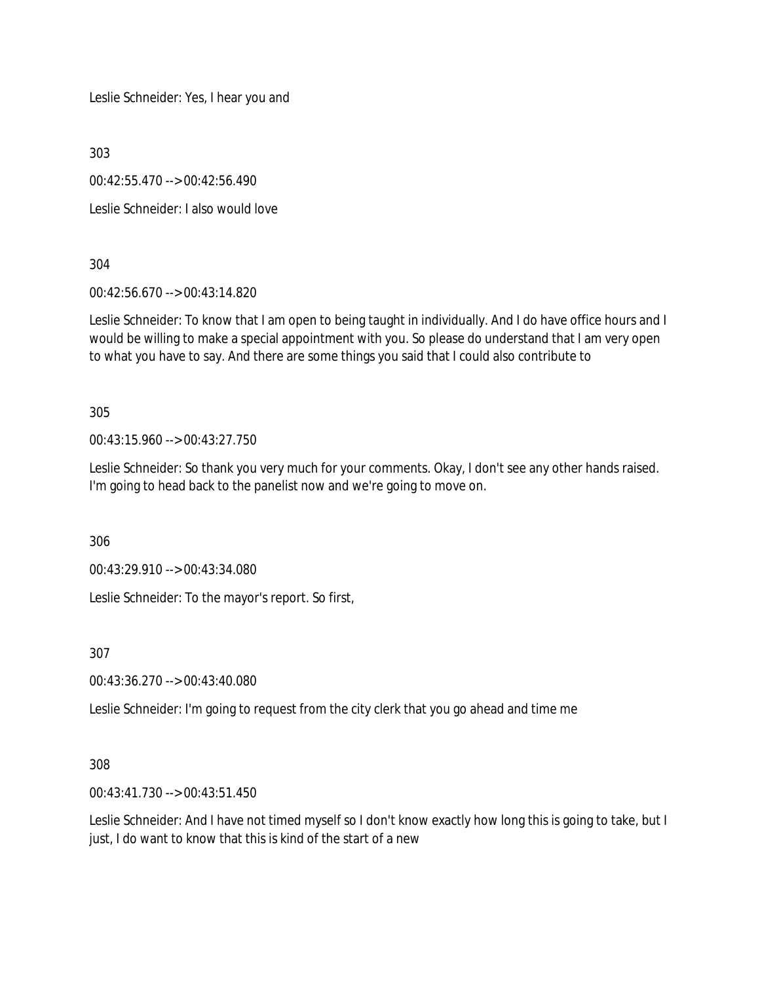Leslie Schneider: Yes, I hear you and

303

00:42:55.470 --> 00:42:56.490

Leslie Schneider: I also would love

304

00:42:56.670 --> 00:43:14.820

Leslie Schneider: To know that I am open to being taught in individually. And I do have office hours and I would be willing to make a special appointment with you. So please do understand that I am very open to what you have to say. And there are some things you said that I could also contribute to

305

00:43:15.960 --> 00:43:27.750

Leslie Schneider: So thank you very much for your comments. Okay, I don't see any other hands raised. I'm going to head back to the panelist now and we're going to move on.

306

00:43:29.910 --> 00:43:34.080

Leslie Schneider: To the mayor's report. So first,

307

00:43:36.270 --> 00:43:40.080

Leslie Schneider: I'm going to request from the city clerk that you go ahead and time me

308

00:43:41.730 --> 00:43:51.450

Leslie Schneider: And I have not timed myself so I don't know exactly how long this is going to take, but I just, I do want to know that this is kind of the start of a new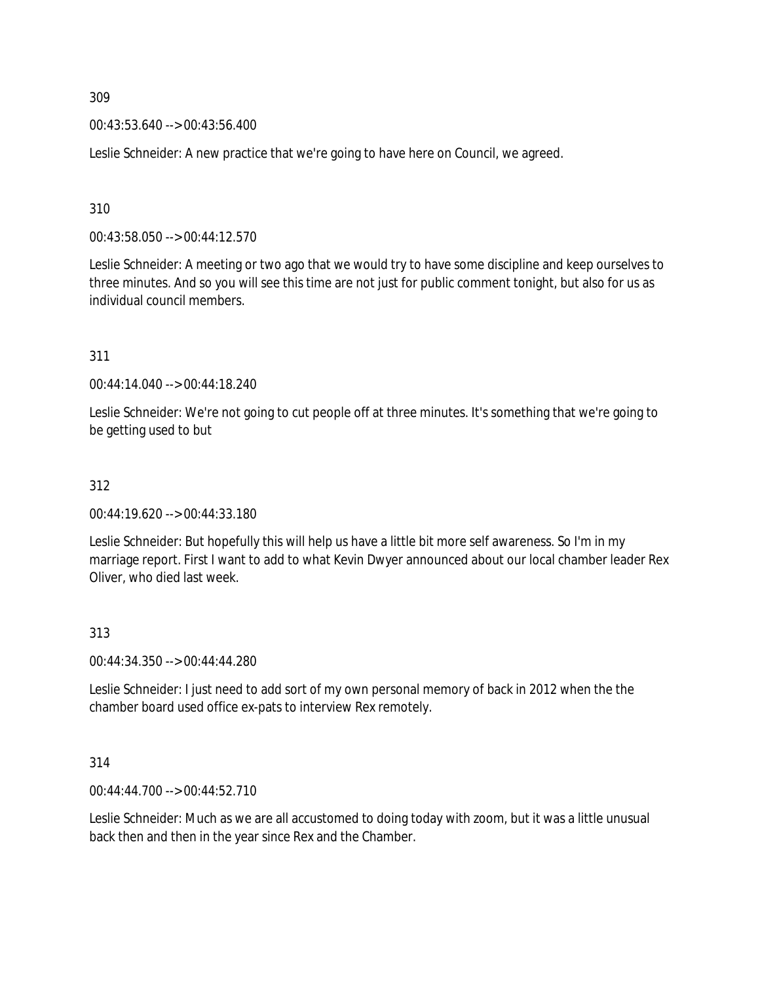00:43:53.640 --> 00:43:56.400

Leslie Schneider: A new practice that we're going to have here on Council, we agreed.

310

00:43:58.050 --> 00:44:12.570

Leslie Schneider: A meeting or two ago that we would try to have some discipline and keep ourselves to three minutes. And so you will see this time are not just for public comment tonight, but also for us as individual council members.

311

00:44:14.040 --> 00:44:18.240

Leslie Schneider: We're not going to cut people off at three minutes. It's something that we're going to be getting used to but

### 312

00:44:19.620 --> 00:44:33.180

Leslie Schneider: But hopefully this will help us have a little bit more self awareness. So I'm in my marriage report. First I want to add to what Kevin Dwyer announced about our local chamber leader Rex Oliver, who died last week.

#### 313

00:44:34.350 --> 00:44:44.280

Leslie Schneider: I just need to add sort of my own personal memory of back in 2012 when the the chamber board used office ex-pats to interview Rex remotely.

#### 314

00:44:44.700 --> 00:44:52.710

Leslie Schneider: Much as we are all accustomed to doing today with zoom, but it was a little unusual back then and then in the year since Rex and the Chamber.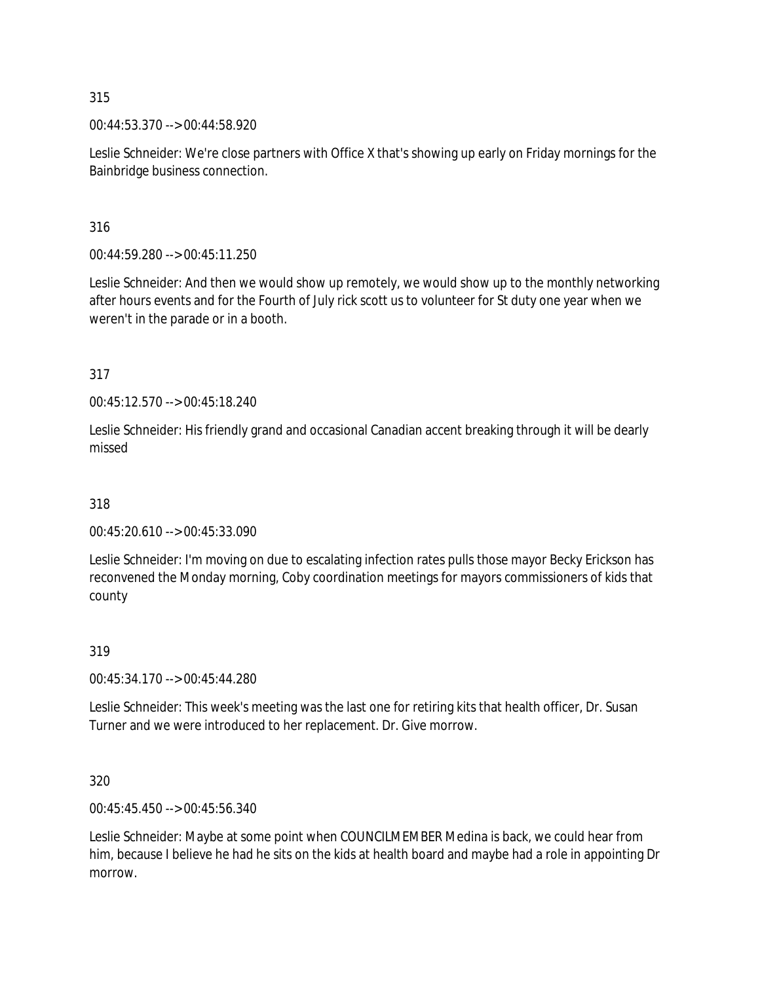00:44:53.370 --> 00:44:58.920

Leslie Schneider: We're close partners with Office X that's showing up early on Friday mornings for the Bainbridge business connection.

316

00:44:59.280 --> 00:45:11.250

Leslie Schneider: And then we would show up remotely, we would show up to the monthly networking after hours events and for the Fourth of July rick scott us to volunteer for St duty one year when we weren't in the parade or in a booth.

317

00:45:12.570 --> 00:45:18.240

Leslie Schneider: His friendly grand and occasional Canadian accent breaking through it will be dearly missed

318

00:45:20.610 --> 00:45:33.090

Leslie Schneider: I'm moving on due to escalating infection rates pulls those mayor Becky Erickson has reconvened the Monday morning, Coby coordination meetings for mayors commissioners of kids that county

319

00:45:34.170 --> 00:45:44.280

Leslie Schneider: This week's meeting was the last one for retiring kits that health officer, Dr. Susan Turner and we were introduced to her replacement. Dr. Give morrow.

320

00:45:45.450 --> 00:45:56.340

Leslie Schneider: Maybe at some point when COUNCILMEMBER Medina is back, we could hear from him, because I believe he had he sits on the kids at health board and maybe had a role in appointing Dr morrow.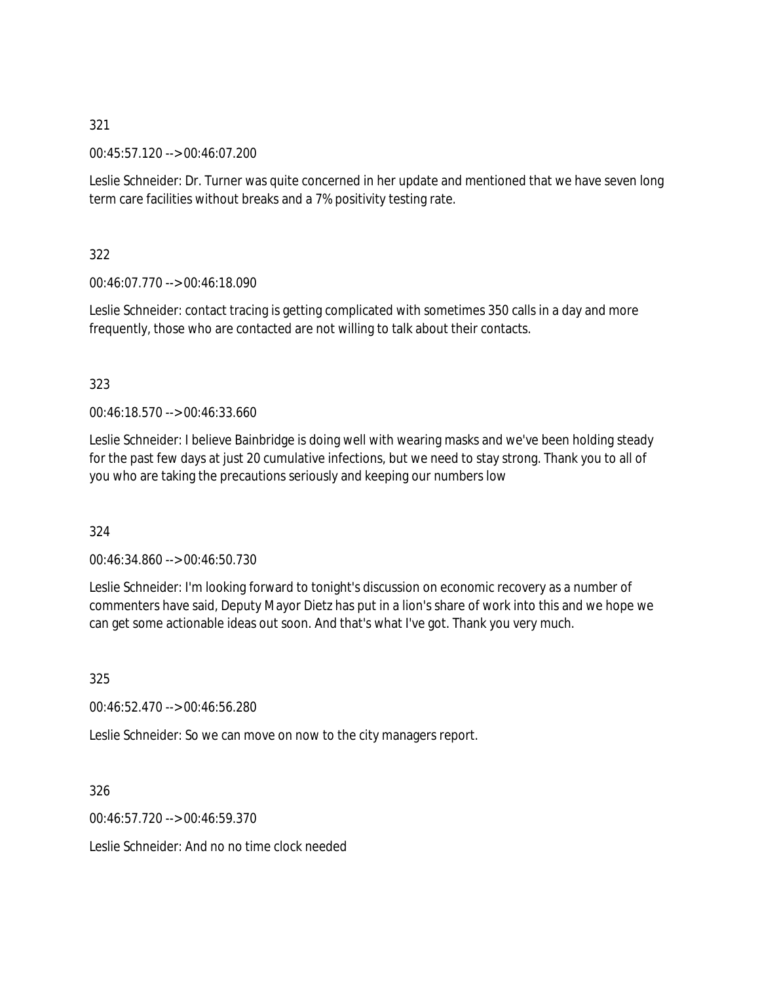00:45:57.120 --> 00:46:07.200

Leslie Schneider: Dr. Turner was quite concerned in her update and mentioned that we have seven long term care facilities without breaks and a 7% positivity testing rate.

322

00:46:07.770 --> 00:46:18.090

Leslie Schneider: contact tracing is getting complicated with sometimes 350 calls in a day and more frequently, those who are contacted are not willing to talk about their contacts.

# 323

00:46:18.570 --> 00:46:33.660

Leslie Schneider: I believe Bainbridge is doing well with wearing masks and we've been holding steady for the past few days at just 20 cumulative infections, but we need to stay strong. Thank you to all of you who are taking the precautions seriously and keeping our numbers low

324

00:46:34.860 --> 00:46:50.730

Leslie Schneider: I'm looking forward to tonight's discussion on economic recovery as a number of commenters have said, Deputy Mayor Dietz has put in a lion's share of work into this and we hope we can get some actionable ideas out soon. And that's what I've got. Thank you very much.

325

00:46:52.470 --> 00:46:56.280

Leslie Schneider: So we can move on now to the city managers report.

326

00:46:57.720 --> 00:46:59.370

Leslie Schneider: And no no time clock needed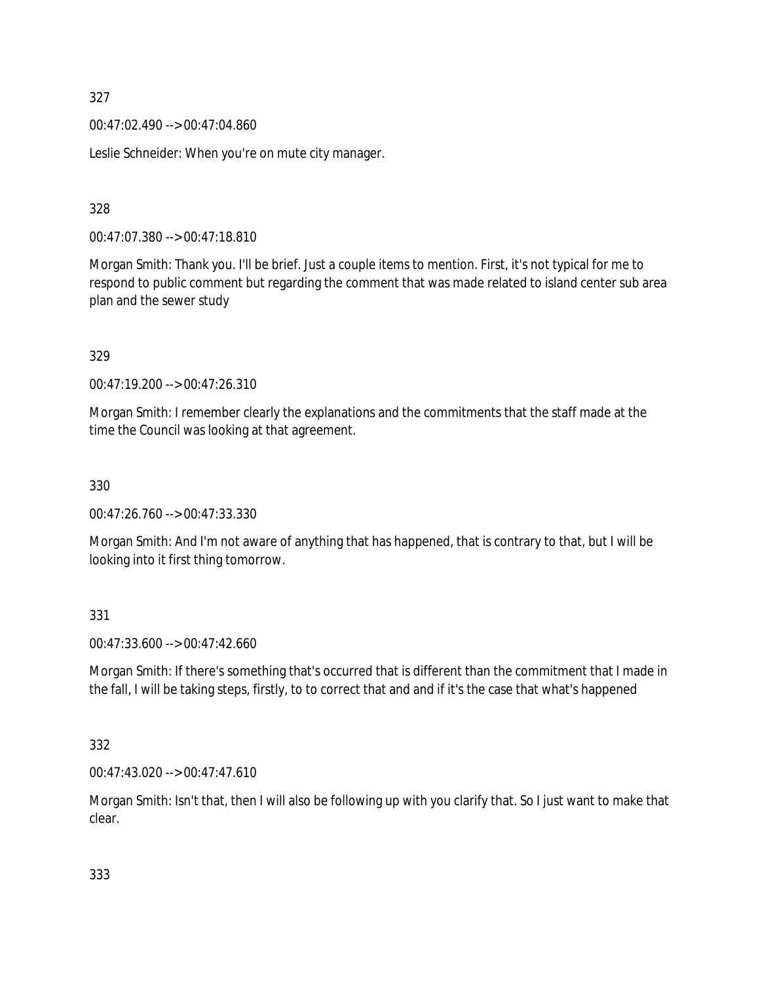00:47:02.490 --> 00:47:04.860

Leslie Schneider: When you're on mute city manager.

328

00:47:07.380 --> 00:47:18.810

Morgan Smith: Thank you. I'll be brief. Just a couple items to mention. First, it's not typical for me to respond to public comment but regarding the comment that was made related to island center sub area plan and the sewer study

329

00:47:19.200 --> 00:47:26.310

Morgan Smith: I remember clearly the explanations and the commitments that the staff made at the time the Council was looking at that agreement.

330

00:47:26.760 --> 00:47:33.330

Morgan Smith: And I'm not aware of anything that has happened, that is contrary to that, but I will be looking into it first thing tomorrow.

331

00:47:33.600 --> 00:47:42.660

Morgan Smith: If there's something that's occurred that is different than the commitment that I made in the fall, I will be taking steps, firstly, to to correct that and and if it's the case that what's happened

332

00:47:43.020 --> 00:47:47.610

Morgan Smith: Isn't that, then I will also be following up with you clarify that. So I just want to make that clear.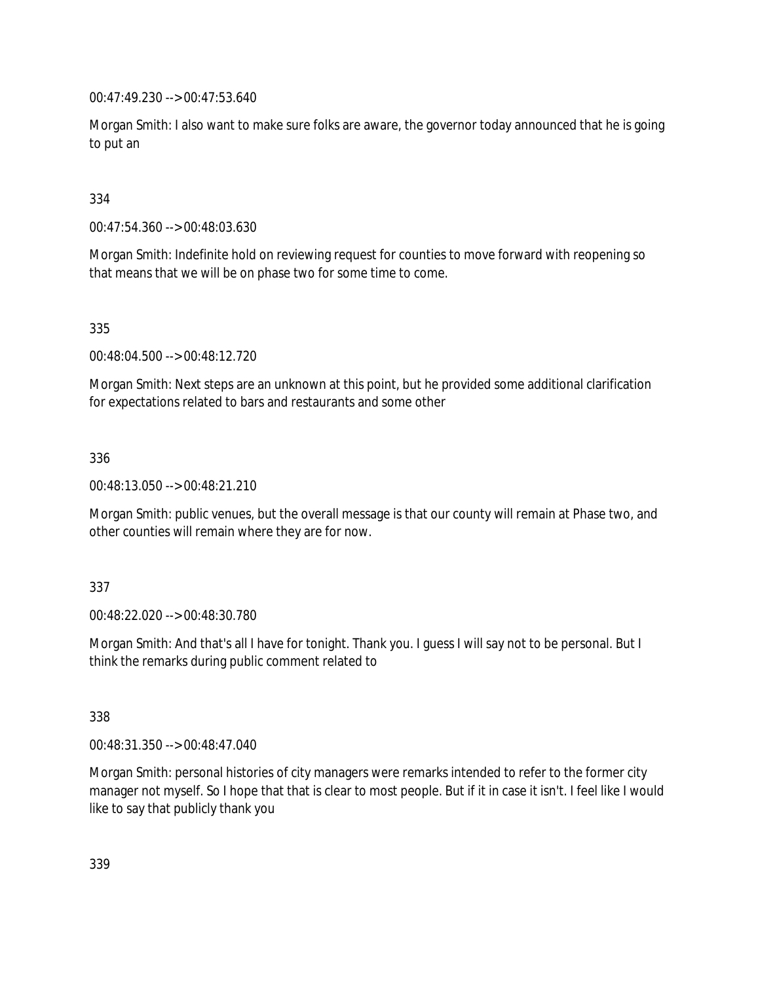00:47:49.230 --> 00:47:53.640

Morgan Smith: I also want to make sure folks are aware, the governor today announced that he is going to put an

# 334

00:47:54.360 --> 00:48:03.630

Morgan Smith: Indefinite hold on reviewing request for counties to move forward with reopening so that means that we will be on phase two for some time to come.

335

00:48:04.500 --> 00:48:12.720

Morgan Smith: Next steps are an unknown at this point, but he provided some additional clarification for expectations related to bars and restaurants and some other

### 336

00:48:13.050 --> 00:48:21.210

Morgan Smith: public venues, but the overall message is that our county will remain at Phase two, and other counties will remain where they are for now.

### 337

00:48:22.020 --> 00:48:30.780

Morgan Smith: And that's all I have for tonight. Thank you. I guess I will say not to be personal. But I think the remarks during public comment related to

338

00:48:31.350 --> 00:48:47.040

Morgan Smith: personal histories of city managers were remarks intended to refer to the former city manager not myself. So I hope that that is clear to most people. But if it in case it isn't. I feel like I would like to say that publicly thank you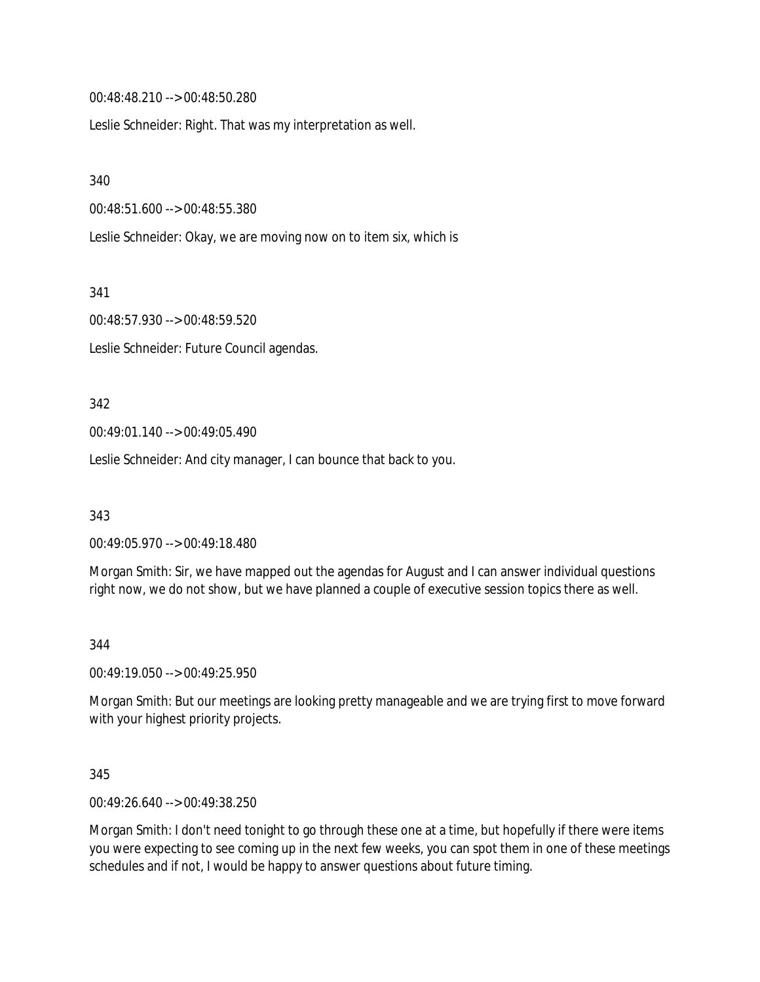00:48:48.210 --> 00:48:50.280

Leslie Schneider: Right. That was my interpretation as well.

340

00:48:51.600 --> 00:48:55.380

Leslie Schneider: Okay, we are moving now on to item six, which is

341

00:48:57.930 --> 00:48:59.520

Leslie Schneider: Future Council agendas.

#### 342

00:49:01.140 --> 00:49:05.490

Leslie Schneider: And city manager, I can bounce that back to you.

343

00:49:05.970 --> 00:49:18.480

Morgan Smith: Sir, we have mapped out the agendas for August and I can answer individual questions right now, we do not show, but we have planned a couple of executive session topics there as well.

#### 344

00:49:19.050 --> 00:49:25.950

Morgan Smith: But our meetings are looking pretty manageable and we are trying first to move forward with your highest priority projects.

345

00:49:26.640 --> 00:49:38.250

Morgan Smith: I don't need tonight to go through these one at a time, but hopefully if there were items you were expecting to see coming up in the next few weeks, you can spot them in one of these meetings schedules and if not, I would be happy to answer questions about future timing.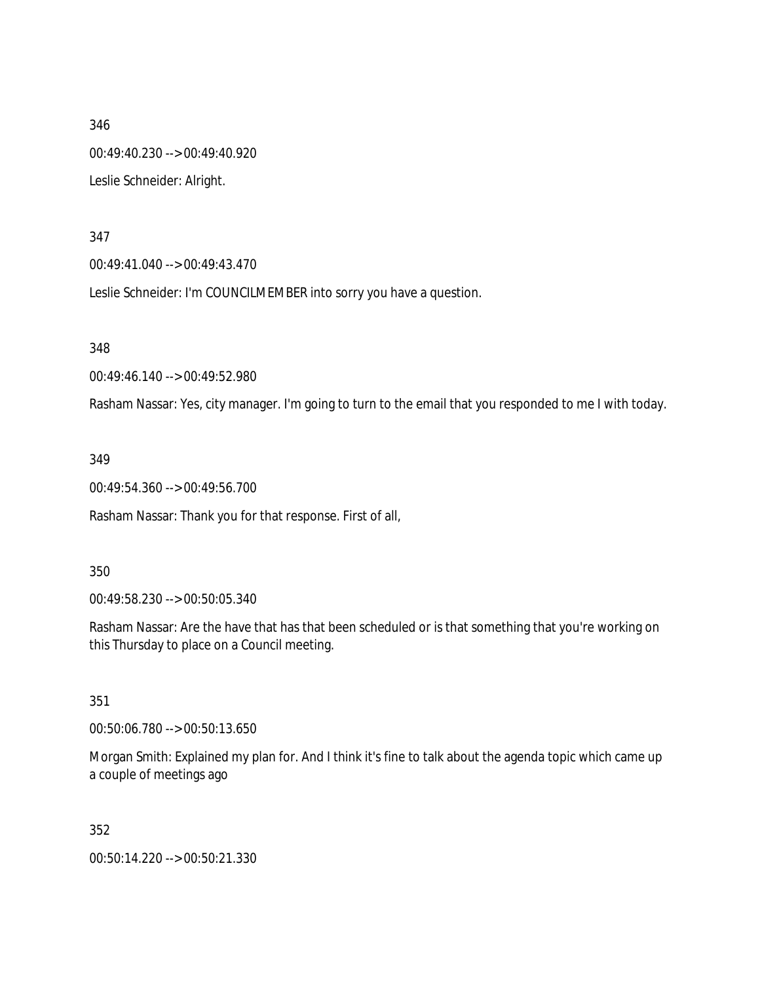346 00:49:40.230 --> 00:49:40.920 Leslie Schneider: Alright.

347

00:49:41.040 --> 00:49:43.470

Leslie Schneider: I'm COUNCILMEMBER into sorry you have a question.

348

00:49:46.140 --> 00:49:52.980

Rasham Nassar: Yes, city manager. I'm going to turn to the email that you responded to me I with today.

349

00:49:54.360 --> 00:49:56.700

Rasham Nassar: Thank you for that response. First of all,

350

00:49:58.230 --> 00:50:05.340

Rasham Nassar: Are the have that has that been scheduled or is that something that you're working on this Thursday to place on a Council meeting.

351

00:50:06.780 --> 00:50:13.650

Morgan Smith: Explained my plan for. And I think it's fine to talk about the agenda topic which came up a couple of meetings ago

352

00:50:14.220 --> 00:50:21.330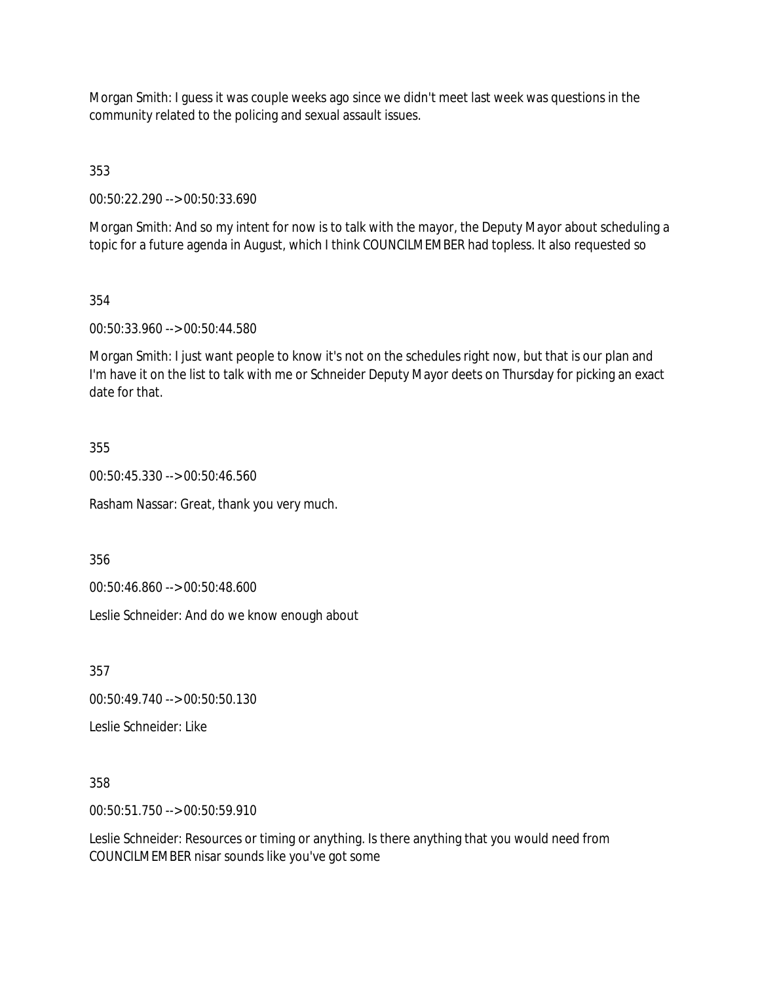Morgan Smith: I guess it was couple weeks ago since we didn't meet last week was questions in the community related to the policing and sexual assault issues.

353

00:50:22.290 --> 00:50:33.690

Morgan Smith: And so my intent for now is to talk with the mayor, the Deputy Mayor about scheduling a topic for a future agenda in August, which I think COUNCILMEMBER had topless. It also requested so

### 354

00:50:33.960 --> 00:50:44.580

Morgan Smith: I just want people to know it's not on the schedules right now, but that is our plan and I'm have it on the list to talk with me or Schneider Deputy Mayor deets on Thursday for picking an exact date for that.

### 355

00:50:45.330 --> 00:50:46.560

Rasham Nassar: Great, thank you very much.

356

00:50:46.860 --> 00:50:48.600

Leslie Schneider: And do we know enough about

357

00:50:49.740 --> 00:50:50.130

Leslie Schneider: Like

358

00:50:51.750 --> 00:50:59.910

Leslie Schneider: Resources or timing or anything. Is there anything that you would need from COUNCILMEMBER nisar sounds like you've got some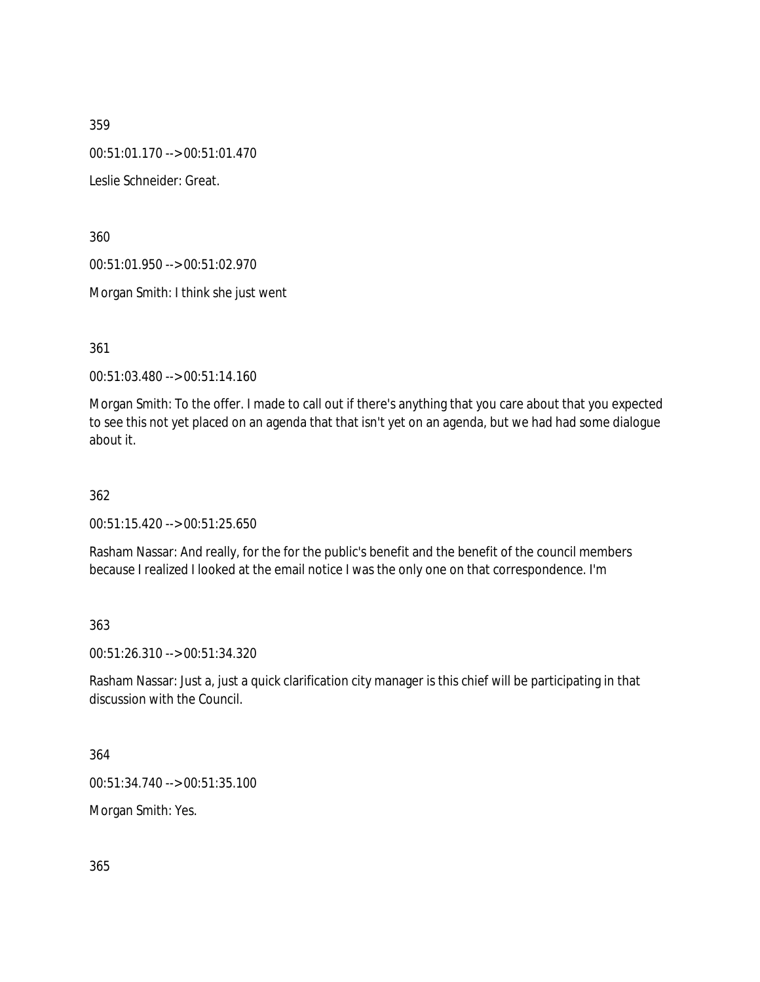00:51:01.170 --> 00:51:01.470

Leslie Schneider: Great.

360

00:51:01.950 --> 00:51:02.970

Morgan Smith: I think she just went

361

00:51:03.480 --> 00:51:14.160

Morgan Smith: To the offer. I made to call out if there's anything that you care about that you expected to see this not yet placed on an agenda that that isn't yet on an agenda, but we had had some dialogue about it.

362

00:51:15.420 --> 00:51:25.650

Rasham Nassar: And really, for the for the public's benefit and the benefit of the council members because I realized I looked at the email notice I was the only one on that correspondence. I'm

363

00:51:26.310 --> 00:51:34.320

Rasham Nassar: Just a, just a quick clarification city manager is this chief will be participating in that discussion with the Council.

364

00:51:34.740 --> 00:51:35.100

Morgan Smith: Yes.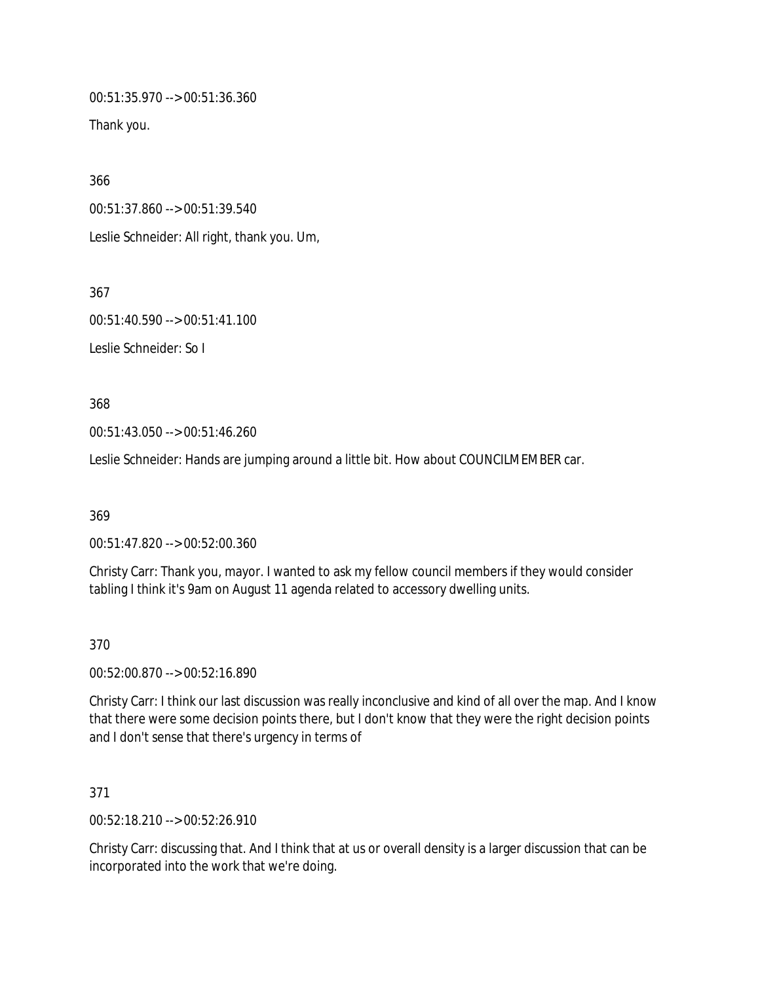00:51:35.970 --> 00:51:36.360

Thank you.

366

00:51:37.860 --> 00:51:39.540

Leslie Schneider: All right, thank you. Um,

367

00:51:40.590 --> 00:51:41.100

Leslie Schneider: So I

368

00:51:43.050 --> 00:51:46.260

Leslie Schneider: Hands are jumping around a little bit. How about COUNCILMEMBER car.

369

00:51:47.820 --> 00:52:00.360

Christy Carr: Thank you, mayor. I wanted to ask my fellow council members if they would consider tabling I think it's 9am on August 11 agenda related to accessory dwelling units.

370

00:52:00.870 --> 00:52:16.890

Christy Carr: I think our last discussion was really inconclusive and kind of all over the map. And I know that there were some decision points there, but I don't know that they were the right decision points and I don't sense that there's urgency in terms of

371

00:52:18.210 --> 00:52:26.910

Christy Carr: discussing that. And I think that at us or overall density is a larger discussion that can be incorporated into the work that we're doing.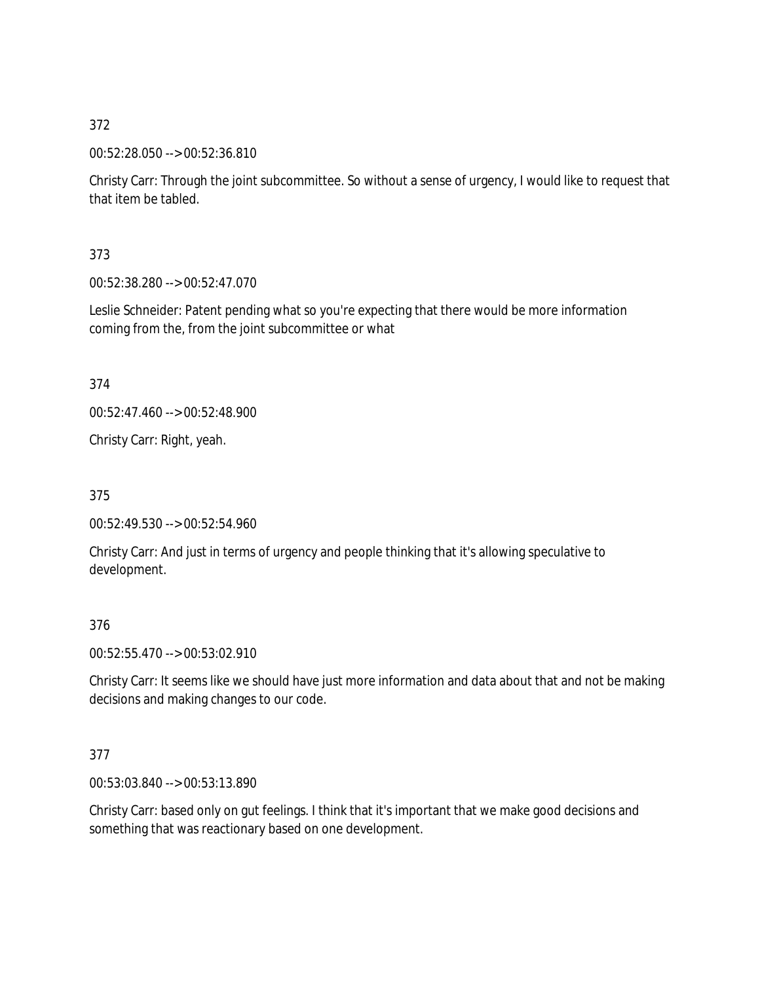00:52:28.050 --> 00:52:36.810

Christy Carr: Through the joint subcommittee. So without a sense of urgency, I would like to request that that item be tabled.

373

00:52:38.280 --> 00:52:47.070

Leslie Schneider: Patent pending what so you're expecting that there would be more information coming from the, from the joint subcommittee or what

374

00:52:47.460 --> 00:52:48.900

Christy Carr: Right, yeah.

375

00:52:49.530 --> 00:52:54.960

Christy Carr: And just in terms of urgency and people thinking that it's allowing speculative to development.

376

00:52:55.470 --> 00:53:02.910

Christy Carr: It seems like we should have just more information and data about that and not be making decisions and making changes to our code.

377

00:53:03.840 --> 00:53:13.890

Christy Carr: based only on gut feelings. I think that it's important that we make good decisions and something that was reactionary based on one development.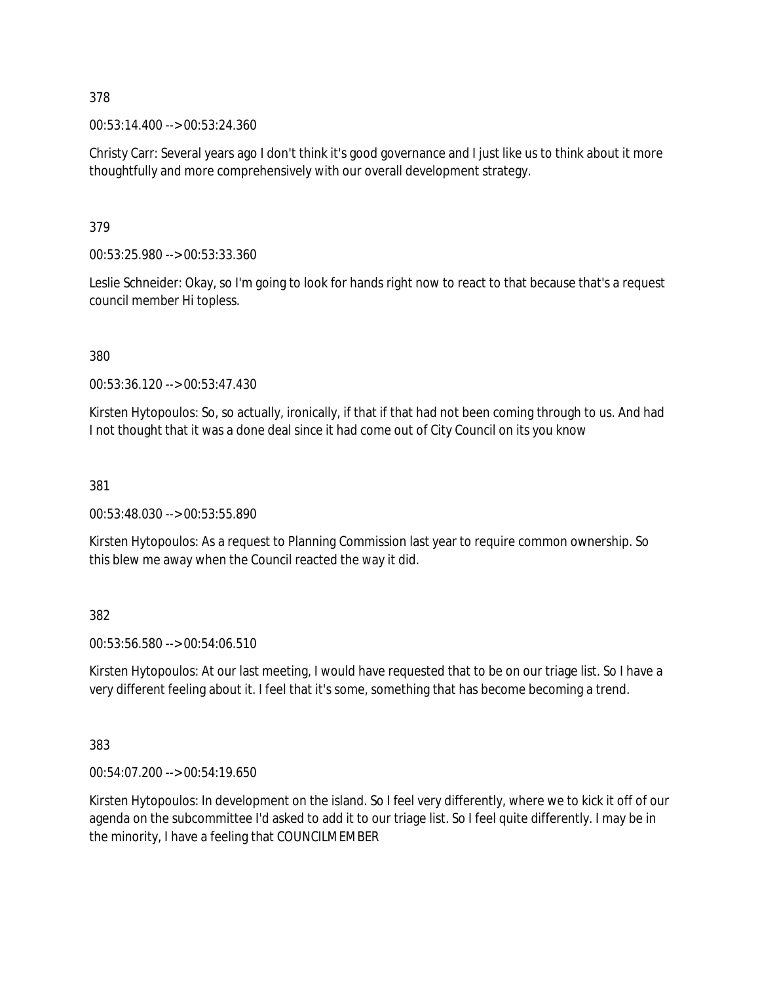00:53:14.400 --> 00:53:24.360

Christy Carr: Several years ago I don't think it's good governance and I just like us to think about it more thoughtfully and more comprehensively with our overall development strategy.

379

00:53:25.980 --> 00:53:33.360

Leslie Schneider: Okay, so I'm going to look for hands right now to react to that because that's a request council member Hi topless.

380

00:53:36.120 --> 00:53:47.430

Kirsten Hytopoulos: So, so actually, ironically, if that if that had not been coming through to us. And had I not thought that it was a done deal since it had come out of City Council on its you know

381

00:53:48.030 --> 00:53:55.890

Kirsten Hytopoulos: As a request to Planning Commission last year to require common ownership. So this blew me away when the Council reacted the way it did.

382

00:53:56.580 --> 00:54:06.510

Kirsten Hytopoulos: At our last meeting, I would have requested that to be on our triage list. So I have a very different feeling about it. I feel that it's some, something that has become becoming a trend.

383

00:54:07.200 --> 00:54:19.650

Kirsten Hytopoulos: In development on the island. So I feel very differently, where we to kick it off of our agenda on the subcommittee I'd asked to add it to our triage list. So I feel quite differently. I may be in the minority, I have a feeling that COUNCILMEMBER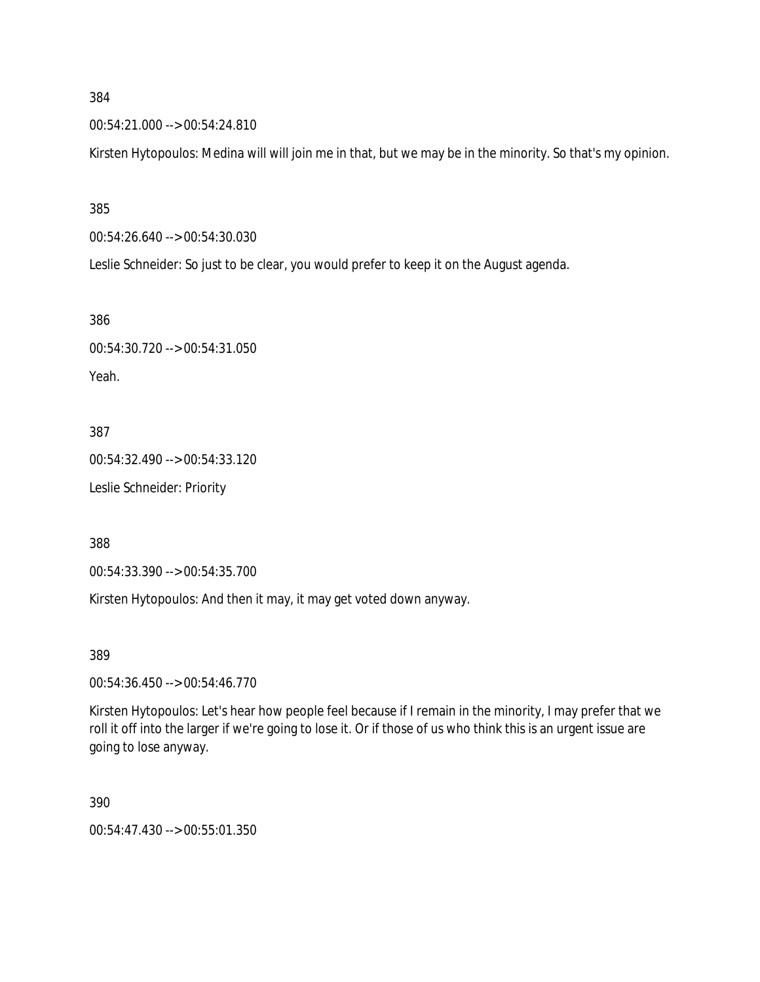00:54:21.000 --> 00:54:24.810

Kirsten Hytopoulos: Medina will will join me in that, but we may be in the minority. So that's my opinion.

385

00:54:26.640 --> 00:54:30.030

Leslie Schneider: So just to be clear, you would prefer to keep it on the August agenda.

386

00:54:30.720 --> 00:54:31.050 Yeah.

387

00:54:32.490 --> 00:54:33.120 Leslie Schneider: Priority

388

00:54:33.390 --> 00:54:35.700

Kirsten Hytopoulos: And then it may, it may get voted down anyway.

389

00:54:36.450 --> 00:54:46.770

Kirsten Hytopoulos: Let's hear how people feel because if I remain in the minority, I may prefer that we roll it off into the larger if we're going to lose it. Or if those of us who think this is an urgent issue are going to lose anyway.

390

00:54:47.430 --> 00:55:01.350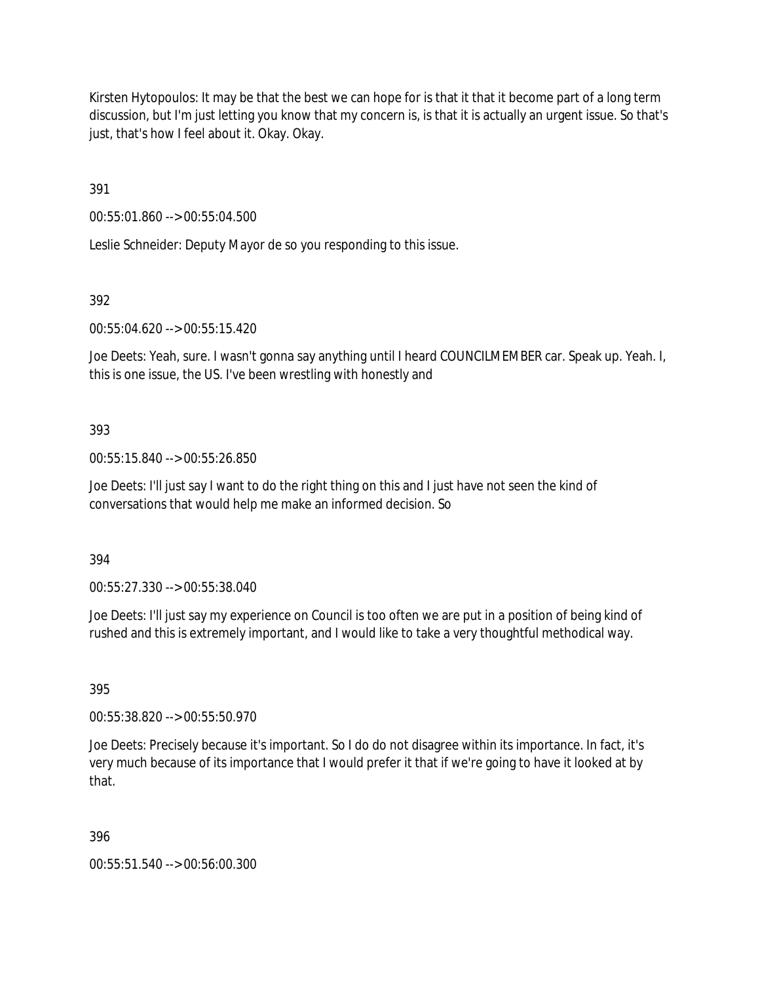Kirsten Hytopoulos: It may be that the best we can hope for is that it that it become part of a long term discussion, but I'm just letting you know that my concern is, is that it is actually an urgent issue. So that's just, that's how I feel about it. Okay. Okay.

391

00:55:01.860 --> 00:55:04.500

Leslie Schneider: Deputy Mayor de so you responding to this issue.

392

00:55:04.620 --> 00:55:15.420

Joe Deets: Yeah, sure. I wasn't gonna say anything until I heard COUNCILMEMBER car. Speak up. Yeah. I, this is one issue, the US. I've been wrestling with honestly and

# 393

00:55:15.840 --> 00:55:26.850

Joe Deets: I'll just say I want to do the right thing on this and I just have not seen the kind of conversations that would help me make an informed decision. So

394

00:55:27.330 --> 00:55:38.040

Joe Deets: I'll just say my experience on Council is too often we are put in a position of being kind of rushed and this is extremely important, and I would like to take a very thoughtful methodical way.

395

00:55:38.820 --> 00:55:50.970

Joe Deets: Precisely because it's important. So I do do not disagree within its importance. In fact, it's very much because of its importance that I would prefer it that if we're going to have it looked at by that.

396

00:55:51.540 --> 00:56:00.300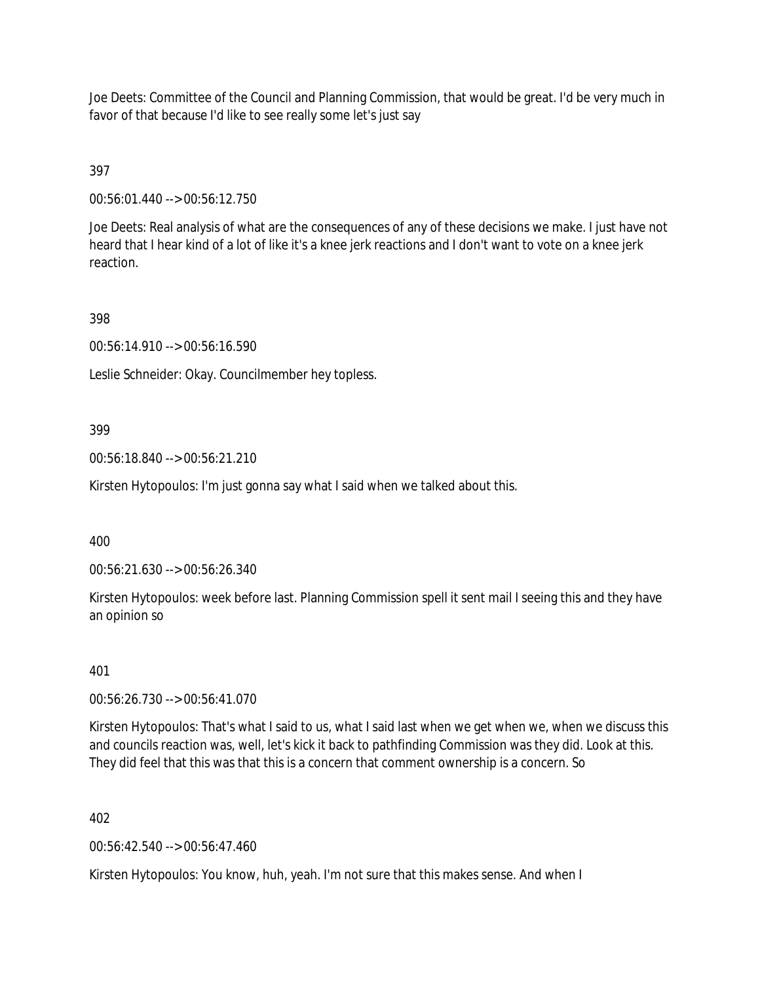Joe Deets: Committee of the Council and Planning Commission, that would be great. I'd be very much in favor of that because I'd like to see really some let's just say

# 397

00:56:01.440 --> 00:56:12.750

Joe Deets: Real analysis of what are the consequences of any of these decisions we make. I just have not heard that I hear kind of a lot of like it's a knee jerk reactions and I don't want to vote on a knee jerk reaction.

# 398

00:56:14.910 --> 00:56:16.590

Leslie Schneider: Okay. Councilmember hey topless.

# 399

00:56:18.840 --> 00:56:21.210

Kirsten Hytopoulos: I'm just gonna say what I said when we talked about this.

### 400

00:56:21.630 --> 00:56:26.340

Kirsten Hytopoulos: week before last. Planning Commission spell it sent mail I seeing this and they have an opinion so

### 401

00:56:26.730 --> 00:56:41.070

Kirsten Hytopoulos: That's what I said to us, what I said last when we get when we, when we discuss this and councils reaction was, well, let's kick it back to pathfinding Commission was they did. Look at this. They did feel that this was that this is a concern that comment ownership is a concern. So

### 402

00:56:42.540 --> 00:56:47.460

Kirsten Hytopoulos: You know, huh, yeah. I'm not sure that this makes sense. And when I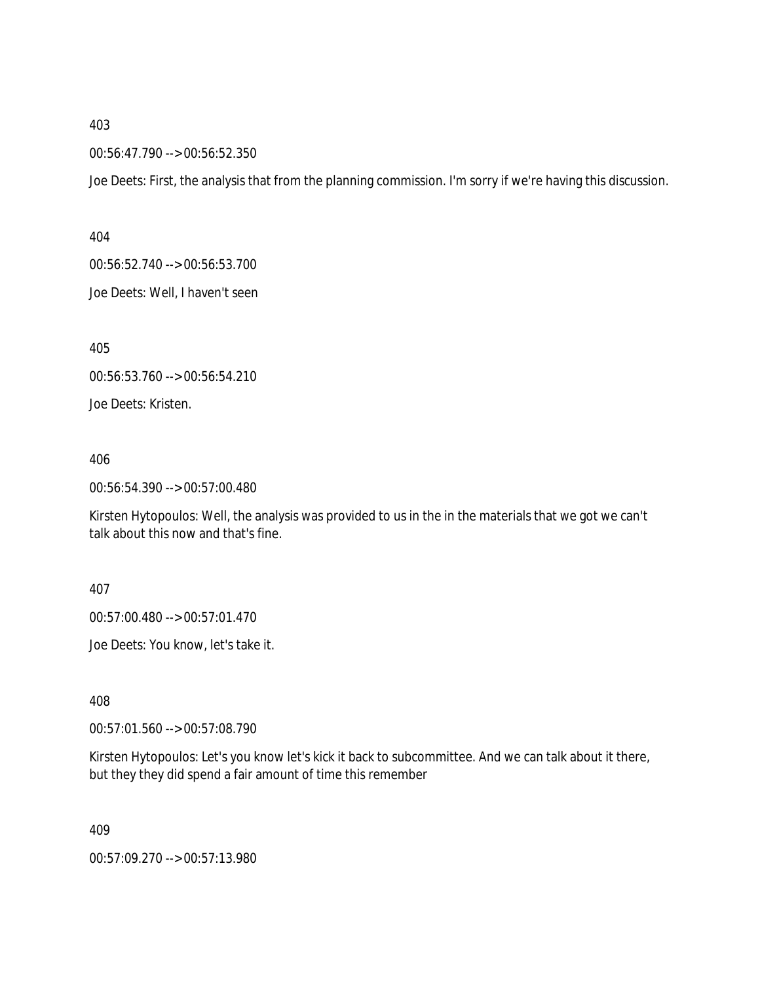00:56:47.790 --> 00:56:52.350

Joe Deets: First, the analysis that from the planning commission. I'm sorry if we're having this discussion.

404

00:56:52.740 --> 00:56:53.700

Joe Deets: Well, I haven't seen

405

00:56:53.760 --> 00:56:54.210

Joe Deets: Kristen.

406

00:56:54.390 --> 00:57:00.480

Kirsten Hytopoulos: Well, the analysis was provided to us in the in the materials that we got we can't talk about this now and that's fine.

407

00:57:00.480 --> 00:57:01.470

Joe Deets: You know, let's take it.

408

00:57:01.560 --> 00:57:08.790

Kirsten Hytopoulos: Let's you know let's kick it back to subcommittee. And we can talk about it there, but they they did spend a fair amount of time this remember

409

00:57:09.270 --> 00:57:13.980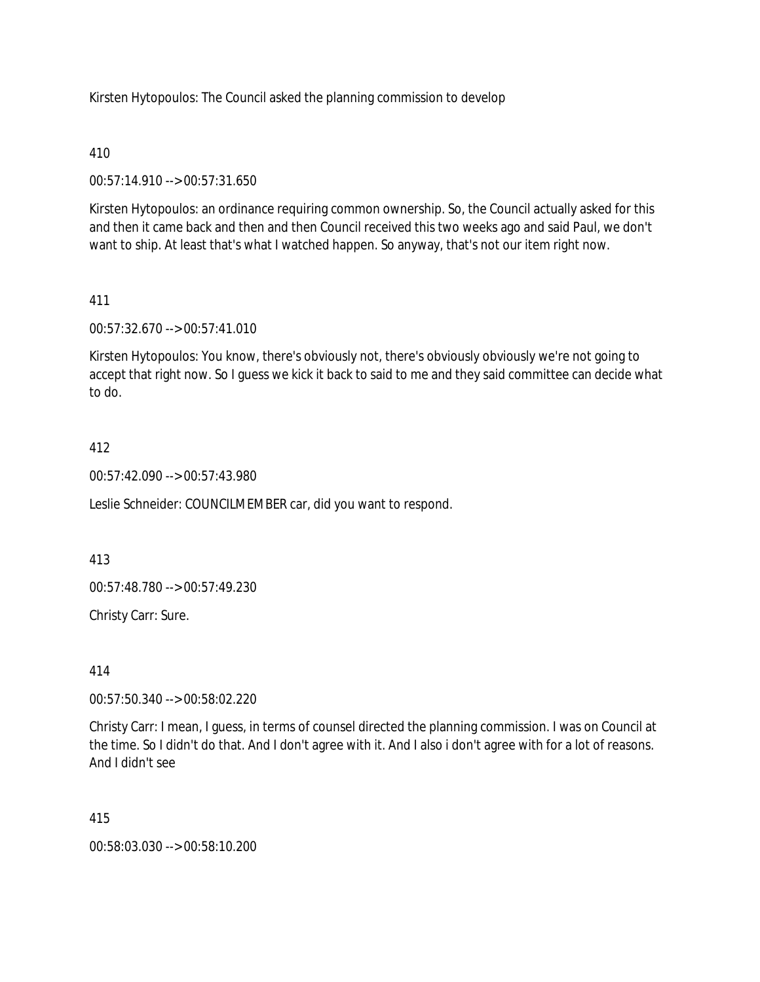Kirsten Hytopoulos: The Council asked the planning commission to develop

# 410

00:57:14.910 --> 00:57:31.650

Kirsten Hytopoulos: an ordinance requiring common ownership. So, the Council actually asked for this and then it came back and then and then Council received this two weeks ago and said Paul, we don't want to ship. At least that's what I watched happen. So anyway, that's not our item right now.

# 411

00:57:32.670 --> 00:57:41.010

Kirsten Hytopoulos: You know, there's obviously not, there's obviously obviously we're not going to accept that right now. So I guess we kick it back to said to me and they said committee can decide what to do.

# 412

00:57:42.090 --> 00:57:43.980

Leslie Schneider: COUNCILMEMBER car, did you want to respond.

413

00:57:48.780 --> 00:57:49.230

Christy Carr: Sure.

414

00:57:50.340 --> 00:58:02.220

Christy Carr: I mean, I guess, in terms of counsel directed the planning commission. I was on Council at the time. So I didn't do that. And I don't agree with it. And I also i don't agree with for a lot of reasons. And I didn't see

### 415

00:58:03.030 --> 00:58:10.200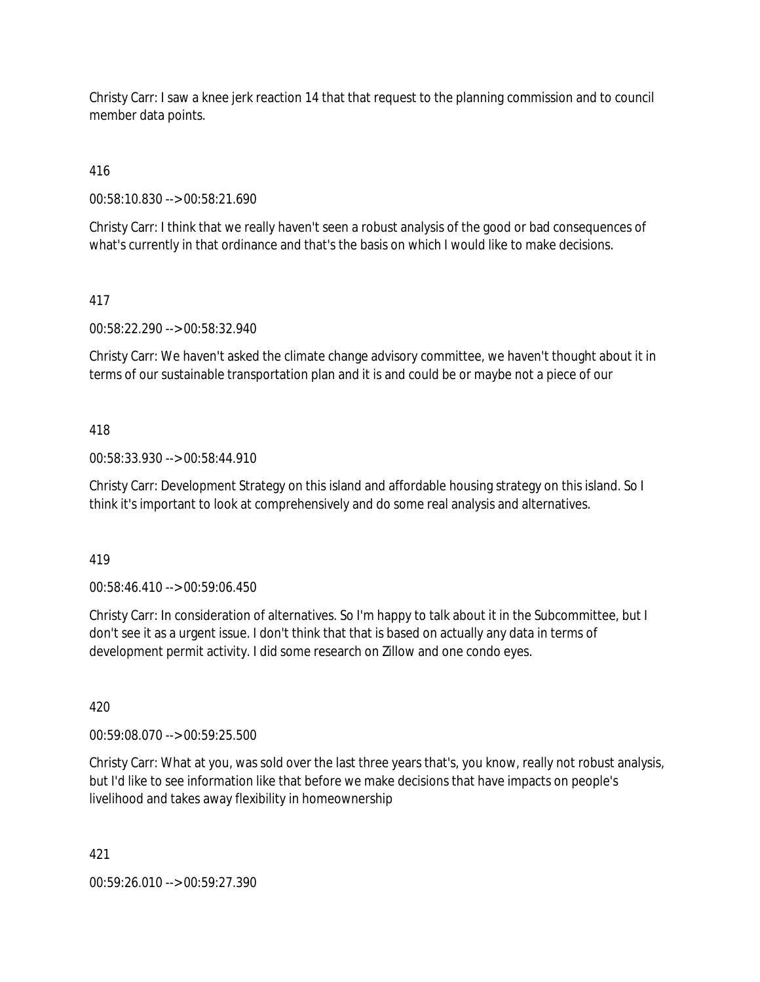Christy Carr: I saw a knee jerk reaction 14 that that request to the planning commission and to council member data points.

416

00:58:10.830 --> 00:58:21.690

Christy Carr: I think that we really haven't seen a robust analysis of the good or bad consequences of what's currently in that ordinance and that's the basis on which I would like to make decisions.

# 417

00:58:22.290 --> 00:58:32.940

Christy Carr: We haven't asked the climate change advisory committee, we haven't thought about it in terms of our sustainable transportation plan and it is and could be or maybe not a piece of our

# 418

00:58:33.930 --> 00:58:44.910

Christy Carr: Development Strategy on this island and affordable housing strategy on this island. So I think it's important to look at comprehensively and do some real analysis and alternatives.

419

00:58:46.410 --> 00:59:06.450

Christy Carr: In consideration of alternatives. So I'm happy to talk about it in the Subcommittee, but I don't see it as a urgent issue. I don't think that that is based on actually any data in terms of development permit activity. I did some research on Zillow and one condo eyes.

420

00:59:08.070 --> 00:59:25.500

Christy Carr: What at you, was sold over the last three years that's, you know, really not robust analysis, but I'd like to see information like that before we make decisions that have impacts on people's livelihood and takes away flexibility in homeownership

421

00:59:26.010 --> 00:59:27.390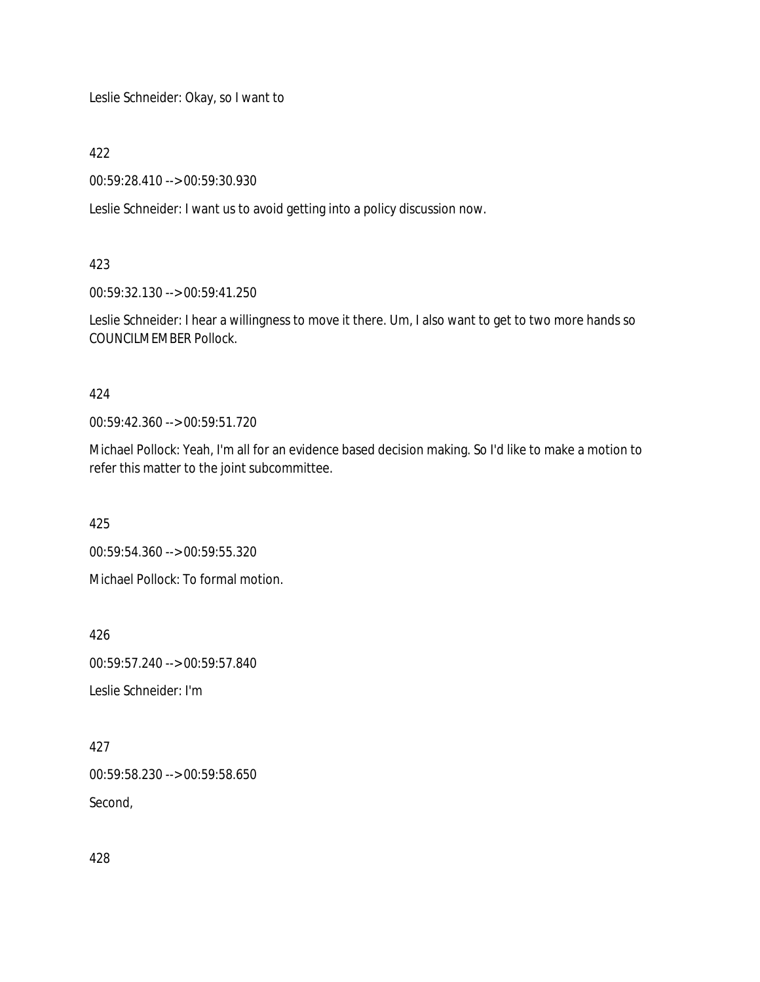Leslie Schneider: Okay, so I want to

422

00:59:28.410 --> 00:59:30.930

Leslie Schneider: I want us to avoid getting into a policy discussion now.

423

00:59:32.130 --> 00:59:41.250

Leslie Schneider: I hear a willingness to move it there. Um, I also want to get to two more hands so COUNCILMEMBER Pollock.

424

00:59:42.360 --> 00:59:51.720

Michael Pollock: Yeah, I'm all for an evidence based decision making. So I'd like to make a motion to refer this matter to the joint subcommittee.

425

00:59:54.360 --> 00:59:55.320

Michael Pollock: To formal motion.

426

00:59:57.240 --> 00:59:57.840

Leslie Schneider: I'm

427 00:59:58.230 --> 00:59:58.650

Second,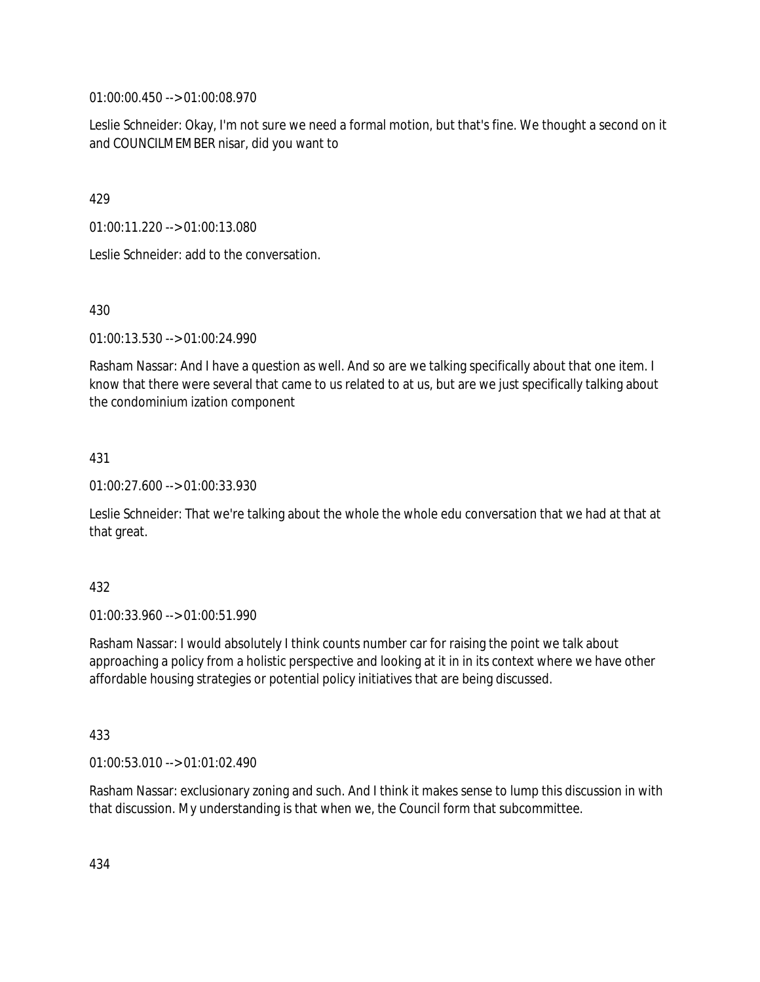01:00:00.450 --> 01:00:08.970

Leslie Schneider: Okay, I'm not sure we need a formal motion, but that's fine. We thought a second on it and COUNCILMEMBER nisar, did you want to

429

01:00:11.220 --> 01:00:13.080

Leslie Schneider: add to the conversation.

430

01:00:13.530 --> 01:00:24.990

Rasham Nassar: And I have a question as well. And so are we talking specifically about that one item. I know that there were several that came to us related to at us, but are we just specifically talking about the condominium ization component

431

01:00:27.600 --> 01:00:33.930

Leslie Schneider: That we're talking about the whole the whole edu conversation that we had at that at that great.

432

01:00:33.960 --> 01:00:51.990

Rasham Nassar: I would absolutely I think counts number car for raising the point we talk about approaching a policy from a holistic perspective and looking at it in in its context where we have other affordable housing strategies or potential policy initiatives that are being discussed.

433

01:00:53.010 --> 01:01:02.490

Rasham Nassar: exclusionary zoning and such. And I think it makes sense to lump this discussion in with that discussion. My understanding is that when we, the Council form that subcommittee.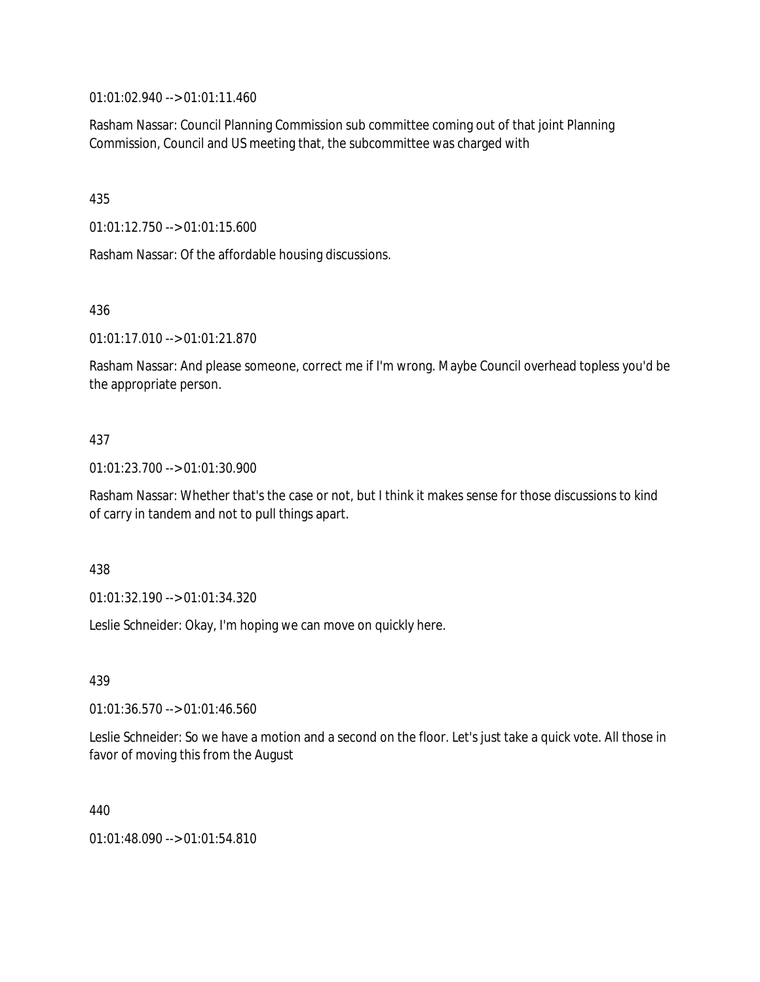01:01:02.940 --> 01:01:11.460

Rasham Nassar: Council Planning Commission sub committee coming out of that joint Planning Commission, Council and US meeting that, the subcommittee was charged with

435

01:01:12.750 --> 01:01:15.600

Rasham Nassar: Of the affordable housing discussions.

436

01:01:17.010 --> 01:01:21.870

Rasham Nassar: And please someone, correct me if I'm wrong. Maybe Council overhead topless you'd be the appropriate person.

### 437

01:01:23.700 --> 01:01:30.900

Rasham Nassar: Whether that's the case or not, but I think it makes sense for those discussions to kind of carry in tandem and not to pull things apart.

438

01:01:32.190 --> 01:01:34.320

Leslie Schneider: Okay, I'm hoping we can move on quickly here.

439

01:01:36.570 --> 01:01:46.560

Leslie Schneider: So we have a motion and a second on the floor. Let's just take a quick vote. All those in favor of moving this from the August

440

01:01:48.090 --> 01:01:54.810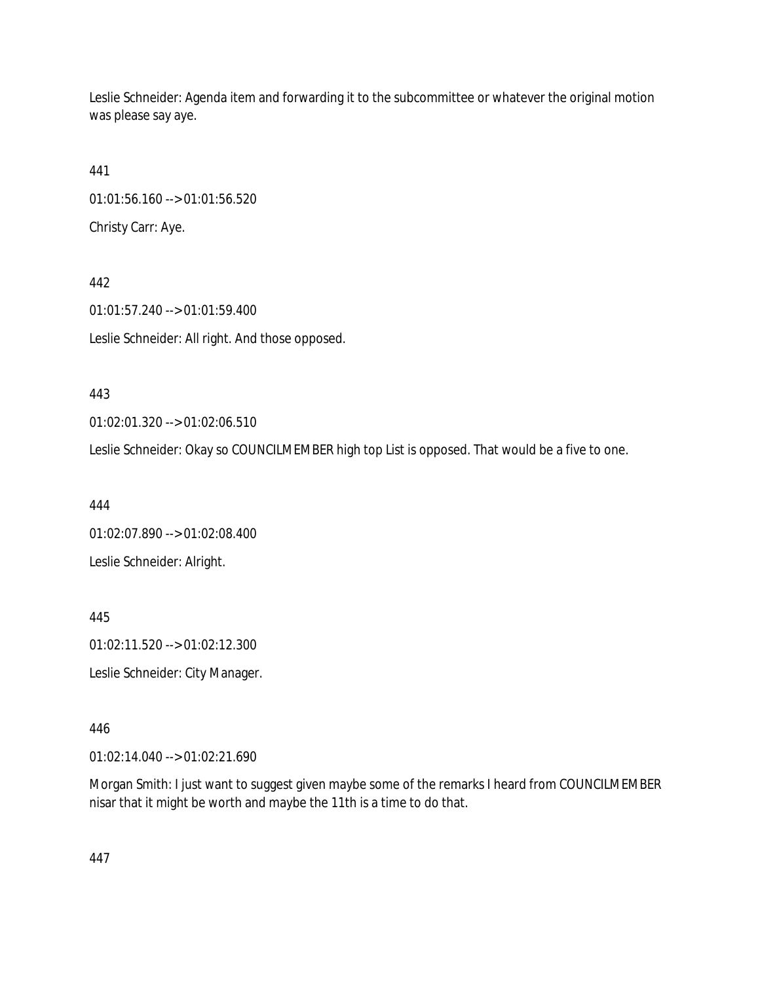Leslie Schneider: Agenda item and forwarding it to the subcommittee or whatever the original motion was please say aye.

441 01:01:56.160 --> 01:01:56.520 Christy Carr: Aye.

442 01:01:57.240 --> 01:01:59.400 Leslie Schneider: All right. And those opposed.

443

01:02:01.320 --> 01:02:06.510

Leslie Schneider: Okay so COUNCILMEMBER high top List is opposed. That would be a five to one.

444

01:02:07.890 --> 01:02:08.400 Leslie Schneider: Alright.

445

01:02:11.520 --> 01:02:12.300

Leslie Schneider: City Manager.

446

01:02:14.040 --> 01:02:21.690

Morgan Smith: I just want to suggest given maybe some of the remarks I heard from COUNCILMEMBER nisar that it might be worth and maybe the 11th is a time to do that.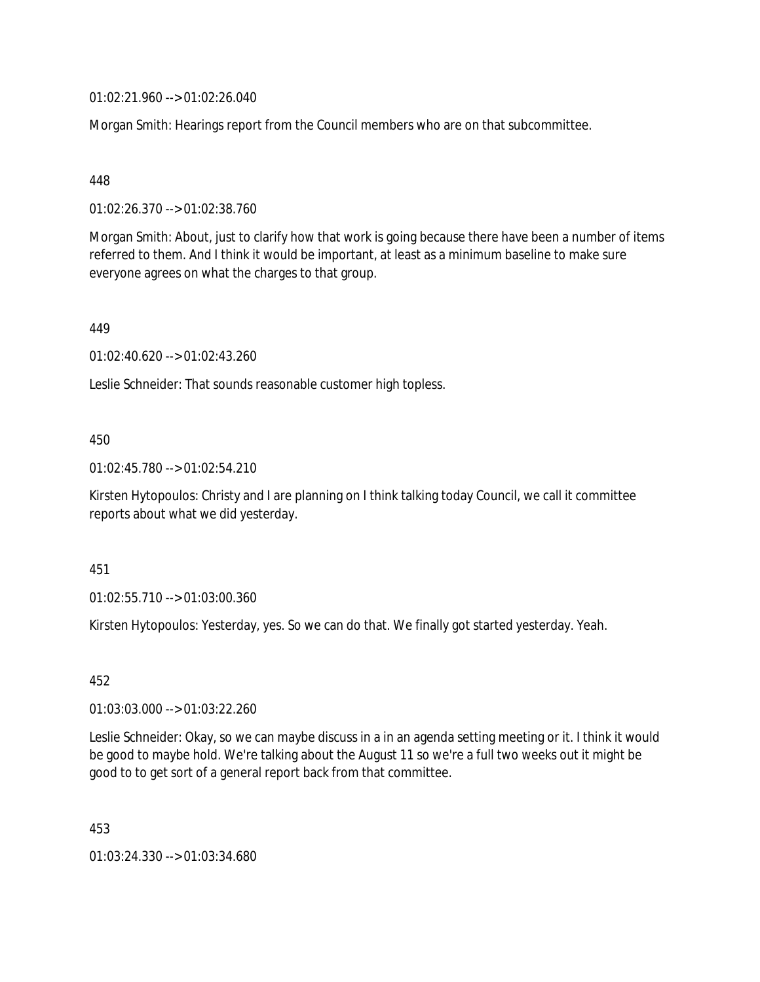01:02:21.960 --> 01:02:26.040

Morgan Smith: Hearings report from the Council members who are on that subcommittee.

# 448

01:02:26.370 --> 01:02:38.760

Morgan Smith: About, just to clarify how that work is going because there have been a number of items referred to them. And I think it would be important, at least as a minimum baseline to make sure everyone agrees on what the charges to that group.

### 449

01:02:40.620 --> 01:02:43.260

Leslie Schneider: That sounds reasonable customer high topless.

# 450

01:02:45.780 --> 01:02:54.210

Kirsten Hytopoulos: Christy and I are planning on I think talking today Council, we call it committee reports about what we did yesterday.

### 451

01:02:55.710 --> 01:03:00.360

Kirsten Hytopoulos: Yesterday, yes. So we can do that. We finally got started yesterday. Yeah.

### 452

01:03:03.000 --> 01:03:22.260

Leslie Schneider: Okay, so we can maybe discuss in a in an agenda setting meeting or it. I think it would be good to maybe hold. We're talking about the August 11 so we're a full two weeks out it might be good to to get sort of a general report back from that committee.

453

01:03:24.330 --> 01:03:34.680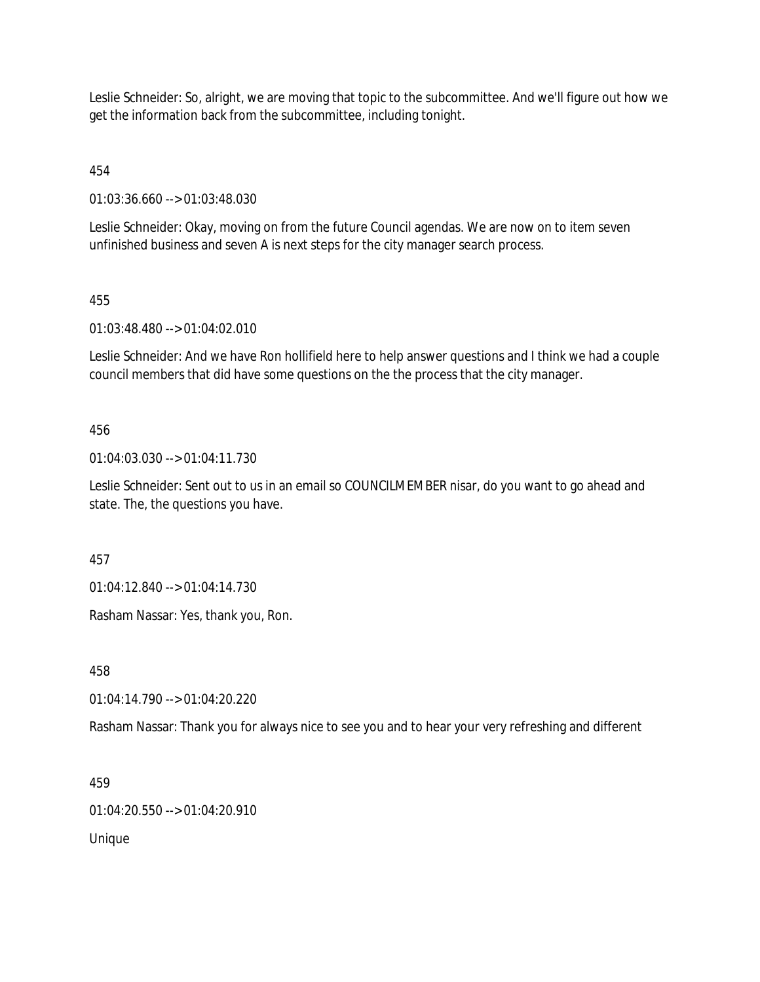Leslie Schneider: So, alright, we are moving that topic to the subcommittee. And we'll figure out how we get the information back from the subcommittee, including tonight.

454

01:03:36.660 --> 01:03:48.030

Leslie Schneider: Okay, moving on from the future Council agendas. We are now on to item seven unfinished business and seven A is next steps for the city manager search process.

# 455

01:03:48.480 --> 01:04:02.010

Leslie Schneider: And we have Ron hollifield here to help answer questions and I think we had a couple council members that did have some questions on the the process that the city manager.

# 456

01:04:03.030 --> 01:04:11.730

Leslie Schneider: Sent out to us in an email so COUNCILMEMBER nisar, do you want to go ahead and state. The, the questions you have.

457

01:04:12.840 --> 01:04:14.730

Rasham Nassar: Yes, thank you, Ron.

458

01:04:14.790 --> 01:04:20.220

Rasham Nassar: Thank you for always nice to see you and to hear your very refreshing and different

459

01:04:20.550 --> 01:04:20.910

Unique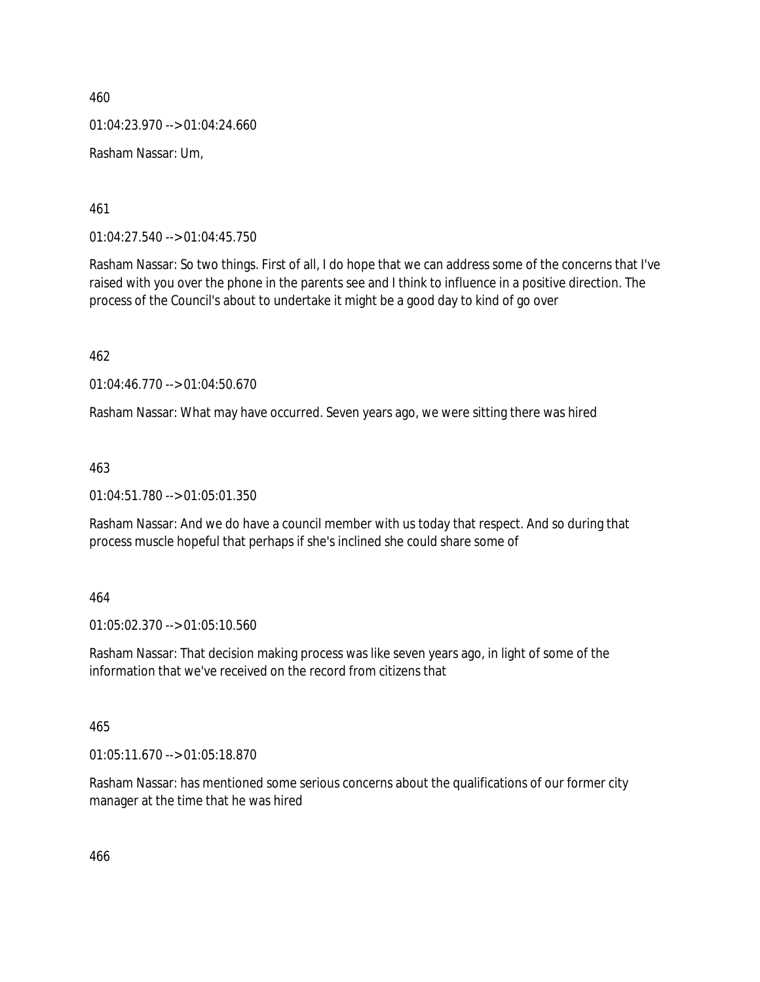460 01:04:23.970 --> 01:04:24.660 Rasham Nassar: Um,

461

01:04:27.540 --> 01:04:45.750

Rasham Nassar: So two things. First of all, I do hope that we can address some of the concerns that I've raised with you over the phone in the parents see and I think to influence in a positive direction. The process of the Council's about to undertake it might be a good day to kind of go over

462

01:04:46.770 --> 01:04:50.670

Rasham Nassar: What may have occurred. Seven years ago, we were sitting there was hired

463

01:04:51.780 --> 01:05:01.350

Rasham Nassar: And we do have a council member with us today that respect. And so during that process muscle hopeful that perhaps if she's inclined she could share some of

464

01:05:02.370 --> 01:05:10.560

Rasham Nassar: That decision making process was like seven years ago, in light of some of the information that we've received on the record from citizens that

465

01:05:11.670 --> 01:05:18.870

Rasham Nassar: has mentioned some serious concerns about the qualifications of our former city manager at the time that he was hired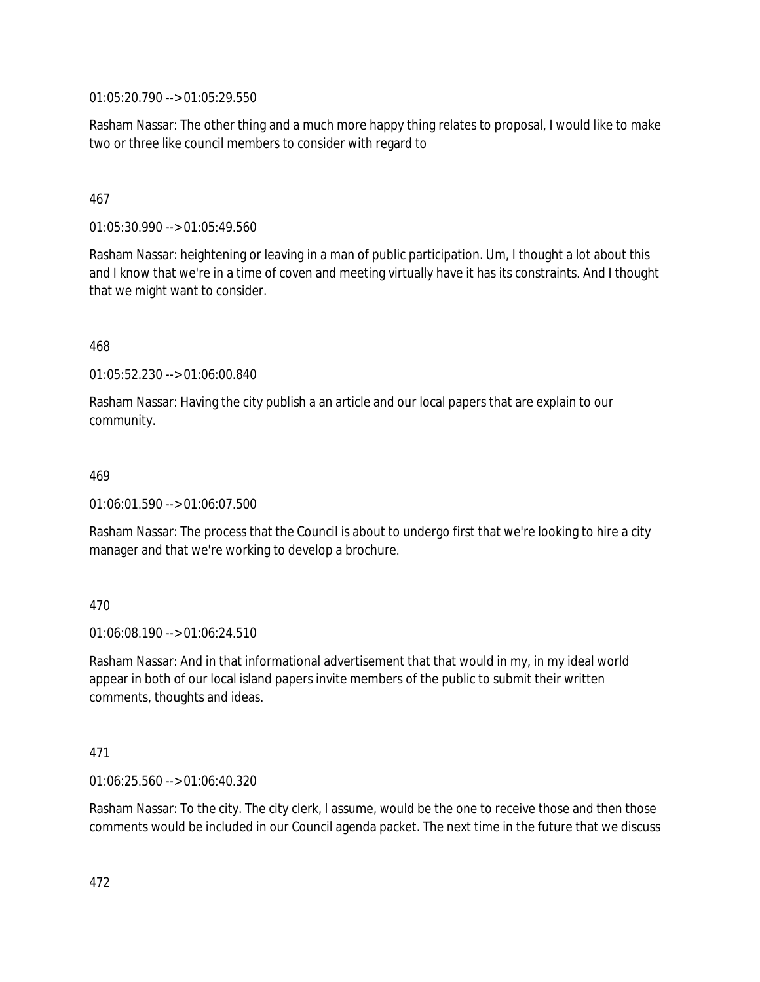01:05:20.790 --> 01:05:29.550

Rasham Nassar: The other thing and a much more happy thing relates to proposal, I would like to make two or three like council members to consider with regard to

# 467

01:05:30.990 --> 01:05:49.560

Rasham Nassar: heightening or leaving in a man of public participation. Um, I thought a lot about this and I know that we're in a time of coven and meeting virtually have it has its constraints. And I thought that we might want to consider.

# 468

01:05:52.230 --> 01:06:00.840

Rasham Nassar: Having the city publish a an article and our local papers that are explain to our community.

# 469

01:06:01.590 --> 01:06:07.500

Rasham Nassar: The process that the Council is about to undergo first that we're looking to hire a city manager and that we're working to develop a brochure.

# 470

01:06:08.190 --> 01:06:24.510

Rasham Nassar: And in that informational advertisement that that would in my, in my ideal world appear in both of our local island papers invite members of the public to submit their written comments, thoughts and ideas.

# 471

01:06:25.560 --> 01:06:40.320

Rasham Nassar: To the city. The city clerk, I assume, would be the one to receive those and then those comments would be included in our Council agenda packet. The next time in the future that we discuss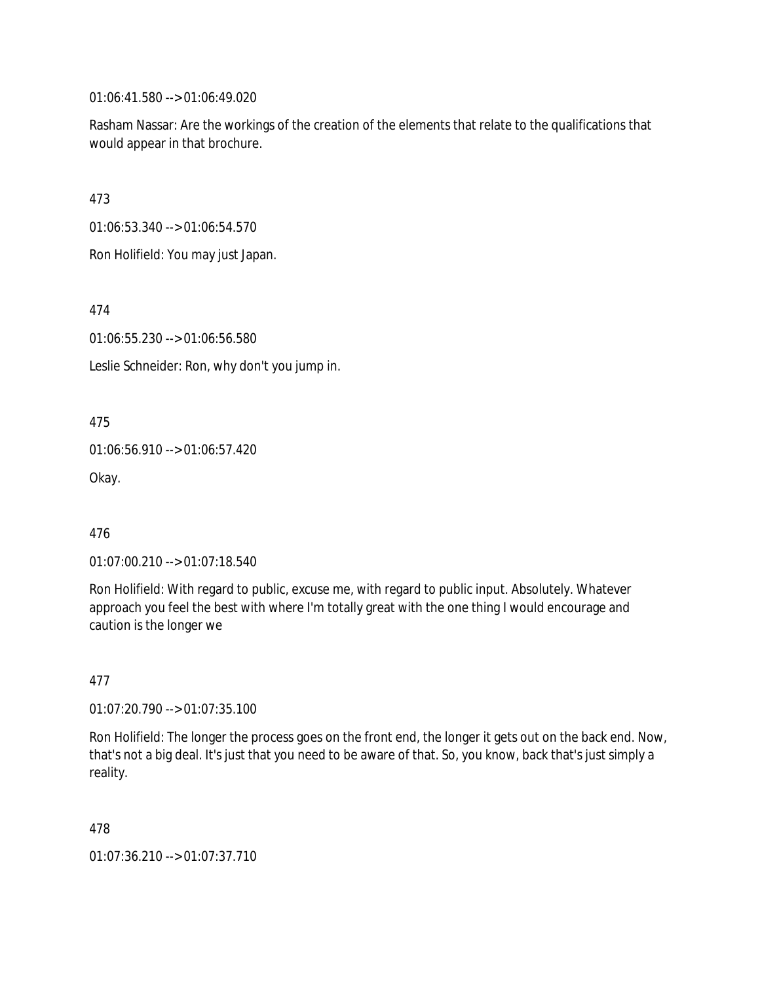01:06:41.580 --> 01:06:49.020

Rasham Nassar: Are the workings of the creation of the elements that relate to the qualifications that would appear in that brochure.

473

01:06:53.340 --> 01:06:54.570

Ron Holifield: You may just Japan.

474

01:06:55.230 --> 01:06:56.580

Leslie Schneider: Ron, why don't you jump in.

475

01:06:56.910 --> 01:06:57.420

Okay.

476

01:07:00.210 --> 01:07:18.540

Ron Holifield: With regard to public, excuse me, with regard to public input. Absolutely. Whatever approach you feel the best with where I'm totally great with the one thing I would encourage and caution is the longer we

477

01:07:20.790 --> 01:07:35.100

Ron Holifield: The longer the process goes on the front end, the longer it gets out on the back end. Now, that's not a big deal. It's just that you need to be aware of that. So, you know, back that's just simply a reality.

478

01:07:36.210 --> 01:07:37.710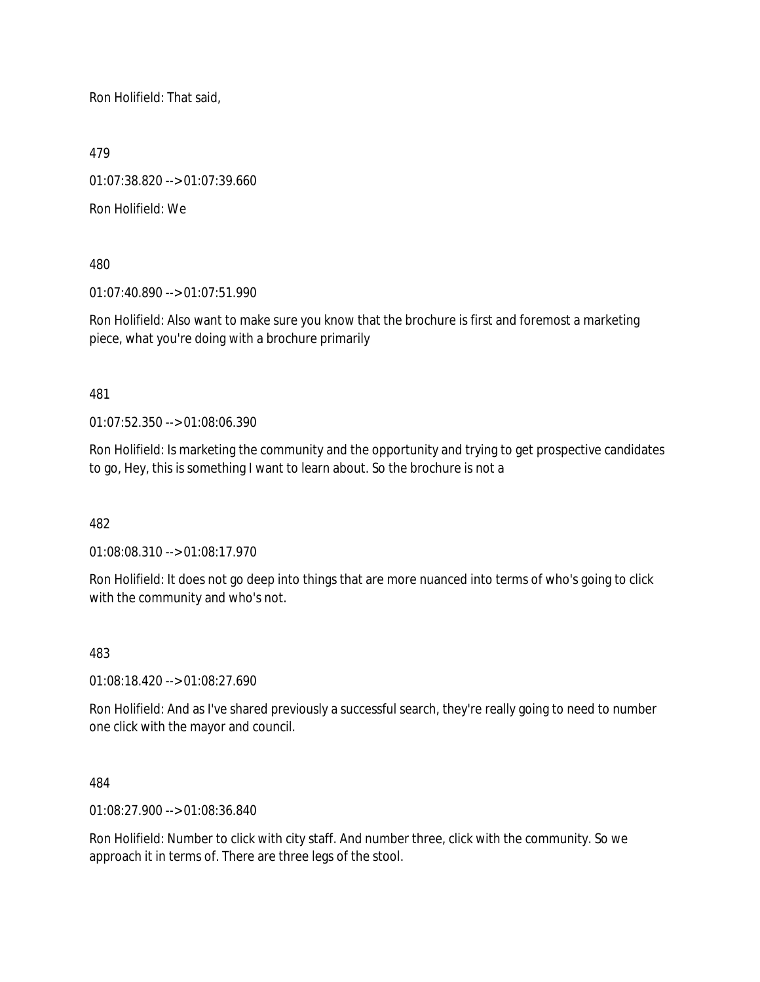Ron Holifield: That said,

479

01:07:38.820 --> 01:07:39.660

Ron Holifield: We

480

01:07:40.890 --> 01:07:51.990

Ron Holifield: Also want to make sure you know that the brochure is first and foremost a marketing piece, what you're doing with a brochure primarily

481

01:07:52.350 --> 01:08:06.390

Ron Holifield: Is marketing the community and the opportunity and trying to get prospective candidates to go, Hey, this is something I want to learn about. So the brochure is not a

482

01:08:08.310 --> 01:08:17.970

Ron Holifield: It does not go deep into things that are more nuanced into terms of who's going to click with the community and who's not.

483

01:08:18.420 --> 01:08:27.690

Ron Holifield: And as I've shared previously a successful search, they're really going to need to number one click with the mayor and council.

484

01:08:27.900 --> 01:08:36.840

Ron Holifield: Number to click with city staff. And number three, click with the community. So we approach it in terms of. There are three legs of the stool.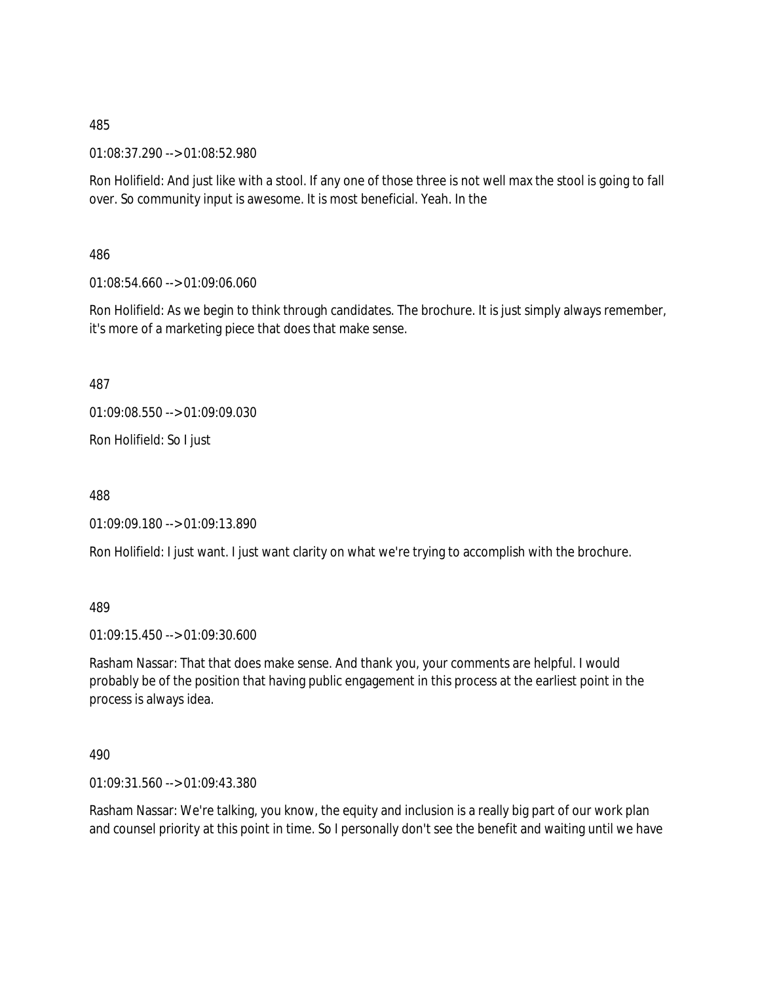01:08:37.290 --> 01:08:52.980

Ron Holifield: And just like with a stool. If any one of those three is not well max the stool is going to fall over. So community input is awesome. It is most beneficial. Yeah. In the

486

01:08:54.660 --> 01:09:06.060

Ron Holifield: As we begin to think through candidates. The brochure. It is just simply always remember, it's more of a marketing piece that does that make sense.

487

01:09:08.550 --> 01:09:09.030

Ron Holifield: So I just

488

01:09:09.180 --> 01:09:13.890

Ron Holifield: I just want. I just want clarity on what we're trying to accomplish with the brochure.

489

01:09:15.450 --> 01:09:30.600

Rasham Nassar: That that does make sense. And thank you, your comments are helpful. I would probably be of the position that having public engagement in this process at the earliest point in the process is always idea.

490

01:09:31.560 --> 01:09:43.380

Rasham Nassar: We're talking, you know, the equity and inclusion is a really big part of our work plan and counsel priority at this point in time. So I personally don't see the benefit and waiting until we have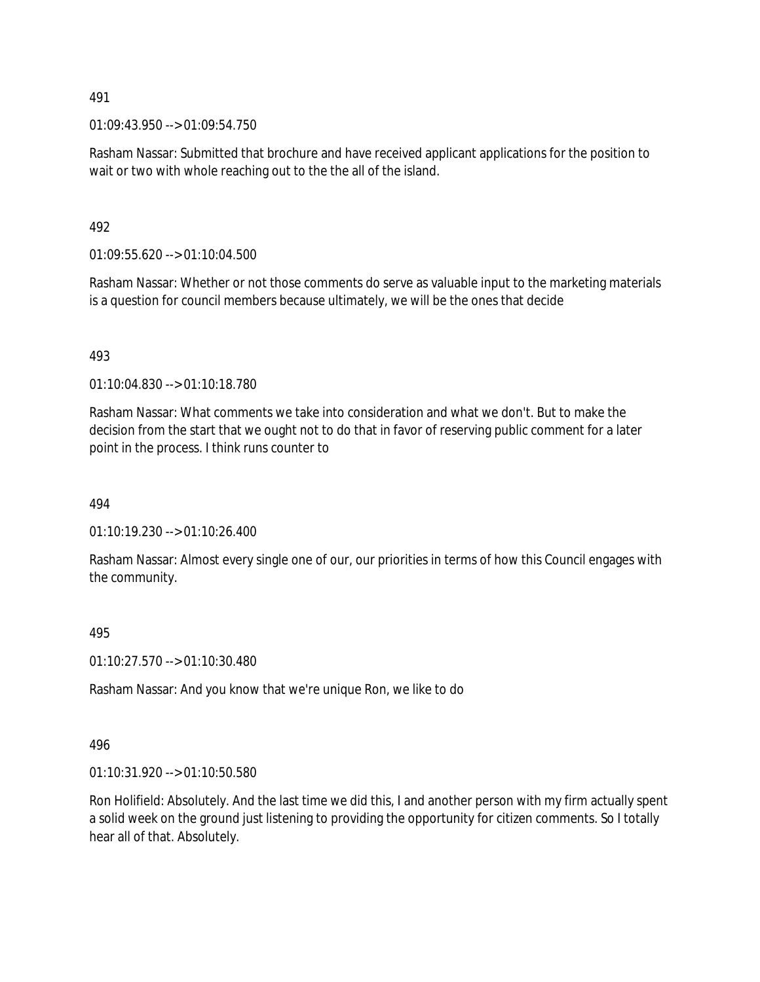01:09:43.950 --> 01:09:54.750

Rasham Nassar: Submitted that brochure and have received applicant applications for the position to wait or two with whole reaching out to the the all of the island.

492

01:09:55.620 --> 01:10:04.500

Rasham Nassar: Whether or not those comments do serve as valuable input to the marketing materials is a question for council members because ultimately, we will be the ones that decide

493

01:10:04.830 --> 01:10:18.780

Rasham Nassar: What comments we take into consideration and what we don't. But to make the decision from the start that we ought not to do that in favor of reserving public comment for a later point in the process. I think runs counter to

494

01:10:19.230 --> 01:10:26.400

Rasham Nassar: Almost every single one of our, our priorities in terms of how this Council engages with the community.

495

01:10:27.570 --> 01:10:30.480

Rasham Nassar: And you know that we're unique Ron, we like to do

496

01:10:31.920 --> 01:10:50.580

Ron Holifield: Absolutely. And the last time we did this, I and another person with my firm actually spent a solid week on the ground just listening to providing the opportunity for citizen comments. So I totally hear all of that. Absolutely.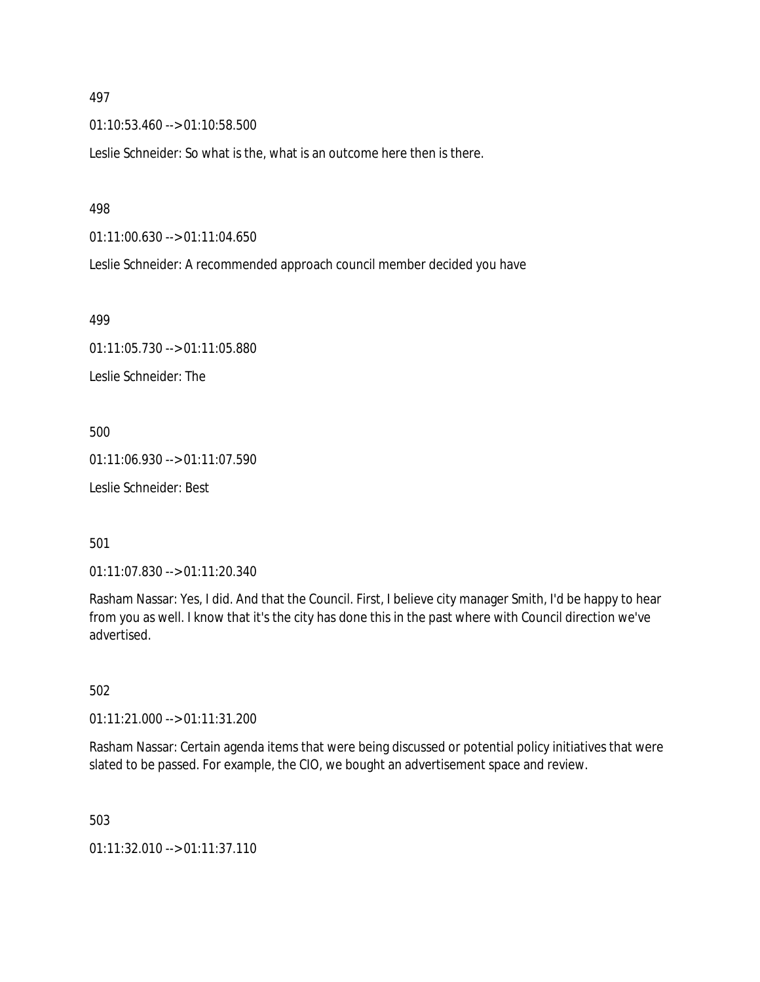01:10:53.460 --> 01:10:58.500

Leslie Schneider: So what is the, what is an outcome here then is there.

#### 498

01:11:00.630 --> 01:11:04.650

Leslie Schneider: A recommended approach council member decided you have

499

01:11:05.730 --> 01:11:05.880 Leslie Schneider: The

500

01:11:06.930 --> 01:11:07.590

Leslie Schneider: Best

501

01:11:07.830 --> 01:11:20.340

Rasham Nassar: Yes, I did. And that the Council. First, I believe city manager Smith, I'd be happy to hear from you as well. I know that it's the city has done this in the past where with Council direction we've advertised.

502

01:11:21.000 --> 01:11:31.200

Rasham Nassar: Certain agenda items that were being discussed or potential policy initiatives that were slated to be passed. For example, the CIO, we bought an advertisement space and review.

503

01:11:32.010 --> 01:11:37.110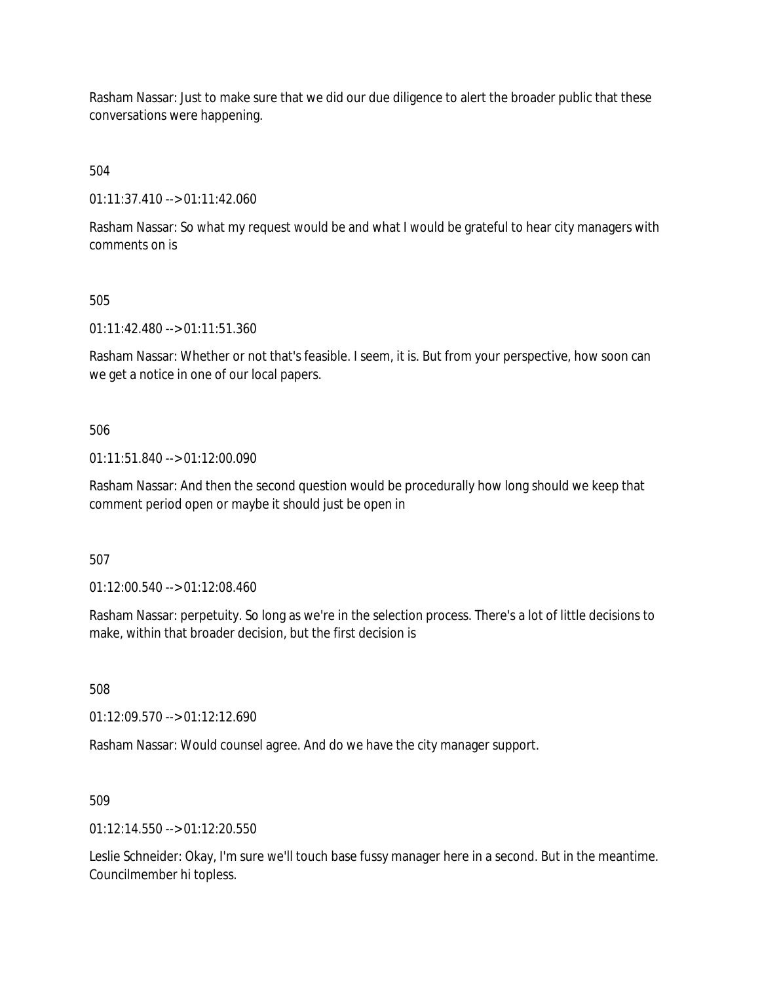Rasham Nassar: Just to make sure that we did our due diligence to alert the broader public that these conversations were happening.

504

01:11:37.410 --> 01:11:42.060

Rasham Nassar: So what my request would be and what I would be grateful to hear city managers with comments on is

# 505

01:11:42.480 --> 01:11:51.360

Rasham Nassar: Whether or not that's feasible. I seem, it is. But from your perspective, how soon can we get a notice in one of our local papers.

# 506

01:11:51.840 --> 01:12:00.090

Rasham Nassar: And then the second question would be procedurally how long should we keep that comment period open or maybe it should just be open in

507

01:12:00.540 --> 01:12:08.460

Rasham Nassar: perpetuity. So long as we're in the selection process. There's a lot of little decisions to make, within that broader decision, but the first decision is

508

01:12:09.570 --> 01:12:12.690

Rasham Nassar: Would counsel agree. And do we have the city manager support.

# 509

 $01:12:14.550 \rightarrow 01:12:20.550$ 

Leslie Schneider: Okay, I'm sure we'll touch base fussy manager here in a second. But in the meantime. Councilmember hi topless.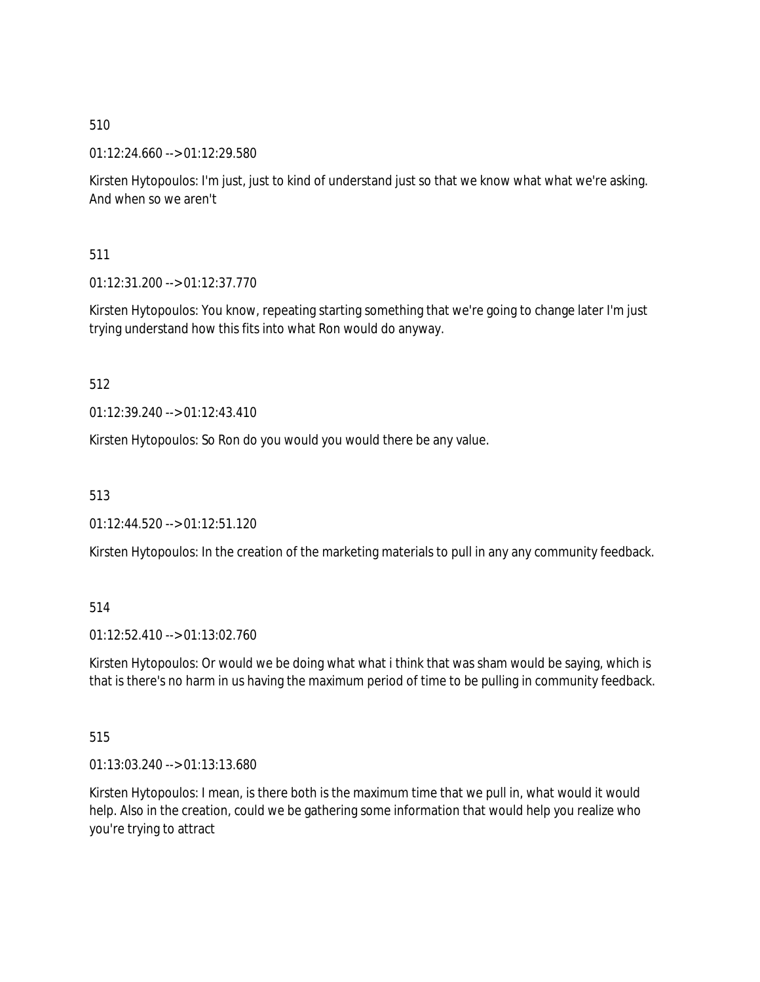01:12:24.660 --> 01:12:29.580

Kirsten Hytopoulos: I'm just, just to kind of understand just so that we know what what we're asking. And when so we aren't

511

01:12:31.200 --> 01:12:37.770

Kirsten Hytopoulos: You know, repeating starting something that we're going to change later I'm just trying understand how this fits into what Ron would do anyway.

512

01:12:39.240 --> 01:12:43.410

Kirsten Hytopoulos: So Ron do you would you would there be any value.

513

01:12:44.520 --> 01:12:51.120

Kirsten Hytopoulos: In the creation of the marketing materials to pull in any any community feedback.

# 514

01:12:52.410 --> 01:13:02.760

Kirsten Hytopoulos: Or would we be doing what what i think that was sham would be saying, which is that is there's no harm in us having the maximum period of time to be pulling in community feedback.

515

01:13:03.240 --> 01:13:13.680

Kirsten Hytopoulos: I mean, is there both is the maximum time that we pull in, what would it would help. Also in the creation, could we be gathering some information that would help you realize who you're trying to attract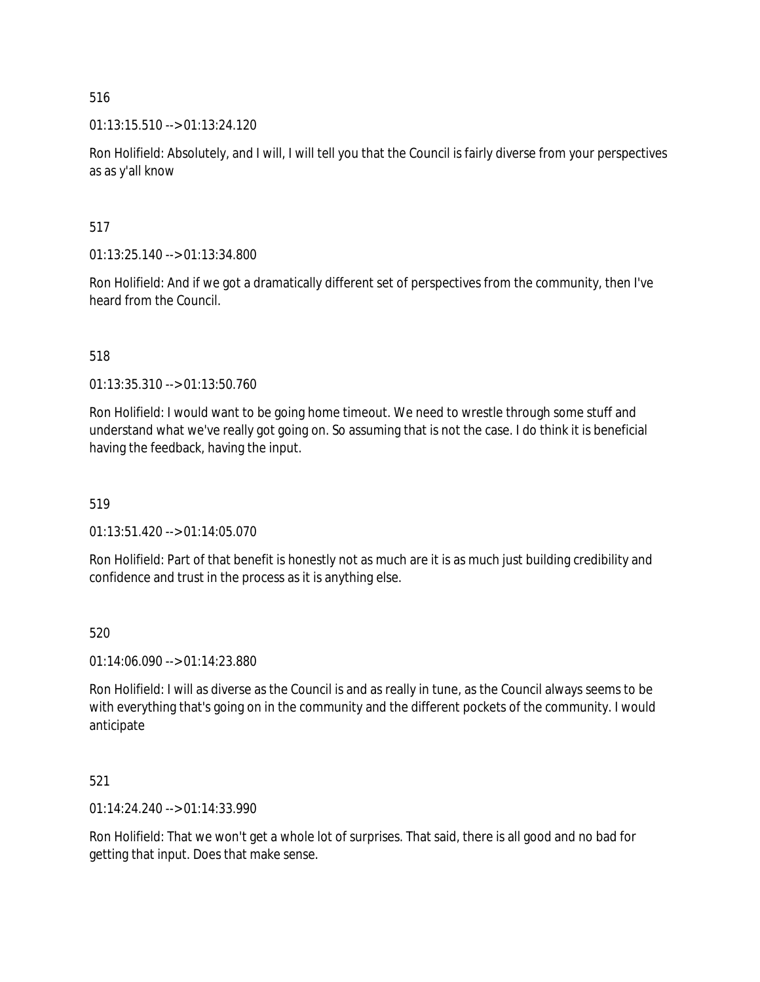01:13:15.510 --> 01:13:24.120

Ron Holifield: Absolutely, and I will, I will tell you that the Council is fairly diverse from your perspectives as as y'all know

517

01:13:25.140 --> 01:13:34.800

Ron Holifield: And if we got a dramatically different set of perspectives from the community, then I've heard from the Council.

518

01:13:35.310 --> 01:13:50.760

Ron Holifield: I would want to be going home timeout. We need to wrestle through some stuff and understand what we've really got going on. So assuming that is not the case. I do think it is beneficial having the feedback, having the input.

519

01:13:51.420 --> 01:14:05.070

Ron Holifield: Part of that benefit is honestly not as much are it is as much just building credibility and confidence and trust in the process as it is anything else.

520

01:14:06.090 --> 01:14:23.880

Ron Holifield: I will as diverse as the Council is and as really in tune, as the Council always seems to be with everything that's going on in the community and the different pockets of the community. I would anticipate

521

01:14:24.240 --> 01:14:33.990

Ron Holifield: That we won't get a whole lot of surprises. That said, there is all good and no bad for getting that input. Does that make sense.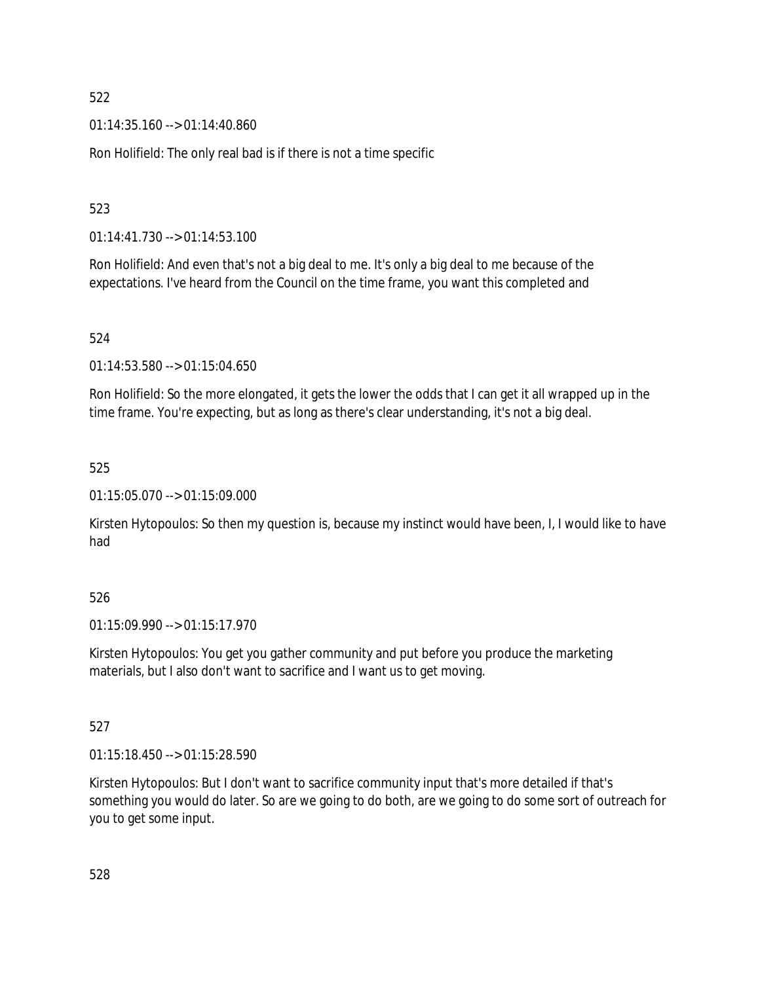01:14:35.160 --> 01:14:40.860

Ron Holifield: The only real bad is if there is not a time specific

# 523

01:14:41.730 --> 01:14:53.100

Ron Holifield: And even that's not a big deal to me. It's only a big deal to me because of the expectations. I've heard from the Council on the time frame, you want this completed and

# 524

01:14:53.580 --> 01:15:04.650

Ron Holifield: So the more elongated, it gets the lower the odds that I can get it all wrapped up in the time frame. You're expecting, but as long as there's clear understanding, it's not a big deal.

# 525

01:15:05.070 --> 01:15:09.000

Kirsten Hytopoulos: So then my question is, because my instinct would have been, I, I would like to have had

# 526

01:15:09.990 --> 01:15:17.970

Kirsten Hytopoulos: You get you gather community and put before you produce the marketing materials, but I also don't want to sacrifice and I want us to get moving.

# 527

01:15:18.450 --> 01:15:28.590

Kirsten Hytopoulos: But I don't want to sacrifice community input that's more detailed if that's something you would do later. So are we going to do both, are we going to do some sort of outreach for you to get some input.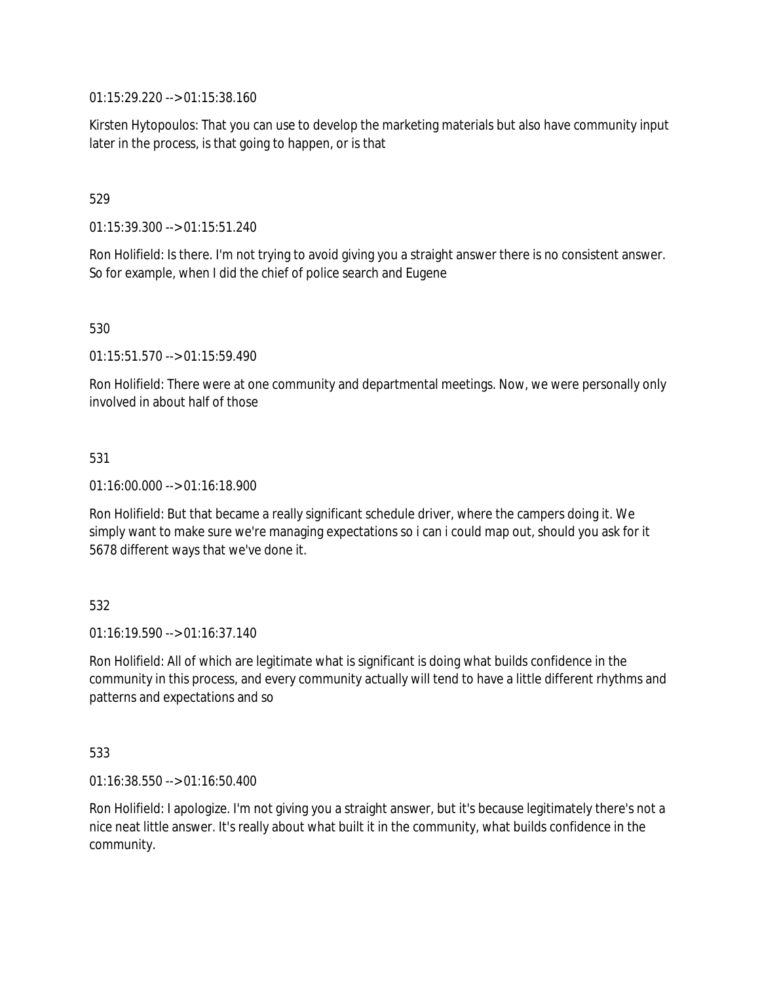01:15:29.220 --> 01:15:38.160

Kirsten Hytopoulos: That you can use to develop the marketing materials but also have community input later in the process, is that going to happen, or is that

# 529

01:15:39.300 --> 01:15:51.240

Ron Holifield: Is there. I'm not trying to avoid giving you a straight answer there is no consistent answer. So for example, when I did the chief of police search and Eugene

530

01:15:51.570 --> 01:15:59.490

Ron Holifield: There were at one community and departmental meetings. Now, we were personally only involved in about half of those

# 531

01:16:00.000 --> 01:16:18.900

Ron Holifield: But that became a really significant schedule driver, where the campers doing it. We simply want to make sure we're managing expectations so i can i could map out, should you ask for it 5678 different ways that we've done it.

# 532

01:16:19.590 --> 01:16:37.140

Ron Holifield: All of which are legitimate what is significant is doing what builds confidence in the community in this process, and every community actually will tend to have a little different rhythms and patterns and expectations and so

# 533

01:16:38.550 --> 01:16:50.400

Ron Holifield: I apologize. I'm not giving you a straight answer, but it's because legitimately there's not a nice neat little answer. It's really about what built it in the community, what builds confidence in the community.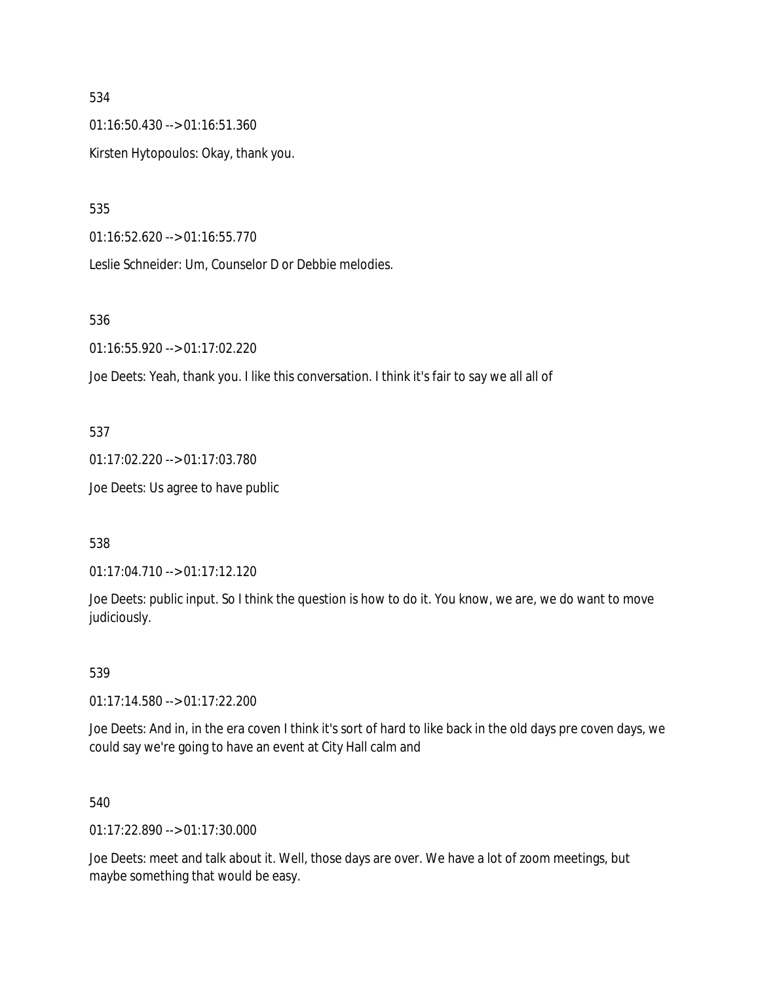01:16:50.430 --> 01:16:51.360 Kirsten Hytopoulos: Okay, thank you.

535

01:16:52.620 --> 01:16:55.770

Leslie Schneider: Um, Counselor D or Debbie melodies.

# 536

01:16:55.920 --> 01:17:02.220

Joe Deets: Yeah, thank you. I like this conversation. I think it's fair to say we all all of

# 537

01:17:02.220 --> 01:17:03.780

Joe Deets: Us agree to have public

# 538

01:17:04.710 --> 01:17:12.120

Joe Deets: public input. So I think the question is how to do it. You know, we are, we do want to move judiciously.

# 539

01:17:14.580 --> 01:17:22.200

Joe Deets: And in, in the era coven I think it's sort of hard to like back in the old days pre coven days, we could say we're going to have an event at City Hall calm and

# 540

01:17:22.890 --> 01:17:30.000

Joe Deets: meet and talk about it. Well, those days are over. We have a lot of zoom meetings, but maybe something that would be easy.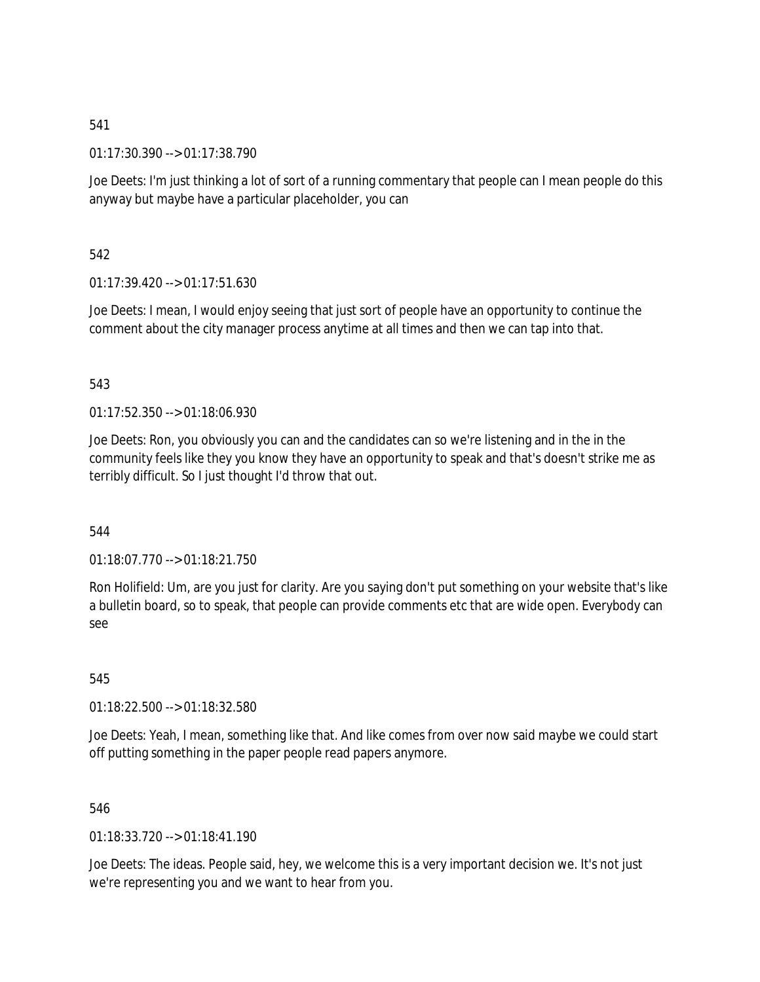01:17:30.390 --> 01:17:38.790

Joe Deets: I'm just thinking a lot of sort of a running commentary that people can I mean people do this anyway but maybe have a particular placeholder, you can

542

01:17:39.420 --> 01:17:51.630

Joe Deets: I mean, I would enjoy seeing that just sort of people have an opportunity to continue the comment about the city manager process anytime at all times and then we can tap into that.

# 543

01:17:52.350 --> 01:18:06.930

Joe Deets: Ron, you obviously you can and the candidates can so we're listening and in the in the community feels like they you know they have an opportunity to speak and that's doesn't strike me as terribly difficult. So I just thought I'd throw that out.

544

01:18:07.770 --> 01:18:21.750

Ron Holifield: Um, are you just for clarity. Are you saying don't put something on your website that's like a bulletin board, so to speak, that people can provide comments etc that are wide open. Everybody can see

545

01:18:22.500 --> 01:18:32.580

Joe Deets: Yeah, I mean, something like that. And like comes from over now said maybe we could start off putting something in the paper people read papers anymore.

546

01:18:33.720 --> 01:18:41.190

Joe Deets: The ideas. People said, hey, we welcome this is a very important decision we. It's not just we're representing you and we want to hear from you.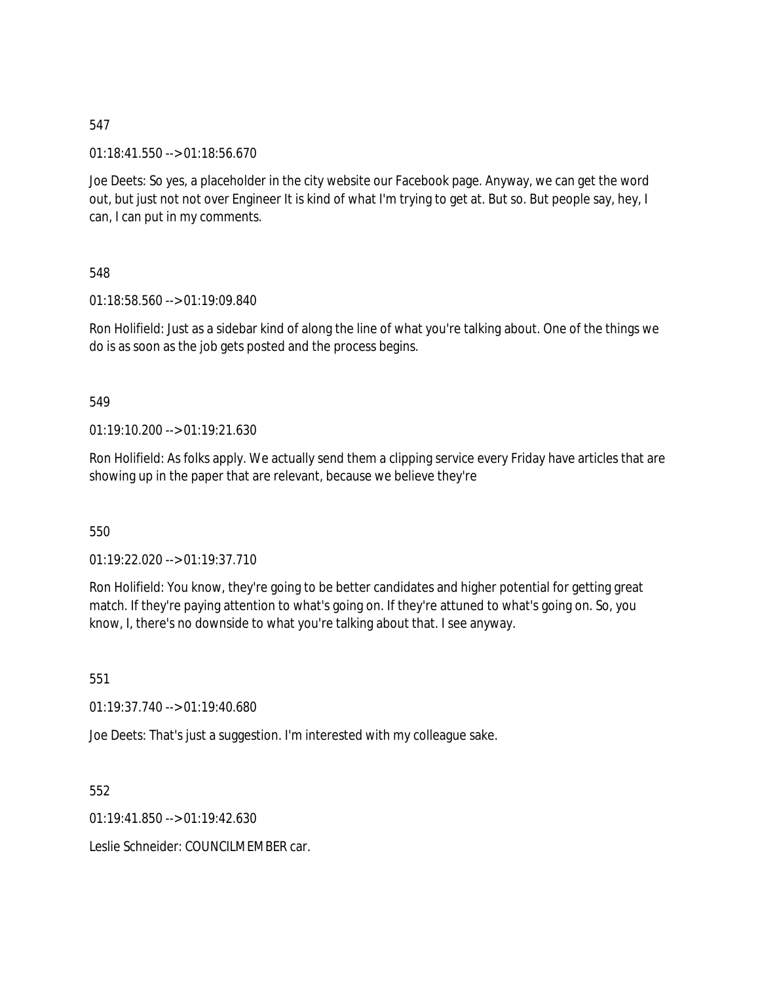01:18:41.550 --> 01:18:56.670

Joe Deets: So yes, a placeholder in the city website our Facebook page. Anyway, we can get the word out, but just not not over Engineer It is kind of what I'm trying to get at. But so. But people say, hey, I can, I can put in my comments.

548

01:18:58.560 --> 01:19:09.840

Ron Holifield: Just as a sidebar kind of along the line of what you're talking about. One of the things we do is as soon as the job gets posted and the process begins.

# 549

01:19:10.200 --> 01:19:21.630

Ron Holifield: As folks apply. We actually send them a clipping service every Friday have articles that are showing up in the paper that are relevant, because we believe they're

550

01:19:22.020 --> 01:19:37.710

Ron Holifield: You know, they're going to be better candidates and higher potential for getting great match. If they're paying attention to what's going on. If they're attuned to what's going on. So, you know, I, there's no downside to what you're talking about that. I see anyway.

551

01:19:37.740 --> 01:19:40.680

Joe Deets: That's just a suggestion. I'm interested with my colleague sake.

552

01:19:41.850 --> 01:19:42.630

Leslie Schneider: COUNCILMEMBER car.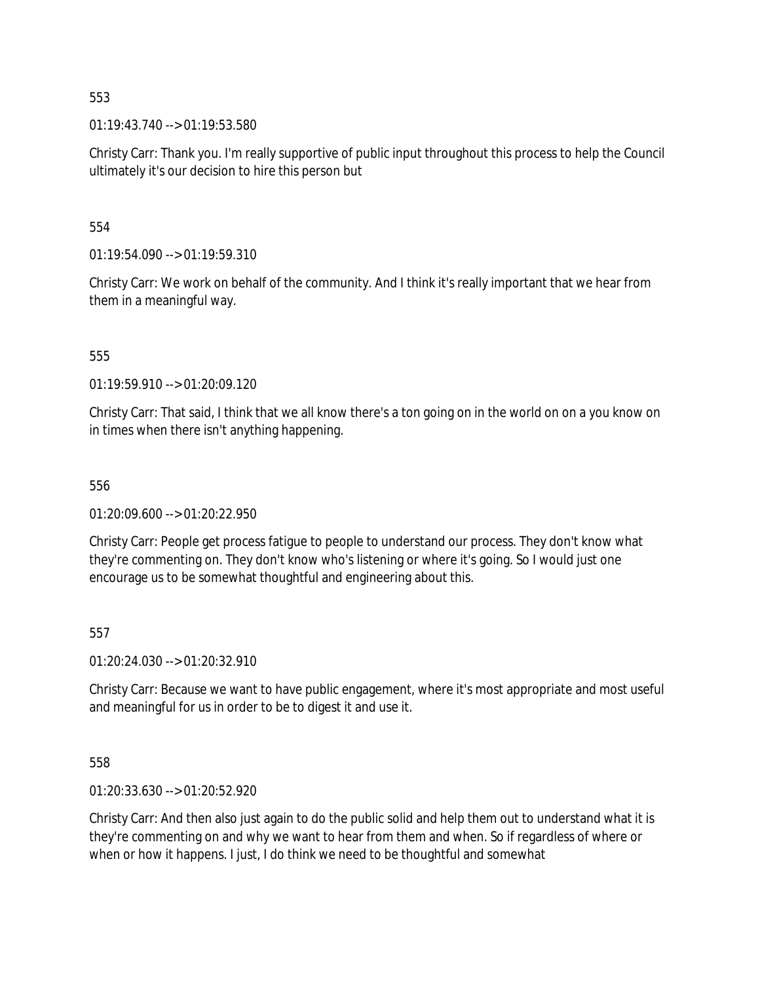01:19:43.740 --> 01:19:53.580

Christy Carr: Thank you. I'm really supportive of public input throughout this process to help the Council ultimately it's our decision to hire this person but

554

 $01:19:54.090 \rightarrow 01:19:59.310$ 

Christy Carr: We work on behalf of the community. And I think it's really important that we hear from them in a meaningful way.

555

01:19:59.910 --> 01:20:09.120

Christy Carr: That said, I think that we all know there's a ton going on in the world on on a you know on in times when there isn't anything happening.

556

01:20:09.600 --> 01:20:22.950

Christy Carr: People get process fatigue to people to understand our process. They don't know what they're commenting on. They don't know who's listening or where it's going. So I would just one encourage us to be somewhat thoughtful and engineering about this.

557

01:20:24.030 --> 01:20:32.910

Christy Carr: Because we want to have public engagement, where it's most appropriate and most useful and meaningful for us in order to be to digest it and use it.

558

01:20:33.630 --> 01:20:52.920

Christy Carr: And then also just again to do the public solid and help them out to understand what it is they're commenting on and why we want to hear from them and when. So if regardless of where or when or how it happens. I just, I do think we need to be thoughtful and somewhat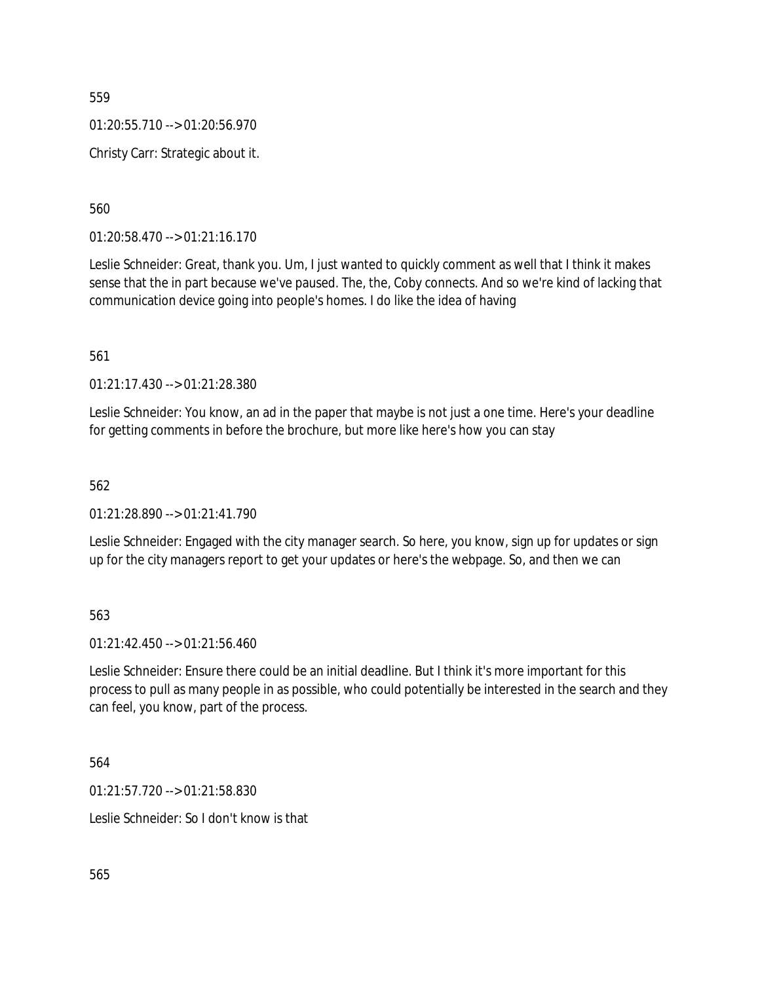01:20:55.710 --> 01:20:56.970

Christy Carr: Strategic about it.

560

01:20:58.470 --> 01:21:16.170

Leslie Schneider: Great, thank you. Um, I just wanted to quickly comment as well that I think it makes sense that the in part because we've paused. The, the, Coby connects. And so we're kind of lacking that communication device going into people's homes. I do like the idea of having

561

01:21:17.430 --> 01:21:28.380

Leslie Schneider: You know, an ad in the paper that maybe is not just a one time. Here's your deadline for getting comments in before the brochure, but more like here's how you can stay

562

01:21:28.890 --> 01:21:41.790

Leslie Schneider: Engaged with the city manager search. So here, you know, sign up for updates or sign up for the city managers report to get your updates or here's the webpage. So, and then we can

563

 $01:21:42.450 \rightarrow 01:21:56.460$ 

Leslie Schneider: Ensure there could be an initial deadline. But I think it's more important for this process to pull as many people in as possible, who could potentially be interested in the search and they can feel, you know, part of the process.

564

01:21:57.720 --> 01:21:58.830

Leslie Schneider: So I don't know is that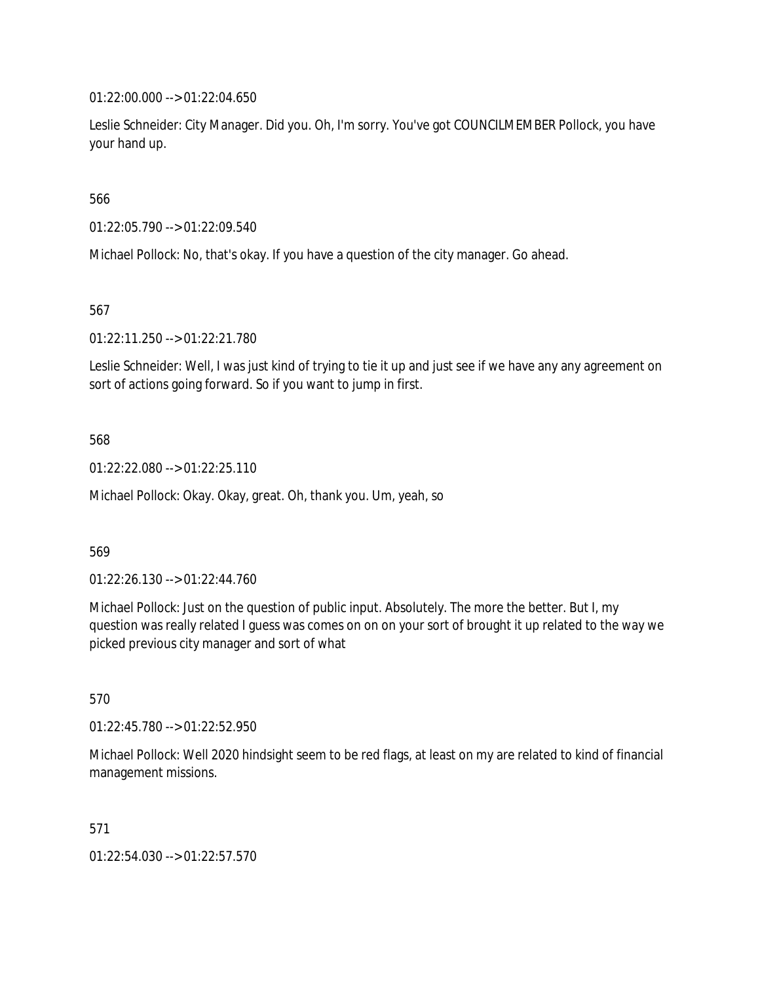01:22:00.000 --> 01:22:04.650

Leslie Schneider: City Manager. Did you. Oh, I'm sorry. You've got COUNCILMEMBER Pollock, you have your hand up.

566

01:22:05.790 --> 01:22:09.540

Michael Pollock: No, that's okay. If you have a question of the city manager. Go ahead.

567

01:22:11.250 --> 01:22:21.780

Leslie Schneider: Well, I was just kind of trying to tie it up and just see if we have any any agreement on sort of actions going forward. So if you want to jump in first.

568

01:22:22.080 --> 01:22:25.110

Michael Pollock: Okay. Okay, great. Oh, thank you. Um, yeah, so

569

01:22:26.130 --> 01:22:44.760

Michael Pollock: Just on the question of public input. Absolutely. The more the better. But I, my question was really related I guess was comes on on on your sort of brought it up related to the way we picked previous city manager and sort of what

570

01:22:45.780 --> 01:22:52.950

Michael Pollock: Well 2020 hindsight seem to be red flags, at least on my are related to kind of financial management missions.

571

01:22:54.030 --> 01:22:57.570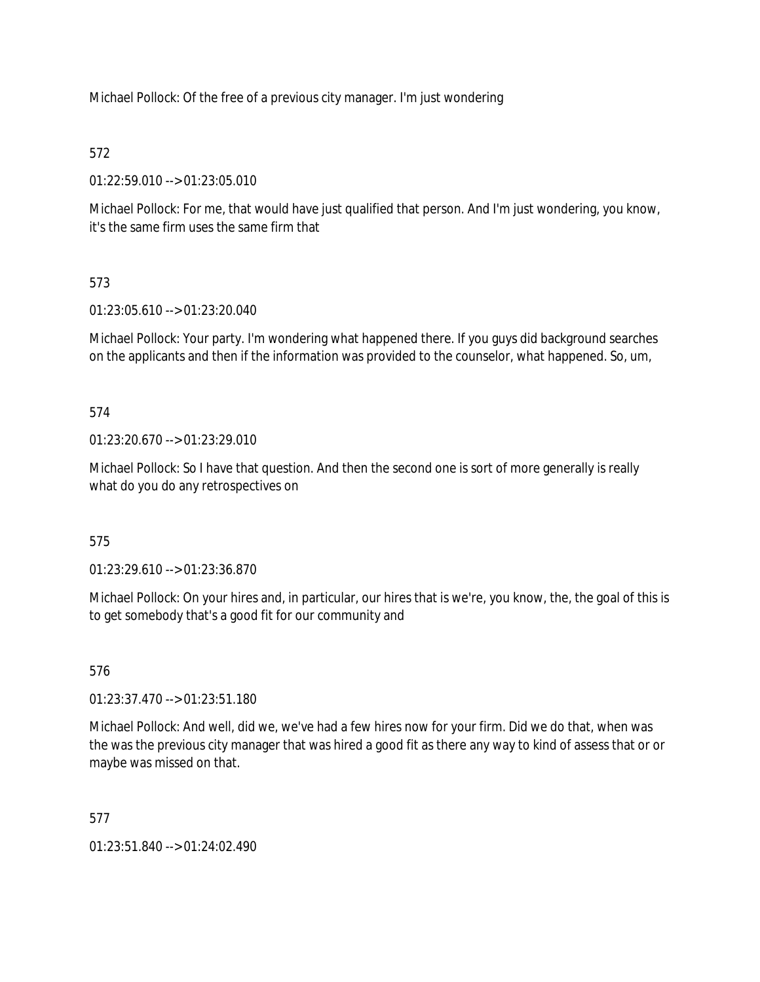Michael Pollock: Of the free of a previous city manager. I'm just wondering

# 572

01:22:59.010 --> 01:23:05.010

Michael Pollock: For me, that would have just qualified that person. And I'm just wondering, you know, it's the same firm uses the same firm that

# 573

01:23:05.610 --> 01:23:20.040

Michael Pollock: Your party. I'm wondering what happened there. If you guys did background searches on the applicants and then if the information was provided to the counselor, what happened. So, um,

574

01:23:20.670 --> 01:23:29.010

Michael Pollock: So I have that question. And then the second one is sort of more generally is really what do you do any retrospectives on

575

01:23:29.610 --> 01:23:36.870

Michael Pollock: On your hires and, in particular, our hires that is we're, you know, the, the goal of this is to get somebody that's a good fit for our community and

576

01:23:37.470 --> 01:23:51.180

Michael Pollock: And well, did we, we've had a few hires now for your firm. Did we do that, when was the was the previous city manager that was hired a good fit as there any way to kind of assess that or or maybe was missed on that.

577

01:23:51.840 --> 01:24:02.490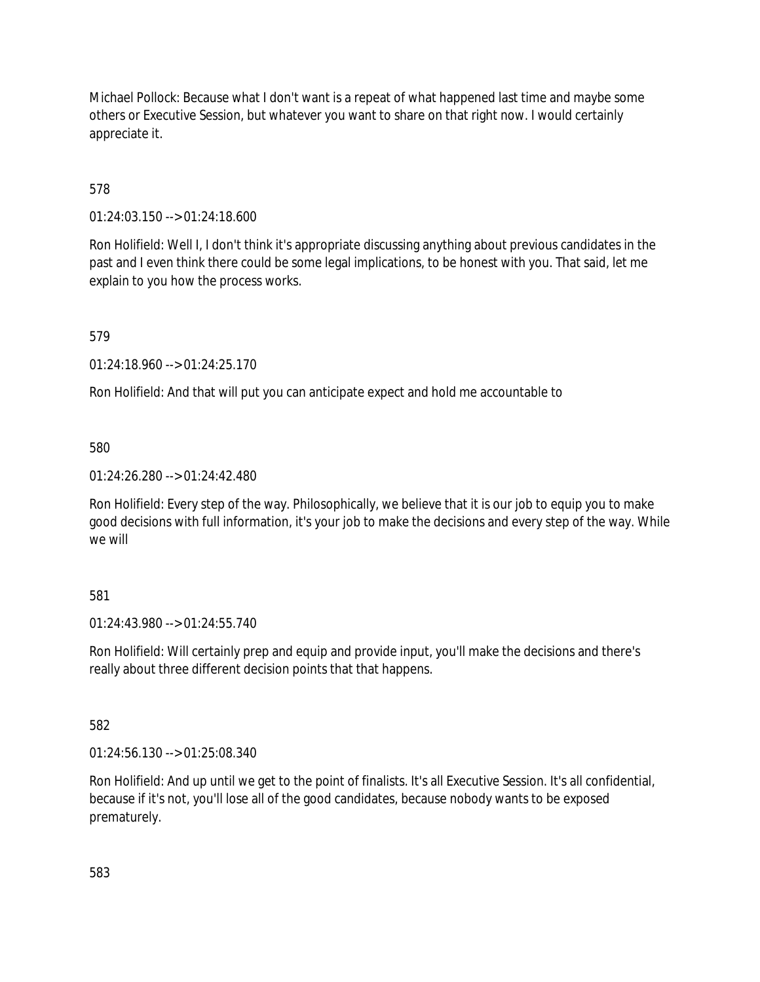Michael Pollock: Because what I don't want is a repeat of what happened last time and maybe some others or Executive Session, but whatever you want to share on that right now. I would certainly appreciate it.

578

01:24:03.150 --> 01:24:18.600

Ron Holifield: Well I, I don't think it's appropriate discussing anything about previous candidates in the past and I even think there could be some legal implications, to be honest with you. That said, let me explain to you how the process works.

579

01:24:18.960 --> 01:24:25.170

Ron Holifield: And that will put you can anticipate expect and hold me accountable to

580

01:24:26.280 --> 01:24:42.480

Ron Holifield: Every step of the way. Philosophically, we believe that it is our job to equip you to make good decisions with full information, it's your job to make the decisions and every step of the way. While we will

581

01:24:43.980 --> 01:24:55.740

Ron Holifield: Will certainly prep and equip and provide input, you'll make the decisions and there's really about three different decision points that that happens.

582

01:24:56.130 --> 01:25:08.340

Ron Holifield: And up until we get to the point of finalists. It's all Executive Session. It's all confidential, because if it's not, you'll lose all of the good candidates, because nobody wants to be exposed prematurely.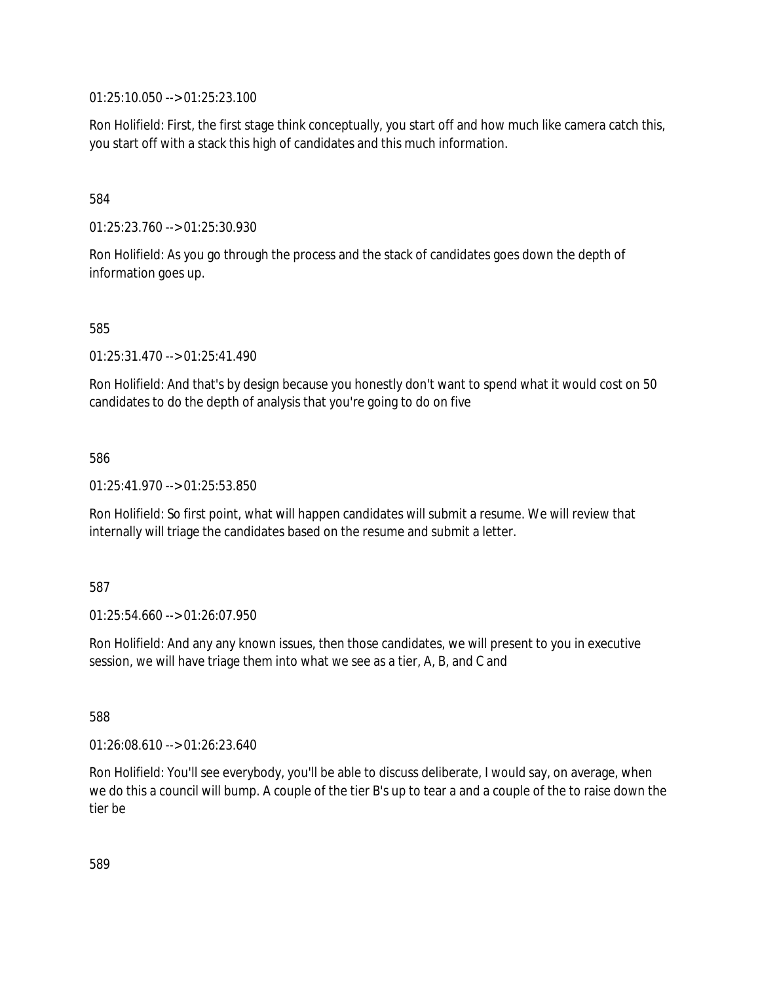01:25:10.050 --> 01:25:23.100

Ron Holifield: First, the first stage think conceptually, you start off and how much like camera catch this, you start off with a stack this high of candidates and this much information.

584

01:25:23.760 --> 01:25:30.930

Ron Holifield: As you go through the process and the stack of candidates goes down the depth of information goes up.

585

01:25:31.470 --> 01:25:41.490

Ron Holifield: And that's by design because you honestly don't want to spend what it would cost on 50 candidates to do the depth of analysis that you're going to do on five

586

01:25:41.970 --> 01:25:53.850

Ron Holifield: So first point, what will happen candidates will submit a resume. We will review that internally will triage the candidates based on the resume and submit a letter.

587

01:25:54.660 --> 01:26:07.950

Ron Holifield: And any any known issues, then those candidates, we will present to you in executive session, we will have triage them into what we see as a tier, A, B, and C and

588

01:26:08.610 --> 01:26:23.640

Ron Holifield: You'll see everybody, you'll be able to discuss deliberate, I would say, on average, when we do this a council will bump. A couple of the tier B's up to tear a and a couple of the to raise down the tier be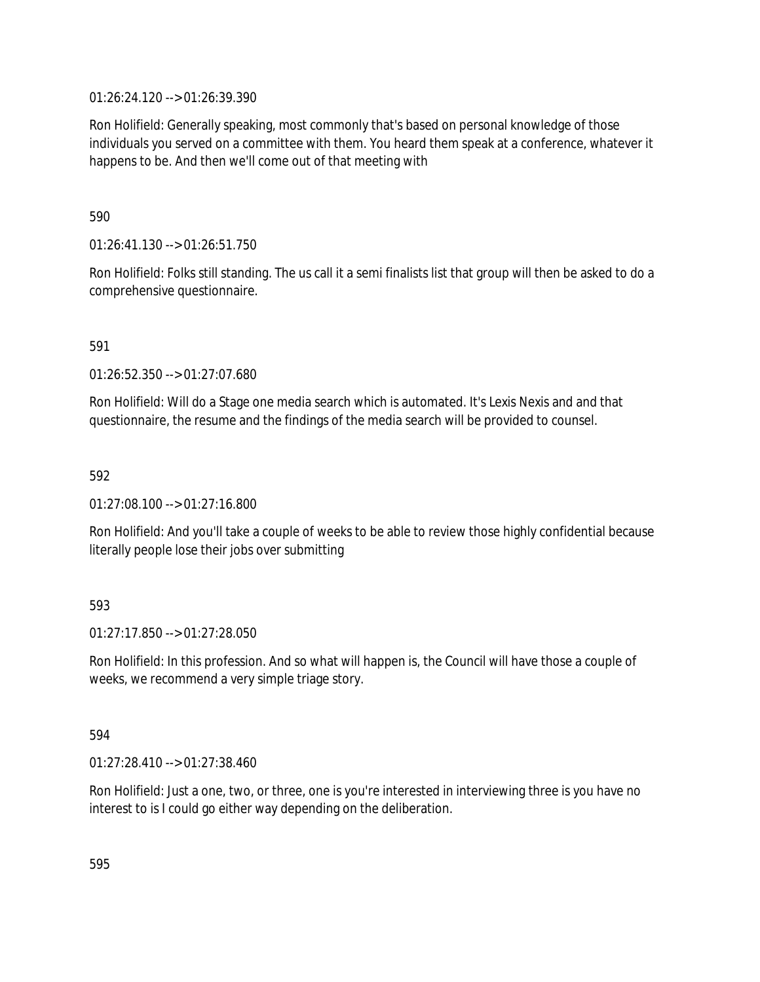01:26:24.120 --> 01:26:39.390

Ron Holifield: Generally speaking, most commonly that's based on personal knowledge of those individuals you served on a committee with them. You heard them speak at a conference, whatever it happens to be. And then we'll come out of that meeting with

590

01:26:41.130 --> 01:26:51.750

Ron Holifield: Folks still standing. The us call it a semi finalists list that group will then be asked to do a comprehensive questionnaire.

591

01:26:52.350 --> 01:27:07.680

Ron Holifield: Will do a Stage one media search which is automated. It's Lexis Nexis and and that questionnaire, the resume and the findings of the media search will be provided to counsel.

592

01:27:08.100 --> 01:27:16.800

Ron Holifield: And you'll take a couple of weeks to be able to review those highly confidential because literally people lose their jobs over submitting

# 593

01:27:17.850 --> 01:27:28.050

Ron Holifield: In this profession. And so what will happen is, the Council will have those a couple of weeks, we recommend a very simple triage story.

594

01:27:28.410 --> 01:27:38.460

Ron Holifield: Just a one, two, or three, one is you're interested in interviewing three is you have no interest to is I could go either way depending on the deliberation.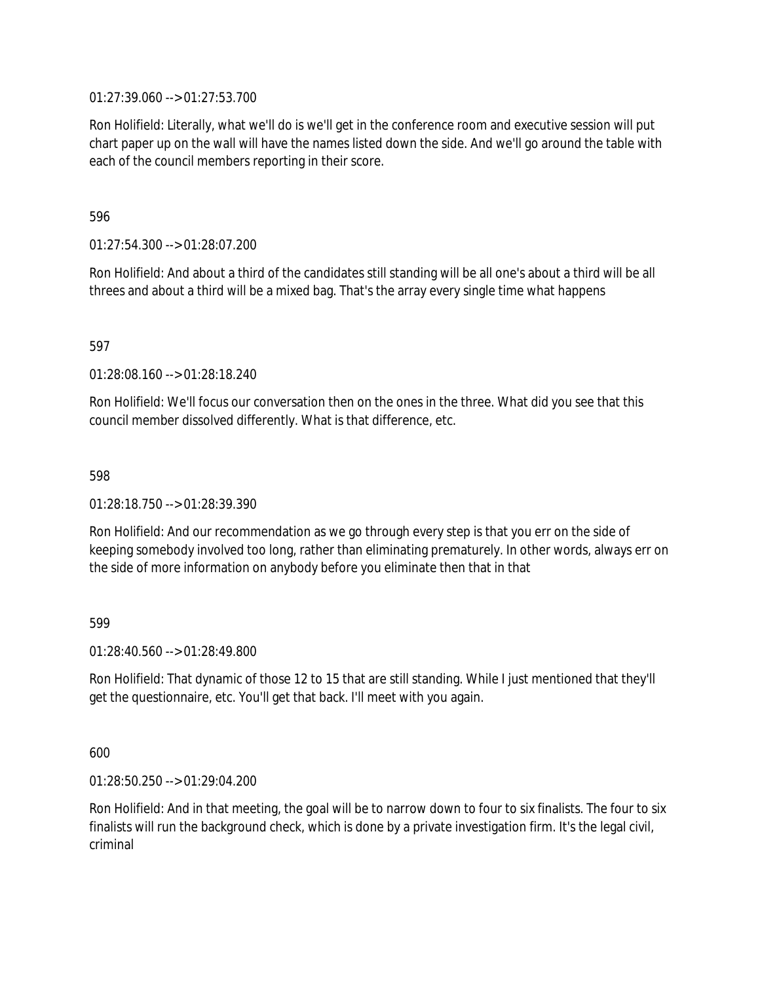01:27:39.060 --> 01:27:53.700

Ron Holifield: Literally, what we'll do is we'll get in the conference room and executive session will put chart paper up on the wall will have the names listed down the side. And we'll go around the table with each of the council members reporting in their score.

596

01:27:54.300 --> 01:28:07.200

Ron Holifield: And about a third of the candidates still standing will be all one's about a third will be all threes and about a third will be a mixed bag. That's the array every single time what happens

597

01:28:08.160 --> 01:28:18.240

Ron Holifield: We'll focus our conversation then on the ones in the three. What did you see that this council member dissolved differently. What is that difference, etc.

598

01:28:18.750 --> 01:28:39.390

Ron Holifield: And our recommendation as we go through every step is that you err on the side of keeping somebody involved too long, rather than eliminating prematurely. In other words, always err on the side of more information on anybody before you eliminate then that in that

599

01:28:40.560 --> 01:28:49.800

Ron Holifield: That dynamic of those 12 to 15 that are still standing. While I just mentioned that they'll get the questionnaire, etc. You'll get that back. I'll meet with you again.

600

01:28:50.250 --> 01:29:04.200

Ron Holifield: And in that meeting, the goal will be to narrow down to four to six finalists. The four to six finalists will run the background check, which is done by a private investigation firm. It's the legal civil, criminal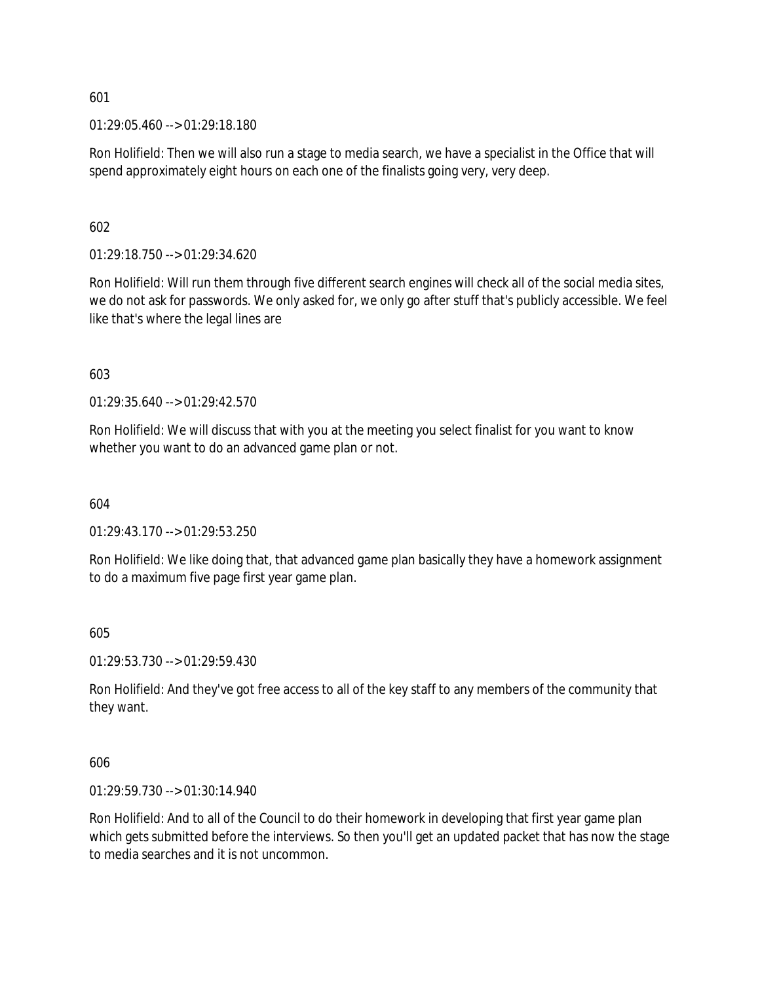01:29:05.460 --> 01:29:18.180

Ron Holifield: Then we will also run a stage to media search, we have a specialist in the Office that will spend approximately eight hours on each one of the finalists going very, very deep.

602

01:29:18.750 --> 01:29:34.620

Ron Holifield: Will run them through five different search engines will check all of the social media sites, we do not ask for passwords. We only asked for, we only go after stuff that's publicly accessible. We feel like that's where the legal lines are

603

01:29:35.640 --> 01:29:42.570

Ron Holifield: We will discuss that with you at the meeting you select finalist for you want to know whether you want to do an advanced game plan or not.

604

01:29:43.170 --> 01:29:53.250

Ron Holifield: We like doing that, that advanced game plan basically they have a homework assignment to do a maximum five page first year game plan.

605

01:29:53.730 --> 01:29:59.430

Ron Holifield: And they've got free access to all of the key staff to any members of the community that they want.

606

01:29:59.730 --> 01:30:14.940

Ron Holifield: And to all of the Council to do their homework in developing that first year game plan which gets submitted before the interviews. So then you'll get an updated packet that has now the stage to media searches and it is not uncommon.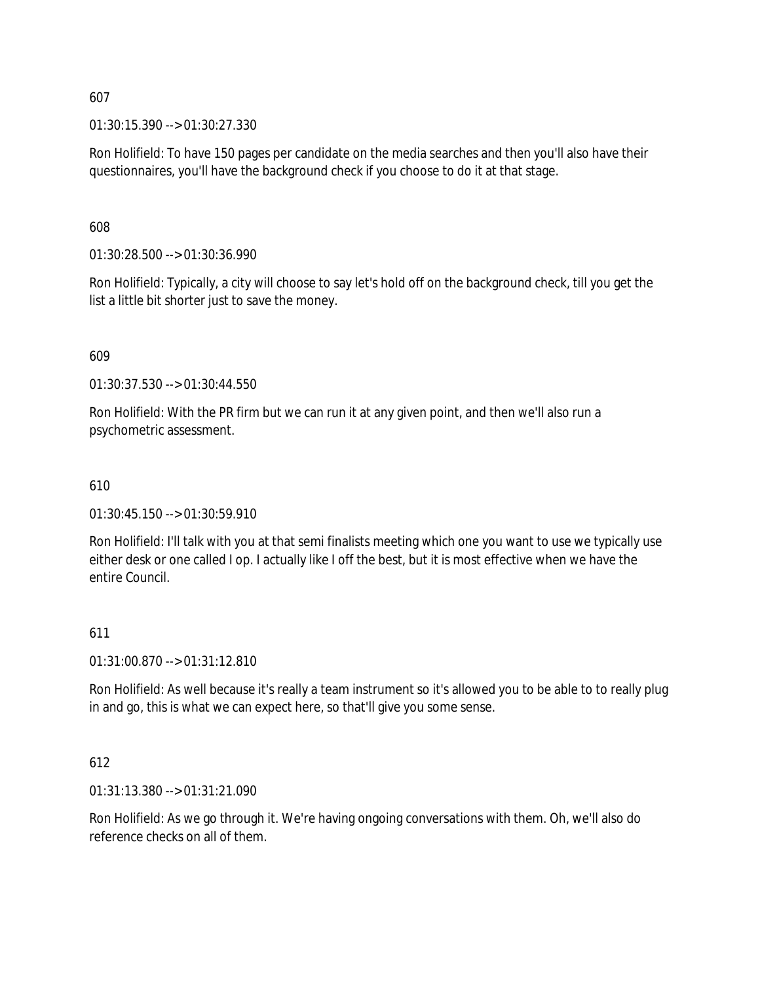01:30:15.390 --> 01:30:27.330

Ron Holifield: To have 150 pages per candidate on the media searches and then you'll also have their questionnaires, you'll have the background check if you choose to do it at that stage.

608

01:30:28.500 --> 01:30:36.990

Ron Holifield: Typically, a city will choose to say let's hold off on the background check, till you get the list a little bit shorter just to save the money.

#### 609

01:30:37.530 --> 01:30:44.550

Ron Holifield: With the PR firm but we can run it at any given point, and then we'll also run a psychometric assessment.

### 610

01:30:45.150 --> 01:30:59.910

Ron Holifield: I'll talk with you at that semi finalists meeting which one you want to use we typically use either desk or one called I op. I actually like I off the best, but it is most effective when we have the entire Council.

# 611

01:31:00.870 --> 01:31:12.810

Ron Holifield: As well because it's really a team instrument so it's allowed you to be able to to really plug in and go, this is what we can expect here, so that'll give you some sense.

# 612

01:31:13.380 --> 01:31:21.090

Ron Holifield: As we go through it. We're having ongoing conversations with them. Oh, we'll also do reference checks on all of them.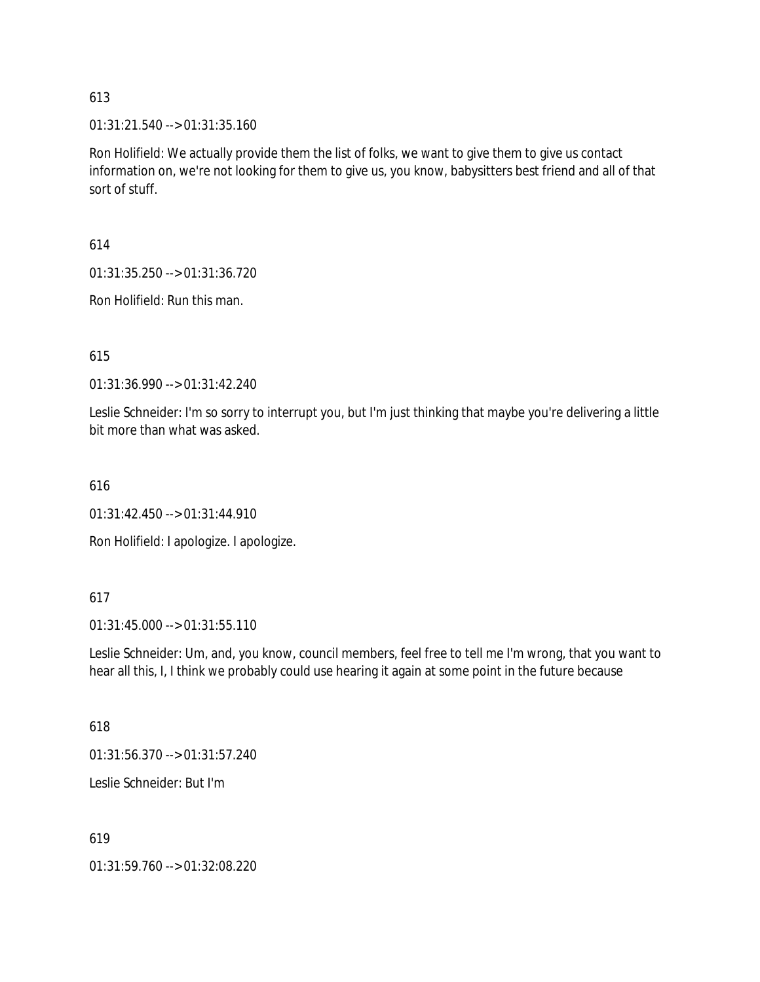01:31:21.540 --> 01:31:35.160

Ron Holifield: We actually provide them the list of folks, we want to give them to give us contact information on, we're not looking for them to give us, you know, babysitters best friend and all of that sort of stuff.

614

01:31:35.250 --> 01:31:36.720

Ron Holifield: Run this man.

615

01:31:36.990 --> 01:31:42.240

Leslie Schneider: I'm so sorry to interrupt you, but I'm just thinking that maybe you're delivering a little bit more than what was asked.

616

01:31:42.450 --> 01:31:44.910

Ron Holifield: I apologize. I apologize.

# 617

01:31:45.000 --> 01:31:55.110

Leslie Schneider: Um, and, you know, council members, feel free to tell me I'm wrong, that you want to hear all this, I, I think we probably could use hearing it again at some point in the future because

618

01:31:56.370 --> 01:31:57.240

Leslie Schneider: But I'm

619

01:31:59.760 --> 01:32:08.220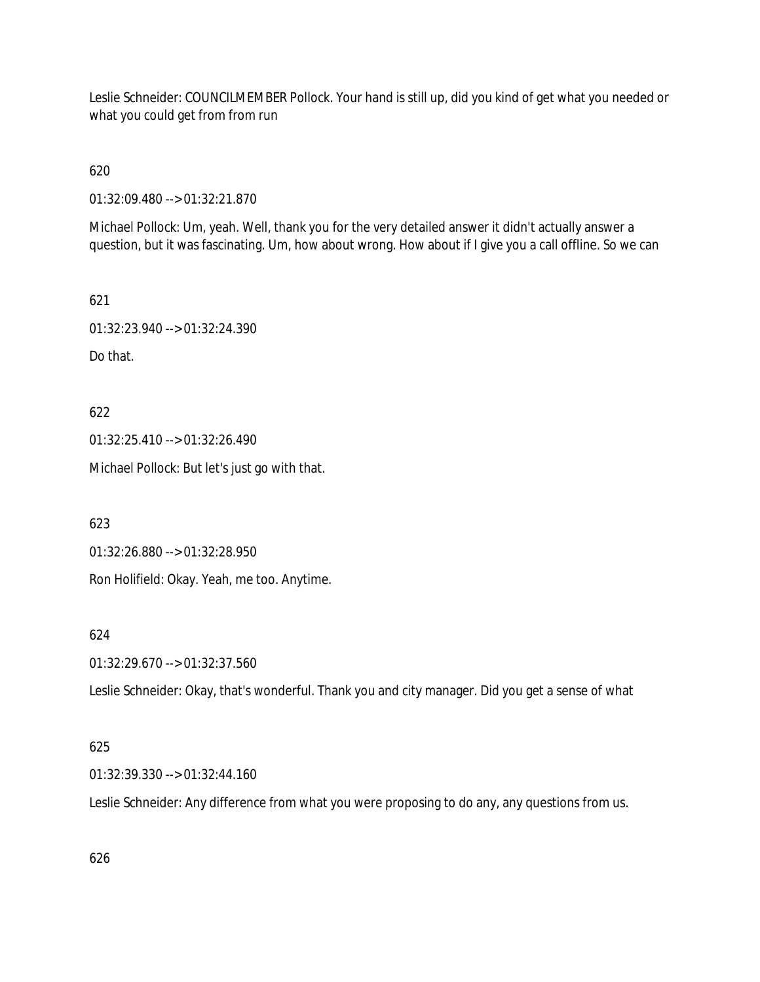Leslie Schneider: COUNCILMEMBER Pollock. Your hand is still up, did you kind of get what you needed or what you could get from from run

620

01:32:09.480 --> 01:32:21.870

Michael Pollock: Um, yeah. Well, thank you for the very detailed answer it didn't actually answer a question, but it was fascinating. Um, how about wrong. How about if I give you a call offline. So we can

621

01:32:23.940 --> 01:32:24.390

Do that.

622 01:32:25.410 --> 01:32:26.490 Michael Pollock: But let's just go with that.

623

01:32:26.880 --> 01:32:28.950 Ron Holifield: Okay. Yeah, me too. Anytime.

624

01:32:29.670 --> 01:32:37.560

Leslie Schneider: Okay, that's wonderful. Thank you and city manager. Did you get a sense of what

# 625

01:32:39.330 --> 01:32:44.160

Leslie Schneider: Any difference from what you were proposing to do any, any questions from us.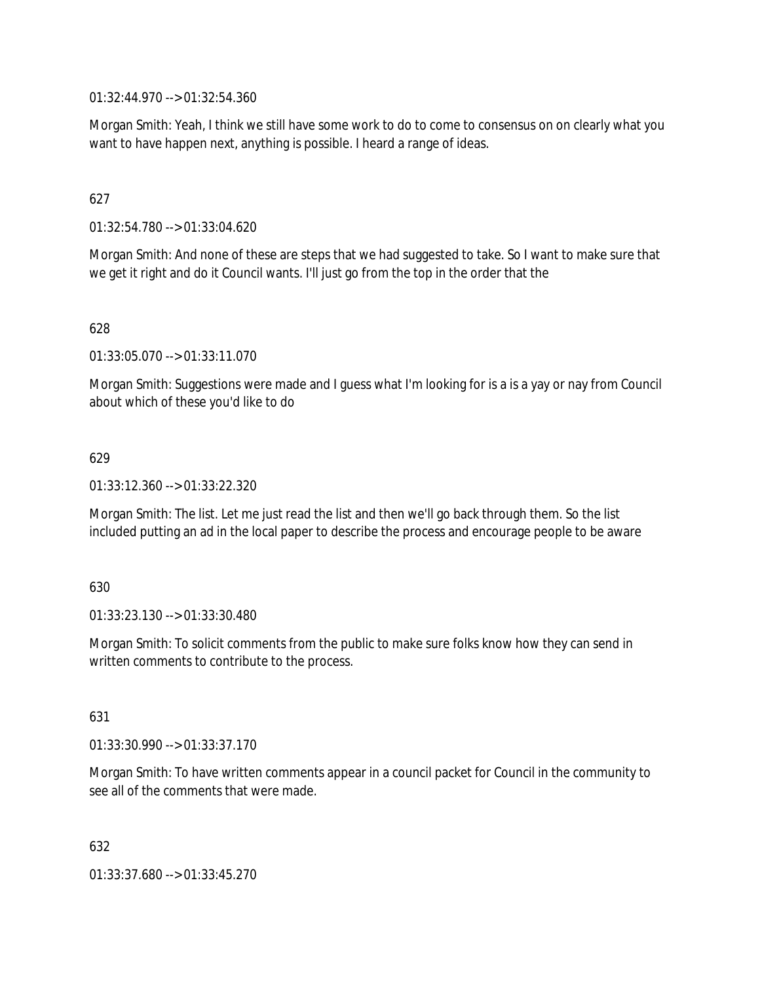01:32:44.970 --> 01:32:54.360

Morgan Smith: Yeah, I think we still have some work to do to come to consensus on on clearly what you want to have happen next, anything is possible. I heard a range of ideas.

# 627

01:32:54.780 --> 01:33:04.620

Morgan Smith: And none of these are steps that we had suggested to take. So I want to make sure that we get it right and do it Council wants. I'll just go from the top in the order that the

628

01:33:05.070 --> 01:33:11.070

Morgan Smith: Suggestions were made and I guess what I'm looking for is a is a yay or nay from Council about which of these you'd like to do

#### 629

01:33:12.360 --> 01:33:22.320

Morgan Smith: The list. Let me just read the list and then we'll go back through them. So the list included putting an ad in the local paper to describe the process and encourage people to be aware

#### 630

01:33:23.130 --> 01:33:30.480

Morgan Smith: To solicit comments from the public to make sure folks know how they can send in written comments to contribute to the process.

#### 631

01:33:30.990 --> 01:33:37.170

Morgan Smith: To have written comments appear in a council packet for Council in the community to see all of the comments that were made.

632

01:33:37.680 --> 01:33:45.270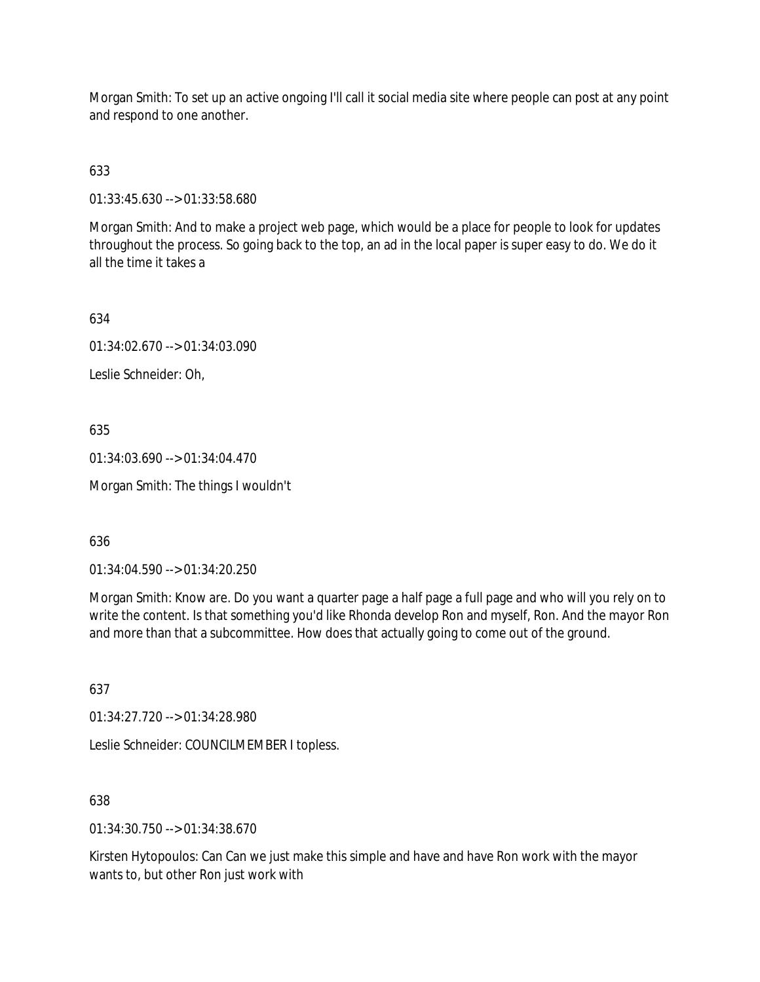Morgan Smith: To set up an active ongoing I'll call it social media site where people can post at any point and respond to one another.

633

01:33:45.630 --> 01:33:58.680

Morgan Smith: And to make a project web page, which would be a place for people to look for updates throughout the process. So going back to the top, an ad in the local paper is super easy to do. We do it all the time it takes a

634

01:34:02.670 --> 01:34:03.090

Leslie Schneider: Oh,

635

01:34:03.690 --> 01:34:04.470

Morgan Smith: The things I wouldn't

636

01:34:04.590 --> 01:34:20.250

Morgan Smith: Know are. Do you want a quarter page a half page a full page and who will you rely on to write the content. Is that something you'd like Rhonda develop Ron and myself, Ron. And the mayor Ron and more than that a subcommittee. How does that actually going to come out of the ground.

637

01:34:27.720 --> 01:34:28.980

Leslie Schneider: COUNCILMEMBER I topless.

638

01:34:30.750 --> 01:34:38.670

Kirsten Hytopoulos: Can Can we just make this simple and have and have Ron work with the mayor wants to, but other Ron just work with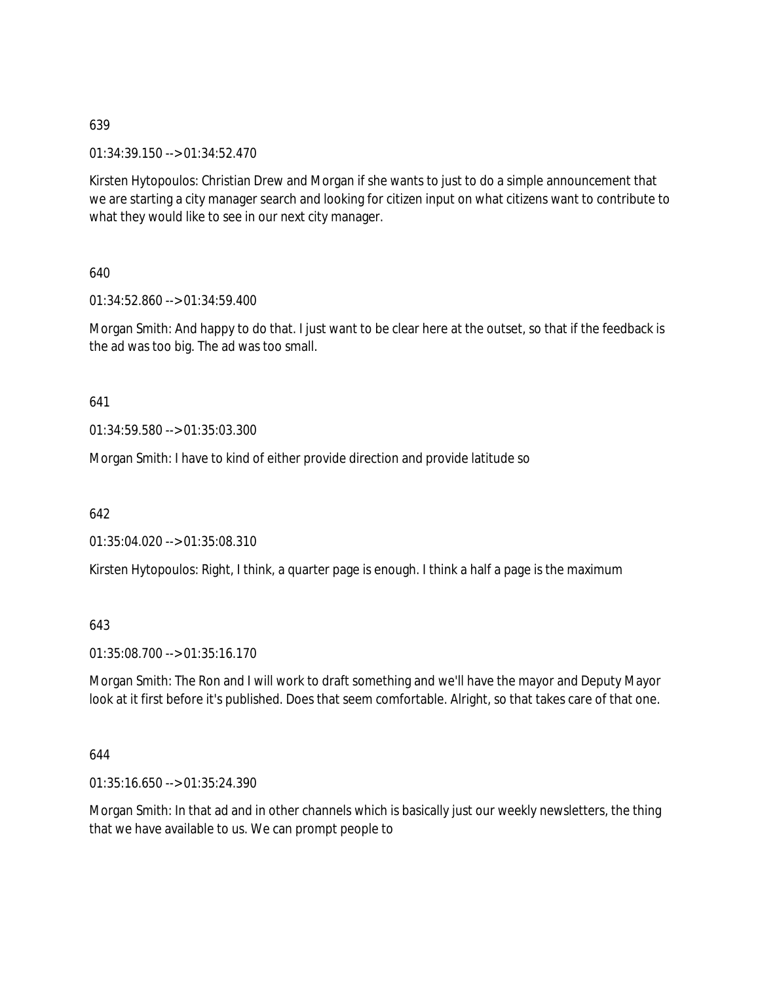01:34:39.150 --> 01:34:52.470

Kirsten Hytopoulos: Christian Drew and Morgan if she wants to just to do a simple announcement that we are starting a city manager search and looking for citizen input on what citizens want to contribute to what they would like to see in our next city manager.

640

01:34:52.860 --> 01:34:59.400

Morgan Smith: And happy to do that. I just want to be clear here at the outset, so that if the feedback is the ad was too big. The ad was too small.

641

01:34:59.580 --> 01:35:03.300

Morgan Smith: I have to kind of either provide direction and provide latitude so

642

01:35:04.020 --> 01:35:08.310

Kirsten Hytopoulos: Right, I think, a quarter page is enough. I think a half a page is the maximum

643

01:35:08.700 --> 01:35:16.170

Morgan Smith: The Ron and I will work to draft something and we'll have the mayor and Deputy Mayor look at it first before it's published. Does that seem comfortable. Alright, so that takes care of that one.

644

01:35:16.650 --> 01:35:24.390

Morgan Smith: In that ad and in other channels which is basically just our weekly newsletters, the thing that we have available to us. We can prompt people to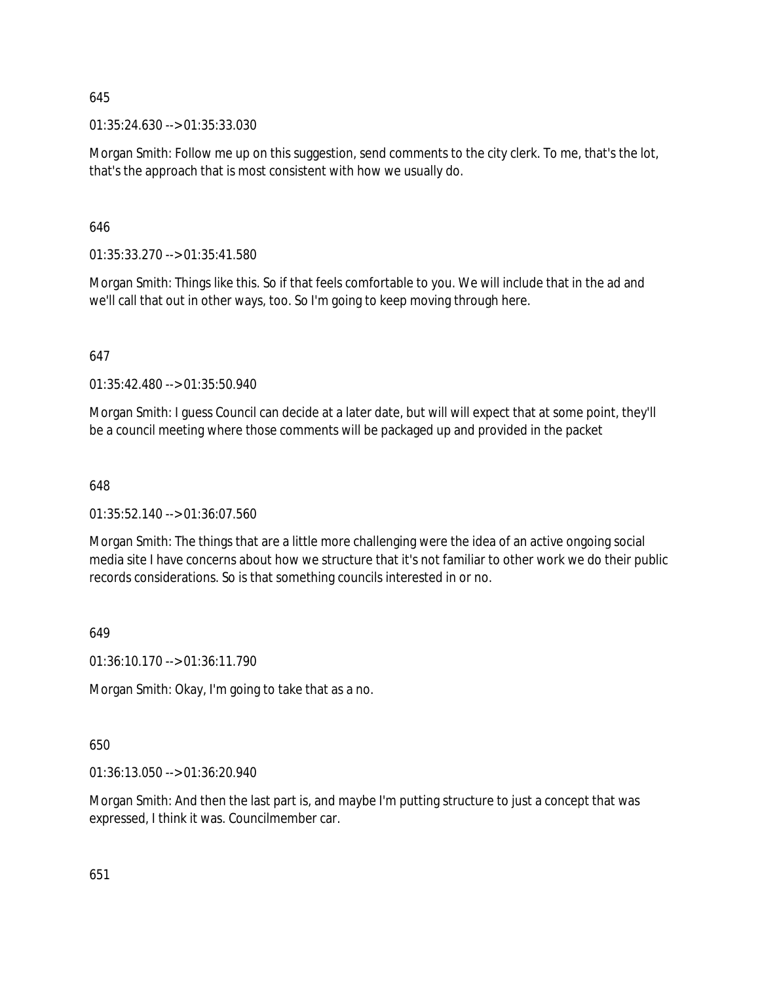01:35:24.630 --> 01:35:33.030

Morgan Smith: Follow me up on this suggestion, send comments to the city clerk. To me, that's the lot, that's the approach that is most consistent with how we usually do.

646

01:35:33.270 --> 01:35:41.580

Morgan Smith: Things like this. So if that feels comfortable to you. We will include that in the ad and we'll call that out in other ways, too. So I'm going to keep moving through here.

647

01:35:42.480 --> 01:35:50.940

Morgan Smith: I guess Council can decide at a later date, but will will expect that at some point, they'll be a council meeting where those comments will be packaged up and provided in the packet

648

01:35:52.140 --> 01:36:07.560

Morgan Smith: The things that are a little more challenging were the idea of an active ongoing social media site I have concerns about how we structure that it's not familiar to other work we do their public records considerations. So is that something councils interested in or no.

649

01:36:10.170 --> 01:36:11.790

Morgan Smith: Okay, I'm going to take that as a no.

650

01:36:13.050 --> 01:36:20.940

Morgan Smith: And then the last part is, and maybe I'm putting structure to just a concept that was expressed, I think it was. Councilmember car.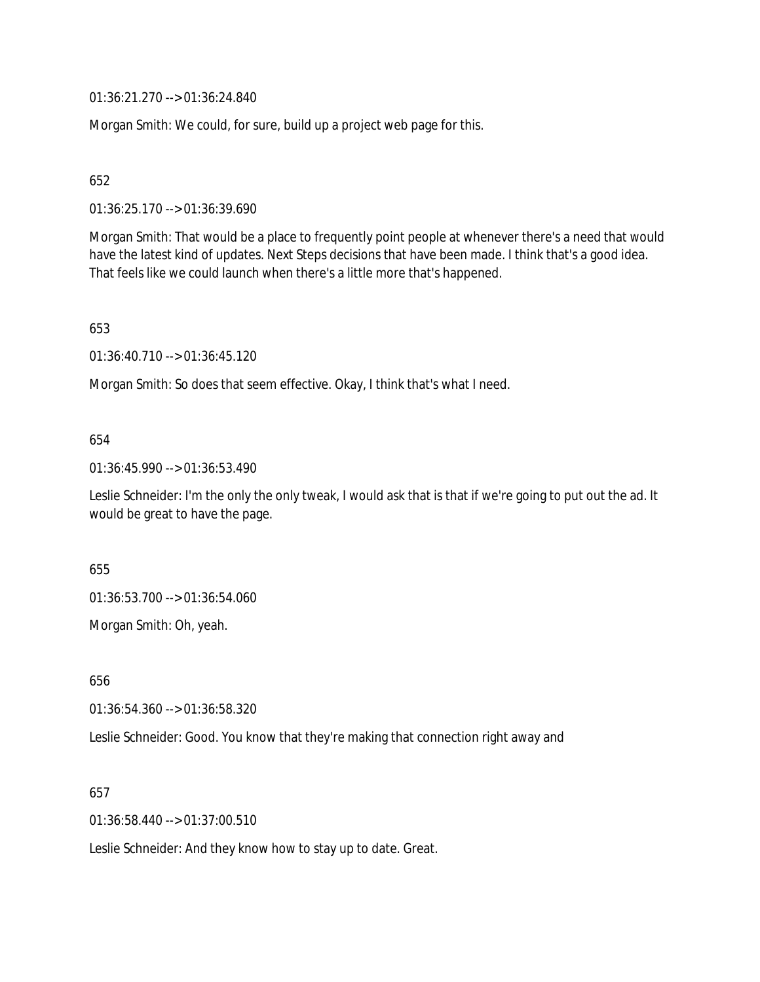01:36:21.270 --> 01:36:24.840

Morgan Smith: We could, for sure, build up a project web page for this.

652

01:36:25.170 --> 01:36:39.690

Morgan Smith: That would be a place to frequently point people at whenever there's a need that would have the latest kind of updates. Next Steps decisions that have been made. I think that's a good idea. That feels like we could launch when there's a little more that's happened.

653

01:36:40.710 --> 01:36:45.120

Morgan Smith: So does that seem effective. Okay, I think that's what I need.

# 654

01:36:45.990 --> 01:36:53.490

Leslie Schneider: I'm the only the only tweak, I would ask that is that if we're going to put out the ad. It would be great to have the page.

655

01:36:53.700 --> 01:36:54.060

Morgan Smith: Oh, yeah.

656

01:36:54.360 --> 01:36:58.320

Leslie Schneider: Good. You know that they're making that connection right away and

657

01:36:58.440 --> 01:37:00.510

Leslie Schneider: And they know how to stay up to date. Great.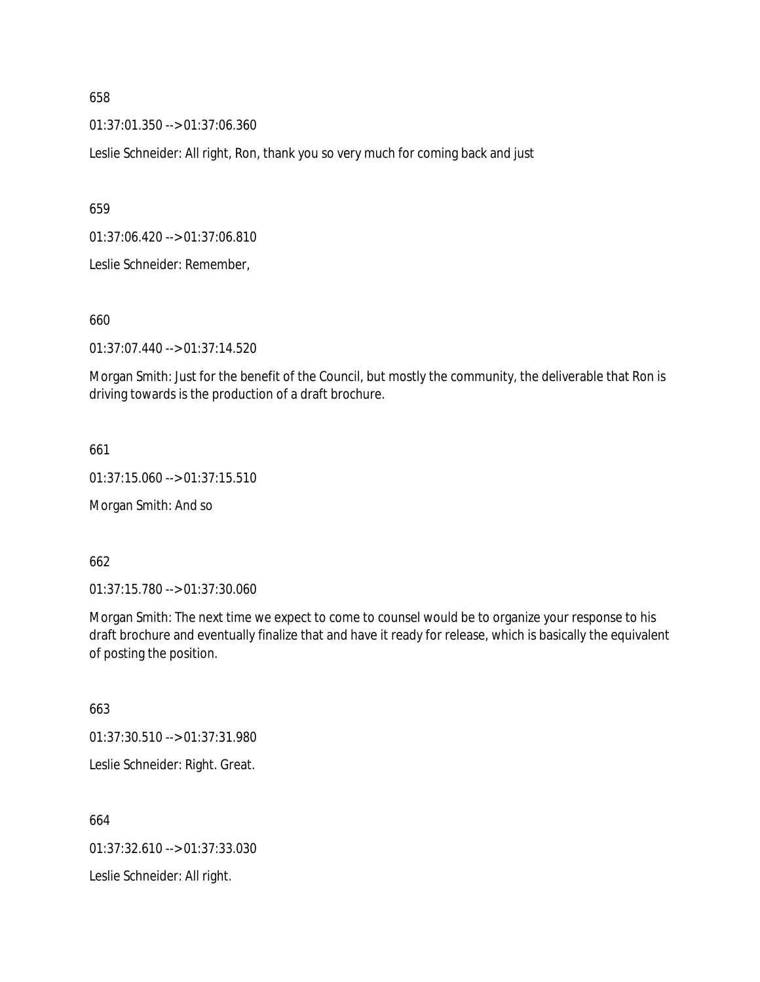01:37:01.350 --> 01:37:06.360

Leslie Schneider: All right, Ron, thank you so very much for coming back and just

659

01:37:06.420 --> 01:37:06.810

Leslie Schneider: Remember,

660

01:37:07.440 --> 01:37:14.520

Morgan Smith: Just for the benefit of the Council, but mostly the community, the deliverable that Ron is driving towards is the production of a draft brochure.

661

01:37:15.060 --> 01:37:15.510

Morgan Smith: And so

662

01:37:15.780 --> 01:37:30.060

Morgan Smith: The next time we expect to come to counsel would be to organize your response to his draft brochure and eventually finalize that and have it ready for release, which is basically the equivalent of posting the position.

663

01:37:30.510 --> 01:37:31.980

Leslie Schneider: Right. Great.

664

01:37:32.610 --> 01:37:33.030

Leslie Schneider: All right.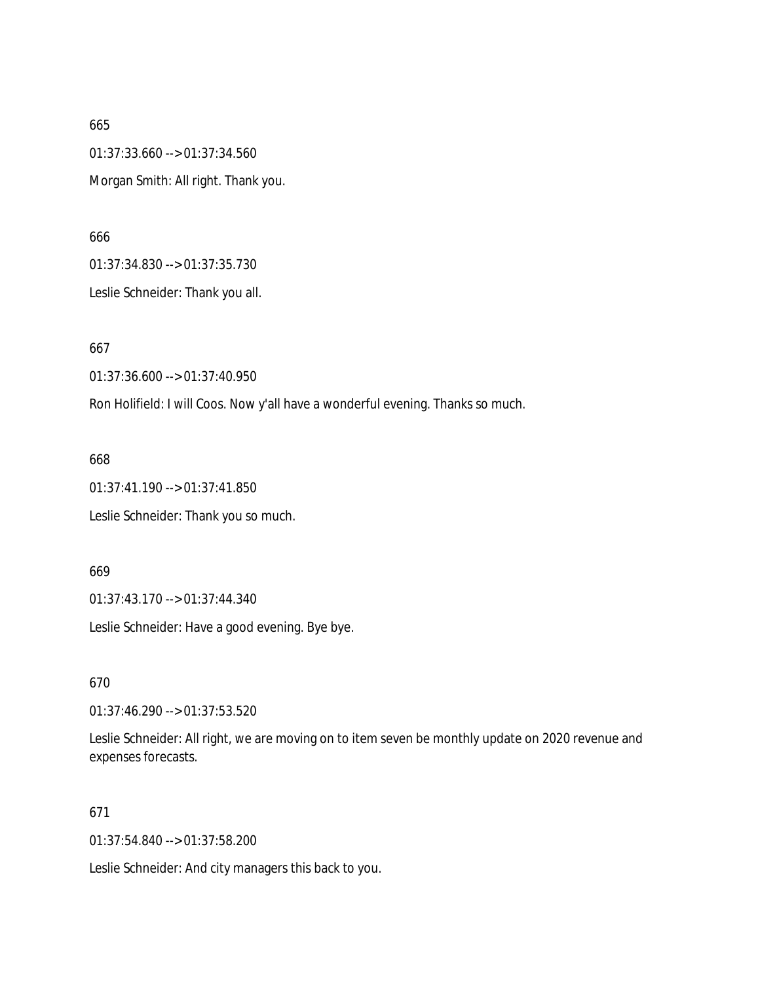665 01:37:33.660 --> 01:37:34.560 Morgan Smith: All right. Thank you.

666

01:37:34.830 --> 01:37:35.730

Leslie Schneider: Thank you all.

667

01:37:36.600 --> 01:37:40.950

Ron Holifield: I will Coos. Now y'all have a wonderful evening. Thanks so much.

668

01:37:41.190 --> 01:37:41.850

Leslie Schneider: Thank you so much.

669

01:37:43.170 --> 01:37:44.340

Leslie Schneider: Have a good evening. Bye bye.

670

01:37:46.290 --> 01:37:53.520

Leslie Schneider: All right, we are moving on to item seven be monthly update on 2020 revenue and expenses forecasts.

# 671

01:37:54.840 --> 01:37:58.200

Leslie Schneider: And city managers this back to you.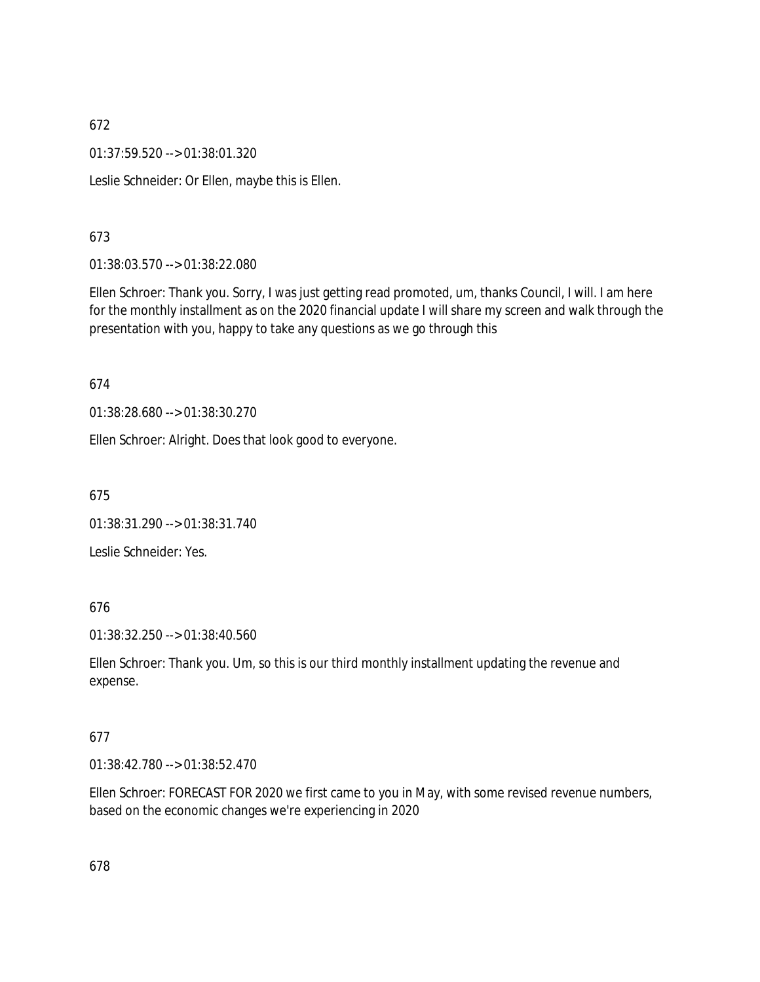01:37:59.520 --> 01:38:01.320

Leslie Schneider: Or Ellen, maybe this is Ellen.

# 673

01:38:03.570 --> 01:38:22.080

Ellen Schroer: Thank you. Sorry, I was just getting read promoted, um, thanks Council, I will. I am here for the monthly installment as on the 2020 financial update I will share my screen and walk through the presentation with you, happy to take any questions as we go through this

# 674

01:38:28.680 --> 01:38:30.270

Ellen Schroer: Alright. Does that look good to everyone.

675

01:38:31.290 --> 01:38:31.740

Leslie Schneider: Yes.

# 676

01:38:32.250 --> 01:38:40.560

Ellen Schroer: Thank you. Um, so this is our third monthly installment updating the revenue and expense.

# 677

01:38:42.780 --> 01:38:52.470

Ellen Schroer: FORECAST FOR 2020 we first came to you in May, with some revised revenue numbers, based on the economic changes we're experiencing in 2020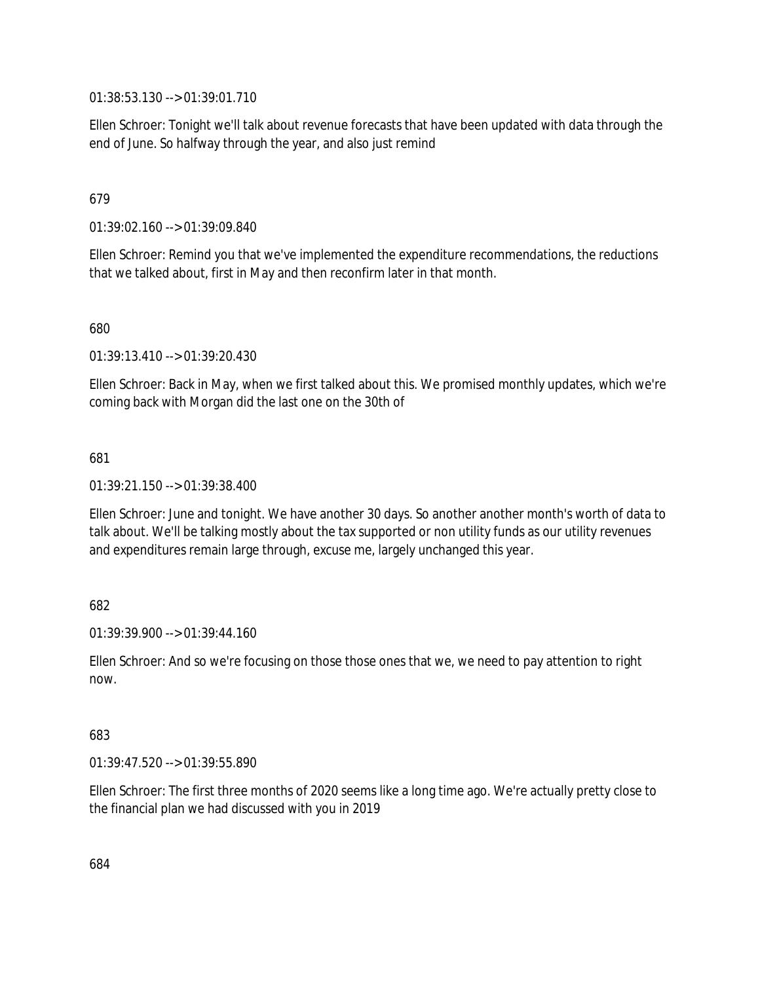01:38:53.130 --> 01:39:01.710

Ellen Schroer: Tonight we'll talk about revenue forecasts that have been updated with data through the end of June. So halfway through the year, and also just remind

# 679

01:39:02.160 --> 01:39:09.840

Ellen Schroer: Remind you that we've implemented the expenditure recommendations, the reductions that we talked about, first in May and then reconfirm later in that month.

680

01:39:13.410 --> 01:39:20.430

Ellen Schroer: Back in May, when we first talked about this. We promised monthly updates, which we're coming back with Morgan did the last one on the 30th of

# 681

01:39:21.150 --> 01:39:38.400

Ellen Schroer: June and tonight. We have another 30 days. So another another month's worth of data to talk about. We'll be talking mostly about the tax supported or non utility funds as our utility revenues and expenditures remain large through, excuse me, largely unchanged this year.

# 682

01:39:39.900 --> 01:39:44.160

Ellen Schroer: And so we're focusing on those those ones that we, we need to pay attention to right now.

# 683

01:39:47.520 --> 01:39:55.890

Ellen Schroer: The first three months of 2020 seems like a long time ago. We're actually pretty close to the financial plan we had discussed with you in 2019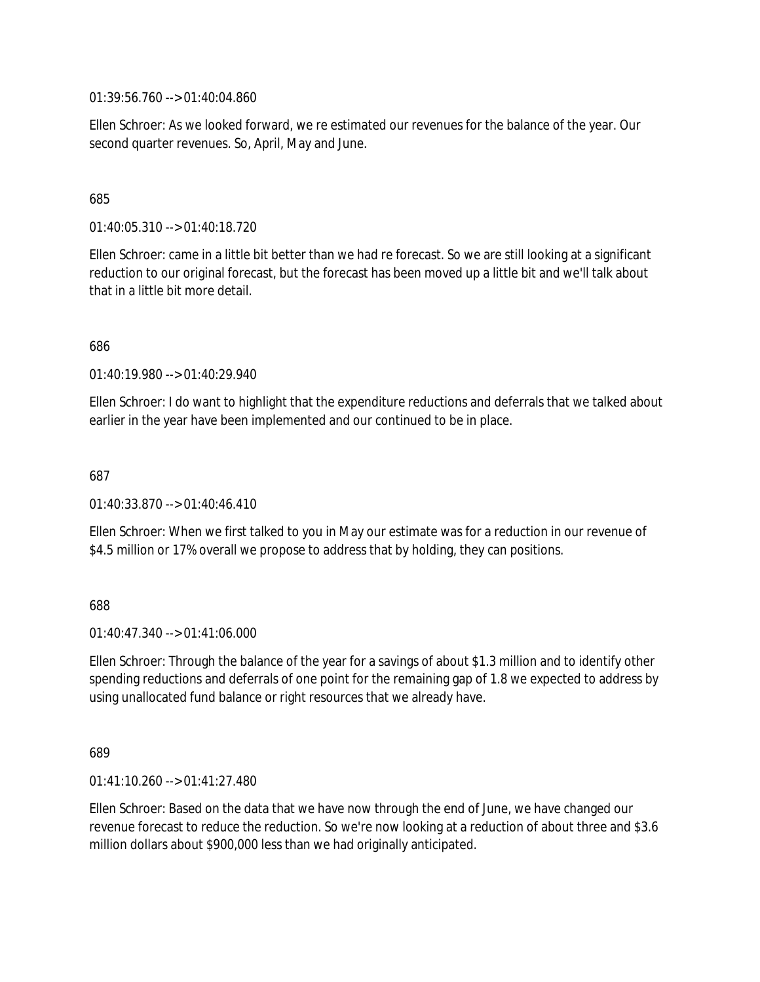01:39:56.760 --> 01:40:04.860

Ellen Schroer: As we looked forward, we re estimated our revenues for the balance of the year. Our second quarter revenues. So, April, May and June.

## 685

01:40:05.310 --> 01:40:18.720

Ellen Schroer: came in a little bit better than we had re forecast. So we are still looking at a significant reduction to our original forecast, but the forecast has been moved up a little bit and we'll talk about that in a little bit more detail.

686

01:40:19.980 --> 01:40:29.940

Ellen Schroer: I do want to highlight that the expenditure reductions and deferrals that we talked about earlier in the year have been implemented and our continued to be in place.

687

01:40:33.870 --> 01:40:46.410

Ellen Schroer: When we first talked to you in May our estimate was for a reduction in our revenue of \$4.5 million or 17% overall we propose to address that by holding, they can positions.

688

 $01:40:47.340 \rightarrow 01:41:06.000$ 

Ellen Schroer: Through the balance of the year for a savings of about \$1.3 million and to identify other spending reductions and deferrals of one point for the remaining gap of 1.8 we expected to address by using unallocated fund balance or right resources that we already have.

689

01:41:10.260 --> 01:41:27.480

Ellen Schroer: Based on the data that we have now through the end of June, we have changed our revenue forecast to reduce the reduction. So we're now looking at a reduction of about three and \$3.6 million dollars about \$900,000 less than we had originally anticipated.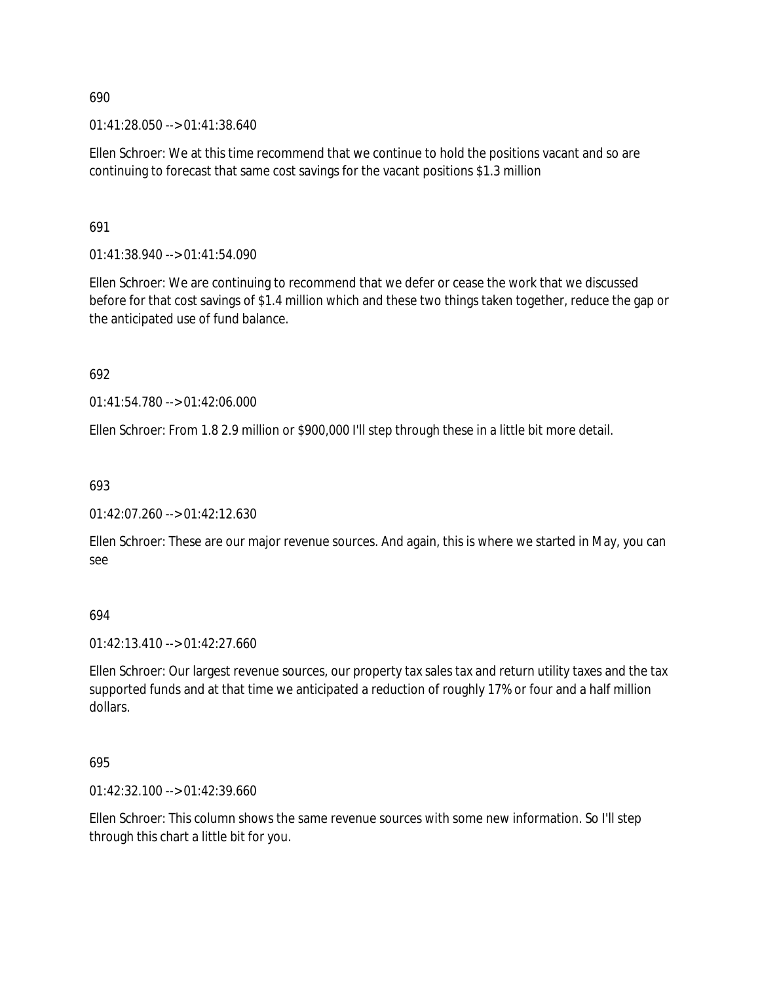01:41:28.050 --> 01:41:38.640

Ellen Schroer: We at this time recommend that we continue to hold the positions vacant and so are continuing to forecast that same cost savings for the vacant positions \$1.3 million

691

01:41:38.940 --> 01:41:54.090

Ellen Schroer: We are continuing to recommend that we defer or cease the work that we discussed before for that cost savings of \$1.4 million which and these two things taken together, reduce the gap or the anticipated use of fund balance.

692

01:41:54.780 --> 01:42:06.000

Ellen Schroer: From 1.8 2.9 million or \$900,000 I'll step through these in a little bit more detail.

693

 $01:42:07.260 \rightarrow 01:42:12.630$ 

Ellen Schroer: These are our major revenue sources. And again, this is where we started in May, you can see

694

01:42:13.410 --> 01:42:27.660

Ellen Schroer: Our largest revenue sources, our property tax sales tax and return utility taxes and the tax supported funds and at that time we anticipated a reduction of roughly 17% or four and a half million dollars.

695

01:42:32.100 --> 01:42:39.660

Ellen Schroer: This column shows the same revenue sources with some new information. So I'll step through this chart a little bit for you.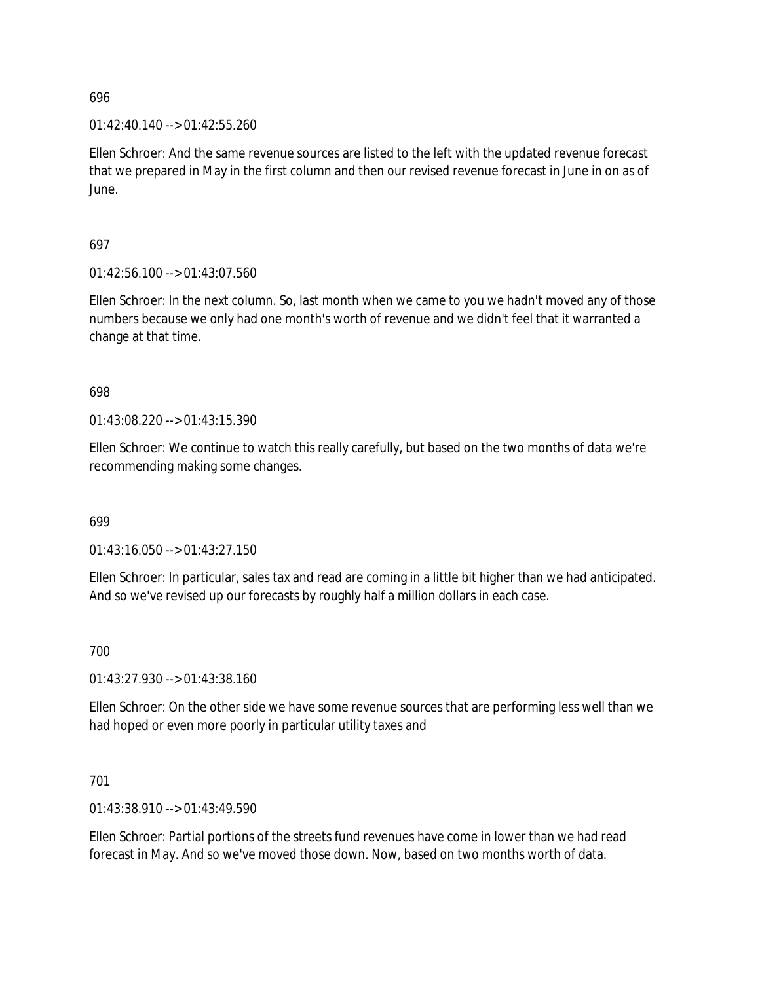$01:42:40.140 \rightarrow 01:42:55.260$ 

Ellen Schroer: And the same revenue sources are listed to the left with the updated revenue forecast that we prepared in May in the first column and then our revised revenue forecast in June in on as of June.

697

01:42:56.100 --> 01:43:07.560

Ellen Schroer: In the next column. So, last month when we came to you we hadn't moved any of those numbers because we only had one month's worth of revenue and we didn't feel that it warranted a change at that time.

698

01:43:08.220 --> 01:43:15.390

Ellen Schroer: We continue to watch this really carefully, but based on the two months of data we're recommending making some changes.

699

01:43:16.050 --> 01:43:27.150

Ellen Schroer: In particular, sales tax and read are coming in a little bit higher than we had anticipated. And so we've revised up our forecasts by roughly half a million dollars in each case.

700

01:43:27.930 --> 01:43:38.160

Ellen Schroer: On the other side we have some revenue sources that are performing less well than we had hoped or even more poorly in particular utility taxes and

701

01:43:38.910 --> 01:43:49.590

Ellen Schroer: Partial portions of the streets fund revenues have come in lower than we had read forecast in May. And so we've moved those down. Now, based on two months worth of data.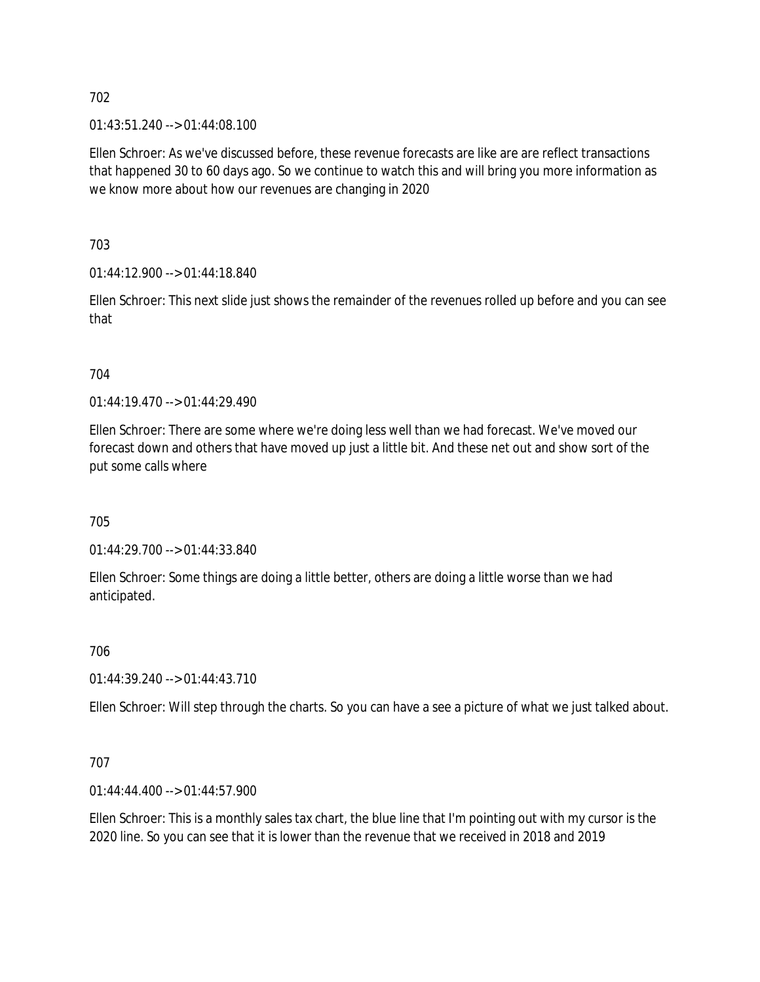01:43:51.240 --> 01:44:08.100

Ellen Schroer: As we've discussed before, these revenue forecasts are like are are reflect transactions that happened 30 to 60 days ago. So we continue to watch this and will bring you more information as we know more about how our revenues are changing in 2020

703

01:44:12.900 --> 01:44:18.840

Ellen Schroer: This next slide just shows the remainder of the revenues rolled up before and you can see that

# 704

01:44:19.470 --> 01:44:29.490

Ellen Schroer: There are some where we're doing less well than we had forecast. We've moved our forecast down and others that have moved up just a little bit. And these net out and show sort of the put some calls where

705

01:44:29.700 --> 01:44:33.840

Ellen Schroer: Some things are doing a little better, others are doing a little worse than we had anticipated.

706

01:44:39.240 --> 01:44:43.710

Ellen Schroer: Will step through the charts. So you can have a see a picture of what we just talked about.

# 707

01:44:44.400 --> 01:44:57.900

Ellen Schroer: This is a monthly sales tax chart, the blue line that I'm pointing out with my cursor is the 2020 line. So you can see that it is lower than the revenue that we received in 2018 and 2019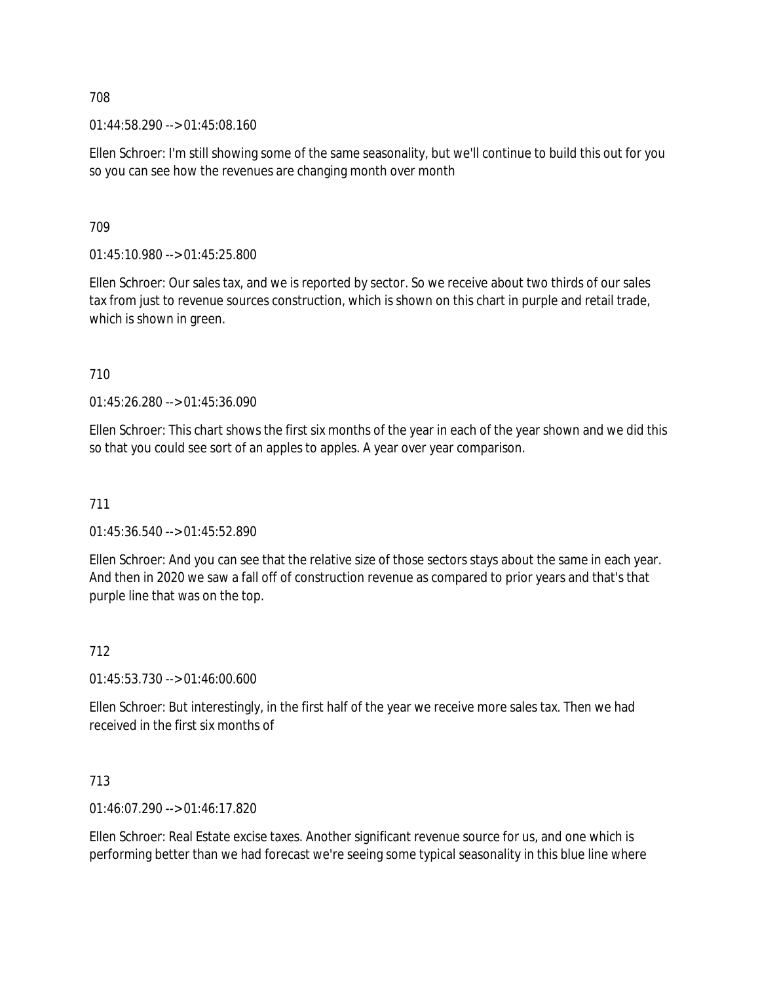01:44:58.290 --> 01:45:08.160

Ellen Schroer: I'm still showing some of the same seasonality, but we'll continue to build this out for you so you can see how the revenues are changing month over month

709

01:45:10.980 --> 01:45:25.800

Ellen Schroer: Our sales tax, and we is reported by sector. So we receive about two thirds of our sales tax from just to revenue sources construction, which is shown on this chart in purple and retail trade, which is shown in green.

710

01:45:26.280 --> 01:45:36.090

Ellen Schroer: This chart shows the first six months of the year in each of the year shown and we did this so that you could see sort of an apples to apples. A year over year comparison.

711

01:45:36.540 --> 01:45:52.890

Ellen Schroer: And you can see that the relative size of those sectors stays about the same in each year. And then in 2020 we saw a fall off of construction revenue as compared to prior years and that's that purple line that was on the top.

712

01:45:53.730 --> 01:46:00.600

Ellen Schroer: But interestingly, in the first half of the year we receive more sales tax. Then we had received in the first six months of

713

01:46:07.290 --> 01:46:17.820

Ellen Schroer: Real Estate excise taxes. Another significant revenue source for us, and one which is performing better than we had forecast we're seeing some typical seasonality in this blue line where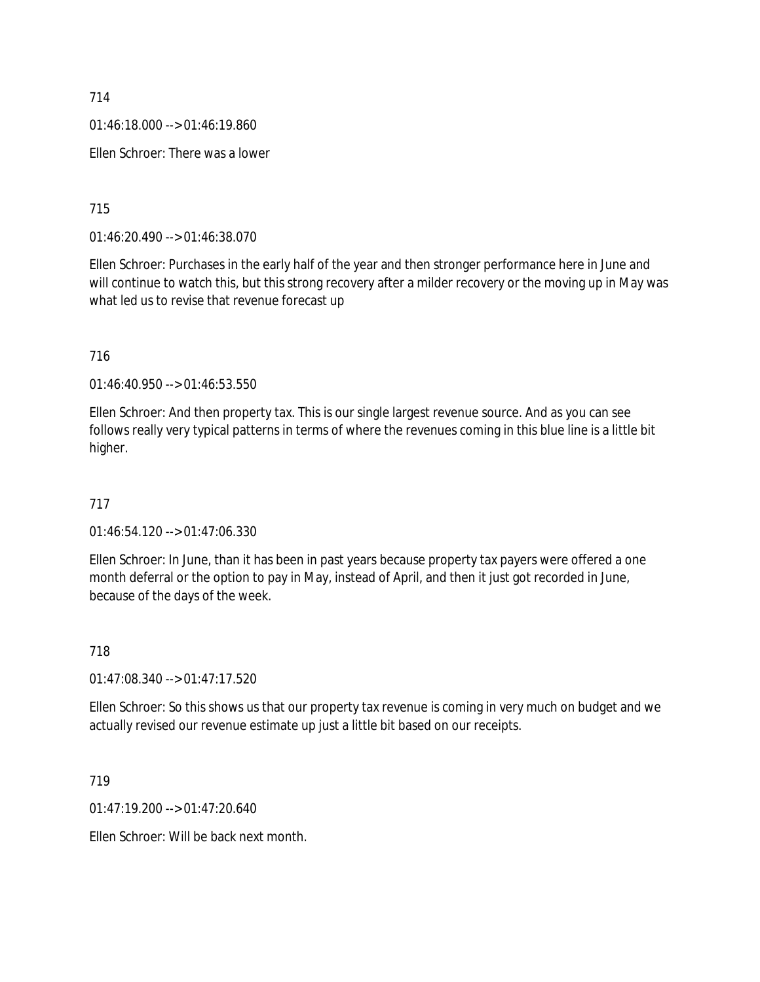01:46:18.000 --> 01:46:19.860

Ellen Schroer: There was a lower

715

01:46:20.490 --> 01:46:38.070

Ellen Schroer: Purchases in the early half of the year and then stronger performance here in June and will continue to watch this, but this strong recovery after a milder recovery or the moving up in May was what led us to revise that revenue forecast up

716

01:46:40.950 --> 01:46:53.550

Ellen Schroer: And then property tax. This is our single largest revenue source. And as you can see follows really very typical patterns in terms of where the revenues coming in this blue line is a little bit higher.

717

01:46:54.120 --> 01:47:06.330

Ellen Schroer: In June, than it has been in past years because property tax payers were offered a one month deferral or the option to pay in May, instead of April, and then it just got recorded in June, because of the days of the week.

718

01:47:08.340 --> 01:47:17.520

Ellen Schroer: So this shows us that our property tax revenue is coming in very much on budget and we actually revised our revenue estimate up just a little bit based on our receipts.

719

01:47:19.200 --> 01:47:20.640

Ellen Schroer: Will be back next month.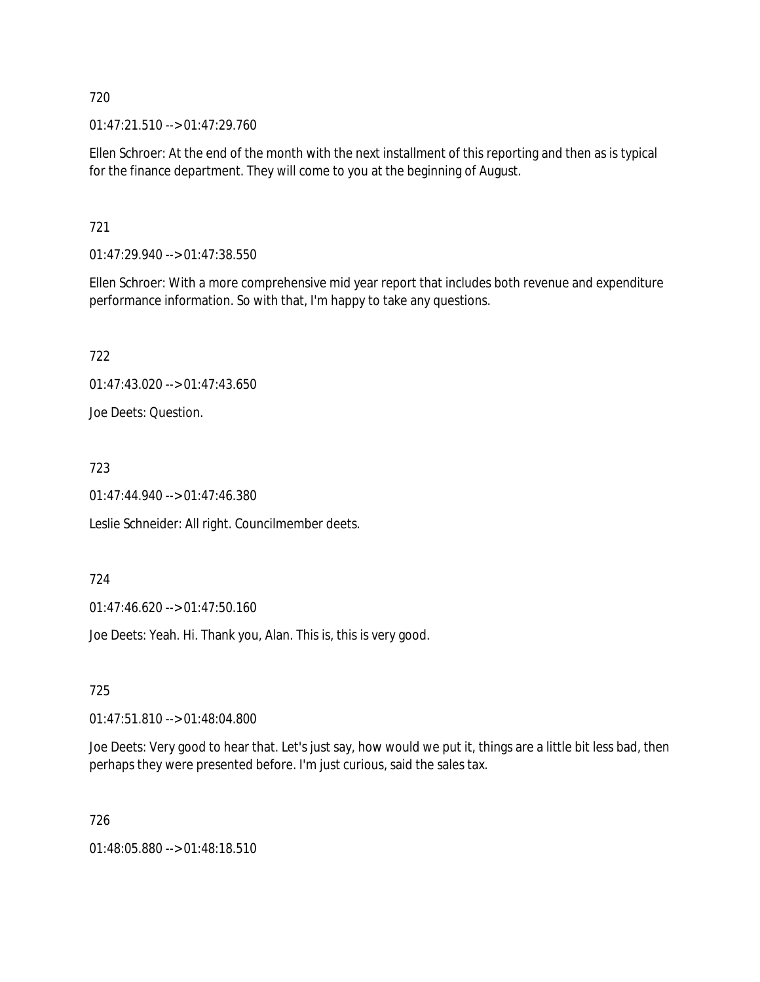01:47:21.510 --> 01:47:29.760

Ellen Schroer: At the end of the month with the next installment of this reporting and then as is typical for the finance department. They will come to you at the beginning of August.

721

01:47:29.940 --> 01:47:38.550

Ellen Schroer: With a more comprehensive mid year report that includes both revenue and expenditure performance information. So with that, I'm happy to take any questions.

722

01:47:43.020 --> 01:47:43.650

Joe Deets: Question.

723

01:47:44.940 --> 01:47:46.380

Leslie Schneider: All right. Councilmember deets.

724

01:47:46.620 --> 01:47:50.160

Joe Deets: Yeah. Hi. Thank you, Alan. This is, this is very good.

725

01:47:51.810 --> 01:48:04.800

Joe Deets: Very good to hear that. Let's just say, how would we put it, things are a little bit less bad, then perhaps they were presented before. I'm just curious, said the sales tax.

726

01:48:05.880 --> 01:48:18.510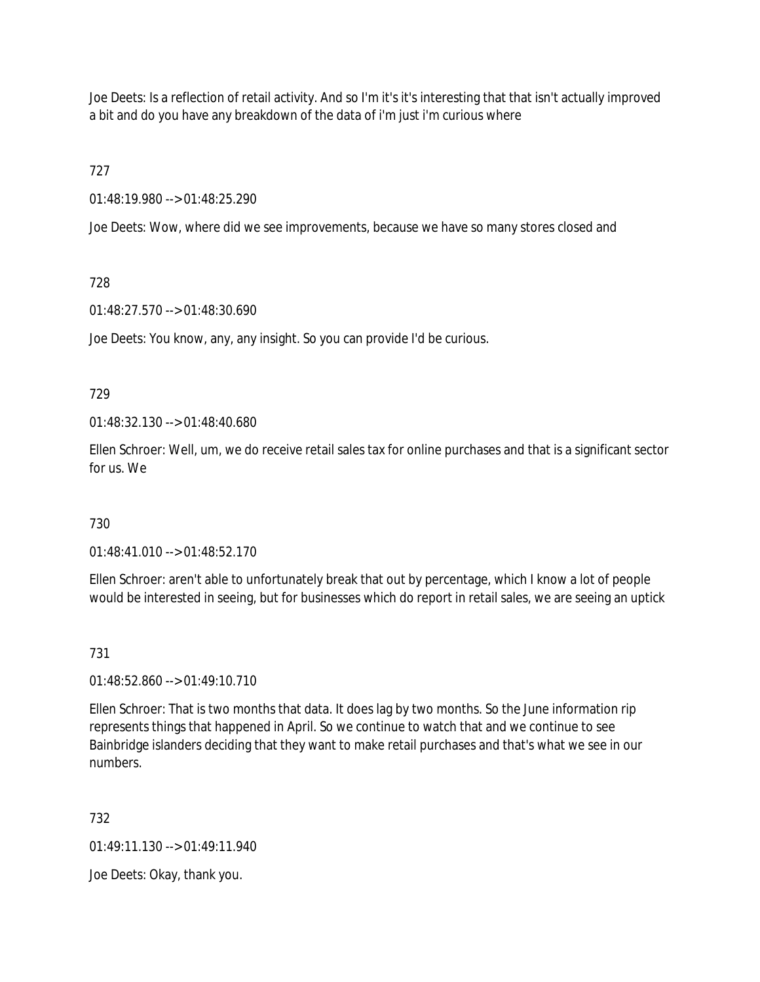Joe Deets: Is a reflection of retail activity. And so I'm it's it's interesting that that isn't actually improved a bit and do you have any breakdown of the data of i'm just i'm curious where

727

01:48:19.980 --> 01:48:25.290

Joe Deets: Wow, where did we see improvements, because we have so many stores closed and

# 728

01:48:27.570 --> 01:48:30.690

Joe Deets: You know, any, any insight. So you can provide I'd be curious.

## 729

01:48:32.130 --> 01:48:40.680

Ellen Schroer: Well, um, we do receive retail sales tax for online purchases and that is a significant sector for us. We

# 730

01:48:41.010 --> 01:48:52.170

Ellen Schroer: aren't able to unfortunately break that out by percentage, which I know a lot of people would be interested in seeing, but for businesses which do report in retail sales, we are seeing an uptick

# 731

01:48:52.860 --> 01:49:10.710

Ellen Schroer: That is two months that data. It does lag by two months. So the June information rip represents things that happened in April. So we continue to watch that and we continue to see Bainbridge islanders deciding that they want to make retail purchases and that's what we see in our numbers.

# 732

01:49:11.130 --> 01:49:11.940

Joe Deets: Okay, thank you.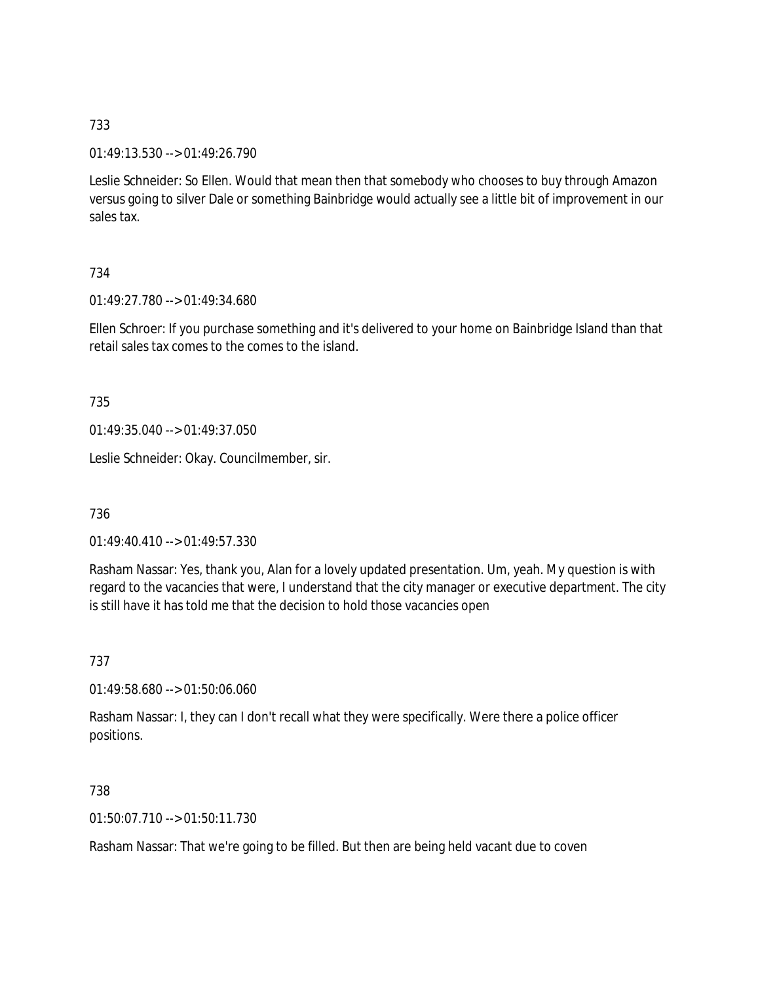01:49:13.530 --> 01:49:26.790

Leslie Schneider: So Ellen. Would that mean then that somebody who chooses to buy through Amazon versus going to silver Dale or something Bainbridge would actually see a little bit of improvement in our sales tax.

## 734

01:49:27.780 --> 01:49:34.680

Ellen Schroer: If you purchase something and it's delivered to your home on Bainbridge Island than that retail sales tax comes to the comes to the island.

## 735

01:49:35.040 --> 01:49:37.050

Leslie Schneider: Okay. Councilmember, sir.

736

01:49:40.410 --> 01:49:57.330

Rasham Nassar: Yes, thank you, Alan for a lovely updated presentation. Um, yeah. My question is with regard to the vacancies that were, I understand that the city manager or executive department. The city is still have it has told me that the decision to hold those vacancies open

## 737

01:49:58.680 --> 01:50:06.060

Rasham Nassar: I, they can I don't recall what they were specifically. Were there a police officer positions.

## 738

01:50:07.710 --> 01:50:11.730

Rasham Nassar: That we're going to be filled. But then are being held vacant due to coven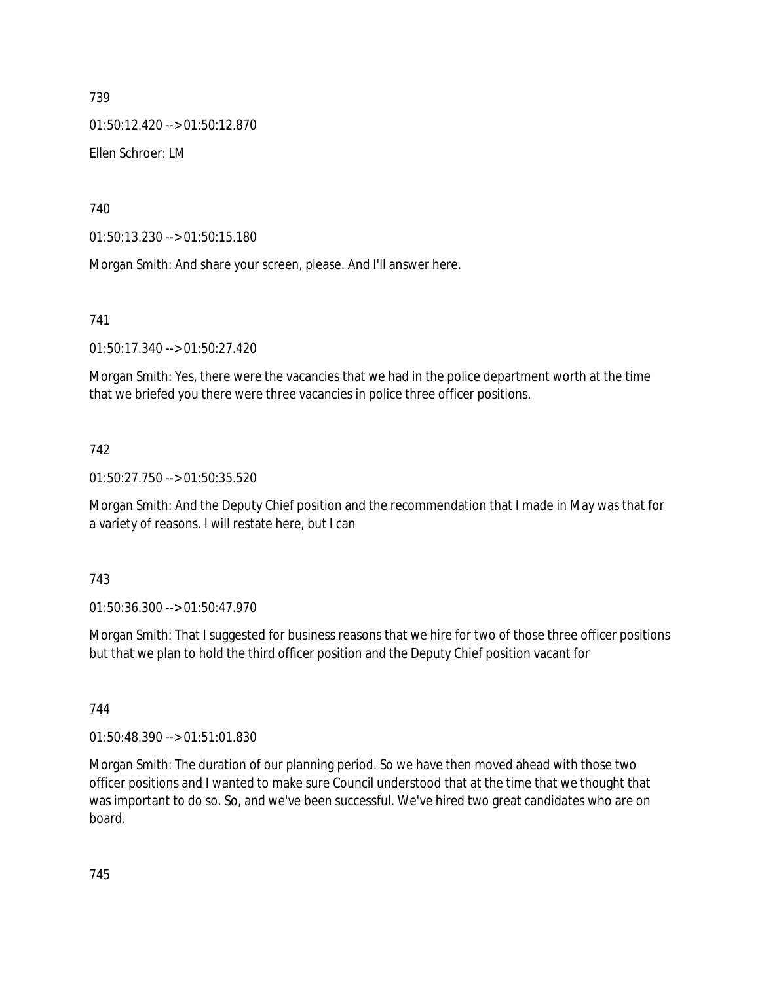01:50:12.420 --> 01:50:12.870

Ellen Schroer: LM

740

01:50:13.230 --> 01:50:15.180

Morgan Smith: And share your screen, please. And I'll answer here.

741

01:50:17.340 --> 01:50:27.420

Morgan Smith: Yes, there were the vacancies that we had in the police department worth at the time that we briefed you there were three vacancies in police three officer positions.

## 742

01:50:27.750 --> 01:50:35.520

Morgan Smith: And the Deputy Chief position and the recommendation that I made in May was that for a variety of reasons. I will restate here, but I can

## 743

01:50:36.300 --> 01:50:47.970

Morgan Smith: That I suggested for business reasons that we hire for two of those three officer positions but that we plan to hold the third officer position and the Deputy Chief position vacant for

744

01:50:48.390 --> 01:51:01.830

Morgan Smith: The duration of our planning period. So we have then moved ahead with those two officer positions and I wanted to make sure Council understood that at the time that we thought that was important to do so. So, and we've been successful. We've hired two great candidates who are on board.

745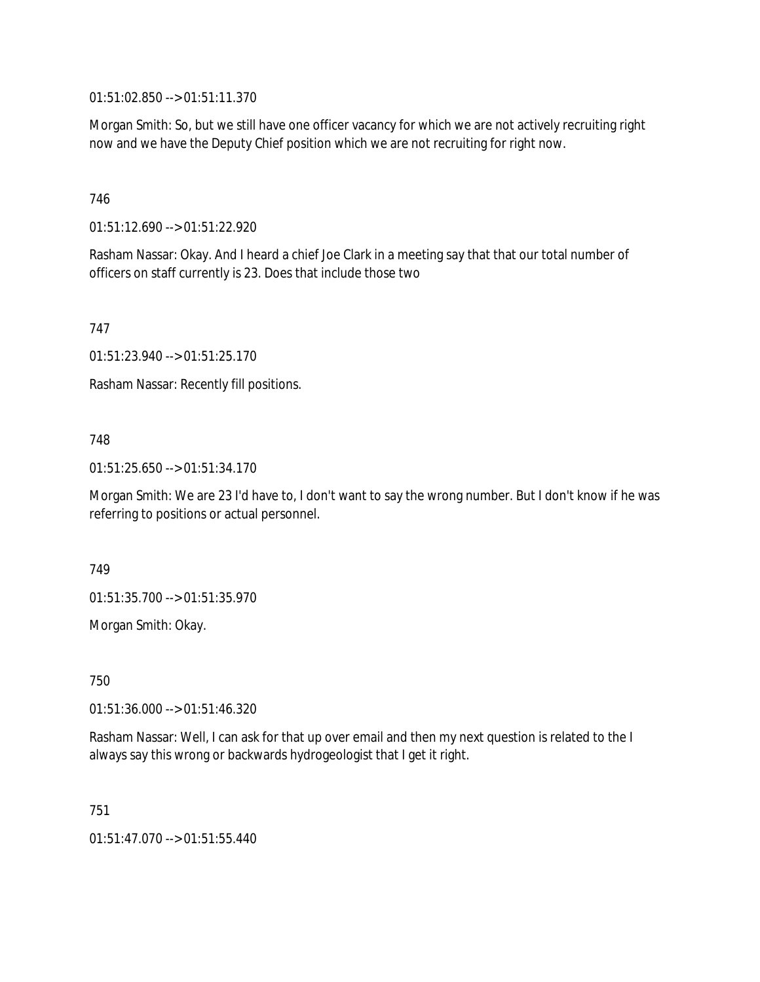01:51:02.850 --> 01:51:11.370

Morgan Smith: So, but we still have one officer vacancy for which we are not actively recruiting right now and we have the Deputy Chief position which we are not recruiting for right now.

## 746

01:51:12.690 --> 01:51:22.920

Rasham Nassar: Okay. And I heard a chief Joe Clark in a meeting say that that our total number of officers on staff currently is 23. Does that include those two

747

01:51:23.940 --> 01:51:25.170

Rasham Nassar: Recently fill positions.

## 748

01:51:25.650 --> 01:51:34.170

Morgan Smith: We are 23 I'd have to, I don't want to say the wrong number. But I don't know if he was referring to positions or actual personnel.

749

01:51:35.700 --> 01:51:35.970

Morgan Smith: Okay.

750

01:51:36.000 --> 01:51:46.320

Rasham Nassar: Well, I can ask for that up over email and then my next question is related to the I always say this wrong or backwards hydrogeologist that I get it right.

751

01:51:47.070 --> 01:51:55.440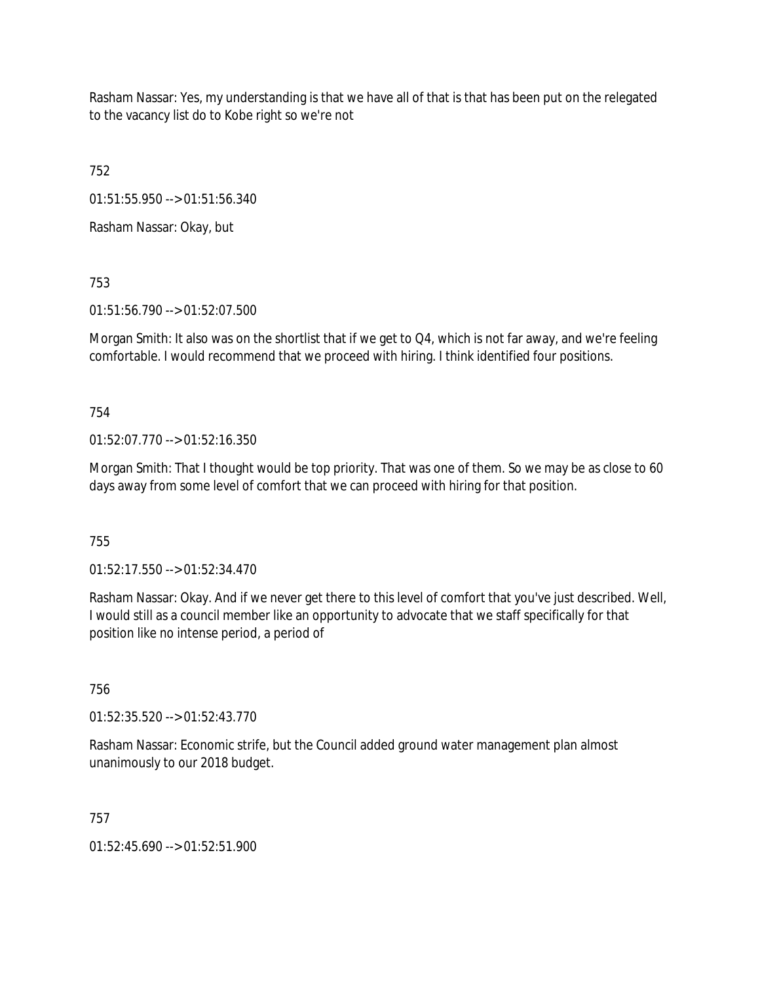Rasham Nassar: Yes, my understanding is that we have all of that is that has been put on the relegated to the vacancy list do to Kobe right so we're not

752

01:51:55.950 --> 01:51:56.340

Rasham Nassar: Okay, but

753

01:51:56.790 --> 01:52:07.500

Morgan Smith: It also was on the shortlist that if we get to Q4, which is not far away, and we're feeling comfortable. I would recommend that we proceed with hiring. I think identified four positions.

754

01:52:07.770 --> 01:52:16.350

Morgan Smith: That I thought would be top priority. That was one of them. So we may be as close to 60 days away from some level of comfort that we can proceed with hiring for that position.

755

01:52:17.550 --> 01:52:34.470

Rasham Nassar: Okay. And if we never get there to this level of comfort that you've just described. Well, I would still as a council member like an opportunity to advocate that we staff specifically for that position like no intense period, a period of

756

01:52:35.520 --> 01:52:43.770

Rasham Nassar: Economic strife, but the Council added ground water management plan almost unanimously to our 2018 budget.

757

01:52:45.690 --> 01:52:51.900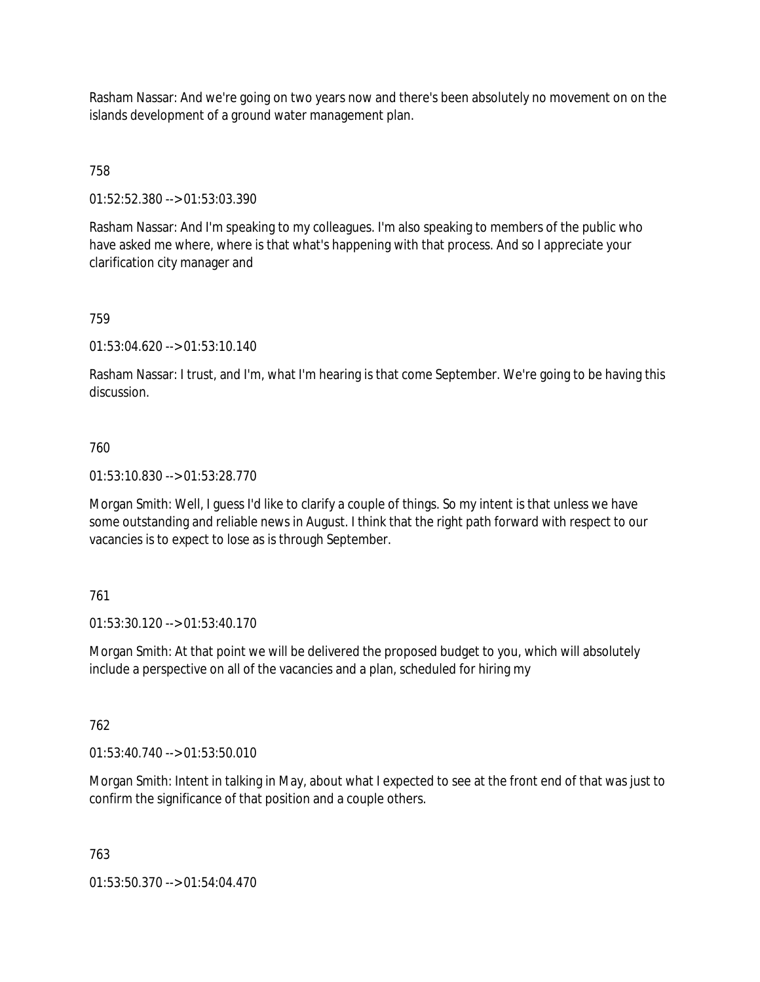Rasham Nassar: And we're going on two years now and there's been absolutely no movement on on the islands development of a ground water management plan.

758

01:52:52.380 --> 01:53:03.390

Rasham Nassar: And I'm speaking to my colleagues. I'm also speaking to members of the public who have asked me where, where is that what's happening with that process. And so I appreciate your clarification city manager and

#### 759

01:53:04.620 --> 01:53:10.140

Rasham Nassar: I trust, and I'm, what I'm hearing is that come September. We're going to be having this discussion.

#### 760

01:53:10.830 --> 01:53:28.770

Morgan Smith: Well, I guess I'd like to clarify a couple of things. So my intent is that unless we have some outstanding and reliable news in August. I think that the right path forward with respect to our vacancies is to expect to lose as is through September.

#### 761

01:53:30.120 --> 01:53:40.170

Morgan Smith: At that point we will be delivered the proposed budget to you, which will absolutely include a perspective on all of the vacancies and a plan, scheduled for hiring my

#### 762

 $01:53:40.740 \rightarrow 01:53:50.010$ 

Morgan Smith: Intent in talking in May, about what I expected to see at the front end of that was just to confirm the significance of that position and a couple others.

#### 763

01:53:50.370 --> 01:54:04.470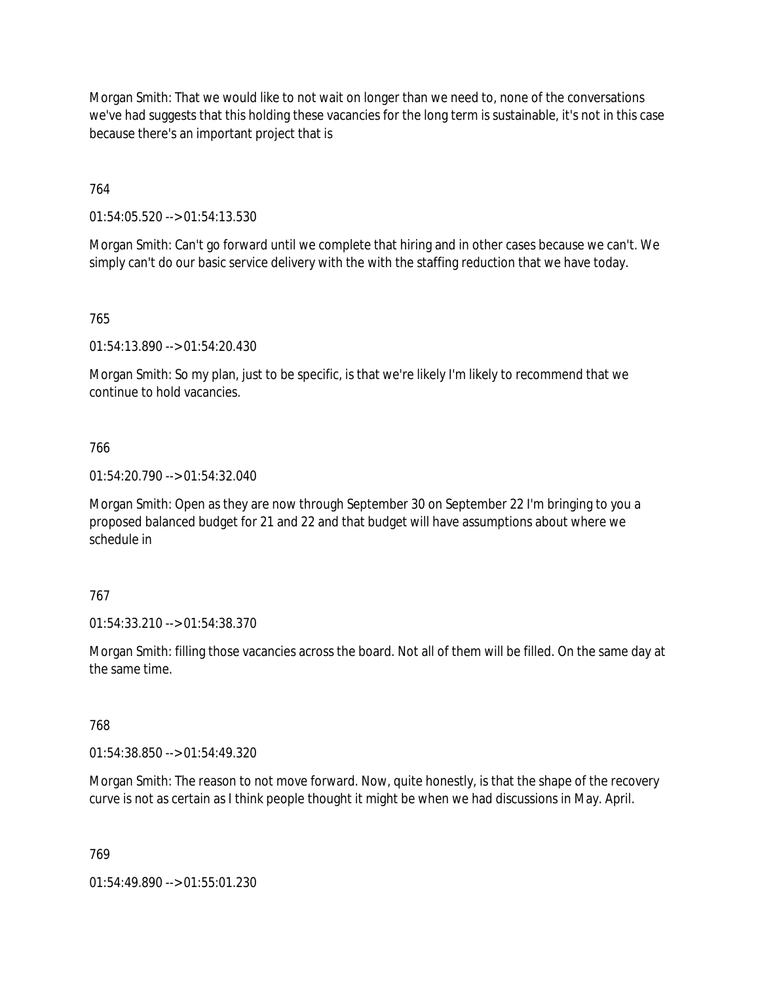Morgan Smith: That we would like to not wait on longer than we need to, none of the conversations we've had suggests that this holding these vacancies for the long term is sustainable, it's not in this case because there's an important project that is

764

01:54:05.520 --> 01:54:13.530

Morgan Smith: Can't go forward until we complete that hiring and in other cases because we can't. We simply can't do our basic service delivery with the with the staffing reduction that we have today.

765

01:54:13.890 --> 01:54:20.430

Morgan Smith: So my plan, just to be specific, is that we're likely I'm likely to recommend that we continue to hold vacancies.

#### 766

01:54:20.790 --> 01:54:32.040

Morgan Smith: Open as they are now through September 30 on September 22 I'm bringing to you a proposed balanced budget for 21 and 22 and that budget will have assumptions about where we schedule in

#### 767

01:54:33.210 --> 01:54:38.370

Morgan Smith: filling those vacancies across the board. Not all of them will be filled. On the same day at the same time.

#### 768

01:54:38.850 --> 01:54:49.320

Morgan Smith: The reason to not move forward. Now, quite honestly, is that the shape of the recovery curve is not as certain as I think people thought it might be when we had discussions in May. April.

769

01:54:49.890 --> 01:55:01.230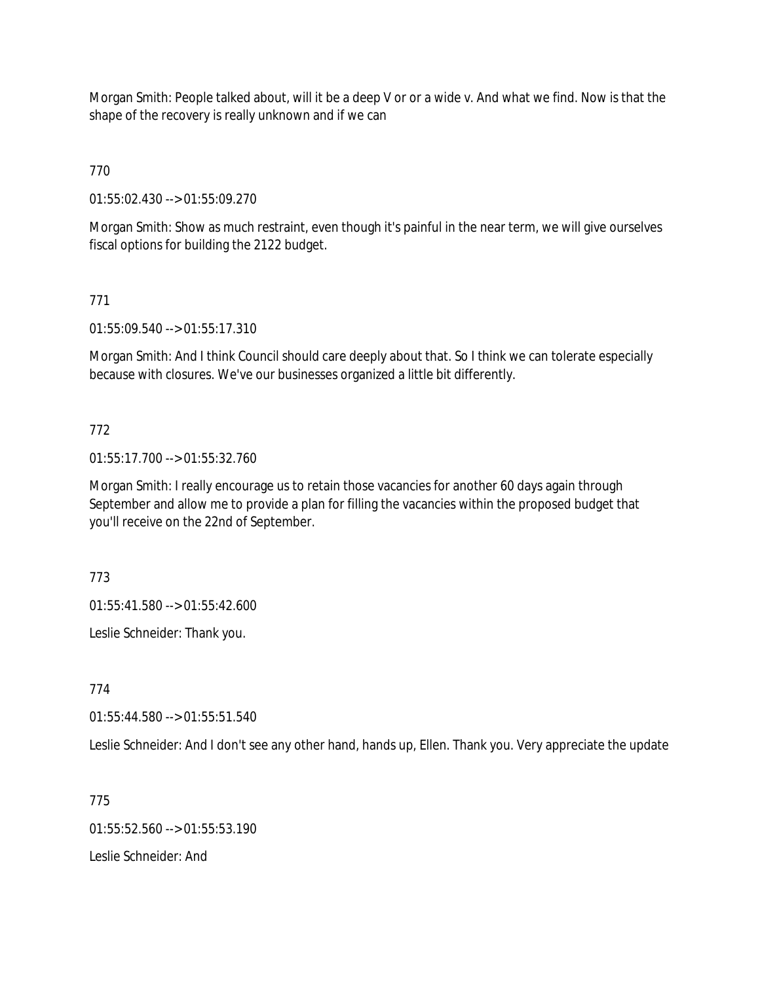Morgan Smith: People talked about, will it be a deep V or or a wide v. And what we find. Now is that the shape of the recovery is really unknown and if we can

770

01:55:02.430 --> 01:55:09.270

Morgan Smith: Show as much restraint, even though it's painful in the near term, we will give ourselves fiscal options for building the 2122 budget.

# 771

01:55:09.540 --> 01:55:17.310

Morgan Smith: And I think Council should care deeply about that. So I think we can tolerate especially because with closures. We've our businesses organized a little bit differently.

## 772

01:55:17.700 --> 01:55:32.760

Morgan Smith: I really encourage us to retain those vacancies for another 60 days again through September and allow me to provide a plan for filling the vacancies within the proposed budget that you'll receive on the 22nd of September.

773

01:55:41.580 --> 01:55:42.600

Leslie Schneider: Thank you.

774

01:55:44.580 --> 01:55:51.540

Leslie Schneider: And I don't see any other hand, hands up, Ellen. Thank you. Very appreciate the update

775

 $01:55:52.560 \rightarrow 01:55:53.190$ 

Leslie Schneider: And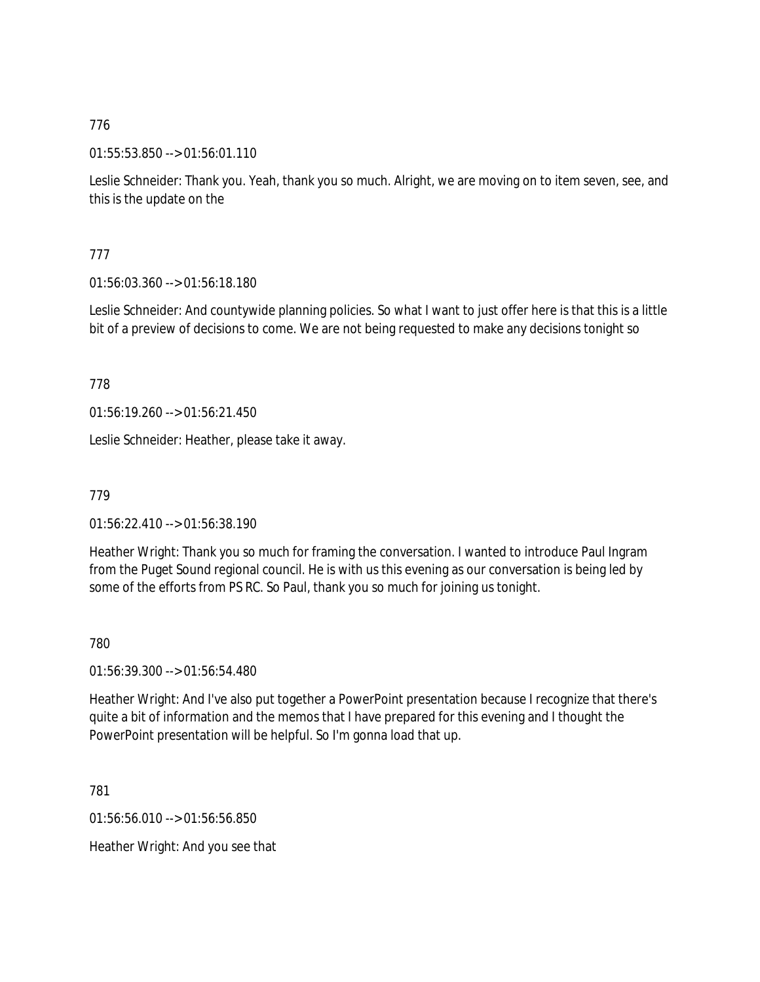01:55:53.850 --> 01:56:01.110

Leslie Schneider: Thank you. Yeah, thank you so much. Alright, we are moving on to item seven, see, and this is the update on the

## 777

01:56:03.360 --> 01:56:18.180

Leslie Schneider: And countywide planning policies. So what I want to just offer here is that this is a little bit of a preview of decisions to come. We are not being requested to make any decisions tonight so

778

01:56:19.260 --> 01:56:21.450

Leslie Schneider: Heather, please take it away.

779

01:56:22.410 --> 01:56:38.190

Heather Wright: Thank you so much for framing the conversation. I wanted to introduce Paul Ingram from the Puget Sound regional council. He is with us this evening as our conversation is being led by some of the efforts from PS RC. So Paul, thank you so much for joining us tonight.

780

01:56:39.300 --> 01:56:54.480

Heather Wright: And I've also put together a PowerPoint presentation because I recognize that there's quite a bit of information and the memos that I have prepared for this evening and I thought the PowerPoint presentation will be helpful. So I'm gonna load that up.

781

01:56:56.010 --> 01:56:56.850

Heather Wright: And you see that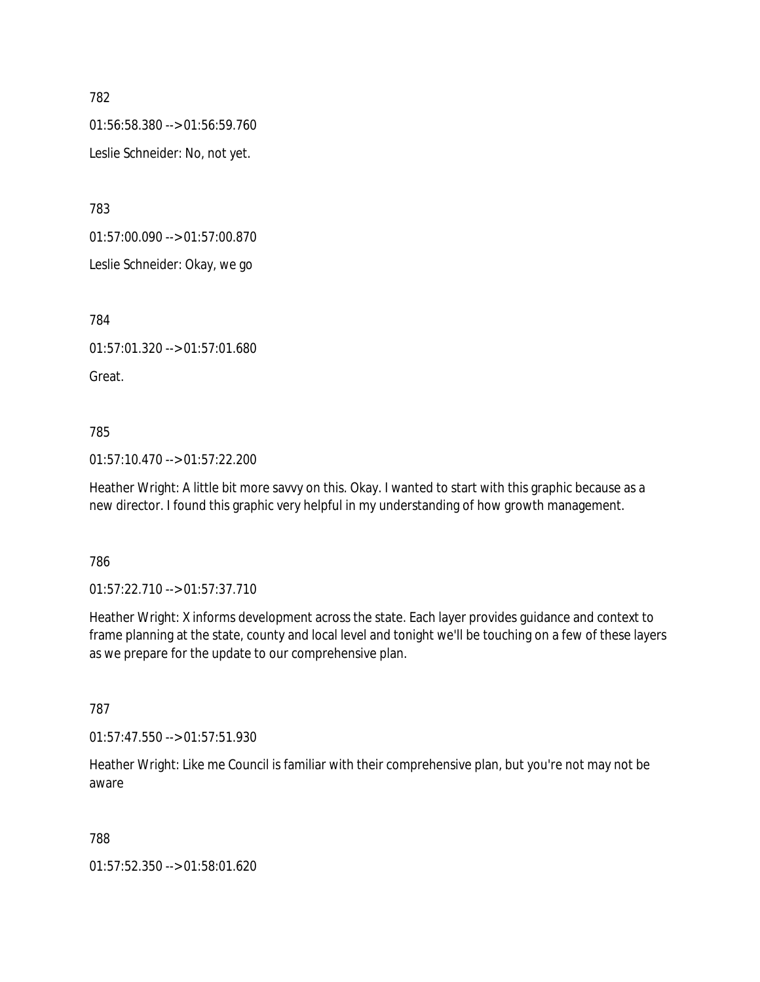01:56:58.380 --> 01:56:59.760

Leslie Schneider: No, not yet.

783

01:57:00.090 --> 01:57:00.870

Leslie Schneider: Okay, we go

784

01:57:01.320 --> 01:57:01.680

Great.

785

01:57:10.470 --> 01:57:22.200

Heather Wright: A little bit more savvy on this. Okay. I wanted to start with this graphic because as a new director. I found this graphic very helpful in my understanding of how growth management.

786

01:57:22.710 --> 01:57:37.710

Heather Wright: X informs development across the state. Each layer provides guidance and context to frame planning at the state, county and local level and tonight we'll be touching on a few of these layers as we prepare for the update to our comprehensive plan.

787

01:57:47.550 --> 01:57:51.930

Heather Wright: Like me Council is familiar with their comprehensive plan, but you're not may not be aware

788

01:57:52.350 --> 01:58:01.620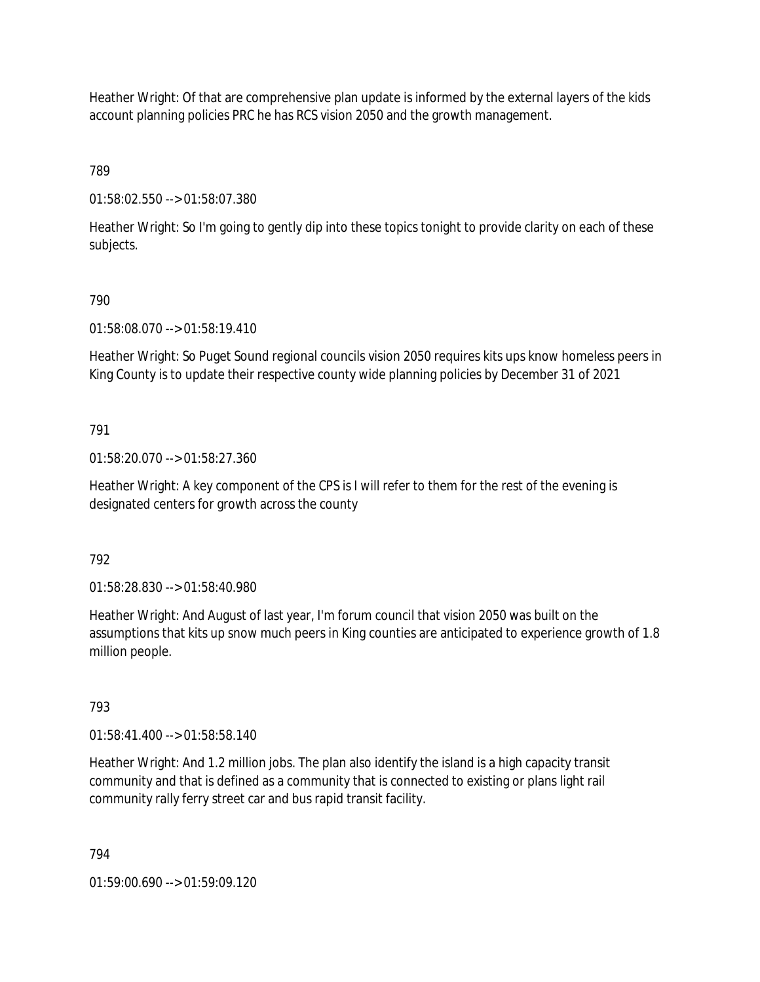Heather Wright: Of that are comprehensive plan update is informed by the external layers of the kids account planning policies PRC he has RCS vision 2050 and the growth management.

789

01:58:02.550 --> 01:58:07.380

Heather Wright: So I'm going to gently dip into these topics tonight to provide clarity on each of these subjects.

# 790

01:58:08.070 --> 01:58:19.410

Heather Wright: So Puget Sound regional councils vision 2050 requires kits ups know homeless peers in King County is to update their respective county wide planning policies by December 31 of 2021

# 791

01:58:20.070 --> 01:58:27.360

Heather Wright: A key component of the CPS is I will refer to them for the rest of the evening is designated centers for growth across the county

792

01:58:28.830 --> 01:58:40.980

Heather Wright: And August of last year, I'm forum council that vision 2050 was built on the assumptions that kits up snow much peers in King counties are anticipated to experience growth of 1.8 million people.

# 793

01:58:41.400 --> 01:58:58.140

Heather Wright: And 1.2 million jobs. The plan also identify the island is a high capacity transit community and that is defined as a community that is connected to existing or plans light rail community rally ferry street car and bus rapid transit facility.

794

01:59:00.690 --> 01:59:09.120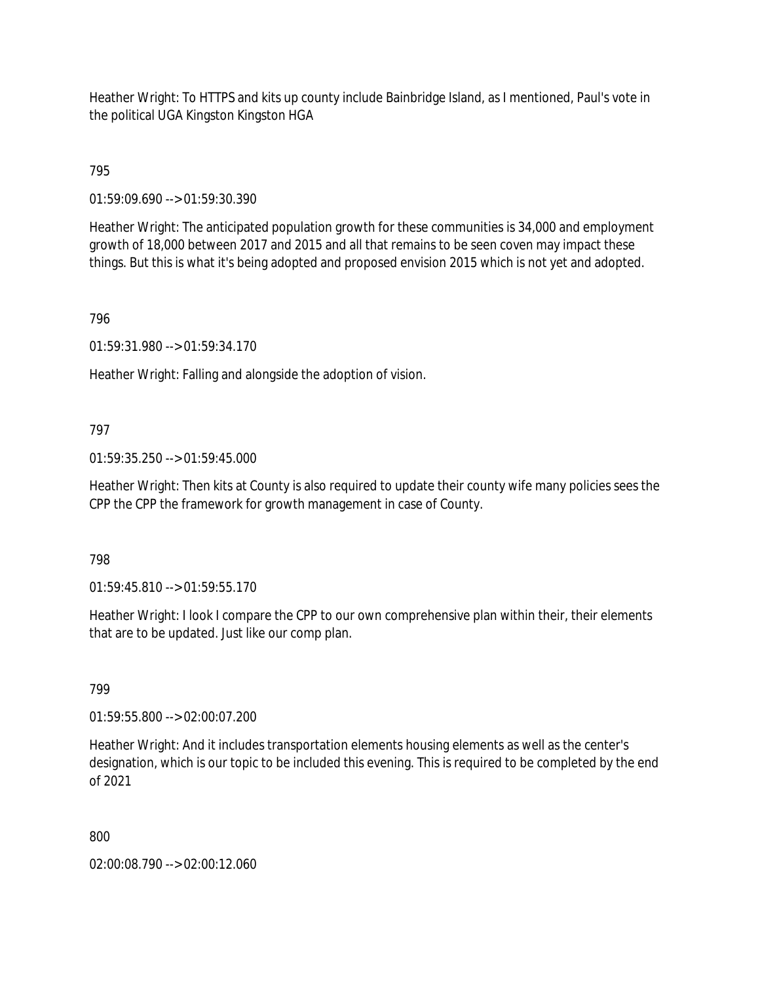Heather Wright: To HTTPS and kits up county include Bainbridge Island, as I mentioned, Paul's vote in the political UGA Kingston Kingston HGA

795

01:59:09.690 --> 01:59:30.390

Heather Wright: The anticipated population growth for these communities is 34,000 and employment growth of 18,000 between 2017 and 2015 and all that remains to be seen coven may impact these things. But this is what it's being adopted and proposed envision 2015 which is not yet and adopted.

## 796

01:59:31.980 --> 01:59:34.170

Heather Wright: Falling and alongside the adoption of vision.

## 797

01:59:35.250 --> 01:59:45.000

Heather Wright: Then kits at County is also required to update their county wife many policies sees the CPP the CPP the framework for growth management in case of County.

## 798

01:59:45.810 --> 01:59:55.170

Heather Wright: I look I compare the CPP to our own comprehensive plan within their, their elements that are to be updated. Just like our comp plan.

## 799

01:59:55.800 --> 02:00:07.200

Heather Wright: And it includes transportation elements housing elements as well as the center's designation, which is our topic to be included this evening. This is required to be completed by the end of 2021

800

02:00:08.790 --> 02:00:12.060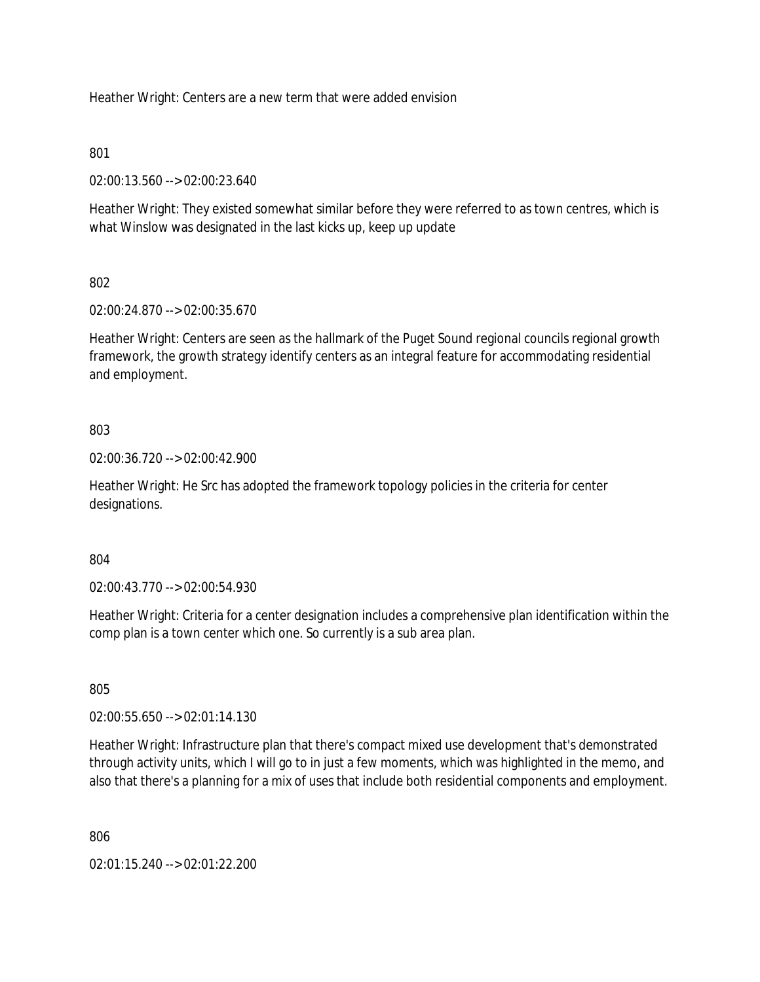Heather Wright: Centers are a new term that were added envision

801

02:00:13.560 --> 02:00:23.640

Heather Wright: They existed somewhat similar before they were referred to as town centres, which is what Winslow was designated in the last kicks up, keep up update

802

02:00:24.870 --> 02:00:35.670

Heather Wright: Centers are seen as the hallmark of the Puget Sound regional councils regional growth framework, the growth strategy identify centers as an integral feature for accommodating residential and employment.

803

02:00:36.720 --> 02:00:42.900

Heather Wright: He Src has adopted the framework topology policies in the criteria for center designations.

804

02:00:43.770 --> 02:00:54.930

Heather Wright: Criteria for a center designation includes a comprehensive plan identification within the comp plan is a town center which one. So currently is a sub area plan.

805

02:00:55.650 --> 02:01:14.130

Heather Wright: Infrastructure plan that there's compact mixed use development that's demonstrated through activity units, which I will go to in just a few moments, which was highlighted in the memo, and also that there's a planning for a mix of uses that include both residential components and employment.

806

02:01:15.240 --> 02:01:22.200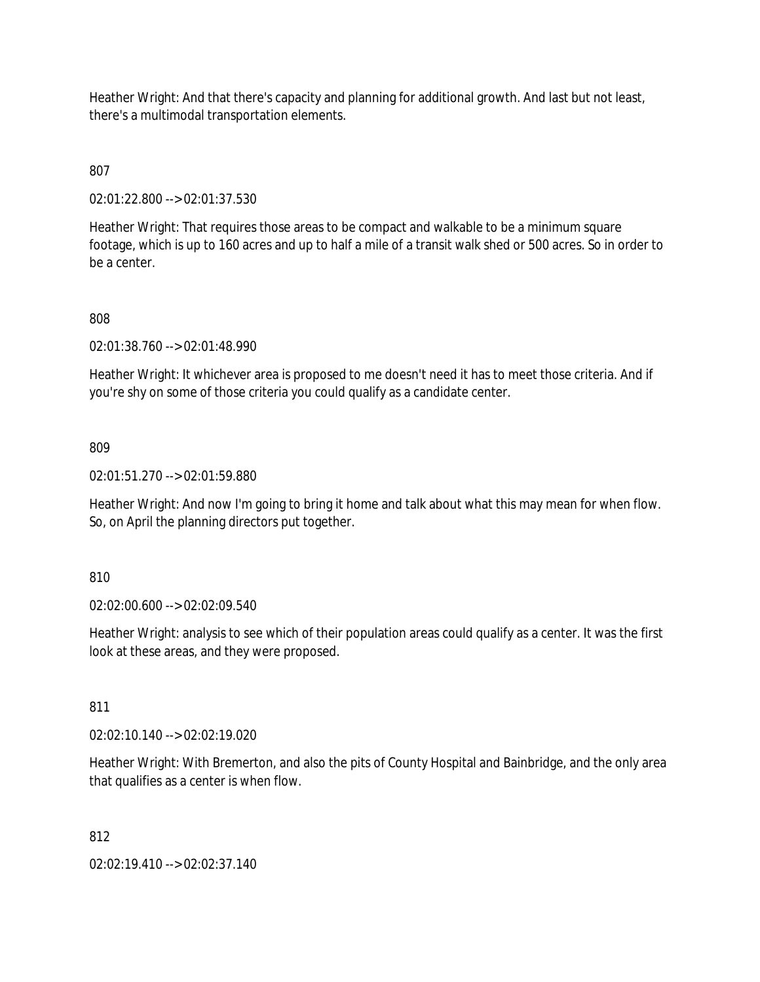Heather Wright: And that there's capacity and planning for additional growth. And last but not least, there's a multimodal transportation elements.

807

02:01:22.800 --> 02:01:37.530

Heather Wright: That requires those areas to be compact and walkable to be a minimum square footage, which is up to 160 acres and up to half a mile of a transit walk shed or 500 acres. So in order to be a center.

## 808

02:01:38.760 --> 02:01:48.990

Heather Wright: It whichever area is proposed to me doesn't need it has to meet those criteria. And if you're shy on some of those criteria you could qualify as a candidate center.

809

02:01:51.270 --> 02:01:59.880

Heather Wright: And now I'm going to bring it home and talk about what this may mean for when flow. So, on April the planning directors put together.

810

02:02:00.600 --> 02:02:09.540

Heather Wright: analysis to see which of their population areas could qualify as a center. It was the first look at these areas, and they were proposed.

811

02:02:10.140 --> 02:02:19.020

Heather Wright: With Bremerton, and also the pits of County Hospital and Bainbridge, and the only area that qualifies as a center is when flow.

812

02:02:19.410 --> 02:02:37.140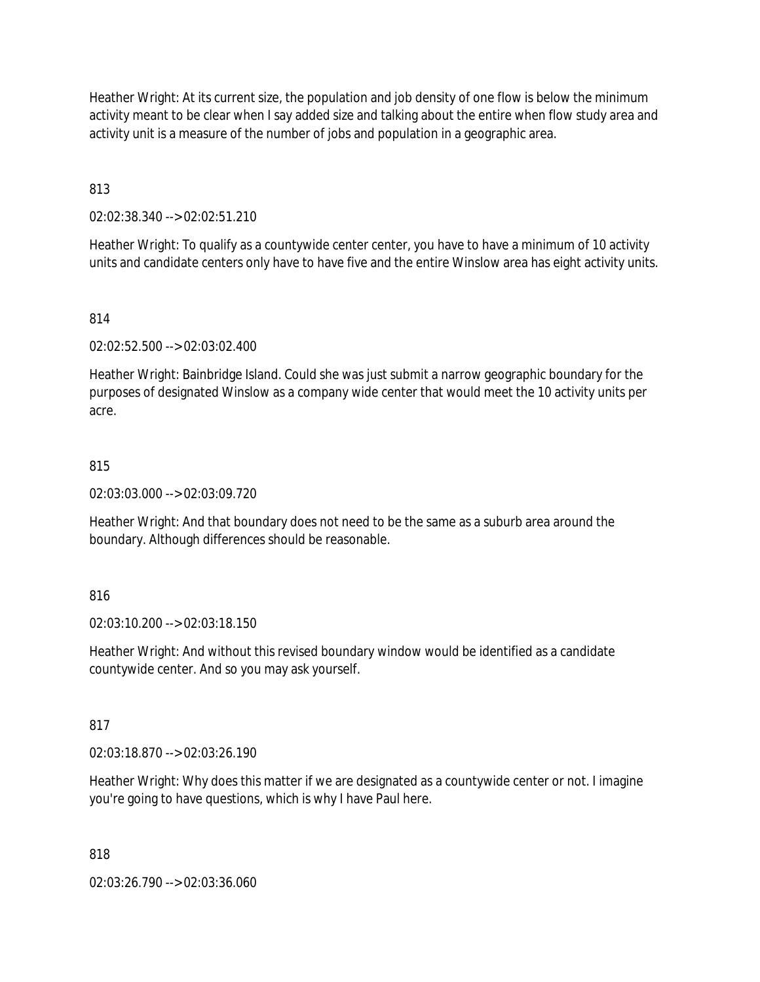Heather Wright: At its current size, the population and job density of one flow is below the minimum activity meant to be clear when I say added size and talking about the entire when flow study area and activity unit is a measure of the number of jobs and population in a geographic area.

813

02:02:38.340 --> 02:02:51.210

Heather Wright: To qualify as a countywide center center, you have to have a minimum of 10 activity units and candidate centers only have to have five and the entire Winslow area has eight activity units.

## 814

02:02:52.500 --> 02:03:02.400

Heather Wright: Bainbridge Island. Could she was just submit a narrow geographic boundary for the purposes of designated Winslow as a company wide center that would meet the 10 activity units per acre.

#### 815

02:03:03.000 --> 02:03:09.720

Heather Wright: And that boundary does not need to be the same as a suburb area around the boundary. Although differences should be reasonable.

## 816

02:03:10.200 --> 02:03:18.150

Heather Wright: And without this revised boundary window would be identified as a candidate countywide center. And so you may ask yourself.

#### 817

02:03:18.870 --> 02:03:26.190

Heather Wright: Why does this matter if we are designated as a countywide center or not. I imagine you're going to have questions, which is why I have Paul here.

## 818

02:03:26.790 --> 02:03:36.060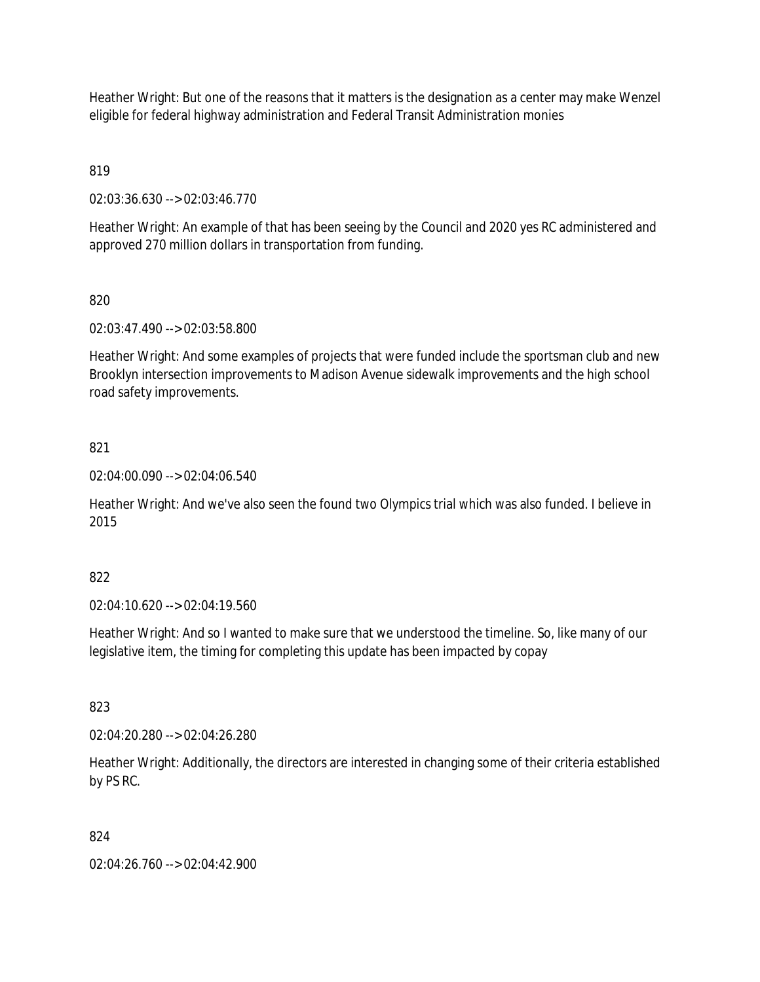Heather Wright: But one of the reasons that it matters is the designation as a center may make Wenzel eligible for federal highway administration and Federal Transit Administration monies

819

02:03:36.630 --> 02:03:46.770

Heather Wright: An example of that has been seeing by the Council and 2020 yes RC administered and approved 270 million dollars in transportation from funding.

## 820

02:03:47.490 --> 02:03:58.800

Heather Wright: And some examples of projects that were funded include the sportsman club and new Brooklyn intersection improvements to Madison Avenue sidewalk improvements and the high school road safety improvements.

#### 821

02:04:00.090 --> 02:04:06.540

Heather Wright: And we've also seen the found two Olympics trial which was also funded. I believe in 2015

#### 822

02:04:10.620 --> 02:04:19.560

Heather Wright: And so I wanted to make sure that we understood the timeline. So, like many of our legislative item, the timing for completing this update has been impacted by copay

#### 823

02:04:20.280 --> 02:04:26.280

Heather Wright: Additionally, the directors are interested in changing some of their criteria established by PS RC.

## 824

02:04:26.760 --> 02:04:42.900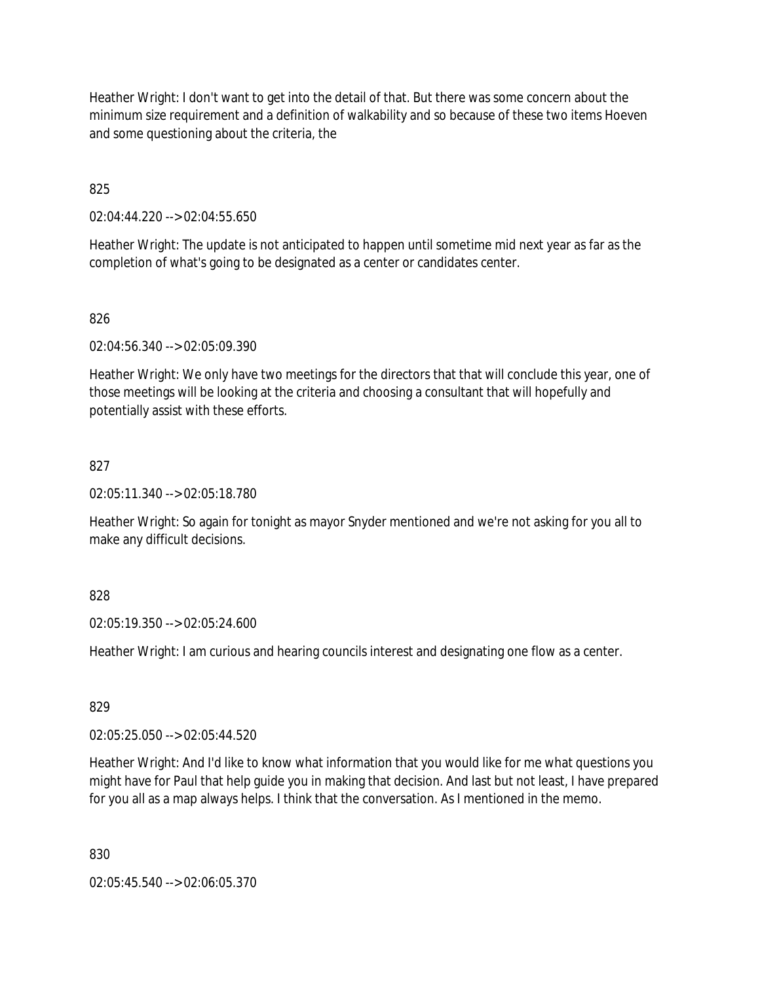Heather Wright: I don't want to get into the detail of that. But there was some concern about the minimum size requirement and a definition of walkability and so because of these two items Hoeven and some questioning about the criteria, the

825

02:04:44.220 --> 02:04:55.650

Heather Wright: The update is not anticipated to happen until sometime mid next year as far as the completion of what's going to be designated as a center or candidates center.

## 826

02:04:56.340 --> 02:05:09.390

Heather Wright: We only have two meetings for the directors that that will conclude this year, one of those meetings will be looking at the criteria and choosing a consultant that will hopefully and potentially assist with these efforts.

## 827

02:05:11.340 --> 02:05:18.780

Heather Wright: So again for tonight as mayor Snyder mentioned and we're not asking for you all to make any difficult decisions.

## 828

02:05:19.350 --> 02:05:24.600

Heather Wright: I am curious and hearing councils interest and designating one flow as a center.

## 829

02:05:25.050 --> 02:05:44.520

Heather Wright: And I'd like to know what information that you would like for me what questions you might have for Paul that help guide you in making that decision. And last but not least, I have prepared for you all as a map always helps. I think that the conversation. As I mentioned in the memo.

830

02:05:45.540 --> 02:06:05.370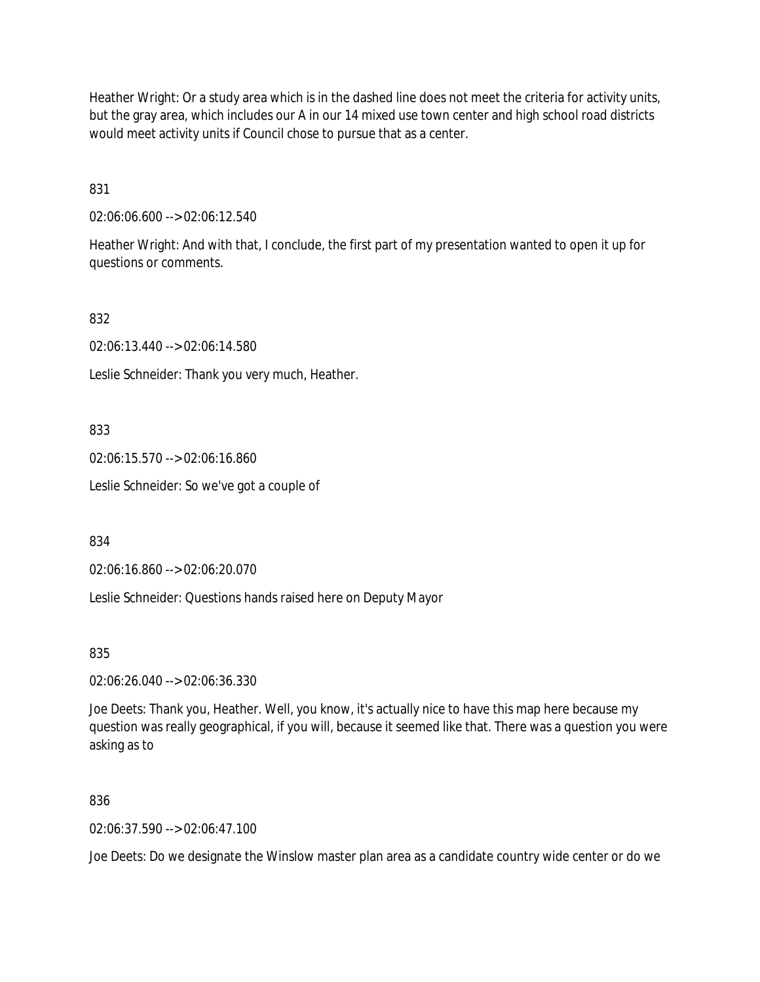Heather Wright: Or a study area which is in the dashed line does not meet the criteria for activity units, but the gray area, which includes our A in our 14 mixed use town center and high school road districts would meet activity units if Council chose to pursue that as a center.

831

02:06:06.600 --> 02:06:12.540

Heather Wright: And with that, I conclude, the first part of my presentation wanted to open it up for questions or comments.

832

02:06:13.440 --> 02:06:14.580

Leslie Schneider: Thank you very much, Heather.

833

02:06:15.570 --> 02:06:16.860

Leslie Schneider: So we've got a couple of

834

02:06:16.860 --> 02:06:20.070

Leslie Schneider: Questions hands raised here on Deputy Mayor

835

02:06:26.040 --> 02:06:36.330

Joe Deets: Thank you, Heather. Well, you know, it's actually nice to have this map here because my question was really geographical, if you will, because it seemed like that. There was a question you were asking as to

836

02:06:37.590 --> 02:06:47.100

Joe Deets: Do we designate the Winslow master plan area as a candidate country wide center or do we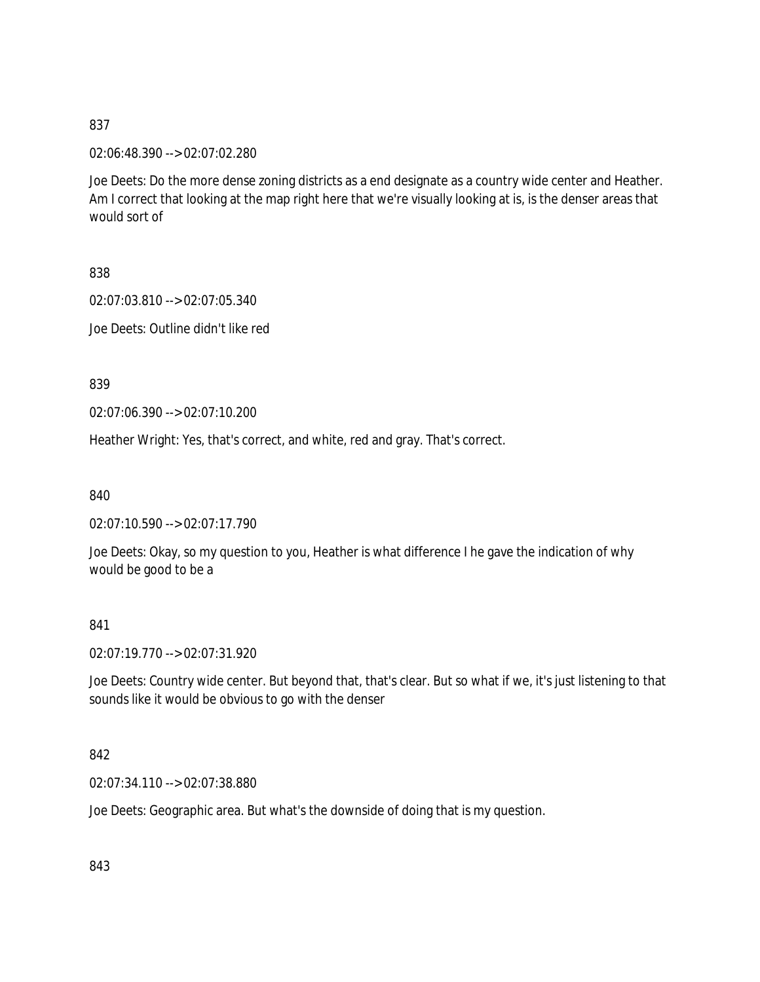02:06:48.390 --> 02:07:02.280

Joe Deets: Do the more dense zoning districts as a end designate as a country wide center and Heather. Am I correct that looking at the map right here that we're visually looking at is, is the denser areas that would sort of

838

02:07:03.810 --> 02:07:05.340

Joe Deets: Outline didn't like red

839

02:07:06.390 --> 02:07:10.200

Heather Wright: Yes, that's correct, and white, red and gray. That's correct.

840

02:07:10.590 --> 02:07:17.790

Joe Deets: Okay, so my question to you, Heather is what difference I he gave the indication of why would be good to be a

841

02:07:19.770 --> 02:07:31.920

Joe Deets: Country wide center. But beyond that, that's clear. But so what if we, it's just listening to that sounds like it would be obvious to go with the denser

842

02:07:34.110 --> 02:07:38.880

Joe Deets: Geographic area. But what's the downside of doing that is my question.

843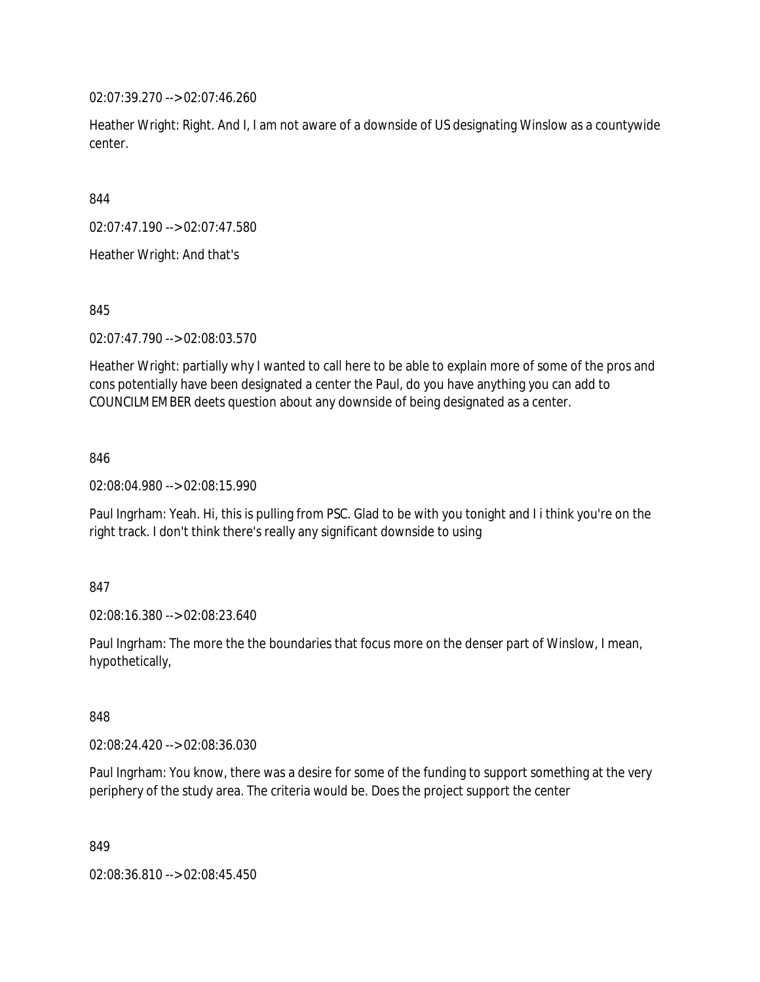02:07:39.270 --> 02:07:46.260

Heather Wright: Right. And I, I am not aware of a downside of US designating Winslow as a countywide center.

844

02:07:47.190 --> 02:07:47.580

Heather Wright: And that's

845

02:07:47.790 --> 02:08:03.570

Heather Wright: partially why I wanted to call here to be able to explain more of some of the pros and cons potentially have been designated a center the Paul, do you have anything you can add to COUNCILMEMBER deets question about any downside of being designated as a center.

846

02:08:04.980 --> 02:08:15.990

Paul Ingrham: Yeah. Hi, this is pulling from PSC. Glad to be with you tonight and I i think you're on the right track. I don't think there's really any significant downside to using

847

02:08:16.380 --> 02:08:23.640

Paul Ingrham: The more the the boundaries that focus more on the denser part of Winslow, I mean, hypothetically,

848

02:08:24.420 --> 02:08:36.030

Paul Ingrham: You know, there was a desire for some of the funding to support something at the very periphery of the study area. The criteria would be. Does the project support the center

849

02:08:36.810 --> 02:08:45.450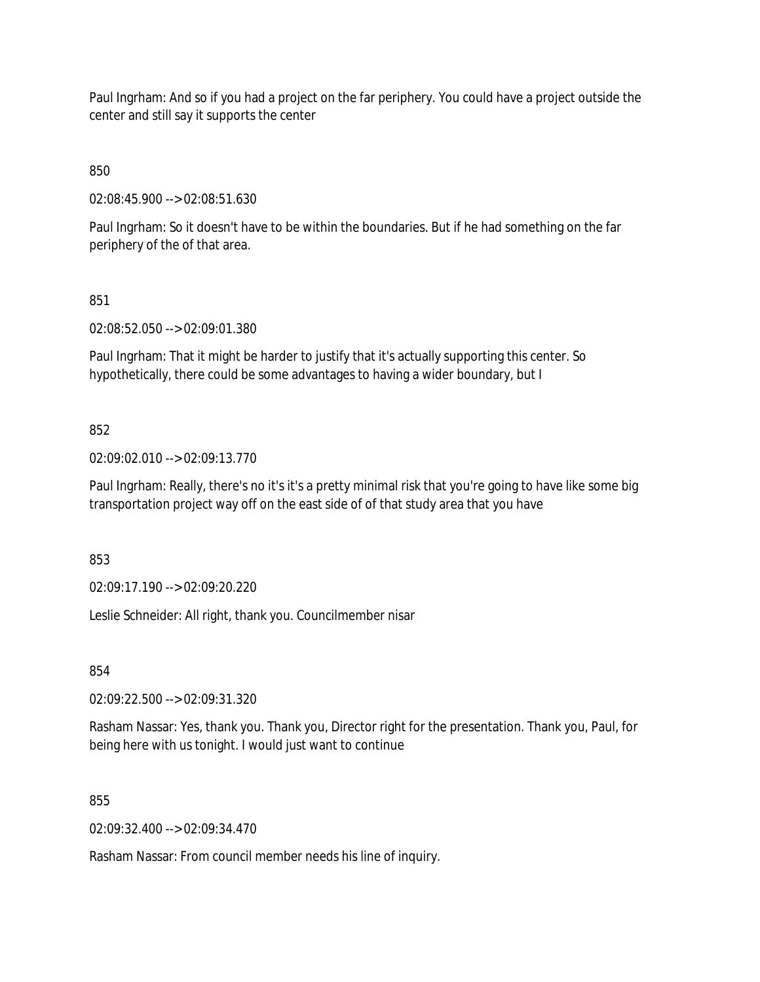Paul Ingrham: And so if you had a project on the far periphery. You could have a project outside the center and still say it supports the center

850

02:08:45.900 --> 02:08:51.630

Paul Ingrham: So it doesn't have to be within the boundaries. But if he had something on the far periphery of the of that area.

851

02:08:52.050 --> 02:09:01.380

Paul Ingrham: That it might be harder to justify that it's actually supporting this center. So hypothetically, there could be some advantages to having a wider boundary, but I

## 852

02:09:02.010 --> 02:09:13.770

Paul Ingrham: Really, there's no it's it's a pretty minimal risk that you're going to have like some big transportation project way off on the east side of of that study area that you have

853

02:09:17.190 --> 02:09:20.220

Leslie Schneider: All right, thank you. Councilmember nisar

854

02:09:22.500 --> 02:09:31.320

Rasham Nassar: Yes, thank you. Thank you, Director right for the presentation. Thank you, Paul, for being here with us tonight. I would just want to continue

855

02:09:32.400 --> 02:09:34.470

Rasham Nassar: From council member needs his line of inquiry.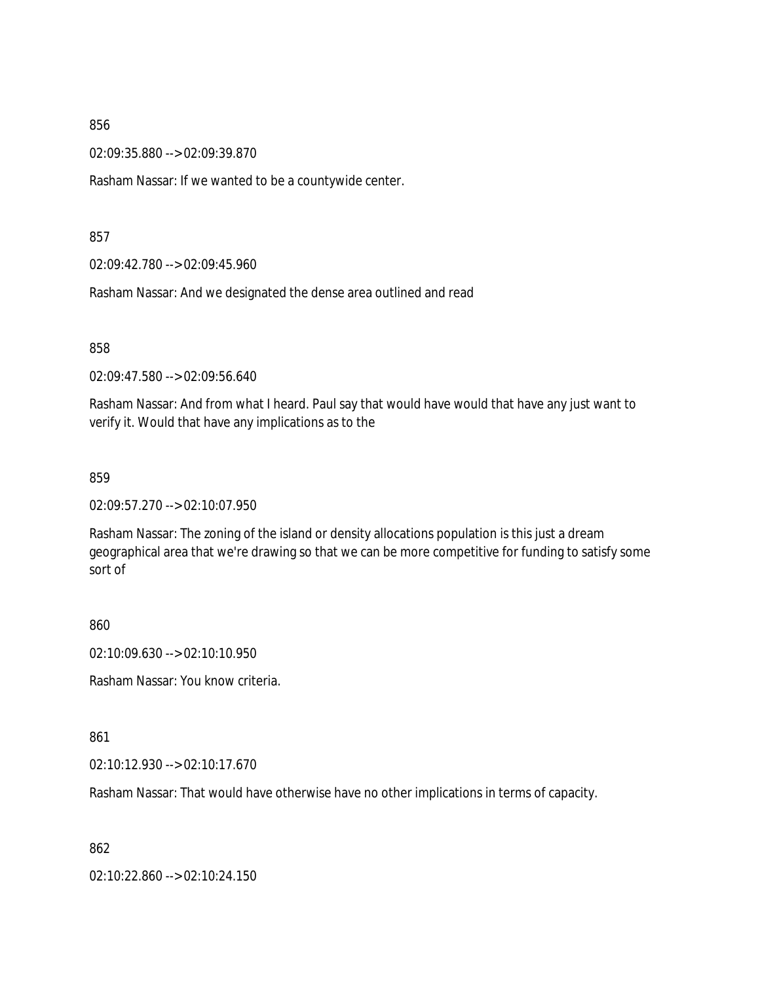02:09:35.880 --> 02:09:39.870

Rasham Nassar: If we wanted to be a countywide center.

857

02:09:42.780 --> 02:09:45.960

Rasham Nassar: And we designated the dense area outlined and read

858

02:09:47.580 --> 02:09:56.640

Rasham Nassar: And from what I heard. Paul say that would have would that have any just want to verify it. Would that have any implications as to the

859

02:09:57.270 --> 02:10:07.950

Rasham Nassar: The zoning of the island or density allocations population is this just a dream geographical area that we're drawing so that we can be more competitive for funding to satisfy some sort of

860

02:10:09.630 --> 02:10:10.950

Rasham Nassar: You know criteria.

861

02:10:12.930 --> 02:10:17.670

Rasham Nassar: That would have otherwise have no other implications in terms of capacity.

862

02:10:22.860 --> 02:10:24.150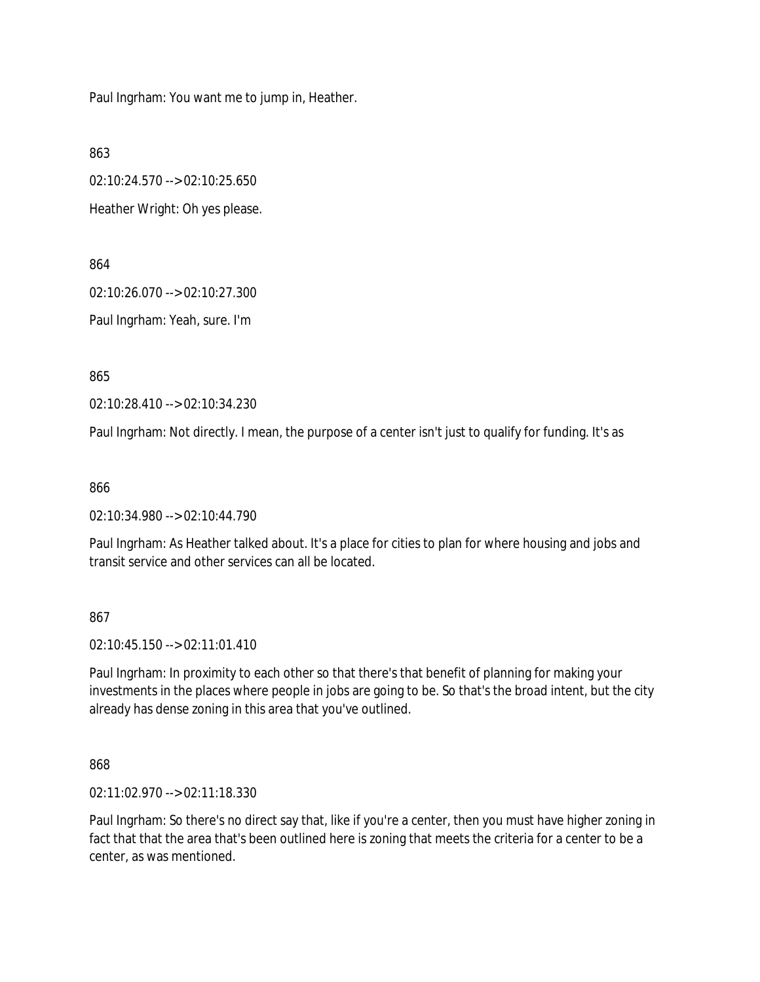Paul Ingrham: You want me to jump in, Heather.

863

02:10:24.570 --> 02:10:25.650

Heather Wright: Oh yes please.

864

02:10:26.070 --> 02:10:27.300

Paul Ingrham: Yeah, sure. I'm

865

02:10:28.410 --> 02:10:34.230

Paul Ingrham: Not directly. I mean, the purpose of a center isn't just to qualify for funding. It's as

866

02:10:34.980 --> 02:10:44.790

Paul Ingrham: As Heather talked about. It's a place for cities to plan for where housing and jobs and transit service and other services can all be located.

867

02:10:45.150 --> 02:11:01.410

Paul Ingrham: In proximity to each other so that there's that benefit of planning for making your investments in the places where people in jobs are going to be. So that's the broad intent, but the city already has dense zoning in this area that you've outlined.

868

02:11:02.970 --> 02:11:18.330

Paul Ingrham: So there's no direct say that, like if you're a center, then you must have higher zoning in fact that that the area that's been outlined here is zoning that meets the criteria for a center to be a center, as was mentioned.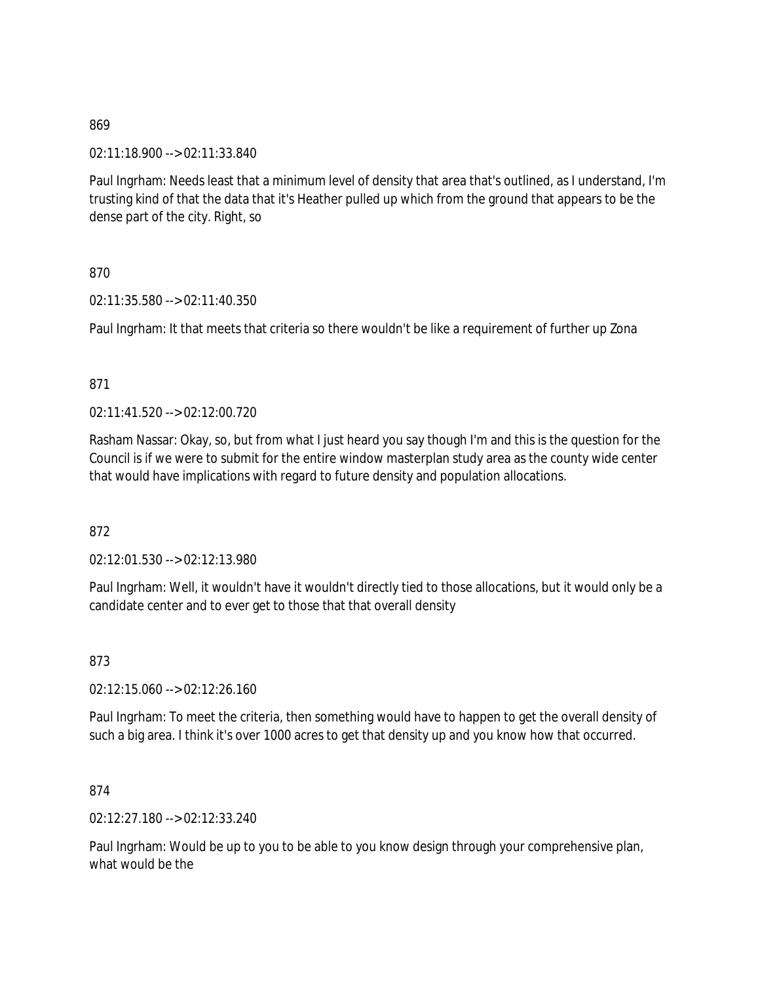02:11:18.900 --> 02:11:33.840

Paul Ingrham: Needs least that a minimum level of density that area that's outlined, as I understand, I'm trusting kind of that the data that it's Heather pulled up which from the ground that appears to be the dense part of the city. Right, so

870

02:11:35.580 --> 02:11:40.350

Paul Ingrham: It that meets that criteria so there wouldn't be like a requirement of further up Zona

## 871

 $02.11:41.520 \rightarrow 02:12:00.720$ 

Rasham Nassar: Okay, so, but from what I just heard you say though I'm and this is the question for the Council is if we were to submit for the entire window masterplan study area as the county wide center that would have implications with regard to future density and population allocations.

872

02:12:01.530 --> 02:12:13.980

Paul Ingrham: Well, it wouldn't have it wouldn't directly tied to those allocations, but it would only be a candidate center and to ever get to those that that overall density

873

02:12:15.060 --> 02:12:26.160

Paul Ingrham: To meet the criteria, then something would have to happen to get the overall density of such a big area. I think it's over 1000 acres to get that density up and you know how that occurred.

874

02:12:27.180 --> 02:12:33.240

Paul Ingrham: Would be up to you to be able to you know design through your comprehensive plan, what would be the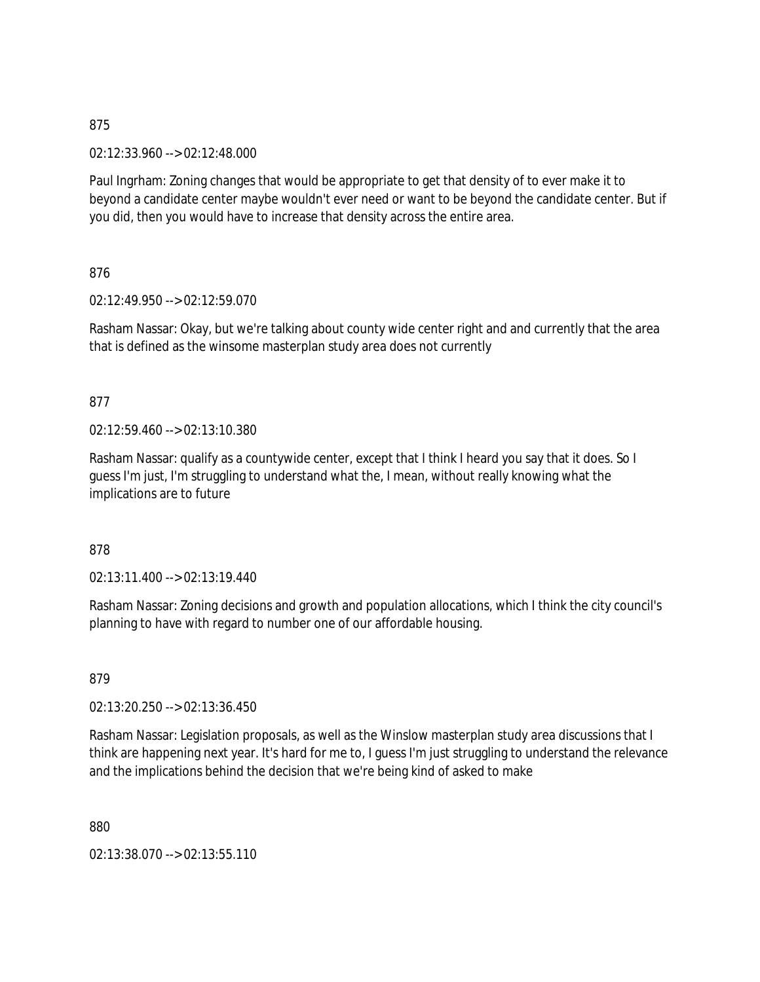02:12:33.960 --> 02:12:48.000

Paul Ingrham: Zoning changes that would be appropriate to get that density of to ever make it to beyond a candidate center maybe wouldn't ever need or want to be beyond the candidate center. But if you did, then you would have to increase that density across the entire area.

876

02:12:49.950 --> 02:12:59.070

Rasham Nassar: Okay, but we're talking about county wide center right and and currently that the area that is defined as the winsome masterplan study area does not currently

## 877

02:12:59.460 --> 02:13:10.380

Rasham Nassar: qualify as a countywide center, except that I think I heard you say that it does. So I guess I'm just, I'm struggling to understand what the, I mean, without really knowing what the implications are to future

878

 $02:13:11.400 \rightarrow 02:13:19.440$ 

Rasham Nassar: Zoning decisions and growth and population allocations, which I think the city council's planning to have with regard to number one of our affordable housing.

879

02:13:20.250 --> 02:13:36.450

Rasham Nassar: Legislation proposals, as well as the Winslow masterplan study area discussions that I think are happening next year. It's hard for me to, I guess I'm just struggling to understand the relevance and the implications behind the decision that we're being kind of asked to make

880

02:13:38.070 --> 02:13:55.110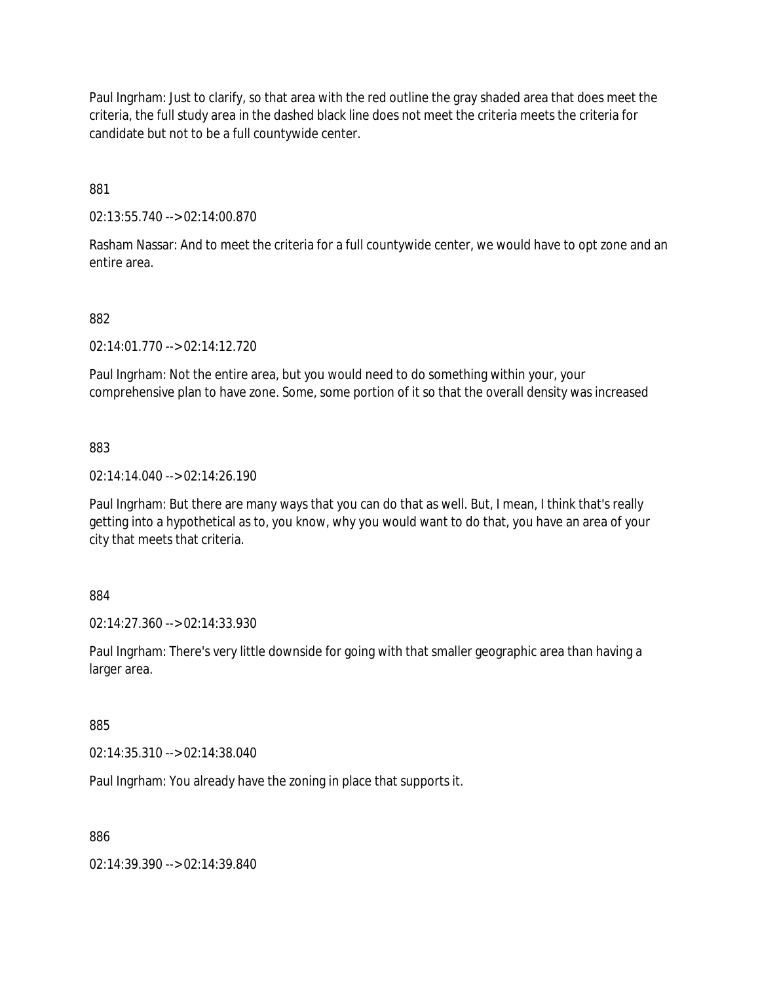Paul Ingrham: Just to clarify, so that area with the red outline the gray shaded area that does meet the criteria, the full study area in the dashed black line does not meet the criteria meets the criteria for candidate but not to be a full countywide center.

881

02:13:55.740 --> 02:14:00.870

Rasham Nassar: And to meet the criteria for a full countywide center, we would have to opt zone and an entire area.

## 882

02:14:01.770 --> 02:14:12.720

Paul Ingrham: Not the entire area, but you would need to do something within your, your comprehensive plan to have zone. Some, some portion of it so that the overall density was increased

883

02:14:14.040 --> 02:14:26.190

Paul Ingrham: But there are many ways that you can do that as well. But, I mean, I think that's really getting into a hypothetical as to, you know, why you would want to do that, you have an area of your city that meets that criteria.

884

02:14:27.360 --> 02:14:33.930

Paul Ingrham: There's very little downside for going with that smaller geographic area than having a larger area.

885

02:14:35.310 --> 02:14:38.040

Paul Ingrham: You already have the zoning in place that supports it.

886

02:14:39.390 --> 02:14:39.840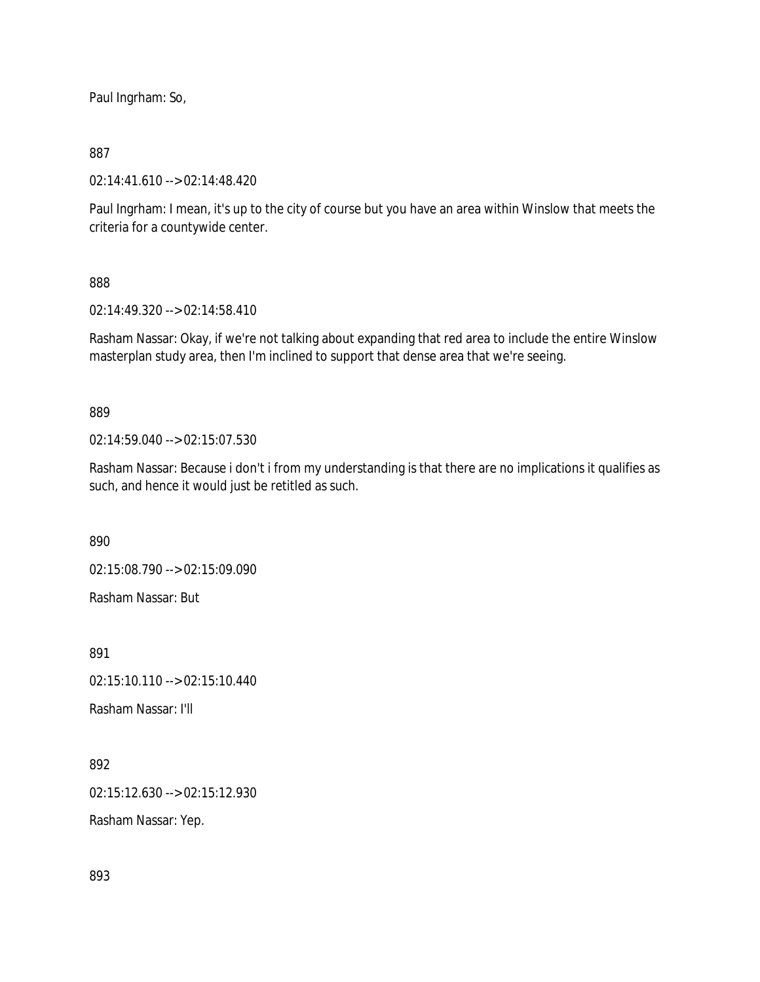Paul Ingrham: So,

## 887

02:14:41.610 --> 02:14:48.420

Paul Ingrham: I mean, it's up to the city of course but you have an area within Winslow that meets the criteria for a countywide center.

## 888

02:14:49.320 --> 02:14:58.410

Rasham Nassar: Okay, if we're not talking about expanding that red area to include the entire Winslow masterplan study area, then I'm inclined to support that dense area that we're seeing.

## 889

02:14:59.040 --> 02:15:07.530

Rasham Nassar: Because i don't i from my understanding is that there are no implications it qualifies as such, and hence it would just be retitled as such.

890

02:15:08.790 --> 02:15:09.090

Rasham Nassar: But

891

02:15:10.110 --> 02:15:10.440

Rasham Nassar: I'll

892

02:15:12.630 --> 02:15:12.930

Rasham Nassar: Yep.

893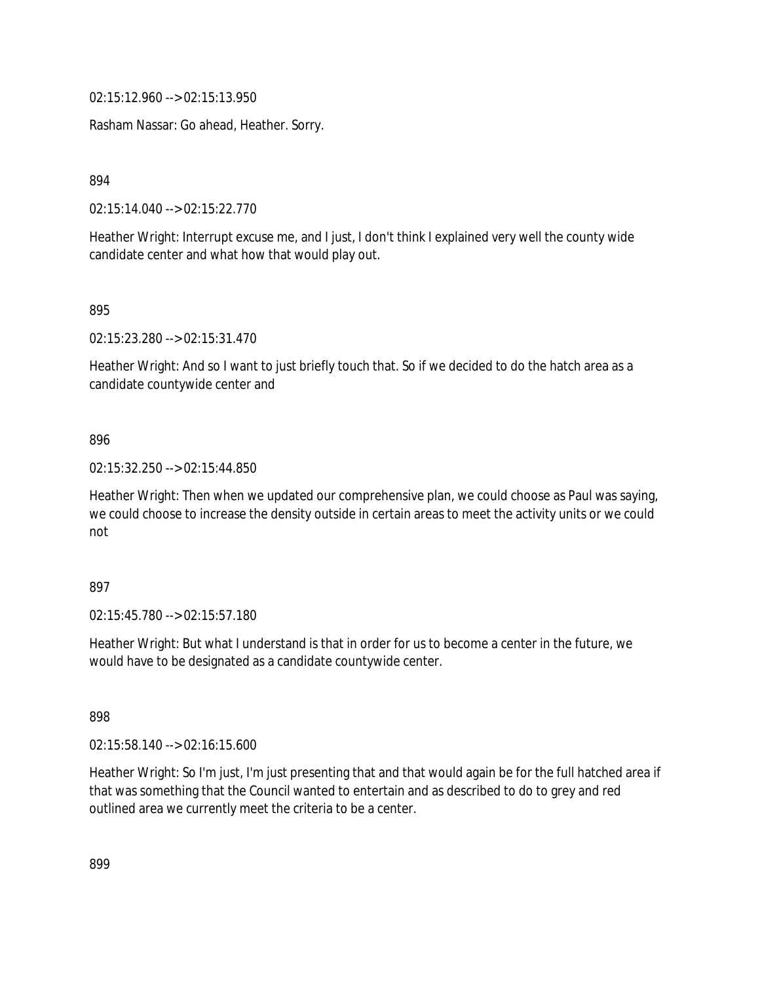02:15:12.960 --> 02:15:13.950

Rasham Nassar: Go ahead, Heather. Sorry.

894

02:15:14.040 --> 02:15:22.770

Heather Wright: Interrupt excuse me, and I just, I don't think I explained very well the county wide candidate center and what how that would play out.

895

02:15:23.280 --> 02:15:31.470

Heather Wright: And so I want to just briefly touch that. So if we decided to do the hatch area as a candidate countywide center and

#### 896

02:15:32.250 --> 02:15:44.850

Heather Wright: Then when we updated our comprehensive plan, we could choose as Paul was saying, we could choose to increase the density outside in certain areas to meet the activity units or we could not

#### 897

02:15:45.780 --> 02:15:57.180

Heather Wright: But what I understand is that in order for us to become a center in the future, we would have to be designated as a candidate countywide center.

898

02:15:58.140 --> 02:16:15.600

Heather Wright: So I'm just, I'm just presenting that and that would again be for the full hatched area if that was something that the Council wanted to entertain and as described to do to grey and red outlined area we currently meet the criteria to be a center.

899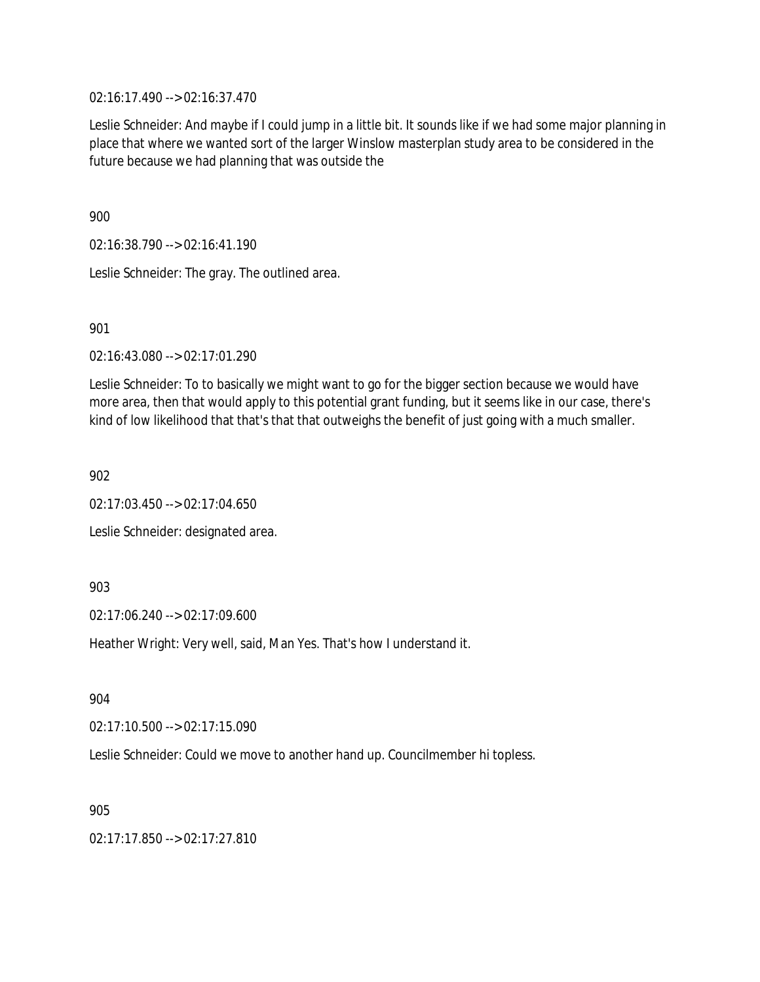02:16:17.490 --> 02:16:37.470

Leslie Schneider: And maybe if I could jump in a little bit. It sounds like if we had some major planning in place that where we wanted sort of the larger Winslow masterplan study area to be considered in the future because we had planning that was outside the

900

02:16:38.790 --> 02:16:41.190

Leslie Schneider: The gray. The outlined area.

901

02:16:43.080 --> 02:17:01.290

Leslie Schneider: To to basically we might want to go for the bigger section because we would have more area, then that would apply to this potential grant funding, but it seems like in our case, there's kind of low likelihood that that's that that outweighs the benefit of just going with a much smaller.

902

02:17:03.450 --> 02:17:04.650

Leslie Schneider: designated area.

903

02:17:06.240 --> 02:17:09.600

Heather Wright: Very well, said, Man Yes. That's how I understand it.

904

 $02:17:10.500 \rightarrow 02:17:15.090$ 

Leslie Schneider: Could we move to another hand up. Councilmember hi topless.

905

02:17:17.850 --> 02:17:27.810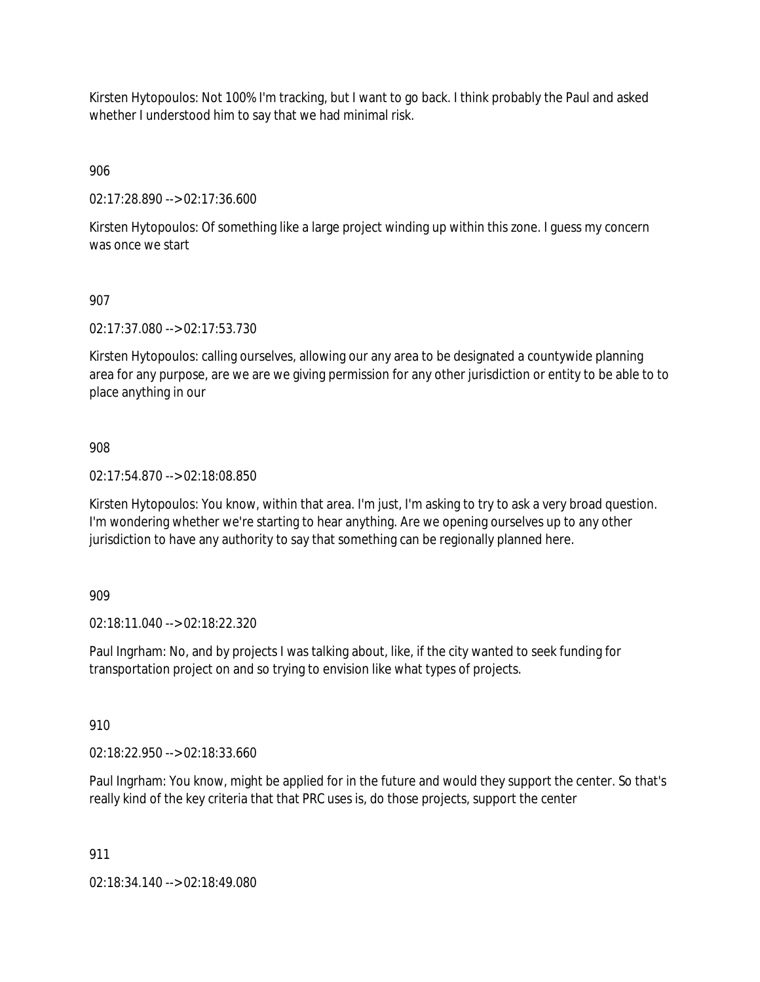Kirsten Hytopoulos: Not 100% I'm tracking, but I want to go back. I think probably the Paul and asked whether I understood him to say that we had minimal risk.

906

02:17:28.890 --> 02:17:36.600

Kirsten Hytopoulos: Of something like a large project winding up within this zone. I guess my concern was once we start

## 907

02:17:37.080 --> 02:17:53.730

Kirsten Hytopoulos: calling ourselves, allowing our any area to be designated a countywide planning area for any purpose, are we are we giving permission for any other jurisdiction or entity to be able to to place anything in our

## 908

02:17:54.870 --> 02:18:08.850

Kirsten Hytopoulos: You know, within that area. I'm just, I'm asking to try to ask a very broad question. I'm wondering whether we're starting to hear anything. Are we opening ourselves up to any other jurisdiction to have any authority to say that something can be regionally planned here.

### 909

02:18:11.040 --> 02:18:22.320

Paul Ingrham: No, and by projects I was talking about, like, if the city wanted to seek funding for transportation project on and so trying to envision like what types of projects.

910

02:18:22.950 --> 02:18:33.660

Paul Ingrham: You know, might be applied for in the future and would they support the center. So that's really kind of the key criteria that that PRC uses is, do those projects, support the center

### 911

02:18:34.140 --> 02:18:49.080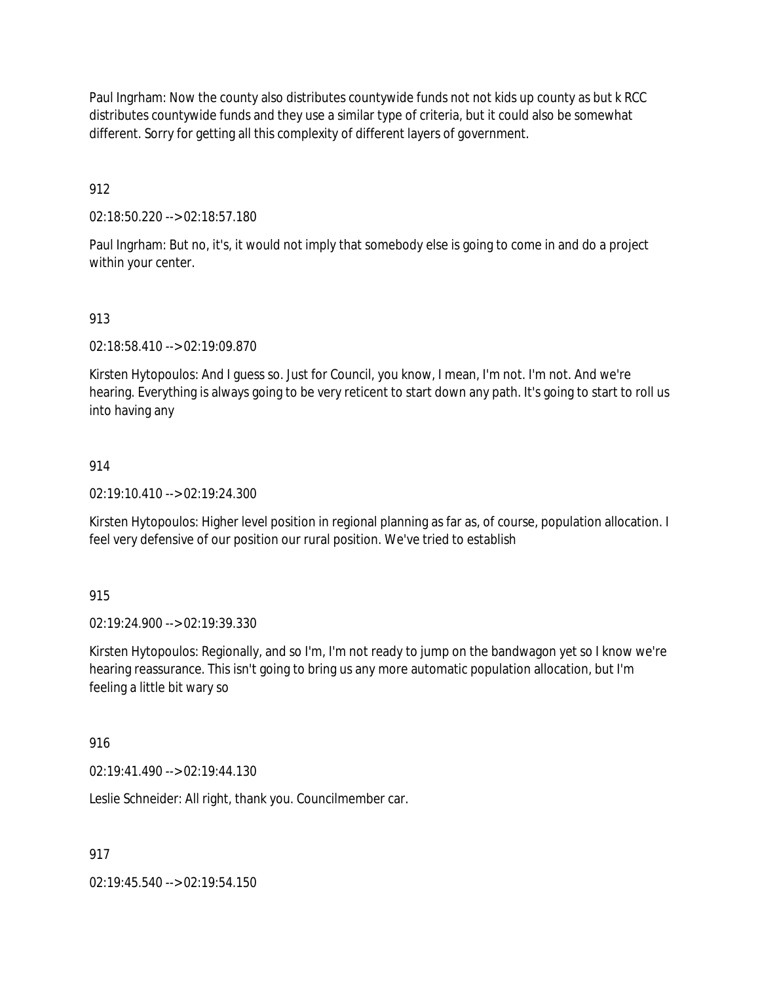Paul Ingrham: Now the county also distributes countywide funds not not kids up county as but k RCC distributes countywide funds and they use a similar type of criteria, but it could also be somewhat different. Sorry for getting all this complexity of different layers of government.

912

02:18:50.220 --> 02:18:57.180

Paul Ingrham: But no, it's, it would not imply that somebody else is going to come in and do a project within your center.

## 913

02:18:58.410 --> 02:19:09.870

Kirsten Hytopoulos: And I guess so. Just for Council, you know, I mean, I'm not. I'm not. And we're hearing. Everything is always going to be very reticent to start down any path. It's going to start to roll us into having any

### 914

02:19:10.410 --> 02:19:24.300

Kirsten Hytopoulos: Higher level position in regional planning as far as, of course, population allocation. I feel very defensive of our position our rural position. We've tried to establish

### 915

02:19:24.900 --> 02:19:39.330

Kirsten Hytopoulos: Regionally, and so I'm, I'm not ready to jump on the bandwagon yet so I know we're hearing reassurance. This isn't going to bring us any more automatic population allocation, but I'm feeling a little bit wary so

### 916

02:19:41.490 --> 02:19:44.130

Leslie Schneider: All right, thank you. Councilmember car.

917

02:19:45.540 --> 02:19:54.150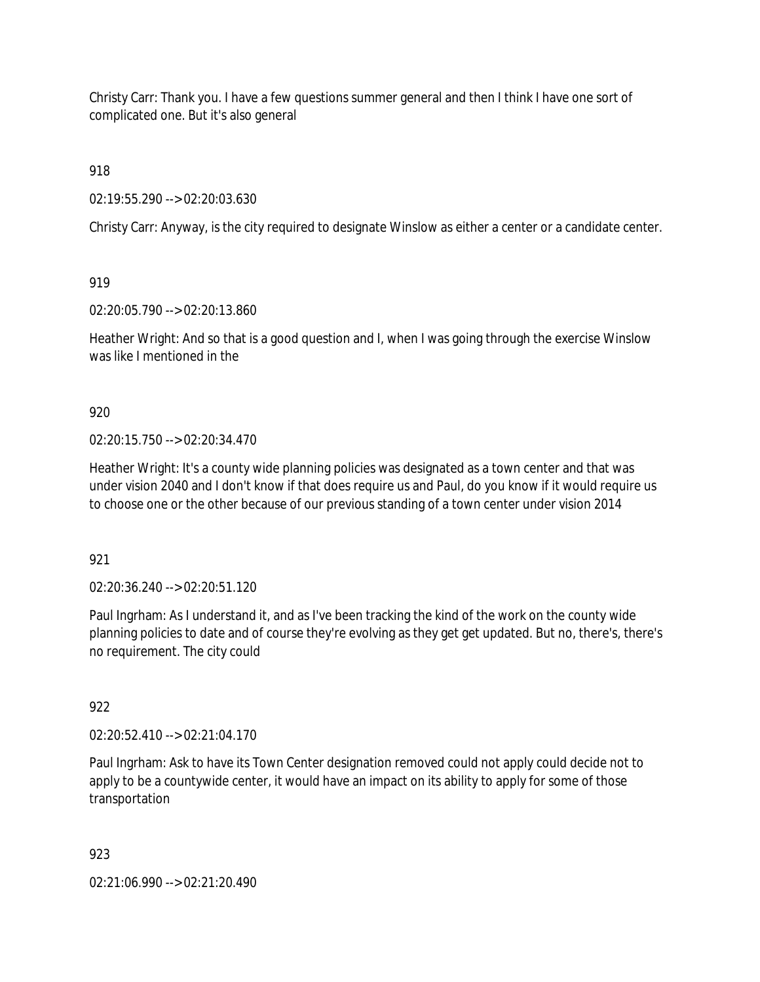Christy Carr: Thank you. I have a few questions summer general and then I think I have one sort of complicated one. But it's also general

918

02:19:55.290 --> 02:20:03.630

Christy Carr: Anyway, is the city required to designate Winslow as either a center or a candidate center.

919

02:20:05.790 --> 02:20:13.860

Heather Wright: And so that is a good question and I, when I was going through the exercise Winslow was like I mentioned in the

920

02:20:15.750 --> 02:20:34.470

Heather Wright: It's a county wide planning policies was designated as a town center and that was under vision 2040 and I don't know if that does require us and Paul, do you know if it would require us to choose one or the other because of our previous standing of a town center under vision 2014

921

02:20:36.240 --> 02:20:51.120

Paul Ingrham: As I understand it, and as I've been tracking the kind of the work on the county wide planning policies to date and of course they're evolving as they get get updated. But no, there's, there's no requirement. The city could

922

02:20:52.410 --> 02:21:04.170

Paul Ingrham: Ask to have its Town Center designation removed could not apply could decide not to apply to be a countywide center, it would have an impact on its ability to apply for some of those transportation

923

02:21:06.990 --> 02:21:20.490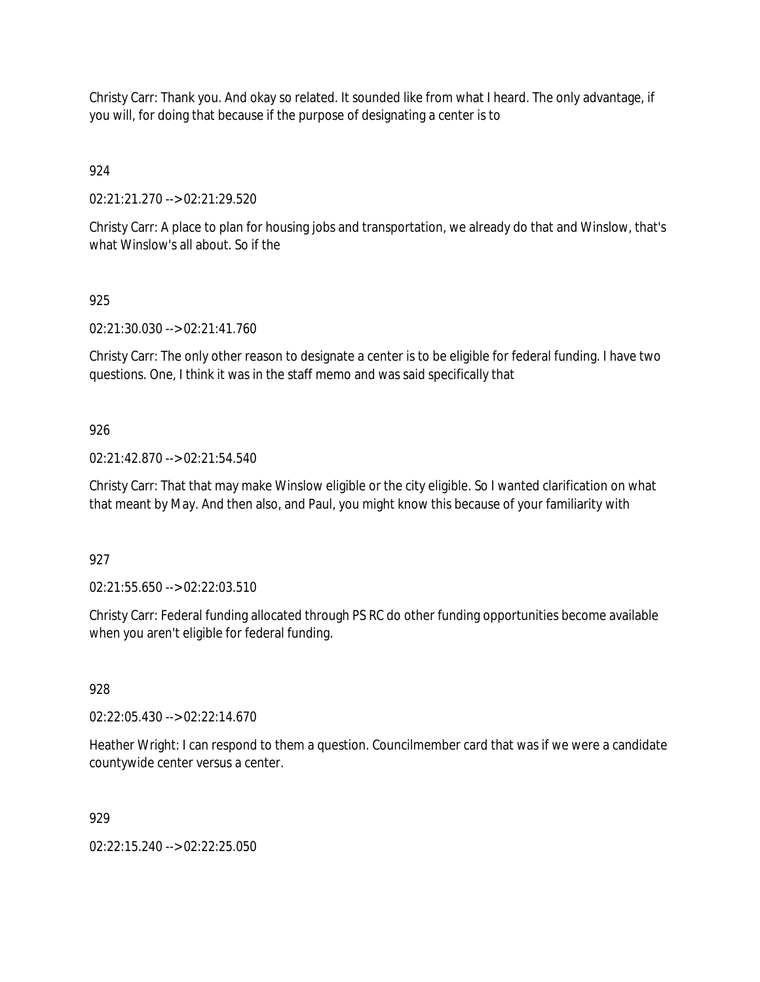Christy Carr: Thank you. And okay so related. It sounded like from what I heard. The only advantage, if you will, for doing that because if the purpose of designating a center is to

924

02:21:21.270 --> 02:21:29.520

Christy Carr: A place to plan for housing jobs and transportation, we already do that and Winslow, that's what Winslow's all about. So if the

925

02:21:30.030 --> 02:21:41.760

Christy Carr: The only other reason to designate a center is to be eligible for federal funding. I have two questions. One, I think it was in the staff memo and was said specifically that

926

02:21:42.870 --> 02:21:54.540

Christy Carr: That that may make Winslow eligible or the city eligible. So I wanted clarification on what that meant by May. And then also, and Paul, you might know this because of your familiarity with

927

02:21:55.650 --> 02:22:03.510

Christy Carr: Federal funding allocated through PS RC do other funding opportunities become available when you aren't eligible for federal funding.

928

02:22:05.430 --> 02:22:14.670

Heather Wright: I can respond to them a question. Councilmember card that was if we were a candidate countywide center versus a center.

929

02:22:15.240 --> 02:22:25.050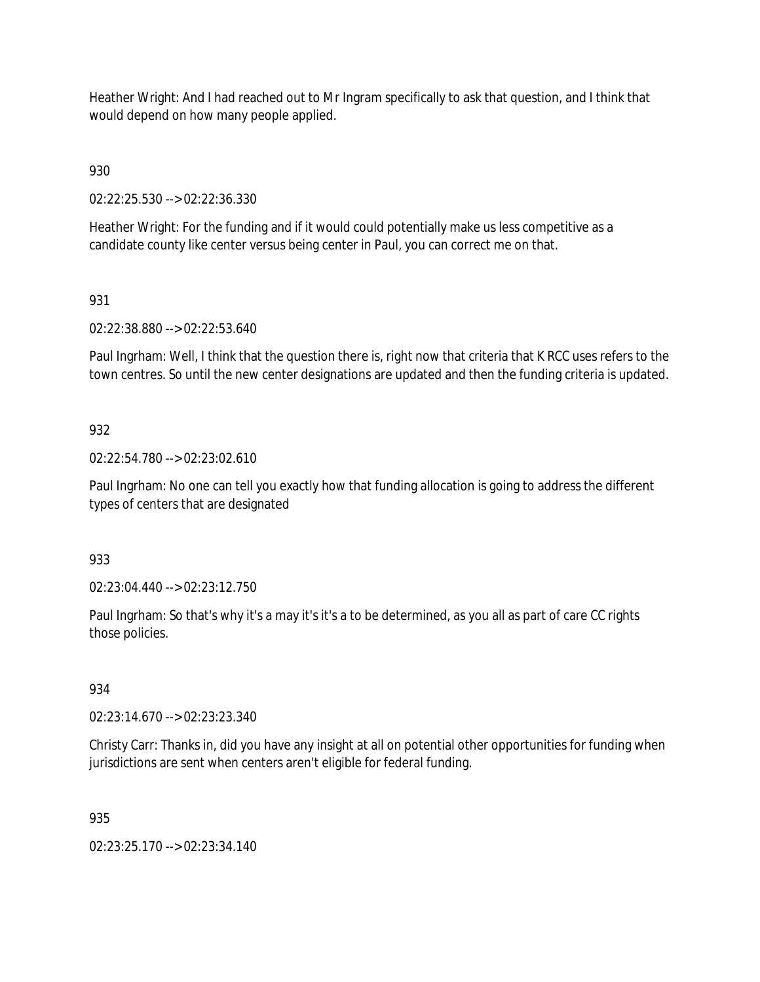Heather Wright: And I had reached out to Mr Ingram specifically to ask that question, and I think that would depend on how many people applied.

930

02:22:25.530 --> 02:22:36.330

Heather Wright: For the funding and if it would could potentially make us less competitive as a candidate county like center versus being center in Paul, you can correct me on that.

# 931

02:22:38.880 --> 02:22:53.640

Paul Ingrham: Well, I think that the question there is, right now that criteria that K RCC uses refers to the town centres. So until the new center designations are updated and then the funding criteria is updated.

## 932

02:22:54.780 --> 02:23:02.610

Paul Ingrham: No one can tell you exactly how that funding allocation is going to address the different types of centers that are designated

### 933

02:23:04.440 --> 02:23:12.750

Paul Ingrham: So that's why it's a may it's it's a to be determined, as you all as part of care CC rights those policies.

### 934

02:23:14.670 --> 02:23:23.340

Christy Carr: Thanks in, did you have any insight at all on potential other opportunities for funding when jurisdictions are sent when centers aren't eligible for federal funding.

### 935

02:23:25.170 --> 02:23:34.140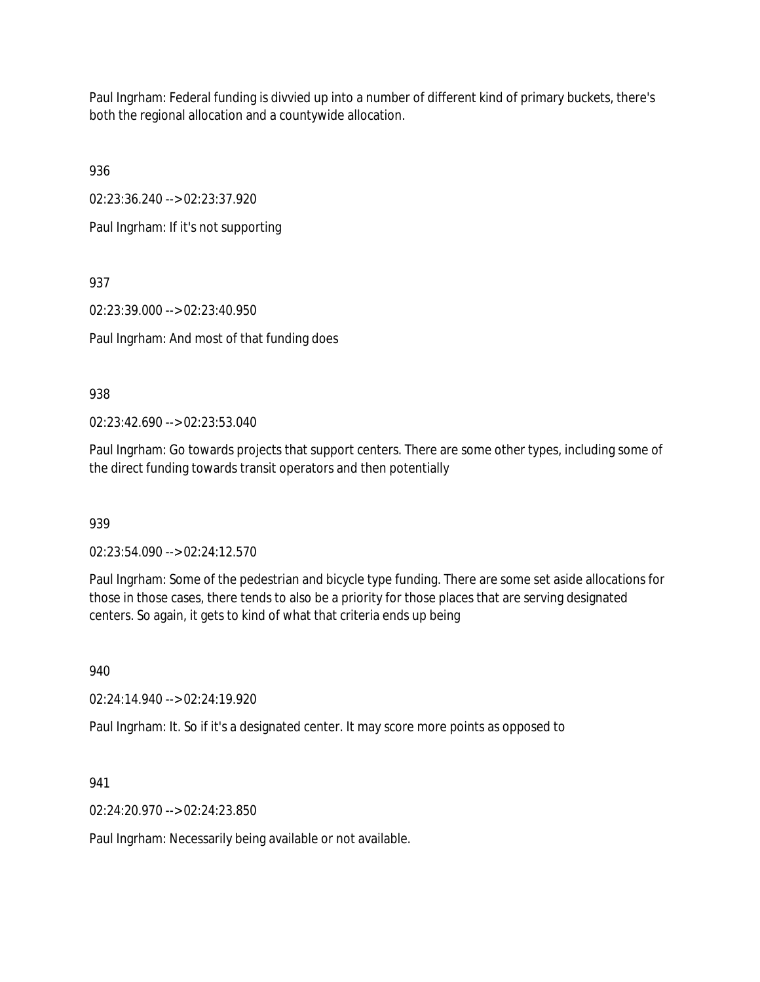Paul Ingrham: Federal funding is divvied up into a number of different kind of primary buckets, there's both the regional allocation and a countywide allocation.

936

02:23:36.240 --> 02:23:37.920

Paul Ingrham: If it's not supporting

937

02:23:39.000 --> 02:23:40.950

Paul Ingrham: And most of that funding does

938

02:23:42.690 --> 02:23:53.040

Paul Ingrham: Go towards projects that support centers. There are some other types, including some of the direct funding towards transit operators and then potentially

939

02:23:54.090 --> 02:24:12.570

Paul Ingrham: Some of the pedestrian and bicycle type funding. There are some set aside allocations for those in those cases, there tends to also be a priority for those places that are serving designated centers. So again, it gets to kind of what that criteria ends up being

940

02:24:14.940 --> 02:24:19.920

Paul Ingrham: It. So if it's a designated center. It may score more points as opposed to

941

02:24:20.970 --> 02:24:23.850

Paul Ingrham: Necessarily being available or not available.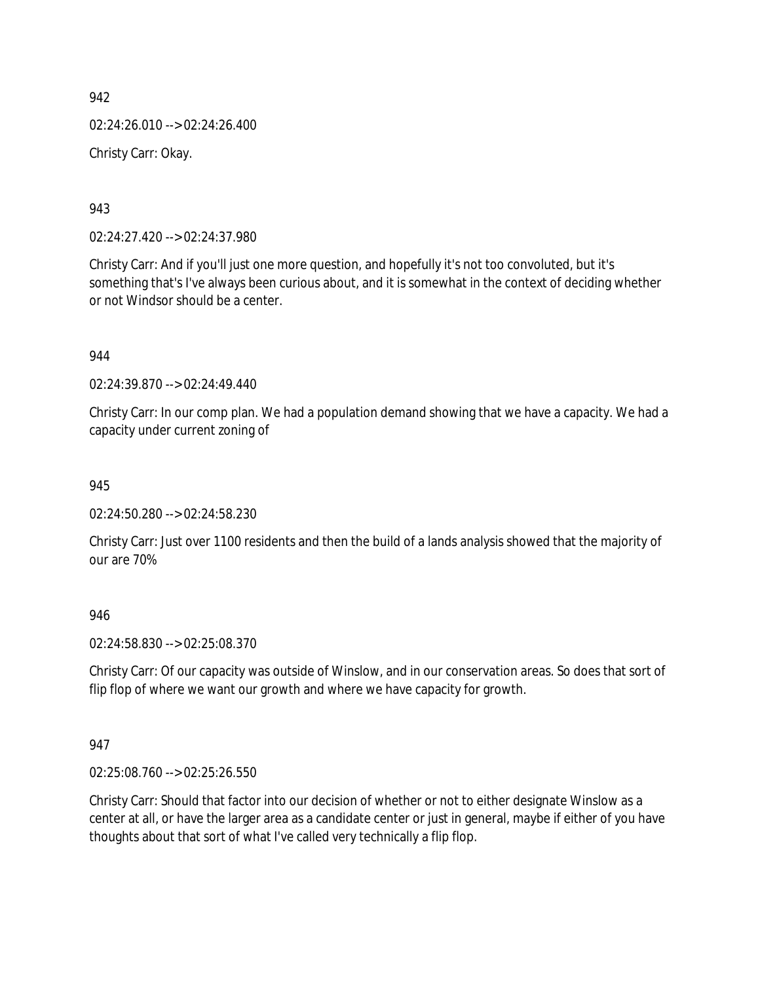02:24:26.010 --> 02:24:26.400 Christy Carr: Okay.

943

02:24:27.420 --> 02:24:37.980

Christy Carr: And if you'll just one more question, and hopefully it's not too convoluted, but it's something that's I've always been curious about, and it is somewhat in the context of deciding whether or not Windsor should be a center.

944

02:24:39.870 --> 02:24:49.440

Christy Carr: In our comp plan. We had a population demand showing that we have a capacity. We had a capacity under current zoning of

945

02:24:50.280 --> 02:24:58.230

Christy Carr: Just over 1100 residents and then the build of a lands analysis showed that the majority of our are 70%

946

02:24:58.830 --> 02:25:08.370

Christy Carr: Of our capacity was outside of Winslow, and in our conservation areas. So does that sort of flip flop of where we want our growth and where we have capacity for growth.

947

02:25:08.760 --> 02:25:26.550

Christy Carr: Should that factor into our decision of whether or not to either designate Winslow as a center at all, or have the larger area as a candidate center or just in general, maybe if either of you have thoughts about that sort of what I've called very technically a flip flop.

942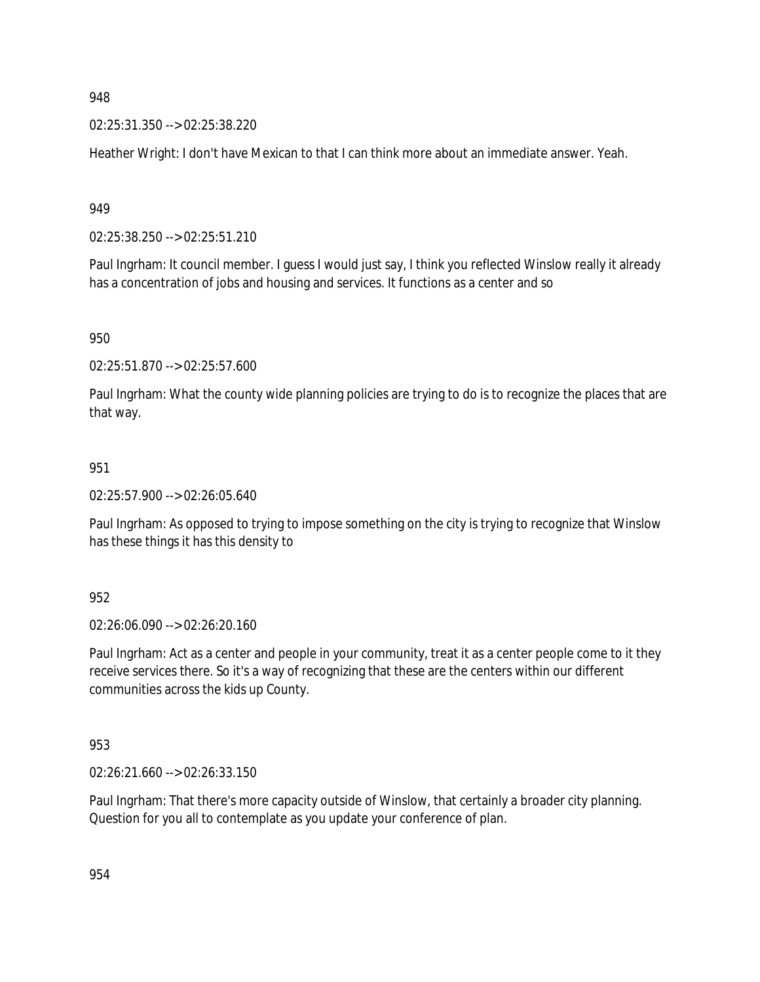02:25:31.350 --> 02:25:38.220

Heather Wright: I don't have Mexican to that I can think more about an immediate answer. Yeah.

949

02:25:38.250 --> 02:25:51.210

Paul Ingrham: It council member. I guess I would just say, I think you reflected Winslow really it already has a concentration of jobs and housing and services. It functions as a center and so

950

02:25:51.870 --> 02:25:57.600

Paul Ingrham: What the county wide planning policies are trying to do is to recognize the places that are that way.

#### 951

02:25:57.900 --> 02:26:05.640

Paul Ingrham: As opposed to trying to impose something on the city is trying to recognize that Winslow has these things it has this density to

952

02:26:06.090 --> 02:26:20.160

Paul Ingrham: Act as a center and people in your community, treat it as a center people come to it they receive services there. So it's a way of recognizing that these are the centers within our different communities across the kids up County.

953

02:26:21.660 --> 02:26:33.150

Paul Ingrham: That there's more capacity outside of Winslow, that certainly a broader city planning. Question for you all to contemplate as you update your conference of plan.

954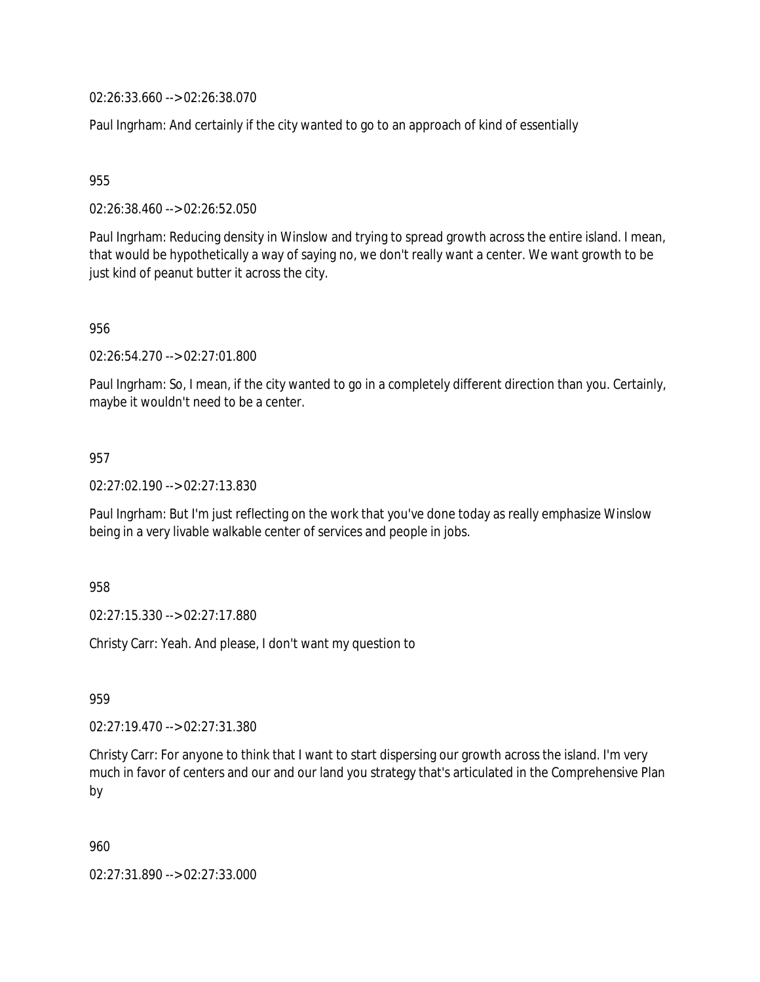02:26:33.660 --> 02:26:38.070

Paul Ingrham: And certainly if the city wanted to go to an approach of kind of essentially

955

02:26:38.460 --> 02:26:52.050

Paul Ingrham: Reducing density in Winslow and trying to spread growth across the entire island. I mean, that would be hypothetically a way of saying no, we don't really want a center. We want growth to be just kind of peanut butter it across the city.

956

02:26:54.270 --> 02:27:01.800

Paul Ingrham: So, I mean, if the city wanted to go in a completely different direction than you. Certainly, maybe it wouldn't need to be a center.

957

02:27:02.190 --> 02:27:13.830

Paul Ingrham: But I'm just reflecting on the work that you've done today as really emphasize Winslow being in a very livable walkable center of services and people in jobs.

958

02:27:15.330 --> 02:27:17.880

Christy Carr: Yeah. And please, I don't want my question to

959

02:27:19.470 --> 02:27:31.380

Christy Carr: For anyone to think that I want to start dispersing our growth across the island. I'm very much in favor of centers and our and our land you strategy that's articulated in the Comprehensive Plan by

960

02:27:31.890 --> 02:27:33.000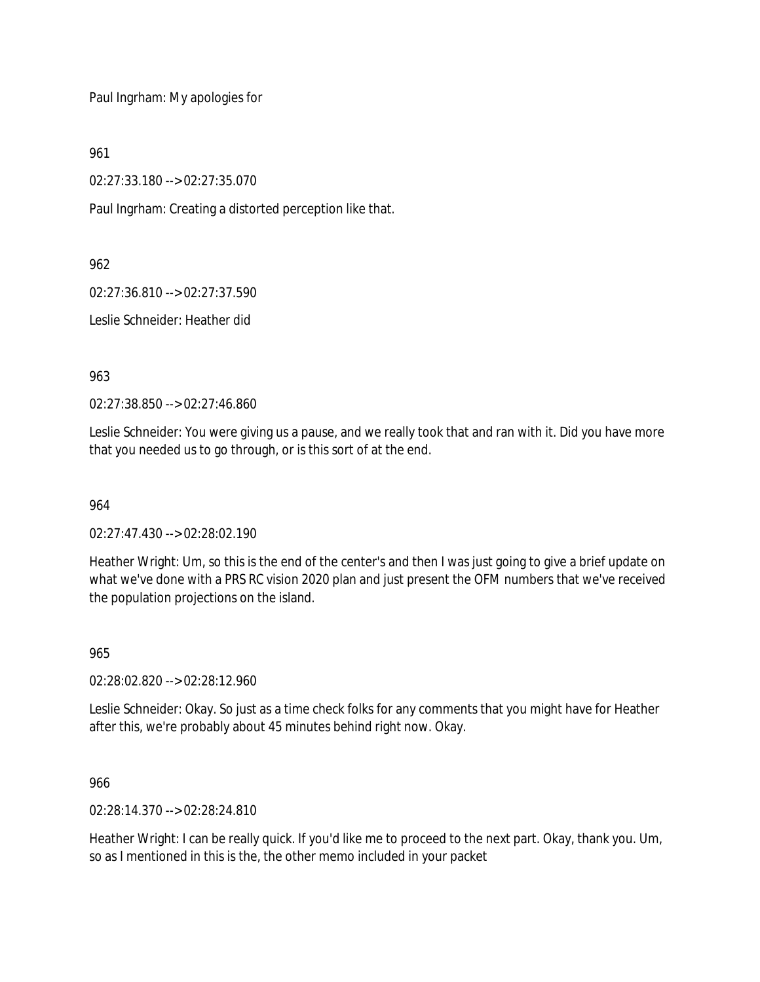Paul Ingrham: My apologies for

961

02:27:33.180 --> 02:27:35.070

Paul Ingrham: Creating a distorted perception like that.

962

02:27:36.810 --> 02:27:37.590

Leslie Schneider: Heather did

963

02:27:38.850 --> 02:27:46.860

Leslie Schneider: You were giving us a pause, and we really took that and ran with it. Did you have more that you needed us to go through, or is this sort of at the end.

964

02:27:47.430 --> 02:28:02.190

Heather Wright: Um, so this is the end of the center's and then I was just going to give a brief update on what we've done with a PRS RC vision 2020 plan and just present the OFM numbers that we've received the population projections on the island.

965

02:28:02.820 --> 02:28:12.960

Leslie Schneider: Okay. So just as a time check folks for any comments that you might have for Heather after this, we're probably about 45 minutes behind right now. Okay.

966

02:28:14.370 --> 02:28:24.810

Heather Wright: I can be really quick. If you'd like me to proceed to the next part. Okay, thank you. Um, so as I mentioned in this is the, the other memo included in your packet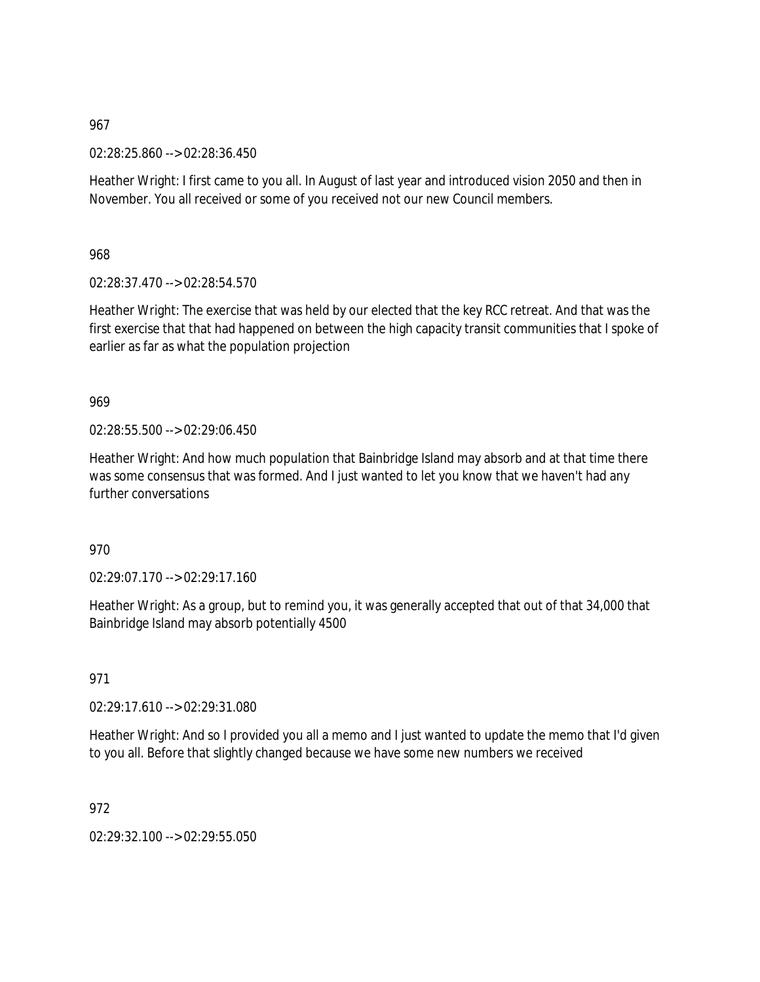02:28:25.860 --> 02:28:36.450

Heather Wright: I first came to you all. In August of last year and introduced vision 2050 and then in November. You all received or some of you received not our new Council members.

968

02:28:37.470 --> 02:28:54.570

Heather Wright: The exercise that was held by our elected that the key RCC retreat. And that was the first exercise that that had happened on between the high capacity transit communities that I spoke of earlier as far as what the population projection

969

02:28:55.500 --> 02:29:06.450

Heather Wright: And how much population that Bainbridge Island may absorb and at that time there was some consensus that was formed. And I just wanted to let you know that we haven't had any further conversations

970

 $02.29.07.170 -> 02.29.17.160$ 

Heather Wright: As a group, but to remind you, it was generally accepted that out of that 34,000 that Bainbridge Island may absorb potentially 4500

971

02:29:17.610 --> 02:29:31.080

Heather Wright: And so I provided you all a memo and I just wanted to update the memo that I'd given to you all. Before that slightly changed because we have some new numbers we received

972

02:29:32.100 --> 02:29:55.050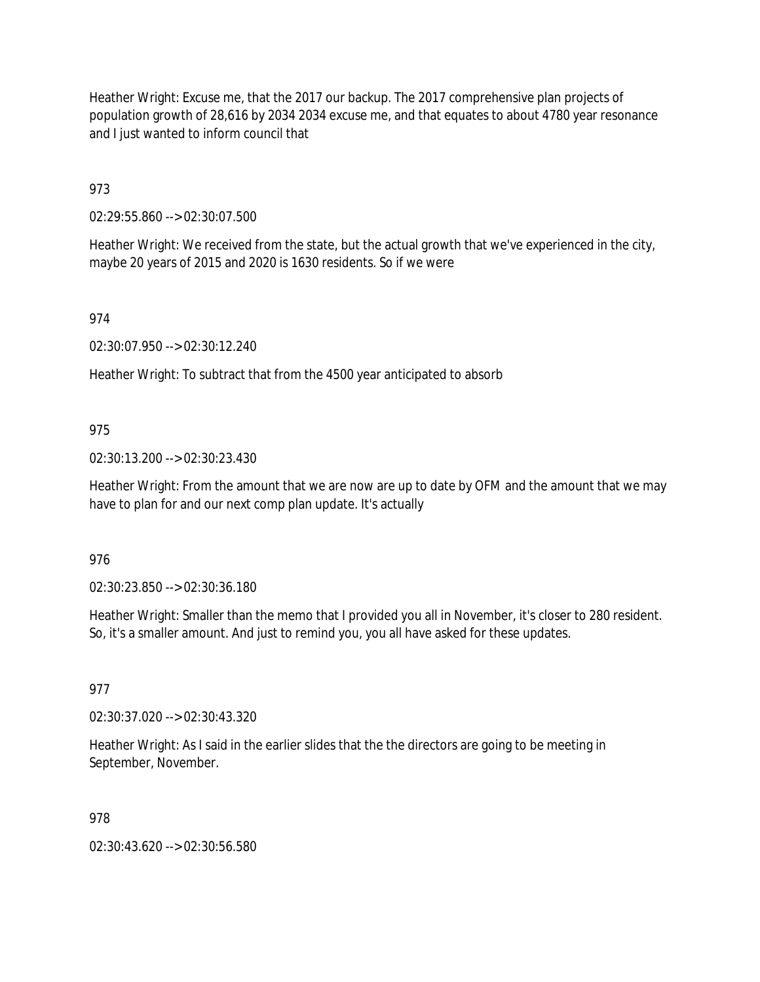Heather Wright: Excuse me, that the 2017 our backup. The 2017 comprehensive plan projects of population growth of 28,616 by 2034 2034 excuse me, and that equates to about 4780 year resonance and I just wanted to inform council that

973

02:29:55.860 --> 02:30:07.500

Heather Wright: We received from the state, but the actual growth that we've experienced in the city, maybe 20 years of 2015 and 2020 is 1630 residents. So if we were

974

02:30:07.950 --> 02:30:12.240

Heather Wright: To subtract that from the 4500 year anticipated to absorb

#### 975

02:30:13.200 --> 02:30:23.430

Heather Wright: From the amount that we are now are up to date by OFM and the amount that we may have to plan for and our next comp plan update. It's actually

#### 976

02:30:23.850 --> 02:30:36.180

Heather Wright: Smaller than the memo that I provided you all in November, it's closer to 280 resident. So, it's a smaller amount. And just to remind you, you all have asked for these updates.

#### 977

02:30:37.020 --> 02:30:43.320

Heather Wright: As I said in the earlier slides that the the directors are going to be meeting in September, November.

### 978

02:30:43.620 --> 02:30:56.580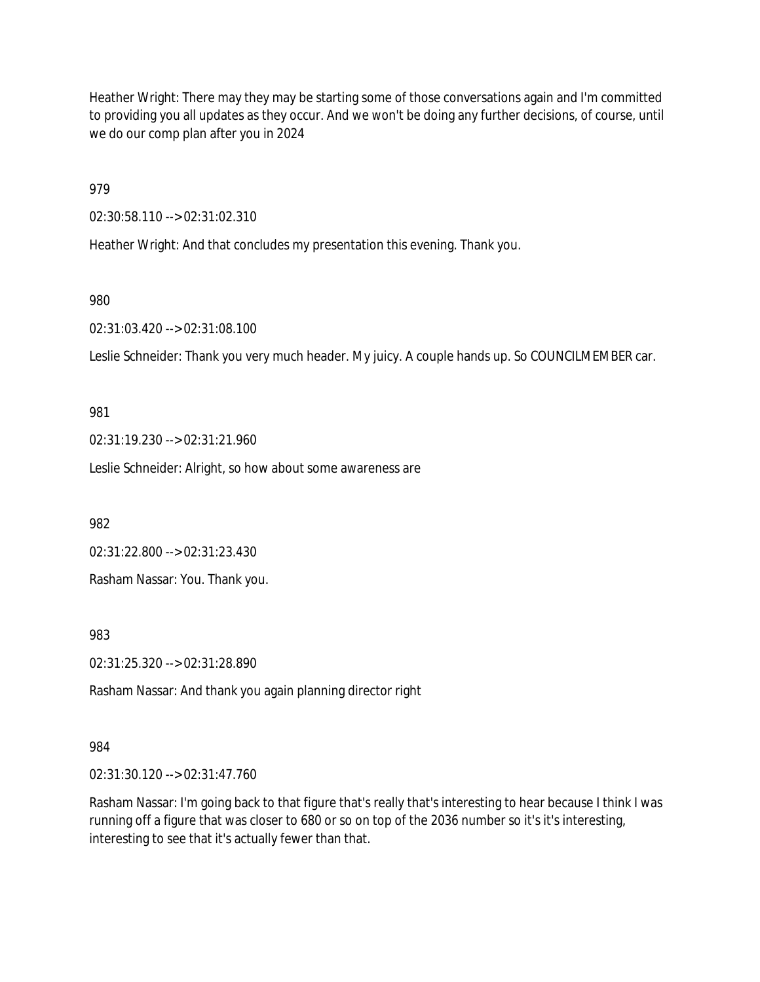Heather Wright: There may they may be starting some of those conversations again and I'm committed to providing you all updates as they occur. And we won't be doing any further decisions, of course, until we do our comp plan after you in 2024

979

02:30:58.110 --> 02:31:02.310

Heather Wright: And that concludes my presentation this evening. Thank you.

980

02:31:03.420 --> 02:31:08.100

Leslie Schneider: Thank you very much header. My juicy. A couple hands up. So COUNCILMEMBER car.

981

02:31:19.230 --> 02:31:21.960

Leslie Schneider: Alright, so how about some awareness are

982

02:31:22.800 --> 02:31:23.430

Rasham Nassar: You. Thank you.

983

02:31:25.320 --> 02:31:28.890

Rasham Nassar: And thank you again planning director right

984

02:31:30.120 --> 02:31:47.760

Rasham Nassar: I'm going back to that figure that's really that's interesting to hear because I think I was running off a figure that was closer to 680 or so on top of the 2036 number so it's it's interesting, interesting to see that it's actually fewer than that.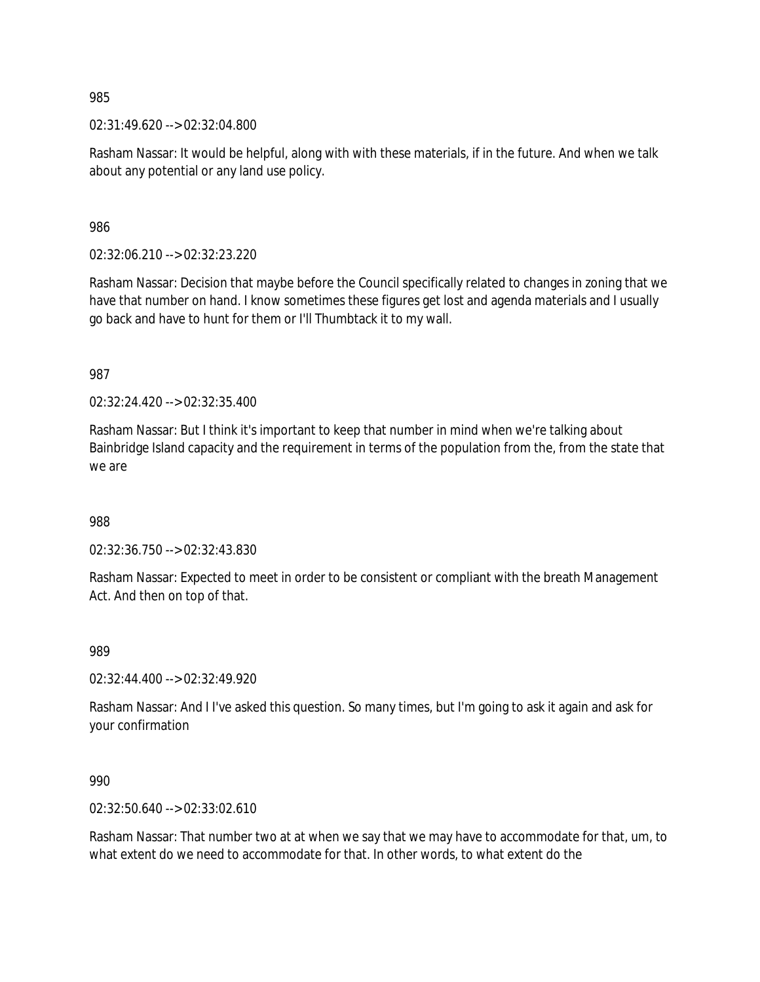02:31:49.620 --> 02:32:04.800

Rasham Nassar: It would be helpful, along with with these materials, if in the future. And when we talk about any potential or any land use policy.

986

02:32:06.210 --> 02:32:23.220

Rasham Nassar: Decision that maybe before the Council specifically related to changes in zoning that we have that number on hand. I know sometimes these figures get lost and agenda materials and I usually go back and have to hunt for them or I'll Thumbtack it to my wall.

987

02:32:24.420 --> 02:32:35.400

Rasham Nassar: But I think it's important to keep that number in mind when we're talking about Bainbridge Island capacity and the requirement in terms of the population from the, from the state that we are

988

02:32:36.750 --> 02:32:43.830

Rasham Nassar: Expected to meet in order to be consistent or compliant with the breath Management Act. And then on top of that.

989

02:32:44.400 --> 02:32:49.920

Rasham Nassar: And I I've asked this question. So many times, but I'm going to ask it again and ask for your confirmation

990

02:32:50.640 --> 02:33:02.610

Rasham Nassar: That number two at at when we say that we may have to accommodate for that, um, to what extent do we need to accommodate for that. In other words, to what extent do the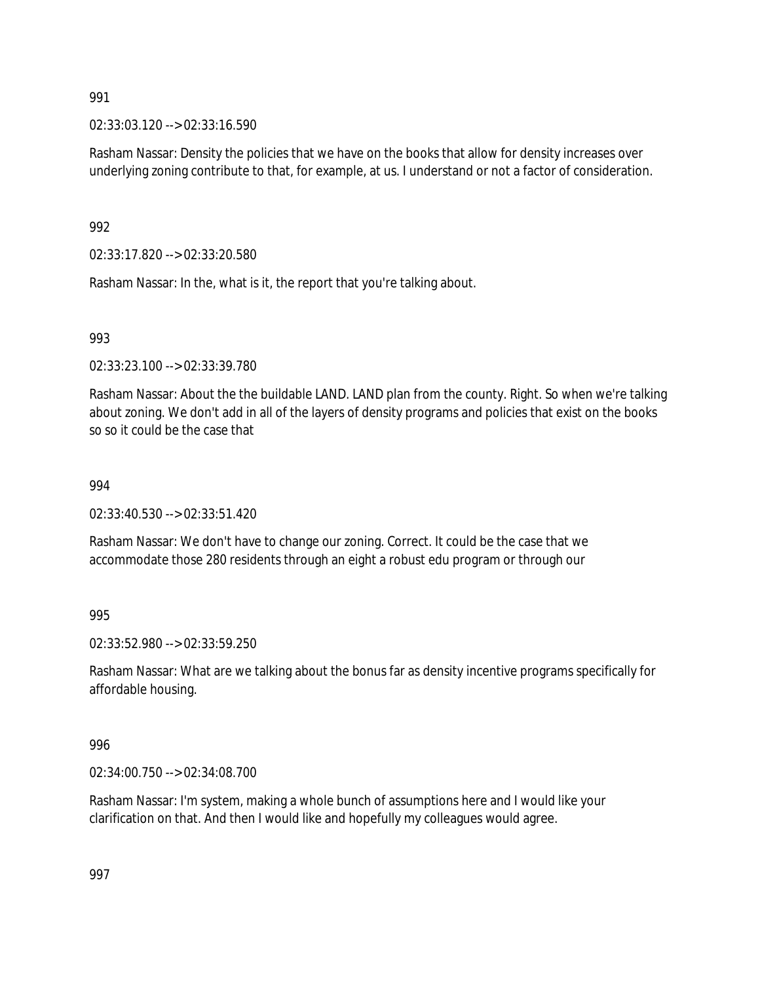02:33:03.120 --> 02:33:16.590

Rasham Nassar: Density the policies that we have on the books that allow for density increases over underlying zoning contribute to that, for example, at us. I understand or not a factor of consideration.

992

02:33:17.820 --> 02:33:20.580

Rasham Nassar: In the, what is it, the report that you're talking about.

993

02:33:23.100 --> 02:33:39.780

Rasham Nassar: About the the buildable LAND. LAND plan from the county. Right. So when we're talking about zoning. We don't add in all of the layers of density programs and policies that exist on the books so so it could be the case that

994

02:33:40.530 --> 02:33:51.420

Rasham Nassar: We don't have to change our zoning. Correct. It could be the case that we accommodate those 280 residents through an eight a robust edu program or through our

995

02:33:52.980 --> 02:33:59.250

Rasham Nassar: What are we talking about the bonus far as density incentive programs specifically for affordable housing.

996

02:34:00.750 --> 02:34:08.700

Rasham Nassar: I'm system, making a whole bunch of assumptions here and I would like your clarification on that. And then I would like and hopefully my colleagues would agree.

997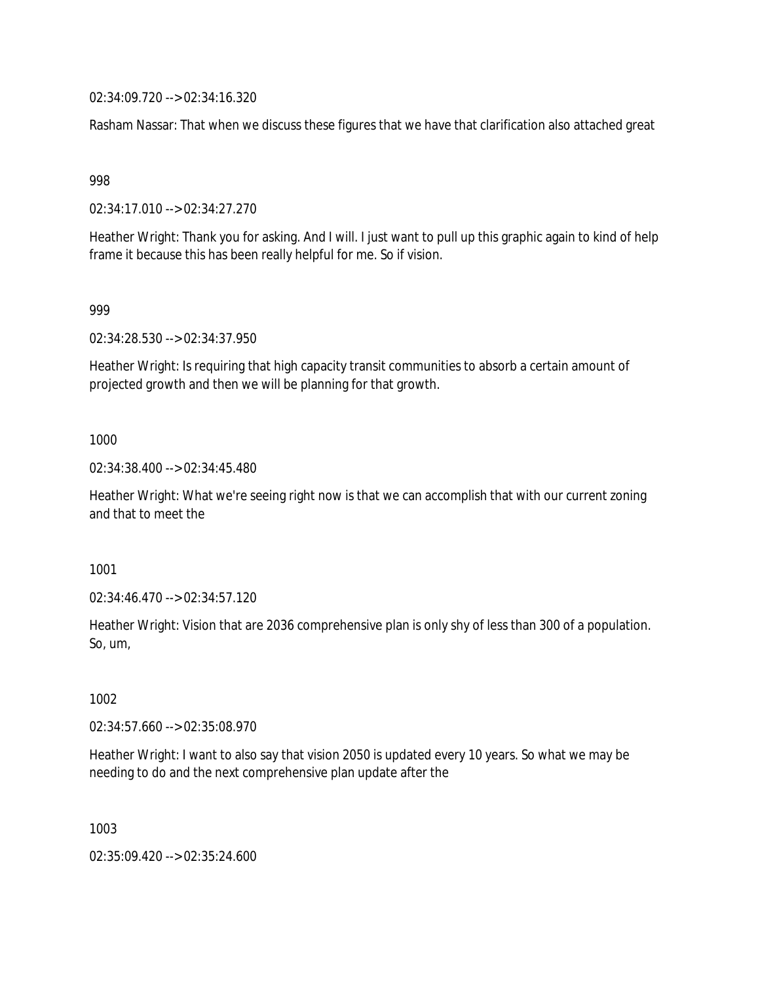02:34:09.720 --> 02:34:16.320

Rasham Nassar: That when we discuss these figures that we have that clarification also attached great

998

02:34:17.010 --> 02:34:27.270

Heather Wright: Thank you for asking. And I will. I just want to pull up this graphic again to kind of help frame it because this has been really helpful for me. So if vision.

999

02:34:28.530 --> 02:34:37.950

Heather Wright: Is requiring that high capacity transit communities to absorb a certain amount of projected growth and then we will be planning for that growth.

1000

02:34:38.400 --> 02:34:45.480

Heather Wright: What we're seeing right now is that we can accomplish that with our current zoning and that to meet the

1001

02:34:46.470 --> 02:34:57.120

Heather Wright: Vision that are 2036 comprehensive plan is only shy of less than 300 of a population. So, um,

1002

02:34:57.660 --> 02:35:08.970

Heather Wright: I want to also say that vision 2050 is updated every 10 years. So what we may be needing to do and the next comprehensive plan update after the

1003

02:35:09.420 --> 02:35:24.600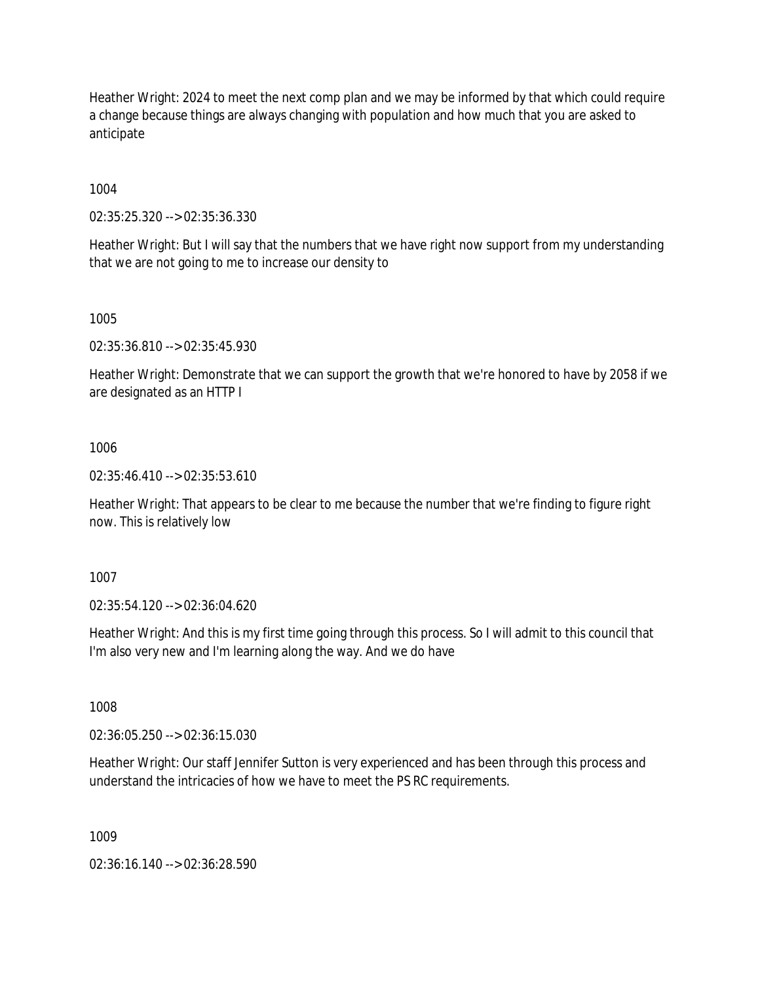Heather Wright: 2024 to meet the next comp plan and we may be informed by that which could require a change because things are always changing with population and how much that you are asked to anticipate

1004

02:35:25.320 --> 02:35:36.330

Heather Wright: But I will say that the numbers that we have right now support from my understanding that we are not going to me to increase our density to

1005

02:35:36.810 --> 02:35:45.930

Heather Wright: Demonstrate that we can support the growth that we're honored to have by 2058 if we are designated as an HTTP I

1006

02:35:46.410 --> 02:35:53.610

Heather Wright: That appears to be clear to me because the number that we're finding to figure right now. This is relatively low

1007

02:35:54.120 --> 02:36:04.620

Heather Wright: And this is my first time going through this process. So I will admit to this council that I'm also very new and I'm learning along the way. And we do have

1008

02:36:05.250 --> 02:36:15.030

Heather Wright: Our staff Jennifer Sutton is very experienced and has been through this process and understand the intricacies of how we have to meet the PS RC requirements.

1009

02:36:16.140 --> 02:36:28.590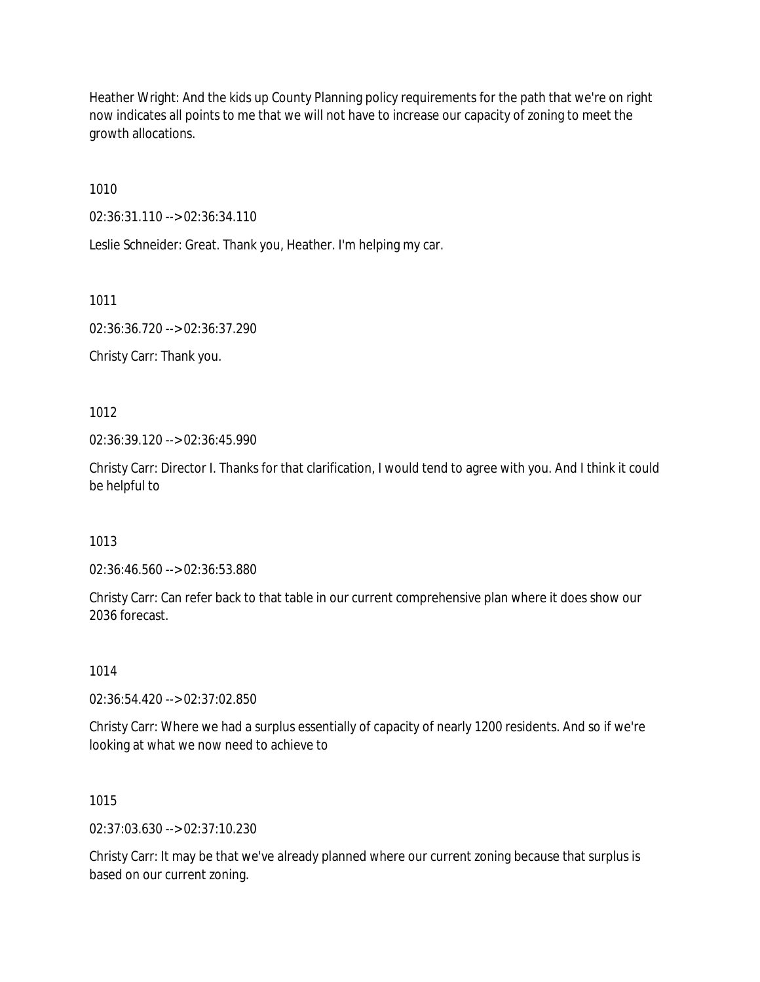Heather Wright: And the kids up County Planning policy requirements for the path that we're on right now indicates all points to me that we will not have to increase our capacity of zoning to meet the growth allocations.

1010

02:36:31.110 --> 02:36:34.110

Leslie Schneider: Great. Thank you, Heather. I'm helping my car.

1011

02:36:36.720 --> 02:36:37.290

Christy Carr: Thank you.

1012

02:36:39.120 --> 02:36:45.990

Christy Carr: Director I. Thanks for that clarification, I would tend to agree with you. And I think it could be helpful to

1013

02:36:46.560 --> 02:36:53.880

Christy Carr: Can refer back to that table in our current comprehensive plan where it does show our 2036 forecast.

1014

02:36:54.420 --> 02:37:02.850

Christy Carr: Where we had a surplus essentially of capacity of nearly 1200 residents. And so if we're looking at what we now need to achieve to

### 1015

02:37:03.630 --> 02:37:10.230

Christy Carr: It may be that we've already planned where our current zoning because that surplus is based on our current zoning.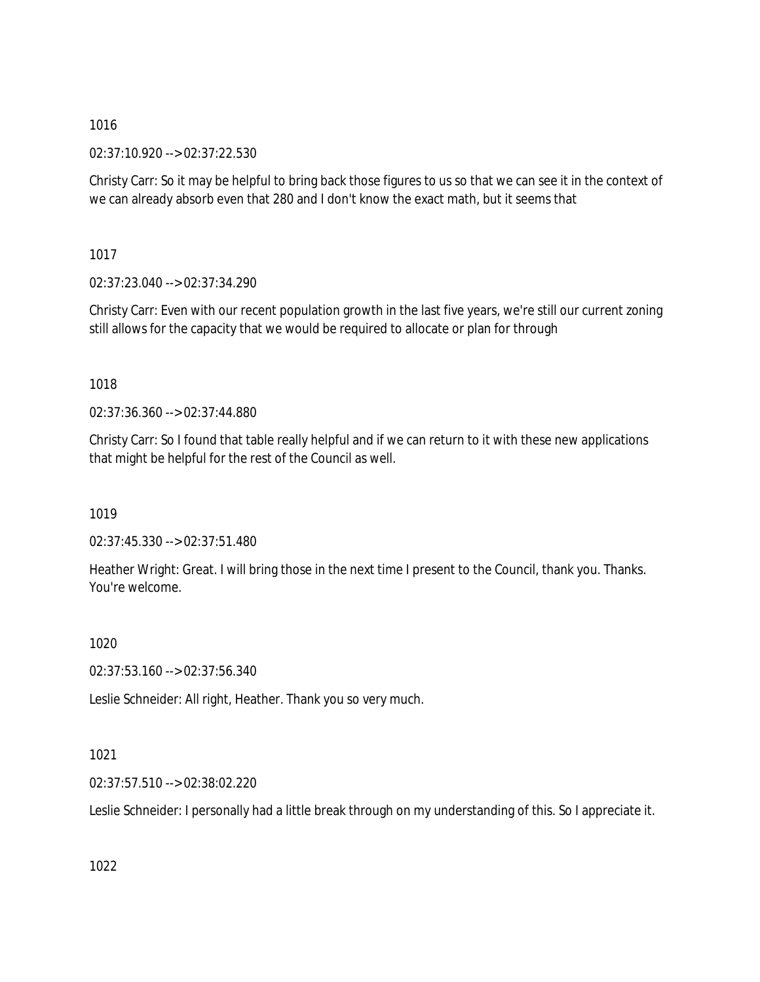02:37:10.920 --> 02:37:22.530

Christy Carr: So it may be helpful to bring back those figures to us so that we can see it in the context of we can already absorb even that 280 and I don't know the exact math, but it seems that

1017

02:37:23.040 --> 02:37:34.290

Christy Carr: Even with our recent population growth in the last five years, we're still our current zoning still allows for the capacity that we would be required to allocate or plan for through

# 1018

02:37:36.360 --> 02:37:44.880

Christy Carr: So I found that table really helpful and if we can return to it with these new applications that might be helpful for the rest of the Council as well.

1019

02:37:45.330 --> 02:37:51.480

Heather Wright: Great. I will bring those in the next time I present to the Council, thank you. Thanks. You're welcome.

1020

02:37:53.160 --> 02:37:56.340

Leslie Schneider: All right, Heather. Thank you so very much.

# 1021

02:37:57.510 --> 02:38:02.220

Leslie Schneider: I personally had a little break through on my understanding of this. So I appreciate it.

1022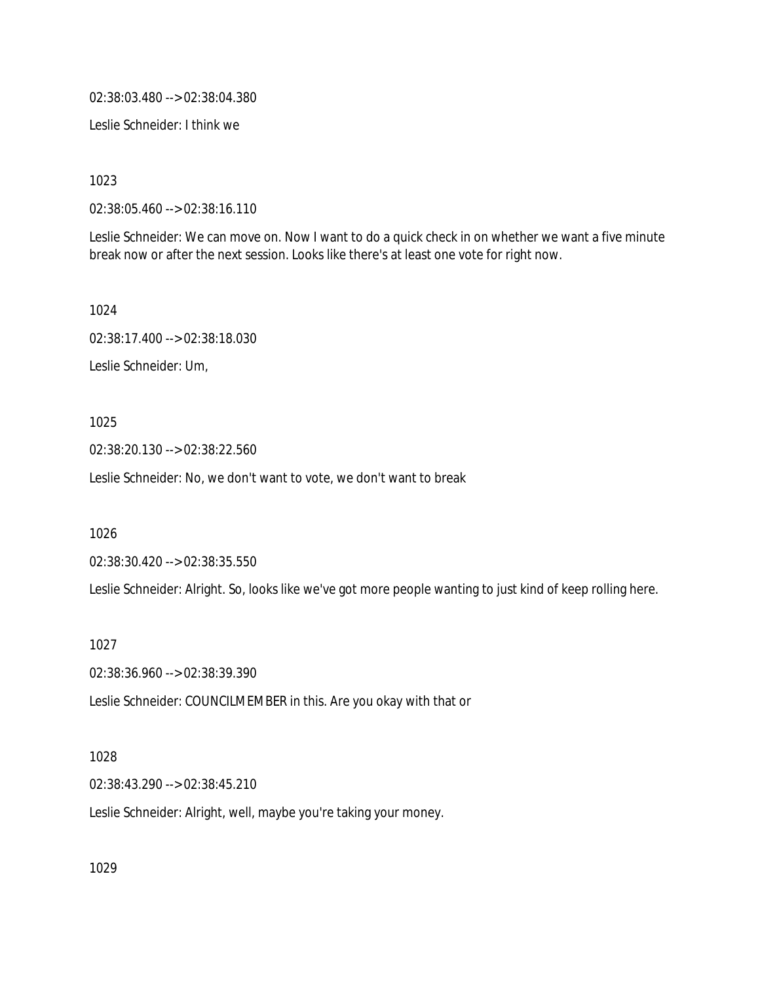02:38:03.480 --> 02:38:04.380

Leslie Schneider: I think we

1023

02:38:05.460 --> 02:38:16.110

Leslie Schneider: We can move on. Now I want to do a quick check in on whether we want a five minute break now or after the next session. Looks like there's at least one vote for right now.

1024

02:38:17.400 --> 02:38:18.030

Leslie Schneider: Um,

1025

02:38:20.130 --> 02:38:22.560

Leslie Schneider: No, we don't want to vote, we don't want to break

1026

02:38:30.420 --> 02:38:35.550

Leslie Schneider: Alright. So, looks like we've got more people wanting to just kind of keep rolling here.

1027

02:38:36.960 --> 02:38:39.390

Leslie Schneider: COUNCILMEMBER in this. Are you okay with that or

#### 1028

02:38:43.290 --> 02:38:45.210

Leslie Schneider: Alright, well, maybe you're taking your money.

1029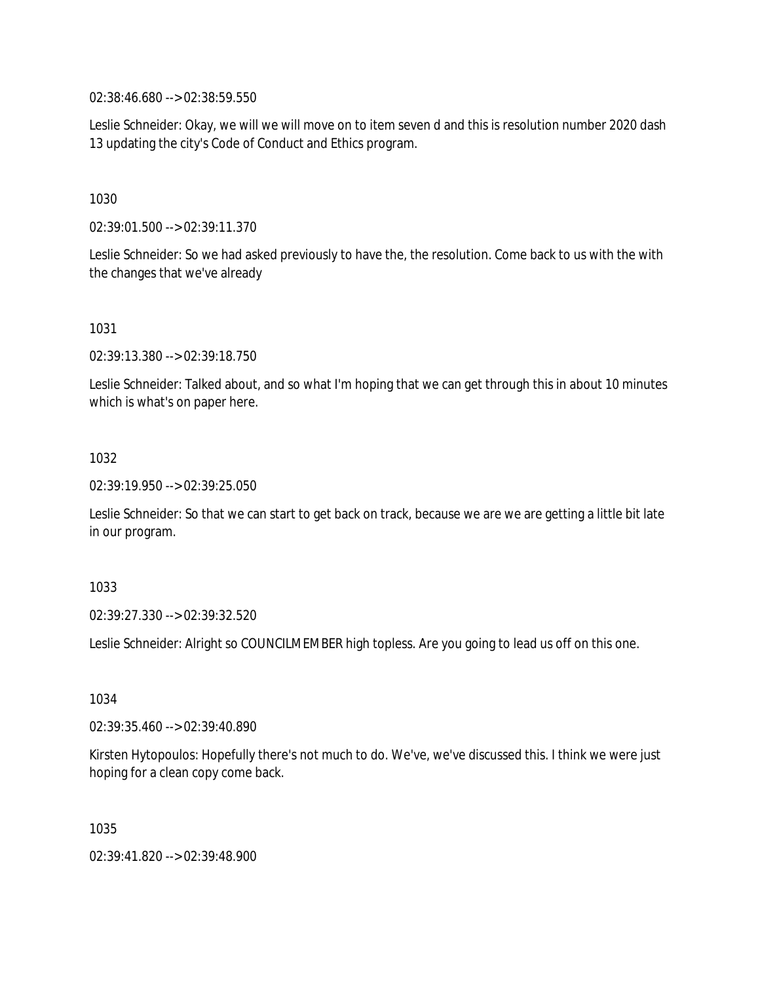02:38:46.680 --> 02:38:59.550

Leslie Schneider: Okay, we will we will move on to item seven d and this is resolution number 2020 dash 13 updating the city's Code of Conduct and Ethics program.

1030

02:39:01.500 --> 02:39:11.370

Leslie Schneider: So we had asked previously to have the, the resolution. Come back to us with the with the changes that we've already

1031

02:39:13.380 --> 02:39:18.750

Leslie Schneider: Talked about, and so what I'm hoping that we can get through this in about 10 minutes which is what's on paper here.

1032

02:39:19.950 --> 02:39:25.050

Leslie Schneider: So that we can start to get back on track, because we are we are getting a little bit late in our program.

1033

02:39:27.330 --> 02:39:32.520

Leslie Schneider: Alright so COUNCILMEMBER high topless. Are you going to lead us off on this one.

1034

02:39:35.460 --> 02:39:40.890

Kirsten Hytopoulos: Hopefully there's not much to do. We've, we've discussed this. I think we were just hoping for a clean copy come back.

1035

02:39:41.820 --> 02:39:48.900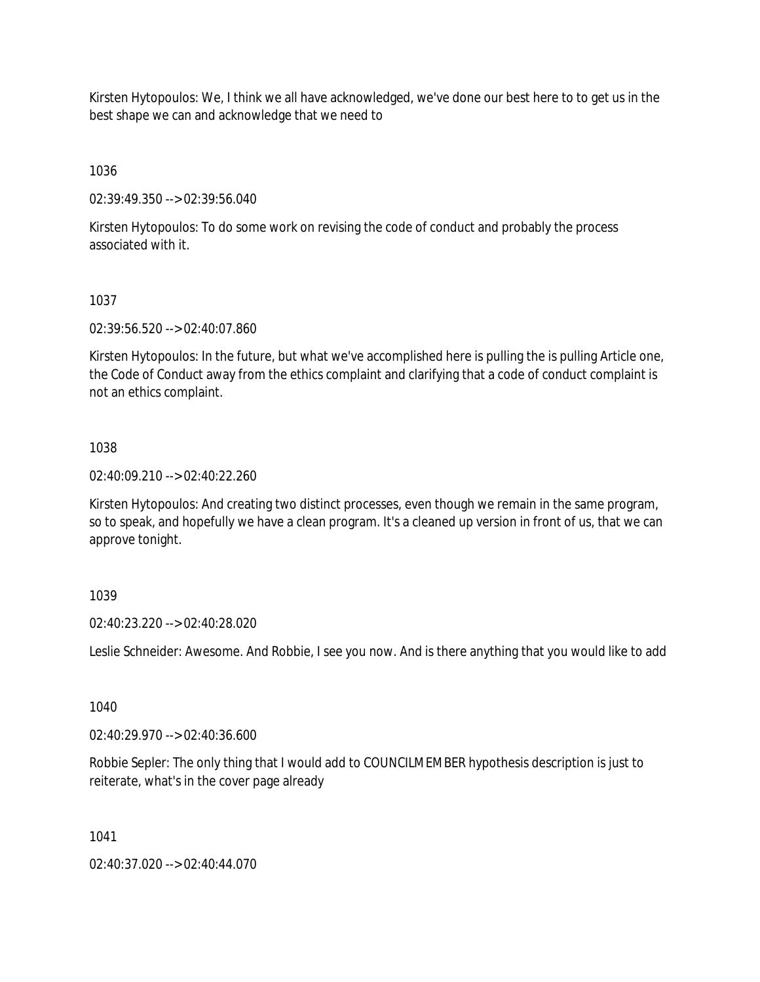Kirsten Hytopoulos: We, I think we all have acknowledged, we've done our best here to to get us in the best shape we can and acknowledge that we need to

1036

02:39:49.350 --> 02:39:56.040

Kirsten Hytopoulos: To do some work on revising the code of conduct and probably the process associated with it.

### 1037

02:39:56.520 --> 02:40:07.860

Kirsten Hytopoulos: In the future, but what we've accomplished here is pulling the is pulling Article one, the Code of Conduct away from the ethics complaint and clarifying that a code of conduct complaint is not an ethics complaint.

#### 1038

02:40:09.210 --> 02:40:22.260

Kirsten Hytopoulos: And creating two distinct processes, even though we remain in the same program, so to speak, and hopefully we have a clean program. It's a cleaned up version in front of us, that we can approve tonight.

### 1039

02:40:23.220 --> 02:40:28.020

Leslie Schneider: Awesome. And Robbie, I see you now. And is there anything that you would like to add

#### 1040

02:40:29.970 --> 02:40:36.600

Robbie Sepler: The only thing that I would add to COUNCILMEMBER hypothesis description is just to reiterate, what's in the cover page already

1041

02:40:37.020 --> 02:40:44.070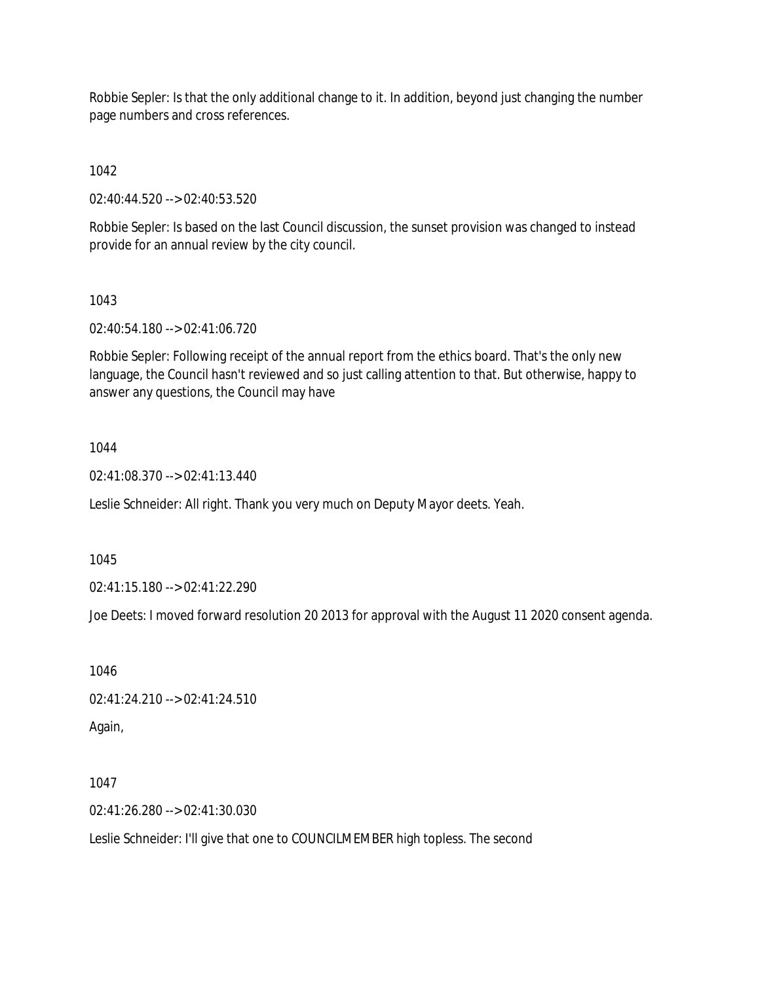Robbie Sepler: Is that the only additional change to it. In addition, beyond just changing the number page numbers and cross references.

1042

02:40:44.520 --> 02:40:53.520

Robbie Sepler: Is based on the last Council discussion, the sunset provision was changed to instead provide for an annual review by the city council.

1043

02:40:54.180 --> 02:41:06.720

Robbie Sepler: Following receipt of the annual report from the ethics board. That's the only new language, the Council hasn't reviewed and so just calling attention to that. But otherwise, happy to answer any questions, the Council may have

## 1044

02:41:08.370 --> 02:41:13.440

Leslie Schneider: All right. Thank you very much on Deputy Mayor deets. Yeah.

1045

02:41:15.180 --> 02:41:22.290

Joe Deets: I moved forward resolution 20 2013 for approval with the August 11 2020 consent agenda.

1046 02:41:24.210 --> 02:41:24.510 Again,

1047

02:41:26.280 --> 02:41:30.030

Leslie Schneider: I'll give that one to COUNCILMEMBER high topless. The second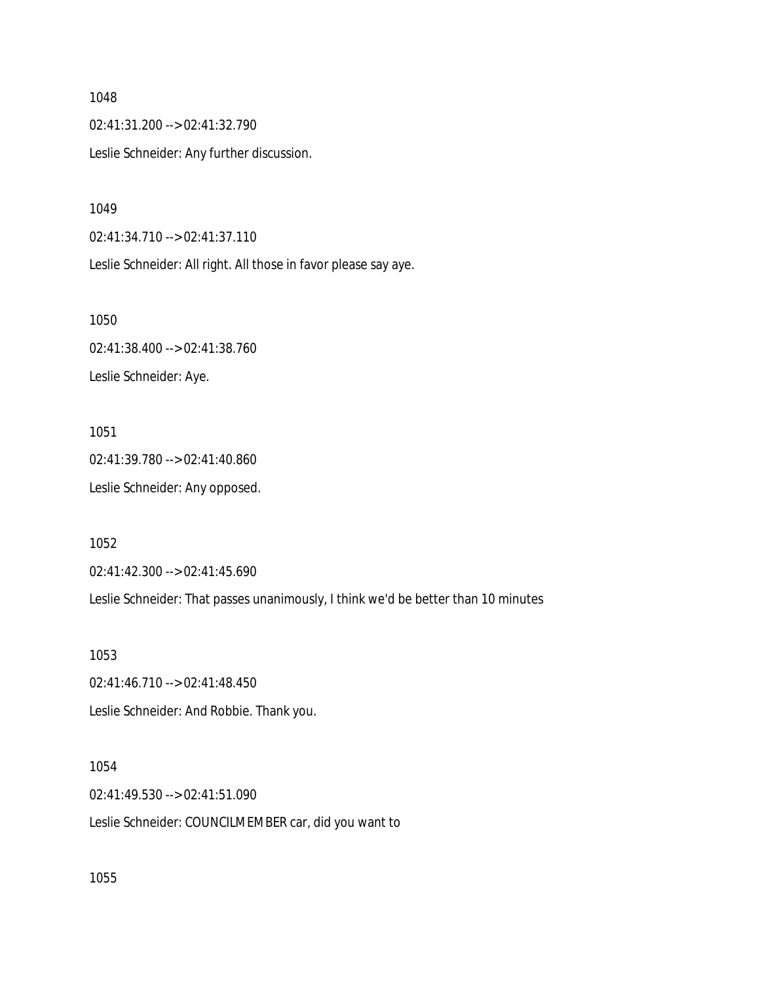02:41:31.200 --> 02:41:32.790 Leslie Schneider: Any further discussion.

1049

02:41:34.710 --> 02:41:37.110

Leslie Schneider: All right. All those in favor please say aye.

1050 02:41:38.400 --> 02:41:38.760 Leslie Schneider: Aye.

1051 02:41:39.780 --> 02:41:40.860 Leslie Schneider: Any opposed.

1052

02:41:42.300 --> 02:41:45.690

Leslie Schneider: That passes unanimously, I think we'd be better than 10 minutes

1053

02:41:46.710 --> 02:41:48.450 Leslie Schneider: And Robbie. Thank you.

1054 02:41:49.530 --> 02:41:51.090 Leslie Schneider: COUNCILMEMBER car, did you want to

1055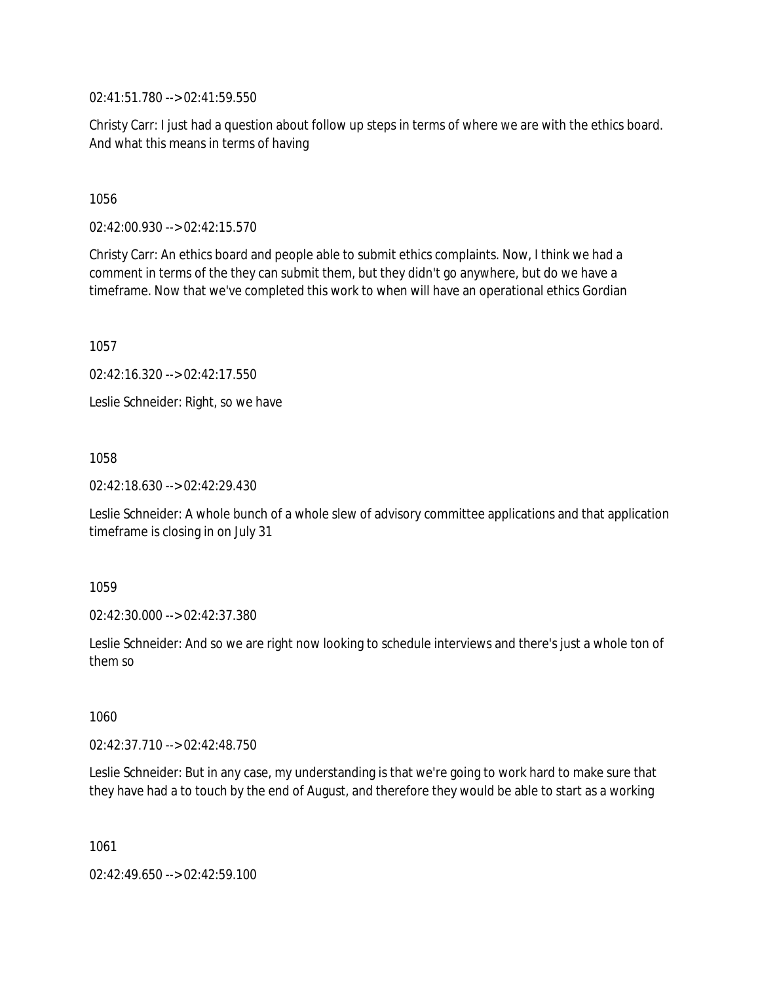02:41:51.780 --> 02:41:59.550

Christy Carr: I just had a question about follow up steps in terms of where we are with the ethics board. And what this means in terms of having

1056

02:42:00.930 --> 02:42:15.570

Christy Carr: An ethics board and people able to submit ethics complaints. Now, I think we had a comment in terms of the they can submit them, but they didn't go anywhere, but do we have a timeframe. Now that we've completed this work to when will have an operational ethics Gordian

1057

02:42:16.320 --> 02:42:17.550

Leslie Schneider: Right, so we have

1058

02:42:18.630 --> 02:42:29.430

Leslie Schneider: A whole bunch of a whole slew of advisory committee applications and that application timeframe is closing in on July 31

1059

02:42:30.000 --> 02:42:37.380

Leslie Schneider: And so we are right now looking to schedule interviews and there's just a whole ton of them so

1060

02:42:37.710 --> 02:42:48.750

Leslie Schneider: But in any case, my understanding is that we're going to work hard to make sure that they have had a to touch by the end of August, and therefore they would be able to start as a working

1061

02:42:49.650 --> 02:42:59.100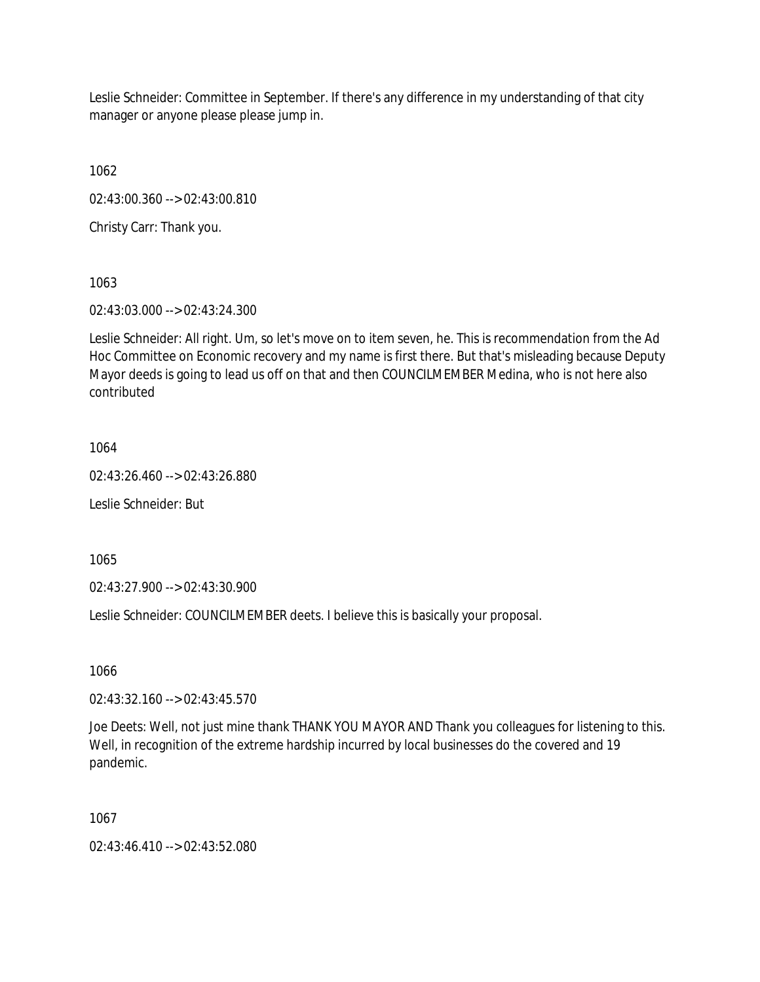Leslie Schneider: Committee in September. If there's any difference in my understanding of that city manager or anyone please please jump in.

1062

02:43:00.360 --> 02:43:00.810

Christy Carr: Thank you.

1063

02:43:03.000 --> 02:43:24.300

Leslie Schneider: All right. Um, so let's move on to item seven, he. This is recommendation from the Ad Hoc Committee on Economic recovery and my name is first there. But that's misleading because Deputy Mayor deeds is going to lead us off on that and then COUNCILMEMBER Medina, who is not here also contributed

1064

02:43:26.460 --> 02:43:26.880

Leslie Schneider: But

1065

02:43:27.900 --> 02:43:30.900

Leslie Schneider: COUNCILMEMBER deets. I believe this is basically your proposal.

1066

02:43:32.160 --> 02:43:45.570

Joe Deets: Well, not just mine thank THANK YOU MAYOR AND Thank you colleagues for listening to this. Well, in recognition of the extreme hardship incurred by local businesses do the covered and 19 pandemic.

1067

02:43:46.410 --> 02:43:52.080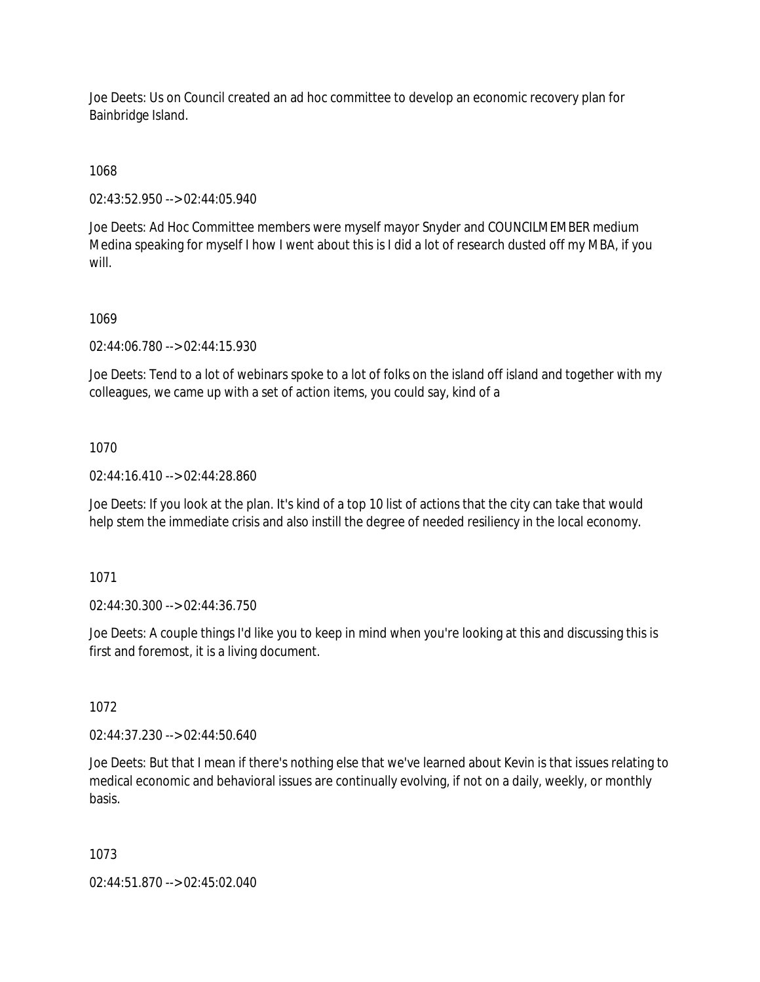Joe Deets: Us on Council created an ad hoc committee to develop an economic recovery plan for Bainbridge Island.

1068

02:43:52.950 --> 02:44:05.940

Joe Deets: Ad Hoc Committee members were myself mayor Snyder and COUNCILMEMBER medium Medina speaking for myself I how I went about this is I did a lot of research dusted off my MBA, if you will.

## 1069

02:44:06.780 --> 02:44:15.930

Joe Deets: Tend to a lot of webinars spoke to a lot of folks on the island off island and together with my colleagues, we came up with a set of action items, you could say, kind of a

## 1070

02:44:16.410 --> 02:44:28.860

Joe Deets: If you look at the plan. It's kind of a top 10 list of actions that the city can take that would help stem the immediate crisis and also instill the degree of needed resiliency in the local economy.

1071

02:44:30.300 --> 02:44:36.750

Joe Deets: A couple things I'd like you to keep in mind when you're looking at this and discussing this is first and foremost, it is a living document.

1072

02:44:37.230 --> 02:44:50.640

Joe Deets: But that I mean if there's nothing else that we've learned about Kevin is that issues relating to medical economic and behavioral issues are continually evolving, if not on a daily, weekly, or monthly basis.

1073

02:44:51.870 --> 02:45:02.040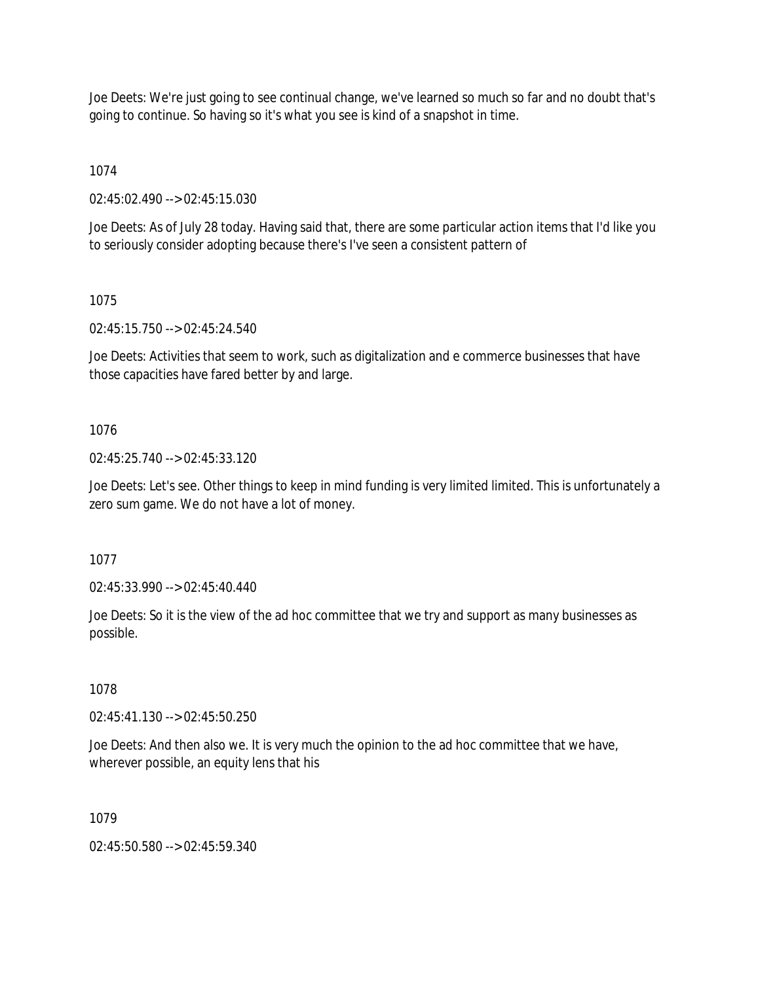Joe Deets: We're just going to see continual change, we've learned so much so far and no doubt that's going to continue. So having so it's what you see is kind of a snapshot in time.

1074

02:45:02.490 --> 02:45:15.030

Joe Deets: As of July 28 today. Having said that, there are some particular action items that I'd like you to seriously consider adopting because there's I've seen a consistent pattern of

## 1075

02:45:15.750 --> 02:45:24.540

Joe Deets: Activities that seem to work, such as digitalization and e commerce businesses that have those capacities have fared better by and large.

# 1076

02:45:25.740 --> 02:45:33.120

Joe Deets: Let's see. Other things to keep in mind funding is very limited limited. This is unfortunately a zero sum game. We do not have a lot of money.

1077

02:45:33.990 --> 02:45:40.440

Joe Deets: So it is the view of the ad hoc committee that we try and support as many businesses as possible.

# 1078

02:45:41.130 --> 02:45:50.250

Joe Deets: And then also we. It is very much the opinion to the ad hoc committee that we have, wherever possible, an equity lens that his

# 1079

02:45:50.580 --> 02:45:59.340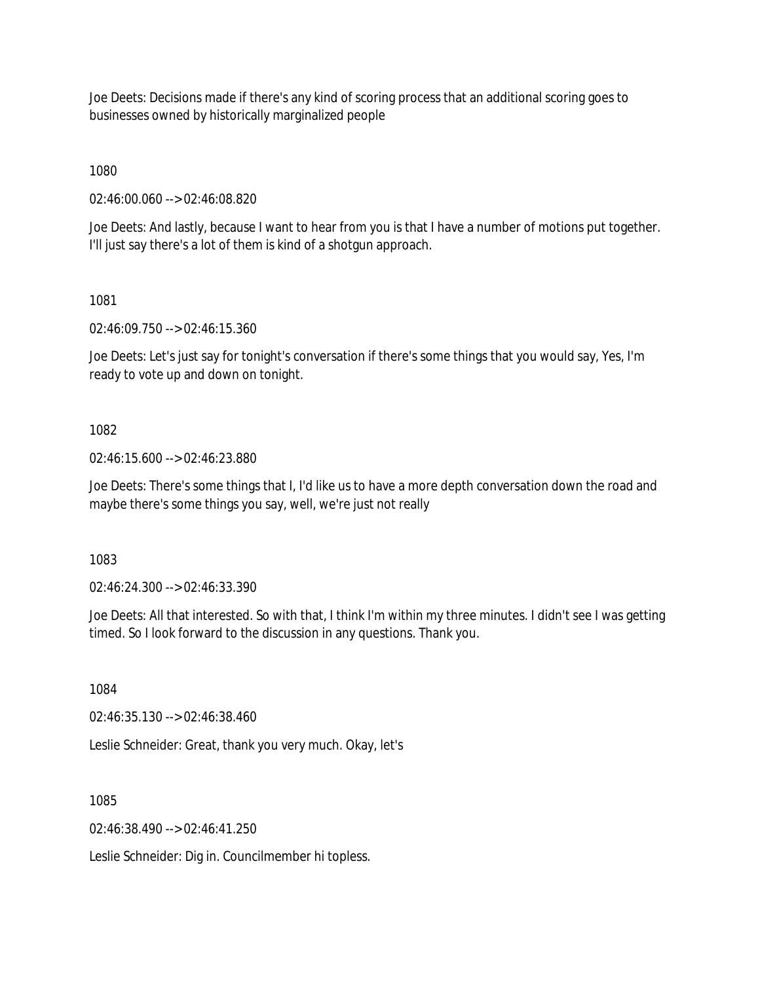Joe Deets: Decisions made if there's any kind of scoring process that an additional scoring goes to businesses owned by historically marginalized people

1080

02:46:00.060 --> 02:46:08.820

Joe Deets: And lastly, because I want to hear from you is that I have a number of motions put together. I'll just say there's a lot of them is kind of a shotgun approach.

1081

02:46:09.750 --> 02:46:15.360

Joe Deets: Let's just say for tonight's conversation if there's some things that you would say, Yes, I'm ready to vote up and down on tonight.

1082

02:46:15.600 --> 02:46:23.880

Joe Deets: There's some things that I, I'd like us to have a more depth conversation down the road and maybe there's some things you say, well, we're just not really

1083

02:46:24.300 --> 02:46:33.390

Joe Deets: All that interested. So with that, I think I'm within my three minutes. I didn't see I was getting timed. So I look forward to the discussion in any questions. Thank you.

1084

02:46:35.130 --> 02:46:38.460

Leslie Schneider: Great, thank you very much. Okay, let's

1085

 $02.46.38490 -502.46.41250$ 

Leslie Schneider: Dig in. Councilmember hi topless.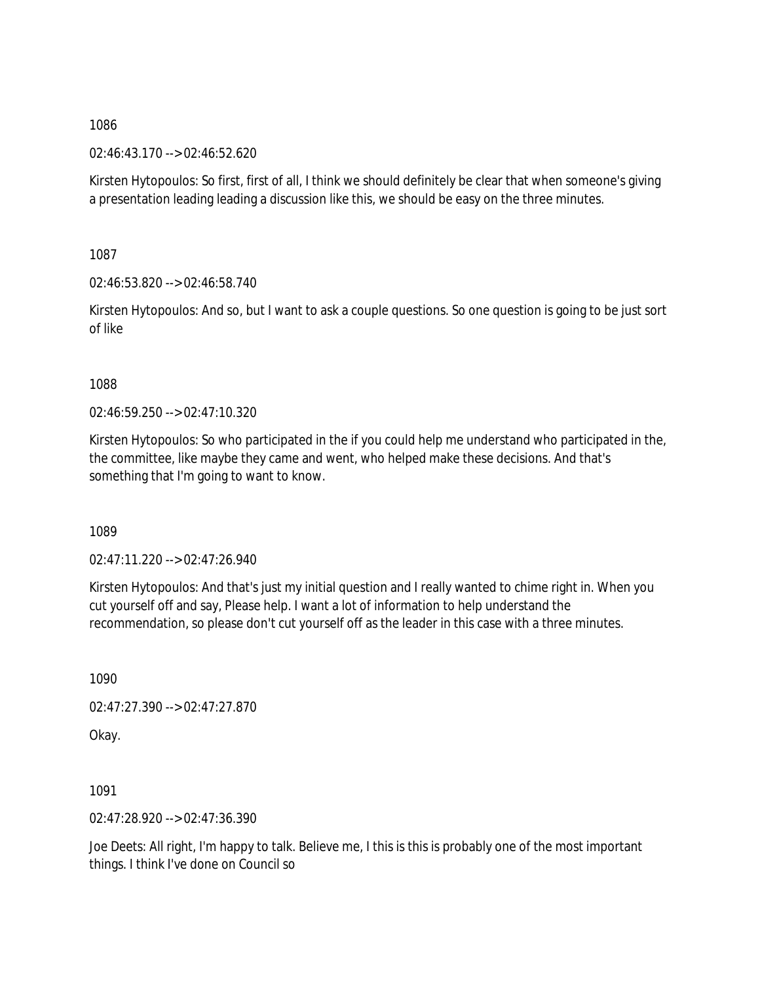02:46:43.170 --> 02:46:52.620

Kirsten Hytopoulos: So first, first of all, I think we should definitely be clear that when someone's giving a presentation leading leading a discussion like this, we should be easy on the three minutes.

1087

02:46:53.820 --> 02:46:58.740

Kirsten Hytopoulos: And so, but I want to ask a couple questions. So one question is going to be just sort of like

1088

02:46:59.250 --> 02:47:10.320

Kirsten Hytopoulos: So who participated in the if you could help me understand who participated in the, the committee, like maybe they came and went, who helped make these decisions. And that's something that I'm going to want to know.

1089

02:47:11.220 --> 02:47:26.940

Kirsten Hytopoulos: And that's just my initial question and I really wanted to chime right in. When you cut yourself off and say, Please help. I want a lot of information to help understand the recommendation, so please don't cut yourself off as the leader in this case with a three minutes.

1090

02:47:27.390 --> 02:47:27.870

Okay.

1091

02:47:28.920 --> 02:47:36.390

Joe Deets: All right, I'm happy to talk. Believe me, I this is this is probably one of the most important things. I think I've done on Council so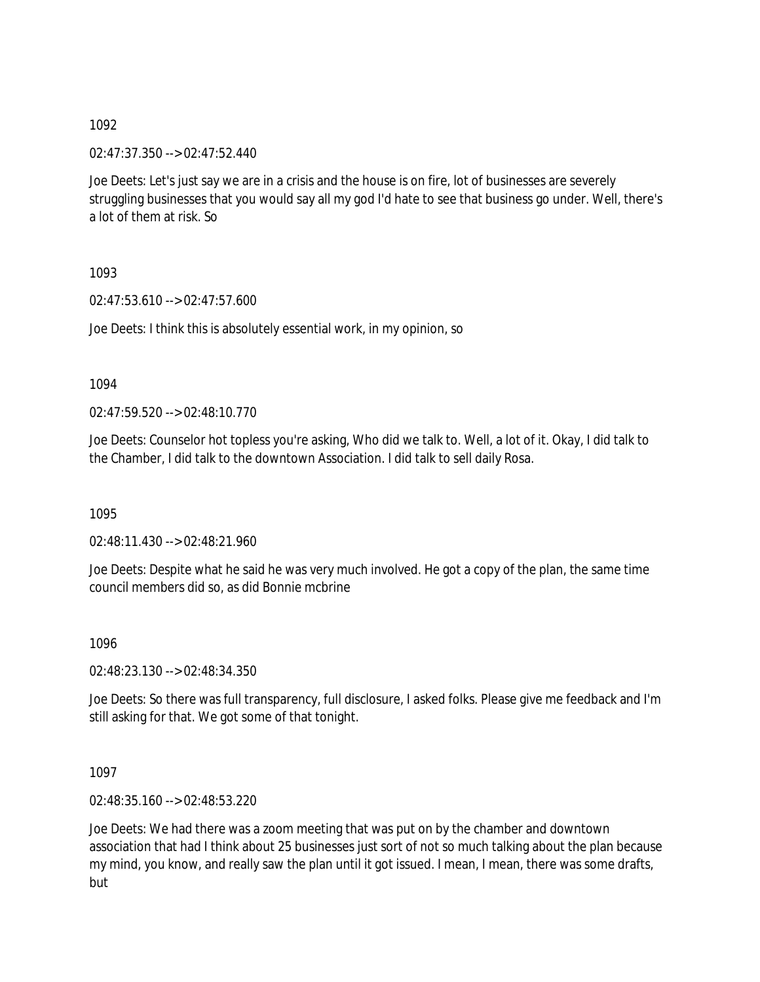02:47:37.350 --> 02:47:52.440

Joe Deets: Let's just say we are in a crisis and the house is on fire, lot of businesses are severely struggling businesses that you would say all my god I'd hate to see that business go under. Well, there's a lot of them at risk. So

1093

02:47:53.610 --> 02:47:57.600

Joe Deets: I think this is absolutely essential work, in my opinion, so

1094

02:47:59.520 --> 02:48:10.770

Joe Deets: Counselor hot topless you're asking, Who did we talk to. Well, a lot of it. Okay, I did talk to the Chamber, I did talk to the downtown Association. I did talk to sell daily Rosa.

1095

02:48:11.430 --> 02:48:21.960

Joe Deets: Despite what he said he was very much involved. He got a copy of the plan, the same time council members did so, as did Bonnie mcbrine

1096

02:48:23.130 --> 02:48:34.350

Joe Deets: So there was full transparency, full disclosure, I asked folks. Please give me feedback and I'm still asking for that. We got some of that tonight.

1097

02:48:35.160 --> 02:48:53.220

Joe Deets: We had there was a zoom meeting that was put on by the chamber and downtown association that had I think about 25 businesses just sort of not so much talking about the plan because my mind, you know, and really saw the plan until it got issued. I mean, I mean, there was some drafts, but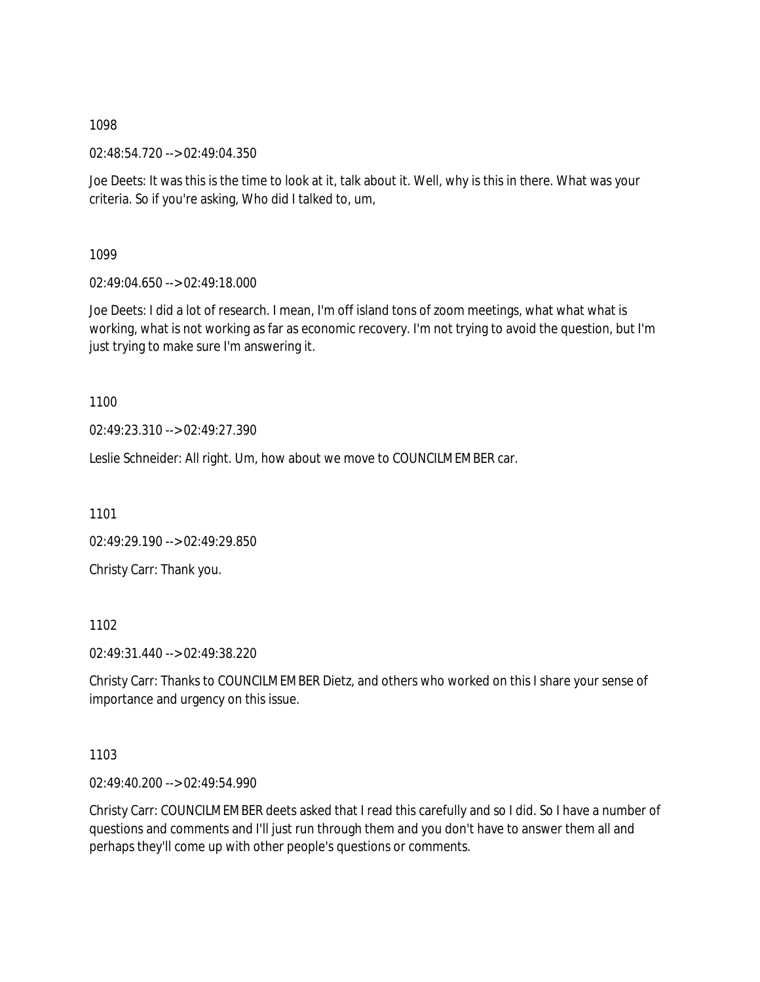02:48:54.720 --> 02:49:04.350

Joe Deets: It was this is the time to look at it, talk about it. Well, why is this in there. What was your criteria. So if you're asking, Who did I talked to, um,

1099

02:49:04.650 --> 02:49:18.000

Joe Deets: I did a lot of research. I mean, I'm off island tons of zoom meetings, what what what is working, what is not working as far as economic recovery. I'm not trying to avoid the question, but I'm just trying to make sure I'm answering it.

1100

02:49:23.310 --> 02:49:27.390

Leslie Schneider: All right. Um, how about we move to COUNCILMEMBER car.

1101

02:49:29.190 --> 02:49:29.850

Christy Carr: Thank you.

1102

02:49:31.440 --> 02:49:38.220

Christy Carr: Thanks to COUNCILMEMBER Dietz, and others who worked on this I share your sense of importance and urgency on this issue.

1103

02:49:40.200 --> 02:49:54.990

Christy Carr: COUNCILMEMBER deets asked that I read this carefully and so I did. So I have a number of questions and comments and I'll just run through them and you don't have to answer them all and perhaps they'll come up with other people's questions or comments.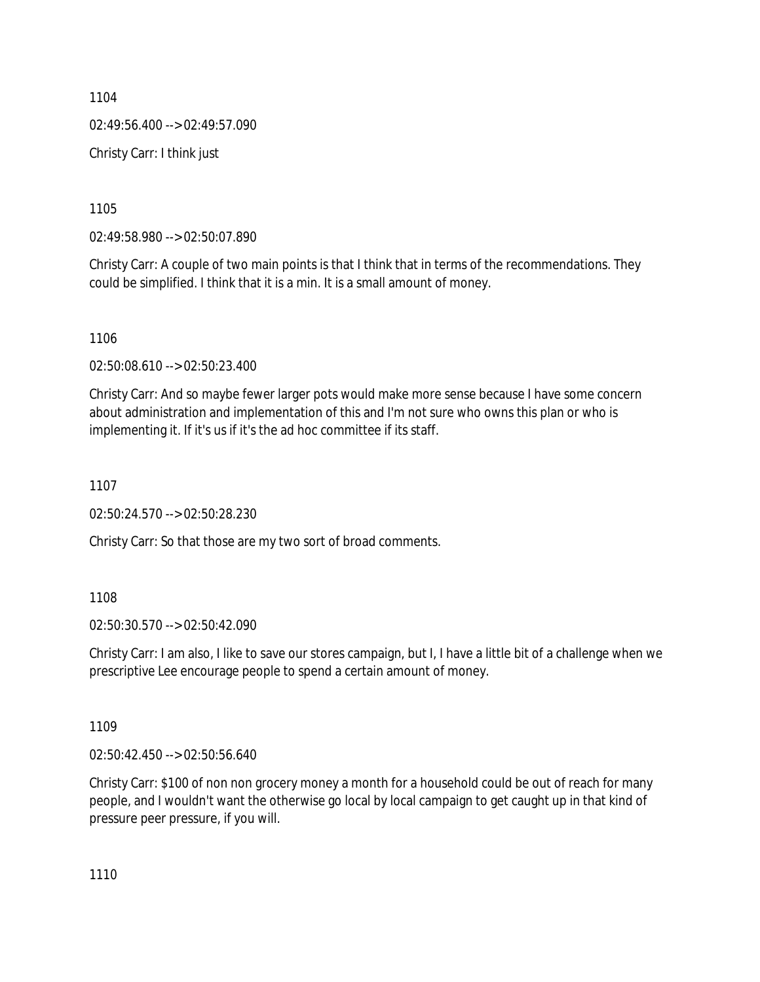1104 02:49:56.400 --> 02:49:57.090 Christy Carr: I think just

1105

02:49:58.980 --> 02:50:07.890

Christy Carr: A couple of two main points is that I think that in terms of the recommendations. They could be simplified. I think that it is a min. It is a small amount of money.

1106

02:50:08.610 --> 02:50:23.400

Christy Carr: And so maybe fewer larger pots would make more sense because I have some concern about administration and implementation of this and I'm not sure who owns this plan or who is implementing it. If it's us if it's the ad hoc committee if its staff.

1107

02:50:24.570 --> 02:50:28.230

Christy Carr: So that those are my two sort of broad comments.

1108

02:50:30.570 --> 02:50:42.090

Christy Carr: I am also, I like to save our stores campaign, but I, I have a little bit of a challenge when we prescriptive Lee encourage people to spend a certain amount of money.

1109

02:50:42.450 --> 02:50:56.640

Christy Carr: \$100 of non non grocery money a month for a household could be out of reach for many people, and I wouldn't want the otherwise go local by local campaign to get caught up in that kind of pressure peer pressure, if you will.

1110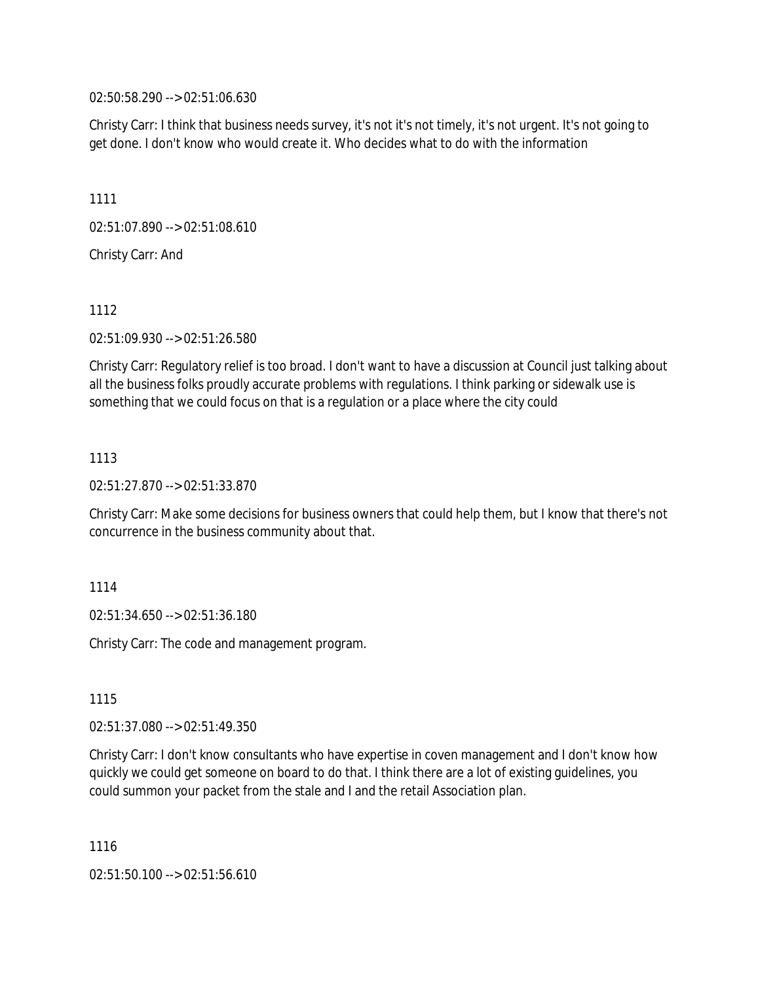02:50:58.290 --> 02:51:06.630

Christy Carr: I think that business needs survey, it's not it's not timely, it's not urgent. It's not going to get done. I don't know who would create it. Who decides what to do with the information

1111

02:51:07.890 --> 02:51:08.610

Christy Carr: And

1112

02:51:09.930 --> 02:51:26.580

Christy Carr: Regulatory relief is too broad. I don't want to have a discussion at Council just talking about all the business folks proudly accurate problems with regulations. I think parking or sidewalk use is something that we could focus on that is a regulation or a place where the city could

### 1113

02:51:27.870 --> 02:51:33.870

Christy Carr: Make some decisions for business owners that could help them, but I know that there's not concurrence in the business community about that.

### 1114

02:51:34.650 --> 02:51:36.180

Christy Carr: The code and management program.

1115

02:51:37.080 --> 02:51:49.350

Christy Carr: I don't know consultants who have expertise in coven management and I don't know how quickly we could get someone on board to do that. I think there are a lot of existing guidelines, you could summon your packet from the stale and I and the retail Association plan.

1116

02:51:50.100 --> 02:51:56.610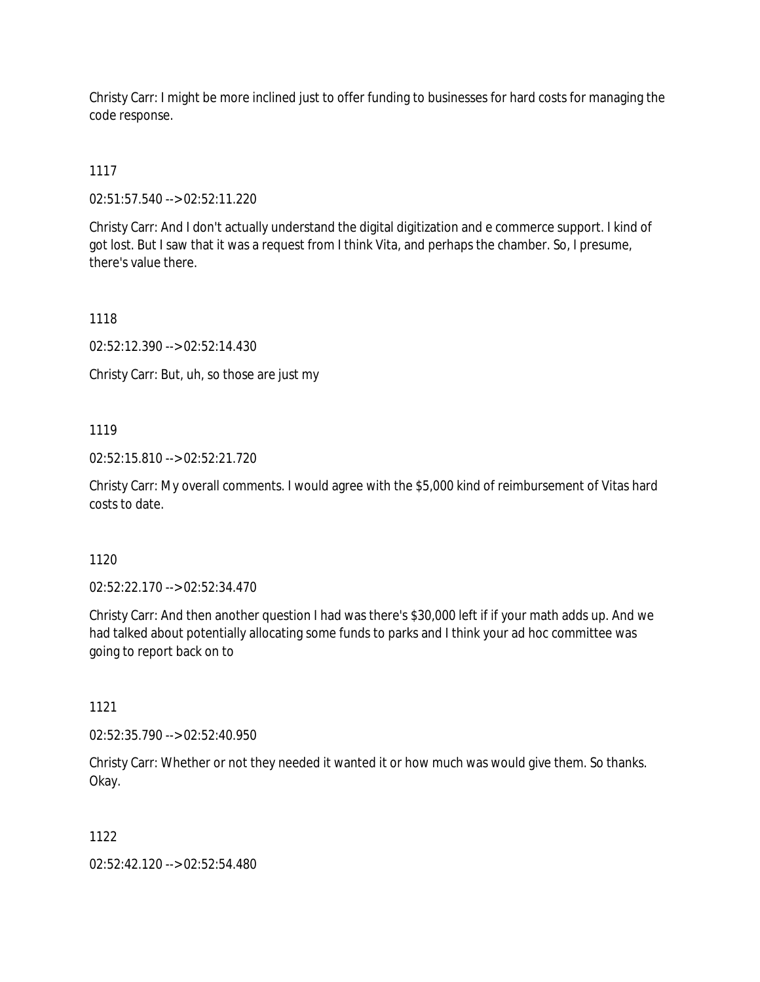Christy Carr: I might be more inclined just to offer funding to businesses for hard costs for managing the code response.

# 1117

02:51:57.540 --> 02:52:11.220

Christy Carr: And I don't actually understand the digital digitization and e commerce support. I kind of got lost. But I saw that it was a request from I think Vita, and perhaps the chamber. So, I presume, there's value there.

1118

02:52:12.390 --> 02:52:14.430

Christy Carr: But, uh, so those are just my

## 1119

02:52:15.810 --> 02:52:21.720

Christy Carr: My overall comments. I would agree with the \$5,000 kind of reimbursement of Vitas hard costs to date.

### 1120

02:52:22.170 --> 02:52:34.470

Christy Carr: And then another question I had was there's \$30,000 left if if your math adds up. And we had talked about potentially allocating some funds to parks and I think your ad hoc committee was going to report back on to

### 1121

02:52:35.790 --> 02:52:40.950

Christy Carr: Whether or not they needed it wanted it or how much was would give them. So thanks. Okay.

### 1122

02:52:42.120 --> 02:52:54.480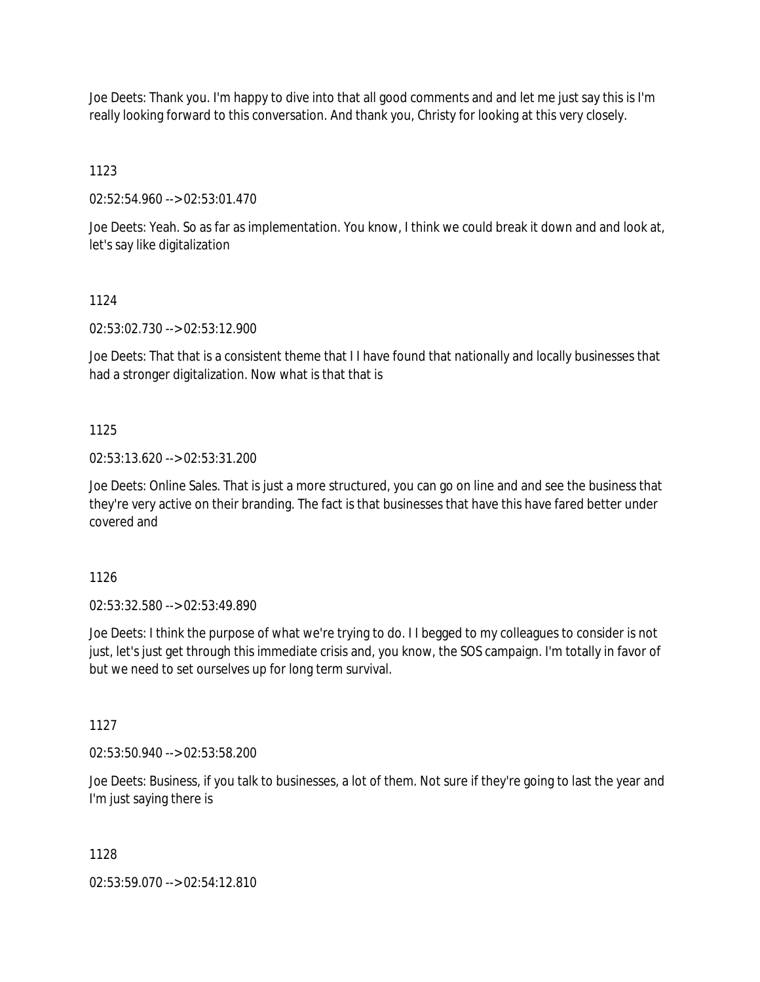Joe Deets: Thank you. I'm happy to dive into that all good comments and and let me just say this is I'm really looking forward to this conversation. And thank you, Christy for looking at this very closely.

1123

02:52:54.960 --> 02:53:01.470

Joe Deets: Yeah. So as far as implementation. You know, I think we could break it down and and look at, let's say like digitalization

## 1124

02:53:02.730 --> 02:53:12.900

Joe Deets: That that is a consistent theme that I I have found that nationally and locally businesses that had a stronger digitalization. Now what is that that is

## 1125

02:53:13.620 --> 02:53:31.200

Joe Deets: Online Sales. That is just a more structured, you can go on line and and see the business that they're very active on their branding. The fact is that businesses that have this have fared better under covered and

1126

02:53:32.580 --> 02:53:49.890

Joe Deets: I think the purpose of what we're trying to do. I I begged to my colleagues to consider is not just, let's just get through this immediate crisis and, you know, the SOS campaign. I'm totally in favor of but we need to set ourselves up for long term survival.

1127

02:53:50.940 --> 02:53:58.200

Joe Deets: Business, if you talk to businesses, a lot of them. Not sure if they're going to last the year and I'm just saying there is

# 1128

02:53:59.070 --> 02:54:12.810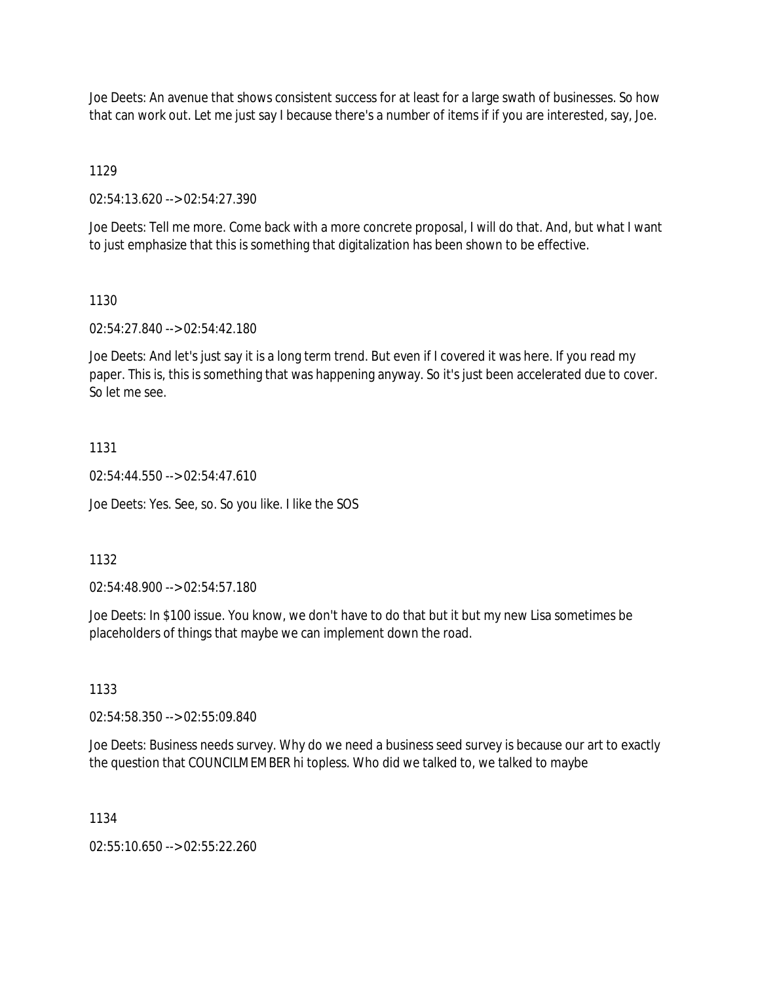Joe Deets: An avenue that shows consistent success for at least for a large swath of businesses. So how that can work out. Let me just say I because there's a number of items if if you are interested, say, Joe.

1129

02:54:13.620 --> 02:54:27.390

Joe Deets: Tell me more. Come back with a more concrete proposal, I will do that. And, but what I want to just emphasize that this is something that digitalization has been shown to be effective.

#### 1130

02:54:27.840 --> 02:54:42.180

Joe Deets: And let's just say it is a long term trend. But even if I covered it was here. If you read my paper. This is, this is something that was happening anyway. So it's just been accelerated due to cover. So let me see.

#### 1131

 $02:54:44.550 \rightarrow 02:54:47.610$ 

Joe Deets: Yes. See, so. So you like. I like the SOS

### 1132

02:54:48.900 --> 02:54:57.180

Joe Deets: In \$100 issue. You know, we don't have to do that but it but my new Lisa sometimes be placeholders of things that maybe we can implement down the road.

#### 1133

02:54:58.350 --> 02:55:09.840

Joe Deets: Business needs survey. Why do we need a business seed survey is because our art to exactly the question that COUNCILMEMBER hi topless. Who did we talked to, we talked to maybe

### 1134

02:55:10.650 --> 02:55:22.260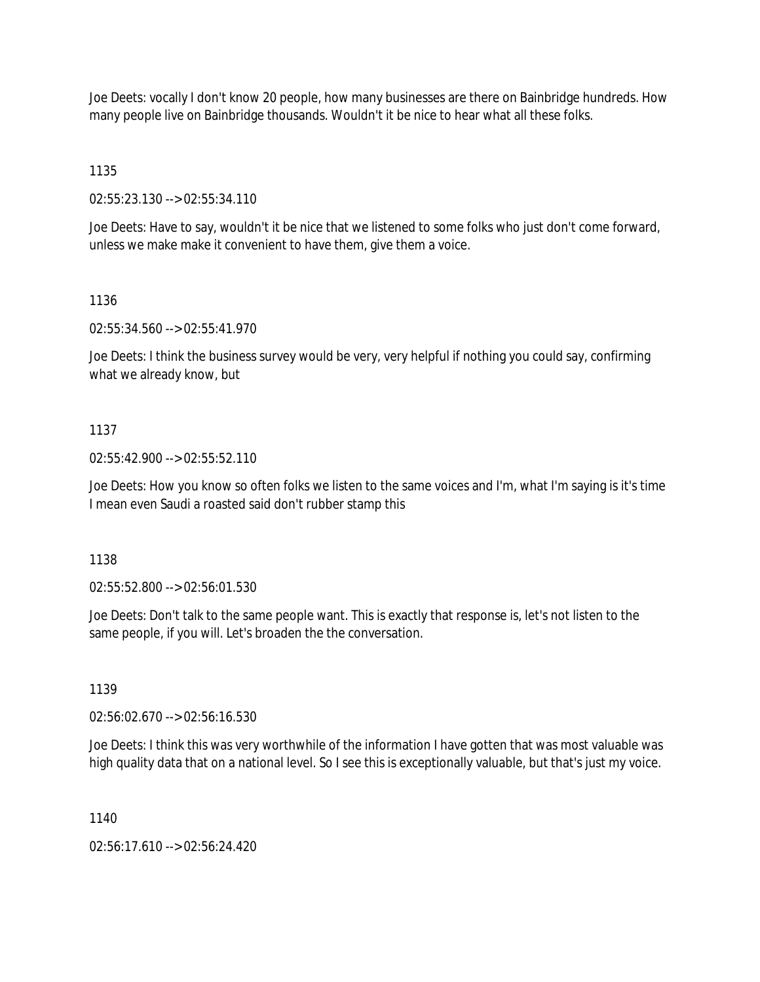Joe Deets: vocally I don't know 20 people, how many businesses are there on Bainbridge hundreds. How many people live on Bainbridge thousands. Wouldn't it be nice to hear what all these folks.

1135

02:55:23.130 --> 02:55:34.110

Joe Deets: Have to say, wouldn't it be nice that we listened to some folks who just don't come forward, unless we make make it convenient to have them, give them a voice.

#### 1136

02:55:34.560 --> 02:55:41.970

Joe Deets: I think the business survey would be very, very helpful if nothing you could say, confirming what we already know, but

#### 1137

02:55:42.900 --> 02:55:52.110

Joe Deets: How you know so often folks we listen to the same voices and I'm, what I'm saying is it's time I mean even Saudi a roasted said don't rubber stamp this

1138

02:55:52.800 --> 02:56:01.530

Joe Deets: Don't talk to the same people want. This is exactly that response is, let's not listen to the same people, if you will. Let's broaden the the conversation.

1139

02:56:02.670 --> 02:56:16.530

Joe Deets: I think this was very worthwhile of the information I have gotten that was most valuable was high quality data that on a national level. So I see this is exceptionally valuable, but that's just my voice.

1140

02:56:17.610 --> 02:56:24.420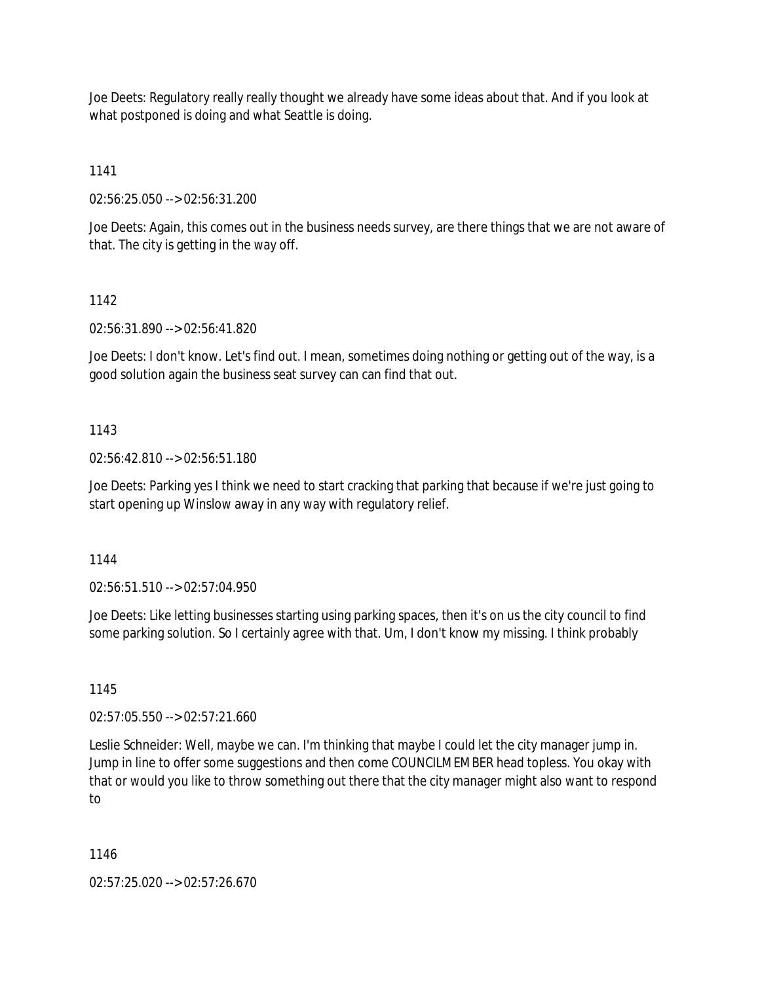Joe Deets: Regulatory really really thought we already have some ideas about that. And if you look at what postponed is doing and what Seattle is doing.

1141

02:56:25.050 --> 02:56:31.200

Joe Deets: Again, this comes out in the business needs survey, are there things that we are not aware of that. The city is getting in the way off.

# 1142

02:56:31.890 --> 02:56:41.820

Joe Deets: I don't know. Let's find out. I mean, sometimes doing nothing or getting out of the way, is a good solution again the business seat survey can can find that out.

## 1143

02:56:42.810 --> 02:56:51.180

Joe Deets: Parking yes I think we need to start cracking that parking that because if we're just going to start opening up Winslow away in any way with regulatory relief.

1144

02:56:51.510 --> 02:57:04.950

Joe Deets: Like letting businesses starting using parking spaces, then it's on us the city council to find some parking solution. So I certainly agree with that. Um, I don't know my missing. I think probably

1145

02:57:05.550 --> 02:57:21.660

Leslie Schneider: Well, maybe we can. I'm thinking that maybe I could let the city manager jump in. Jump in line to offer some suggestions and then come COUNCILMEMBER head topless. You okay with that or would you like to throw something out there that the city manager might also want to respond to

1146

02:57:25.020 --> 02:57:26.670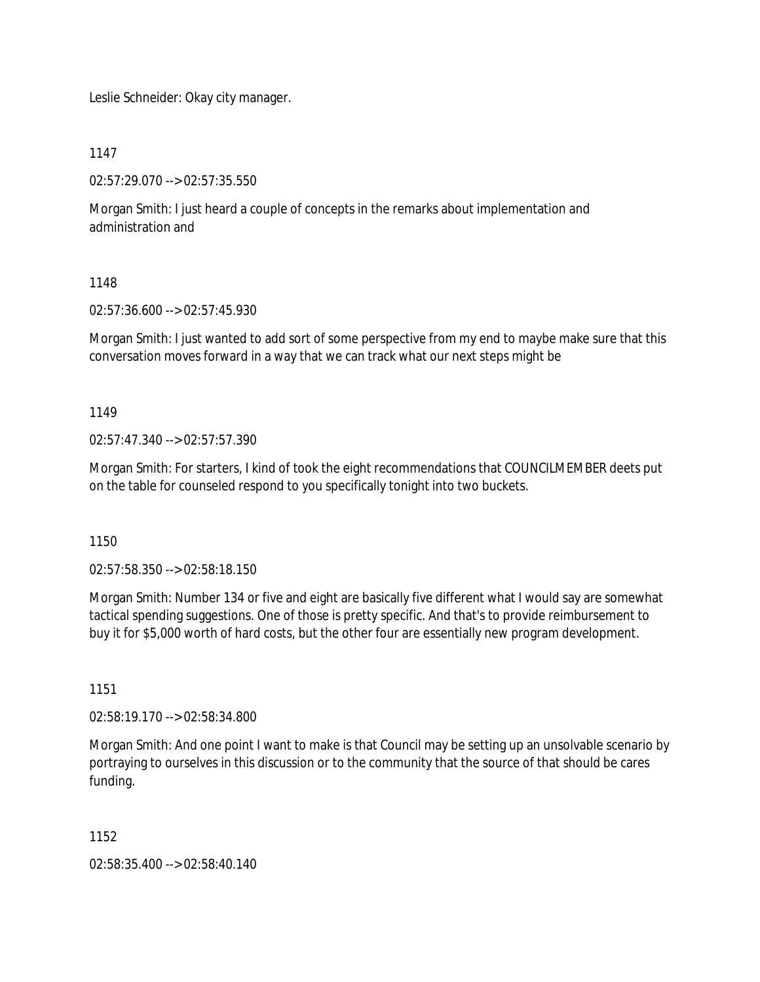Leslie Schneider: Okay city manager.

1147

02:57:29.070 --> 02:57:35.550

Morgan Smith: I just heard a couple of concepts in the remarks about implementation and administration and

## 1148

02:57:36.600 --> 02:57:45.930

Morgan Smith: I just wanted to add sort of some perspective from my end to maybe make sure that this conversation moves forward in a way that we can track what our next steps might be

1149

02:57:47.340 --> 02:57:57.390

Morgan Smith: For starters, I kind of took the eight recommendations that COUNCILMEMBER deets put on the table for counseled respond to you specifically tonight into two buckets.

1150

02:57:58.350 --> 02:58:18.150

Morgan Smith: Number 134 or five and eight are basically five different what I would say are somewhat tactical spending suggestions. One of those is pretty specific. And that's to provide reimbursement to buy it for \$5,000 worth of hard costs, but the other four are essentially new program development.

1151

02:58:19.170 --> 02:58:34.800

Morgan Smith: And one point I want to make is that Council may be setting up an unsolvable scenario by portraying to ourselves in this discussion or to the community that the source of that should be cares funding.

1152

02:58:35.400 --> 02:58:40.140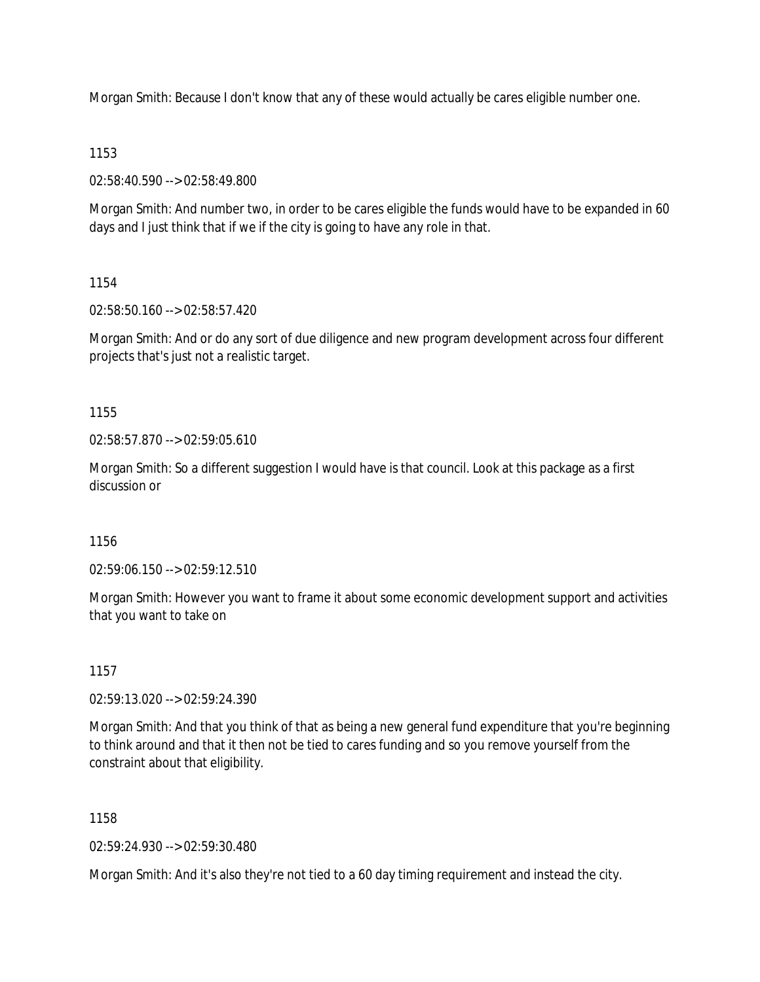Morgan Smith: Because I don't know that any of these would actually be cares eligible number one.

### 1153

02:58:40.590 --> 02:58:49.800

Morgan Smith: And number two, in order to be cares eligible the funds would have to be expanded in 60 days and I just think that if we if the city is going to have any role in that.

## 1154

02:58:50.160 --> 02:58:57.420

Morgan Smith: And or do any sort of due diligence and new program development across four different projects that's just not a realistic target.

1155

02:58:57.870 --> 02:59:05.610

Morgan Smith: So a different suggestion I would have is that council. Look at this package as a first discussion or

1156

02:59:06.150 --> 02:59:12.510

Morgan Smith: However you want to frame it about some economic development support and activities that you want to take on

# 1157

02:59:13.020 --> 02:59:24.390

Morgan Smith: And that you think of that as being a new general fund expenditure that you're beginning to think around and that it then not be tied to cares funding and so you remove yourself from the constraint about that eligibility.

1158

02:59:24.930 --> 02:59:30.480

Morgan Smith: And it's also they're not tied to a 60 day timing requirement and instead the city.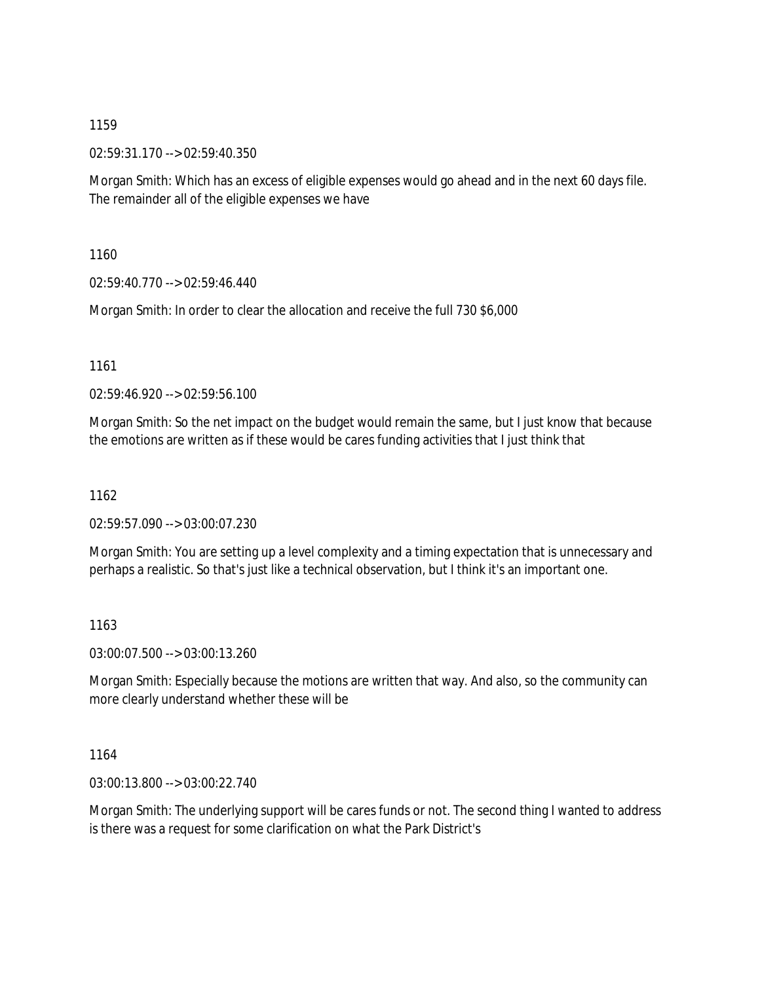02:59:31.170 --> 02:59:40.350

Morgan Smith: Which has an excess of eligible expenses would go ahead and in the next 60 days file. The remainder all of the eligible expenses we have

1160

02:59:40.770 --> 02:59:46.440

Morgan Smith: In order to clear the allocation and receive the full 730 \$6,000

1161

02:59:46.920 --> 02:59:56.100

Morgan Smith: So the net impact on the budget would remain the same, but I just know that because the emotions are written as if these would be cares funding activities that I just think that

1162

02:59:57.090 --> 03:00:07.230

Morgan Smith: You are setting up a level complexity and a timing expectation that is unnecessary and perhaps a realistic. So that's just like a technical observation, but I think it's an important one.

1163

03:00:07.500 --> 03:00:13.260

Morgan Smith: Especially because the motions are written that way. And also, so the community can more clearly understand whether these will be

1164

03:00:13.800 --> 03:00:22.740

Morgan Smith: The underlying support will be cares funds or not. The second thing I wanted to address is there was a request for some clarification on what the Park District's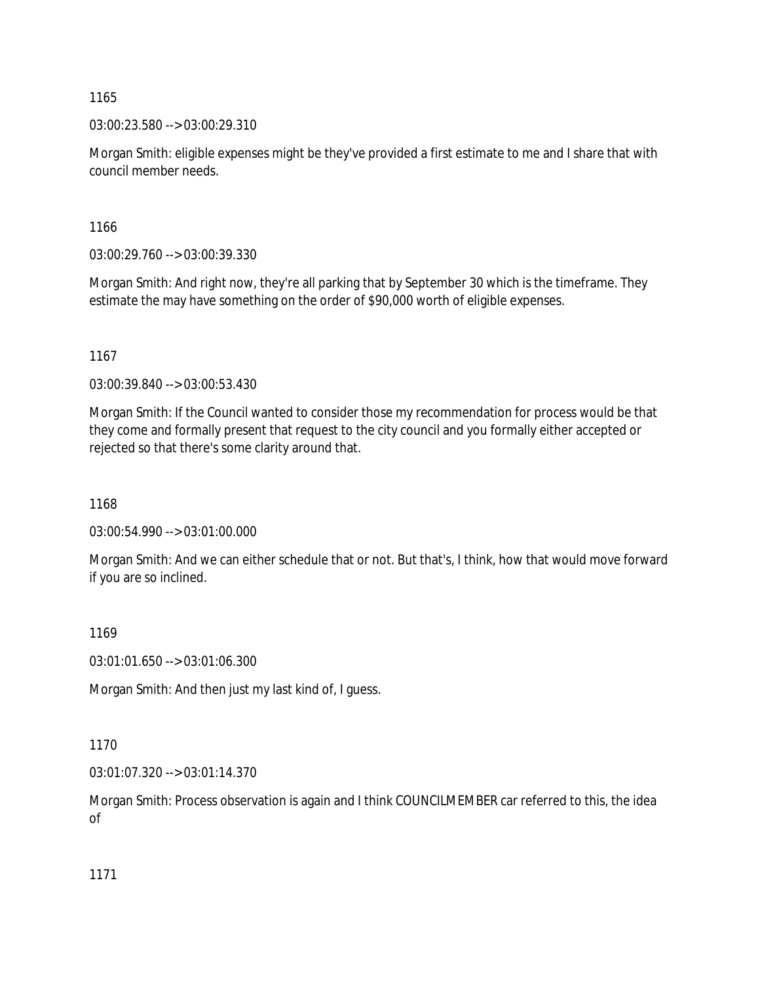03:00:23.580 --> 03:00:29.310

Morgan Smith: eligible expenses might be they've provided a first estimate to me and I share that with council member needs.

1166

03:00:29.760 --> 03:00:39.330

Morgan Smith: And right now, they're all parking that by September 30 which is the timeframe. They estimate the may have something on the order of \$90,000 worth of eligible expenses.

1167

03:00:39.840 --> 03:00:53.430

Morgan Smith: If the Council wanted to consider those my recommendation for process would be that they come and formally present that request to the city council and you formally either accepted or rejected so that there's some clarity around that.

1168

03:00:54.990 --> 03:01:00.000

Morgan Smith: And we can either schedule that or not. But that's, I think, how that would move forward if you are so inclined.

1169

03:01:01.650 --> 03:01:06.300

Morgan Smith: And then just my last kind of, I guess.

1170

03:01:07.320 --> 03:01:14.370

Morgan Smith: Process observation is again and I think COUNCILMEMBER car referred to this, the idea of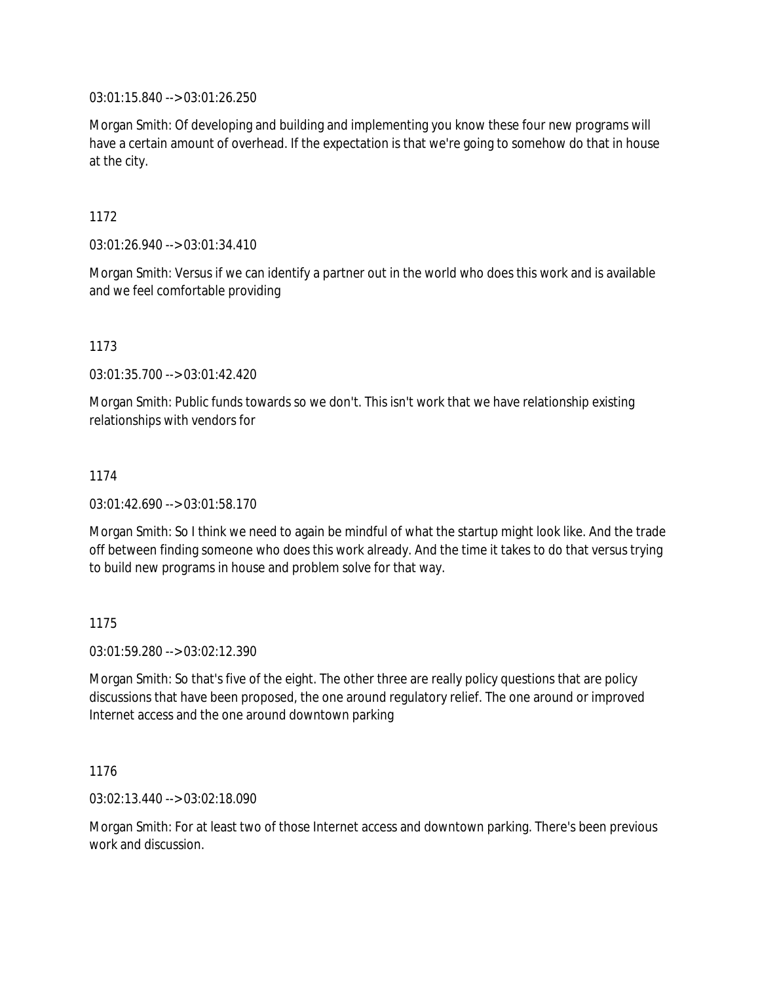03:01:15.840 --> 03:01:26.250

Morgan Smith: Of developing and building and implementing you know these four new programs will have a certain amount of overhead. If the expectation is that we're going to somehow do that in house at the city.

1172

03:01:26.940 --> 03:01:34.410

Morgan Smith: Versus if we can identify a partner out in the world who does this work and is available and we feel comfortable providing

1173

03:01:35.700 --> 03:01:42.420

Morgan Smith: Public funds towards so we don't. This isn't work that we have relationship existing relationships with vendors for

1174

03:01:42.690 --> 03:01:58.170

Morgan Smith: So I think we need to again be mindful of what the startup might look like. And the trade off between finding someone who does this work already. And the time it takes to do that versus trying to build new programs in house and problem solve for that way.

1175

03:01:59.280 --> 03:02:12.390

Morgan Smith: So that's five of the eight. The other three are really policy questions that are policy discussions that have been proposed, the one around regulatory relief. The one around or improved Internet access and the one around downtown parking

1176

03:02:13.440 --> 03:02:18.090

Morgan Smith: For at least two of those Internet access and downtown parking. There's been previous work and discussion.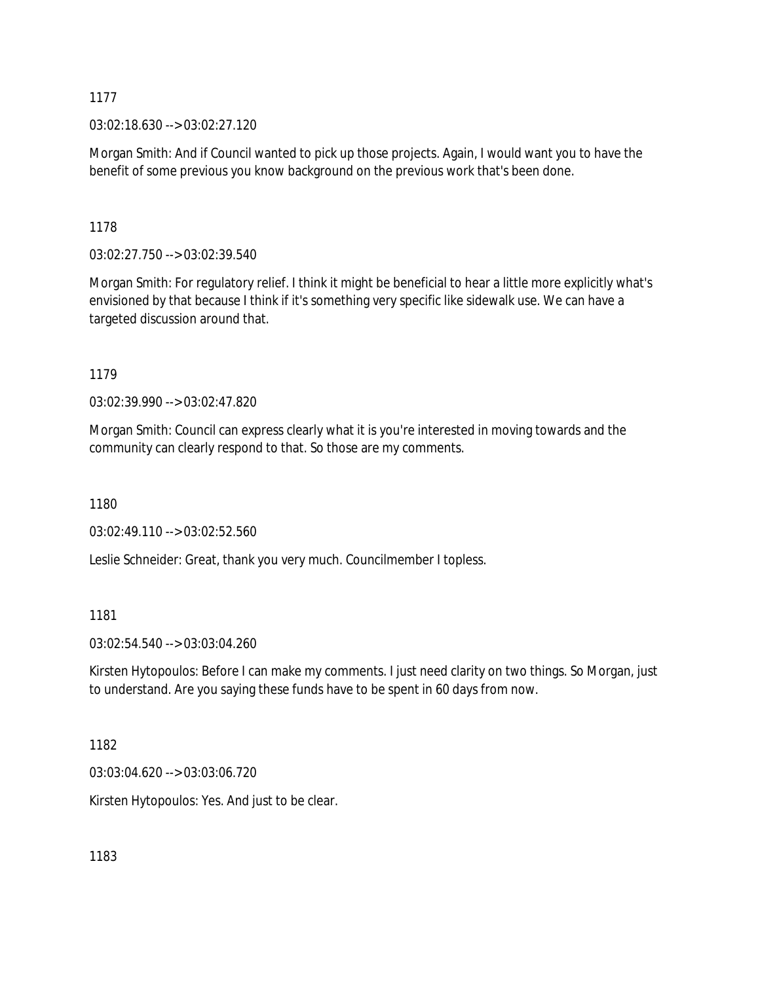03:02:18.630 --> 03:02:27.120

Morgan Smith: And if Council wanted to pick up those projects. Again, I would want you to have the benefit of some previous you know background on the previous work that's been done.

1178

03:02:27.750 --> 03:02:39.540

Morgan Smith: For regulatory relief. I think it might be beneficial to hear a little more explicitly what's envisioned by that because I think if it's something very specific like sidewalk use. We can have a targeted discussion around that.

1179

03:02:39.990 --> 03:02:47.820

Morgan Smith: Council can express clearly what it is you're interested in moving towards and the community can clearly respond to that. So those are my comments.

1180

03:02:49.110 --> 03:02:52.560

Leslie Schneider: Great, thank you very much. Councilmember I topless.

1181

03:02:54.540 --> 03:03:04.260

Kirsten Hytopoulos: Before I can make my comments. I just need clarity on two things. So Morgan, just to understand. Are you saying these funds have to be spent in 60 days from now.

1182

03:03:04.620 --> 03:03:06.720

Kirsten Hytopoulos: Yes. And just to be clear.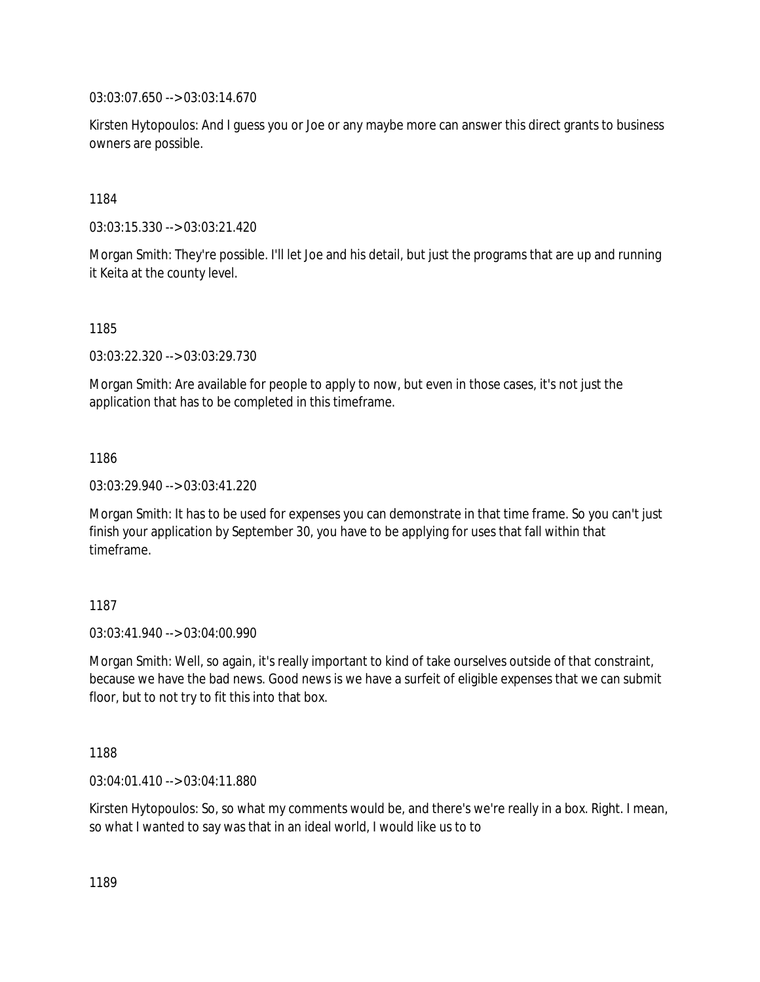03:03:07.650 --> 03:03:14.670

Kirsten Hytopoulos: And I guess you or Joe or any maybe more can answer this direct grants to business owners are possible.

1184

03:03:15.330 --> 03:03:21.420

Morgan Smith: They're possible. I'll let Joe and his detail, but just the programs that are up and running it Keita at the county level.

1185

03:03:22.320 --> 03:03:29.730

Morgan Smith: Are available for people to apply to now, but even in those cases, it's not just the application that has to be completed in this timeframe.

1186

03:03:29.940 --> 03:03:41.220

Morgan Smith: It has to be used for expenses you can demonstrate in that time frame. So you can't just finish your application by September 30, you have to be applying for uses that fall within that timeframe.

1187

03:03:41.940 --> 03:04:00.990

Morgan Smith: Well, so again, it's really important to kind of take ourselves outside of that constraint, because we have the bad news. Good news is we have a surfeit of eligible expenses that we can submit floor, but to not try to fit this into that box.

1188

03:04:01.410 --> 03:04:11.880

Kirsten Hytopoulos: So, so what my comments would be, and there's we're really in a box. Right. I mean, so what I wanted to say was that in an ideal world, I would like us to to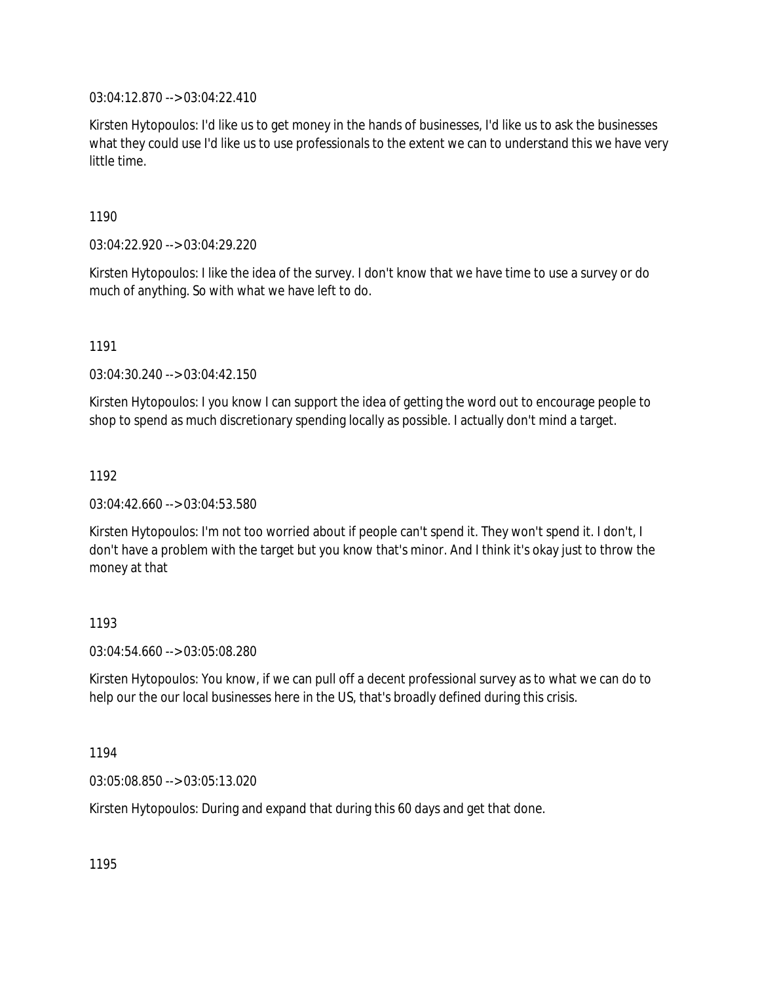03:04:12.870 --> 03:04:22.410

Kirsten Hytopoulos: I'd like us to get money in the hands of businesses, I'd like us to ask the businesses what they could use I'd like us to use professionals to the extent we can to understand this we have very little time.

1190

03:04:22.920 --> 03:04:29.220

Kirsten Hytopoulos: I like the idea of the survey. I don't know that we have time to use a survey or do much of anything. So with what we have left to do.

1191

03:04:30.240 --> 03:04:42.150

Kirsten Hytopoulos: I you know I can support the idea of getting the word out to encourage people to shop to spend as much discretionary spending locally as possible. I actually don't mind a target.

1192

03:04:42.660 --> 03:04:53.580

Kirsten Hytopoulos: I'm not too worried about if people can't spend it. They won't spend it. I don't, I don't have a problem with the target but you know that's minor. And I think it's okay just to throw the money at that

### 1193

03:04:54.660 --> 03:05:08.280

Kirsten Hytopoulos: You know, if we can pull off a decent professional survey as to what we can do to help our the our local businesses here in the US, that's broadly defined during this crisis.

1194

03:05:08.850 --> 03:05:13.020

Kirsten Hytopoulos: During and expand that during this 60 days and get that done.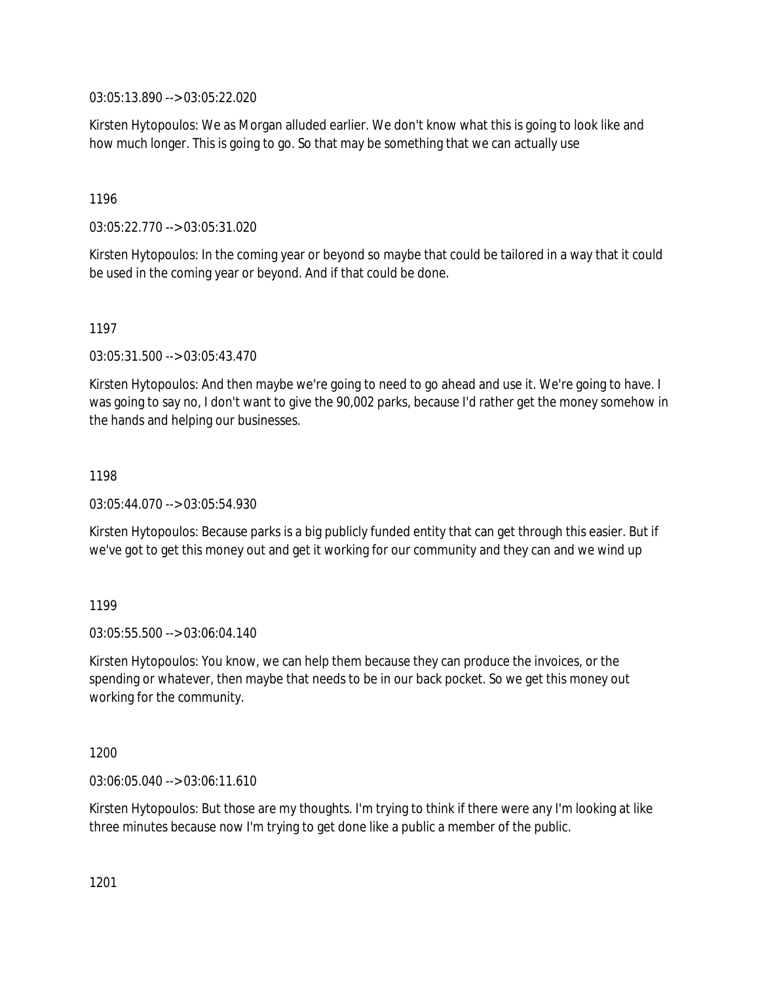03:05:13.890 --> 03:05:22.020

Kirsten Hytopoulos: We as Morgan alluded earlier. We don't know what this is going to look like and how much longer. This is going to go. So that may be something that we can actually use

1196

03:05:22.770 --> 03:05:31.020

Kirsten Hytopoulos: In the coming year or beyond so maybe that could be tailored in a way that it could be used in the coming year or beyond. And if that could be done.

1197

03:05:31.500 --> 03:05:43.470

Kirsten Hytopoulos: And then maybe we're going to need to go ahead and use it. We're going to have. I was going to say no, I don't want to give the 90,002 parks, because I'd rather get the money somehow in the hands and helping our businesses.

1198

03:05:44.070 --> 03:05:54.930

Kirsten Hytopoulos: Because parks is a big publicly funded entity that can get through this easier. But if we've got to get this money out and get it working for our community and they can and we wind up

1199

03:05:55.500 --> 03:06:04.140

Kirsten Hytopoulos: You know, we can help them because they can produce the invoices, or the spending or whatever, then maybe that needs to be in our back pocket. So we get this money out working for the community.

1200

03:06:05.040 --> 03:06:11.610

Kirsten Hytopoulos: But those are my thoughts. I'm trying to think if there were any I'm looking at like three minutes because now I'm trying to get done like a public a member of the public.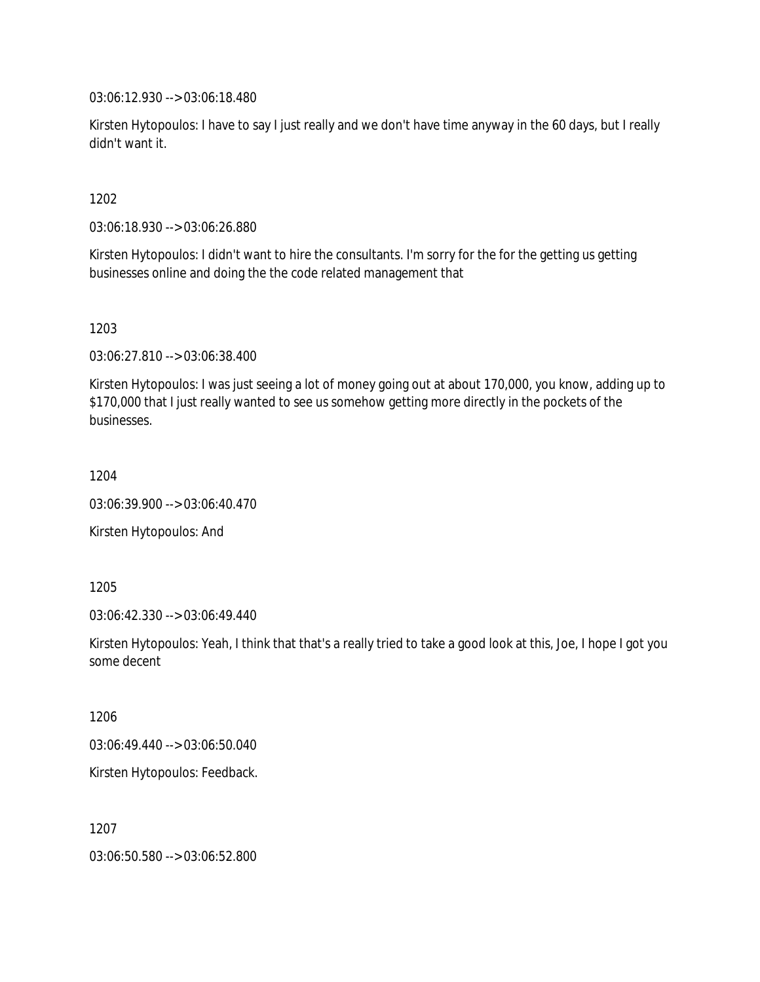03:06:12.930 --> 03:06:18.480

Kirsten Hytopoulos: I have to say I just really and we don't have time anyway in the 60 days, but I really didn't want it.

1202

03:06:18.930 --> 03:06:26.880

Kirsten Hytopoulos: I didn't want to hire the consultants. I'm sorry for the for the getting us getting businesses online and doing the the code related management that

1203

03:06:27.810 --> 03:06:38.400

Kirsten Hytopoulos: I was just seeing a lot of money going out at about 170,000, you know, adding up to \$170,000 that I just really wanted to see us somehow getting more directly in the pockets of the businesses.

1204

03:06:39.900 --> 03:06:40.470

Kirsten Hytopoulos: And

1205

03:06:42.330 --> 03:06:49.440

Kirsten Hytopoulos: Yeah, I think that that's a really tried to take a good look at this, Joe, I hope I got you some decent

1206

03:06:49.440 --> 03:06:50.040

Kirsten Hytopoulos: Feedback.

1207

03:06:50.580 --> 03:06:52.800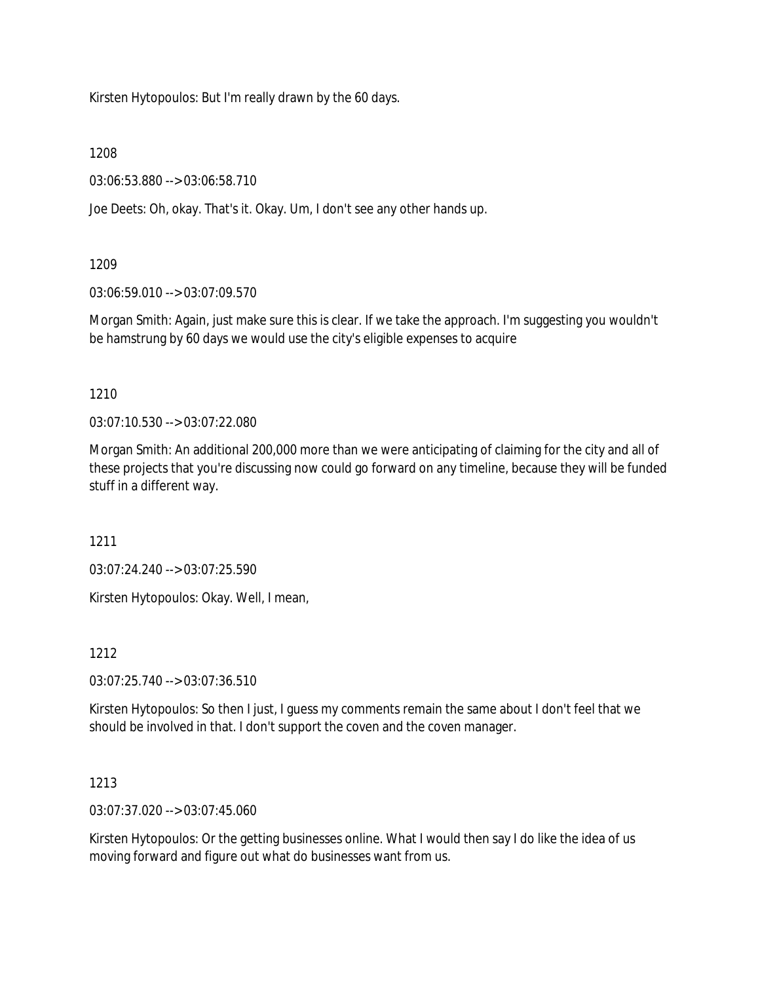Kirsten Hytopoulos: But I'm really drawn by the 60 days.

1208

03:06:53.880 --> 03:06:58.710

Joe Deets: Oh, okay. That's it. Okay. Um, I don't see any other hands up.

1209

03:06:59.010 --> 03:07:09.570

Morgan Smith: Again, just make sure this is clear. If we take the approach. I'm suggesting you wouldn't be hamstrung by 60 days we would use the city's eligible expenses to acquire

1210

03:07:10.530 --> 03:07:22.080

Morgan Smith: An additional 200,000 more than we were anticipating of claiming for the city and all of these projects that you're discussing now could go forward on any timeline, because they will be funded stuff in a different way.

1211

03:07:24.240 --> 03:07:25.590

Kirsten Hytopoulos: Okay. Well, I mean,

1212

03:07:25.740 --> 03:07:36.510

Kirsten Hytopoulos: So then I just, I guess my comments remain the same about I don't feel that we should be involved in that. I don't support the coven and the coven manager.

1213

03:07:37.020 --> 03:07:45.060

Kirsten Hytopoulos: Or the getting businesses online. What I would then say I do like the idea of us moving forward and figure out what do businesses want from us.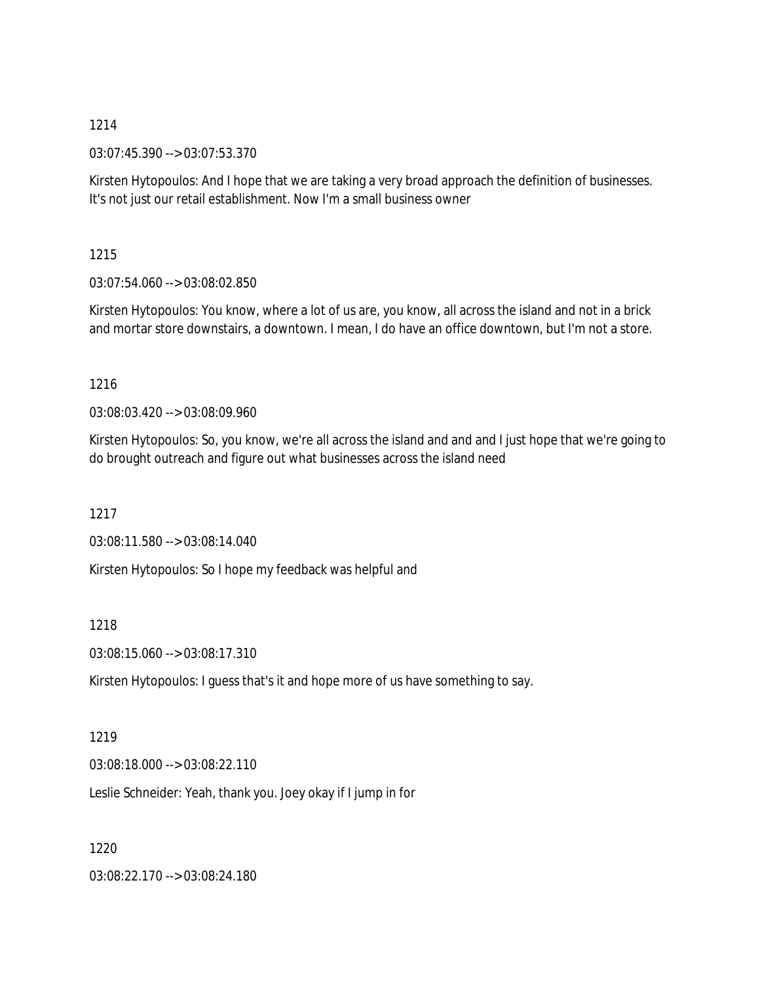03:07:45.390 --> 03:07:53.370

Kirsten Hytopoulos: And I hope that we are taking a very broad approach the definition of businesses. It's not just our retail establishment. Now I'm a small business owner

## 1215

03:07:54.060 --> 03:08:02.850

Kirsten Hytopoulos: You know, where a lot of us are, you know, all across the island and not in a brick and mortar store downstairs, a downtown. I mean, I do have an office downtown, but I'm not a store.

## 1216

03:08:03.420 --> 03:08:09.960

Kirsten Hytopoulos: So, you know, we're all across the island and and and I just hope that we're going to do brought outreach and figure out what businesses across the island need

1217

03:08:11.580 --> 03:08:14.040

Kirsten Hytopoulos: So I hope my feedback was helpful and

### 1218

03:08:15.060 --> 03:08:17.310

Kirsten Hytopoulos: I guess that's it and hope more of us have something to say.

### 1219

03:08:18.000 --> 03:08:22.110

Leslie Schneider: Yeah, thank you. Joey okay if I jump in for

1220

03:08:22.170 --> 03:08:24.180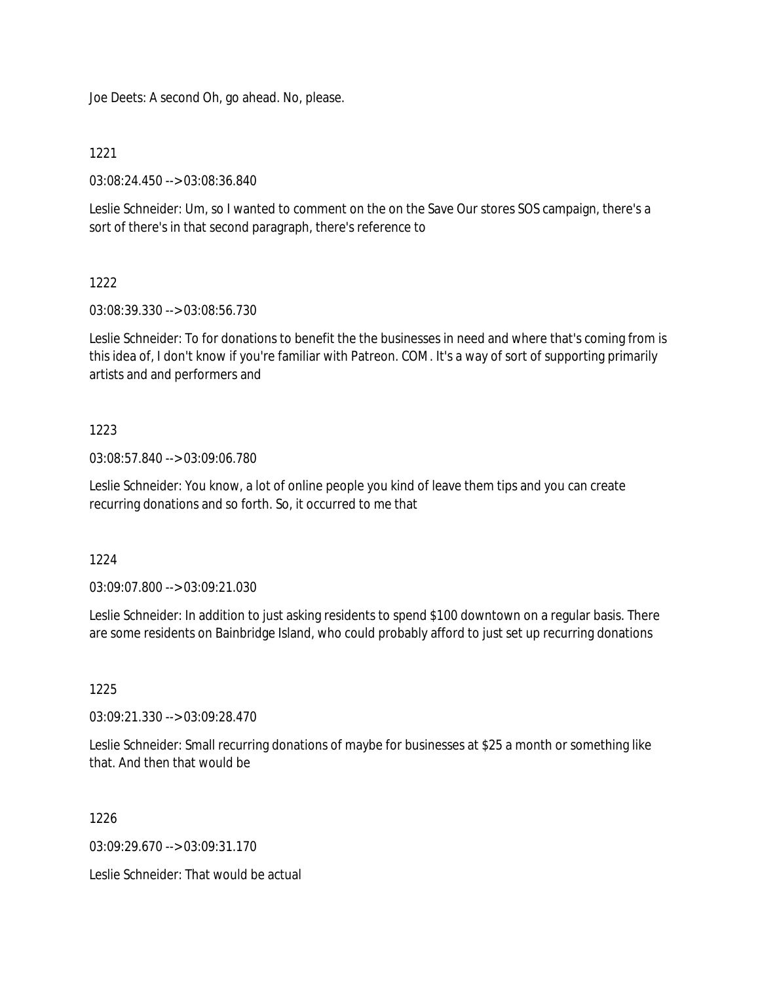Joe Deets: A second Oh, go ahead. No, please.

1221

03:08:24.450 --> 03:08:36.840

Leslie Schneider: Um, so I wanted to comment on the on the Save Our stores SOS campaign, there's a sort of there's in that second paragraph, there's reference to

# 1222

03:08:39.330 --> 03:08:56.730

Leslie Schneider: To for donations to benefit the the businesses in need and where that's coming from is this idea of, I don't know if you're familiar with Patreon. COM. It's a way of sort of supporting primarily artists and and performers and

# 1223

03:08:57.840 --> 03:09:06.780

Leslie Schneider: You know, a lot of online people you kind of leave them tips and you can create recurring donations and so forth. So, it occurred to me that

1224

03:09:07.800 --> 03:09:21.030

Leslie Schneider: In addition to just asking residents to spend \$100 downtown on a regular basis. There are some residents on Bainbridge Island, who could probably afford to just set up recurring donations

1225

03:09:21.330 --> 03:09:28.470

Leslie Schneider: Small recurring donations of maybe for businesses at \$25 a month or something like that. And then that would be

1226

03:09:29.670 --> 03:09:31.170

Leslie Schneider: That would be actual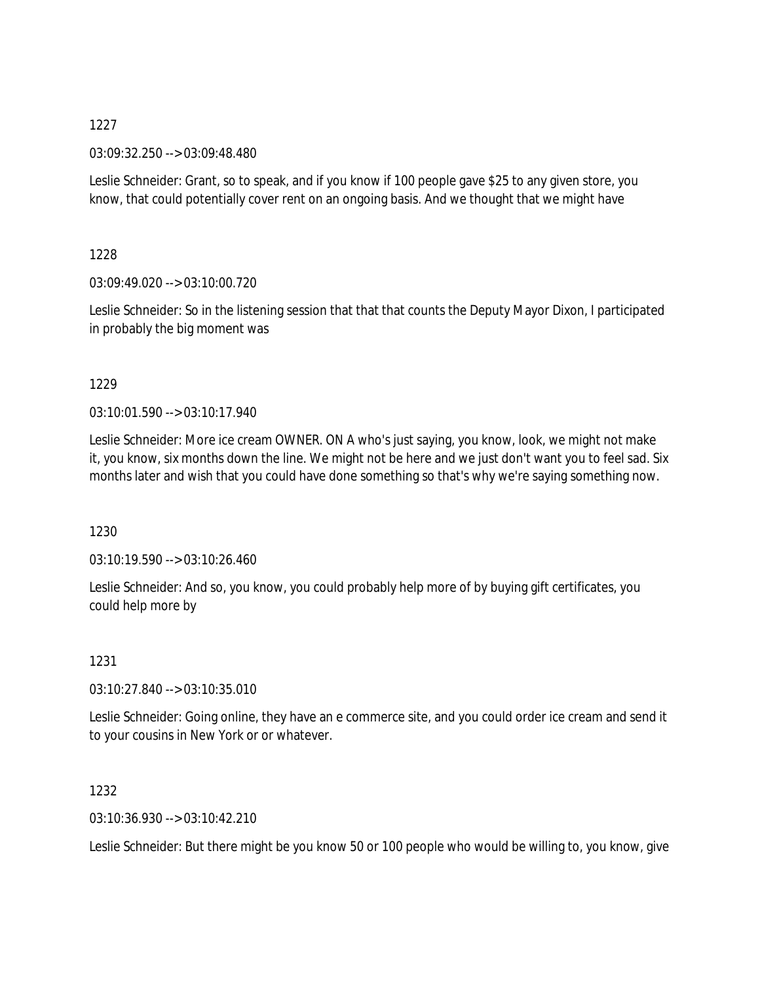03:09:32.250 --> 03:09:48.480

Leslie Schneider: Grant, so to speak, and if you know if 100 people gave \$25 to any given store, you know, that could potentially cover rent on an ongoing basis. And we thought that we might have

1228

03:09:49.020 --> 03:10:00.720

Leslie Schneider: So in the listening session that that that counts the Deputy Mayor Dixon, I participated in probably the big moment was

1229

03:10:01.590 --> 03:10:17.940

Leslie Schneider: More ice cream OWNER. ON A who's just saying, you know, look, we might not make it, you know, six months down the line. We might not be here and we just don't want you to feel sad. Six months later and wish that you could have done something so that's why we're saying something now.

1230

03:10:19.590 --> 03:10:26.460

Leslie Schneider: And so, you know, you could probably help more of by buying gift certificates, you could help more by

1231

03:10:27.840 --> 03:10:35.010

Leslie Schneider: Going online, they have an e commerce site, and you could order ice cream and send it to your cousins in New York or or whatever.

1232

03:10:36.930 --> 03:10:42.210

Leslie Schneider: But there might be you know 50 or 100 people who would be willing to, you know, give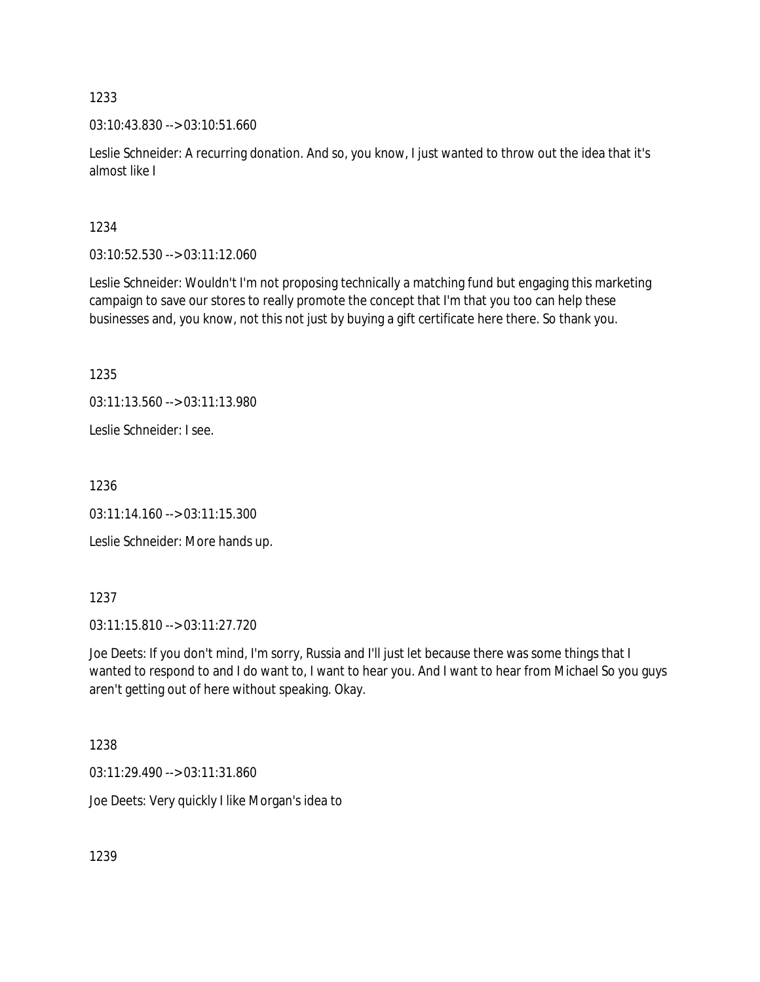03:10:43.830 --> 03:10:51.660

Leslie Schneider: A recurring donation. And so, you know, I just wanted to throw out the idea that it's almost like I

1234

03:10:52.530 --> 03:11:12.060

Leslie Schneider: Wouldn't I'm not proposing technically a matching fund but engaging this marketing campaign to save our stores to really promote the concept that I'm that you too can help these businesses and, you know, not this not just by buying a gift certificate here there. So thank you.

1235

03:11:13.560 --> 03:11:13.980

Leslie Schneider: I see.

1236

 $03:11:14.160 \rightarrow 03:11:15.300$ 

Leslie Schneider: More hands up.

1237

03:11:15.810 --> 03:11:27.720

Joe Deets: If you don't mind, I'm sorry, Russia and I'll just let because there was some things that I wanted to respond to and I do want to, I want to hear you. And I want to hear from Michael So you guys aren't getting out of here without speaking. Okay.

1238

03:11:29.490 --> 03:11:31.860

Joe Deets: Very quickly I like Morgan's idea to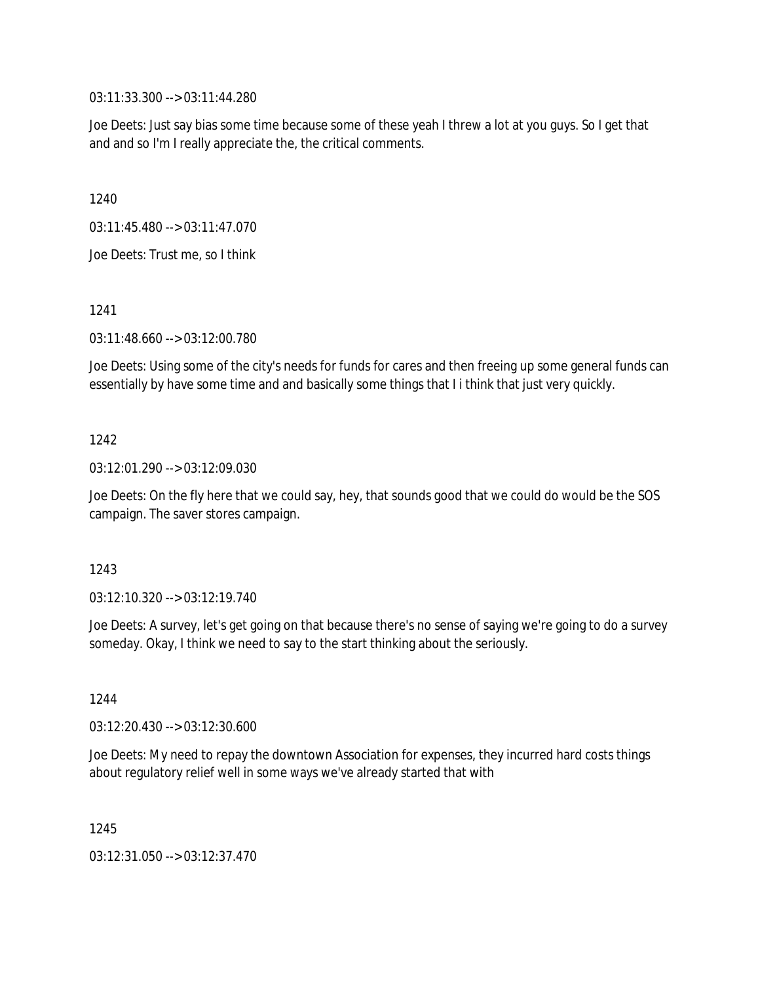03:11:33.300 --> 03:11:44.280

Joe Deets: Just say bias some time because some of these yeah I threw a lot at you guys. So I get that and and so I'm I really appreciate the, the critical comments.

1240

03:11:45.480 --> 03:11:47.070

Joe Deets: Trust me, so I think

1241

03:11:48.660 --> 03:12:00.780

Joe Deets: Using some of the city's needs for funds for cares and then freeing up some general funds can essentially by have some time and and basically some things that I i think that just very quickly.

## 1242

03:12:01.290 --> 03:12:09.030

Joe Deets: On the fly here that we could say, hey, that sounds good that we could do would be the SOS campaign. The saver stores campaign.

### 1243

03:12:10.320 --> 03:12:19.740

Joe Deets: A survey, let's get going on that because there's no sense of saying we're going to do a survey someday. Okay, I think we need to say to the start thinking about the seriously.

1244

03:12:20.430 --> 03:12:30.600

Joe Deets: My need to repay the downtown Association for expenses, they incurred hard costs things about regulatory relief well in some ways we've already started that with

1245

03:12:31.050 --> 03:12:37.470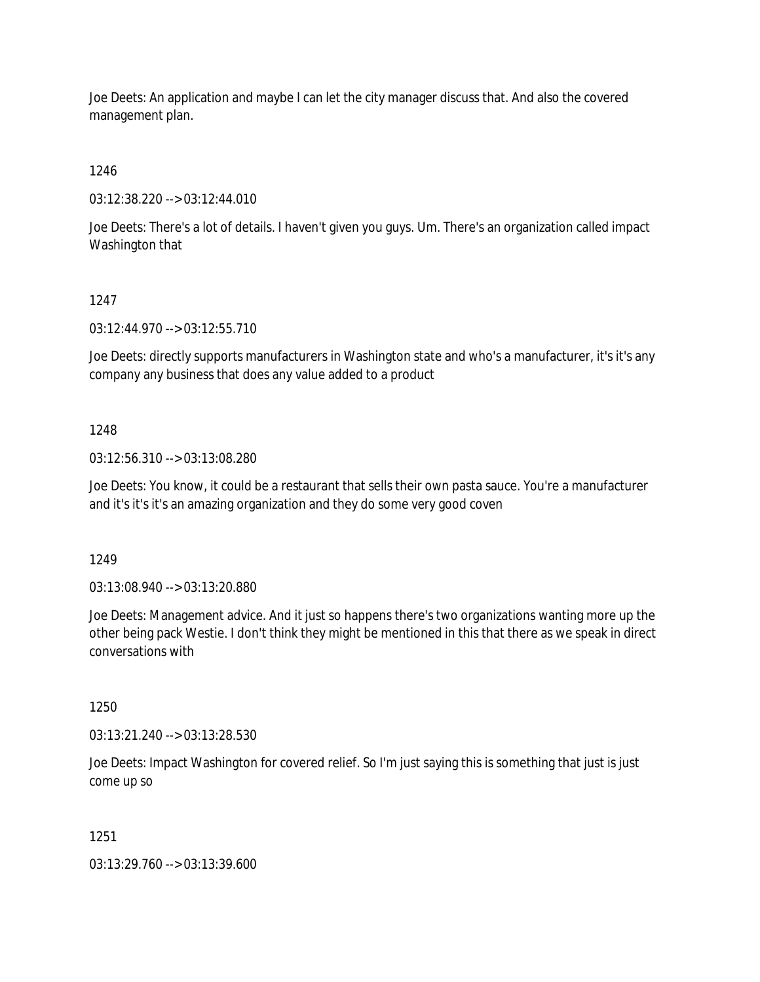Joe Deets: An application and maybe I can let the city manager discuss that. And also the covered management plan.

1246

03:12:38.220 --> 03:12:44.010

Joe Deets: There's a lot of details. I haven't given you guys. Um. There's an organization called impact Washington that

1247

03:12:44.970 --> 03:12:55.710

Joe Deets: directly supports manufacturers in Washington state and who's a manufacturer, it's it's any company any business that does any value added to a product

1248

03:12:56.310 --> 03:13:08.280

Joe Deets: You know, it could be a restaurant that sells their own pasta sauce. You're a manufacturer and it's it's it's an amazing organization and they do some very good coven

1249

03:13:08.940 --> 03:13:20.880

Joe Deets: Management advice. And it just so happens there's two organizations wanting more up the other being pack Westie. I don't think they might be mentioned in this that there as we speak in direct conversations with

1250

03:13:21.240 --> 03:13:28.530

Joe Deets: Impact Washington for covered relief. So I'm just saying this is something that just is just come up so

1251

03:13:29.760 --> 03:13:39.600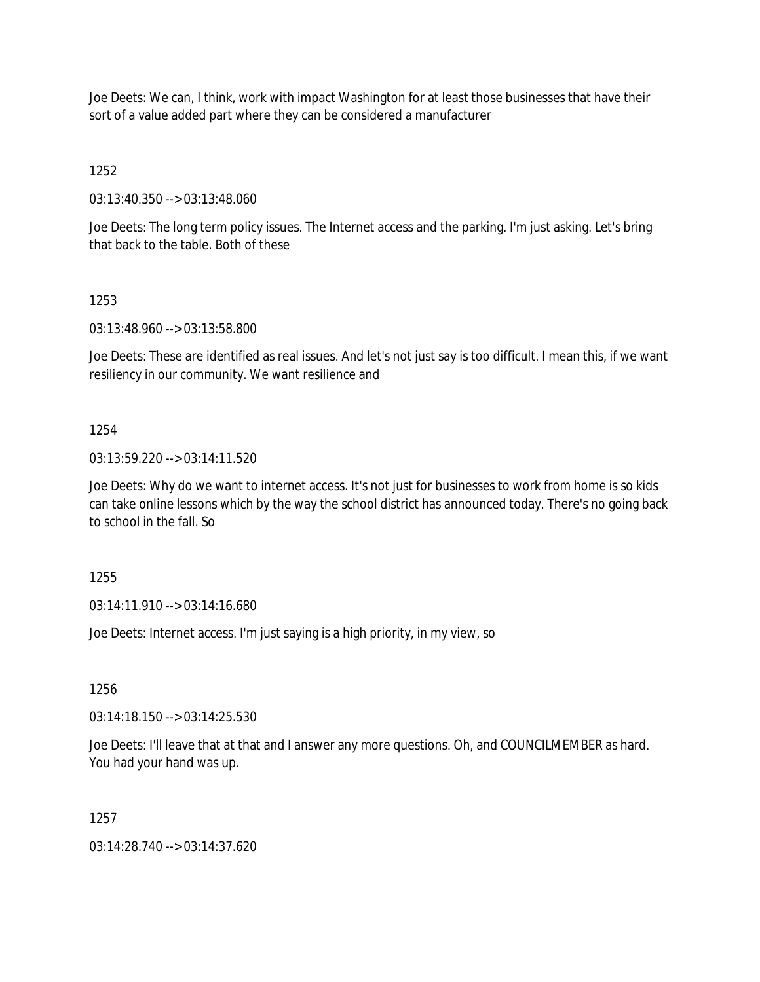Joe Deets: We can, I think, work with impact Washington for at least those businesses that have their sort of a value added part where they can be considered a manufacturer

1252

03:13:40.350 --> 03:13:48.060

Joe Deets: The long term policy issues. The Internet access and the parking. I'm just asking. Let's bring that back to the table. Both of these

## 1253

03:13:48.960 --> 03:13:58.800

Joe Deets: These are identified as real issues. And let's not just say is too difficult. I mean this, if we want resiliency in our community. We want resilience and

## 1254

03:13:59.220 --> 03:14:11.520

Joe Deets: Why do we want to internet access. It's not just for businesses to work from home is so kids can take online lessons which by the way the school district has announced today. There's no going back to school in the fall. So

1255

03:14:11.910 --> 03:14:16.680

Joe Deets: Internet access. I'm just saying is a high priority, in my view, so

1256

03:14:18.150 --> 03:14:25.530

Joe Deets: I'll leave that at that and I answer any more questions. Oh, and COUNCILMEMBER as hard. You had your hand was up.

1257

03:14:28.740 --> 03:14:37.620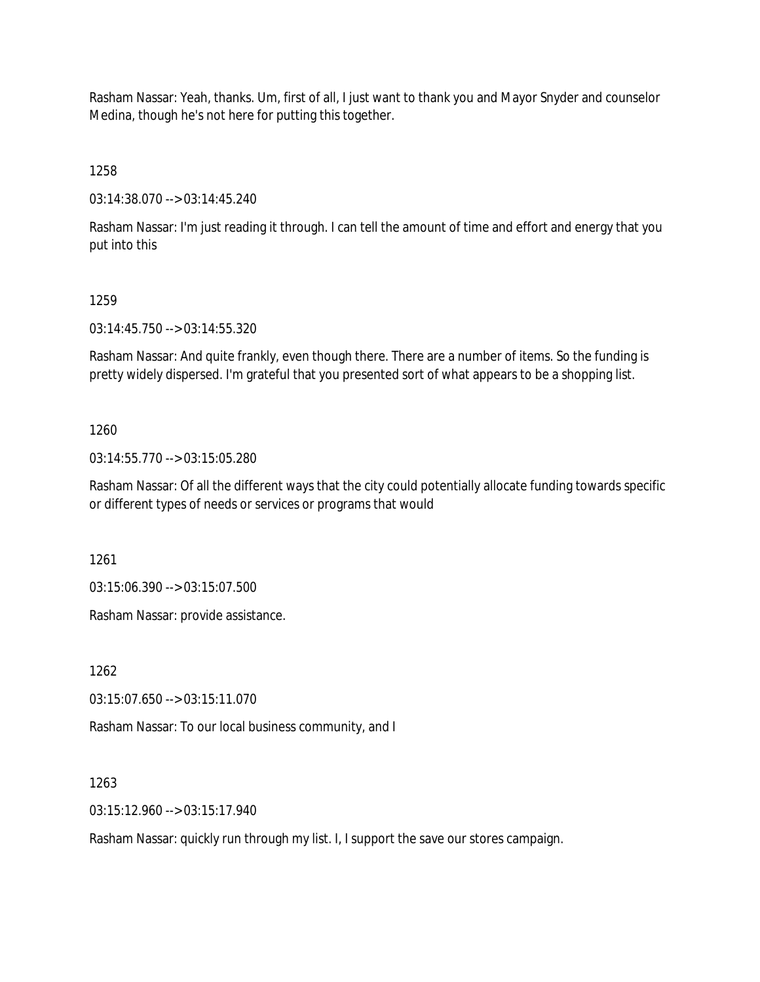Rasham Nassar: Yeah, thanks. Um, first of all, I just want to thank you and Mayor Snyder and counselor Medina, though he's not here for putting this together.

1258

03:14:38.070 --> 03:14:45.240

Rasham Nassar: I'm just reading it through. I can tell the amount of time and effort and energy that you put into this

#### 1259

03:14:45.750 --> 03:14:55.320

Rasham Nassar: And quite frankly, even though there. There are a number of items. So the funding is pretty widely dispersed. I'm grateful that you presented sort of what appears to be a shopping list.

### 1260

03:14:55.770 --> 03:15:05.280

Rasham Nassar: Of all the different ways that the city could potentially allocate funding towards specific or different types of needs or services or programs that would

1261

03:15:06.390 --> 03:15:07.500

Rasham Nassar: provide assistance.

1262

03:15:07.650 --> 03:15:11.070

Rasham Nassar: To our local business community, and I

1263

03:15:12.960 --> 03:15:17.940

Rasham Nassar: quickly run through my list. I, I support the save our stores campaign.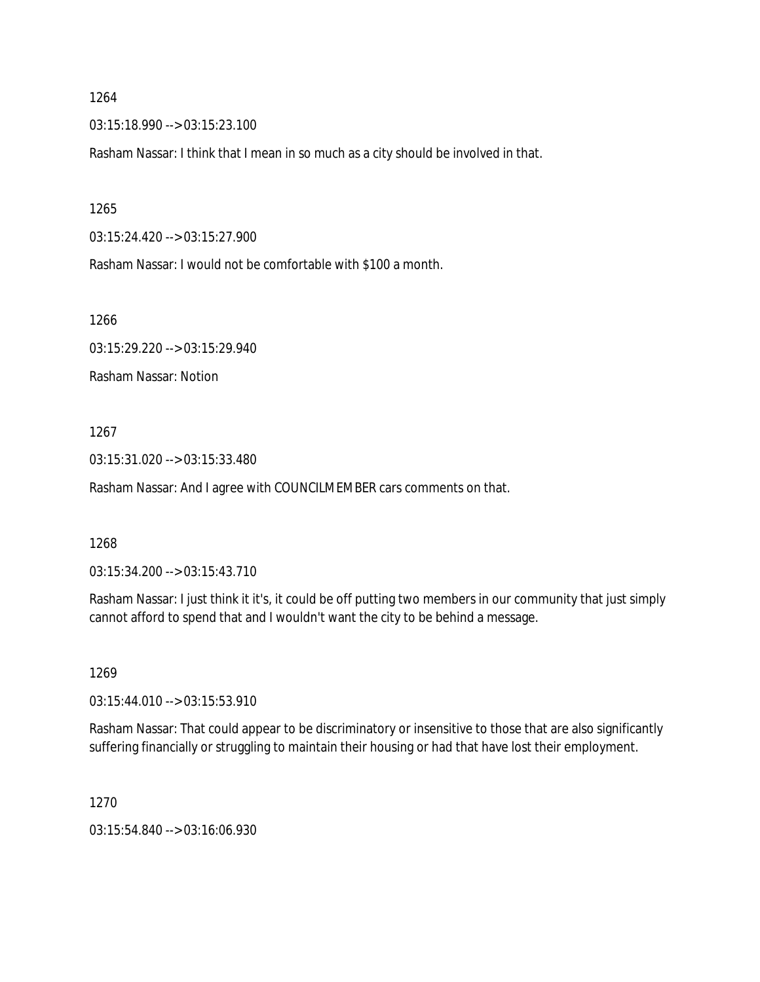03:15:18.990 --> 03:15:23.100

Rasham Nassar: I think that I mean in so much as a city should be involved in that.

1265

03:15:24.420 --> 03:15:27.900

Rasham Nassar: I would not be comfortable with \$100 a month.

1266

03:15:29.220 --> 03:15:29.940

Rasham Nassar: Notion

1267

03:15:31.020 --> 03:15:33.480

Rasham Nassar: And I agree with COUNCILMEMBER cars comments on that.

1268

03:15:34.200 --> 03:15:43.710

Rasham Nassar: I just think it it's, it could be off putting two members in our community that just simply cannot afford to spend that and I wouldn't want the city to be behind a message.

1269

03:15:44.010 --> 03:15:53.910

Rasham Nassar: That could appear to be discriminatory or insensitive to those that are also significantly suffering financially or struggling to maintain their housing or had that have lost their employment.

1270

03:15:54.840 --> 03:16:06.930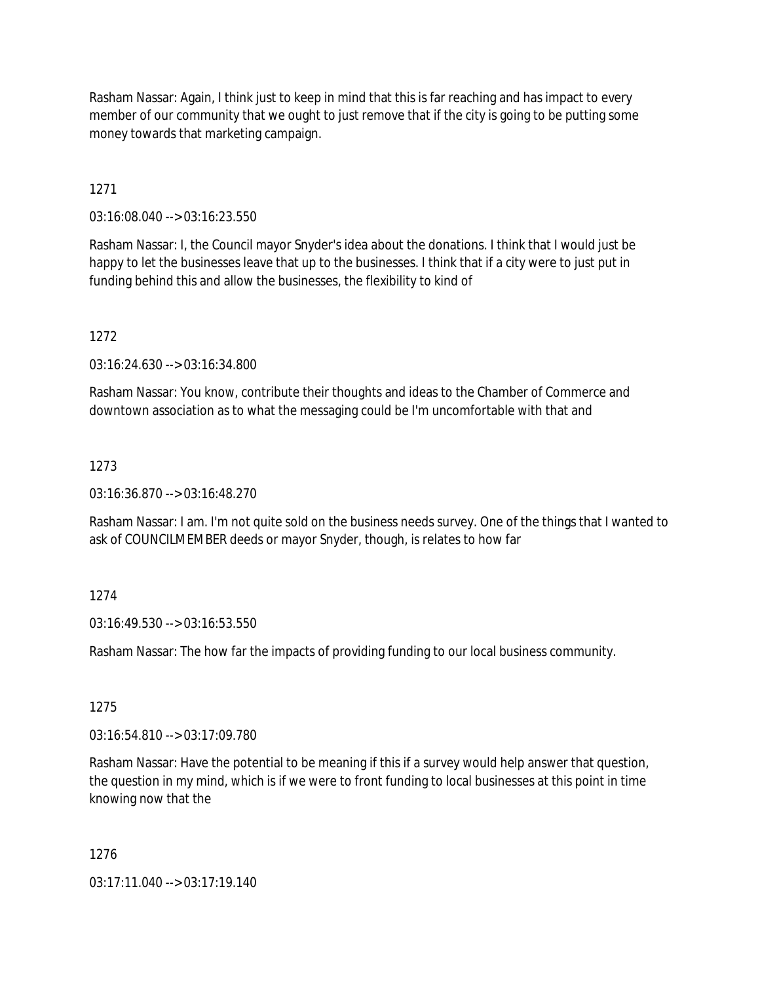Rasham Nassar: Again, I think just to keep in mind that this is far reaching and has impact to every member of our community that we ought to just remove that if the city is going to be putting some money towards that marketing campaign.

1271

03:16:08.040 --> 03:16:23.550

Rasham Nassar: I, the Council mayor Snyder's idea about the donations. I think that I would just be happy to let the businesses leave that up to the businesses. I think that if a city were to just put in funding behind this and allow the businesses, the flexibility to kind of

1272

03:16:24.630 --> 03:16:34.800

Rasham Nassar: You know, contribute their thoughts and ideas to the Chamber of Commerce and downtown association as to what the messaging could be I'm uncomfortable with that and

## 1273

03:16:36.870 --> 03:16:48.270

Rasham Nassar: I am. I'm not quite sold on the business needs survey. One of the things that I wanted to ask of COUNCILMEMBER deeds or mayor Snyder, though, is relates to how far

# 1274

03:16:49.530 --> 03:16:53.550

Rasham Nassar: The how far the impacts of providing funding to our local business community.

### 1275

03:16:54.810 --> 03:17:09.780

Rasham Nassar: Have the potential to be meaning if this if a survey would help answer that question, the question in my mind, which is if we were to front funding to local businesses at this point in time knowing now that the

### 1276

03:17:11.040 --> 03:17:19.140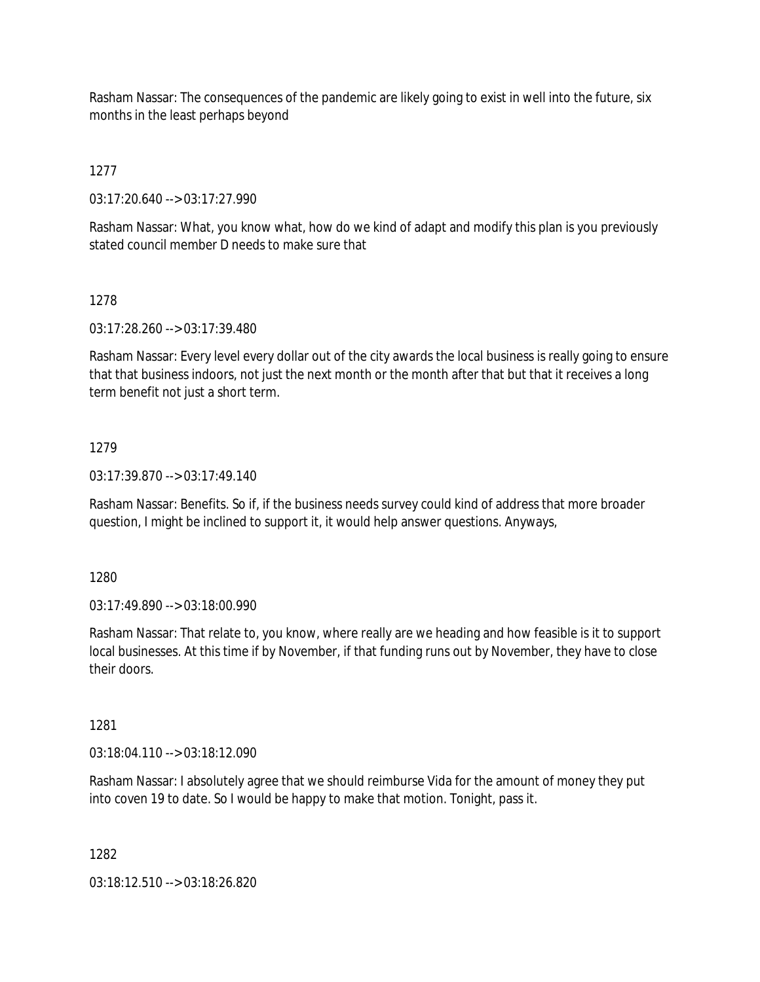Rasham Nassar: The consequences of the pandemic are likely going to exist in well into the future, six months in the least perhaps beyond

1277

03:17:20.640 --> 03:17:27.990

Rasham Nassar: What, you know what, how do we kind of adapt and modify this plan is you previously stated council member D needs to make sure that

# 1278

03:17:28.260 --> 03:17:39.480

Rasham Nassar: Every level every dollar out of the city awards the local business is really going to ensure that that business indoors, not just the next month or the month after that but that it receives a long term benefit not just a short term.

## 1279

03:17:39.870 --> 03:17:49.140

Rasham Nassar: Benefits. So if, if the business needs survey could kind of address that more broader question, I might be inclined to support it, it would help answer questions. Anyways,

1280

03:17:49.890 --> 03:18:00.990

Rasham Nassar: That relate to, you know, where really are we heading and how feasible is it to support local businesses. At this time if by November, if that funding runs out by November, they have to close their doors.

### 1281

03:18:04.110 --> 03:18:12.090

Rasham Nassar: I absolutely agree that we should reimburse Vida for the amount of money they put into coven 19 to date. So I would be happy to make that motion. Tonight, pass it.

1282

03:18:12.510 --> 03:18:26.820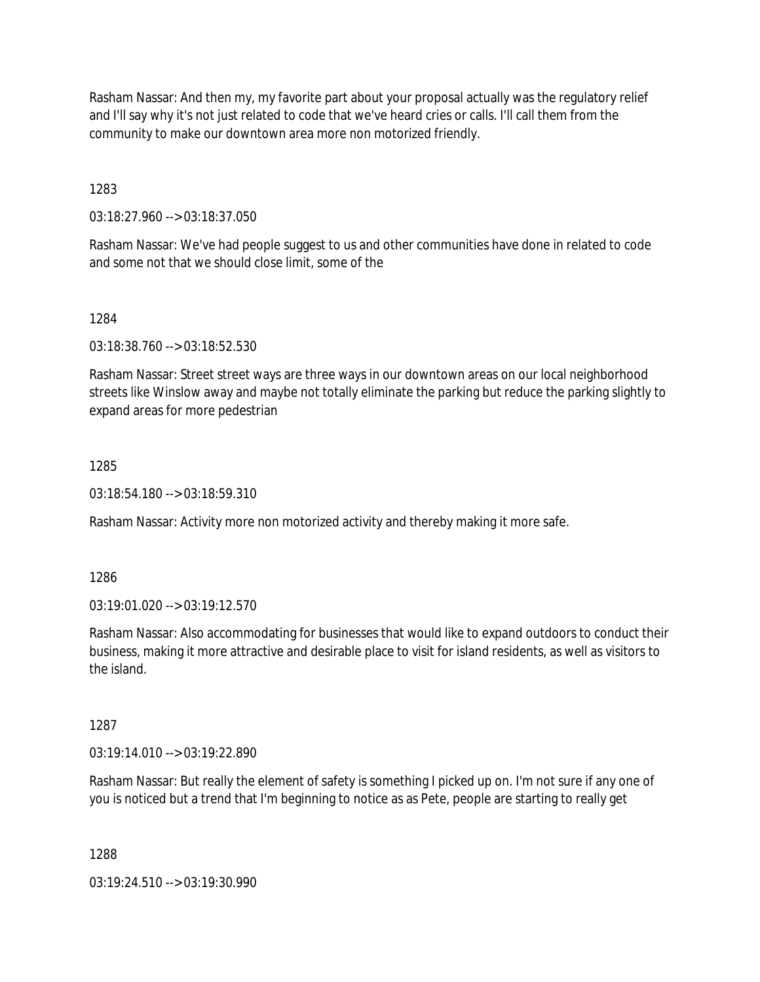Rasham Nassar: And then my, my favorite part about your proposal actually was the regulatory relief and I'll say why it's not just related to code that we've heard cries or calls. I'll call them from the community to make our downtown area more non motorized friendly.

1283

03:18:27.960 --> 03:18:37.050

Rasham Nassar: We've had people suggest to us and other communities have done in related to code and some not that we should close limit, some of the

1284

03:18:38.760 --> 03:18:52.530

Rasham Nassar: Street street ways are three ways in our downtown areas on our local neighborhood streets like Winslow away and maybe not totally eliminate the parking but reduce the parking slightly to expand areas for more pedestrian

### 1285

03:18:54.180 --> 03:18:59.310

Rasham Nassar: Activity more non motorized activity and thereby making it more safe.

1286

03:19:01.020 --> 03:19:12.570

Rasham Nassar: Also accommodating for businesses that would like to expand outdoors to conduct their business, making it more attractive and desirable place to visit for island residents, as well as visitors to the island.

1287

03:19:14.010 --> 03:19:22.890

Rasham Nassar: But really the element of safety is something I picked up on. I'm not sure if any one of you is noticed but a trend that I'm beginning to notice as as Pete, people are starting to really get

1288

03:19:24.510 --> 03:19:30.990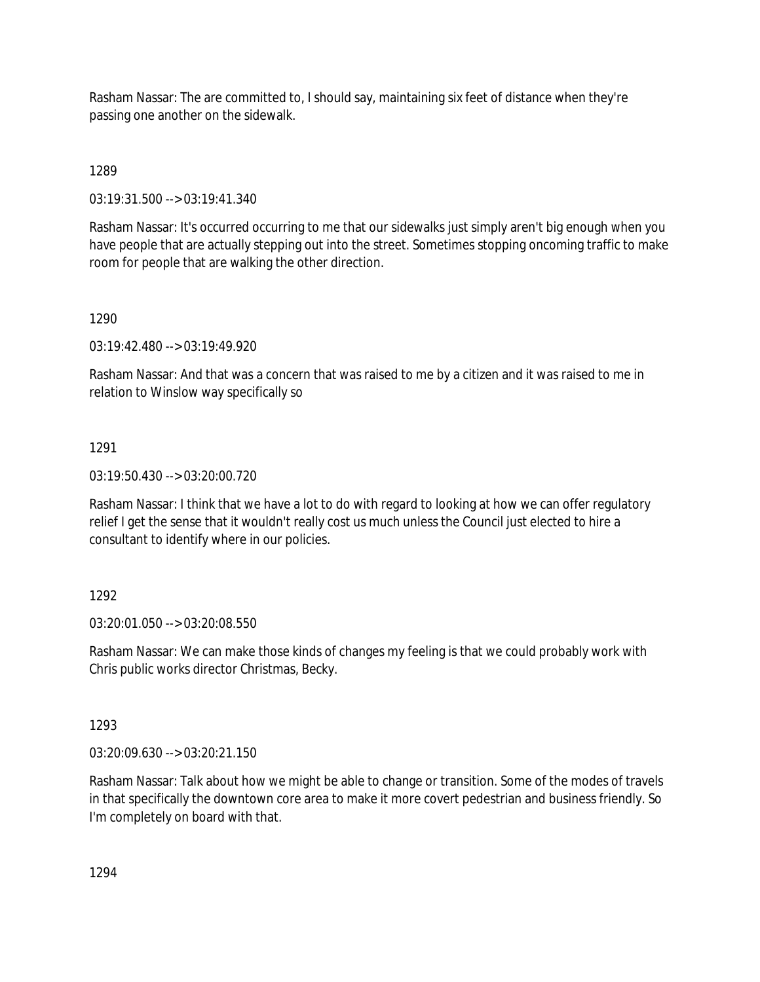Rasham Nassar: The are committed to, I should say, maintaining six feet of distance when they're passing one another on the sidewalk.

1289

03:19:31.500 --> 03:19:41.340

Rasham Nassar: It's occurred occurring to me that our sidewalks just simply aren't big enough when you have people that are actually stepping out into the street. Sometimes stopping oncoming traffic to make room for people that are walking the other direction.

1290

03:19:42.480 --> 03:19:49.920

Rasham Nassar: And that was a concern that was raised to me by a citizen and it was raised to me in relation to Winslow way specifically so

1291

03:19:50.430 --> 03:20:00.720

Rasham Nassar: I think that we have a lot to do with regard to looking at how we can offer regulatory relief I get the sense that it wouldn't really cost us much unless the Council just elected to hire a consultant to identify where in our policies.

1292

03:20:01.050 --> 03:20:08.550

Rasham Nassar: We can make those kinds of changes my feeling is that we could probably work with Chris public works director Christmas, Becky.

1293

03:20:09.630 --> 03:20:21.150

Rasham Nassar: Talk about how we might be able to change or transition. Some of the modes of travels in that specifically the downtown core area to make it more covert pedestrian and business friendly. So I'm completely on board with that.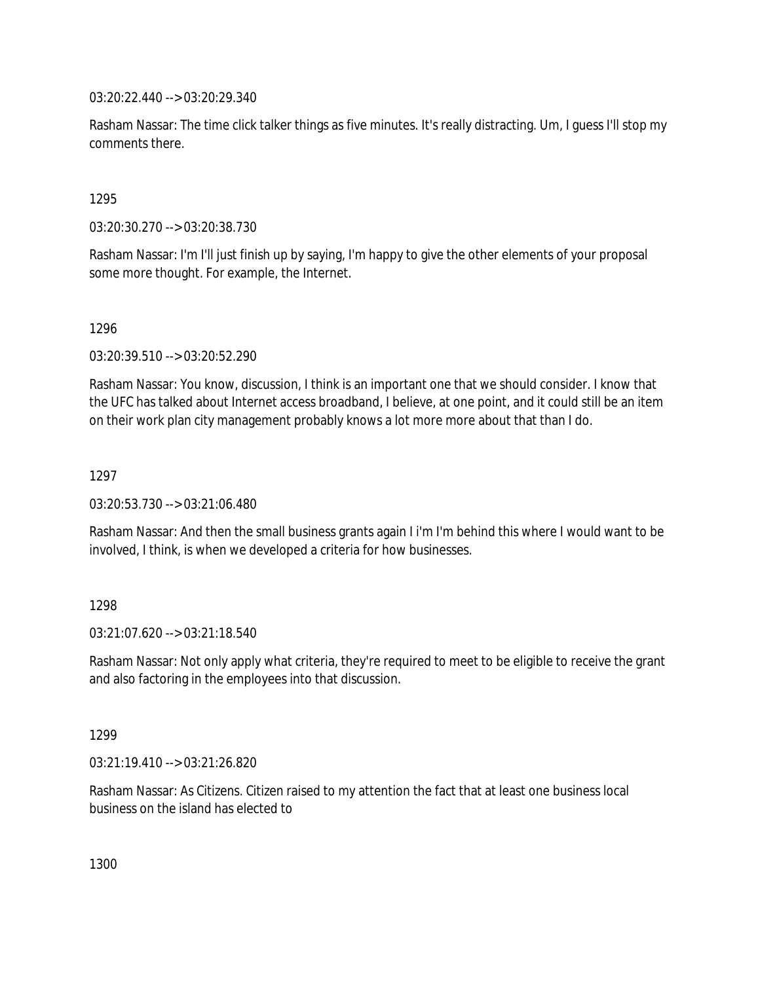03:20:22.440 --> 03:20:29.340

Rasham Nassar: The time click talker things as five minutes. It's really distracting. Um, I guess I'll stop my comments there.

### 1295

03:20:30.270 --> 03:20:38.730

Rasham Nassar: I'm I'll just finish up by saying, I'm happy to give the other elements of your proposal some more thought. For example, the Internet.

### 1296

03:20:39.510 --> 03:20:52.290

Rasham Nassar: You know, discussion, I think is an important one that we should consider. I know that the UFC has talked about Internet access broadband, I believe, at one point, and it could still be an item on their work plan city management probably knows a lot more more about that than I do.

### 1297

03:20:53.730 --> 03:21:06.480

Rasham Nassar: And then the small business grants again I i'm I'm behind this where I would want to be involved, I think, is when we developed a criteria for how businesses.

# 1298

 $03:21:07.620 \rightarrow 03:21:18.540$ 

Rasham Nassar: Not only apply what criteria, they're required to meet to be eligible to receive the grant and also factoring in the employees into that discussion.

### 1299

03:21:19.410 --> 03:21:26.820

Rasham Nassar: As Citizens. Citizen raised to my attention the fact that at least one business local business on the island has elected to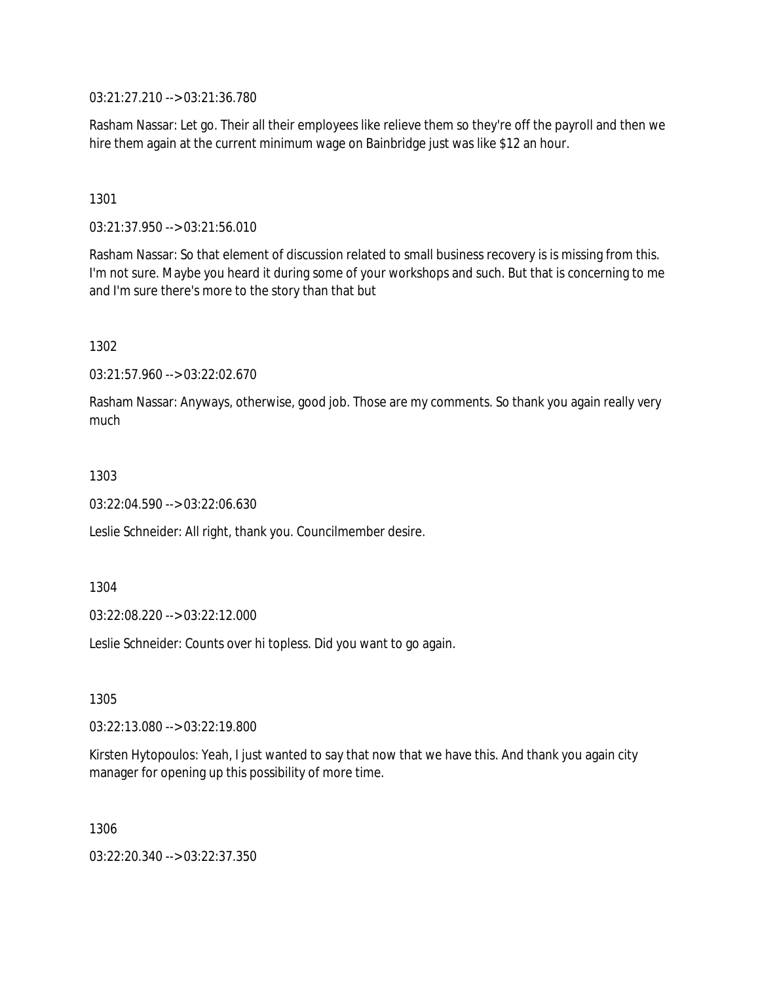03:21:27.210 --> 03:21:36.780

Rasham Nassar: Let go. Their all their employees like relieve them so they're off the payroll and then we hire them again at the current minimum wage on Bainbridge just was like \$12 an hour.

1301

03:21:37.950 --> 03:21:56.010

Rasham Nassar: So that element of discussion related to small business recovery is is missing from this. I'm not sure. Maybe you heard it during some of your workshops and such. But that is concerning to me and I'm sure there's more to the story than that but

1302

03:21:57.960 --> 03:22:02.670

Rasham Nassar: Anyways, otherwise, good job. Those are my comments. So thank you again really very much

1303

03:22:04.590 --> 03:22:06.630

Leslie Schneider: All right, thank you. Councilmember desire.

1304

03:22:08.220 --> 03:22:12.000

Leslie Schneider: Counts over hi topless. Did you want to go again.

1305

03:22:13.080 --> 03:22:19.800

Kirsten Hytopoulos: Yeah, I just wanted to say that now that we have this. And thank you again city manager for opening up this possibility of more time.

1306

03:22:20.340 --> 03:22:37.350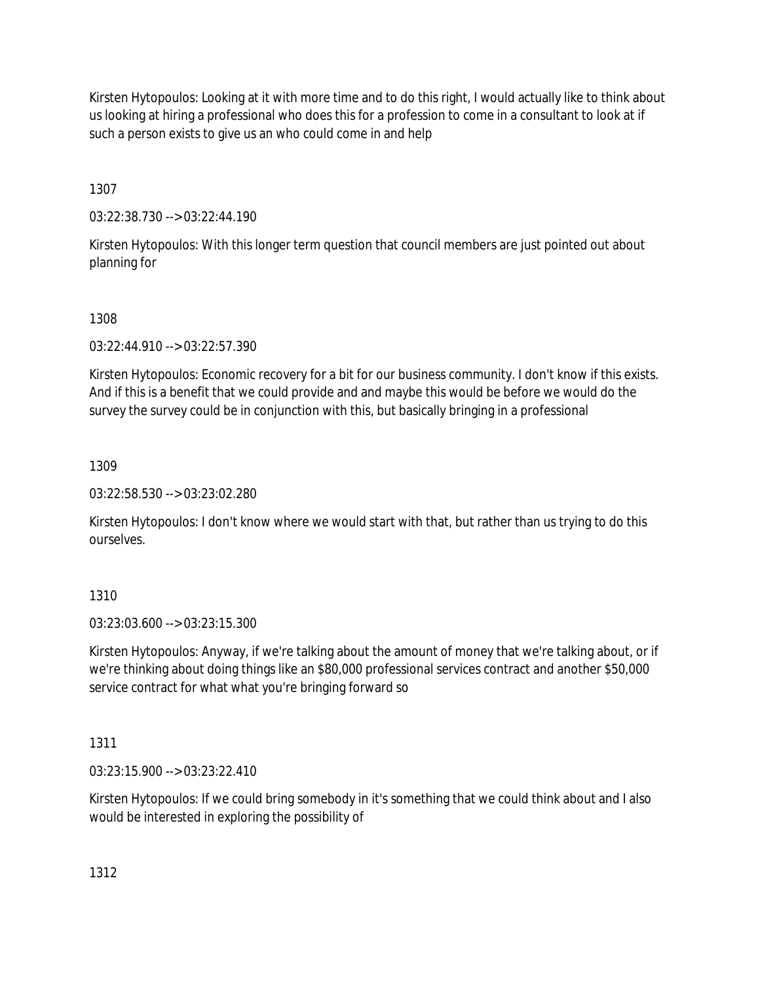Kirsten Hytopoulos: Looking at it with more time and to do this right, I would actually like to think about us looking at hiring a professional who does this for a profession to come in a consultant to look at if such a person exists to give us an who could come in and help

1307

03:22:38.730 --> 03:22:44.190

Kirsten Hytopoulos: With this longer term question that council members are just pointed out about planning for

1308

03:22:44.910 --> 03:22:57.390

Kirsten Hytopoulos: Economic recovery for a bit for our business community. I don't know if this exists. And if this is a benefit that we could provide and and maybe this would be before we would do the survey the survey could be in conjunction with this, but basically bringing in a professional

1309

03:22:58.530 --> 03:23:02.280

Kirsten Hytopoulos: I don't know where we would start with that, but rather than us trying to do this ourselves.

1310

03:23:03.600 --> 03:23:15.300

Kirsten Hytopoulos: Anyway, if we're talking about the amount of money that we're talking about, or if we're thinking about doing things like an \$80,000 professional services contract and another \$50,000 service contract for what what you're bringing forward so

1311

03:23:15.900 --> 03:23:22.410

Kirsten Hytopoulos: If we could bring somebody in it's something that we could think about and I also would be interested in exploring the possibility of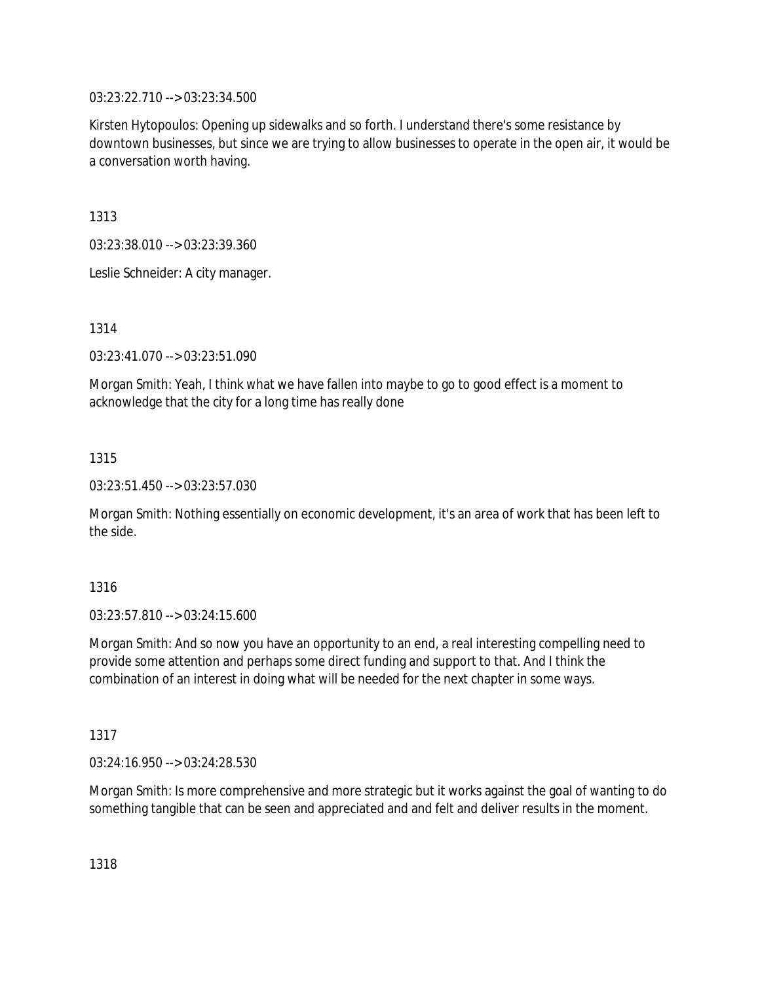03:23:22.710 --> 03:23:34.500

Kirsten Hytopoulos: Opening up sidewalks and so forth. I understand there's some resistance by downtown businesses, but since we are trying to allow businesses to operate in the open air, it would be a conversation worth having.

1313

03:23:38.010 --> 03:23:39.360

Leslie Schneider: A city manager.

1314

03:23:41.070 --> 03:23:51.090

Morgan Smith: Yeah, I think what we have fallen into maybe to go to good effect is a moment to acknowledge that the city for a long time has really done

1315

03:23:51.450 --> 03:23:57.030

Morgan Smith: Nothing essentially on economic development, it's an area of work that has been left to the side.

1316

03:23:57.810 --> 03:24:15.600

Morgan Smith: And so now you have an opportunity to an end, a real interesting compelling need to provide some attention and perhaps some direct funding and support to that. And I think the combination of an interest in doing what will be needed for the next chapter in some ways.

1317

03:24:16.950 --> 03:24:28.530

Morgan Smith: Is more comprehensive and more strategic but it works against the goal of wanting to do something tangible that can be seen and appreciated and and felt and deliver results in the moment.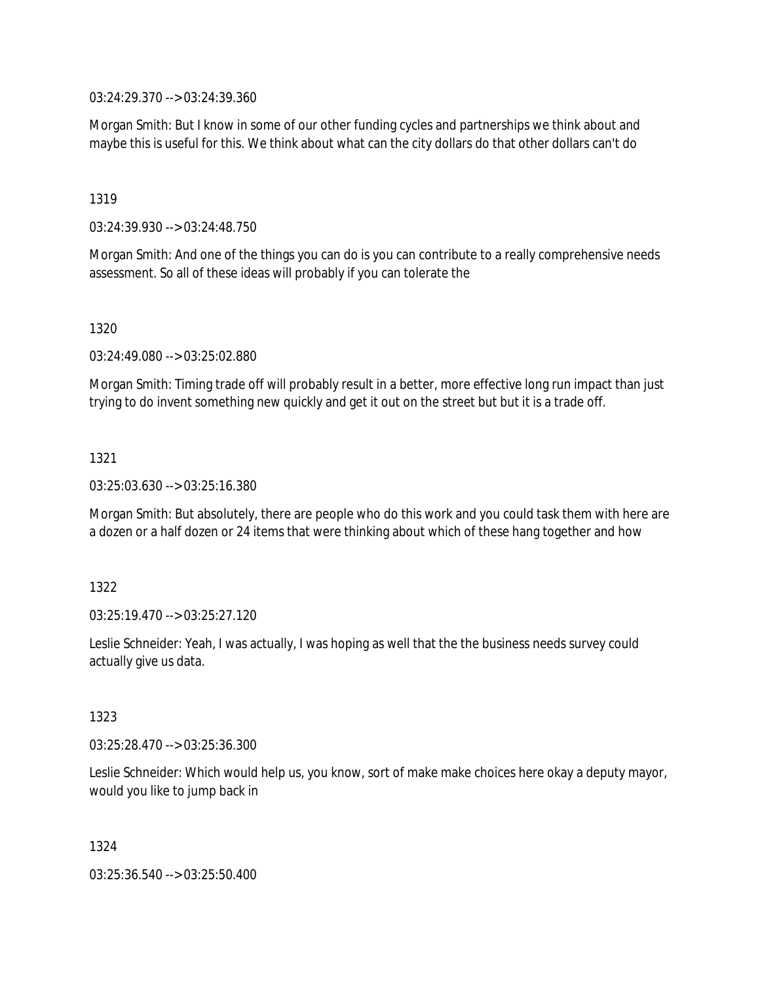03:24:29.370 --> 03:24:39.360

Morgan Smith: But I know in some of our other funding cycles and partnerships we think about and maybe this is useful for this. We think about what can the city dollars do that other dollars can't do

1319

03:24:39.930 --> 03:24:48.750

Morgan Smith: And one of the things you can do is you can contribute to a really comprehensive needs assessment. So all of these ideas will probably if you can tolerate the

1320

03:24:49.080 --> 03:25:02.880

Morgan Smith: Timing trade off will probably result in a better, more effective long run impact than just trying to do invent something new quickly and get it out on the street but but it is a trade off.

1321

03:25:03.630 --> 03:25:16.380

Morgan Smith: But absolutely, there are people who do this work and you could task them with here are a dozen or a half dozen or 24 items that were thinking about which of these hang together and how

1322

03:25:19.470 --> 03:25:27.120

Leslie Schneider: Yeah, I was actually, I was hoping as well that the the business needs survey could actually give us data.

1323

03:25:28.470 --> 03:25:36.300

Leslie Schneider: Which would help us, you know, sort of make make choices here okay a deputy mayor, would you like to jump back in

1324

03:25:36.540 --> 03:25:50.400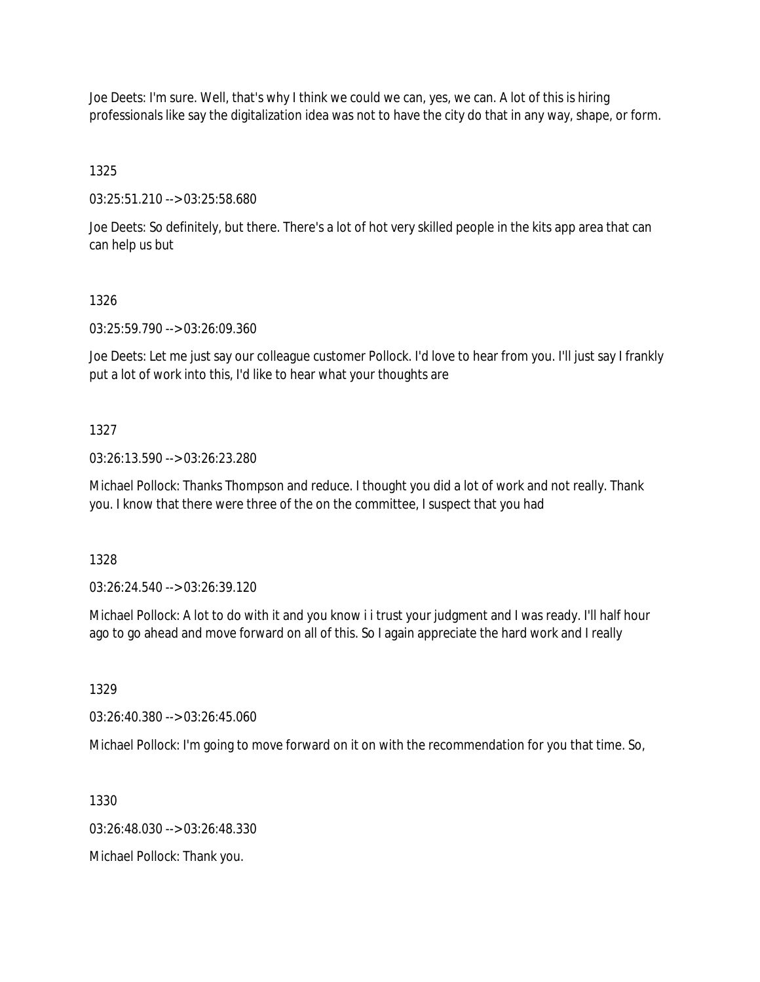Joe Deets: I'm sure. Well, that's why I think we could we can, yes, we can. A lot of this is hiring professionals like say the digitalization idea was not to have the city do that in any way, shape, or form.

1325

03:25:51.210 --> 03:25:58.680

Joe Deets: So definitely, but there. There's a lot of hot very skilled people in the kits app area that can can help us but

#### 1326

03:25:59.790 --> 03:26:09.360

Joe Deets: Let me just say our colleague customer Pollock. I'd love to hear from you. I'll just say I frankly put a lot of work into this, I'd like to hear what your thoughts are

### 1327

03:26:13.590 --> 03:26:23.280

Michael Pollock: Thanks Thompson and reduce. I thought you did a lot of work and not really. Thank you. I know that there were three of the on the committee, I suspect that you had

1328

03:26:24.540 --> 03:26:39.120

Michael Pollock: A lot to do with it and you know i i trust your judgment and I was ready. I'll half hour ago to go ahead and move forward on all of this. So I again appreciate the hard work and I really

1329

03:26:40.380 --> 03:26:45.060

Michael Pollock: I'm going to move forward on it on with the recommendation for you that time. So,

1330

03:26:48.030 --> 03:26:48.330

Michael Pollock: Thank you.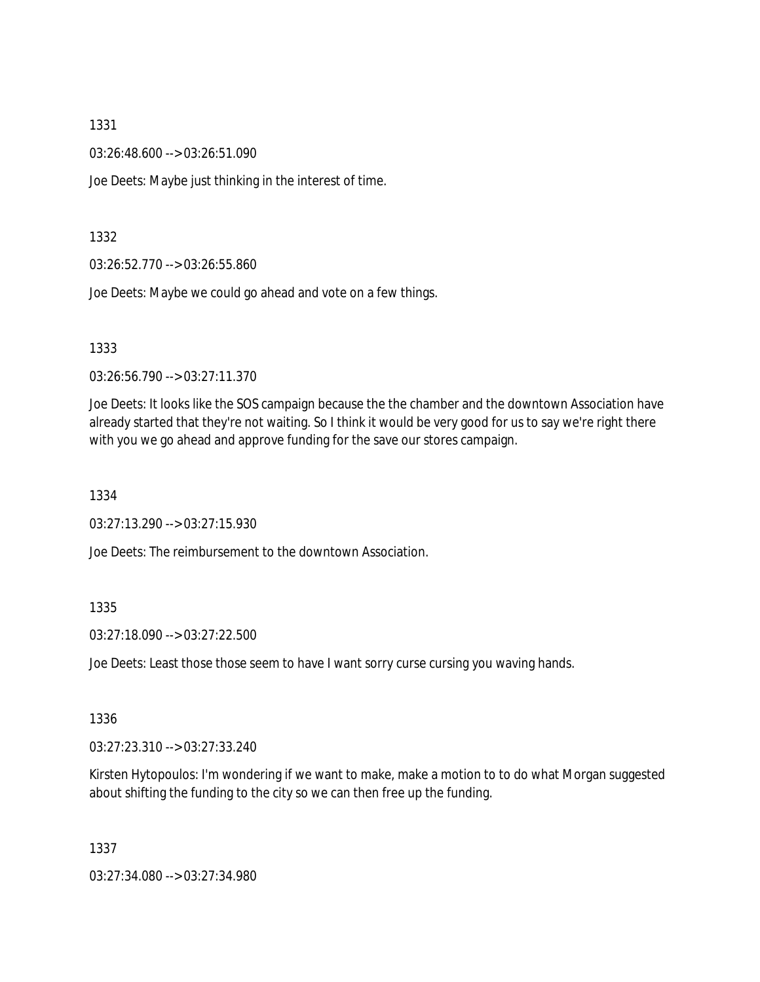03:26:48.600 --> 03:26:51.090

Joe Deets: Maybe just thinking in the interest of time.

1332

03:26:52.770 --> 03:26:55.860

Joe Deets: Maybe we could go ahead and vote on a few things.

1333

03:26:56.790 --> 03:27:11.370

Joe Deets: It looks like the SOS campaign because the the chamber and the downtown Association have already started that they're not waiting. So I think it would be very good for us to say we're right there with you we go ahead and approve funding for the save our stores campaign.

1334

03:27:13.290 --> 03:27:15.930

Joe Deets: The reimbursement to the downtown Association.

### 1335

03:27:18.090 --> 03:27:22.500

Joe Deets: Least those those seem to have I want sorry curse cursing you waving hands.

1336

03:27:23.310 --> 03:27:33.240

Kirsten Hytopoulos: I'm wondering if we want to make, make a motion to to do what Morgan suggested about shifting the funding to the city so we can then free up the funding.

1337

03:27:34.080 --> 03:27:34.980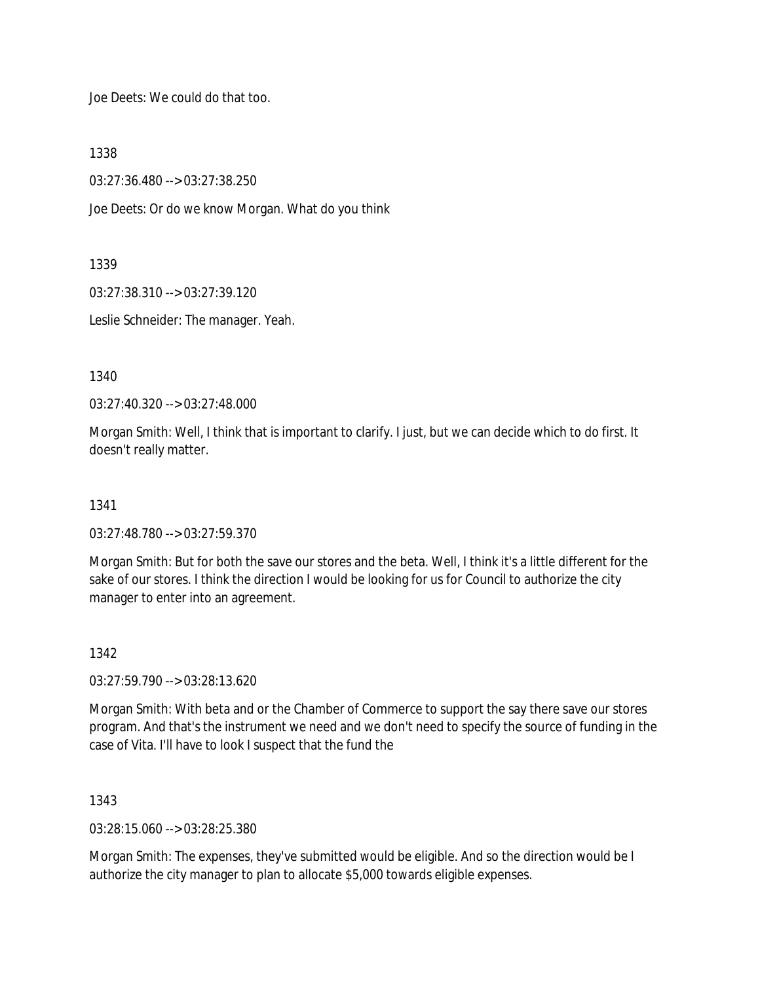Joe Deets: We could do that too.

1338

03:27:36.480 --> 03:27:38.250

Joe Deets: Or do we know Morgan. What do you think

1339

03:27:38.310 --> 03:27:39.120

Leslie Schneider: The manager. Yeah.

1340

03:27:40.320 --> 03:27:48.000

Morgan Smith: Well, I think that is important to clarify. I just, but we can decide which to do first. It doesn't really matter.

1341

03:27:48.780 --> 03:27:59.370

Morgan Smith: But for both the save our stores and the beta. Well, I think it's a little different for the sake of our stores. I think the direction I would be looking for us for Council to authorize the city manager to enter into an agreement.

1342

03:27:59.790 --> 03:28:13.620

Morgan Smith: With beta and or the Chamber of Commerce to support the say there save our stores program. And that's the instrument we need and we don't need to specify the source of funding in the case of Vita. I'll have to look I suspect that the fund the

1343

03:28:15.060 --> 03:28:25.380

Morgan Smith: The expenses, they've submitted would be eligible. And so the direction would be I authorize the city manager to plan to allocate \$5,000 towards eligible expenses.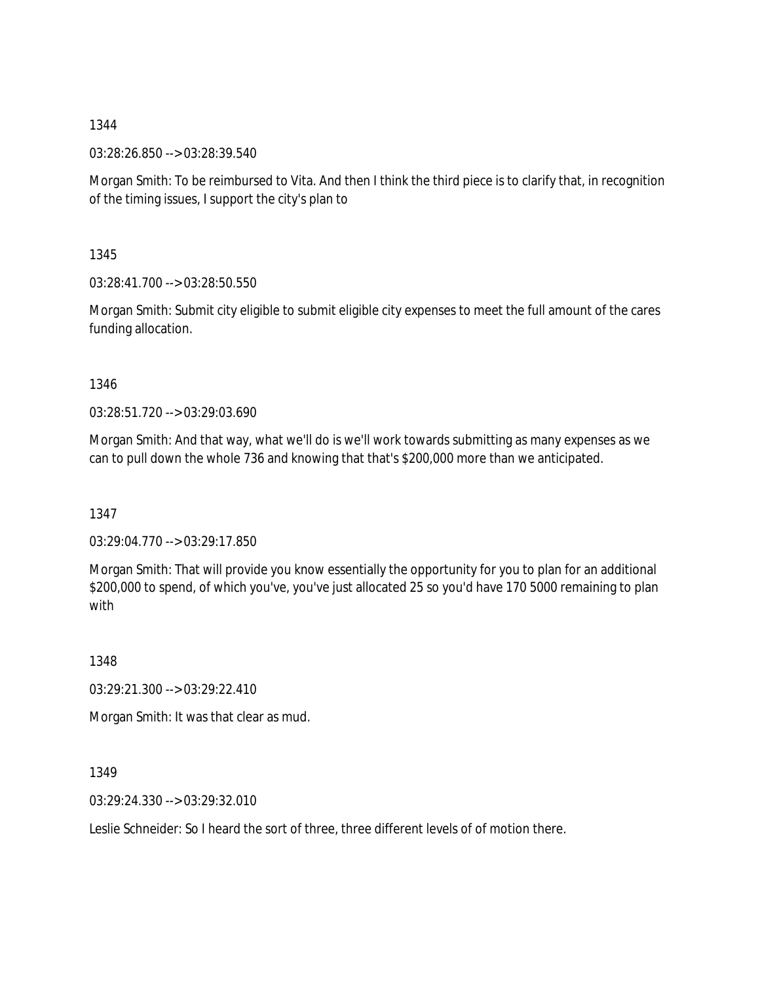03:28:26.850 --> 03:28:39.540

Morgan Smith: To be reimbursed to Vita. And then I think the third piece is to clarify that, in recognition of the timing issues, I support the city's plan to

1345

03:28:41.700 --> 03:28:50.550

Morgan Smith: Submit city eligible to submit eligible city expenses to meet the full amount of the cares funding allocation.

1346

03:28:51.720 --> 03:29:03.690

Morgan Smith: And that way, what we'll do is we'll work towards submitting as many expenses as we can to pull down the whole 736 and knowing that that's \$200,000 more than we anticipated.

1347

03:29:04.770 --> 03:29:17.850

Morgan Smith: That will provide you know essentially the opportunity for you to plan for an additional \$200,000 to spend, of which you've, you've just allocated 25 so you'd have 170 5000 remaining to plan with

1348

03:29:21.300 --> 03:29:22.410

Morgan Smith: It was that clear as mud.

1349

03:29:24.330 --> 03:29:32.010

Leslie Schneider: So I heard the sort of three, three different levels of of motion there.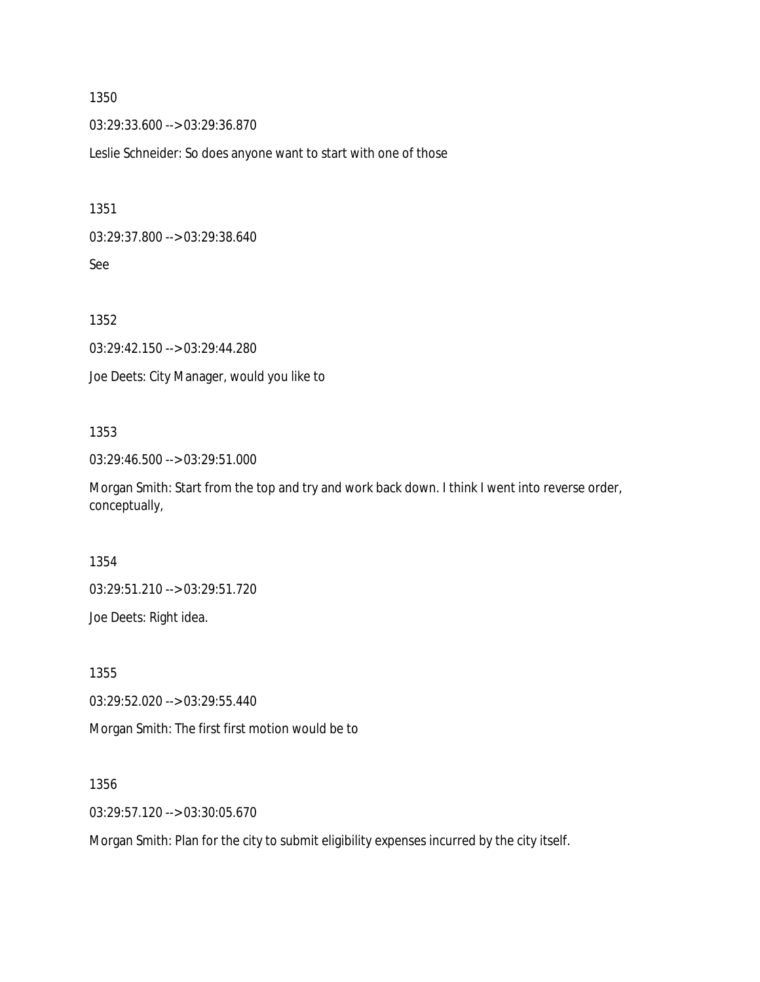03:29:33.600 --> 03:29:36.870

Leslie Schneider: So does anyone want to start with one of those

1351

03:29:37.800 --> 03:29:38.640

See

1352

03:29:42.150 --> 03:29:44.280 Joe Deets: City Manager, would you like to

### 1353

03:29:46.500 --> 03:29:51.000

Morgan Smith: Start from the top and try and work back down. I think I went into reverse order, conceptually,

1354

03:29:51.210 --> 03:29:51.720

Joe Deets: Right idea.

1355

03:29:52.020 --> 03:29:55.440

Morgan Smith: The first first motion would be to

1356

03:29:57.120 --> 03:30:05.670

Morgan Smith: Plan for the city to submit eligibility expenses incurred by the city itself.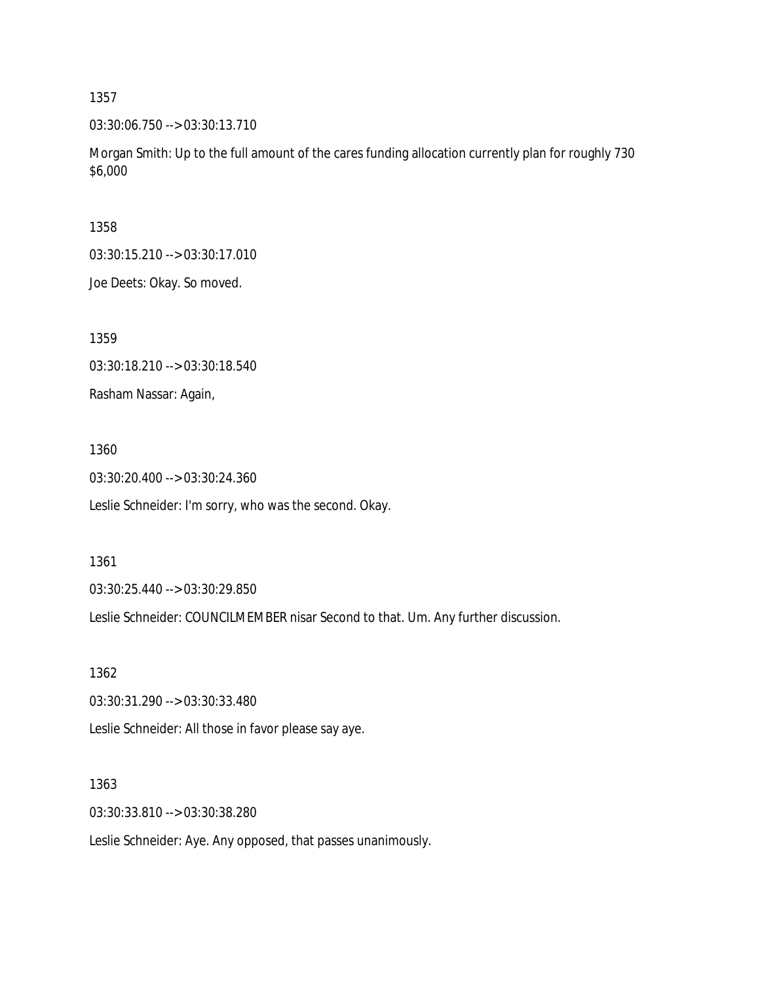03:30:06.750 --> 03:30:13.710

Morgan Smith: Up to the full amount of the cares funding allocation currently plan for roughly 730 \$6,000

1358

03:30:15.210 --> 03:30:17.010

Joe Deets: Okay. So moved.

1359

03:30:18.210 --> 03:30:18.540

Rasham Nassar: Again,

1360

03:30:20.400 --> 03:30:24.360

Leslie Schneider: I'm sorry, who was the second. Okay.

1361

03:30:25.440 --> 03:30:29.850

Leslie Schneider: COUNCILMEMBER nisar Second to that. Um. Any further discussion.

1362

03:30:31.290 --> 03:30:33.480

Leslie Schneider: All those in favor please say aye.

1363

03:30:33.810 --> 03:30:38.280

Leslie Schneider: Aye. Any opposed, that passes unanimously.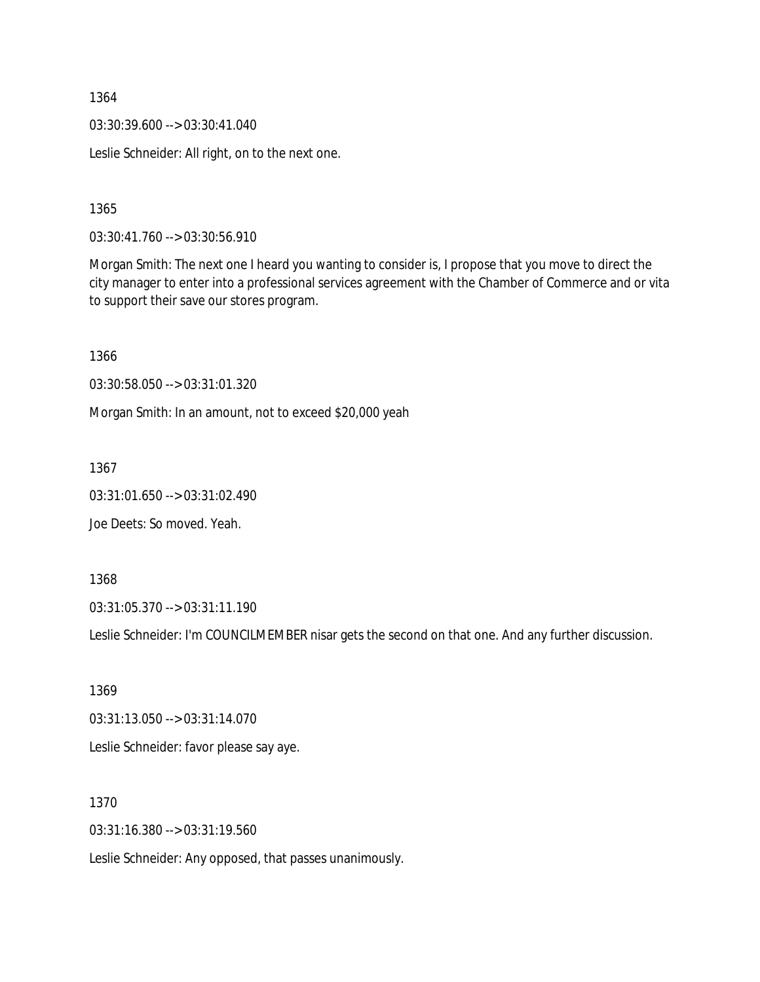03:30:39.600 --> 03:30:41.040

Leslie Schneider: All right, on to the next one.

1365

03:30:41.760 --> 03:30:56.910

Morgan Smith: The next one I heard you wanting to consider is, I propose that you move to direct the city manager to enter into a professional services agreement with the Chamber of Commerce and or vita to support their save our stores program.

1366 03:30:58.050 --> 03:31:01.320

Morgan Smith: In an amount, not to exceed \$20,000 yeah

1367

03:31:01.650 --> 03:31:02.490

Joe Deets: So moved. Yeah.

1368

03:31:05.370 --> 03:31:11.190

Leslie Schneider: I'm COUNCILMEMBER nisar gets the second on that one. And any further discussion.

1369 03:31:13.050 --> 03:31:14.070 Leslie Schneider: favor please say aye.

1370

03:31:16.380 --> 03:31:19.560

Leslie Schneider: Any opposed, that passes unanimously.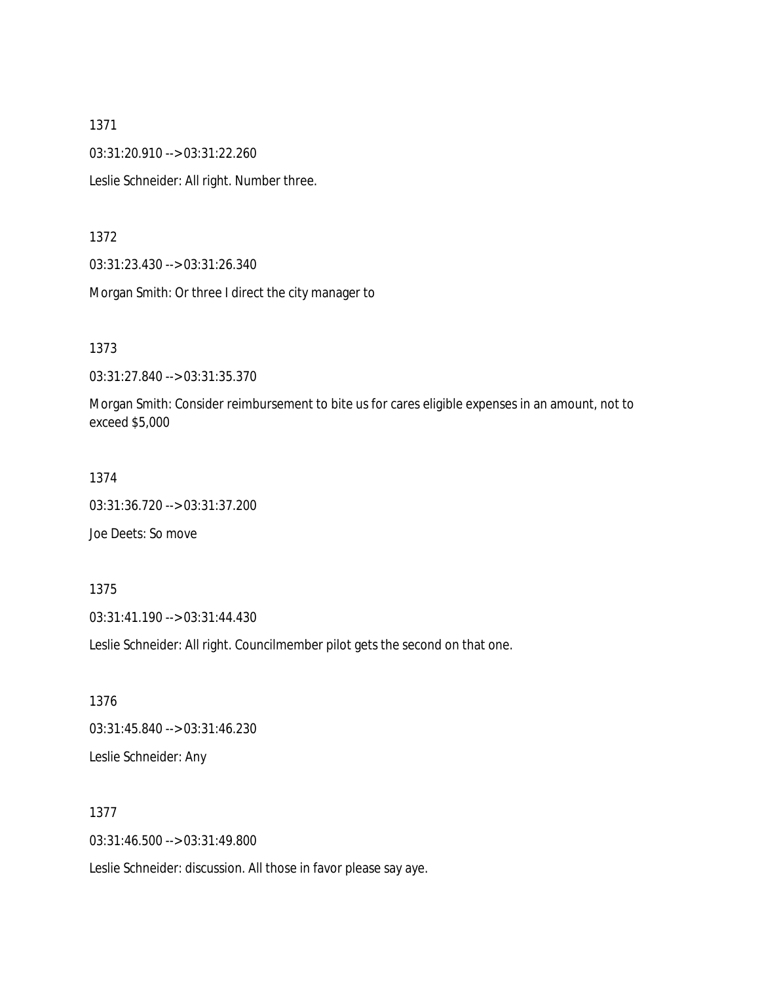03:31:20.910 --> 03:31:22.260

Leslie Schneider: All right. Number three.

1372

03:31:23.430 --> 03:31:26.340

Morgan Smith: Or three I direct the city manager to

1373

03:31:27.840 --> 03:31:35.370

Morgan Smith: Consider reimbursement to bite us for cares eligible expenses in an amount, not to exceed \$5,000

1374

03:31:36.720 --> 03:31:37.200

Joe Deets: So move

1375

03:31:41.190 --> 03:31:44.430

Leslie Schneider: All right. Councilmember pilot gets the second on that one.

1376 03:31:45.840 --> 03:31:46.230 Leslie Schneider: Any

1377

03:31:46.500 --> 03:31:49.800

Leslie Schneider: discussion. All those in favor please say aye.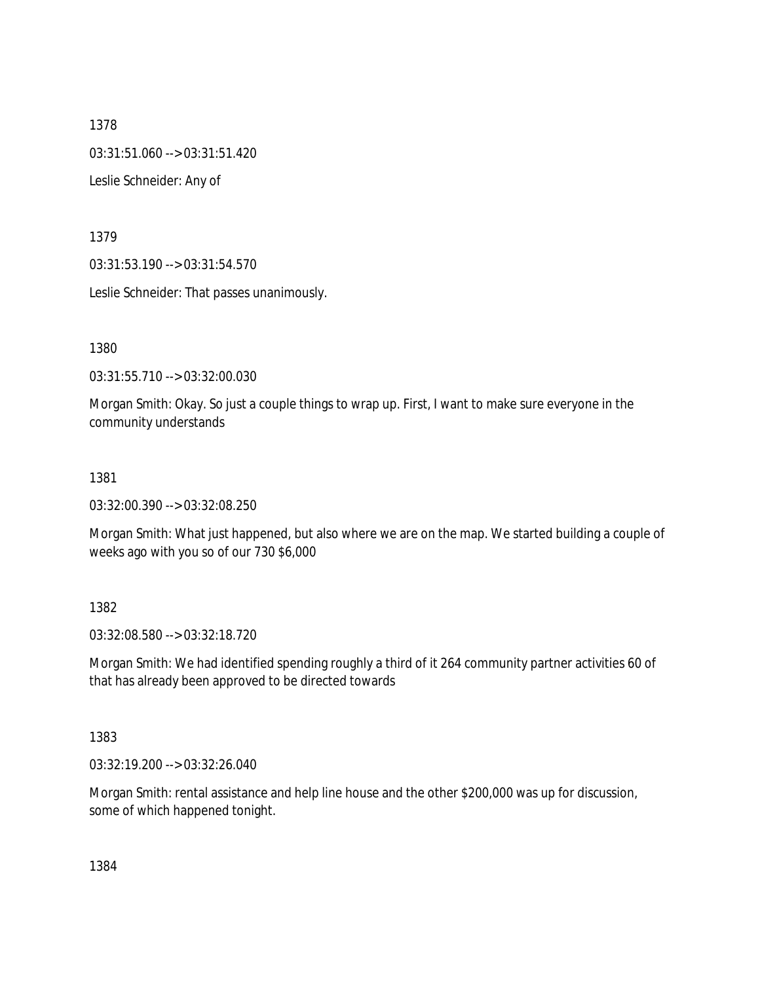03:31:51.060 --> 03:31:51.420

Leslie Schneider: Any of

1379

03:31:53.190 --> 03:31:54.570

Leslie Schneider: That passes unanimously.

1380

03:31:55.710 --> 03:32:00.030

Morgan Smith: Okay. So just a couple things to wrap up. First, I want to make sure everyone in the community understands

1381

03:32:00.390 --> 03:32:08.250

Morgan Smith: What just happened, but also where we are on the map. We started building a couple of weeks ago with you so of our 730 \$6,000

1382

03:32:08.580 --> 03:32:18.720

Morgan Smith: We had identified spending roughly a third of it 264 community partner activities 60 of that has already been approved to be directed towards

1383

03:32:19.200 --> 03:32:26.040

Morgan Smith: rental assistance and help line house and the other \$200,000 was up for discussion, some of which happened tonight.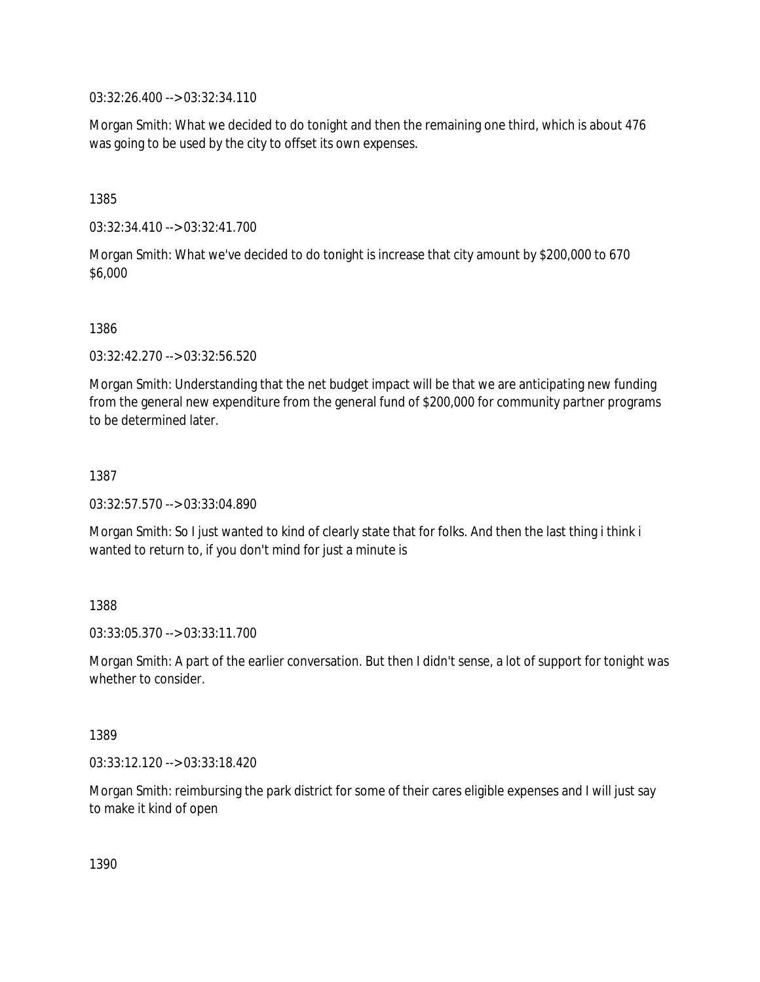03:32:26.400 --> 03:32:34.110

Morgan Smith: What we decided to do tonight and then the remaining one third, which is about 476 was going to be used by the city to offset its own expenses.

1385

03:32:34.410 --> 03:32:41.700

Morgan Smith: What we've decided to do tonight is increase that city amount by \$200,000 to 670 \$6,000

1386

03:32:42.270 --> 03:32:56.520

Morgan Smith: Understanding that the net budget impact will be that we are anticipating new funding from the general new expenditure from the general fund of \$200,000 for community partner programs to be determined later.

1387

03:32:57.570 --> 03:33:04.890

Morgan Smith: So I just wanted to kind of clearly state that for folks. And then the last thing i think i wanted to return to, if you don't mind for just a minute is

1388

03:33:05.370 --> 03:33:11.700

Morgan Smith: A part of the earlier conversation. But then I didn't sense, a lot of support for tonight was whether to consider.

1389

03:33:12.120 --> 03:33:18.420

Morgan Smith: reimbursing the park district for some of their cares eligible expenses and I will just say to make it kind of open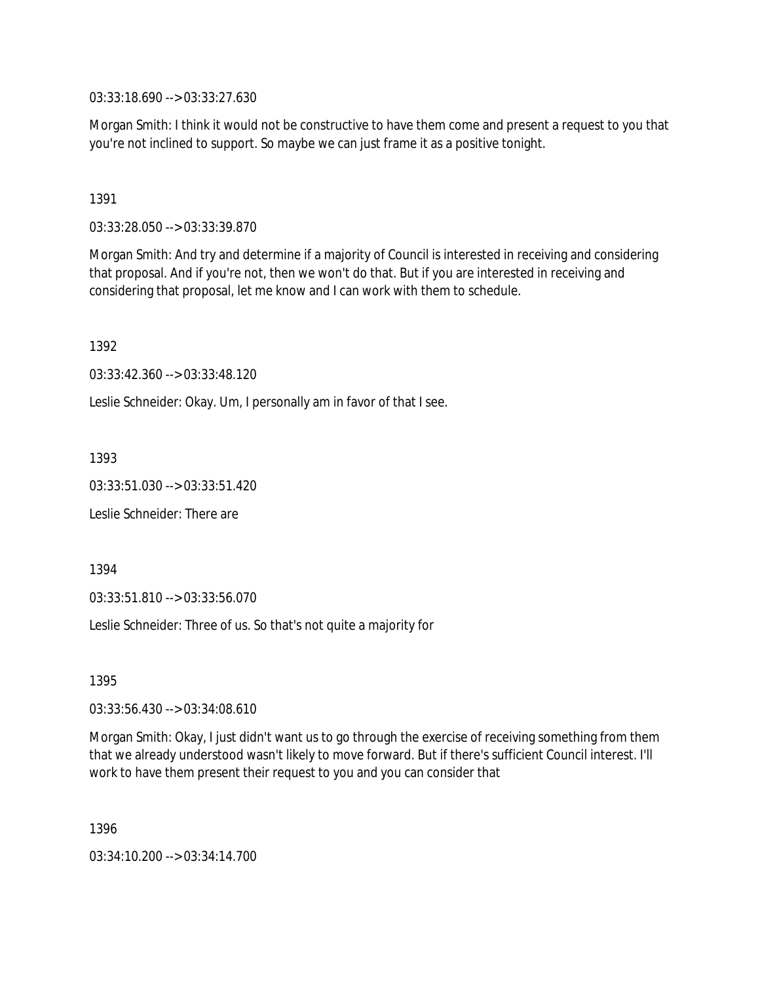03:33:18.690 --> 03:33:27.630

Morgan Smith: I think it would not be constructive to have them come and present a request to you that you're not inclined to support. So maybe we can just frame it as a positive tonight.

1391

03:33:28.050 --> 03:33:39.870

Morgan Smith: And try and determine if a majority of Council is interested in receiving and considering that proposal. And if you're not, then we won't do that. But if you are interested in receiving and considering that proposal, let me know and I can work with them to schedule.

1392

03:33:42.360 --> 03:33:48.120

Leslie Schneider: Okay. Um, I personally am in favor of that I see.

1393

03:33:51.030 --> 03:33:51.420

Leslie Schneider: There are

1394

03:33:51.810 --> 03:33:56.070

Leslie Schneider: Three of us. So that's not quite a majority for

1395

03:33:56.430 --> 03:34:08.610

Morgan Smith: Okay, I just didn't want us to go through the exercise of receiving something from them that we already understood wasn't likely to move forward. But if there's sufficient Council interest. I'll work to have them present their request to you and you can consider that

1396

03:34:10.200 --> 03:34:14.700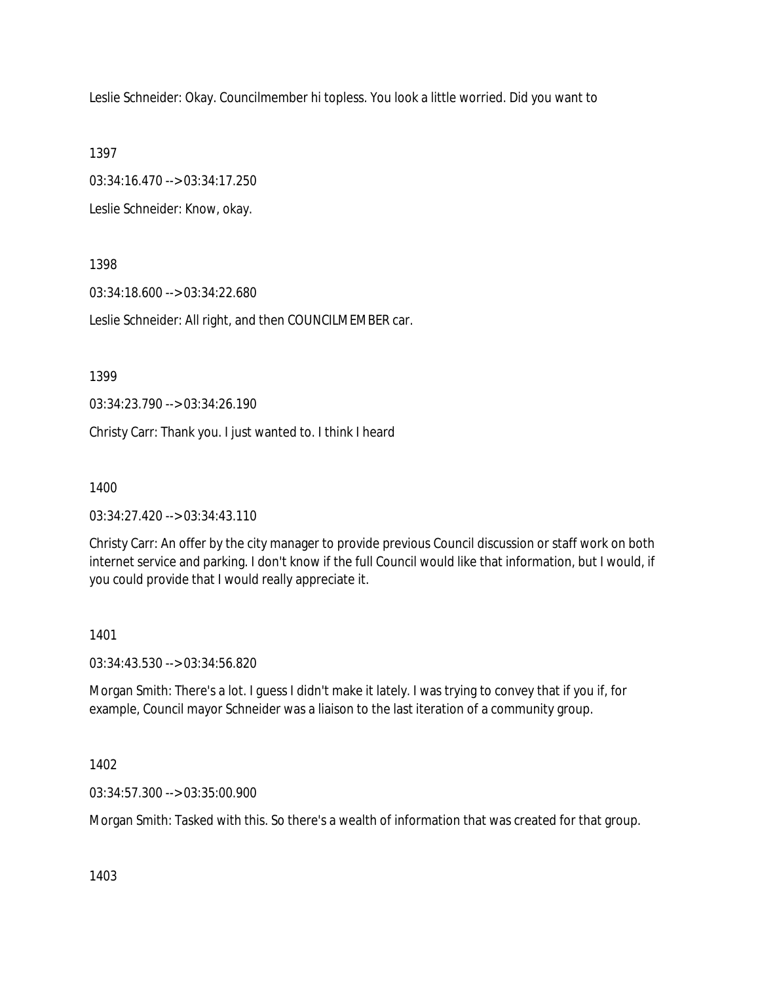Leslie Schneider: Okay. Councilmember hi topless. You look a little worried. Did you want to

1397

03:34:16.470 --> 03:34:17.250

Leslie Schneider: Know, okay.

1398

03:34:18.600 --> 03:34:22.680

Leslie Schneider: All right, and then COUNCILMEMBER car.

1399

03:34:23.790 --> 03:34:26.190

Christy Carr: Thank you. I just wanted to. I think I heard

1400

03:34:27.420 --> 03:34:43.110

Christy Carr: An offer by the city manager to provide previous Council discussion or staff work on both internet service and parking. I don't know if the full Council would like that information, but I would, if you could provide that I would really appreciate it.

### 1401

03:34:43.530 --> 03:34:56.820

Morgan Smith: There's a lot. I guess I didn't make it lately. I was trying to convey that if you if, for example, Council mayor Schneider was a liaison to the last iteration of a community group.

1402

03:34:57.300 --> 03:35:00.900

Morgan Smith: Tasked with this. So there's a wealth of information that was created for that group.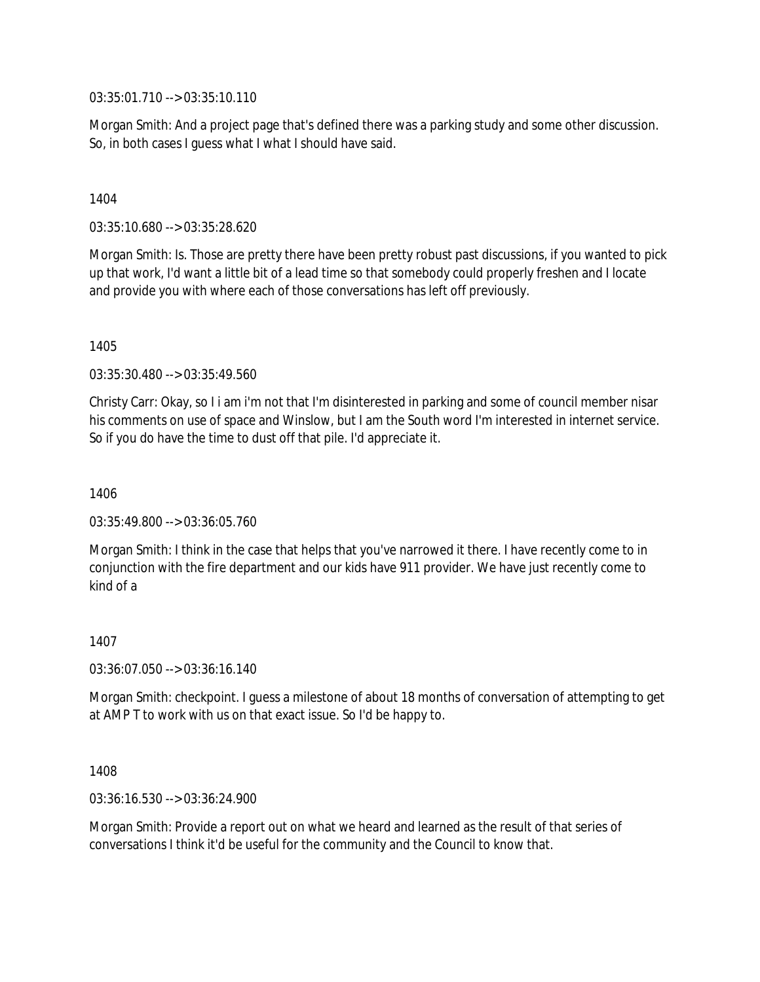03:35:01.710 --> 03:35:10.110

Morgan Smith: And a project page that's defined there was a parking study and some other discussion. So, in both cases I guess what I what I should have said.

### 1404

03:35:10.680 --> 03:35:28.620

Morgan Smith: Is. Those are pretty there have been pretty robust past discussions, if you wanted to pick up that work, I'd want a little bit of a lead time so that somebody could properly freshen and I locate and provide you with where each of those conversations has left off previously.

1405

03:35:30.480 --> 03:35:49.560

Christy Carr: Okay, so I i am i'm not that I'm disinterested in parking and some of council member nisar his comments on use of space and Winslow, but I am the South word I'm interested in internet service. So if you do have the time to dust off that pile. I'd appreciate it.

1406

03:35:49.800 --> 03:36:05.760

Morgan Smith: I think in the case that helps that you've narrowed it there. I have recently come to in conjunction with the fire department and our kids have 911 provider. We have just recently come to kind of a

1407

03:36:07.050 --> 03:36:16.140

Morgan Smith: checkpoint. I guess a milestone of about 18 months of conversation of attempting to get at AMP T to work with us on that exact issue. So I'd be happy to.

1408

03:36:16.530 --> 03:36:24.900

Morgan Smith: Provide a report out on what we heard and learned as the result of that series of conversations I think it'd be useful for the community and the Council to know that.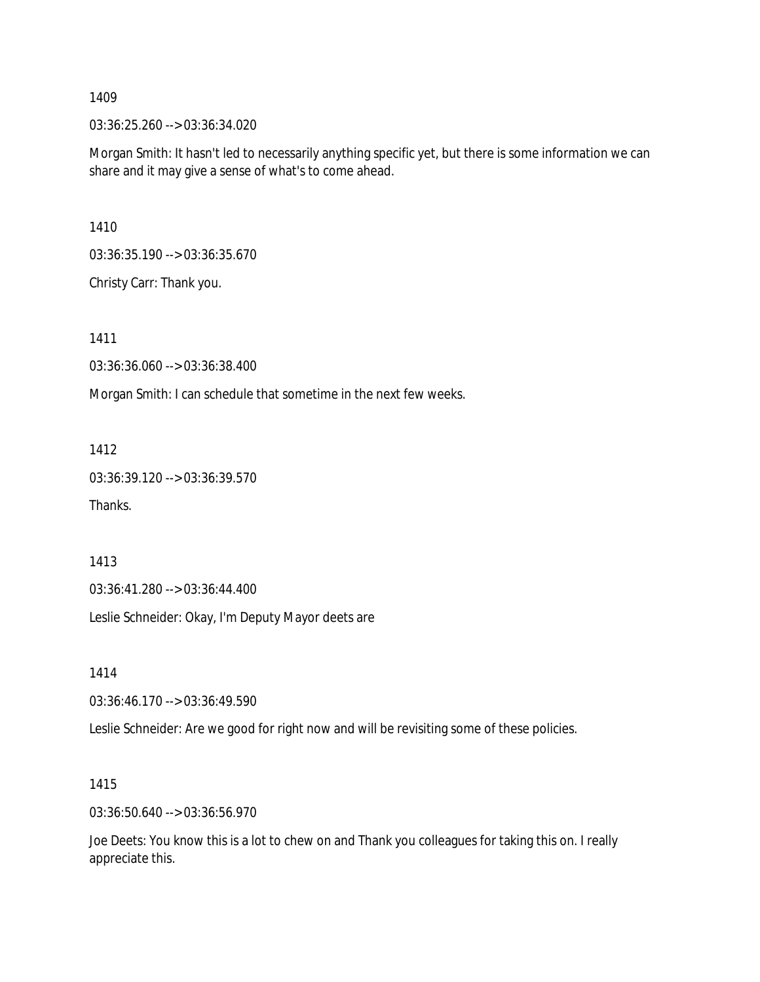03:36:25.260 --> 03:36:34.020

Morgan Smith: It hasn't led to necessarily anything specific yet, but there is some information we can share and it may give a sense of what's to come ahead.

1410

03:36:35.190 --> 03:36:35.670

Christy Carr: Thank you.

1411

03:36:36.060 --> 03:36:38.400

Morgan Smith: I can schedule that sometime in the next few weeks.

1412

03:36:39.120 --> 03:36:39.570

Thanks.

1413

03:36:41.280 --> 03:36:44.400

Leslie Schneider: Okay, I'm Deputy Mayor deets are

1414

03:36:46.170 --> 03:36:49.590

Leslie Schneider: Are we good for right now and will be revisiting some of these policies.

1415

03:36:50.640 --> 03:36:56.970

Joe Deets: You know this is a lot to chew on and Thank you colleagues for taking this on. I really appreciate this.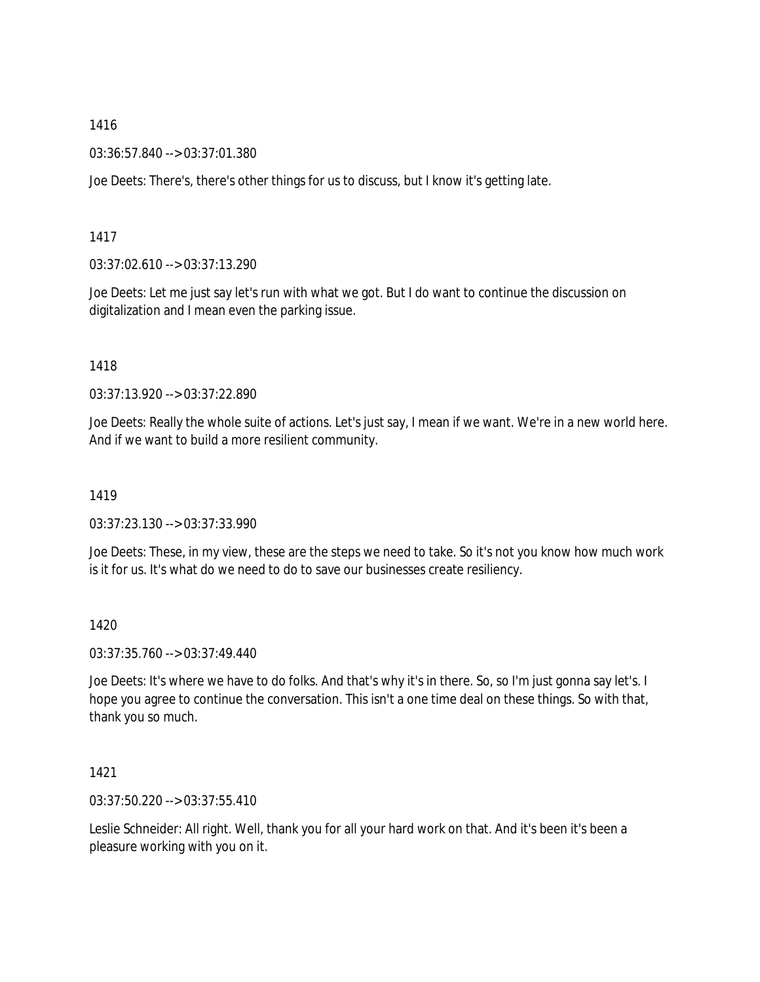03:36:57.840 --> 03:37:01.380

Joe Deets: There's, there's other things for us to discuss, but I know it's getting late.

1417

03:37:02.610 --> 03:37:13.290

Joe Deets: Let me just say let's run with what we got. But I do want to continue the discussion on digitalization and I mean even the parking issue.

1418

03:37:13.920 --> 03:37:22.890

Joe Deets: Really the whole suite of actions. Let's just say, I mean if we want. We're in a new world here. And if we want to build a more resilient community.

1419

03:37:23.130 --> 03:37:33.990

Joe Deets: These, in my view, these are the steps we need to take. So it's not you know how much work is it for us. It's what do we need to do to save our businesses create resiliency.

1420

03:37:35.760 --> 03:37:49.440

Joe Deets: It's where we have to do folks. And that's why it's in there. So, so I'm just gonna say let's. I hope you agree to continue the conversation. This isn't a one time deal on these things. So with that, thank you so much.

1421

03:37:50.220 --> 03:37:55.410

Leslie Schneider: All right. Well, thank you for all your hard work on that. And it's been it's been a pleasure working with you on it.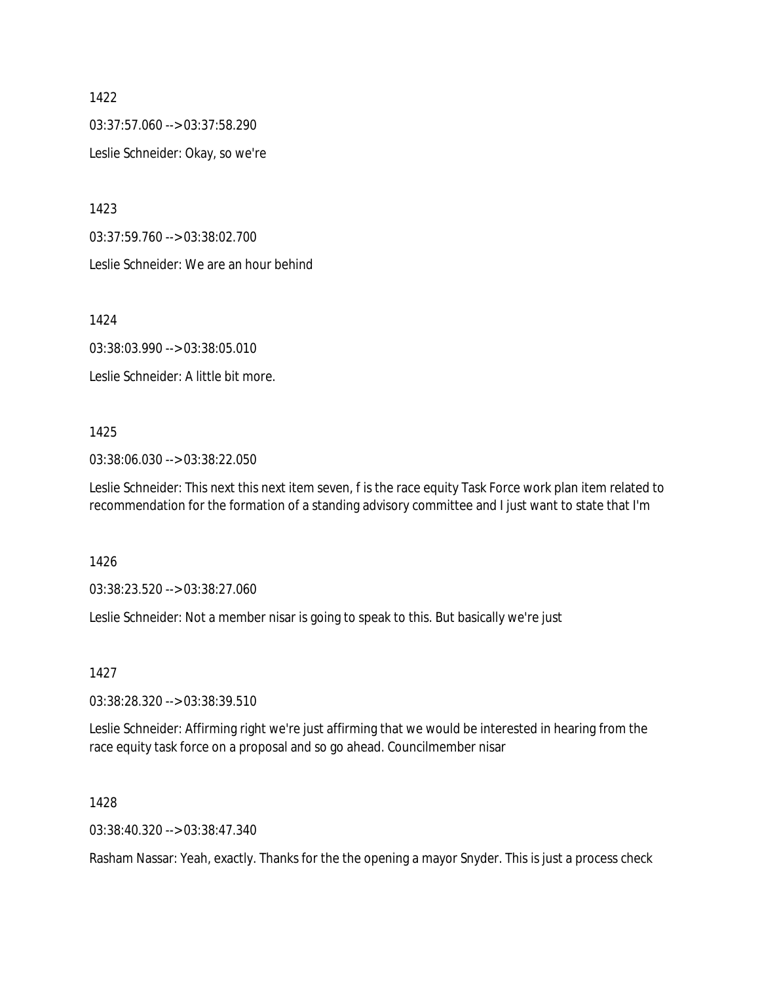03:37:57.060 --> 03:37:58.290

Leslie Schneider: Okay, so we're

1423

03:37:59.760 --> 03:38:02.700

Leslie Schneider: We are an hour behind

1424

03:38:03.990 --> 03:38:05.010

Leslie Schneider: A little bit more.

### 1425

03:38:06.030 --> 03:38:22.050

Leslie Schneider: This next this next item seven, f is the race equity Task Force work plan item related to recommendation for the formation of a standing advisory committee and I just want to state that I'm

1426

03:38:23.520 --> 03:38:27.060

Leslie Schneider: Not a member nisar is going to speak to this. But basically we're just

1427

03:38:28.320 --> 03:38:39.510

Leslie Schneider: Affirming right we're just affirming that we would be interested in hearing from the race equity task force on a proposal and so go ahead. Councilmember nisar

#### 1428

03:38:40.320 --> 03:38:47.340

Rasham Nassar: Yeah, exactly. Thanks for the the opening a mayor Snyder. This is just a process check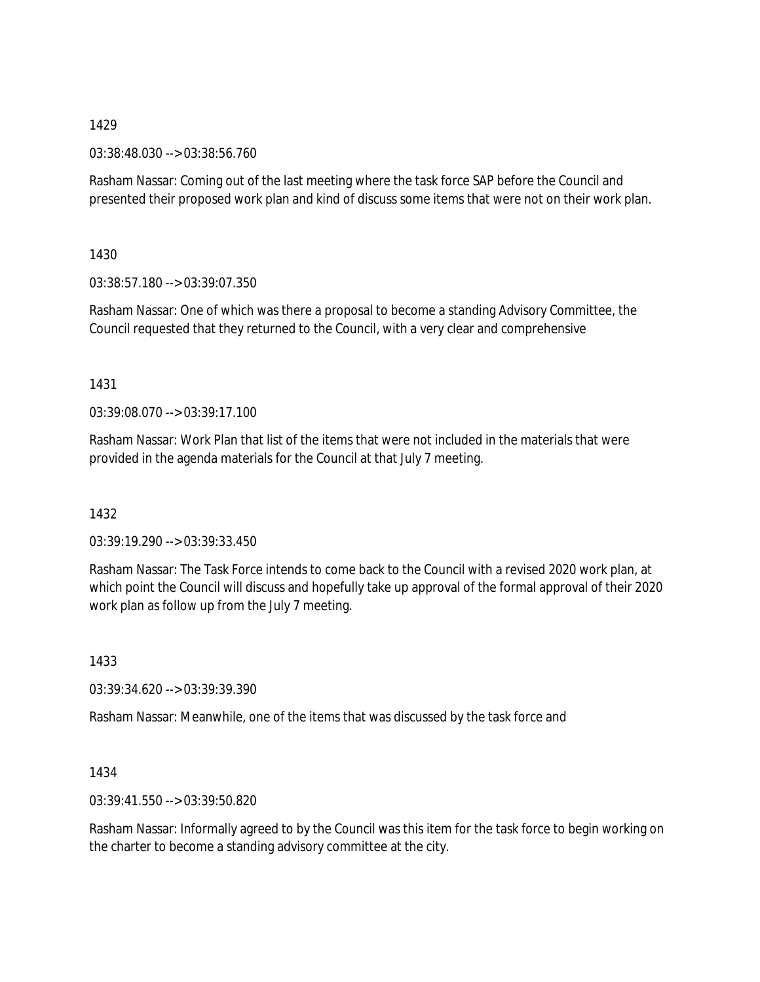03:38:48.030 --> 03:38:56.760

Rasham Nassar: Coming out of the last meeting where the task force SAP before the Council and presented their proposed work plan and kind of discuss some items that were not on their work plan.

1430

03:38:57.180 --> 03:39:07.350

Rasham Nassar: One of which was there a proposal to become a standing Advisory Committee, the Council requested that they returned to the Council, with a very clear and comprehensive

1431

03:39:08.070 --> 03:39:17.100

Rasham Nassar: Work Plan that list of the items that were not included in the materials that were provided in the agenda materials for the Council at that July 7 meeting.

1432

03:39:19.290 --> 03:39:33.450

Rasham Nassar: The Task Force intends to come back to the Council with a revised 2020 work plan, at which point the Council will discuss and hopefully take up approval of the formal approval of their 2020 work plan as follow up from the July 7 meeting.

1433

03:39:34.620 --> 03:39:39.390

Rasham Nassar: Meanwhile, one of the items that was discussed by the task force and

1434

03:39:41.550 --> 03:39:50.820

Rasham Nassar: Informally agreed to by the Council was this item for the task force to begin working on the charter to become a standing advisory committee at the city.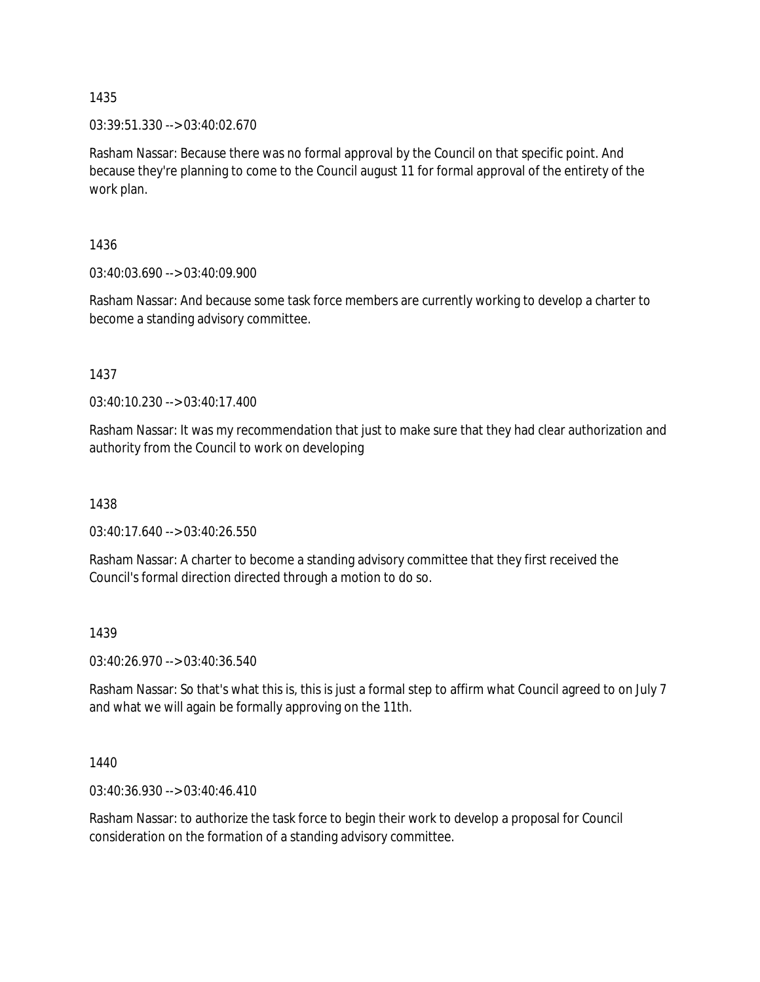03:39:51.330 --> 03:40:02.670

Rasham Nassar: Because there was no formal approval by the Council on that specific point. And because they're planning to come to the Council august 11 for formal approval of the entirety of the work plan.

1436

03:40:03.690 --> 03:40:09.900

Rasham Nassar: And because some task force members are currently working to develop a charter to become a standing advisory committee.

1437

03:40:10.230 --> 03:40:17.400

Rasham Nassar: It was my recommendation that just to make sure that they had clear authorization and authority from the Council to work on developing

1438

03:40:17.640 --> 03:40:26.550

Rasham Nassar: A charter to become a standing advisory committee that they first received the Council's formal direction directed through a motion to do so.

### 1439

03:40:26.970 --> 03:40:36.540

Rasham Nassar: So that's what this is, this is just a formal step to affirm what Council agreed to on July 7 and what we will again be formally approving on the 11th.

1440

03:40:36.930 --> 03:40:46.410

Rasham Nassar: to authorize the task force to begin their work to develop a proposal for Council consideration on the formation of a standing advisory committee.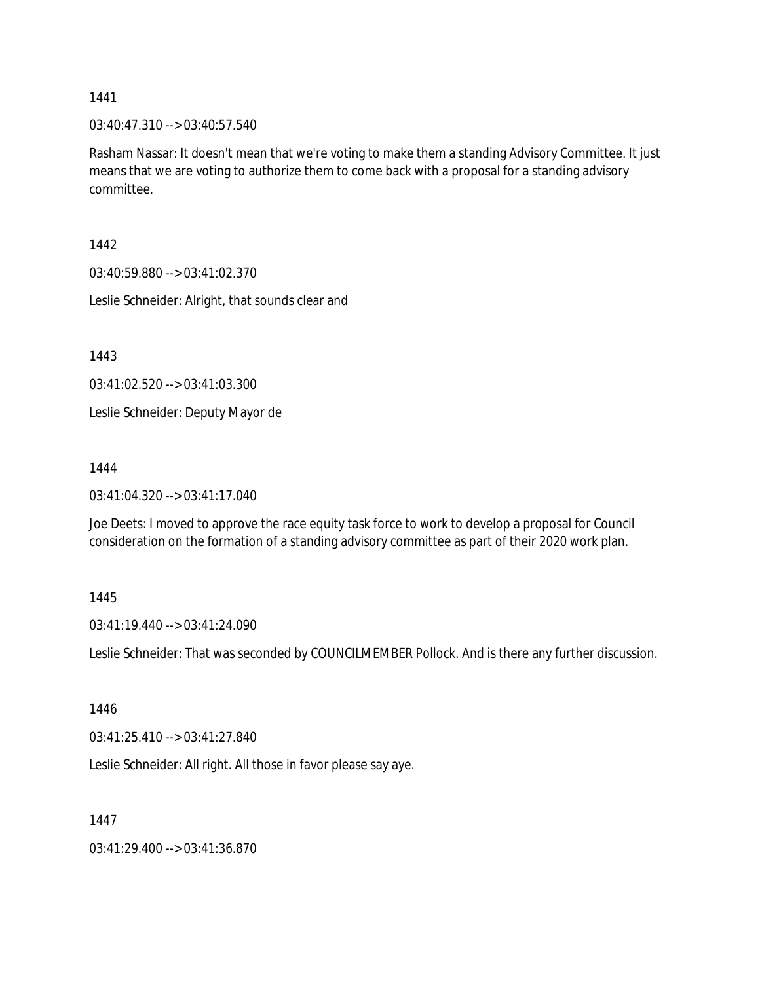03:40:47.310 --> 03:40:57.540

Rasham Nassar: It doesn't mean that we're voting to make them a standing Advisory Committee. It just means that we are voting to authorize them to come back with a proposal for a standing advisory committee.

1442

03:40:59.880 --> 03:41:02.370

Leslie Schneider: Alright, that sounds clear and

1443

03:41:02.520 --> 03:41:03.300

Leslie Schneider: Deputy Mayor de

1444

03:41:04.320 --> 03:41:17.040

Joe Deets: I moved to approve the race equity task force to work to develop a proposal for Council consideration on the formation of a standing advisory committee as part of their 2020 work plan.

1445

03:41:19.440 --> 03:41:24.090

Leslie Schneider: That was seconded by COUNCILMEMBER Pollock. And is there any further discussion.

1446

03:41:25.410 --> 03:41:27.840

Leslie Schneider: All right. All those in favor please say aye.

1447

03:41:29.400 --> 03:41:36.870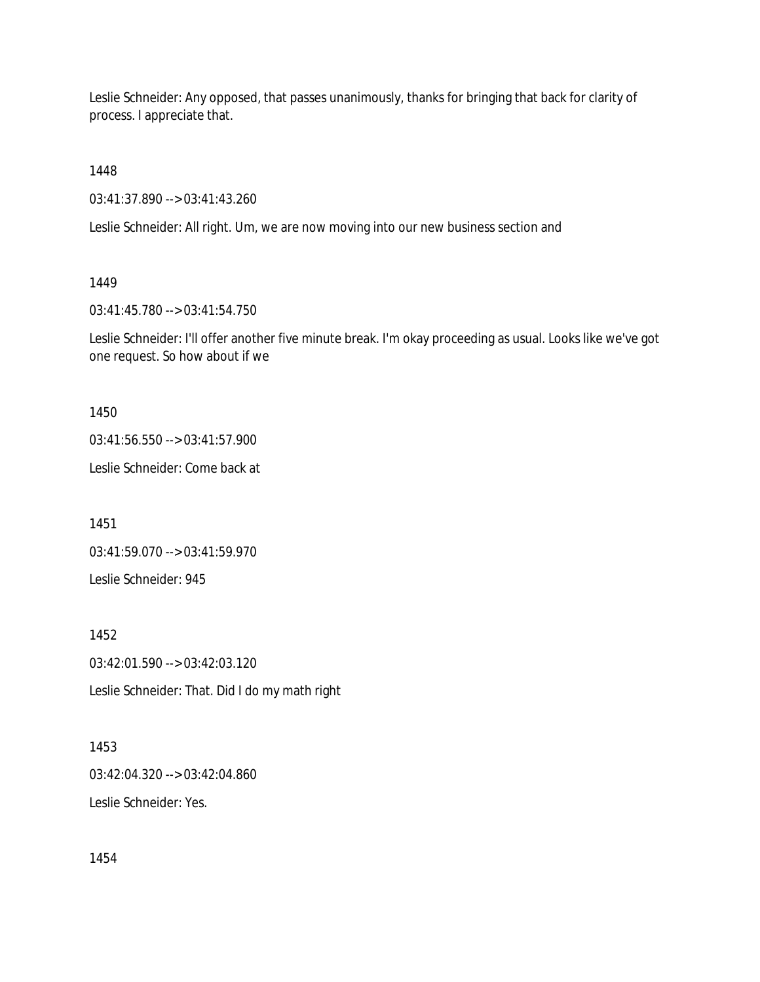Leslie Schneider: Any opposed, that passes unanimously, thanks for bringing that back for clarity of process. I appreciate that.

1448

03:41:37.890 --> 03:41:43.260

Leslie Schneider: All right. Um, we are now moving into our new business section and

# 1449

03:41:45.780 --> 03:41:54.750

Leslie Schneider: I'll offer another five minute break. I'm okay proceeding as usual. Looks like we've got one request. So how about if we

1450

03:41:56.550 --> 03:41:57.900

Leslie Schneider: Come back at

1451

03:41:59.070 --> 03:41:59.970

Leslie Schneider: 945

1452

03:42:01.590 --> 03:42:03.120

Leslie Schneider: That. Did I do my math right

1453 03:42:04.320 --> 03:42:04.860 Leslie Schneider: Yes.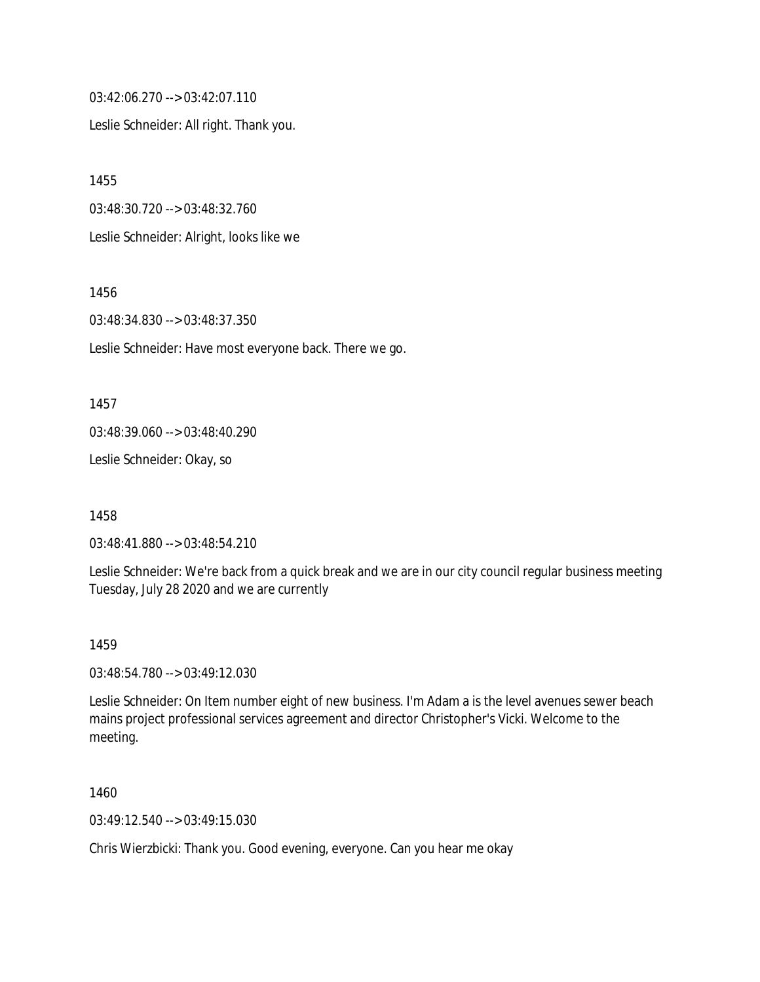03:42:06.270 --> 03:42:07.110

Leslie Schneider: All right. Thank you.

1455 03:48:30.720 --> 03:48:32.760 Leslie Schneider: Alright, looks like we

1456

03:48:34.830 --> 03:48:37.350

Leslie Schneider: Have most everyone back. There we go.

1457

03:48:39.060 --> 03:48:40.290

Leslie Schneider: Okay, so

1458

03:48:41.880 --> 03:48:54.210

Leslie Schneider: We're back from a quick break and we are in our city council regular business meeting Tuesday, July 28 2020 and we are currently

#### 1459

03:48:54.780 --> 03:49:12.030

Leslie Schneider: On Item number eight of new business. I'm Adam a is the level avenues sewer beach mains project professional services agreement and director Christopher's Vicki. Welcome to the meeting.

1460

03:49:12.540 --> 03:49:15.030

Chris Wierzbicki: Thank you. Good evening, everyone. Can you hear me okay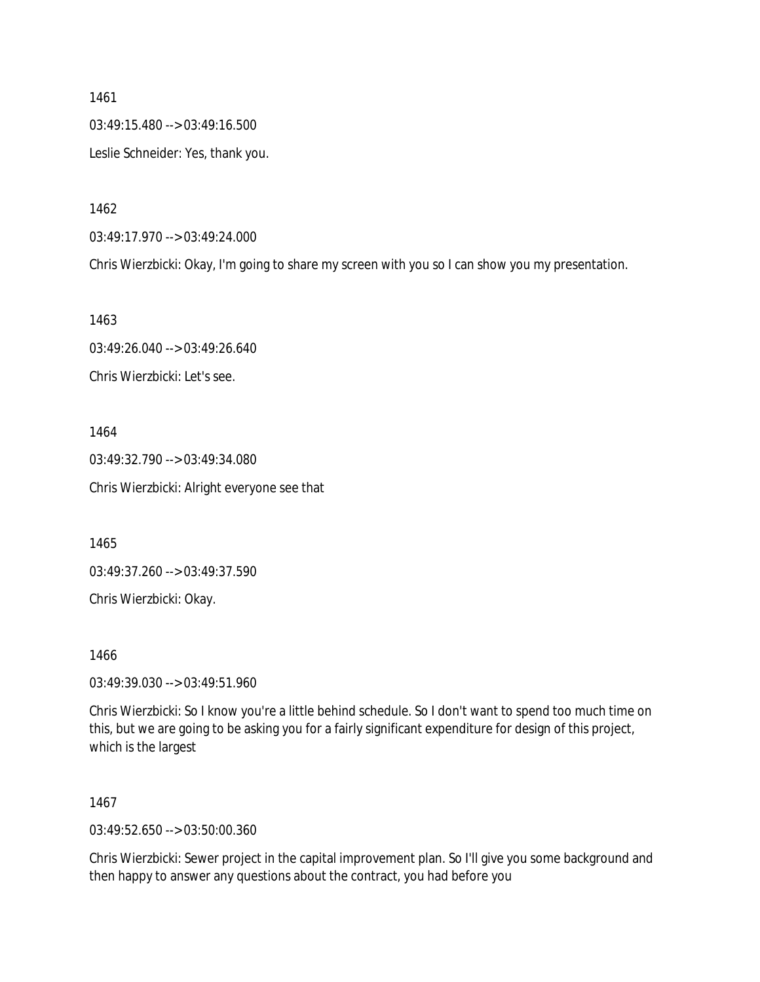1461 03:49:15.480 --> 03:49:16.500 Leslie Schneider: Yes, thank you.

1462

03:49:17.970 --> 03:49:24.000

Chris Wierzbicki: Okay, I'm going to share my screen with you so I can show you my presentation.

1463

03:49:26.040 --> 03:49:26.640 Chris Wierzbicki: Let's see.

1464 03:49:32.790 --> 03:49:34.080 Chris Wierzbicki: Alright everyone see that

1465

03:49:37.260 --> 03:49:37.590

Chris Wierzbicki: Okay.

1466

03:49:39.030 --> 03:49:51.960

Chris Wierzbicki: So I know you're a little behind schedule. So I don't want to spend too much time on this, but we are going to be asking you for a fairly significant expenditure for design of this project, which is the largest

1467

03:49:52.650 --> 03:50:00.360

Chris Wierzbicki: Sewer project in the capital improvement plan. So I'll give you some background and then happy to answer any questions about the contract, you had before you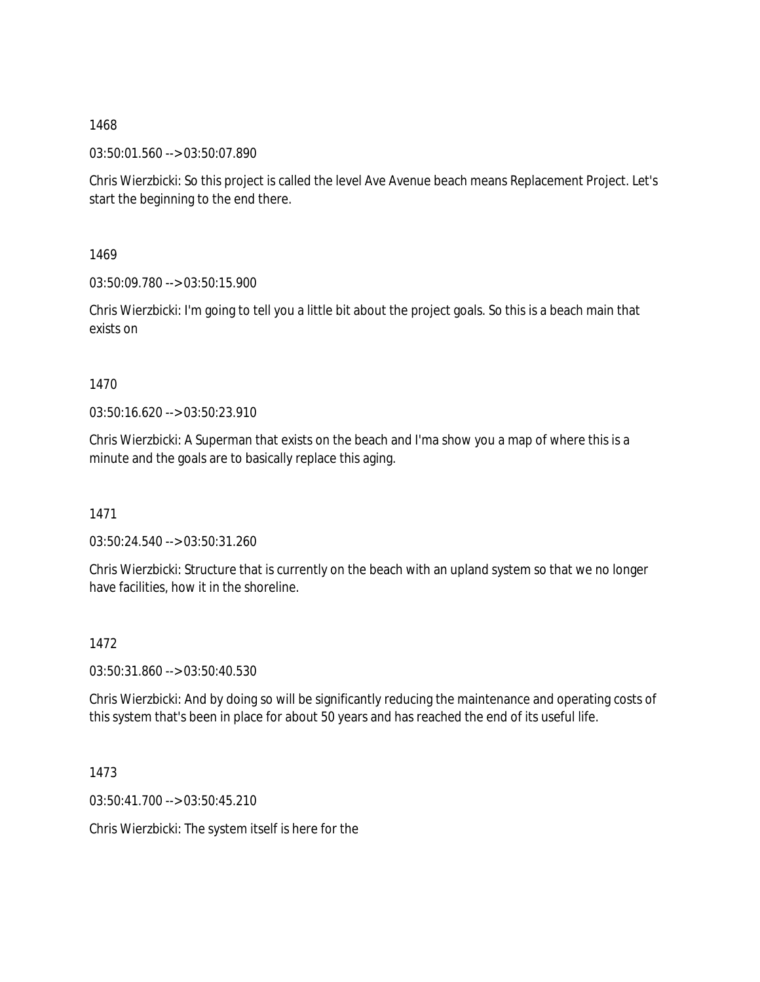03:50:01.560 --> 03:50:07.890

Chris Wierzbicki: So this project is called the level Ave Avenue beach means Replacement Project. Let's start the beginning to the end there.

1469

03:50:09.780 --> 03:50:15.900

Chris Wierzbicki: I'm going to tell you a little bit about the project goals. So this is a beach main that exists on

### 1470

03:50:16.620 --> 03:50:23.910

Chris Wierzbicki: A Superman that exists on the beach and I'ma show you a map of where this is a minute and the goals are to basically replace this aging.

1471

03:50:24.540 --> 03:50:31.260

Chris Wierzbicki: Structure that is currently on the beach with an upland system so that we no longer have facilities, how it in the shoreline.

# 1472

03:50:31.860 --> 03:50:40.530

Chris Wierzbicki: And by doing so will be significantly reducing the maintenance and operating costs of this system that's been in place for about 50 years and has reached the end of its useful life.

1473

03:50:41.700 --> 03:50:45.210

Chris Wierzbicki: The system itself is here for the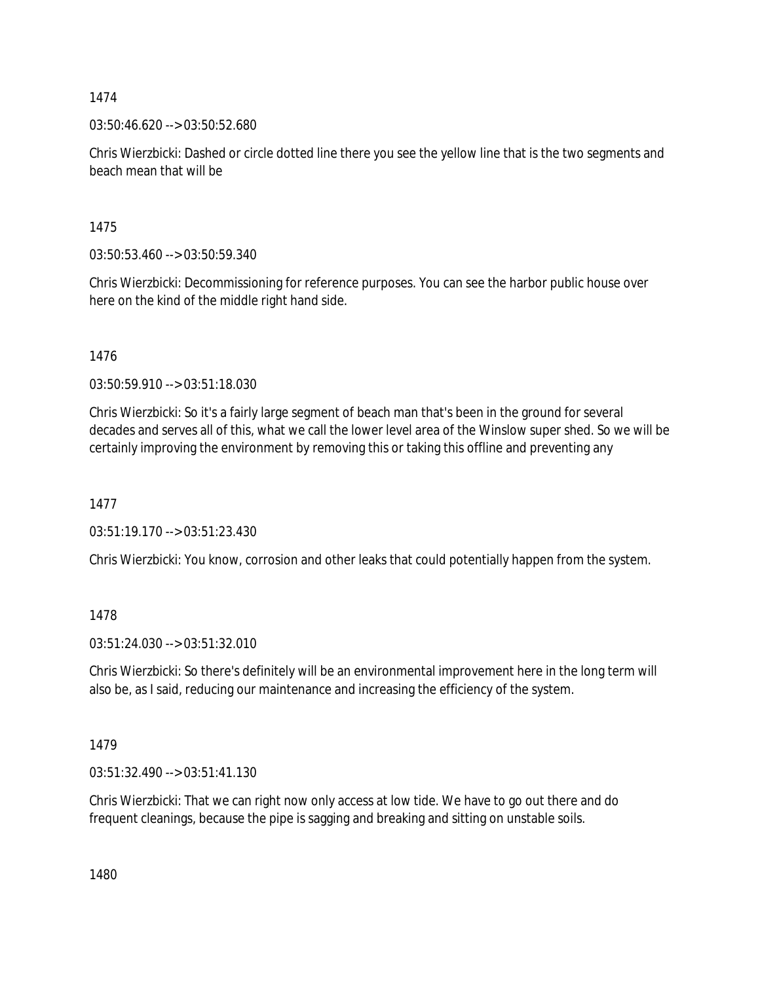03:50:46.620 --> 03:50:52.680

Chris Wierzbicki: Dashed or circle dotted line there you see the yellow line that is the two segments and beach mean that will be

1475

03:50:53.460 --> 03:50:59.340

Chris Wierzbicki: Decommissioning for reference purposes. You can see the harbor public house over here on the kind of the middle right hand side.

1476

03:50:59.910 --> 03:51:18.030

Chris Wierzbicki: So it's a fairly large segment of beach man that's been in the ground for several decades and serves all of this, what we call the lower level area of the Winslow super shed. So we will be certainly improving the environment by removing this or taking this offline and preventing any

1477

03:51:19.170 --> 03:51:23.430

Chris Wierzbicki: You know, corrosion and other leaks that could potentially happen from the system.

1478

03:51:24.030 --> 03:51:32.010

Chris Wierzbicki: So there's definitely will be an environmental improvement here in the long term will also be, as I said, reducing our maintenance and increasing the efficiency of the system.

1479

03:51:32.490 --> 03:51:41.130

Chris Wierzbicki: That we can right now only access at low tide. We have to go out there and do frequent cleanings, because the pipe is sagging and breaking and sitting on unstable soils.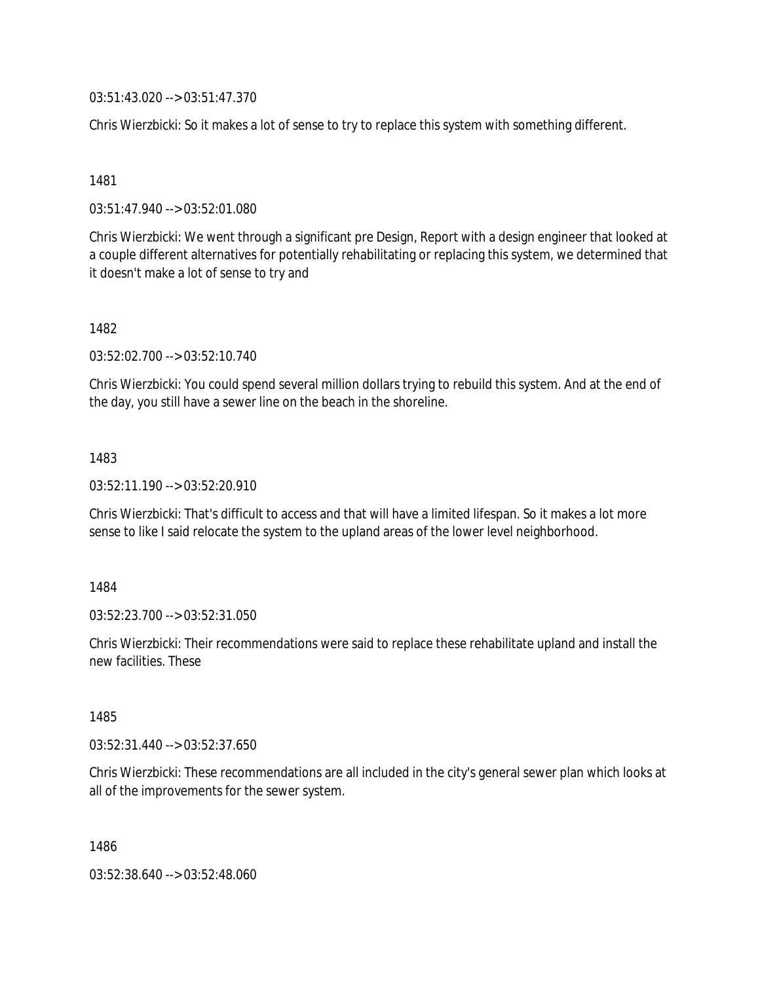03:51:43.020 --> 03:51:47.370

Chris Wierzbicki: So it makes a lot of sense to try to replace this system with something different.

1481

03:51:47.940 --> 03:52:01.080

Chris Wierzbicki: We went through a significant pre Design, Report with a design engineer that looked at a couple different alternatives for potentially rehabilitating or replacing this system, we determined that it doesn't make a lot of sense to try and

1482

03:52:02.700 --> 03:52:10.740

Chris Wierzbicki: You could spend several million dollars trying to rebuild this system. And at the end of the day, you still have a sewer line on the beach in the shoreline.

1483

03:52:11.190 --> 03:52:20.910

Chris Wierzbicki: That's difficult to access and that will have a limited lifespan. So it makes a lot more sense to like I said relocate the system to the upland areas of the lower level neighborhood.

1484

03:52:23.700 --> 03:52:31.050

Chris Wierzbicki: Their recommendations were said to replace these rehabilitate upland and install the new facilities. These

1485

03:52:31.440 --> 03:52:37.650

Chris Wierzbicki: These recommendations are all included in the city's general sewer plan which looks at all of the improvements for the sewer system.

1486

03:52:38.640 --> 03:52:48.060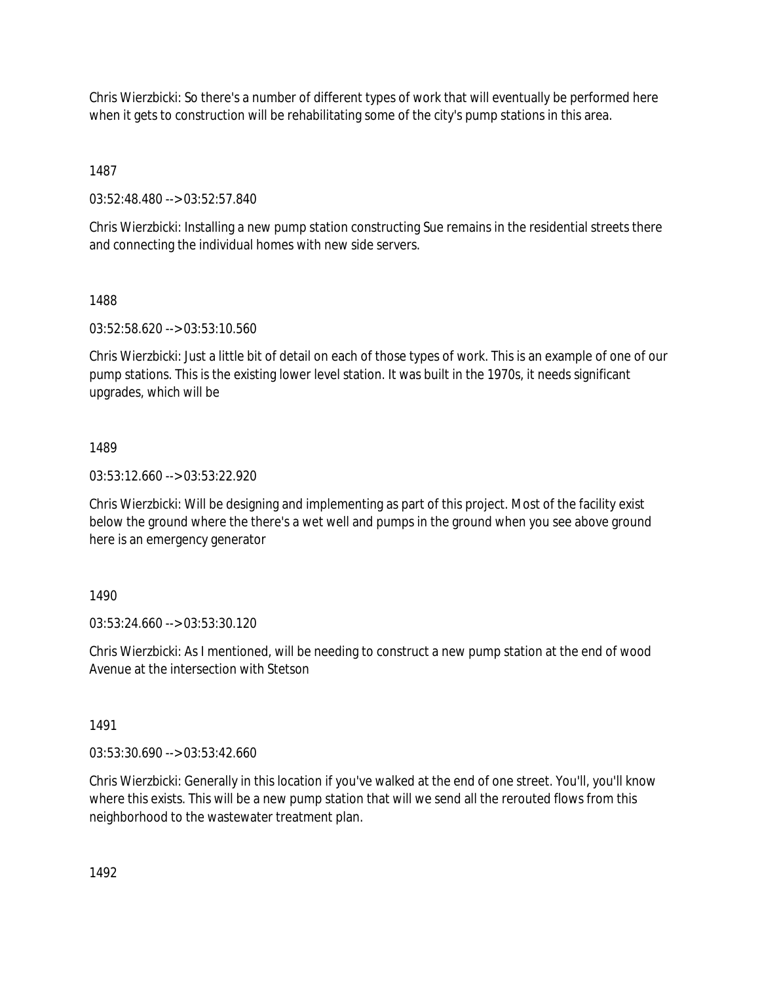Chris Wierzbicki: So there's a number of different types of work that will eventually be performed here when it gets to construction will be rehabilitating some of the city's pump stations in this area.

1487

03:52:48.480 --> 03:52:57.840

Chris Wierzbicki: Installing a new pump station constructing Sue remains in the residential streets there and connecting the individual homes with new side servers.

1488

03:52:58.620 --> 03:53:10.560

Chris Wierzbicki: Just a little bit of detail on each of those types of work. This is an example of one of our pump stations. This is the existing lower level station. It was built in the 1970s, it needs significant upgrades, which will be

# 1489

03:53:12.660 --> 03:53:22.920

Chris Wierzbicki: Will be designing and implementing as part of this project. Most of the facility exist below the ground where the there's a wet well and pumps in the ground when you see above ground here is an emergency generator

# 1490

03:53:24.660 --> 03:53:30.120

Chris Wierzbicki: As I mentioned, will be needing to construct a new pump station at the end of wood Avenue at the intersection with Stetson

1491

03:53:30.690 --> 03:53:42.660

Chris Wierzbicki: Generally in this location if you've walked at the end of one street. You'll, you'll know where this exists. This will be a new pump station that will we send all the rerouted flows from this neighborhood to the wastewater treatment plan.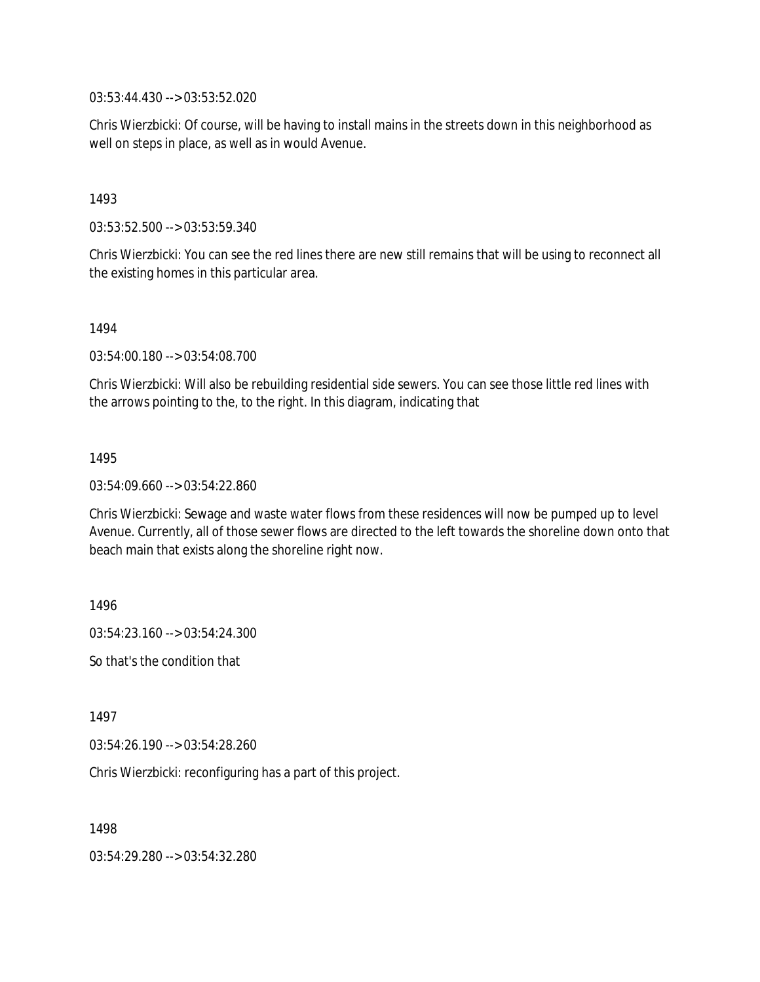03:53:44.430 --> 03:53:52.020

Chris Wierzbicki: Of course, will be having to install mains in the streets down in this neighborhood as well on steps in place, as well as in would Avenue.

1493

03:53:52.500 --> 03:53:59.340

Chris Wierzbicki: You can see the red lines there are new still remains that will be using to reconnect all the existing homes in this particular area.

1494

03:54:00.180 --> 03:54:08.700

Chris Wierzbicki: Will also be rebuilding residential side sewers. You can see those little red lines with the arrows pointing to the, to the right. In this diagram, indicating that

1495

03:54:09.660 --> 03:54:22.860

Chris Wierzbicki: Sewage and waste water flows from these residences will now be pumped up to level Avenue. Currently, all of those sewer flows are directed to the left towards the shoreline down onto that beach main that exists along the shoreline right now.

1496

03:54:23.160 --> 03:54:24.300

So that's the condition that

1497

03:54:26.190 --> 03:54:28.260

Chris Wierzbicki: reconfiguring has a part of this project.

1498

03:54:29.280 --> 03:54:32.280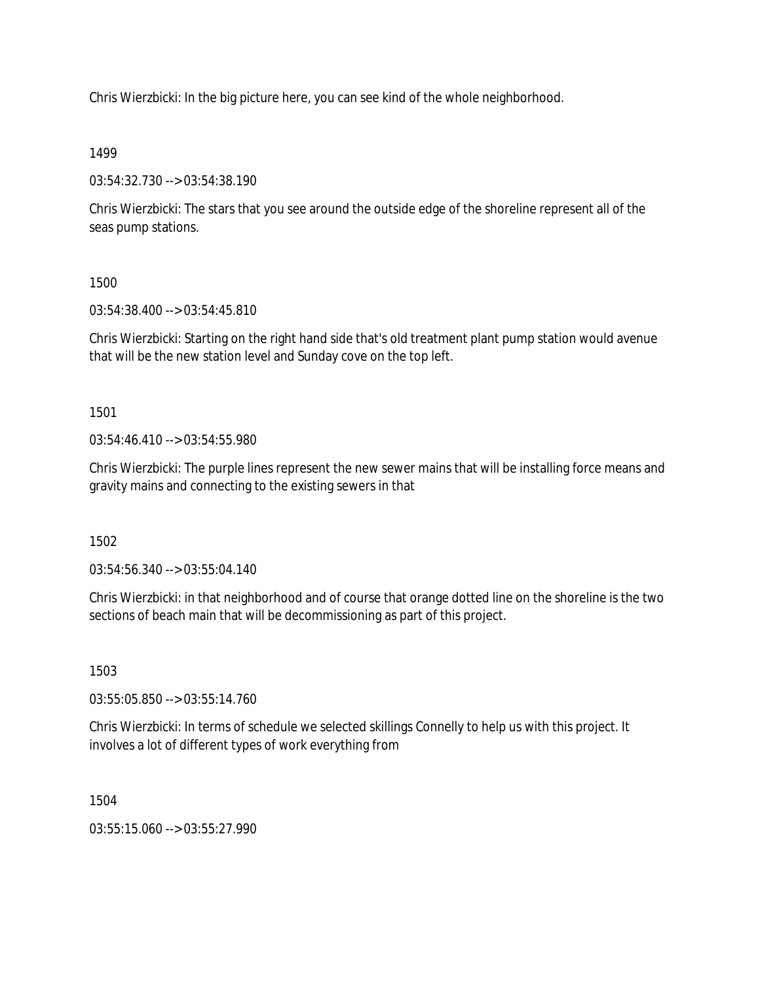Chris Wierzbicki: In the big picture here, you can see kind of the whole neighborhood.

1499

03:54:32.730 --> 03:54:38.190

Chris Wierzbicki: The stars that you see around the outside edge of the shoreline represent all of the seas pump stations.

1500

03:54:38.400 --> 03:54:45.810

Chris Wierzbicki: Starting on the right hand side that's old treatment plant pump station would avenue that will be the new station level and Sunday cove on the top left.

1501

03:54:46.410 --> 03:54:55.980

Chris Wierzbicki: The purple lines represent the new sewer mains that will be installing force means and gravity mains and connecting to the existing sewers in that

1502

03:54:56.340 --> 03:55:04.140

Chris Wierzbicki: in that neighborhood and of course that orange dotted line on the shoreline is the two sections of beach main that will be decommissioning as part of this project.

1503

03:55:05.850 --> 03:55:14.760

Chris Wierzbicki: In terms of schedule we selected skillings Connelly to help us with this project. It involves a lot of different types of work everything from

1504

 $03:55:15.060 \rightarrow 03:55:27.990$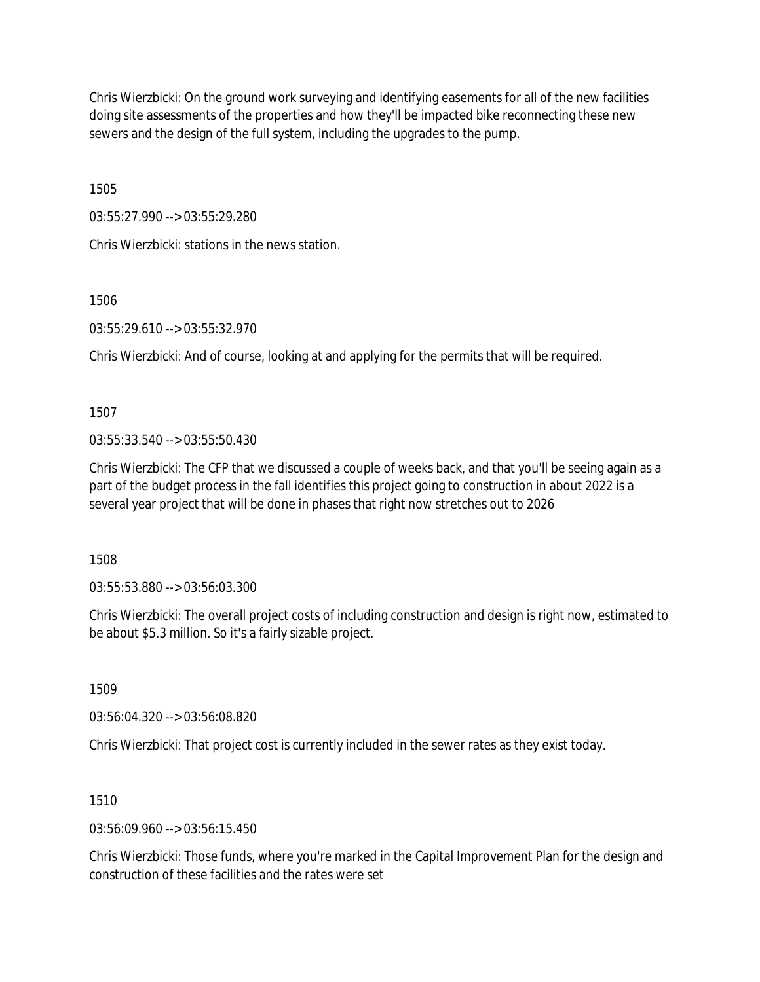Chris Wierzbicki: On the ground work surveying and identifying easements for all of the new facilities doing site assessments of the properties and how they'll be impacted bike reconnecting these new sewers and the design of the full system, including the upgrades to the pump.

1505

03:55:27.990 --> 03:55:29.280

Chris Wierzbicki: stations in the news station.

1506

03:55:29.610 --> 03:55:32.970

Chris Wierzbicki: And of course, looking at and applying for the permits that will be required.

1507

03:55:33.540 --> 03:55:50.430

Chris Wierzbicki: The CFP that we discussed a couple of weeks back, and that you'll be seeing again as a part of the budget process in the fall identifies this project going to construction in about 2022 is a several year project that will be done in phases that right now stretches out to 2026

1508

03:55:53.880 --> 03:56:03.300

Chris Wierzbicki: The overall project costs of including construction and design is right now, estimated to be about \$5.3 million. So it's a fairly sizable project.

1509

03:56:04.320 --> 03:56:08.820

Chris Wierzbicki: That project cost is currently included in the sewer rates as they exist today.

1510

03:56:09.960 --> 03:56:15.450

Chris Wierzbicki: Those funds, where you're marked in the Capital Improvement Plan for the design and construction of these facilities and the rates were set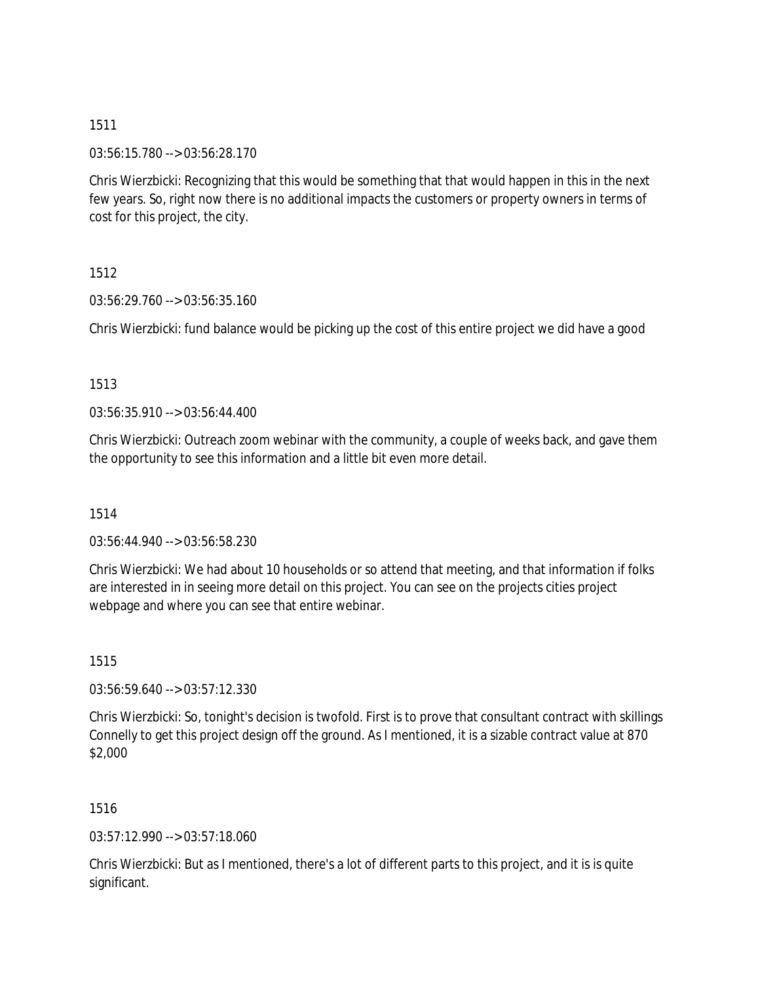03:56:15.780 --> 03:56:28.170

Chris Wierzbicki: Recognizing that this would be something that that would happen in this in the next few years. So, right now there is no additional impacts the customers or property owners in terms of cost for this project, the city.

1512

03:56:29.760 --> 03:56:35.160

Chris Wierzbicki: fund balance would be picking up the cost of this entire project we did have a good

### 1513

03:56:35.910 --> 03:56:44.400

Chris Wierzbicki: Outreach zoom webinar with the community, a couple of weeks back, and gave them the opportunity to see this information and a little bit even more detail.

### 1514

03:56:44.940 --> 03:56:58.230

Chris Wierzbicki: We had about 10 households or so attend that meeting, and that information if folks are interested in in seeing more detail on this project. You can see on the projects cities project webpage and where you can see that entire webinar.

1515

03:56:59.640 --> 03:57:12.330

Chris Wierzbicki: So, tonight's decision is twofold. First is to prove that consultant contract with skillings Connelly to get this project design off the ground. As I mentioned, it is a sizable contract value at 870 \$2,000

1516

03:57:12.990 --> 03:57:18.060

Chris Wierzbicki: But as I mentioned, there's a lot of different parts to this project, and it is is quite significant.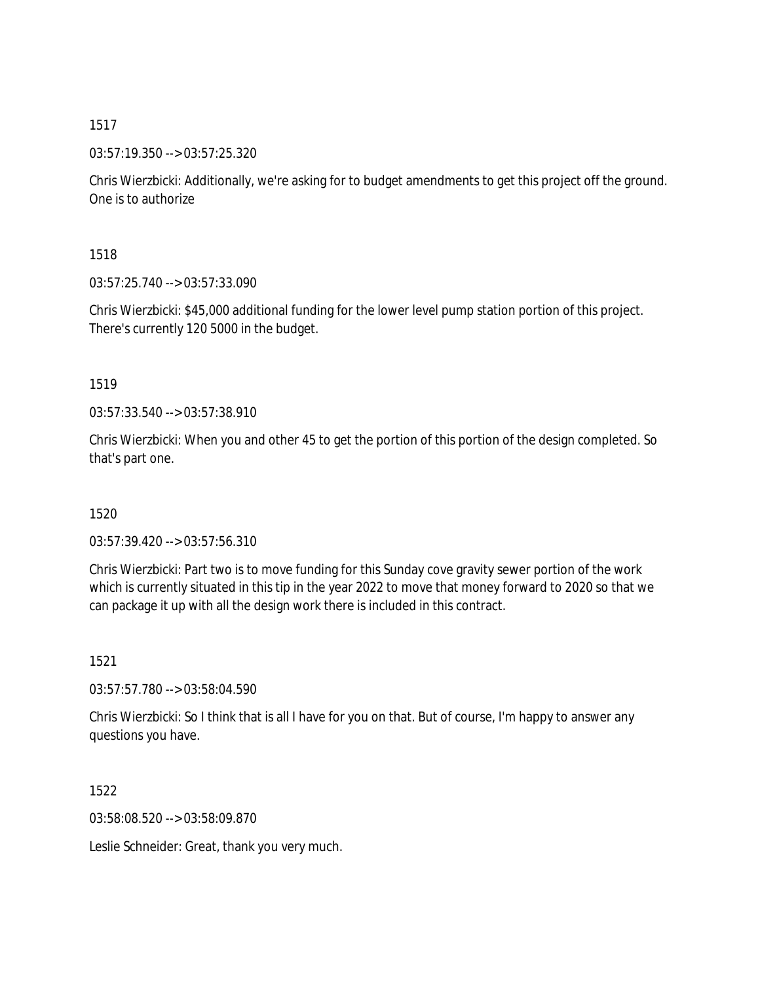03:57:19.350 --> 03:57:25.320

Chris Wierzbicki: Additionally, we're asking for to budget amendments to get this project off the ground. One is to authorize

1518

03:57:25.740 --> 03:57:33.090

Chris Wierzbicki: \$45,000 additional funding for the lower level pump station portion of this project. There's currently 120 5000 in the budget.

1519

03:57:33.540 --> 03:57:38.910

Chris Wierzbicki: When you and other 45 to get the portion of this portion of the design completed. So that's part one.

1520

03:57:39.420 --> 03:57:56.310

Chris Wierzbicki: Part two is to move funding for this Sunday cove gravity sewer portion of the work which is currently situated in this tip in the year 2022 to move that money forward to 2020 so that we can package it up with all the design work there is included in this contract.

1521

03:57:57.780 --> 03:58:04.590

Chris Wierzbicki: So I think that is all I have for you on that. But of course, I'm happy to answer any questions you have.

1522

03:58:08.520 --> 03:58:09.870

Leslie Schneider: Great, thank you very much.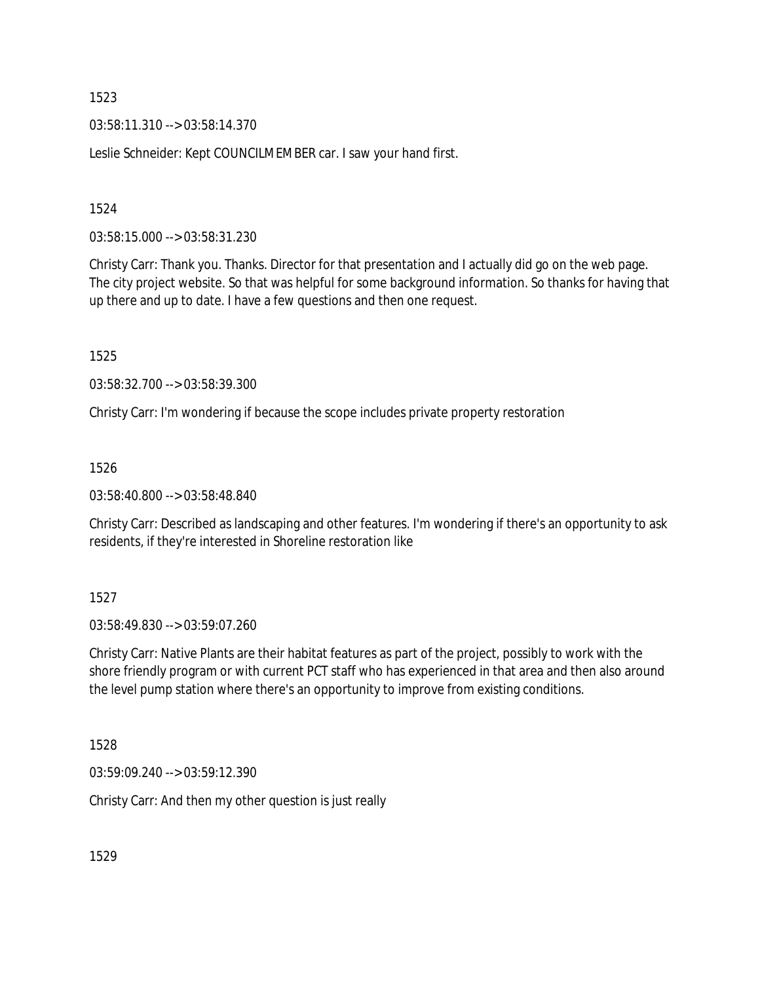03:58:11.310 --> 03:58:14.370

Leslie Schneider: Kept COUNCILMEMBER car. I saw your hand first.

1524

03:58:15.000 --> 03:58:31.230

Christy Carr: Thank you. Thanks. Director for that presentation and I actually did go on the web page. The city project website. So that was helpful for some background information. So thanks for having that up there and up to date. I have a few questions and then one request.

1525

03:58:32.700 --> 03:58:39.300

Christy Carr: I'm wondering if because the scope includes private property restoration

1526

03:58:40.800 --> 03:58:48.840

Christy Carr: Described as landscaping and other features. I'm wondering if there's an opportunity to ask residents, if they're interested in Shoreline restoration like

1527

03:58:49.830 --> 03:59:07.260

Christy Carr: Native Plants are their habitat features as part of the project, possibly to work with the shore friendly program or with current PCT staff who has experienced in that area and then also around the level pump station where there's an opportunity to improve from existing conditions.

1528

03:59:09.240 --> 03:59:12.390

Christy Carr: And then my other question is just really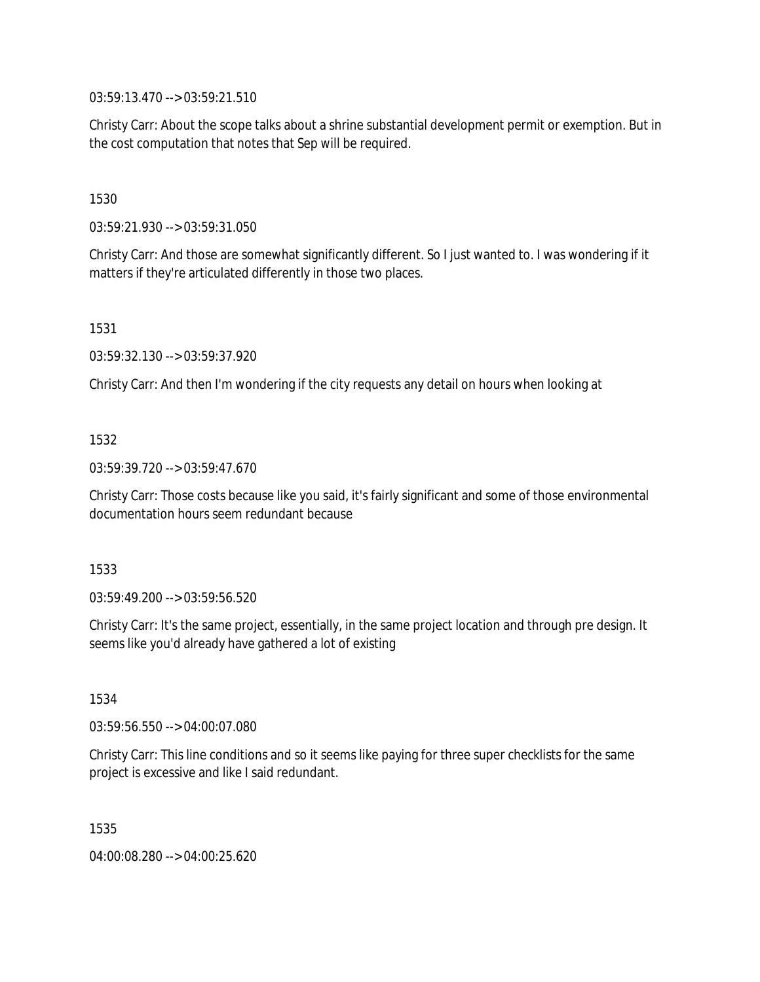03:59:13.470 --> 03:59:21.510

Christy Carr: About the scope talks about a shrine substantial development permit or exemption. But in the cost computation that notes that Sep will be required.

1530

03:59:21.930 --> 03:59:31.050

Christy Carr: And those are somewhat significantly different. So I just wanted to. I was wondering if it matters if they're articulated differently in those two places.

1531

03:59:32.130 --> 03:59:37.920

Christy Carr: And then I'm wondering if the city requests any detail on hours when looking at

# 1532

03:59:39.720 --> 03:59:47.670

Christy Carr: Those costs because like you said, it's fairly significant and some of those environmental documentation hours seem redundant because

### 1533

03:59:49.200 --> 03:59:56.520

Christy Carr: It's the same project, essentially, in the same project location and through pre design. It seems like you'd already have gathered a lot of existing

1534

03:59:56.550 --> 04:00:07.080

Christy Carr: This line conditions and so it seems like paying for three super checklists for the same project is excessive and like I said redundant.

1535

04:00:08.280 --> 04:00:25.620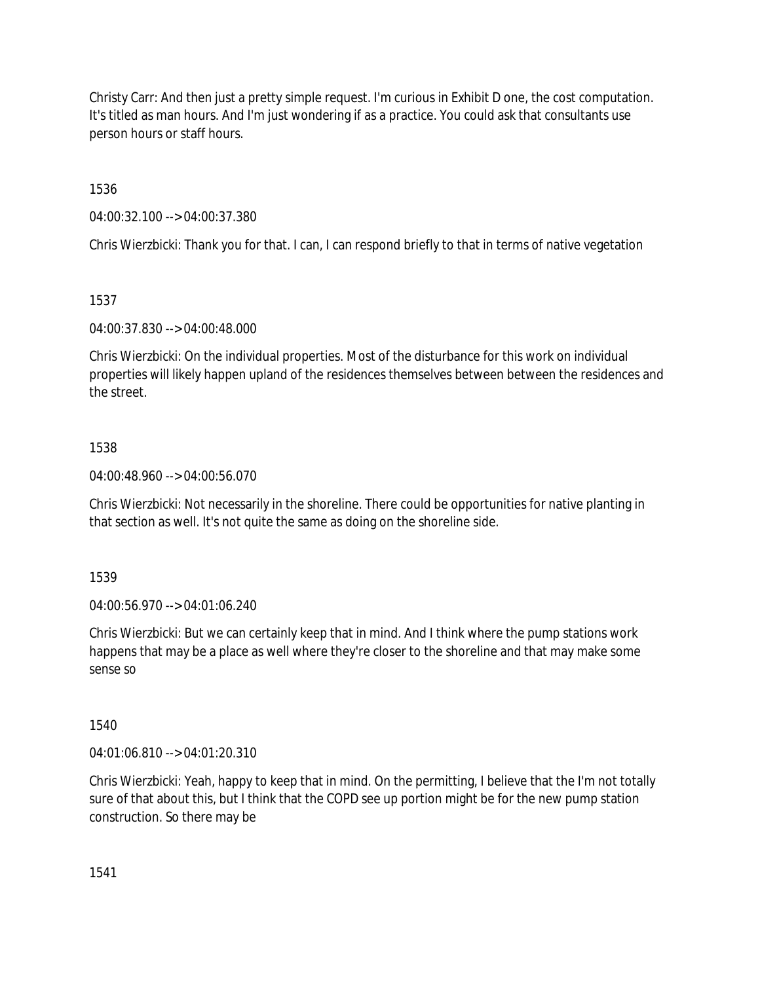Christy Carr: And then just a pretty simple request. I'm curious in Exhibit D one, the cost computation. It's titled as man hours. And I'm just wondering if as a practice. You could ask that consultants use person hours or staff hours.

1536

04:00:32.100 --> 04:00:37.380

Chris Wierzbicki: Thank you for that. I can, I can respond briefly to that in terms of native vegetation

1537

04:00:37.830 --> 04:00:48.000

Chris Wierzbicki: On the individual properties. Most of the disturbance for this work on individual properties will likely happen upland of the residences themselves between between the residences and the street.

# 1538

04:00:48.960 --> 04:00:56.070

Chris Wierzbicki: Not necessarily in the shoreline. There could be opportunities for native planting in that section as well. It's not quite the same as doing on the shoreline side.

1539

04:00:56.970 --> 04:01:06.240

Chris Wierzbicki: But we can certainly keep that in mind. And I think where the pump stations work happens that may be a place as well where they're closer to the shoreline and that may make some sense so

1540

04:01:06.810 --> 04:01:20.310

Chris Wierzbicki: Yeah, happy to keep that in mind. On the permitting, I believe that the I'm not totally sure of that about this, but I think that the COPD see up portion might be for the new pump station construction. So there may be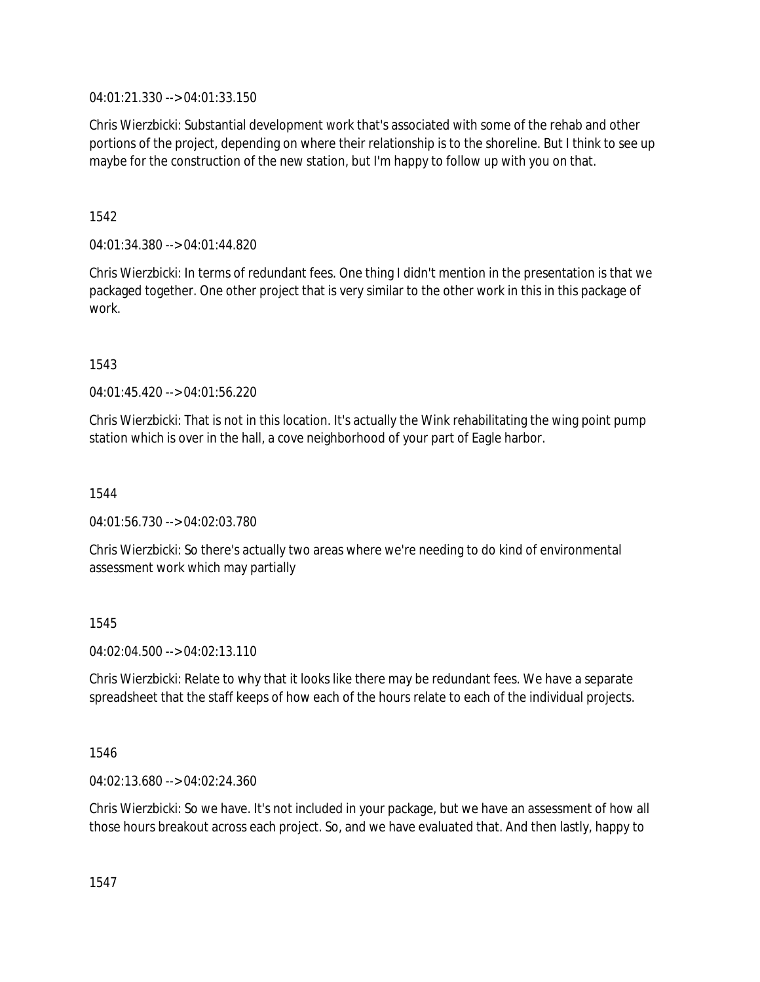04:01:21.330 --> 04:01:33.150

Chris Wierzbicki: Substantial development work that's associated with some of the rehab and other portions of the project, depending on where their relationship is to the shoreline. But I think to see up maybe for the construction of the new station, but I'm happy to follow up with you on that.

1542

04:01:34.380 --> 04:01:44.820

Chris Wierzbicki: In terms of redundant fees. One thing I didn't mention in the presentation is that we packaged together. One other project that is very similar to the other work in this in this package of work.

1543

04:01:45.420 --> 04:01:56.220

Chris Wierzbicki: That is not in this location. It's actually the Wink rehabilitating the wing point pump station which is over in the hall, a cove neighborhood of your part of Eagle harbor.

1544

04:01:56.730 --> 04:02:03.780

Chris Wierzbicki: So there's actually two areas where we're needing to do kind of environmental assessment work which may partially

1545

04:02:04.500 --> 04:02:13.110

Chris Wierzbicki: Relate to why that it looks like there may be redundant fees. We have a separate spreadsheet that the staff keeps of how each of the hours relate to each of the individual projects.

1546

04:02:13.680 --> 04:02:24.360

Chris Wierzbicki: So we have. It's not included in your package, but we have an assessment of how all those hours breakout across each project. So, and we have evaluated that. And then lastly, happy to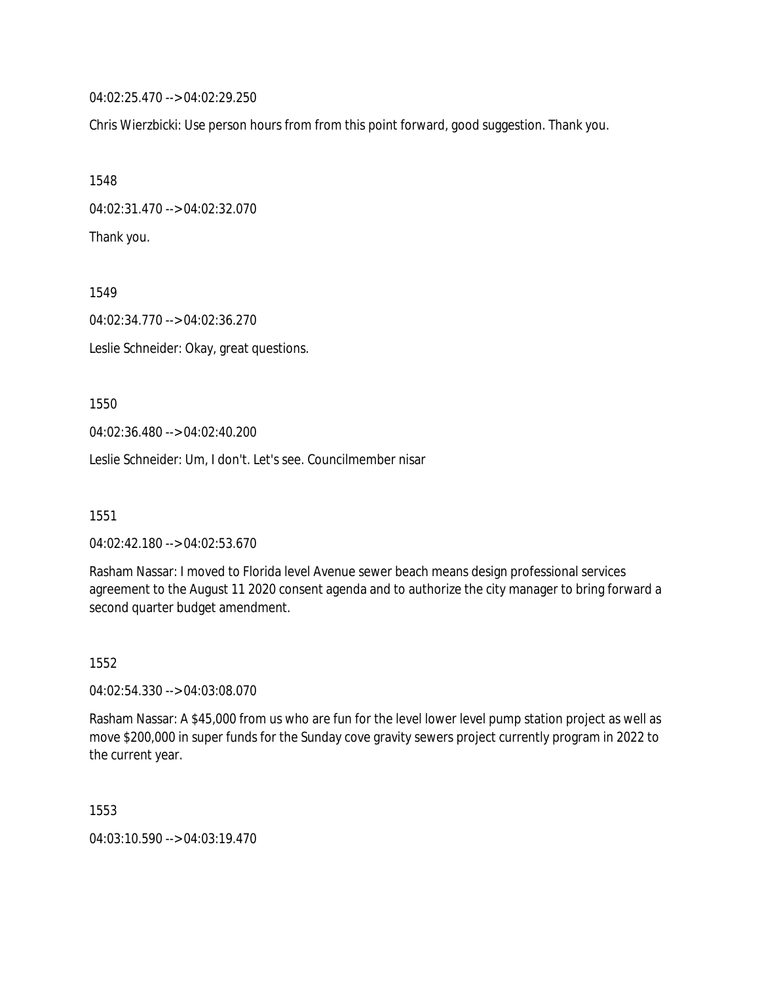04:02:25.470 --> 04:02:29.250

Chris Wierzbicki: Use person hours from from this point forward, good suggestion. Thank you.

1548 04:02:31.470 --> 04:02:32.070 Thank you.

1549 04:02:34.770 --> 04:02:36.270 Leslie Schneider: Okay, great questions.

1550

04:02:36.480 --> 04:02:40.200

Leslie Schneider: Um, I don't. Let's see. Councilmember nisar

1551

04:02:42.180 --> 04:02:53.670

Rasham Nassar: I moved to Florida level Avenue sewer beach means design professional services agreement to the August 11 2020 consent agenda and to authorize the city manager to bring forward a second quarter budget amendment.

1552

04:02:54.330 --> 04:03:08.070

Rasham Nassar: A \$45,000 from us who are fun for the level lower level pump station project as well as move \$200,000 in super funds for the Sunday cove gravity sewers project currently program in 2022 to the current year.

1553

04:03:10.590 --> 04:03:19.470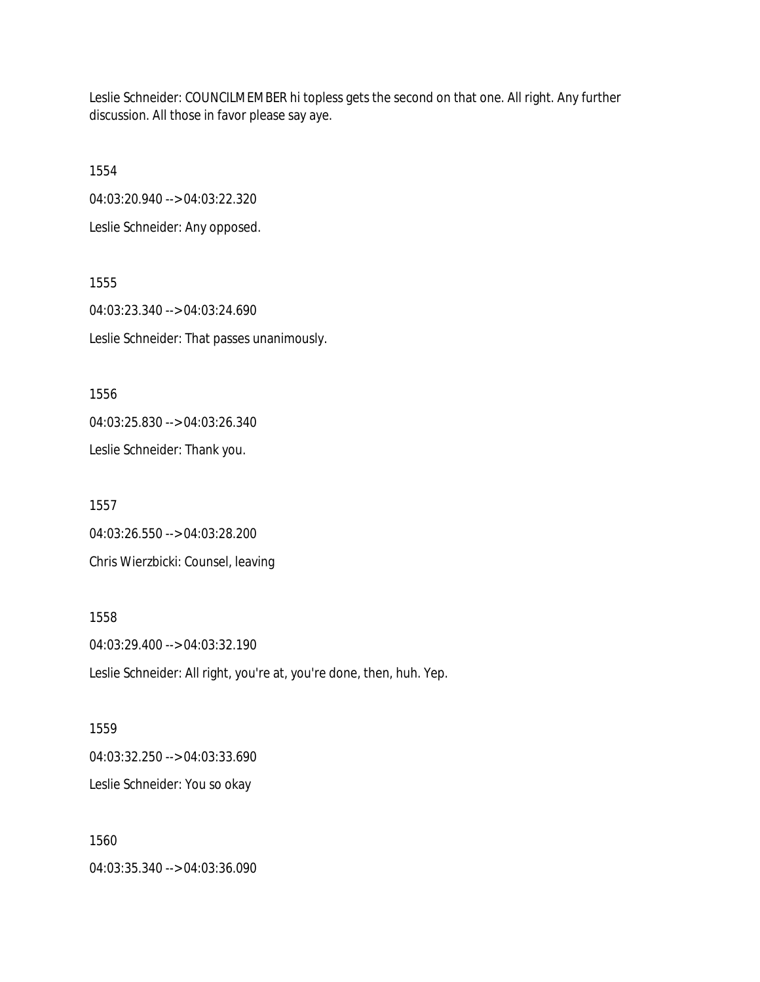Leslie Schneider: COUNCILMEMBER hi topless gets the second on that one. All right. Any further discussion. All those in favor please say aye.

1554 04:03:20.940 --> 04:03:22.320 Leslie Schneider: Any opposed.

1555 04:03:23.340 --> 04:03:24.690 Leslie Schneider: That passes unanimously.

1556 04:03:25.830 --> 04:03:26.340 Leslie Schneider: Thank you.

1557 04:03:26.550 --> 04:03:28.200 Chris Wierzbicki: Counsel, leaving

1558 04:03:29.400 --> 04:03:32.190 Leslie Schneider: All right, you're at, you're done, then, huh. Yep.

1559 04:03:32.250 --> 04:03:33.690 Leslie Schneider: You so okay

1560 04:03:35.340 --> 04:03:36.090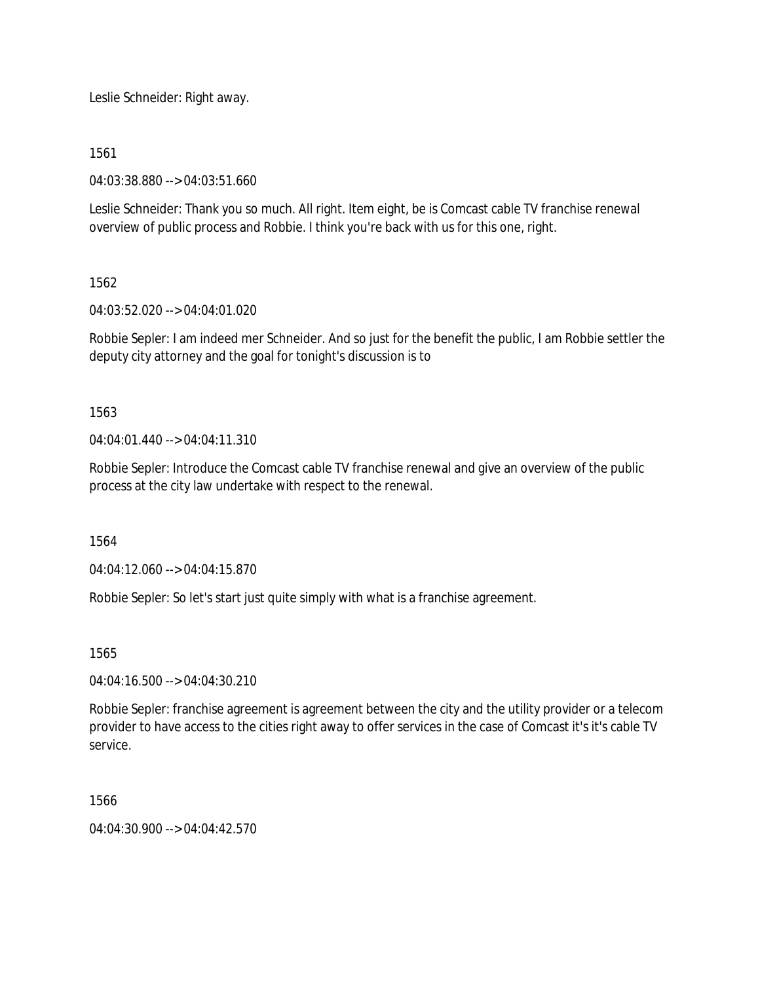Leslie Schneider: Right away.

1561

04:03:38.880 --> 04:03:51.660

Leslie Schneider: Thank you so much. All right. Item eight, be is Comcast cable TV franchise renewal overview of public process and Robbie. I think you're back with us for this one, right.

1562

04:03:52.020 --> 04:04:01.020

Robbie Sepler: I am indeed mer Schneider. And so just for the benefit the public, I am Robbie settler the deputy city attorney and the goal for tonight's discussion is to

1563

04:04:01.440 --> 04:04:11.310

Robbie Sepler: Introduce the Comcast cable TV franchise renewal and give an overview of the public process at the city law undertake with respect to the renewal.

1564

04:04:12.060 --> 04:04:15.870

Robbie Sepler: So let's start just quite simply with what is a franchise agreement.

1565

04:04:16.500 --> 04:04:30.210

Robbie Sepler: franchise agreement is agreement between the city and the utility provider or a telecom provider to have access to the cities right away to offer services in the case of Comcast it's it's cable TV service.

1566

 $04.04.30.900 -> 04.04.42.570$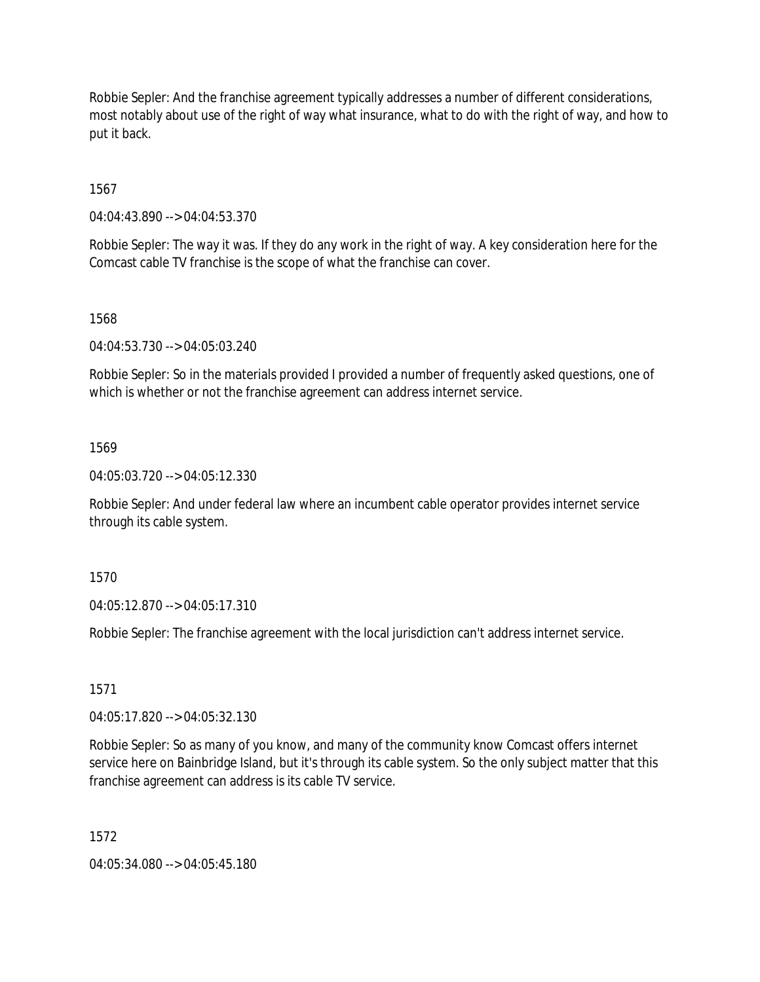Robbie Sepler: And the franchise agreement typically addresses a number of different considerations, most notably about use of the right of way what insurance, what to do with the right of way, and how to put it back.

1567

04:04:43.890 --> 04:04:53.370

Robbie Sepler: The way it was. If they do any work in the right of way. A key consideration here for the Comcast cable TV franchise is the scope of what the franchise can cover.

### 1568

04:04:53.730 --> 04:05:03.240

Robbie Sepler: So in the materials provided I provided a number of frequently asked questions, one of which is whether or not the franchise agreement can address internet service.

### 1569

04:05:03.720 --> 04:05:12.330

Robbie Sepler: And under federal law where an incumbent cable operator provides internet service through its cable system.

1570

04:05:12.870 --> 04:05:17.310

Robbie Sepler: The franchise agreement with the local jurisdiction can't address internet service.

1571

04:05:17.820 --> 04:05:32.130

Robbie Sepler: So as many of you know, and many of the community know Comcast offers internet service here on Bainbridge Island, but it's through its cable system. So the only subject matter that this franchise agreement can address is its cable TV service.

1572

04:05:34.080 --> 04:05:45.180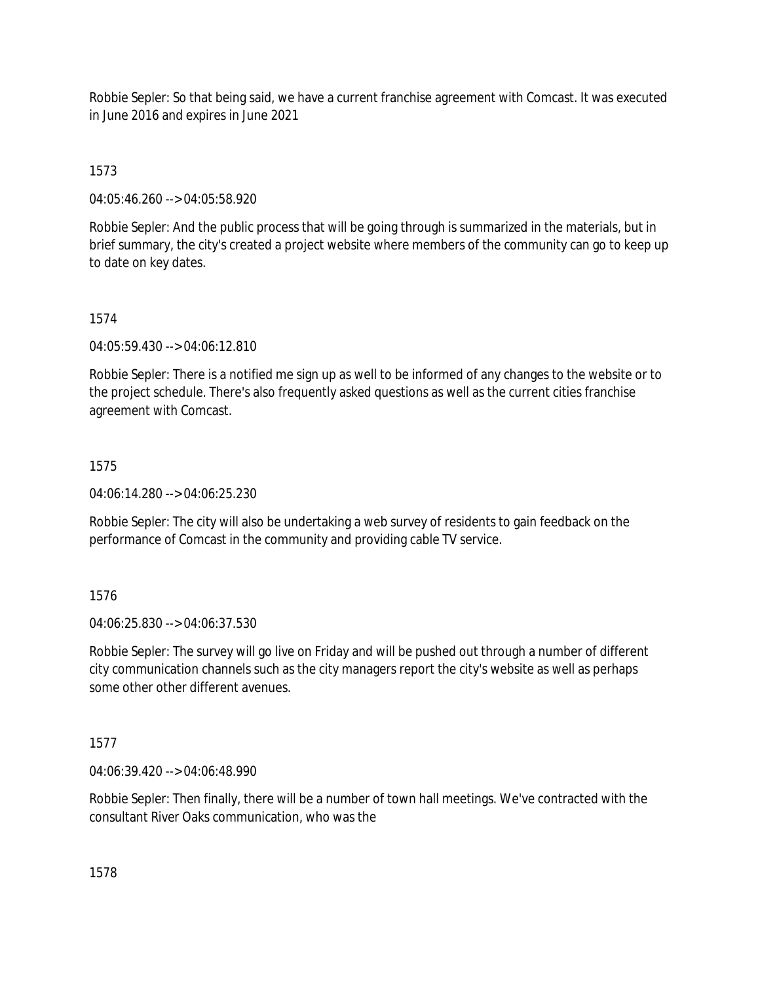Robbie Sepler: So that being said, we have a current franchise agreement with Comcast. It was executed in June 2016 and expires in June 2021

1573

04:05:46.260 --> 04:05:58.920

Robbie Sepler: And the public process that will be going through is summarized in the materials, but in brief summary, the city's created a project website where members of the community can go to keep up to date on key dates.

# 1574

04:05:59.430 --> 04:06:12.810

Robbie Sepler: There is a notified me sign up as well to be informed of any changes to the website or to the project schedule. There's also frequently asked questions as well as the current cities franchise agreement with Comcast.

# 1575

04:06:14.280 --> 04:06:25.230

Robbie Sepler: The city will also be undertaking a web survey of residents to gain feedback on the performance of Comcast in the community and providing cable TV service.

# 1576

04:06:25.830 --> 04:06:37.530

Robbie Sepler: The survey will go live on Friday and will be pushed out through a number of different city communication channels such as the city managers report the city's website as well as perhaps some other other different avenues.

### 1577

04:06:39.420 --> 04:06:48.990

Robbie Sepler: Then finally, there will be a number of town hall meetings. We've contracted with the consultant River Oaks communication, who was the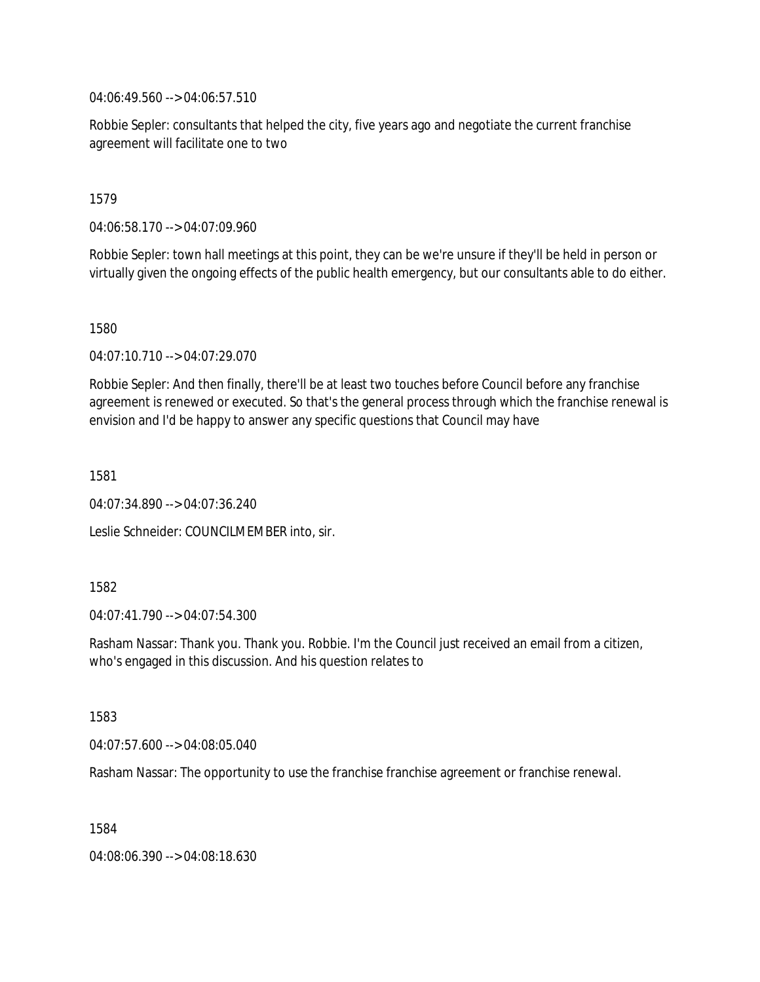04:06:49.560 --> 04:06:57.510

Robbie Sepler: consultants that helped the city, five years ago and negotiate the current franchise agreement will facilitate one to two

1579

04:06:58.170 --> 04:07:09.960

Robbie Sepler: town hall meetings at this point, they can be we're unsure if they'll be held in person or virtually given the ongoing effects of the public health emergency, but our consultants able to do either.

1580

04:07:10.710 --> 04:07:29.070

Robbie Sepler: And then finally, there'll be at least two touches before Council before any franchise agreement is renewed or executed. So that's the general process through which the franchise renewal is envision and I'd be happy to answer any specific questions that Council may have

1581

04:07:34.890 --> 04:07:36.240

Leslie Schneider: COUNCILMEMBER into, sir.

1582

04:07:41.790 --> 04:07:54.300

Rasham Nassar: Thank you. Thank you. Robbie. I'm the Council just received an email from a citizen, who's engaged in this discussion. And his question relates to

1583

04:07:57.600 --> 04:08:05.040

Rasham Nassar: The opportunity to use the franchise franchise agreement or franchise renewal.

1584

04:08:06.390 --> 04:08:18.630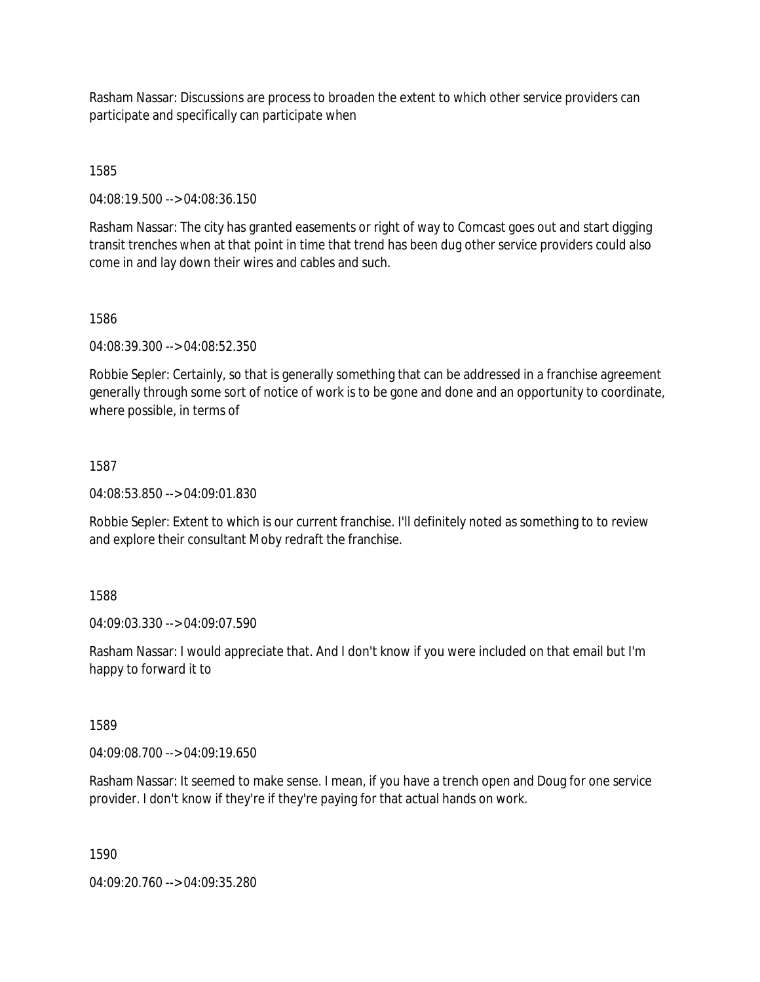Rasham Nassar: Discussions are process to broaden the extent to which other service providers can participate and specifically can participate when

1585

04:08:19.500 --> 04:08:36.150

Rasham Nassar: The city has granted easements or right of way to Comcast goes out and start digging transit trenches when at that point in time that trend has been dug other service providers could also come in and lay down their wires and cables and such.

1586

04:08:39.300 --> 04:08:52.350

Robbie Sepler: Certainly, so that is generally something that can be addressed in a franchise agreement generally through some sort of notice of work is to be gone and done and an opportunity to coordinate, where possible, in terms of

## 1587

04:08:53.850 --> 04:09:01.830

Robbie Sepler: Extent to which is our current franchise. I'll definitely noted as something to to review and explore their consultant Moby redraft the franchise.

## 1588

04:09:03.330 --> 04:09:07.590

Rasham Nassar: I would appreciate that. And I don't know if you were included on that email but I'm happy to forward it to

#### 1589

04:09:08.700 --> 04:09:19.650

Rasham Nassar: It seemed to make sense. I mean, if you have a trench open and Doug for one service provider. I don't know if they're if they're paying for that actual hands on work.

1590

04:09:20.760 --> 04:09:35.280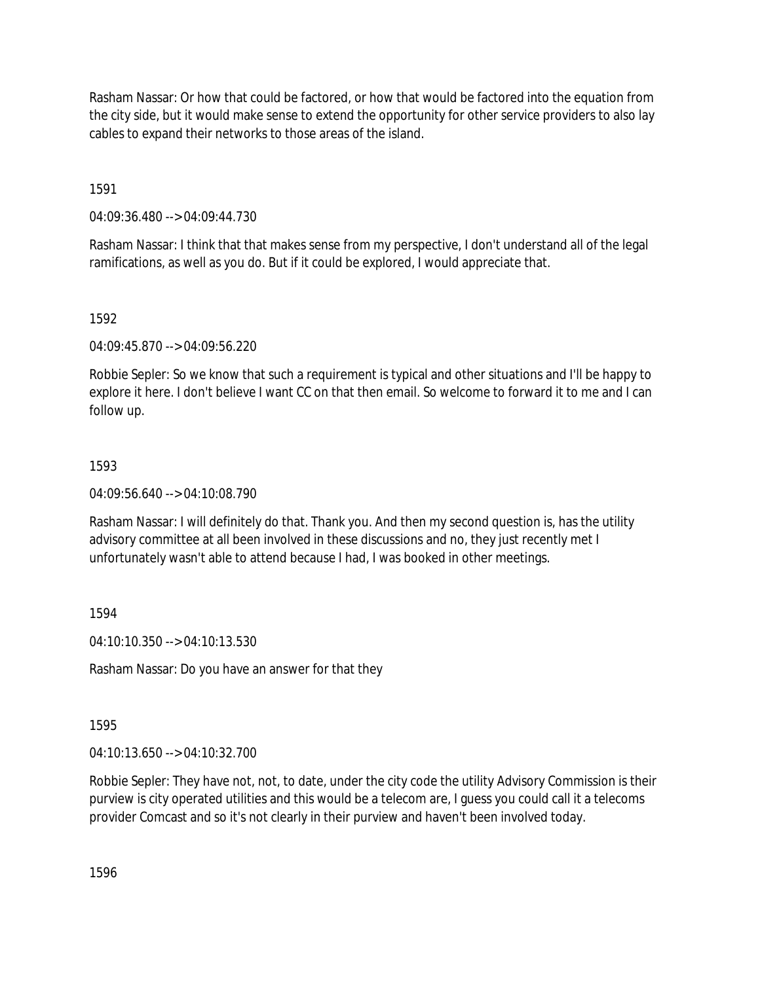Rasham Nassar: Or how that could be factored, or how that would be factored into the equation from the city side, but it would make sense to extend the opportunity for other service providers to also lay cables to expand their networks to those areas of the island.

1591

04:09:36.480 --> 04:09:44.730

Rasham Nassar: I think that that makes sense from my perspective, I don't understand all of the legal ramifications, as well as you do. But if it could be explored, I would appreciate that.

## 1592

04:09:45.870 --> 04:09:56.220

Robbie Sepler: So we know that such a requirement is typical and other situations and I'll be happy to explore it here. I don't believe I want CC on that then email. So welcome to forward it to me and I can follow up.

# 1593

04:09:56.640 --> 04:10:08.790

Rasham Nassar: I will definitely do that. Thank you. And then my second question is, has the utility advisory committee at all been involved in these discussions and no, they just recently met I unfortunately wasn't able to attend because I had, I was booked in other meetings.

1594

04:10:10.350 --> 04:10:13.530

Rasham Nassar: Do you have an answer for that they

1595

04:10:13.650 --> 04:10:32.700

Robbie Sepler: They have not, not, to date, under the city code the utility Advisory Commission is their purview is city operated utilities and this would be a telecom are, I guess you could call it a telecoms provider Comcast and so it's not clearly in their purview and haven't been involved today.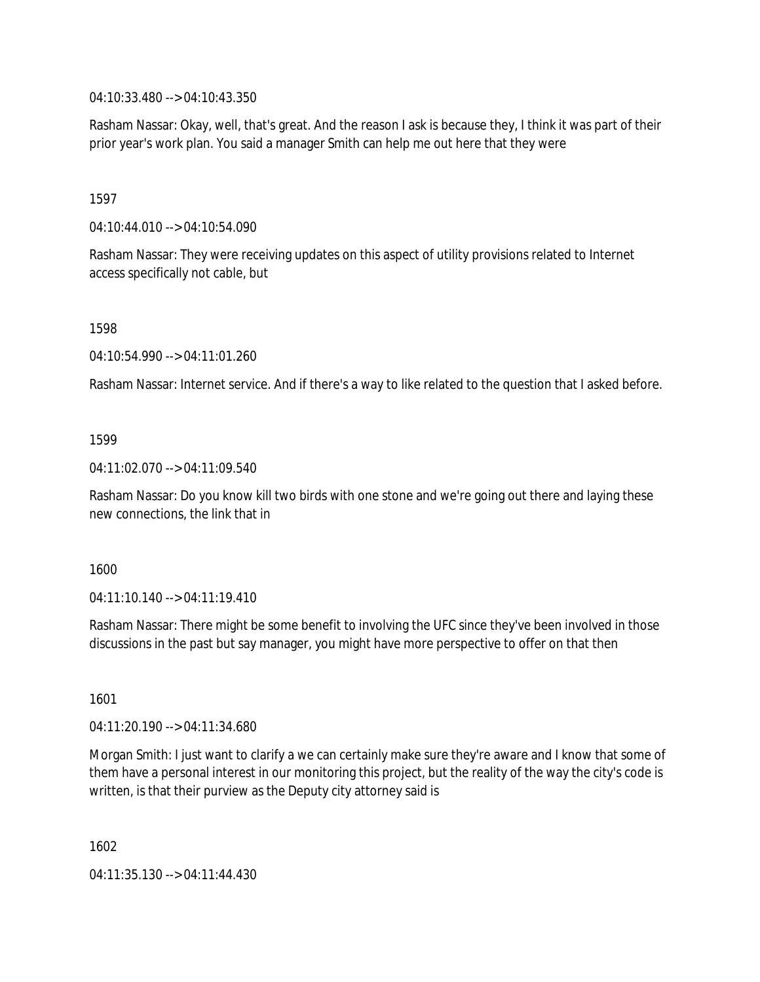04:10:33.480 --> 04:10:43.350

Rasham Nassar: Okay, well, that's great. And the reason I ask is because they, I think it was part of their prior year's work plan. You said a manager Smith can help me out here that they were

1597

04:10:44.010 --> 04:10:54.090

Rasham Nassar: They were receiving updates on this aspect of utility provisions related to Internet access specifically not cable, but

1598

04:10:54.990 --> 04:11:01.260

Rasham Nassar: Internet service. And if there's a way to like related to the question that I asked before.

## 1599

04:11:02.070 --> 04:11:09.540

Rasham Nassar: Do you know kill two birds with one stone and we're going out there and laying these new connections, the link that in

1600

04:11:10.140 --> 04:11:19.410

Rasham Nassar: There might be some benefit to involving the UFC since they've been involved in those discussions in the past but say manager, you might have more perspective to offer on that then

1601

04:11:20.190 --> 04:11:34.680

Morgan Smith: I just want to clarify a we can certainly make sure they're aware and I know that some of them have a personal interest in our monitoring this project, but the reality of the way the city's code is written, is that their purview as the Deputy city attorney said is

1602

04:11:35.130 --> 04:11:44.430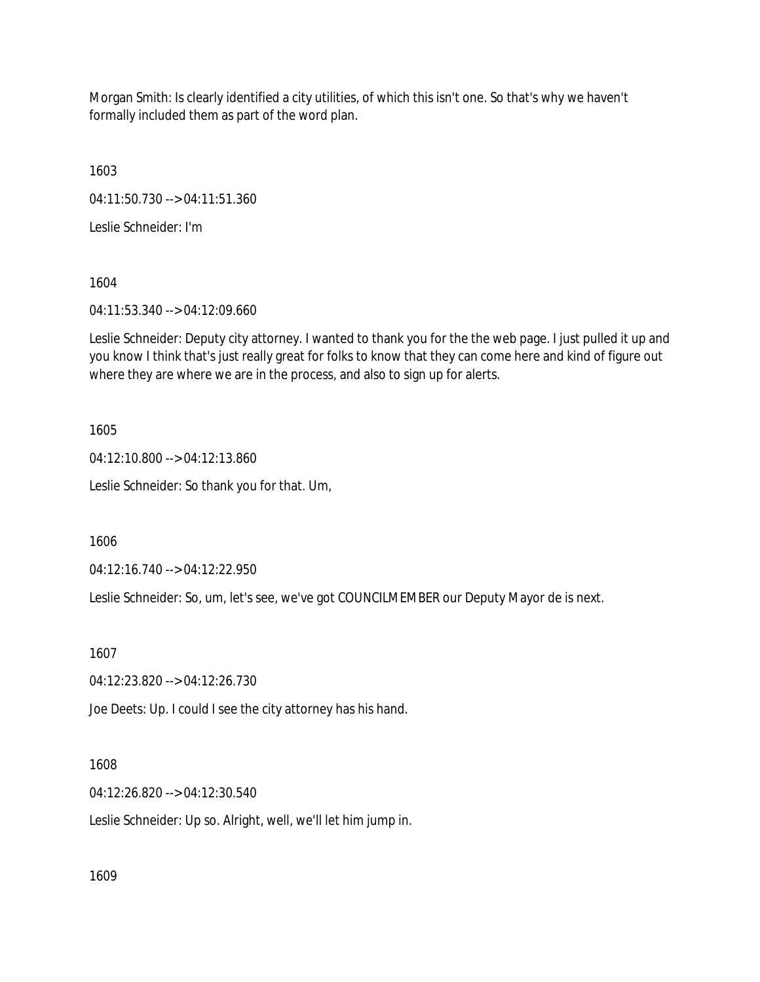Morgan Smith: Is clearly identified a city utilities, of which this isn't one. So that's why we haven't formally included them as part of the word plan.

1603

04:11:50.730 --> 04:11:51.360

Leslie Schneider: I'm

1604

04:11:53.340 --> 04:12:09.660

Leslie Schneider: Deputy city attorney. I wanted to thank you for the the web page. I just pulled it up and you know I think that's just really great for folks to know that they can come here and kind of figure out where they are where we are in the process, and also to sign up for alerts.

1605

04:12:10.800 --> 04:12:13.860

Leslie Schneider: So thank you for that. Um,

1606

04:12:16.740 --> 04:12:22.950

Leslie Schneider: So, um, let's see, we've got COUNCILMEMBER our Deputy Mayor de is next.

1607

04:12:23.820 --> 04:12:26.730

Joe Deets: Up. I could I see the city attorney has his hand.

1608

04:12:26.820 --> 04:12:30.540

Leslie Schneider: Up so. Alright, well, we'll let him jump in.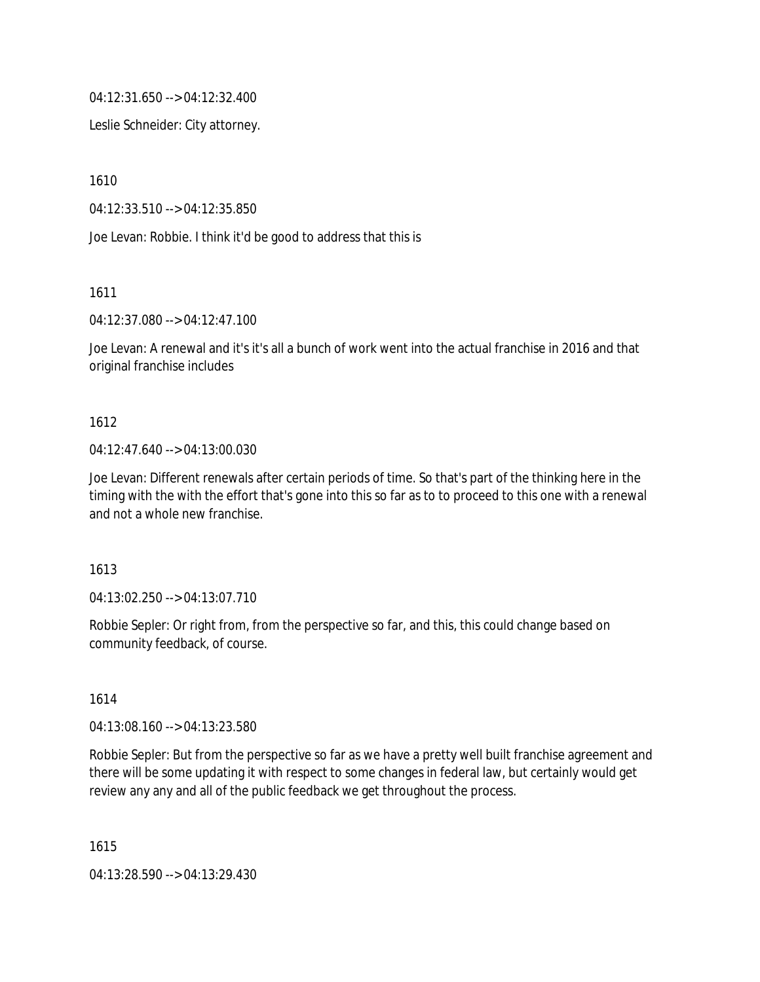04:12:31.650 --> 04:12:32.400

Leslie Schneider: City attorney.

1610

04:12:33.510 --> 04:12:35.850

Joe Levan: Robbie. I think it'd be good to address that this is

1611

04:12:37.080 --> 04:12:47.100

Joe Levan: A renewal and it's it's all a bunch of work went into the actual franchise in 2016 and that original franchise includes

## 1612

## 04:12:47.640 --> 04:13:00.030

Joe Levan: Different renewals after certain periods of time. So that's part of the thinking here in the timing with the with the effort that's gone into this so far as to to proceed to this one with a renewal and not a whole new franchise.

1613

04:13:02.250 --> 04:13:07.710

Robbie Sepler: Or right from, from the perspective so far, and this, this could change based on community feedback, of course.

## 1614

04:13:08.160 --> 04:13:23.580

Robbie Sepler: But from the perspective so far as we have a pretty well built franchise agreement and there will be some updating it with respect to some changes in federal law, but certainly would get review any any and all of the public feedback we get throughout the process.

1615

04:13:28.590 --> 04:13:29.430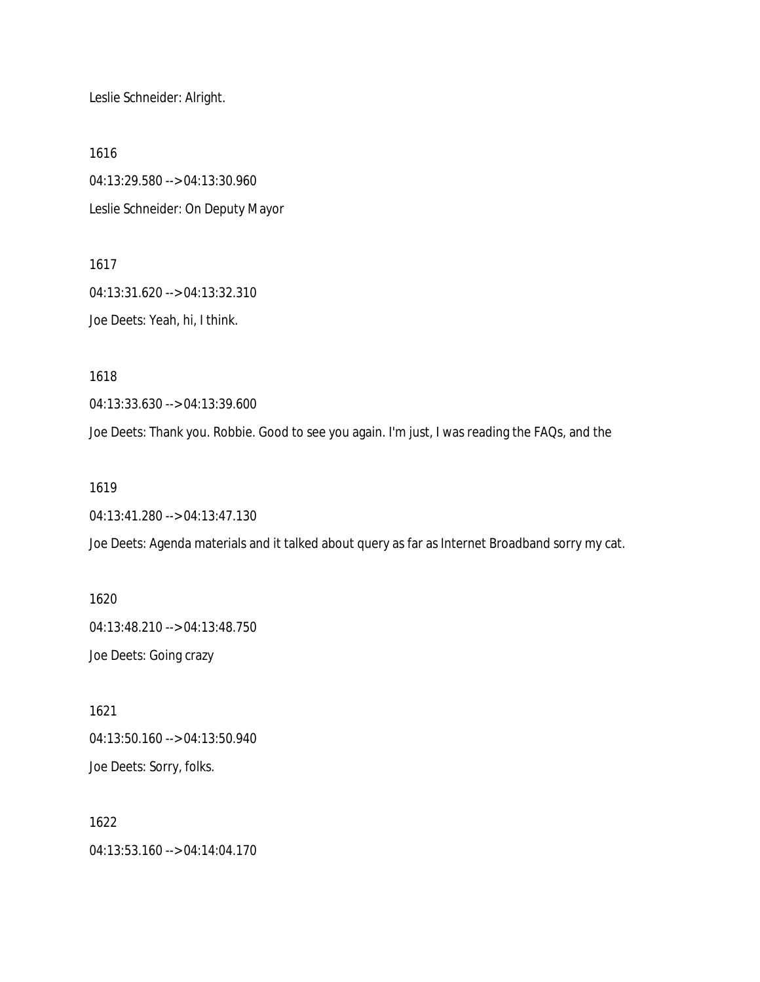Leslie Schneider: Alright.

1616 04:13:29.580 --> 04:13:30.960 Leslie Schneider: On Deputy Mayor

1617 04:13:31.620 --> 04:13:32.310 Joe Deets: Yeah, hi, I think.

1618

04:13:33.630 --> 04:13:39.600

Joe Deets: Thank you. Robbie. Good to see you again. I'm just, I was reading the FAQs, and the

1619

04:13:41.280 --> 04:13:47.130

Joe Deets: Agenda materials and it talked about query as far as Internet Broadband sorry my cat.

1620 04:13:48.210 --> 04:13:48.750 Joe Deets: Going crazy

1621 04:13:50.160 --> 04:13:50.940 Joe Deets: Sorry, folks.

1622 04:13:53.160 --> 04:14:04.170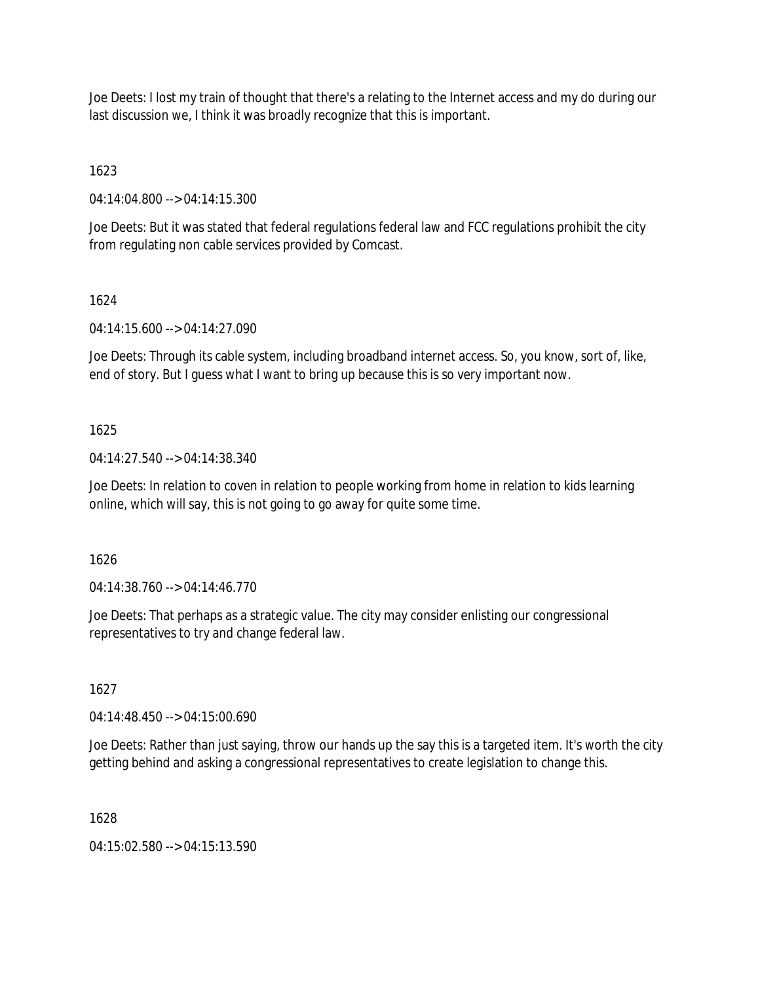Joe Deets: I lost my train of thought that there's a relating to the Internet access and my do during our last discussion we, I think it was broadly recognize that this is important.

1623

04:14:04.800 --> 04:14:15.300

Joe Deets: But it was stated that federal regulations federal law and FCC regulations prohibit the city from regulating non cable services provided by Comcast.

# 1624

04:14:15.600 --> 04:14:27.090

Joe Deets: Through its cable system, including broadband internet access. So, you know, sort of, like, end of story. But I guess what I want to bring up because this is so very important now.

# 1625

04:14:27.540 --> 04:14:38.340

Joe Deets: In relation to coven in relation to people working from home in relation to kids learning online, which will say, this is not going to go away for quite some time.

1626

04:14:38.760 --> 04:14:46.770

Joe Deets: That perhaps as a strategic value. The city may consider enlisting our congressional representatives to try and change federal law.

1627

04:14:48.450 --> 04:15:00.690

Joe Deets: Rather than just saying, throw our hands up the say this is a targeted item. It's worth the city getting behind and asking a congressional representatives to create legislation to change this.

1628

04:15:02.580 --> 04:15:13.590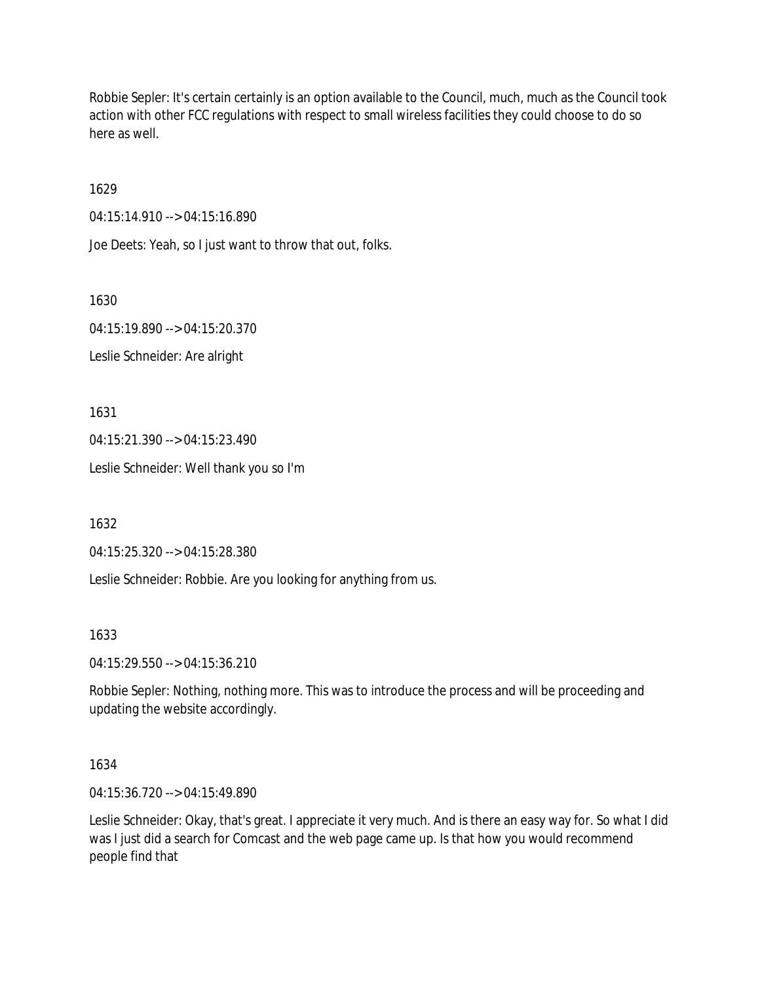Robbie Sepler: It's certain certainly is an option available to the Council, much, much as the Council took action with other FCC regulations with respect to small wireless facilities they could choose to do so here as well.

1629

04:15:14.910 --> 04:15:16.890

Joe Deets: Yeah, so I just want to throw that out, folks.

1630

04:15:19.890 --> 04:15:20.370 Leslie Schneider: Are alright

1631

04:15:21.390 --> 04:15:23.490

Leslie Schneider: Well thank you so I'm

1632

04:15:25.320 --> 04:15:28.380

Leslie Schneider: Robbie. Are you looking for anything from us.

1633

04:15:29.550 --> 04:15:36.210

Robbie Sepler: Nothing, nothing more. This was to introduce the process and will be proceeding and updating the website accordingly.

## 1634

04:15:36.720 --> 04:15:49.890

Leslie Schneider: Okay, that's great. I appreciate it very much. And is there an easy way for. So what I did was I just did a search for Comcast and the web page came up. Is that how you would recommend people find that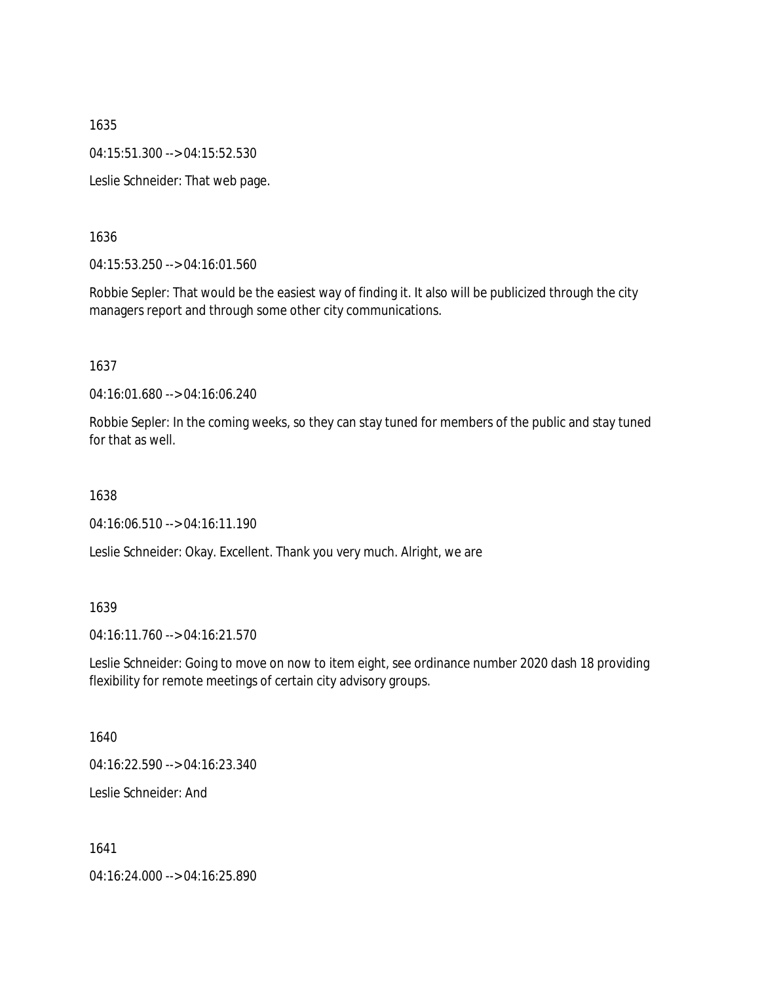1635 04:15:51.300 --> 04:15:52.530 Leslie Schneider: That web page.

1636

04:15:53.250 --> 04:16:01.560

Robbie Sepler: That would be the easiest way of finding it. It also will be publicized through the city managers report and through some other city communications.

1637

04:16:01.680 --> 04:16:06.240

Robbie Sepler: In the coming weeks, so they can stay tuned for members of the public and stay tuned for that as well

1638

04:16:06.510 --> 04:16:11.190

Leslie Schneider: Okay. Excellent. Thank you very much. Alright, we are

1639

04:16:11.760 --> 04:16:21.570

Leslie Schneider: Going to move on now to item eight, see ordinance number 2020 dash 18 providing flexibility for remote meetings of certain city advisory groups.

1640

04:16:22.590 --> 04:16:23.340

Leslie Schneider: And

1641

04:16:24.000 --> 04:16:25.890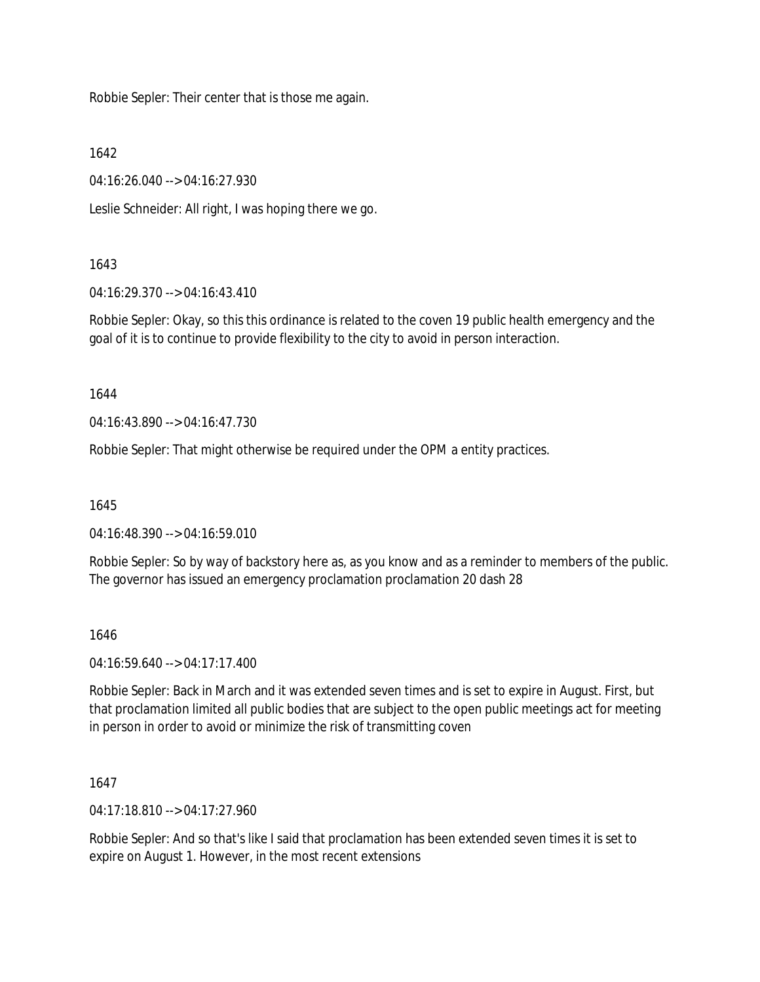Robbie Sepler: Their center that is those me again.

1642

04:16:26.040 --> 04:16:27.930

Leslie Schneider: All right, I was hoping there we go.

# 1643

04:16:29.370 --> 04:16:43.410

Robbie Sepler: Okay, so this this ordinance is related to the coven 19 public health emergency and the goal of it is to continue to provide flexibility to the city to avoid in person interaction.

1644

04:16:43.890 --> 04:16:47.730

Robbie Sepler: That might otherwise be required under the OPM a entity practices.

1645

04:16:48.390 --> 04:16:59.010

Robbie Sepler: So by way of backstory here as, as you know and as a reminder to members of the public. The governor has issued an emergency proclamation proclamation 20 dash 28

## 1646

04:16:59.640 --> 04:17:17.400

Robbie Sepler: Back in March and it was extended seven times and is set to expire in August. First, but that proclamation limited all public bodies that are subject to the open public meetings act for meeting in person in order to avoid or minimize the risk of transmitting coven

1647

04:17:18.810 --> 04:17:27.960

Robbie Sepler: And so that's like I said that proclamation has been extended seven times it is set to expire on August 1. However, in the most recent extensions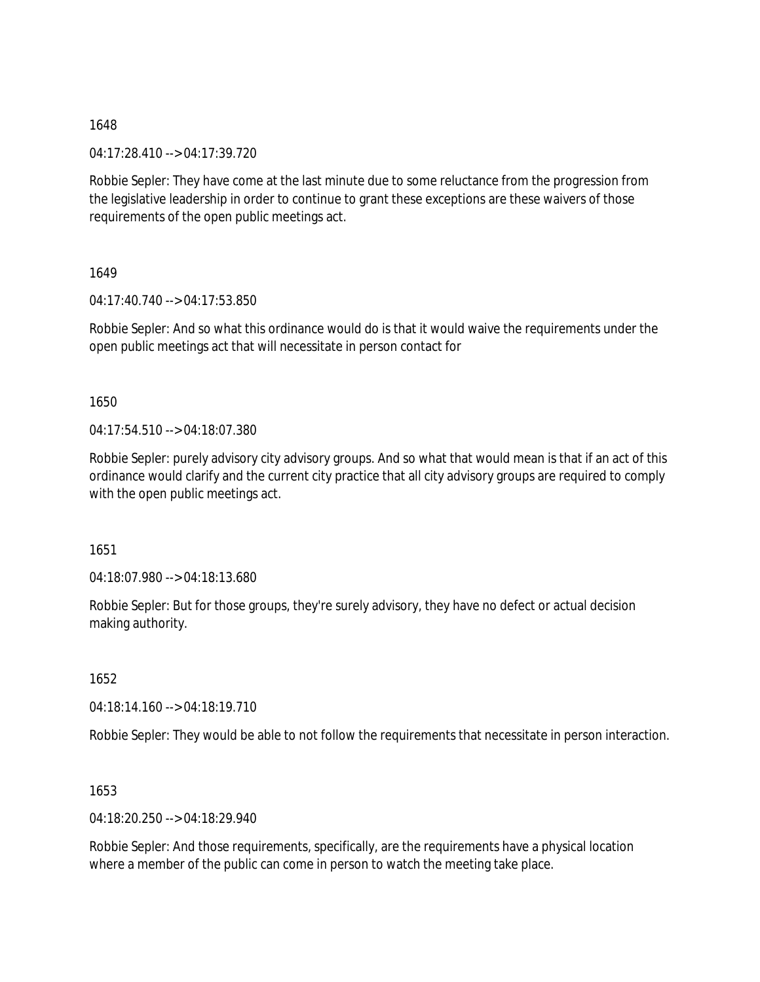04:17:28.410 --> 04:17:39.720

Robbie Sepler: They have come at the last minute due to some reluctance from the progression from the legislative leadership in order to continue to grant these exceptions are these waivers of those requirements of the open public meetings act.

1649

04:17:40.740 --> 04:17:53.850

Robbie Sepler: And so what this ordinance would do is that it would waive the requirements under the open public meetings act that will necessitate in person contact for

1650

04:17:54.510 --> 04:18:07.380

Robbie Sepler: purely advisory city advisory groups. And so what that would mean is that if an act of this ordinance would clarify and the current city practice that all city advisory groups are required to comply with the open public meetings act.

1651

04:18:07.980 --> 04:18:13.680

Robbie Sepler: But for those groups, they're surely advisory, they have no defect or actual decision making authority.

1652

04:18:14.160 --> 04:18:19.710

Robbie Sepler: They would be able to not follow the requirements that necessitate in person interaction.

1653

04:18:20.250 --> 04:18:29.940

Robbie Sepler: And those requirements, specifically, are the requirements have a physical location where a member of the public can come in person to watch the meeting take place.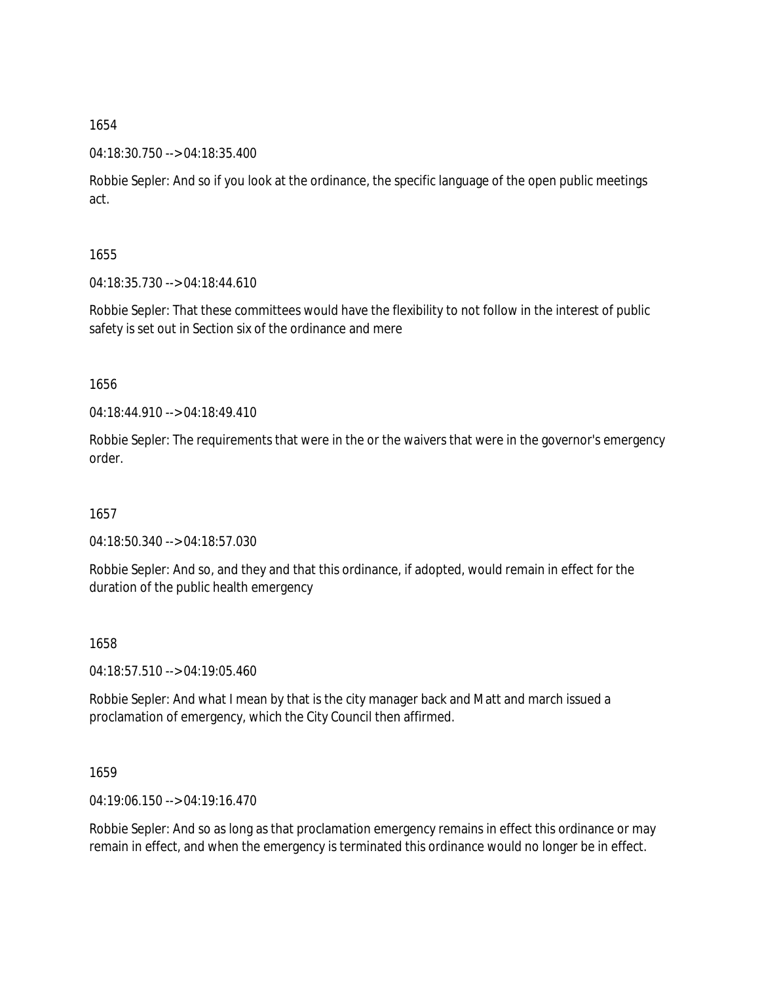04:18:30.750 --> 04:18:35.400

Robbie Sepler: And so if you look at the ordinance, the specific language of the open public meetings act.

1655

04:18:35.730 --> 04:18:44.610

Robbie Sepler: That these committees would have the flexibility to not follow in the interest of public safety is set out in Section six of the ordinance and mere

1656

04:18:44.910 --> 04:18:49.410

Robbie Sepler: The requirements that were in the or the waivers that were in the governor's emergency order.

1657

04:18:50.340 --> 04:18:57.030

Robbie Sepler: And so, and they and that this ordinance, if adopted, would remain in effect for the duration of the public health emergency

1658

04:18:57.510 --> 04:19:05.460

Robbie Sepler: And what I mean by that is the city manager back and Matt and march issued a proclamation of emergency, which the City Council then affirmed.

1659

04:19:06.150 --> 04:19:16.470

Robbie Sepler: And so as long as that proclamation emergency remains in effect this ordinance or may remain in effect, and when the emergency is terminated this ordinance would no longer be in effect.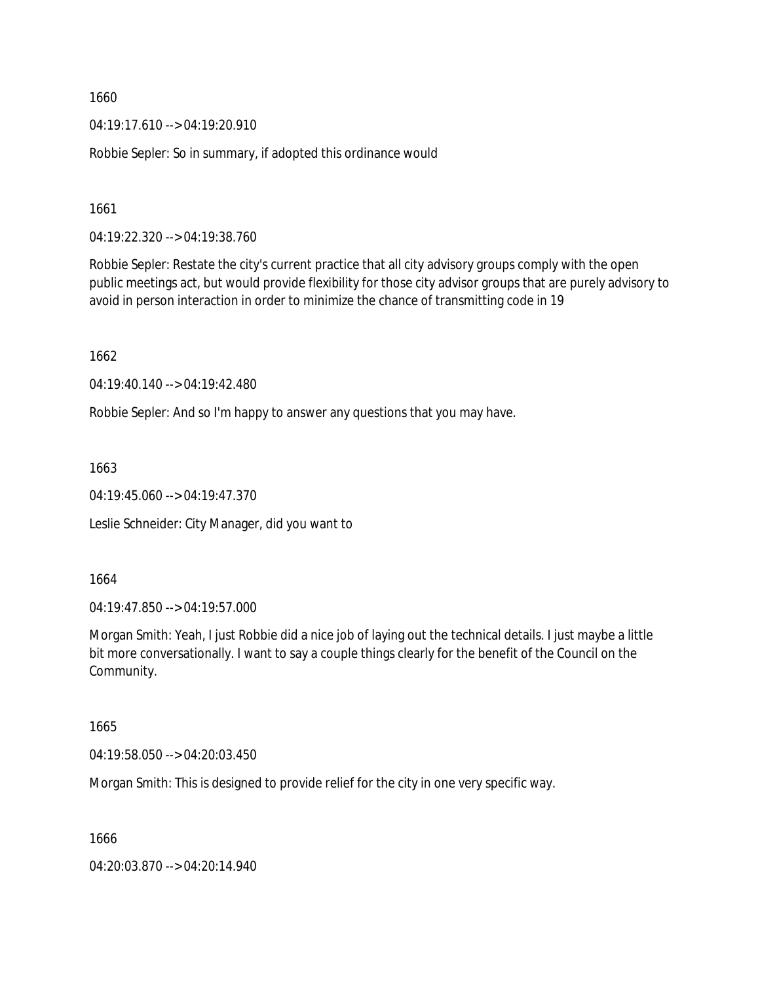04:19:17.610 --> 04:19:20.910

Robbie Sepler: So in summary, if adopted this ordinance would

1661

04:19:22.320 --> 04:19:38.760

Robbie Sepler: Restate the city's current practice that all city advisory groups comply with the open public meetings act, but would provide flexibility for those city advisor groups that are purely advisory to avoid in person interaction in order to minimize the chance of transmitting code in 19

1662

04:19:40.140 --> 04:19:42.480

Robbie Sepler: And so I'm happy to answer any questions that you may have.

1663

04:19:45.060 --> 04:19:47.370

Leslie Schneider: City Manager, did you want to

1664

04:19:47.850 --> 04:19:57.000

Morgan Smith: Yeah, I just Robbie did a nice job of laying out the technical details. I just maybe a little bit more conversationally. I want to say a couple things clearly for the benefit of the Council on the Community.

1665

04:19:58.050 --> 04:20:03.450

Morgan Smith: This is designed to provide relief for the city in one very specific way.

1666

04:20:03.870 --> 04:20:14.940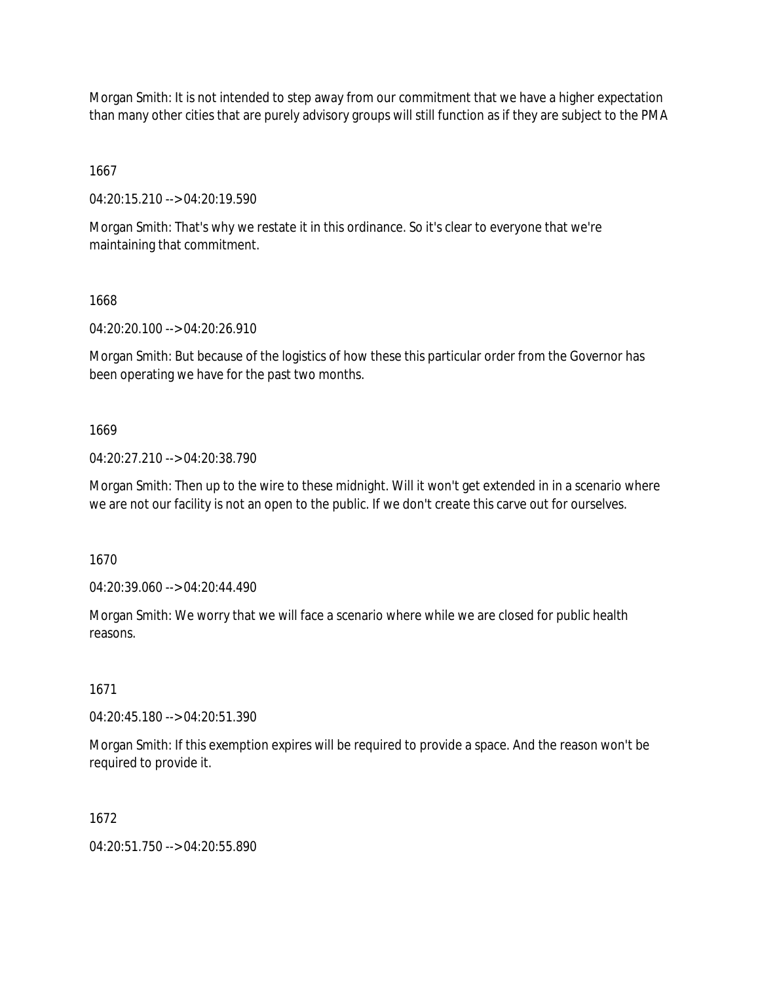Morgan Smith: It is not intended to step away from our commitment that we have a higher expectation than many other cities that are purely advisory groups will still function as if they are subject to the PMA

1667

04:20:15.210 --> 04:20:19.590

Morgan Smith: That's why we restate it in this ordinance. So it's clear to everyone that we're maintaining that commitment.

1668

04:20:20.100 --> 04:20:26.910

Morgan Smith: But because of the logistics of how these this particular order from the Governor has been operating we have for the past two months.

1669

04:20:27.210 --> 04:20:38.790

Morgan Smith: Then up to the wire to these midnight. Will it won't get extended in in a scenario where we are not our facility is not an open to the public. If we don't create this carve out for ourselves.

1670

04:20:39.060 --> 04:20:44.490

Morgan Smith: We worry that we will face a scenario where while we are closed for public health reasons.

1671

04:20:45.180 --> 04:20:51.390

Morgan Smith: If this exemption expires will be required to provide a space. And the reason won't be required to provide it.

1672

04:20:51.750 --> 04:20:55.890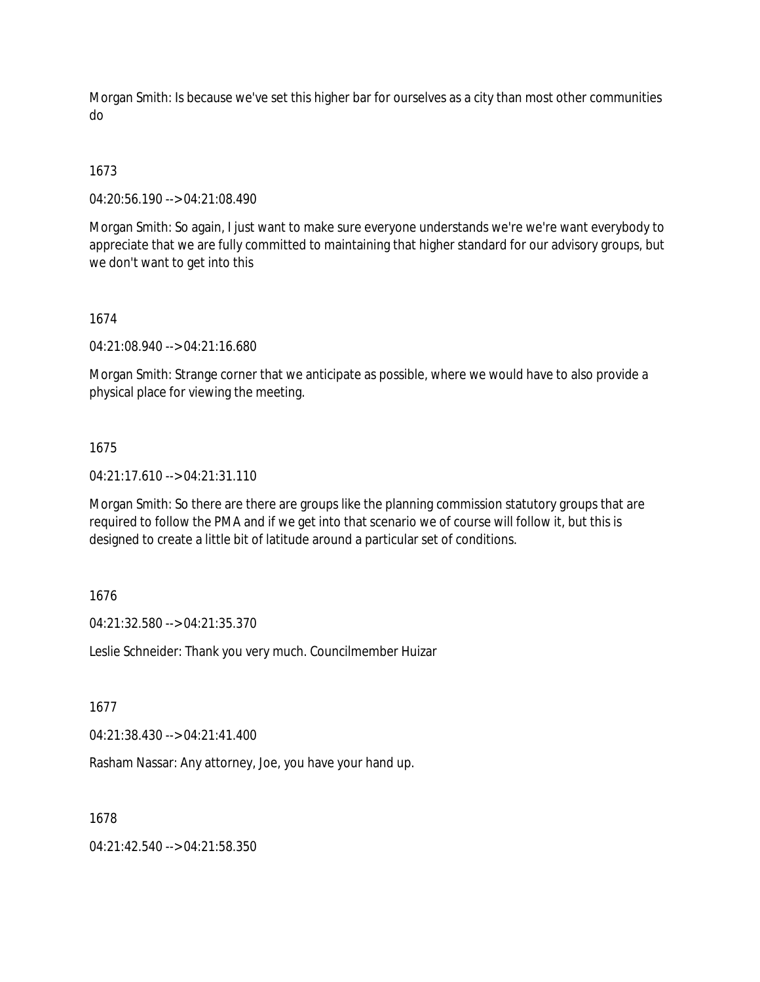Morgan Smith: Is because we've set this higher bar for ourselves as a city than most other communities do

# 1673

04:20:56.190 --> 04:21:08.490

Morgan Smith: So again, I just want to make sure everyone understands we're we're want everybody to appreciate that we are fully committed to maintaining that higher standard for our advisory groups, but we don't want to get into this

## 1674

04:21:08.940 --> 04:21:16.680

Morgan Smith: Strange corner that we anticipate as possible, where we would have to also provide a physical place for viewing the meeting.

## 1675

04:21:17.610 --> 04:21:31.110

Morgan Smith: So there are there are groups like the planning commission statutory groups that are required to follow the PMA and if we get into that scenario we of course will follow it, but this is designed to create a little bit of latitude around a particular set of conditions.

## 1676

04:21:32.580 --> 04:21:35.370

Leslie Schneider: Thank you very much. Councilmember Huizar

## 1677

04:21:38.430 --> 04:21:41.400

Rasham Nassar: Any attorney, Joe, you have your hand up.

# 1678

04:21:42.540 --> 04:21:58.350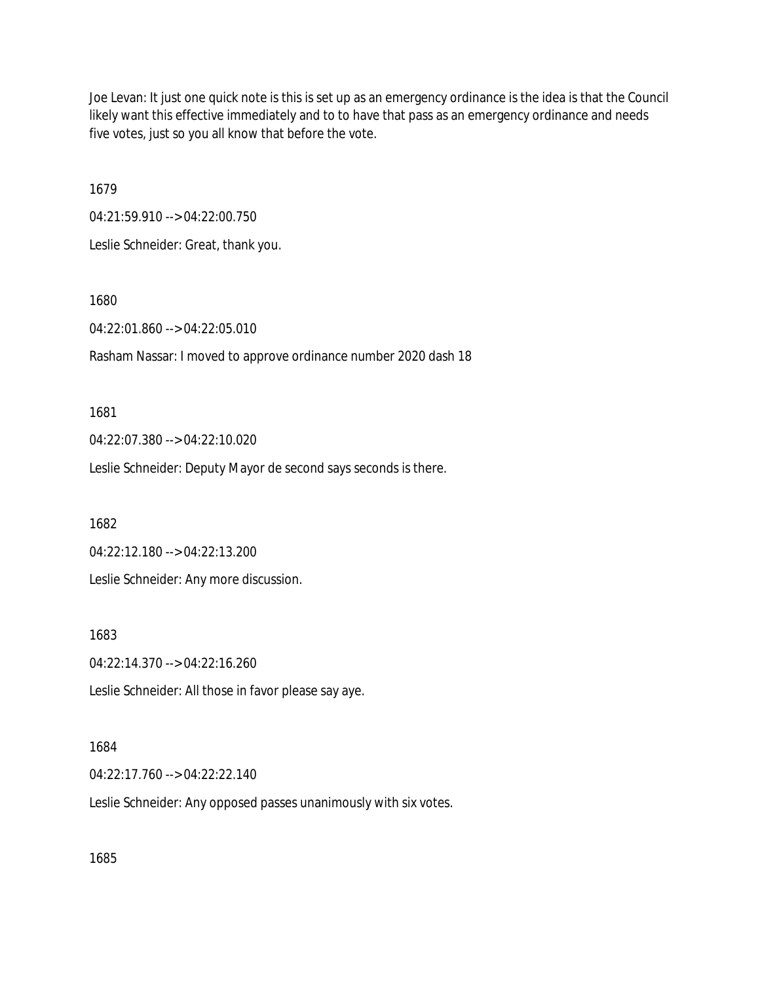Joe Levan: It just one quick note is this is set up as an emergency ordinance is the idea is that the Council likely want this effective immediately and to to have that pass as an emergency ordinance and needs five votes, just so you all know that before the vote.

1679

04:21:59.910 --> 04:22:00.750 Leslie Schneider: Great, thank you.

1680

04:22:01.860 --> 04:22:05.010

Rasham Nassar: I moved to approve ordinance number 2020 dash 18

1681

04:22:07.380 --> 04:22:10.020

Leslie Schneider: Deputy Mayor de second says seconds is there.

1682

04:22:12.180 --> 04:22:13.200

Leslie Schneider: Any more discussion.

1683

04:22:14.370 --> 04:22:16.260

Leslie Schneider: All those in favor please say aye.

## 1684

04:22:17.760 --> 04:22:22.140

Leslie Schneider: Any opposed passes unanimously with six votes.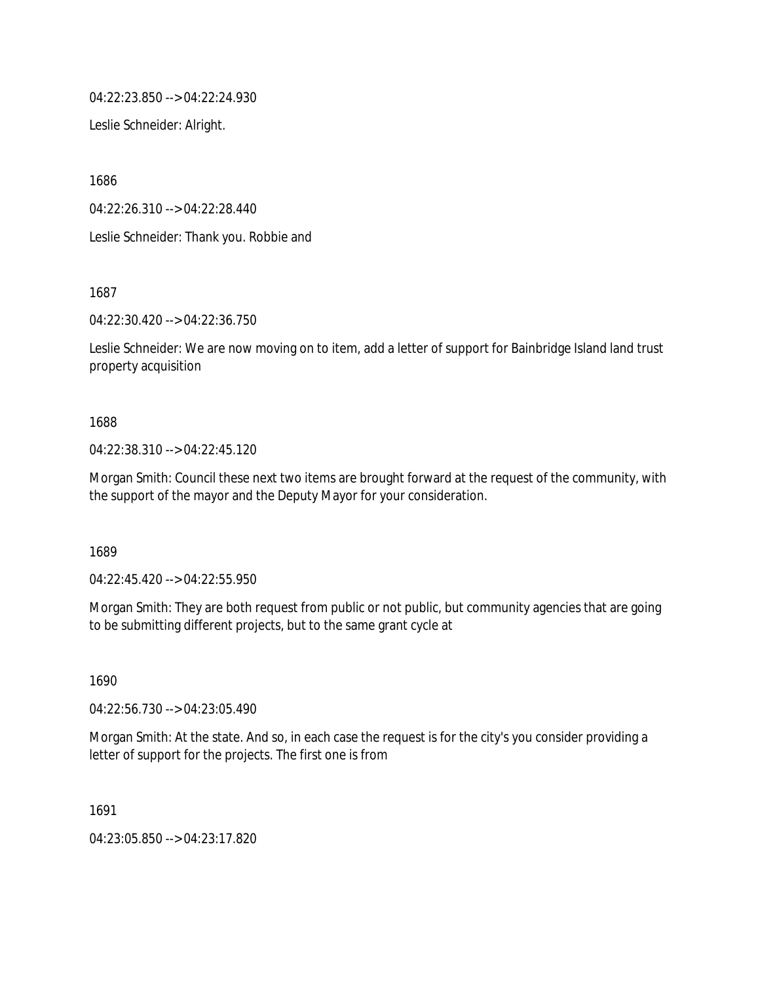04:22:23.850 --> 04:22:24.930

Leslie Schneider: Alright.

1686

04:22:26.310 --> 04:22:28.440

Leslie Schneider: Thank you. Robbie and

1687

04:22:30.420 --> 04:22:36.750

Leslie Schneider: We are now moving on to item, add a letter of support for Bainbridge Island land trust property acquisition

1688

04:22:38.310 --> 04:22:45.120

Morgan Smith: Council these next two items are brought forward at the request of the community, with the support of the mayor and the Deputy Mayor for your consideration.

1689

04:22:45.420 --> 04:22:55.950

Morgan Smith: They are both request from public or not public, but community agencies that are going to be submitting different projects, but to the same grant cycle at

1690

04:22:56.730 --> 04:23:05.490

Morgan Smith: At the state. And so, in each case the request is for the city's you consider providing a letter of support for the projects. The first one is from

1691

04:23:05.850 --> 04:23:17.820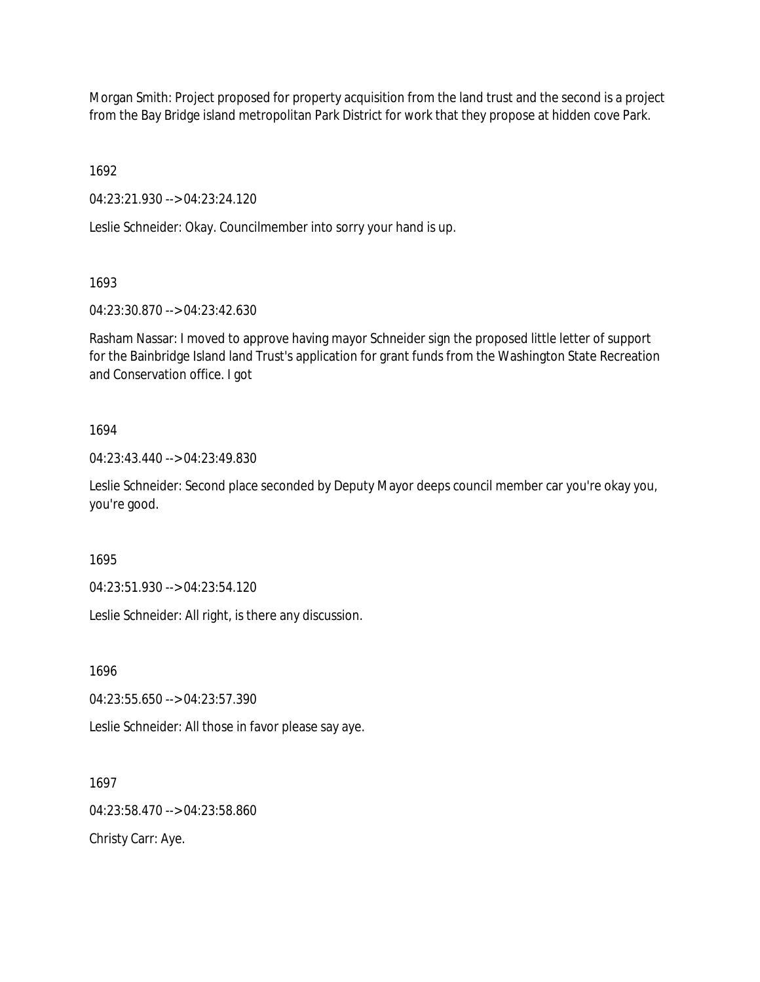Morgan Smith: Project proposed for property acquisition from the land trust and the second is a project from the Bay Bridge island metropolitan Park District for work that they propose at hidden cove Park.

1692

04:23:21.930 --> 04:23:24.120

Leslie Schneider: Okay. Councilmember into sorry your hand is up.

1693

04:23:30.870 --> 04:23:42.630

Rasham Nassar: I moved to approve having mayor Schneider sign the proposed little letter of support for the Bainbridge Island land Trust's application for grant funds from the Washington State Recreation and Conservation office. I got

## 1694

04:23:43.440 --> 04:23:49.830

Leslie Schneider: Second place seconded by Deputy Mayor deeps council member car you're okay you, you're good.

1695

04:23:51.930 --> 04:23:54.120

Leslie Schneider: All right, is there any discussion.

1696

04:23:55.650 --> 04:23:57.390

Leslie Schneider: All those in favor please say aye.

1697

04:23:58.470 --> 04:23:58.860

Christy Carr: Aye.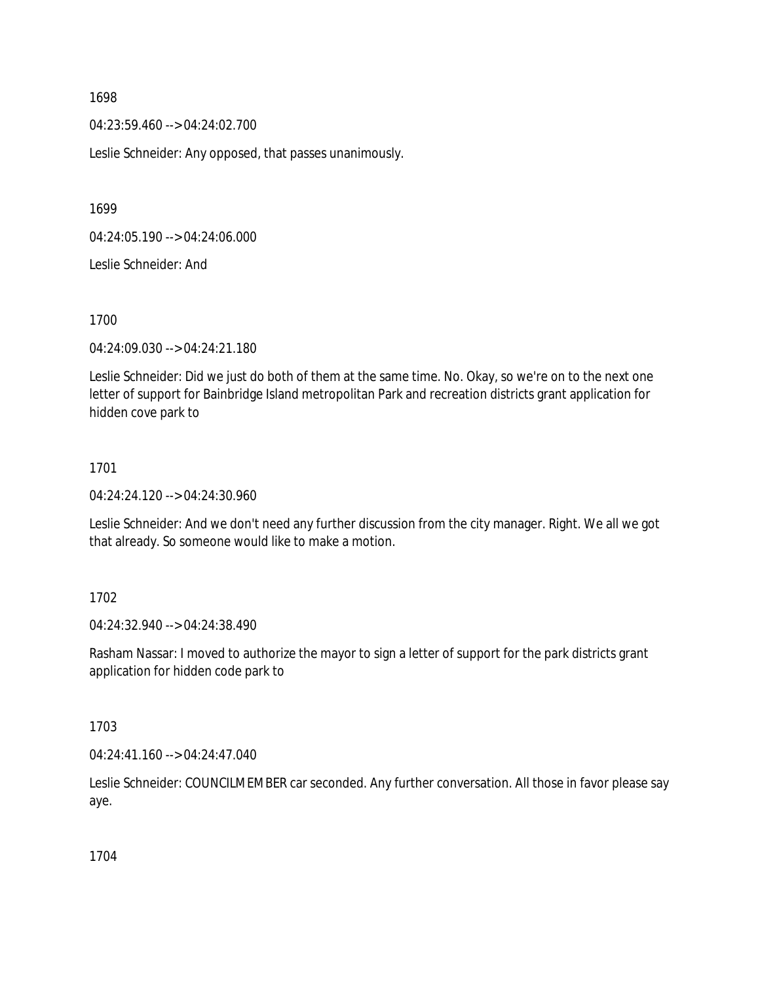04:23:59.460 --> 04:24:02.700

Leslie Schneider: Any opposed, that passes unanimously.

1699

04:24:05.190 --> 04:24:06.000

Leslie Schneider: And

1700

04:24:09.030 --> 04:24:21.180

Leslie Schneider: Did we just do both of them at the same time. No. Okay, so we're on to the next one letter of support for Bainbridge Island metropolitan Park and recreation districts grant application for hidden cove park to

#### 1701

04:24:24.120 --> 04:24:30.960

Leslie Schneider: And we don't need any further discussion from the city manager. Right. We all we got that already. So someone would like to make a motion.

#### 1702

04:24:32.940 --> 04:24:38.490

Rasham Nassar: I moved to authorize the mayor to sign a letter of support for the park districts grant application for hidden code park to

#### 1703

04:24:41.160 --> 04:24:47.040

Leslie Schneider: COUNCILMEMBER car seconded. Any further conversation. All those in favor please say aye.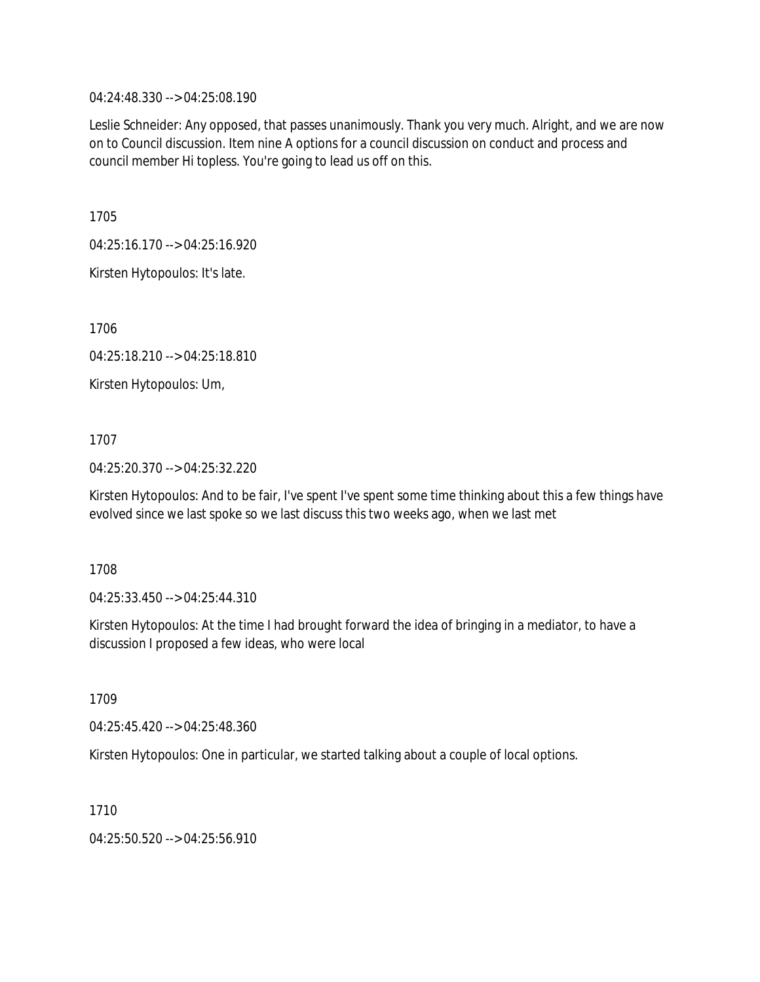04:24:48.330 --> 04:25:08.190

Leslie Schneider: Any opposed, that passes unanimously. Thank you very much. Alright, and we are now on to Council discussion. Item nine A options for a council discussion on conduct and process and council member Hi topless. You're going to lead us off on this.

1705

04:25:16.170 --> 04:25:16.920

Kirsten Hytopoulos: It's late.

1706

04:25:18.210 --> 04:25:18.810

Kirsten Hytopoulos: Um,

1707

04:25:20.370 --> 04:25:32.220

Kirsten Hytopoulos: And to be fair, I've spent I've spent some time thinking about this a few things have evolved since we last spoke so we last discuss this two weeks ago, when we last met

1708

04:25:33.450 --> 04:25:44.310

Kirsten Hytopoulos: At the time I had brought forward the idea of bringing in a mediator, to have a discussion I proposed a few ideas, who were local

1709

04:25:45.420 --> 04:25:48.360

Kirsten Hytopoulos: One in particular, we started talking about a couple of local options.

1710

04:25:50.520 --> 04:25:56.910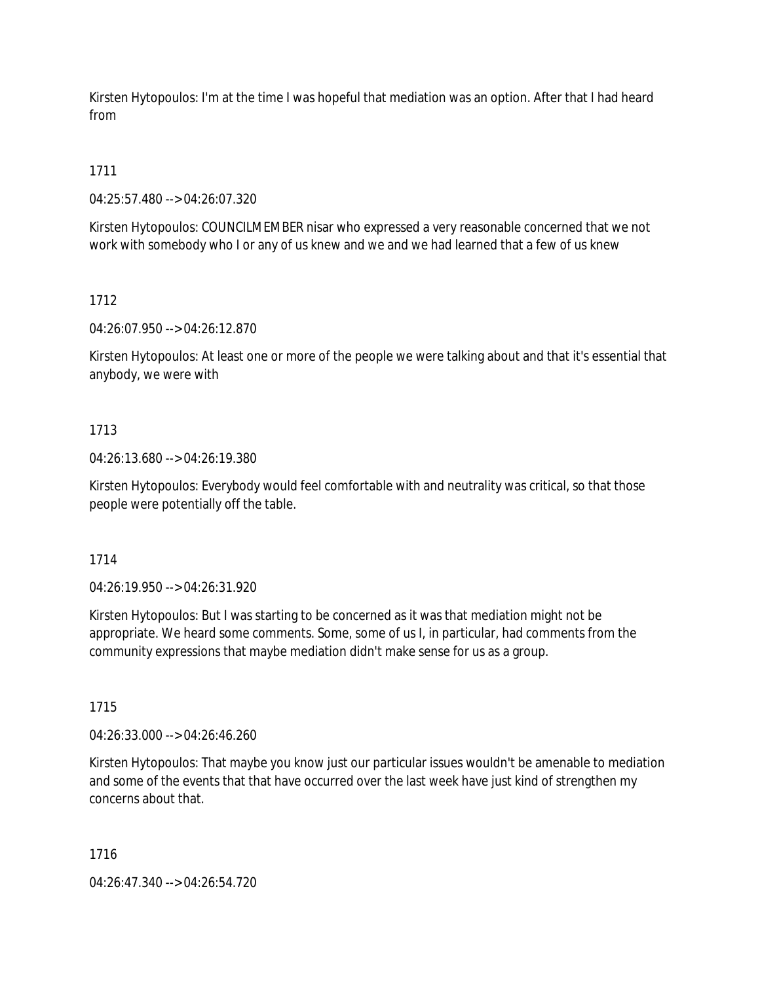Kirsten Hytopoulos: I'm at the time I was hopeful that mediation was an option. After that I had heard from

# 1711

04:25:57.480 --> 04:26:07.320

Kirsten Hytopoulos: COUNCILMEMBER nisar who expressed a very reasonable concerned that we not work with somebody who I or any of us knew and we and we had learned that a few of us knew

# 1712

04:26:07.950 --> 04:26:12.870

Kirsten Hytopoulos: At least one or more of the people we were talking about and that it's essential that anybody, we were with

# 1713

04:26:13.680 --> 04:26:19.380

Kirsten Hytopoulos: Everybody would feel comfortable with and neutrality was critical, so that those people were potentially off the table.

## 1714

04:26:19.950 --> 04:26:31.920

Kirsten Hytopoulos: But I was starting to be concerned as it was that mediation might not be appropriate. We heard some comments. Some, some of us I, in particular, had comments from the community expressions that maybe mediation didn't make sense for us as a group.

# 1715

04:26:33.000 --> 04:26:46.260

Kirsten Hytopoulos: That maybe you know just our particular issues wouldn't be amenable to mediation and some of the events that that have occurred over the last week have just kind of strengthen my concerns about that.

1716

04:26:47.340 --> 04:26:54.720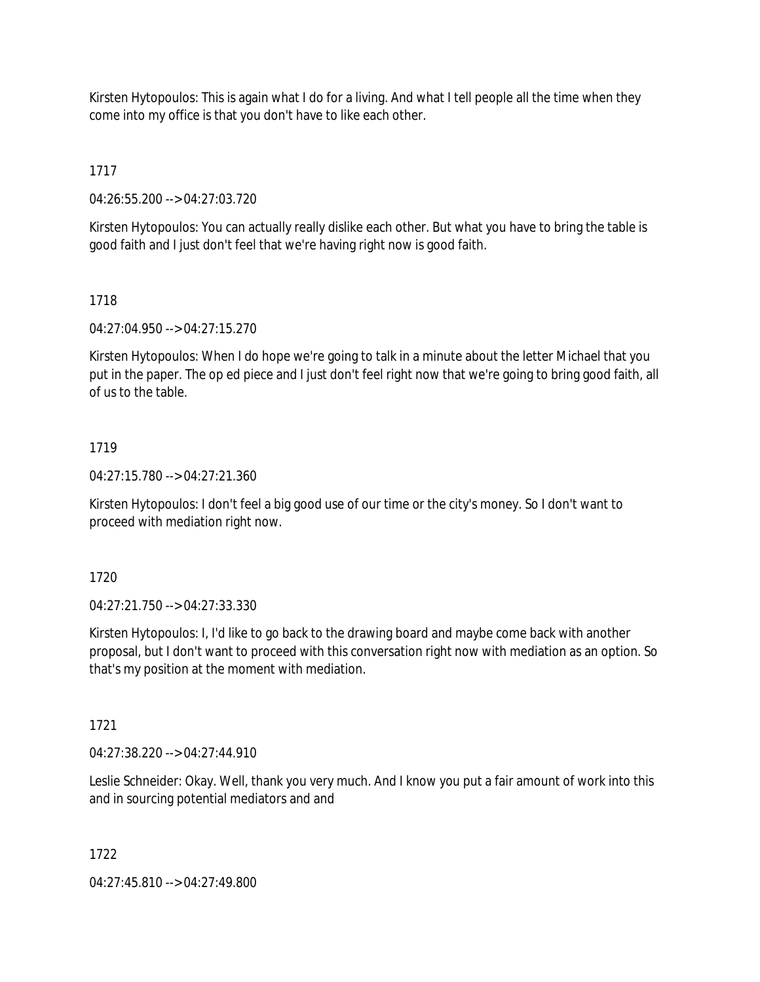Kirsten Hytopoulos: This is again what I do for a living. And what I tell people all the time when they come into my office is that you don't have to like each other.

1717

04:26:55.200 --> 04:27:03.720

Kirsten Hytopoulos: You can actually really dislike each other. But what you have to bring the table is good faith and I just don't feel that we're having right now is good faith.

# 1718

04:27:04.950 --> 04:27:15.270

Kirsten Hytopoulos: When I do hope we're going to talk in a minute about the letter Michael that you put in the paper. The op ed piece and I just don't feel right now that we're going to bring good faith, all of us to the table.

# 1719

04:27:15.780 --> 04:27:21.360

Kirsten Hytopoulos: I don't feel a big good use of our time or the city's money. So I don't want to proceed with mediation right now.

1720

04:27:21.750 --> 04:27:33.330

Kirsten Hytopoulos: I, I'd like to go back to the drawing board and maybe come back with another proposal, but I don't want to proceed with this conversation right now with mediation as an option. So that's my position at the moment with mediation.

1721

04:27:38.220 --> 04:27:44.910

Leslie Schneider: Okay. Well, thank you very much. And I know you put a fair amount of work into this and in sourcing potential mediators and and

1722

04:27:45.810 --> 04:27:49.800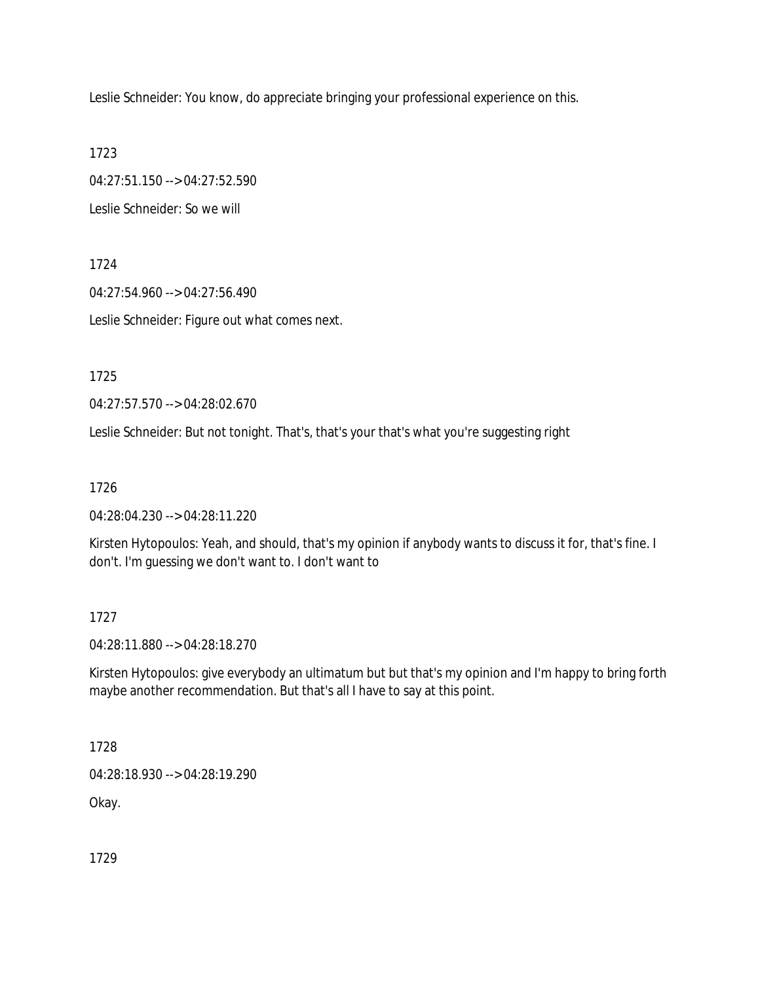Leslie Schneider: You know, do appreciate bringing your professional experience on this.

1723

04:27:51.150 --> 04:27:52.590

Leslie Schneider: So we will

1724

04:27:54.960 --> 04:27:56.490

Leslie Schneider: Figure out what comes next.

1725

04:27:57.570 --> 04:28:02.670

Leslie Schneider: But not tonight. That's, that's your that's what you're suggesting right

1726

04:28:04.230 --> 04:28:11.220

Kirsten Hytopoulos: Yeah, and should, that's my opinion if anybody wants to discuss it for, that's fine. I don't. I'm guessing we don't want to. I don't want to

1727

04:28:11.880 --> 04:28:18.270

Kirsten Hytopoulos: give everybody an ultimatum but but that's my opinion and I'm happy to bring forth maybe another recommendation. But that's all I have to say at this point.

1728

04:28:18.930 --> 04:28:19.290

Okay.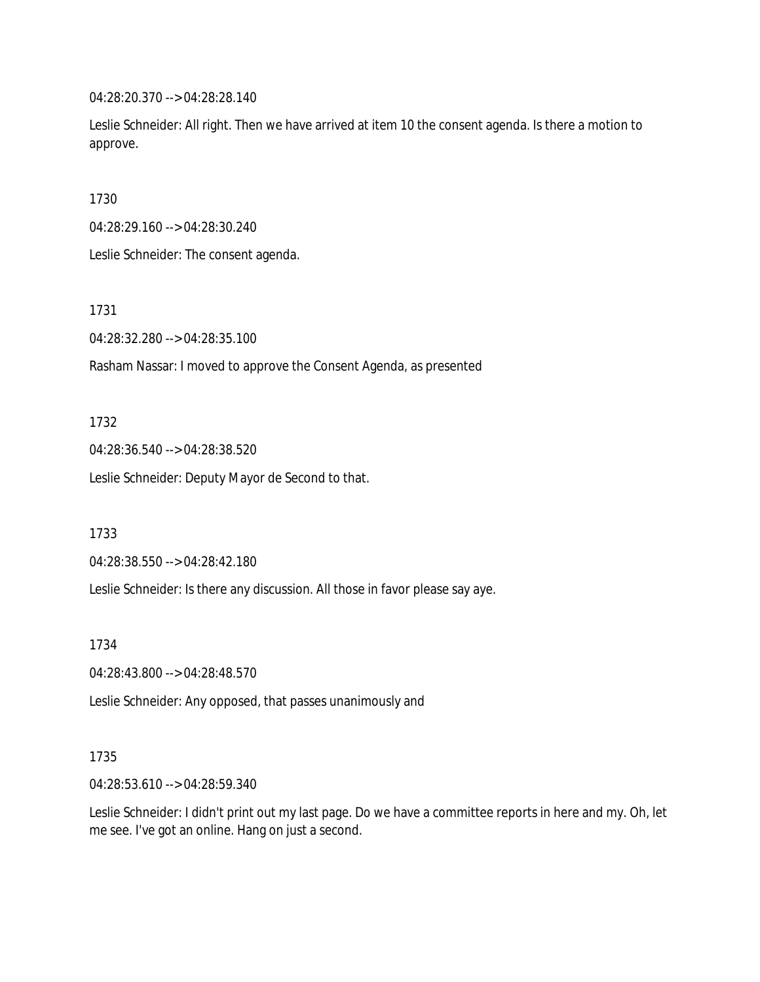04:28:20.370 --> 04:28:28.140

Leslie Schneider: All right. Then we have arrived at item 10 the consent agenda. Is there a motion to approve.

1730

04:28:29.160 --> 04:28:30.240

Leslie Schneider: The consent agenda.

1731

04:28:32.280 --> 04:28:35.100

Rasham Nassar: I moved to approve the Consent Agenda, as presented

1732

04:28:36.540 --> 04:28:38.520

Leslie Schneider: Deputy Mayor de Second to that.

1733

04:28:38.550 --> 04:28:42.180

Leslie Schneider: Is there any discussion. All those in favor please say aye.

1734

04:28:43.800 --> 04:28:48.570

Leslie Schneider: Any opposed, that passes unanimously and

#### 1735

04:28:53.610 --> 04:28:59.340

Leslie Schneider: I didn't print out my last page. Do we have a committee reports in here and my. Oh, let me see. I've got an online. Hang on just a second.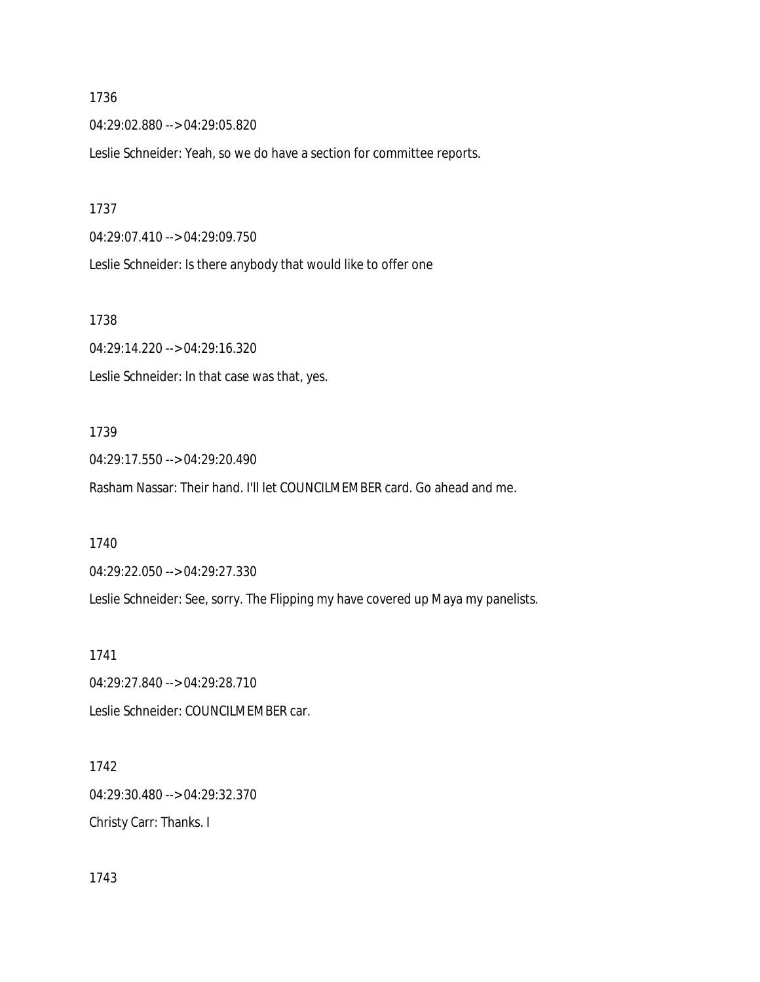04:29:02.880 --> 04:29:05.820

Leslie Schneider: Yeah, so we do have a section for committee reports.

## 1737

04:29:07.410 --> 04:29:09.750

Leslie Schneider: Is there anybody that would like to offer one

#### 1738

04:29:14.220 --> 04:29:16.320 Leslie Schneider: In that case was that, yes.

## 1739

04:29:17.550 --> 04:29:20.490 Rasham Nassar: Their hand. I'll let COUNCILMEMBER card. Go ahead and me.

#### 1740

04:29:22.050 --> 04:29:27.330

Leslie Schneider: See, sorry. The Flipping my have covered up Maya my panelists.

#### 1741

04:29:27.840 --> 04:29:28.710 Leslie Schneider: COUNCILMEMBER car.

## 1742

04:29:30.480 --> 04:29:32.370

Christy Carr: Thanks. I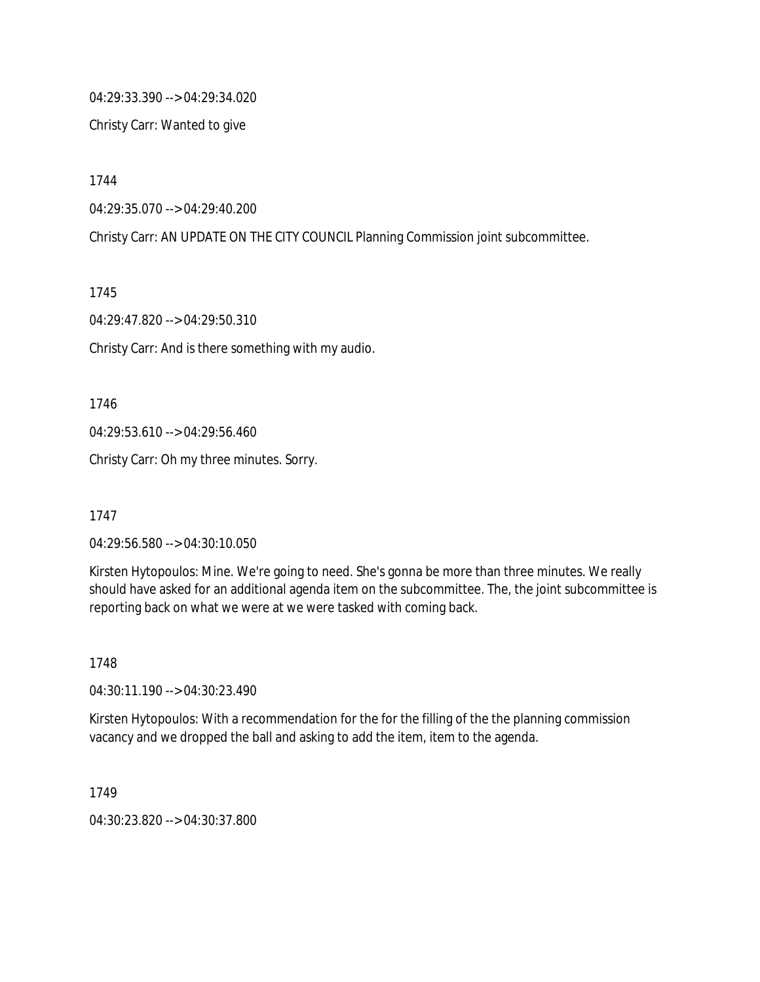04:29:33.390 --> 04:29:34.020

Christy Carr: Wanted to give

1744

04:29:35.070 --> 04:29:40.200

Christy Carr: AN UPDATE ON THE CITY COUNCIL Planning Commission joint subcommittee.

1745

04:29:47.820 --> 04:29:50.310

Christy Carr: And is there something with my audio.

1746

04:29:53.610 --> 04:29:56.460

Christy Carr: Oh my three minutes. Sorry.

1747

04:29:56.580 --> 04:30:10.050

Kirsten Hytopoulos: Mine. We're going to need. She's gonna be more than three minutes. We really should have asked for an additional agenda item on the subcommittee. The, the joint subcommittee is reporting back on what we were at we were tasked with coming back.

1748

04:30:11.190 --> 04:30:23.490

Kirsten Hytopoulos: With a recommendation for the for the filling of the the planning commission vacancy and we dropped the ball and asking to add the item, item to the agenda.

1749

04:30:23.820 --> 04:30:37.800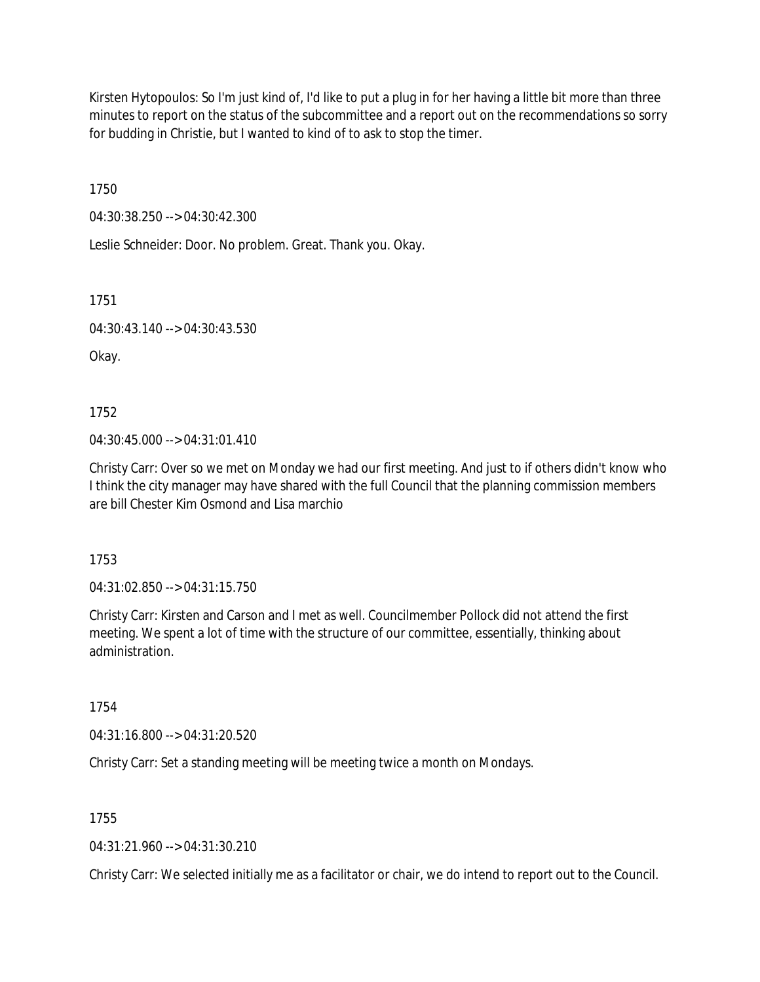Kirsten Hytopoulos: So I'm just kind of, I'd like to put a plug in for her having a little bit more than three minutes to report on the status of the subcommittee and a report out on the recommendations so sorry for budding in Christie, but I wanted to kind of to ask to stop the timer.

1750

04:30:38.250 --> 04:30:42.300

Leslie Schneider: Door. No problem. Great. Thank you. Okay.

1751

04:30:43.140 --> 04:30:43.530

Okay.

1752

04:30:45.000 --> 04:31:01.410

Christy Carr: Over so we met on Monday we had our first meeting. And just to if others didn't know who I think the city manager may have shared with the full Council that the planning commission members are bill Chester Kim Osmond and Lisa marchio

1753

04:31:02.850 --> 04:31:15.750

Christy Carr: Kirsten and Carson and I met as well. Councilmember Pollock did not attend the first meeting. We spent a lot of time with the structure of our committee, essentially, thinking about administration.

1754

04:31:16.800 --> 04:31:20.520

Christy Carr: Set a standing meeting will be meeting twice a month on Mondays.

1755

04:31:21.960 --> 04:31:30.210

Christy Carr: We selected initially me as a facilitator or chair, we do intend to report out to the Council.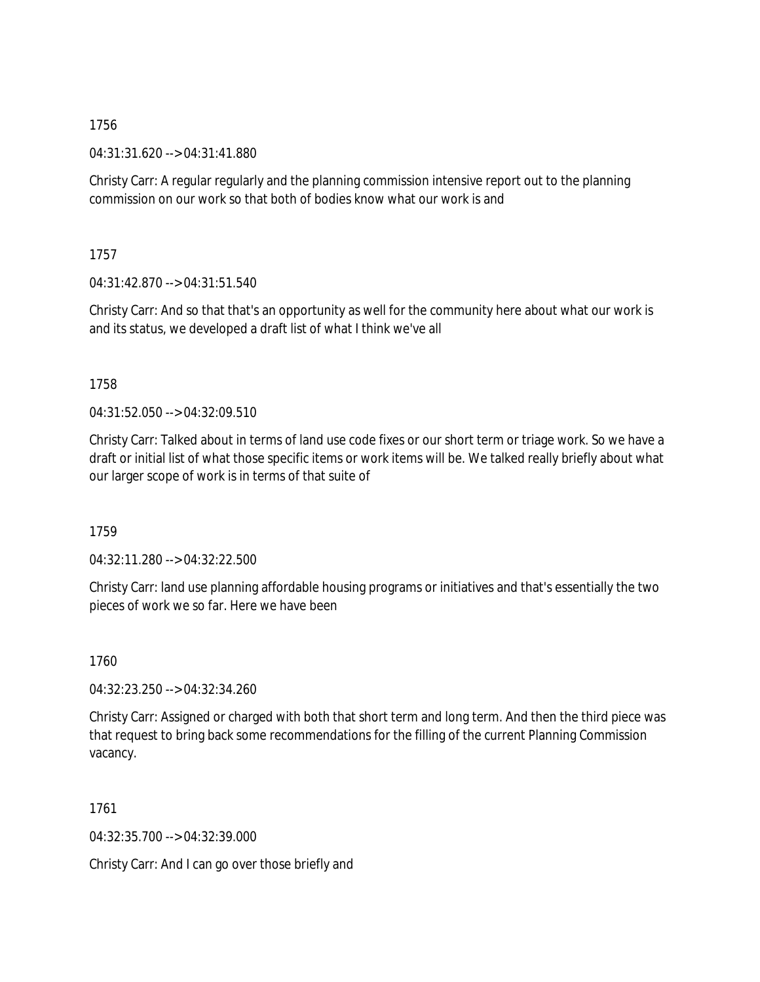04:31:31.620 --> 04:31:41.880

Christy Carr: A regular regularly and the planning commission intensive report out to the planning commission on our work so that both of bodies know what our work is and

1757

04:31:42.870 --> 04:31:51.540

Christy Carr: And so that that's an opportunity as well for the community here about what our work is and its status, we developed a draft list of what I think we've all

1758

04:31:52.050 --> 04:32:09.510

Christy Carr: Talked about in terms of land use code fixes or our short term or triage work. So we have a draft or initial list of what those specific items or work items will be. We talked really briefly about what our larger scope of work is in terms of that suite of

1759

04:32:11.280 --> 04:32:22.500

Christy Carr: land use planning affordable housing programs or initiatives and that's essentially the two pieces of work we so far. Here we have been

1760

04:32:23.250 --> 04:32:34.260

Christy Carr: Assigned or charged with both that short term and long term. And then the third piece was that request to bring back some recommendations for the filling of the current Planning Commission vacancy.

1761

04:32:35.700 --> 04:32:39.000

Christy Carr: And I can go over those briefly and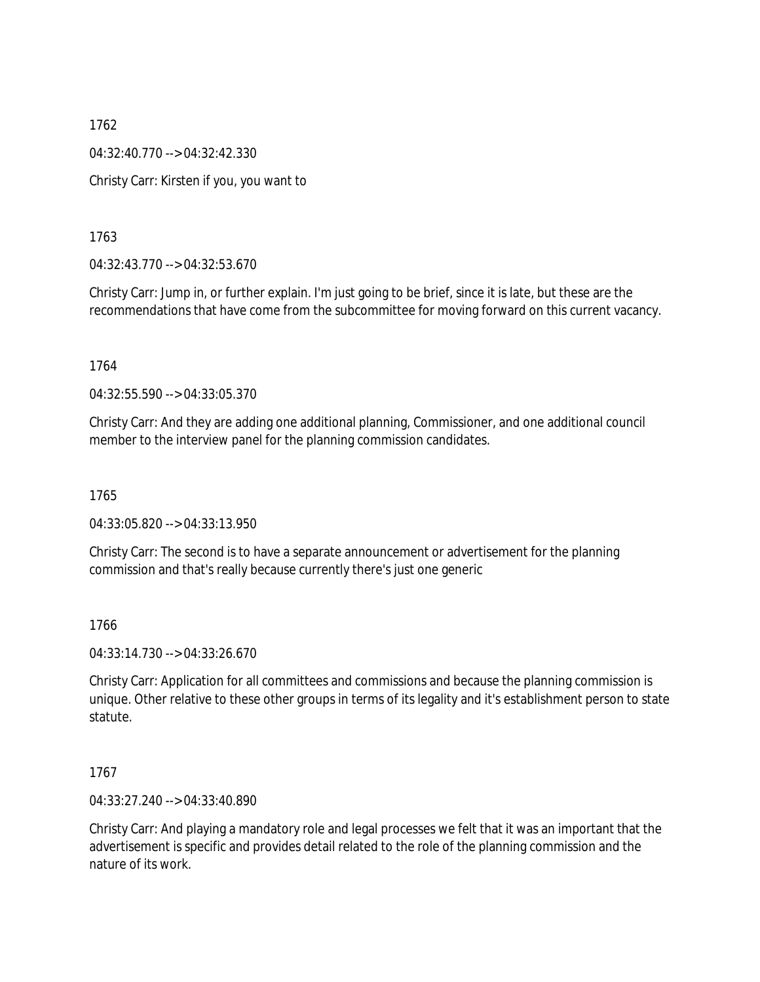1762 04:32:40.770 --> 04:32:42.330 Christy Carr: Kirsten if you, you want to

1763

04:32:43.770 --> 04:32:53.670

Christy Carr: Jump in, or further explain. I'm just going to be brief, since it is late, but these are the recommendations that have come from the subcommittee for moving forward on this current vacancy.

1764

04:32:55.590 --> 04:33:05.370

Christy Carr: And they are adding one additional planning, Commissioner, and one additional council member to the interview panel for the planning commission candidates.

1765

04:33:05.820 --> 04:33:13.950

Christy Carr: The second is to have a separate announcement or advertisement for the planning commission and that's really because currently there's just one generic

1766

04:33:14.730 --> 04:33:26.670

Christy Carr: Application for all committees and commissions and because the planning commission is unique. Other relative to these other groups in terms of its legality and it's establishment person to state statute.

1767

04:33:27.240 --> 04:33:40.890

Christy Carr: And playing a mandatory role and legal processes we felt that it was an important that the advertisement is specific and provides detail related to the role of the planning commission and the nature of its work.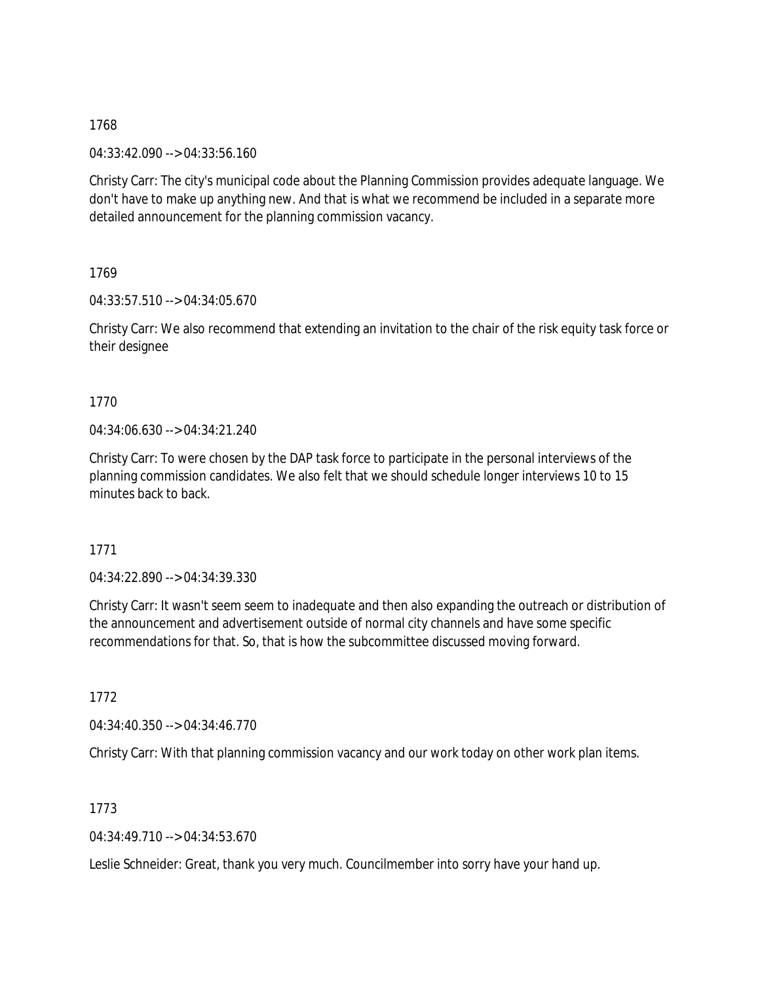04:33:42.090 --> 04:33:56.160

Christy Carr: The city's municipal code about the Planning Commission provides adequate language. We don't have to make up anything new. And that is what we recommend be included in a separate more detailed announcement for the planning commission vacancy.

1769

04:33:57.510 --> 04:34:05.670

Christy Carr: We also recommend that extending an invitation to the chair of the risk equity task force or their designee

# 1770

04:34:06.630 --> 04:34:21.240

Christy Carr: To were chosen by the DAP task force to participate in the personal interviews of the planning commission candidates. We also felt that we should schedule longer interviews 10 to 15 minutes back to back.

1771

04:34:22.890 --> 04:34:39.330

Christy Carr: It wasn't seem seem to inadequate and then also expanding the outreach or distribution of the announcement and advertisement outside of normal city channels and have some specific recommendations for that. So, that is how the subcommittee discussed moving forward.

1772

04:34:40.350 --> 04:34:46.770

Christy Carr: With that planning commission vacancy and our work today on other work plan items.

1773

04:34:49.710 --> 04:34:53.670

Leslie Schneider: Great, thank you very much. Councilmember into sorry have your hand up.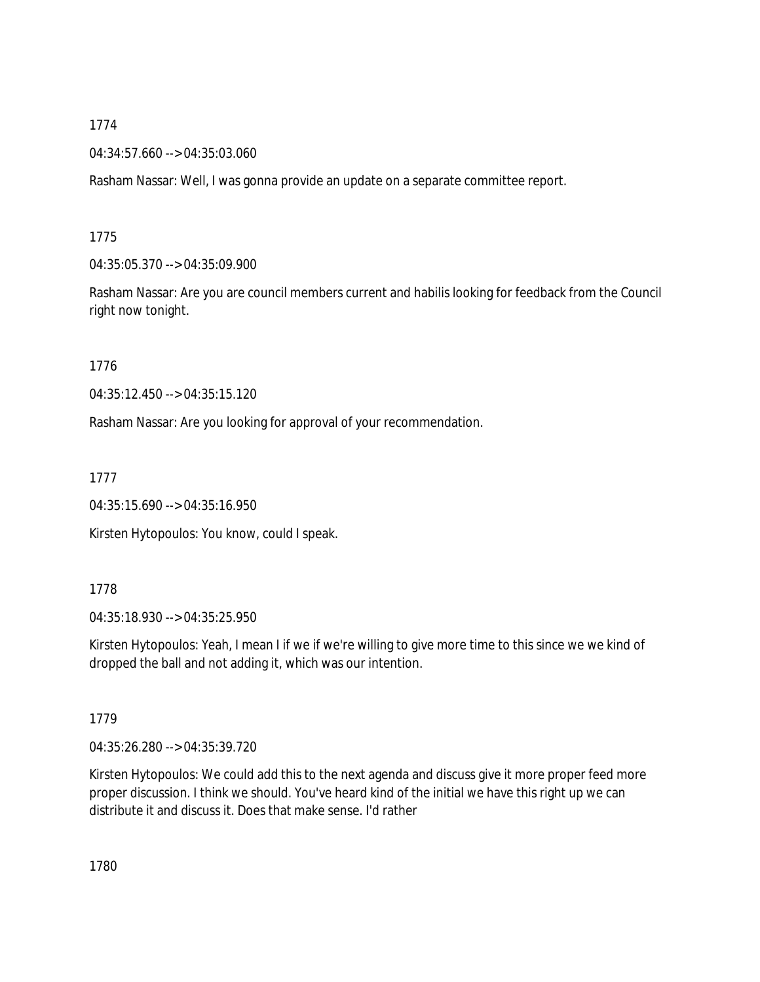04:34:57.660 --> 04:35:03.060

Rasham Nassar: Well, I was gonna provide an update on a separate committee report.

# 1775

04:35:05.370 --> 04:35:09.900

Rasham Nassar: Are you are council members current and habilis looking for feedback from the Council right now tonight.

1776

04:35:12.450 --> 04:35:15.120

Rasham Nassar: Are you looking for approval of your recommendation.

1777

04:35:15.690 --> 04:35:16.950

Kirsten Hytopoulos: You know, could I speak.

## 1778

04:35:18.930 --> 04:35:25.950

Kirsten Hytopoulos: Yeah, I mean I if we if we're willing to give more time to this since we we kind of dropped the ball and not adding it, which was our intention.

# 1779

04:35:26.280 --> 04:35:39.720

Kirsten Hytopoulos: We could add this to the next agenda and discuss give it more proper feed more proper discussion. I think we should. You've heard kind of the initial we have this right up we can distribute it and discuss it. Does that make sense. I'd rather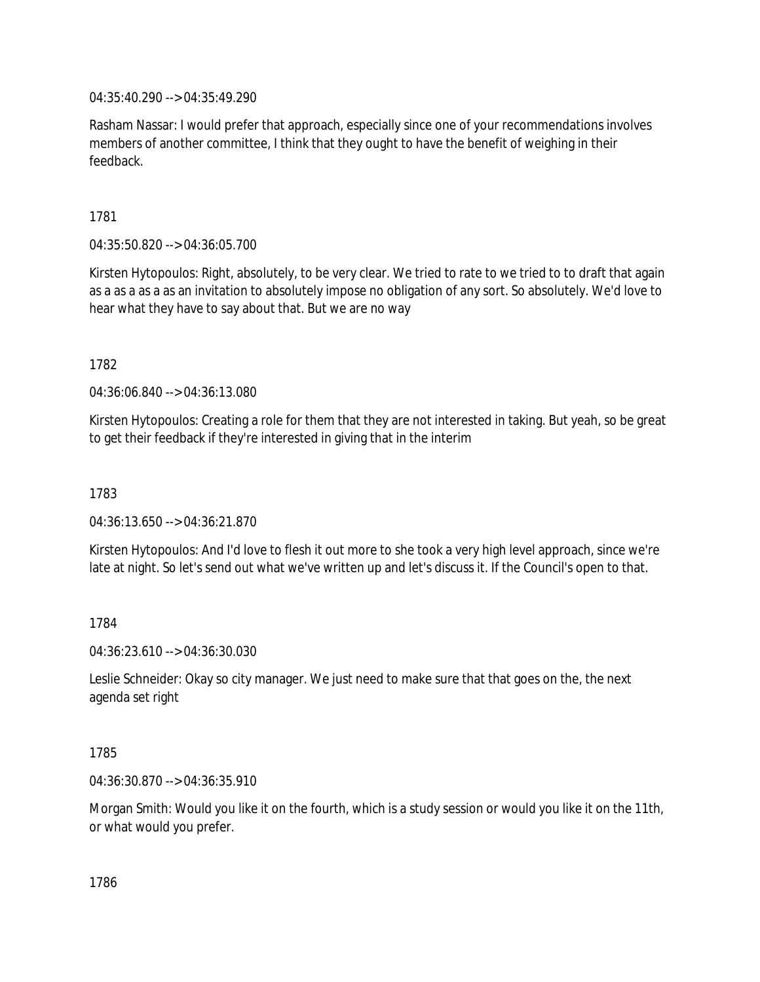04:35:40.290 --> 04:35:49.290

Rasham Nassar: I would prefer that approach, especially since one of your recommendations involves members of another committee, I think that they ought to have the benefit of weighing in their feedback.

1781

04:35:50.820 --> 04:36:05.700

Kirsten Hytopoulos: Right, absolutely, to be very clear. We tried to rate to we tried to to draft that again as a as a as a as an invitation to absolutely impose no obligation of any sort. So absolutely. We'd love to hear what they have to say about that. But we are no way

1782

04:36:06.840 --> 04:36:13.080

Kirsten Hytopoulos: Creating a role for them that they are not interested in taking. But yeah, so be great to get their feedback if they're interested in giving that in the interim

1783

04:36:13.650 --> 04:36:21.870

Kirsten Hytopoulos: And I'd love to flesh it out more to she took a very high level approach, since we're late at night. So let's send out what we've written up and let's discuss it. If the Council's open to that.

1784

04:36:23.610 --> 04:36:30.030

Leslie Schneider: Okay so city manager. We just need to make sure that that goes on the, the next agenda set right

1785

04:36:30.870 --> 04:36:35.910

Morgan Smith: Would you like it on the fourth, which is a study session or would you like it on the 11th, or what would you prefer.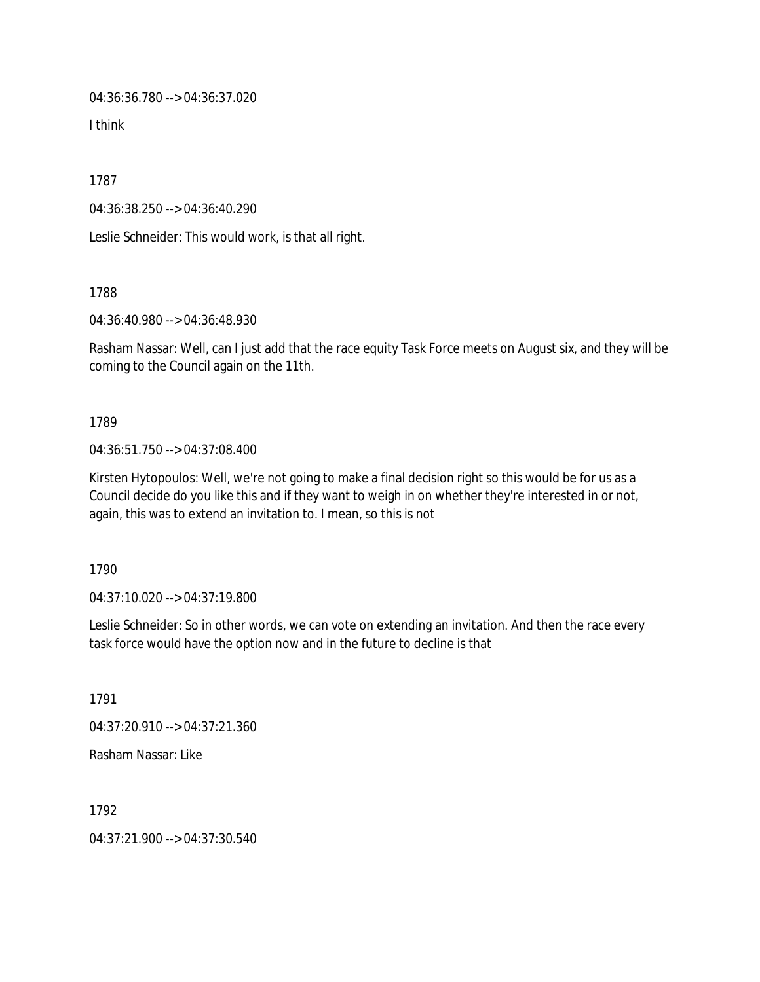04:36:36.780 --> 04:36:37.020

I think

1787

04:36:38.250 --> 04:36:40.290

Leslie Schneider: This would work, is that all right.

1788

04:36:40.980 --> 04:36:48.930

Rasham Nassar: Well, can I just add that the race equity Task Force meets on August six, and they will be coming to the Council again on the 11th.

1789

04:36:51.750 --> 04:37:08.400

Kirsten Hytopoulos: Well, we're not going to make a final decision right so this would be for us as a Council decide do you like this and if they want to weigh in on whether they're interested in or not, again, this was to extend an invitation to. I mean, so this is not

1790

04:37:10.020 --> 04:37:19.800

Leslie Schneider: So in other words, we can vote on extending an invitation. And then the race every task force would have the option now and in the future to decline is that

1791

04:37:20.910 --> 04:37:21.360

Rasham Nassar: Like

1792

04:37:21.900 --> 04:37:30.540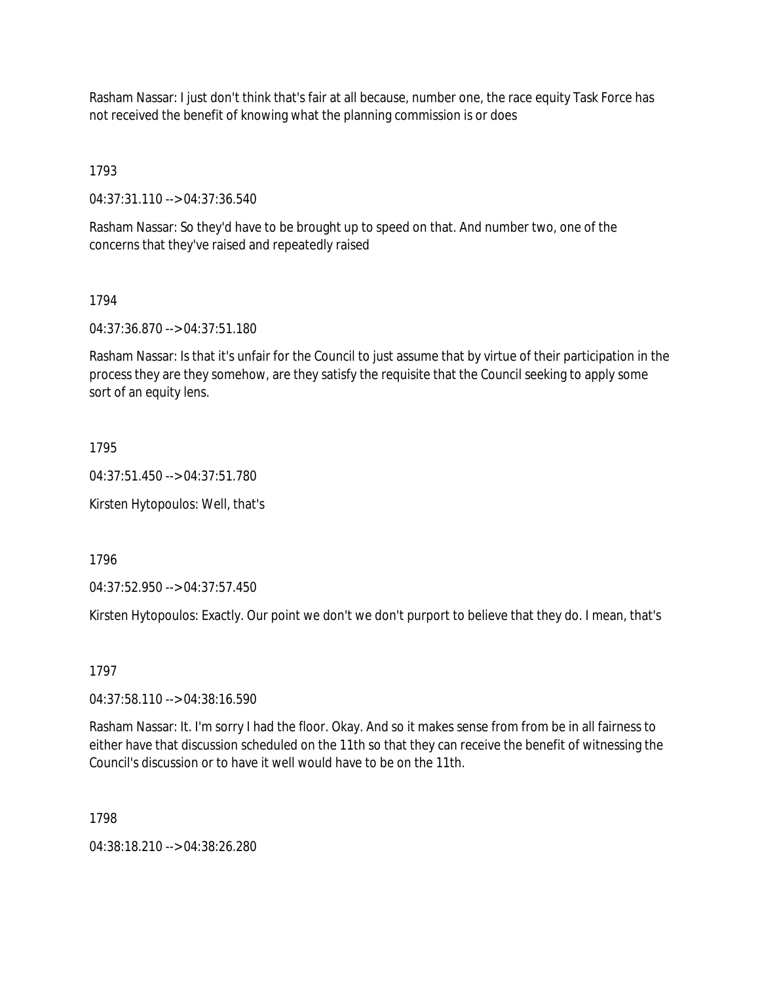Rasham Nassar: I just don't think that's fair at all because, number one, the race equity Task Force has not received the benefit of knowing what the planning commission is or does

1793

04:37:31.110 --> 04:37:36.540

Rasham Nassar: So they'd have to be brought up to speed on that. And number two, one of the concerns that they've raised and repeatedly raised

1794

04:37:36.870 --> 04:37:51.180

Rasham Nassar: Is that it's unfair for the Council to just assume that by virtue of their participation in the process they are they somehow, are they satisfy the requisite that the Council seeking to apply some sort of an equity lens.

1795

04:37:51.450 --> 04:37:51.780

Kirsten Hytopoulos: Well, that's

1796

04:37:52.950 --> 04:37:57.450

Kirsten Hytopoulos: Exactly. Our point we don't we don't purport to believe that they do. I mean, that's

1797

04:37:58.110 --> 04:38:16.590

Rasham Nassar: It. I'm sorry I had the floor. Okay. And so it makes sense from from be in all fairness to either have that discussion scheduled on the 11th so that they can receive the benefit of witnessing the Council's discussion or to have it well would have to be on the 11th.

1798

04:38:18.210 --> 04:38:26.280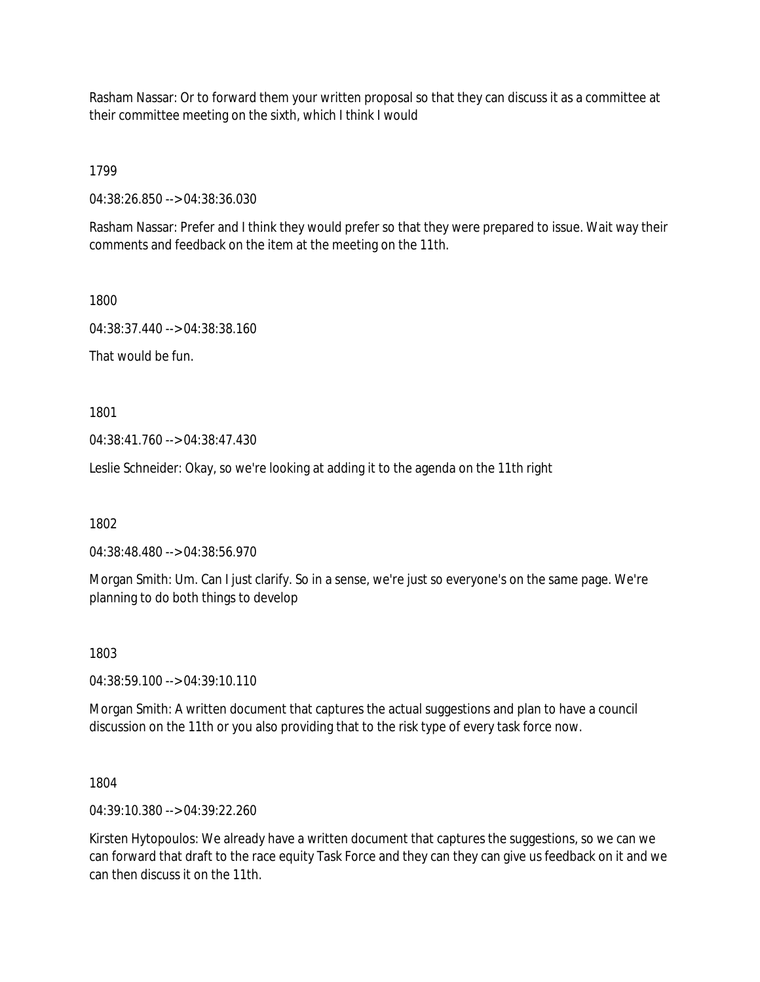Rasham Nassar: Or to forward them your written proposal so that they can discuss it as a committee at their committee meeting on the sixth, which I think I would

1799

04:38:26.850 --> 04:38:36.030

Rasham Nassar: Prefer and I think they would prefer so that they were prepared to issue. Wait way their comments and feedback on the item at the meeting on the 11th.

1800

04:38:37.440 --> 04:38:38.160

That would be fun.

1801

04:38:41.760 --> 04:38:47.430

Leslie Schneider: Okay, so we're looking at adding it to the agenda on the 11th right

1802

04:38:48.480 --> 04:38:56.970

Morgan Smith: Um. Can I just clarify. So in a sense, we're just so everyone's on the same page. We're planning to do both things to develop

1803

04:38:59.100 --> 04:39:10.110

Morgan Smith: A written document that captures the actual suggestions and plan to have a council discussion on the 11th or you also providing that to the risk type of every task force now.

1804

04:39:10.380 --> 04:39:22.260

Kirsten Hytopoulos: We already have a written document that captures the suggestions, so we can we can forward that draft to the race equity Task Force and they can they can give us feedback on it and we can then discuss it on the 11th.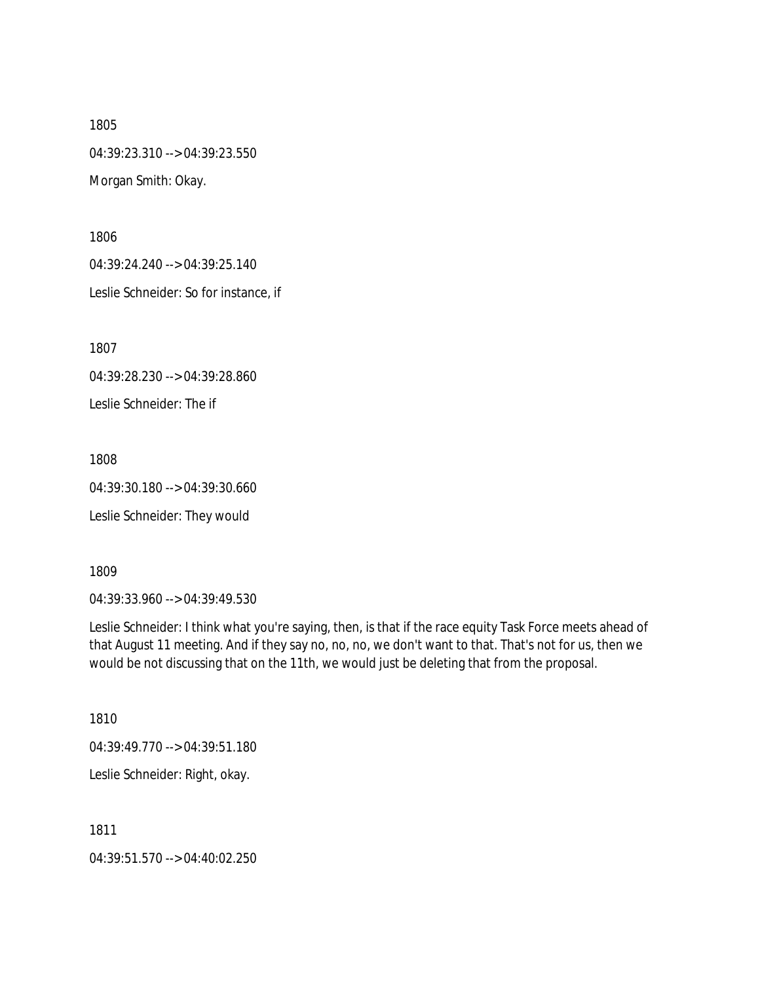1805 04:39:23.310 --> 04:39:23.550 Morgan Smith: Okay.

1806

04:39:24.240 --> 04:39:25.140

Leslie Schneider: So for instance, if

1807

04:39:28.230 --> 04:39:28.860

Leslie Schneider: The if

1808

04:39:30.180 --> 04:39:30.660

Leslie Schneider: They would

1809

04:39:33.960 --> 04:39:49.530

Leslie Schneider: I think what you're saying, then, is that if the race equity Task Force meets ahead of that August 11 meeting. And if they say no, no, no, we don't want to that. That's not for us, then we would be not discussing that on the 11th, we would just be deleting that from the proposal.

1810

04:39:49.770 --> 04:39:51.180

Leslie Schneider: Right, okay.

1811

04:39:51.570 --> 04:40:02.250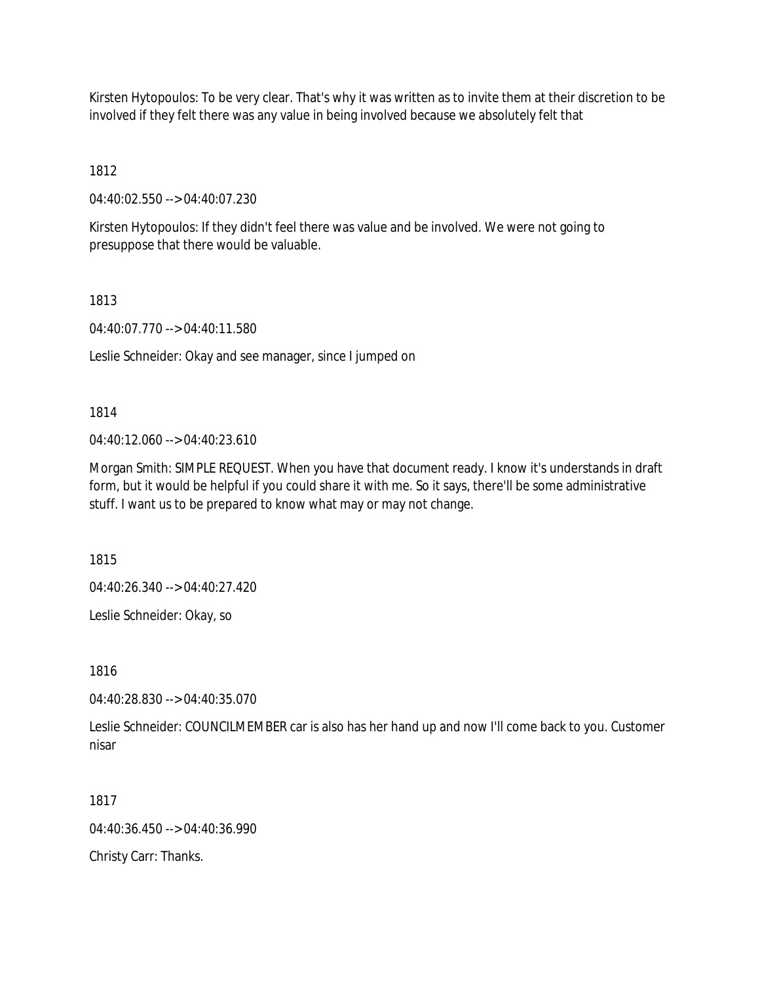Kirsten Hytopoulos: To be very clear. That's why it was written as to invite them at their discretion to be involved if they felt there was any value in being involved because we absolutely felt that

1812

04:40:02.550 --> 04:40:07.230

Kirsten Hytopoulos: If they didn't feel there was value and be involved. We were not going to presuppose that there would be valuable.

1813

04:40:07.770 --> 04:40:11.580

Leslie Schneider: Okay and see manager, since I jumped on

1814

04:40:12.060 --> 04:40:23.610

Morgan Smith: SIMPLE REQUEST. When you have that document ready. I know it's understands in draft form, but it would be helpful if you could share it with me. So it says, there'll be some administrative stuff. I want us to be prepared to know what may or may not change.

1815

04:40:26.340 --> 04:40:27.420

Leslie Schneider: Okay, so

1816

04:40:28.830 --> 04:40:35.070

Leslie Schneider: COUNCILMEMBER car is also has her hand up and now I'll come back to you. Customer nisar

1817

 $04.40.36$  450 -->  $04.40.36$  990

Christy Carr: Thanks.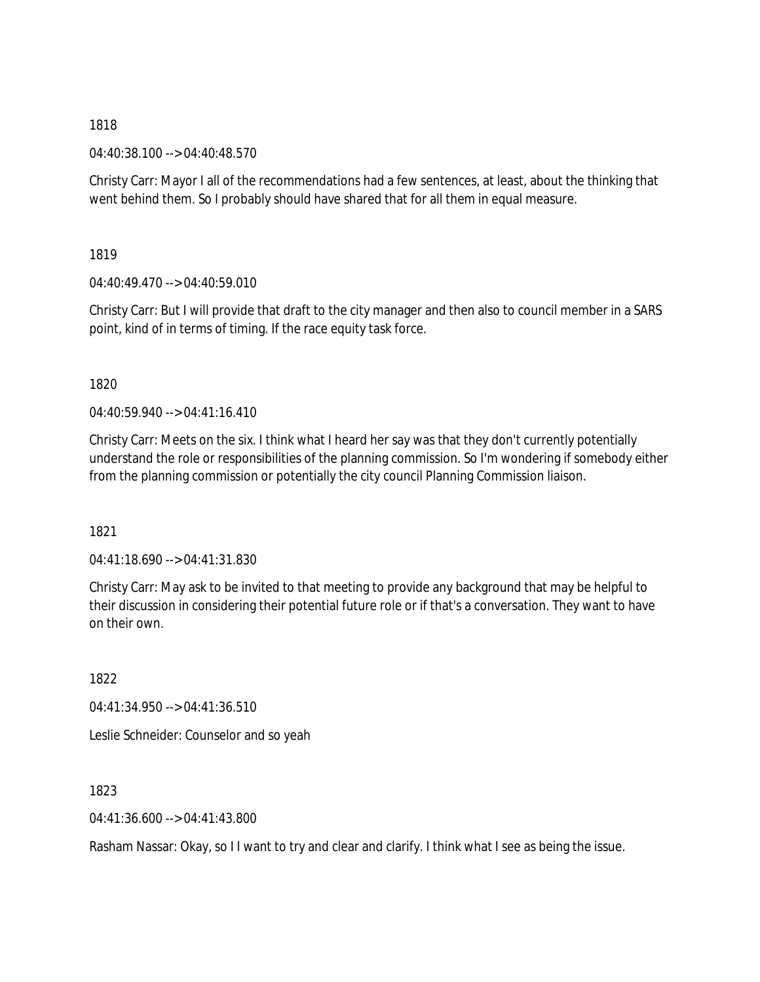04:40:38.100 --> 04:40:48.570

Christy Carr: Mayor I all of the recommendations had a few sentences, at least, about the thinking that went behind them. So I probably should have shared that for all them in equal measure.

1819

04:40:49.470 --> 04:40:59.010

Christy Carr: But I will provide that draft to the city manager and then also to council member in a SARS point, kind of in terms of timing. If the race equity task force.

1820

04:40:59.940 --> 04:41:16.410

Christy Carr: Meets on the six. I think what I heard her say was that they don't currently potentially understand the role or responsibilities of the planning commission. So I'm wondering if somebody either from the planning commission or potentially the city council Planning Commission liaison.

1821

04:41:18.690 --> 04:41:31.830

Christy Carr: May ask to be invited to that meeting to provide any background that may be helpful to their discussion in considering their potential future role or if that's a conversation. They want to have on their own.

1822

04:41:34.950 --> 04:41:36.510

Leslie Schneider: Counselor and so yeah

1823

04:41:36.600 --> 04:41:43.800

Rasham Nassar: Okay, so I I want to try and clear and clarify. I think what I see as being the issue.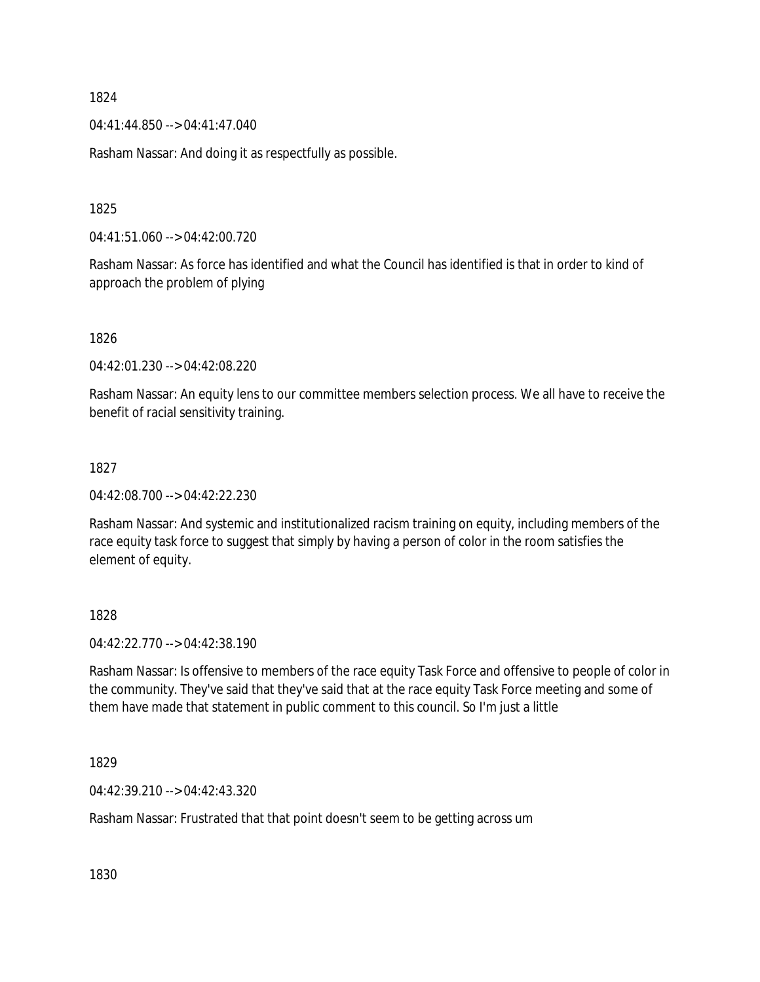04:41:44.850 --> 04:41:47.040

Rasham Nassar: And doing it as respectfully as possible.

1825

04:41:51.060 --> 04:42:00.720

Rasham Nassar: As force has identified and what the Council has identified is that in order to kind of approach the problem of plying

1826

04:42:01.230 --> 04:42:08.220

Rasham Nassar: An equity lens to our committee members selection process. We all have to receive the benefit of racial sensitivity training.

#### 1827

04:42:08.700 --> 04:42:22.230

Rasham Nassar: And systemic and institutionalized racism training on equity, including members of the race equity task force to suggest that simply by having a person of color in the room satisfies the element of equity.

## 1828

04:42:22.770 --> 04:42:38.190

Rasham Nassar: Is offensive to members of the race equity Task Force and offensive to people of color in the community. They've said that they've said that at the race equity Task Force meeting and some of them have made that statement in public comment to this council. So I'm just a little

1829

04:42:39.210 --> 04:42:43.320

Rasham Nassar: Frustrated that that point doesn't seem to be getting across um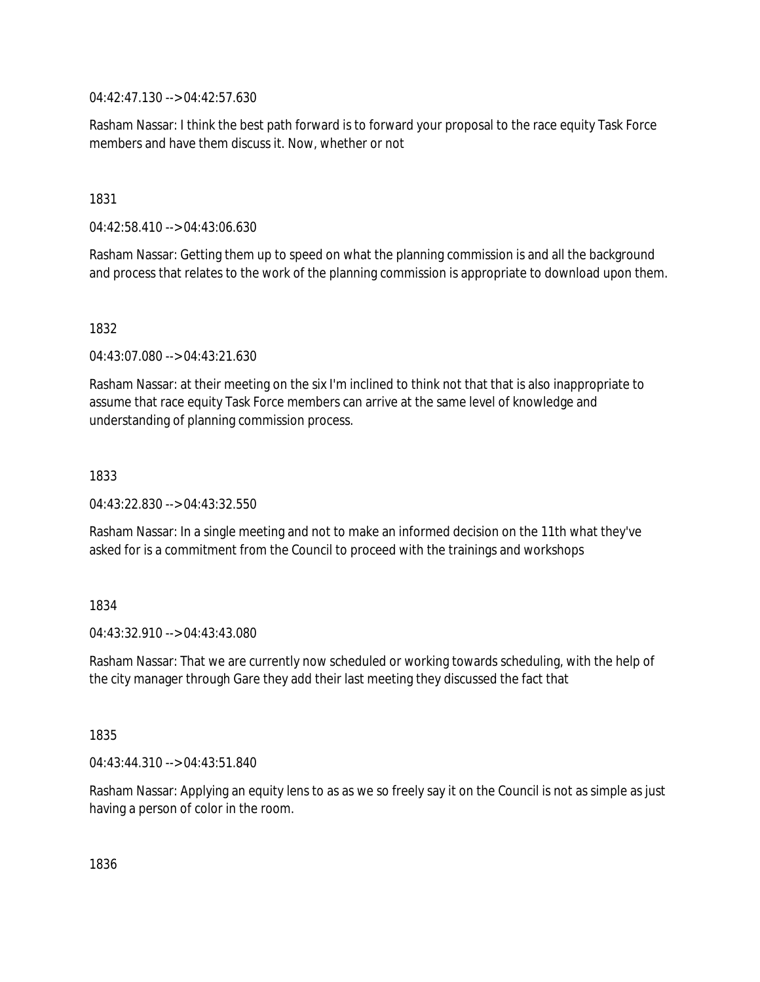04:42:47.130 --> 04:42:57.630

Rasham Nassar: I think the best path forward is to forward your proposal to the race equity Task Force members and have them discuss it. Now, whether or not

1831

04:42:58.410 --> 04:43:06.630

Rasham Nassar: Getting them up to speed on what the planning commission is and all the background and process that relates to the work of the planning commission is appropriate to download upon them.

1832

04:43:07.080 --> 04:43:21.630

Rasham Nassar: at their meeting on the six I'm inclined to think not that that is also inappropriate to assume that race equity Task Force members can arrive at the same level of knowledge and understanding of planning commission process.

1833

04:43:22.830 --> 04:43:32.550

Rasham Nassar: In a single meeting and not to make an informed decision on the 11th what they've asked for is a commitment from the Council to proceed with the trainings and workshops

## 1834

04:43:32.910 --> 04:43:43.080

Rasham Nassar: That we are currently now scheduled or working towards scheduling, with the help of the city manager through Gare they add their last meeting they discussed the fact that

1835

04:43:44.310 --> 04:43:51.840

Rasham Nassar: Applying an equity lens to as as we so freely say it on the Council is not as simple as just having a person of color in the room.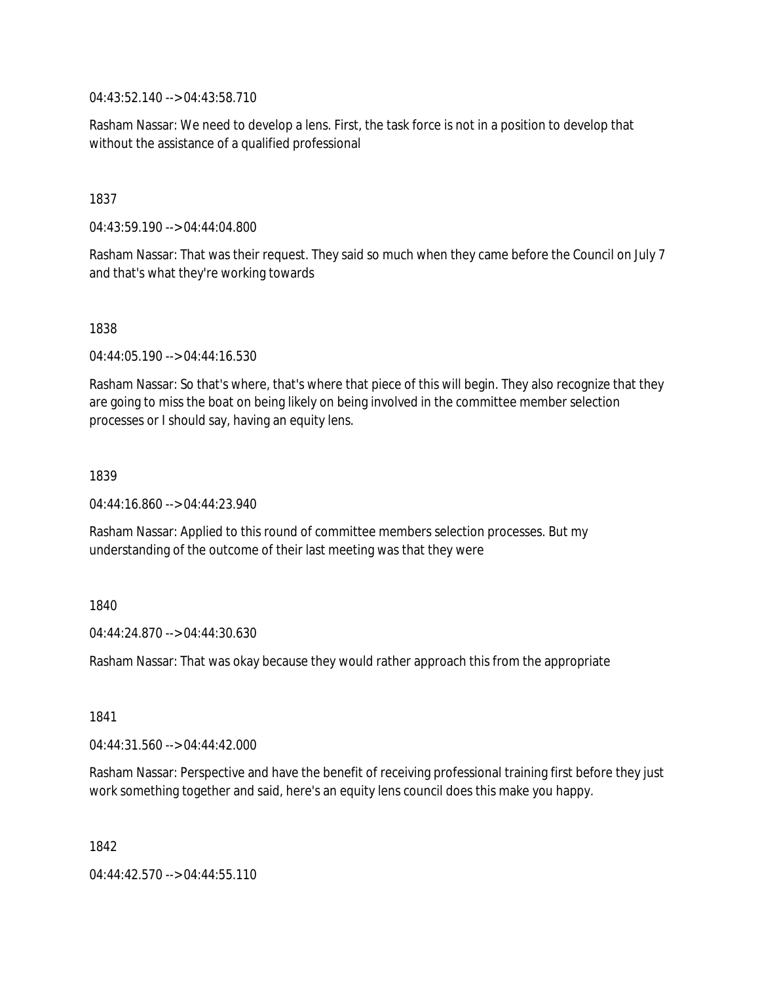04:43:52.140 --> 04:43:58.710

Rasham Nassar: We need to develop a lens. First, the task force is not in a position to develop that without the assistance of a qualified professional

1837

04:43:59.190 --> 04:44:04.800

Rasham Nassar: That was their request. They said so much when they came before the Council on July 7 and that's what they're working towards

1838

04:44:05.190 --> 04:44:16.530

Rasham Nassar: So that's where, that's where that piece of this will begin. They also recognize that they are going to miss the boat on being likely on being involved in the committee member selection processes or I should say, having an equity lens.

1839

04:44:16.860 --> 04:44:23.940

Rasham Nassar: Applied to this round of committee members selection processes. But my understanding of the outcome of their last meeting was that they were

1840

 $04.44.24.870 -> 04.44.30.630$ 

Rasham Nassar: That was okay because they would rather approach this from the appropriate

1841

04:44:31.560 --> 04:44:42.000

Rasham Nassar: Perspective and have the benefit of receiving professional training first before they just work something together and said, here's an equity lens council does this make you happy.

1842

04:44:42.570 --> 04:44:55.110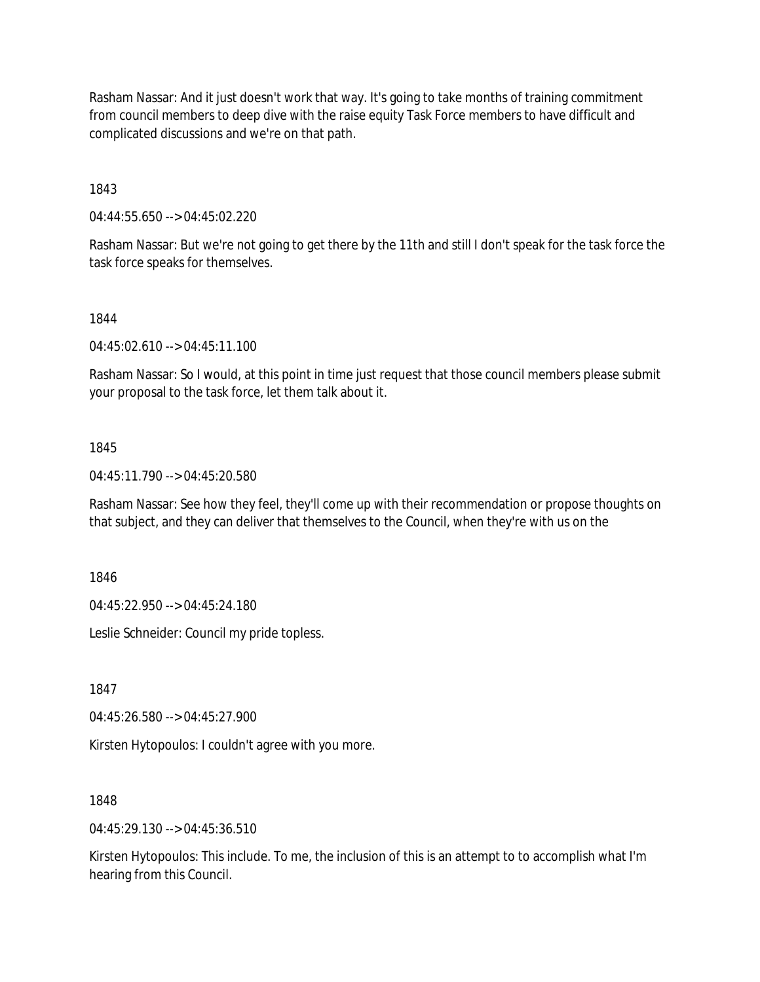Rasham Nassar: And it just doesn't work that way. It's going to take months of training commitment from council members to deep dive with the raise equity Task Force members to have difficult and complicated discussions and we're on that path.

1843

04:44:55.650 --> 04:45:02.220

Rasham Nassar: But we're not going to get there by the 11th and still I don't speak for the task force the task force speaks for themselves.

## 1844

04:45:02.610 --> 04:45:11.100

Rasham Nassar: So I would, at this point in time just request that those council members please submit your proposal to the task force, let them talk about it.

## 1845

04:45:11.790 --> 04:45:20.580

Rasham Nassar: See how they feel, they'll come up with their recommendation or propose thoughts on that subject, and they can deliver that themselves to the Council, when they're with us on the

1846

04:45:22.950 --> 04:45:24.180

Leslie Schneider: Council my pride topless.

1847

04:45:26.580 --> 04:45:27.900

Kirsten Hytopoulos: I couldn't agree with you more.

1848

04:45:29.130 --> 04:45:36.510

Kirsten Hytopoulos: This include. To me, the inclusion of this is an attempt to to accomplish what I'm hearing from this Council.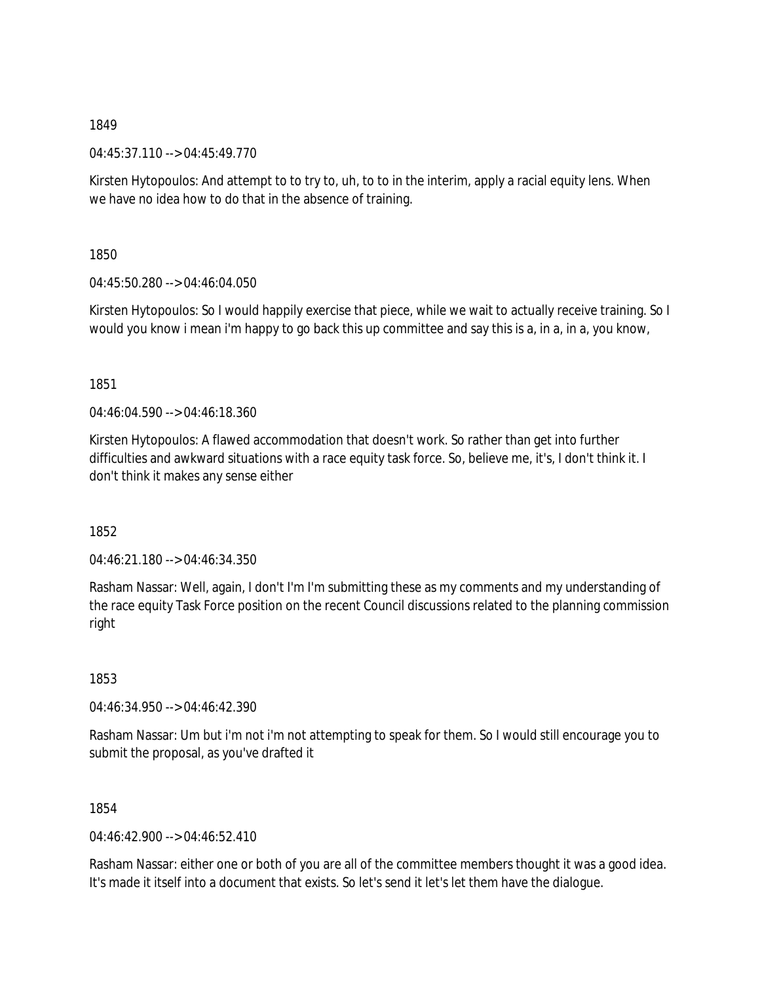04:45:37.110 --> 04:45:49.770

Kirsten Hytopoulos: And attempt to to try to, uh, to to in the interim, apply a racial equity lens. When we have no idea how to do that in the absence of training.

1850

04:45:50.280 --> 04:46:04.050

Kirsten Hytopoulos: So I would happily exercise that piece, while we wait to actually receive training. So I would you know i mean i'm happy to go back this up committee and say this is a, in a, in a, you know,

1851

04:46:04.590 --> 04:46:18.360

Kirsten Hytopoulos: A flawed accommodation that doesn't work. So rather than get into further difficulties and awkward situations with a race equity task force. So, believe me, it's, I don't think it. I don't think it makes any sense either

1852

04:46:21.180 --> 04:46:34.350

Rasham Nassar: Well, again, I don't I'm I'm submitting these as my comments and my understanding of the race equity Task Force position on the recent Council discussions related to the planning commission right

1853

04:46:34.950 --> 04:46:42.390

Rasham Nassar: Um but i'm not i'm not attempting to speak for them. So I would still encourage you to submit the proposal, as you've drafted it

1854

04:46:42.900 --> 04:46:52.410

Rasham Nassar: either one or both of you are all of the committee members thought it was a good idea. It's made it itself into a document that exists. So let's send it let's let them have the dialogue.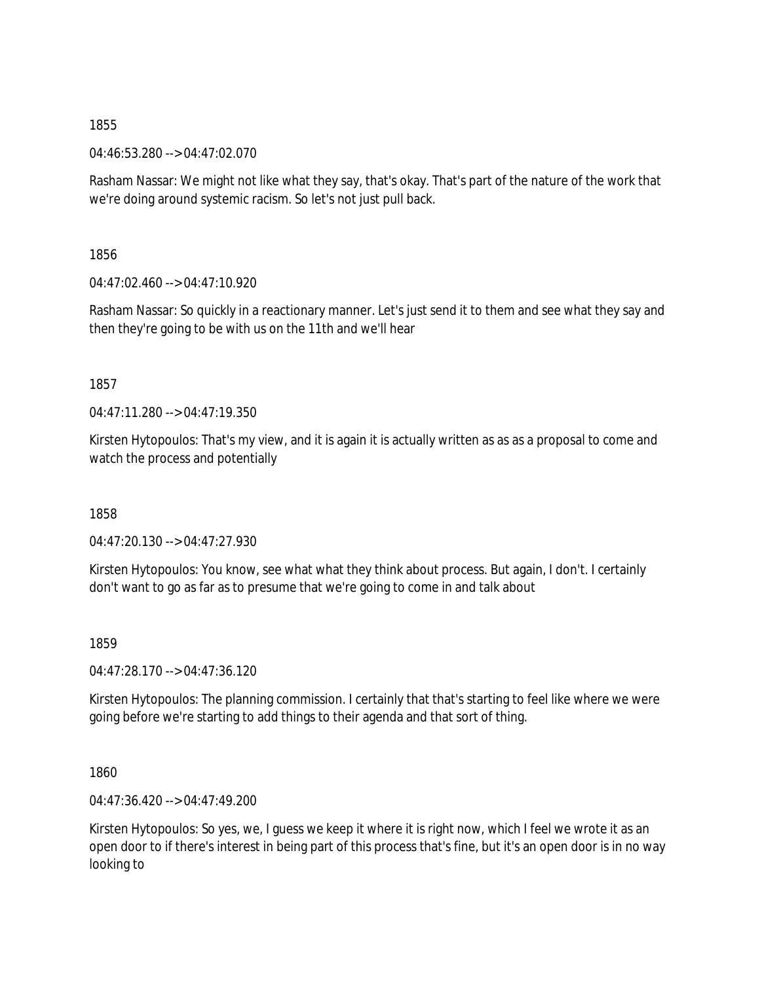04:46:53.280 --> 04:47:02.070

Rasham Nassar: We might not like what they say, that's okay. That's part of the nature of the work that we're doing around systemic racism. So let's not just pull back.

1856

 $04:47:02.460 \rightarrow 04:47:10.920$ 

Rasham Nassar: So quickly in a reactionary manner. Let's just send it to them and see what they say and then they're going to be with us on the 11th and we'll hear

1857

 $04.47.11.280 -> 04.47.19.350$ 

Kirsten Hytopoulos: That's my view, and it is again it is actually written as as as a proposal to come and watch the process and potentially

1858

04:47:20.130 --> 04:47:27.930

Kirsten Hytopoulos: You know, see what what they think about process. But again, I don't. I certainly don't want to go as far as to presume that we're going to come in and talk about

1859

04:47:28.170 --> 04:47:36.120

Kirsten Hytopoulos: The planning commission. I certainly that that's starting to feel like where we were going before we're starting to add things to their agenda and that sort of thing.

1860

04:47:36.420 --> 04:47:49.200

Kirsten Hytopoulos: So yes, we, I guess we keep it where it is right now, which I feel we wrote it as an open door to if there's interest in being part of this process that's fine, but it's an open door is in no way looking to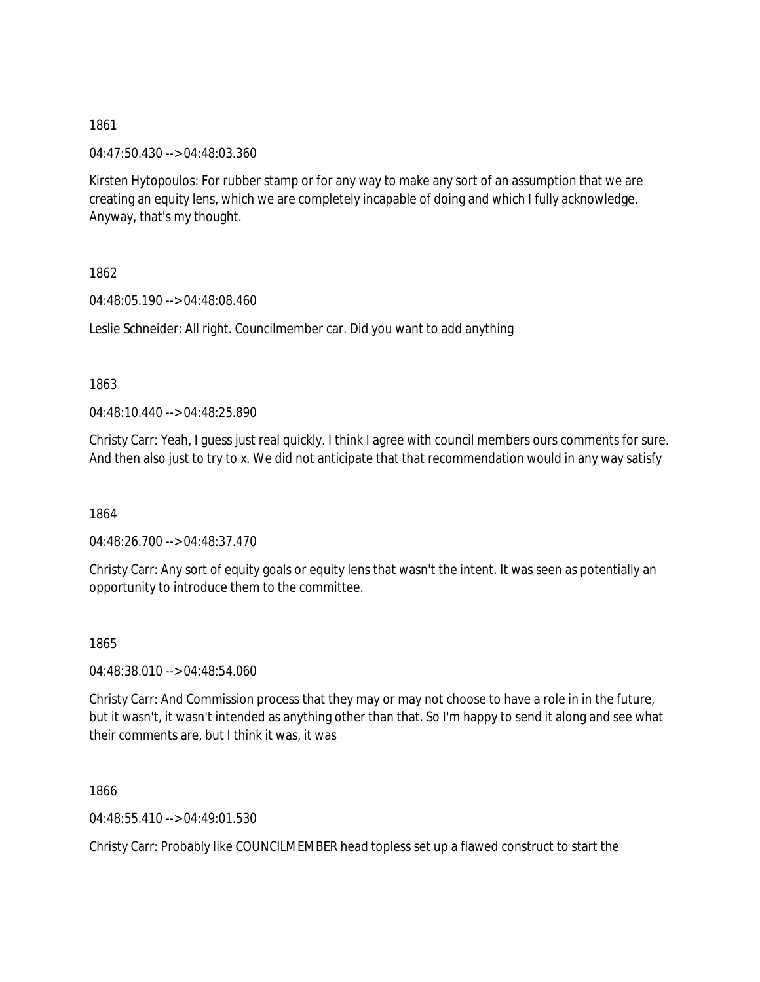04:47:50.430 --> 04:48:03.360

Kirsten Hytopoulos: For rubber stamp or for any way to make any sort of an assumption that we are creating an equity lens, which we are completely incapable of doing and which I fully acknowledge. Anyway, that's my thought.

1862

04:48:05.190 --> 04:48:08.460

Leslie Schneider: All right. Councilmember car. Did you want to add anything

1863

04:48:10.440 --> 04:48:25.890

Christy Carr: Yeah, I guess just real quickly. I think I agree with council members ours comments for sure. And then also just to try to x. We did not anticipate that that recommendation would in any way satisfy

1864

04:48:26.700 --> 04:48:37.470

Christy Carr: Any sort of equity goals or equity lens that wasn't the intent. It was seen as potentially an opportunity to introduce them to the committee.

1865

04:48:38.010 --> 04:48:54.060

Christy Carr: And Commission process that they may or may not choose to have a role in in the future, but it wasn't, it wasn't intended as anything other than that. So I'm happy to send it along and see what their comments are, but I think it was, it was

1866

04:48:55.410 --> 04:49:01.530

Christy Carr: Probably like COUNCILMEMBER head topless set up a flawed construct to start the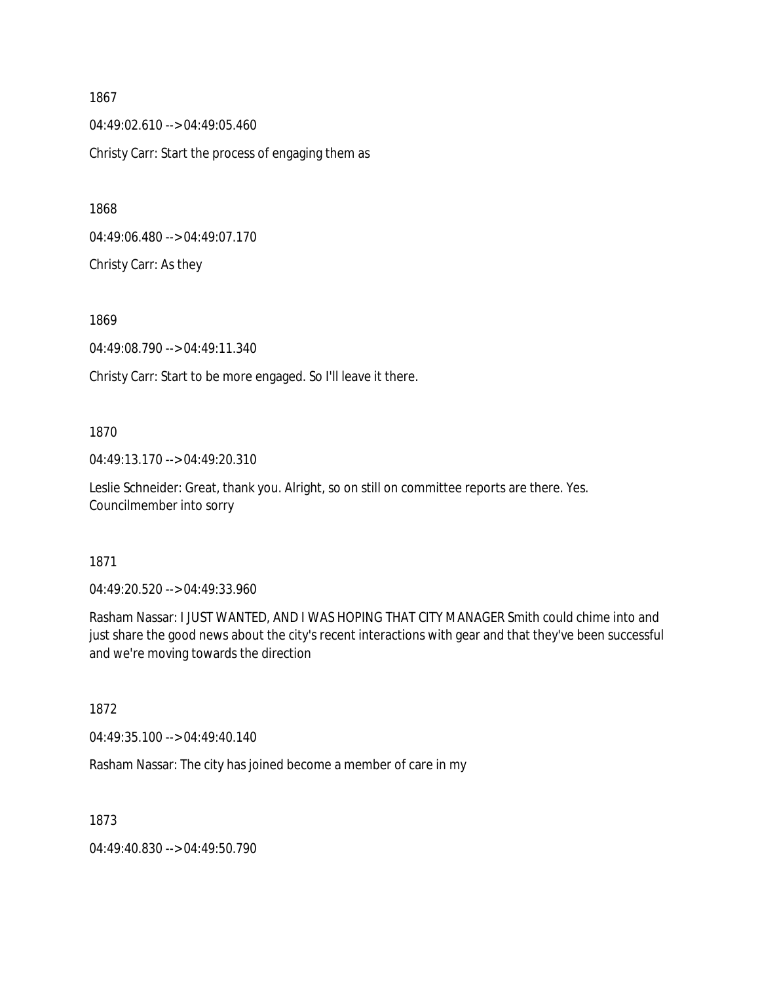1867 04:49:02.610 --> 04:49:05.460 Christy Carr: Start the process of engaging them as

1868

04:49:06.480 --> 04:49:07.170

Christy Carr: As they

1869

04:49:08.790 --> 04:49:11.340

Christy Carr: Start to be more engaged. So I'll leave it there.

#### 1870

04:49:13.170 --> 04:49:20.310

Leslie Schneider: Great, thank you. Alright, so on still on committee reports are there. Yes. Councilmember into sorry

## 1871

04:49:20.520 --> 04:49:33.960

Rasham Nassar: I JUST WANTED, AND I WAS HOPING THAT CITY MANAGER Smith could chime into and just share the good news about the city's recent interactions with gear and that they've been successful and we're moving towards the direction

1872

04:49:35.100 --> 04:49:40.140

Rasham Nassar: The city has joined become a member of care in my

1873

04:49:40.830 --> 04:49:50.790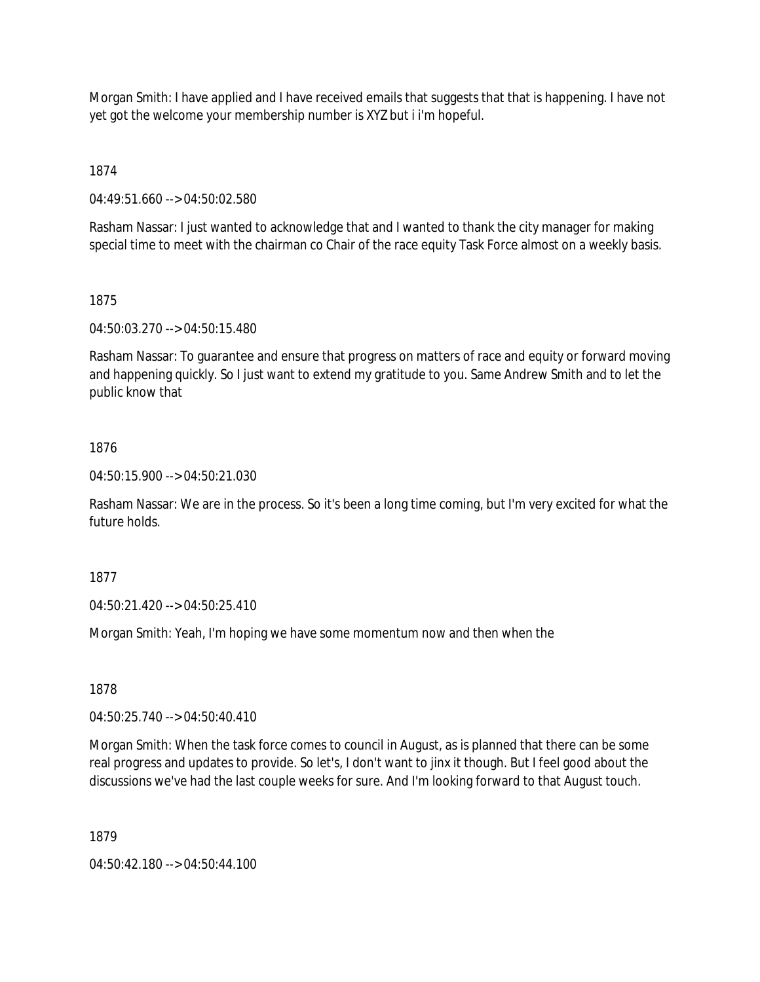Morgan Smith: I have applied and I have received emails that suggests that that is happening. I have not yet got the welcome your membership number is XYZ but i i'm hopeful.

1874

04:49:51.660 --> 04:50:02.580

Rasham Nassar: I just wanted to acknowledge that and I wanted to thank the city manager for making special time to meet with the chairman co Chair of the race equity Task Force almost on a weekly basis.

## 1875

04:50:03.270 --> 04:50:15.480

Rasham Nassar: To guarantee and ensure that progress on matters of race and equity or forward moving and happening quickly. So I just want to extend my gratitude to you. Same Andrew Smith and to let the public know that

# 1876

04:50:15.900 --> 04:50:21.030

Rasham Nassar: We are in the process. So it's been a long time coming, but I'm very excited for what the future holds.

1877

04:50:21.420 --> 04:50:25.410

Morgan Smith: Yeah, I'm hoping we have some momentum now and then when the

1878

04:50:25.740 --> 04:50:40.410

Morgan Smith: When the task force comes to council in August, as is planned that there can be some real progress and updates to provide. So let's, I don't want to jinx it though. But I feel good about the discussions we've had the last couple weeks for sure. And I'm looking forward to that August touch.

1879

04:50:42.180 --> 04:50:44.100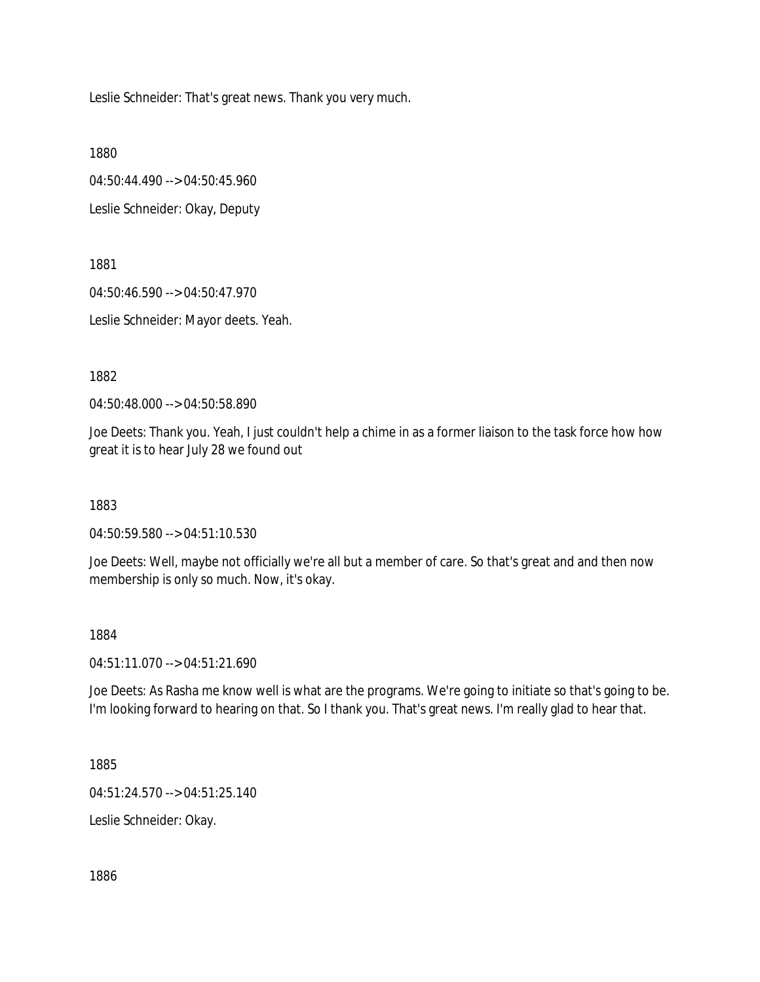Leslie Schneider: That's great news. Thank you very much.

1880

04:50:44.490 --> 04:50:45.960 Leslie Schneider: Okay, Deputy

1881

04:50:46.590 --> 04:50:47.970

Leslie Schneider: Mayor deets. Yeah.

1882

04:50:48.000 --> 04:50:58.890

Joe Deets: Thank you. Yeah, I just couldn't help a chime in as a former liaison to the task force how how great it is to hear July 28 we found out

1883

04:50:59.580 --> 04:51:10.530

Joe Deets: Well, maybe not officially we're all but a member of care. So that's great and and then now membership is only so much. Now, it's okay.

#### 1884

04:51:11.070 --> 04:51:21.690

Joe Deets: As Rasha me know well is what are the programs. We're going to initiate so that's going to be. I'm looking forward to hearing on that. So I thank you. That's great news. I'm really glad to hear that.

1885

04:51:24.570 --> 04:51:25.140

Leslie Schneider: Okay.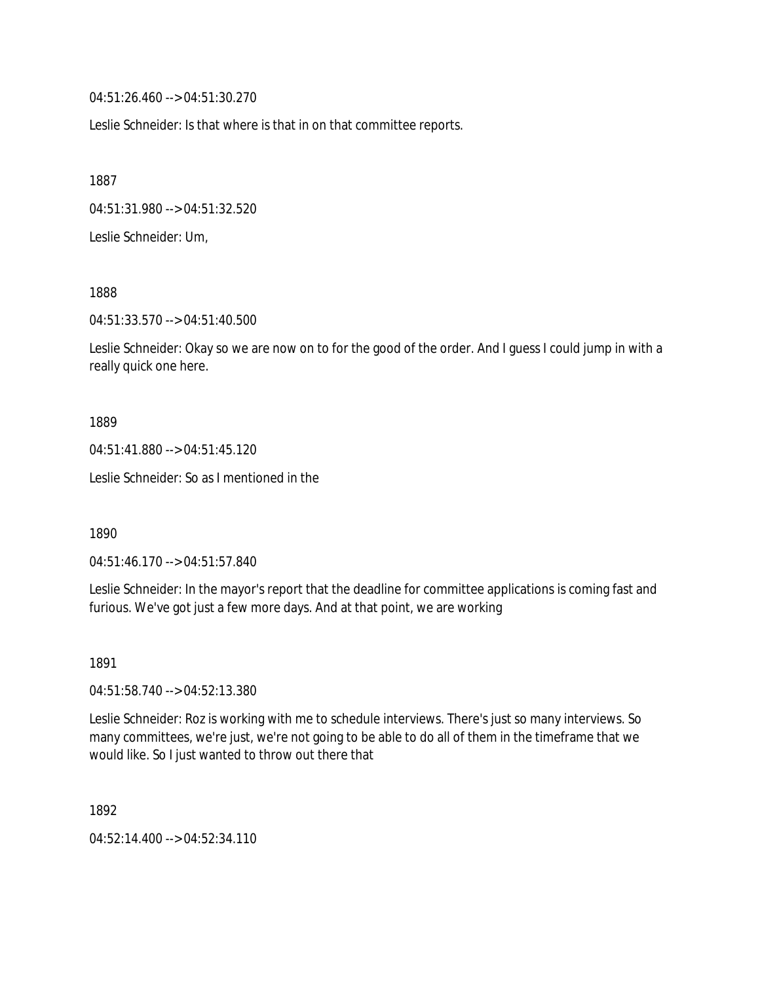04:51:26.460 --> 04:51:30.270

Leslie Schneider: Is that where is that in on that committee reports.

1887

04:51:31.980 --> 04:51:32.520

Leslie Schneider: Um,

1888

04:51:33.570 --> 04:51:40.500

Leslie Schneider: Okay so we are now on to for the good of the order. And I guess I could jump in with a really quick one here.

1889

04:51:41.880 --> 04:51:45.120

Leslie Schneider: So as I mentioned in the

1890

04:51:46.170 --> 04:51:57.840

Leslie Schneider: In the mayor's report that the deadline for committee applications is coming fast and furious. We've got just a few more days. And at that point, we are working

1891

04:51:58.740 --> 04:52:13.380

Leslie Schneider: Roz is working with me to schedule interviews. There's just so many interviews. So many committees, we're just, we're not going to be able to do all of them in the timeframe that we would like. So I just wanted to throw out there that

1892

04:52:14.400 --> 04:52:34.110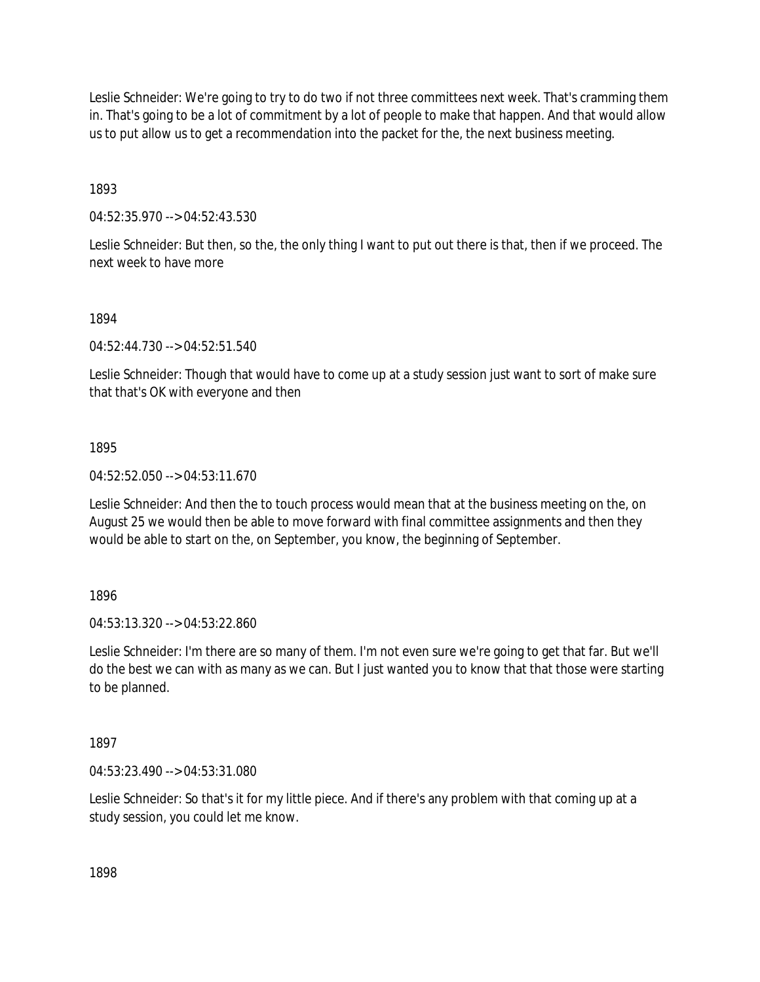Leslie Schneider: We're going to try to do two if not three committees next week. That's cramming them in. That's going to be a lot of commitment by a lot of people to make that happen. And that would allow us to put allow us to get a recommendation into the packet for the, the next business meeting.

1893

04:52:35.970 --> 04:52:43.530

Leslie Schneider: But then, so the, the only thing I want to put out there is that, then if we proceed. The next week to have more

## 1894

04:52:44.730 --> 04:52:51.540

Leslie Schneider: Though that would have to come up at a study session just want to sort of make sure that that's OK with everyone and then

## 1895

04:52:52.050 --> 04:53:11.670

Leslie Schneider: And then the to touch process would mean that at the business meeting on the, on August 25 we would then be able to move forward with final committee assignments and then they would be able to start on the, on September, you know, the beginning of September.

1896

04:53:13.320 --> 04:53:22.860

Leslie Schneider: I'm there are so many of them. I'm not even sure we're going to get that far. But we'll do the best we can with as many as we can. But I just wanted you to know that that those were starting to be planned.

1897

04:53:23.490 --> 04:53:31.080

Leslie Schneider: So that's it for my little piece. And if there's any problem with that coming up at a study session, you could let me know.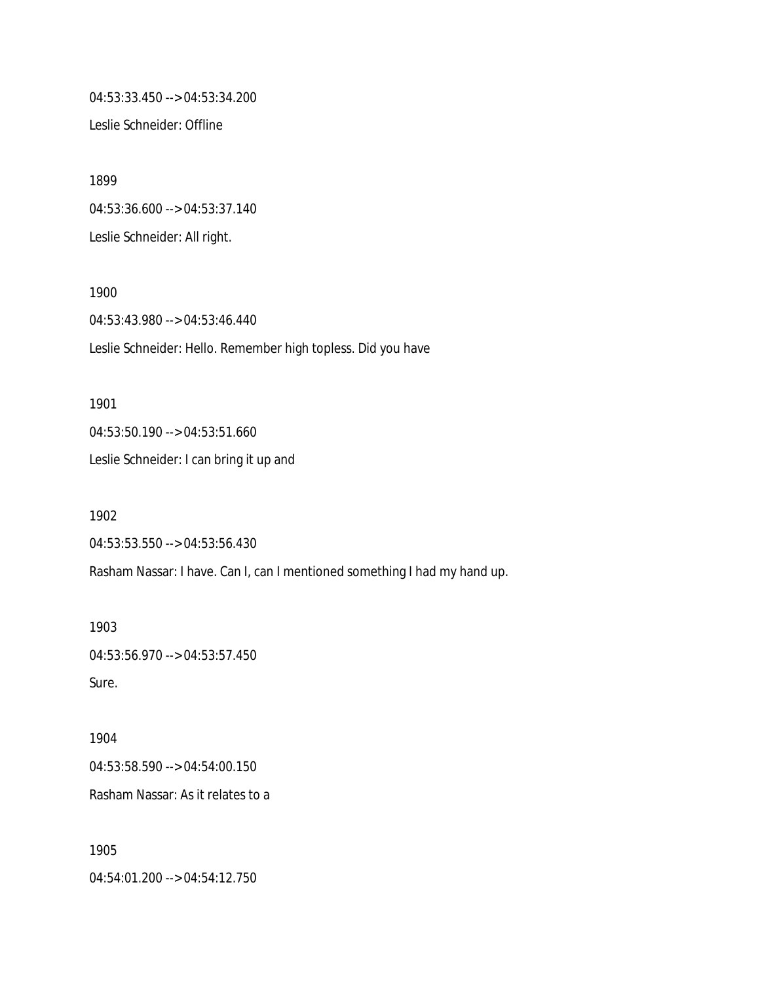04:53:33.450 --> 04:53:34.200

Leslie Schneider: Offline

1899 04:53:36.600 --> 04:53:37.140 Leslie Schneider: All right.

1900 04:53:43.980 --> 04:53:46.440 Leslie Schneider: Hello. Remember high topless. Did you have

1901 04:53:50.190 --> 04:53:51.660 Leslie Schneider: I can bring it up and

1902 04:53:53.550 --> 04:53:56.430 Rasham Nassar: I have. Can I, can I mentioned something I had my hand up.

1903 04:53:56.970 --> 04:53:57.450 Sure.

1904 04:53:58.590 --> 04:54:00.150 Rasham Nassar: As it relates to a

1905 04:54:01.200 --> 04:54:12.750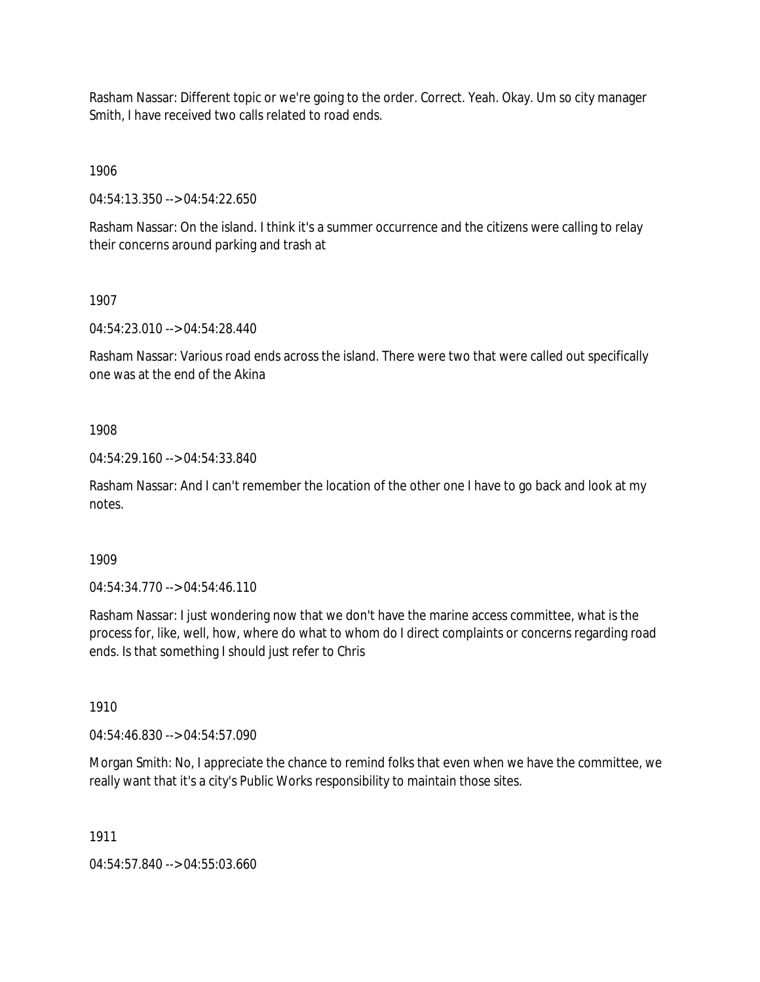Rasham Nassar: Different topic or we're going to the order. Correct. Yeah. Okay. Um so city manager Smith, I have received two calls related to road ends.

1906

04:54:13.350 --> 04:54:22.650

Rasham Nassar: On the island. I think it's a summer occurrence and the citizens were calling to relay their concerns around parking and trash at

1907

04:54:23.010 --> 04:54:28.440

Rasham Nassar: Various road ends across the island. There were two that were called out specifically one was at the end of the Akina

1908

04:54:29.160 --> 04:54:33.840

Rasham Nassar: And I can't remember the location of the other one I have to go back and look at my notes.

1909

04:54:34.770 --> 04:54:46.110

Rasham Nassar: I just wondering now that we don't have the marine access committee, what is the process for, like, well, how, where do what to whom do I direct complaints or concerns regarding road ends. Is that something I should just refer to Chris

1910

04:54:46.830 --> 04:54:57.090

Morgan Smith: No, I appreciate the chance to remind folks that even when we have the committee, we really want that it's a city's Public Works responsibility to maintain those sites.

1911

04:54:57.840 --> 04:55:03.660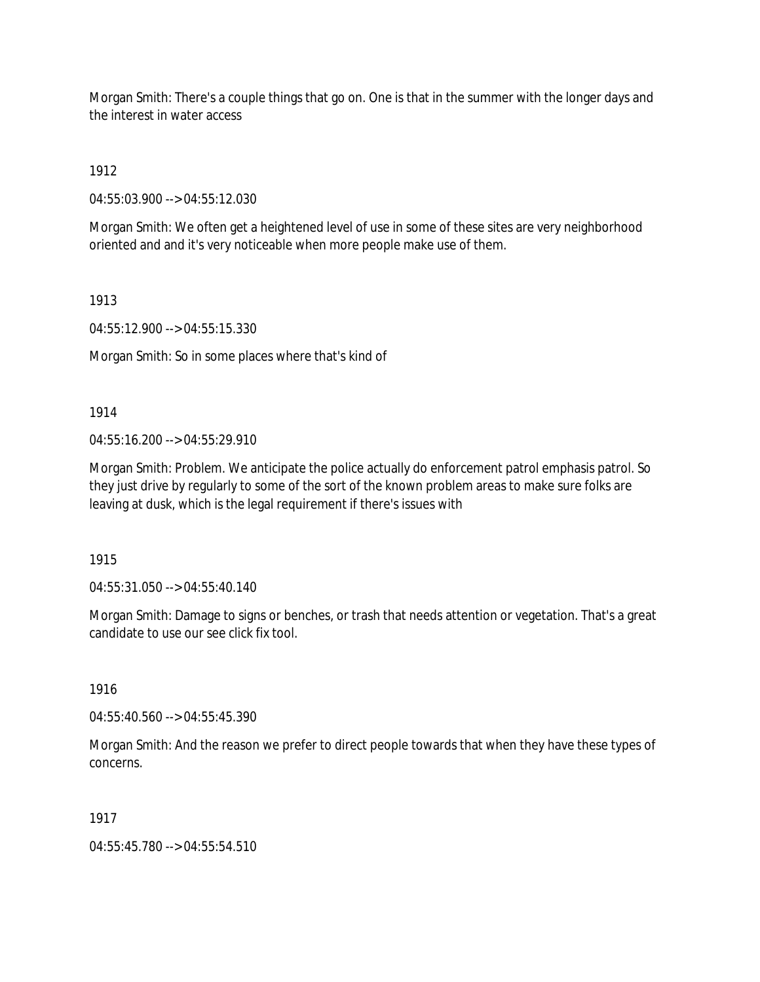Morgan Smith: There's a couple things that go on. One is that in the summer with the longer days and the interest in water access

1912

04:55:03.900 --> 04:55:12.030

Morgan Smith: We often get a heightened level of use in some of these sites are very neighborhood oriented and and it's very noticeable when more people make use of them.

1913

04:55:12.900 --> 04:55:15.330

Morgan Smith: So in some places where that's kind of

1914

04:55:16.200 --> 04:55:29.910

Morgan Smith: Problem. We anticipate the police actually do enforcement patrol emphasis patrol. So they just drive by regularly to some of the sort of the known problem areas to make sure folks are leaving at dusk, which is the legal requirement if there's issues with

1915

04:55:31.050 --> 04:55:40.140

Morgan Smith: Damage to signs or benches, or trash that needs attention or vegetation. That's a great candidate to use our see click fix tool.

1916

04:55:40.560 --> 04:55:45.390

Morgan Smith: And the reason we prefer to direct people towards that when they have these types of concerns.

1917

04:55:45.780 --> 04:55:54.510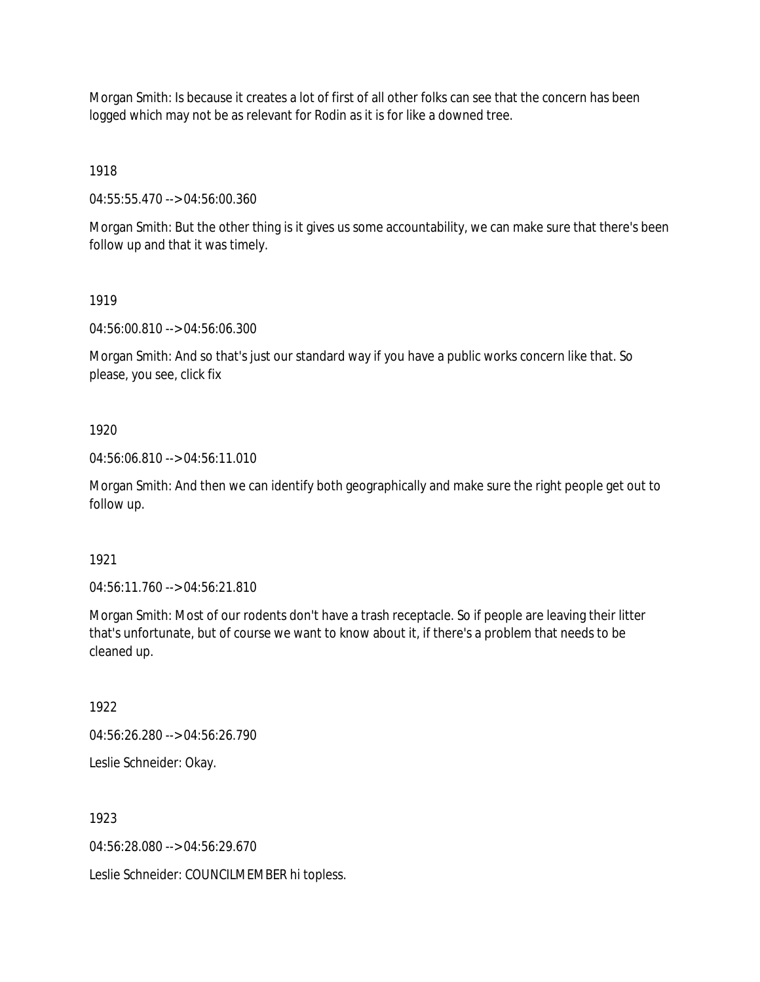Morgan Smith: Is because it creates a lot of first of all other folks can see that the concern has been logged which may not be as relevant for Rodin as it is for like a downed tree.

1918

04:55:55.470 --> 04:56:00.360

Morgan Smith: But the other thing is it gives us some accountability, we can make sure that there's been follow up and that it was timely.

1919

04:56:00.810 --> 04:56:06.300

Morgan Smith: And so that's just our standard way if you have a public works concern like that. So please, you see, click fix

1920

04:56:06.810 --> 04:56:11.010

Morgan Smith: And then we can identify both geographically and make sure the right people get out to follow up.

1921

04:56:11.760 --> 04:56:21.810

Morgan Smith: Most of our rodents don't have a trash receptacle. So if people are leaving their litter that's unfortunate, but of course we want to know about it, if there's a problem that needs to be cleaned up.

1922

04:56:26.280 --> 04:56:26.790

Leslie Schneider: Okay.

1923

04:56:28.080 --> 04:56:29.670

Leslie Schneider: COUNCILMEMBER hi topless.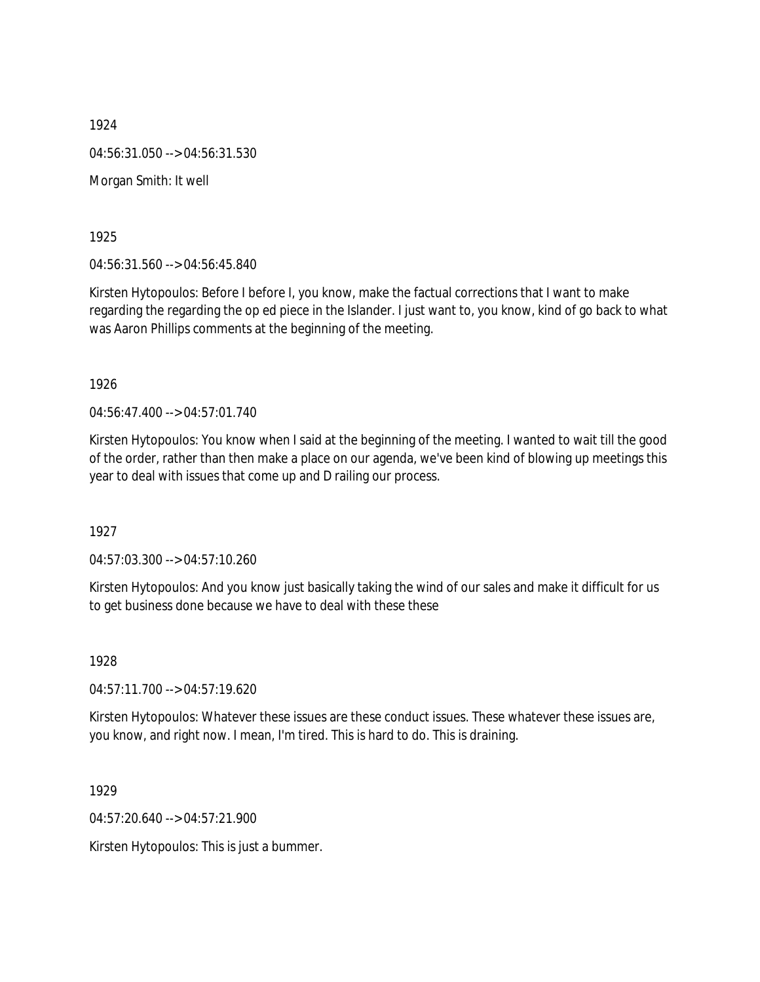1924 04:56:31.050 --> 04:56:31.530 Morgan Smith: It well

1925

04:56:31.560 --> 04:56:45.840

Kirsten Hytopoulos: Before I before I, you know, make the factual corrections that I want to make regarding the regarding the op ed piece in the Islander. I just want to, you know, kind of go back to what was Aaron Phillips comments at the beginning of the meeting.

1926

04:56:47.400 --> 04:57:01.740

Kirsten Hytopoulos: You know when I said at the beginning of the meeting. I wanted to wait till the good of the order, rather than then make a place on our agenda, we've been kind of blowing up meetings this year to deal with issues that come up and D railing our process.

1927

04:57:03.300 --> 04:57:10.260

Kirsten Hytopoulos: And you know just basically taking the wind of our sales and make it difficult for us to get business done because we have to deal with these these

1928

04:57:11.700 --> 04:57:19.620

Kirsten Hytopoulos: Whatever these issues are these conduct issues. These whatever these issues are, you know, and right now. I mean, I'm tired. This is hard to do. This is draining.

1929

04:57:20.640 --> 04:57:21.900

Kirsten Hytopoulos: This is just a bummer.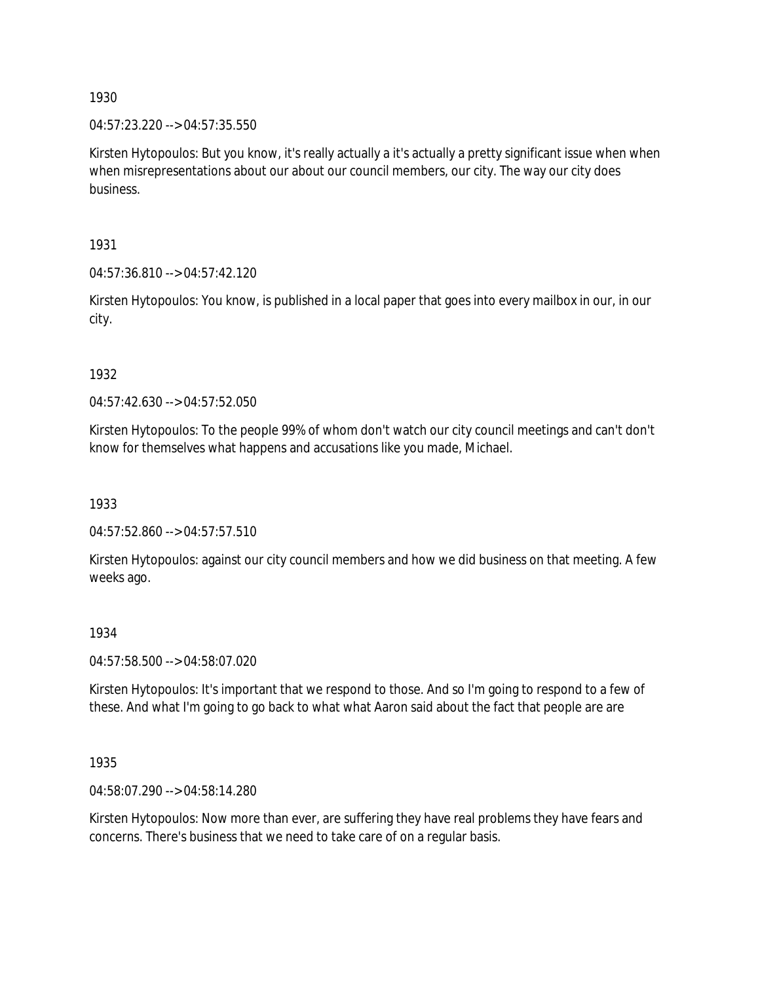04:57:23.220 --> 04:57:35.550

Kirsten Hytopoulos: But you know, it's really actually a it's actually a pretty significant issue when when when misrepresentations about our about our council members, our city. The way our city does business.

1931

04:57:36.810 --> 04:57:42.120

Kirsten Hytopoulos: You know, is published in a local paper that goes into every mailbox in our, in our city.

1932

04:57:42.630 --> 04:57:52.050

Kirsten Hytopoulos: To the people 99% of whom don't watch our city council meetings and can't don't know for themselves what happens and accusations like you made, Michael.

1933

04:57:52.860 --> 04:57:57.510

Kirsten Hytopoulos: against our city council members and how we did business on that meeting. A few weeks ago.

## 1934

04:57:58.500 --> 04:58:07.020

Kirsten Hytopoulos: It's important that we respond to those. And so I'm going to respond to a few of these. And what I'm going to go back to what what Aaron said about the fact that people are are

1935

04:58:07.290 --> 04:58:14.280

Kirsten Hytopoulos: Now more than ever, are suffering they have real problems they have fears and concerns. There's business that we need to take care of on a regular basis.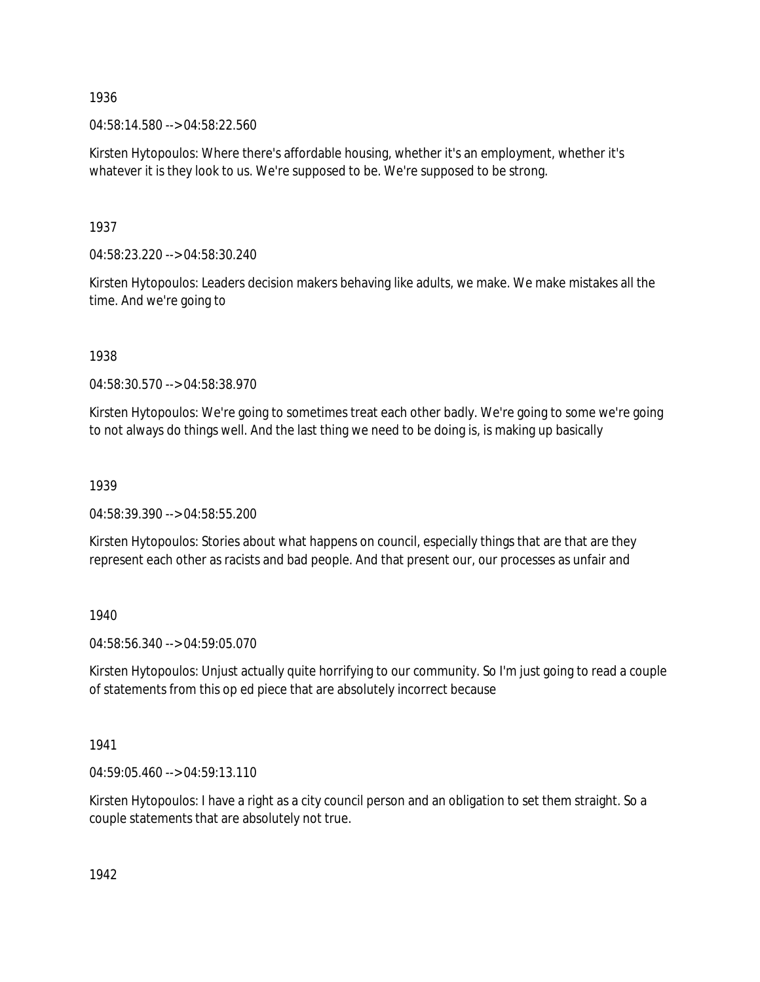04:58:14.580 --> 04:58:22.560

Kirsten Hytopoulos: Where there's affordable housing, whether it's an employment, whether it's whatever it is they look to us. We're supposed to be. We're supposed to be strong.

1937

04:58:23.220 --> 04:58:30.240

Kirsten Hytopoulos: Leaders decision makers behaving like adults, we make. We make mistakes all the time. And we're going to

1938

04:58:30.570 --> 04:58:38.970

Kirsten Hytopoulos: We're going to sometimes treat each other badly. We're going to some we're going to not always do things well. And the last thing we need to be doing is, is making up basically

1939

04:58:39.390 --> 04:58:55.200

Kirsten Hytopoulos: Stories about what happens on council, especially things that are that are they represent each other as racists and bad people. And that present our, our processes as unfair and

1940

04:58:56.340 --> 04:59:05.070

Kirsten Hytopoulos: Unjust actually quite horrifying to our community. So I'm just going to read a couple of statements from this op ed piece that are absolutely incorrect because

1941

04:59:05.460 --> 04:59:13.110

Kirsten Hytopoulos: I have a right as a city council person and an obligation to set them straight. So a couple statements that are absolutely not true.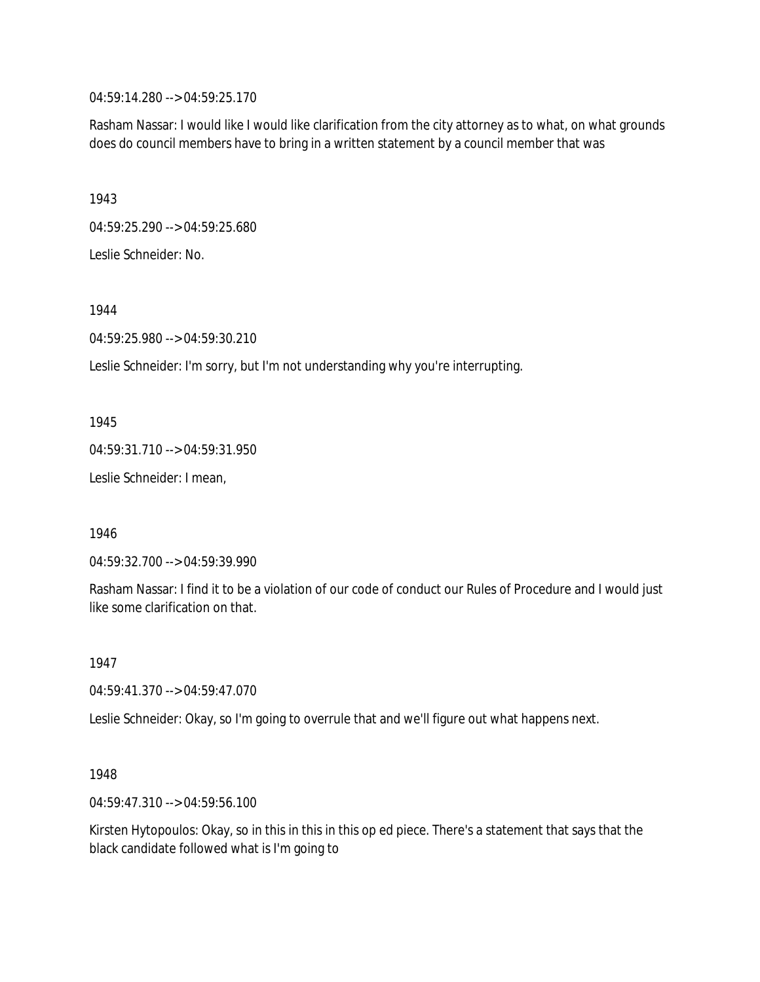04:59:14.280 --> 04:59:25.170

Rasham Nassar: I would like I would like clarification from the city attorney as to what, on what grounds does do council members have to bring in a written statement by a council member that was

1943

04:59:25.290 --> 04:59:25.680

Leslie Schneider: No.

1944

04:59:25.980 --> 04:59:30.210

Leslie Schneider: I'm sorry, but I'm not understanding why you're interrupting.

1945

04:59:31.710 --> 04:59:31.950

Leslie Schneider: I mean,

1946

04:59:32.700 --> 04:59:39.990

Rasham Nassar: I find it to be a violation of our code of conduct our Rules of Procedure and I would just like some clarification on that.

1947

04:59:41.370 --> 04:59:47.070

Leslie Schneider: Okay, so I'm going to overrule that and we'll figure out what happens next.

1948

04:59:47.310 --> 04:59:56.100

Kirsten Hytopoulos: Okay, so in this in this in this op ed piece. There's a statement that says that the black candidate followed what is I'm going to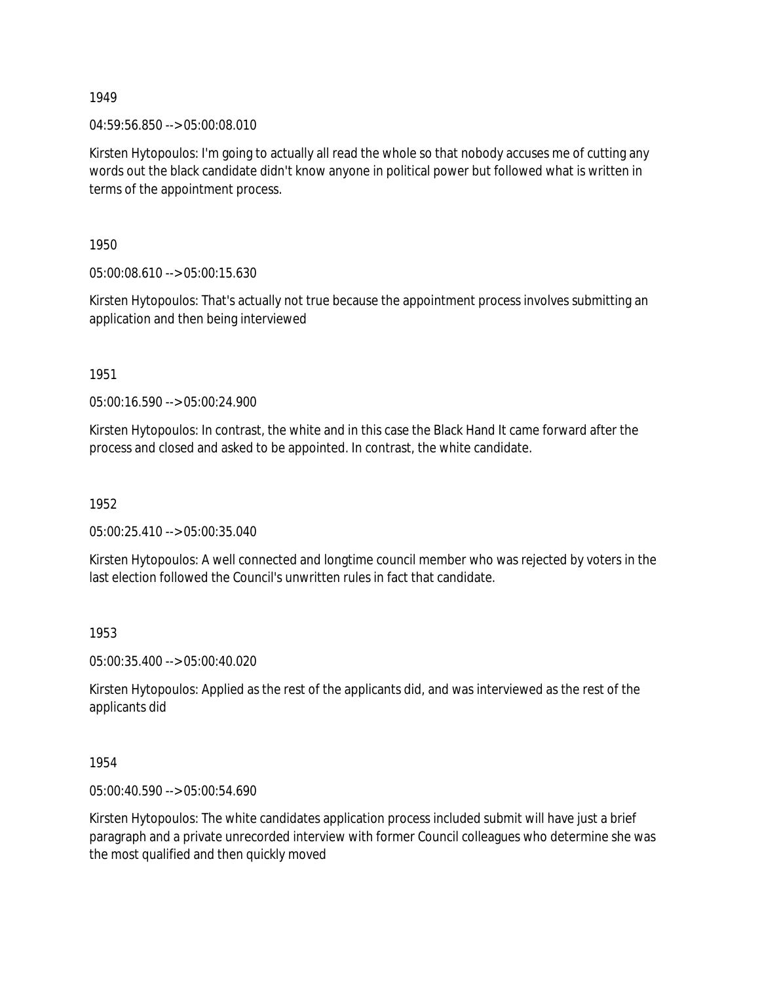04:59:56.850 --> 05:00:08.010

Kirsten Hytopoulos: I'm going to actually all read the whole so that nobody accuses me of cutting any words out the black candidate didn't know anyone in political power but followed what is written in terms of the appointment process.

1950

05:00:08.610 --> 05:00:15.630

Kirsten Hytopoulos: That's actually not true because the appointment process involves submitting an application and then being interviewed

1951

05:00:16.590 --> 05:00:24.900

Kirsten Hytopoulos: In contrast, the white and in this case the Black Hand It came forward after the process and closed and asked to be appointed. In contrast, the white candidate.

1952

05:00:25.410 --> 05:00:35.040

Kirsten Hytopoulos: A well connected and longtime council member who was rejected by voters in the last election followed the Council's unwritten rules in fact that candidate.

## 1953

05:00:35.400 --> 05:00:40.020

Kirsten Hytopoulos: Applied as the rest of the applicants did, and was interviewed as the rest of the applicants did

1954

05:00:40.590 --> 05:00:54.690

Kirsten Hytopoulos: The white candidates application process included submit will have just a brief paragraph and a private unrecorded interview with former Council colleagues who determine she was the most qualified and then quickly moved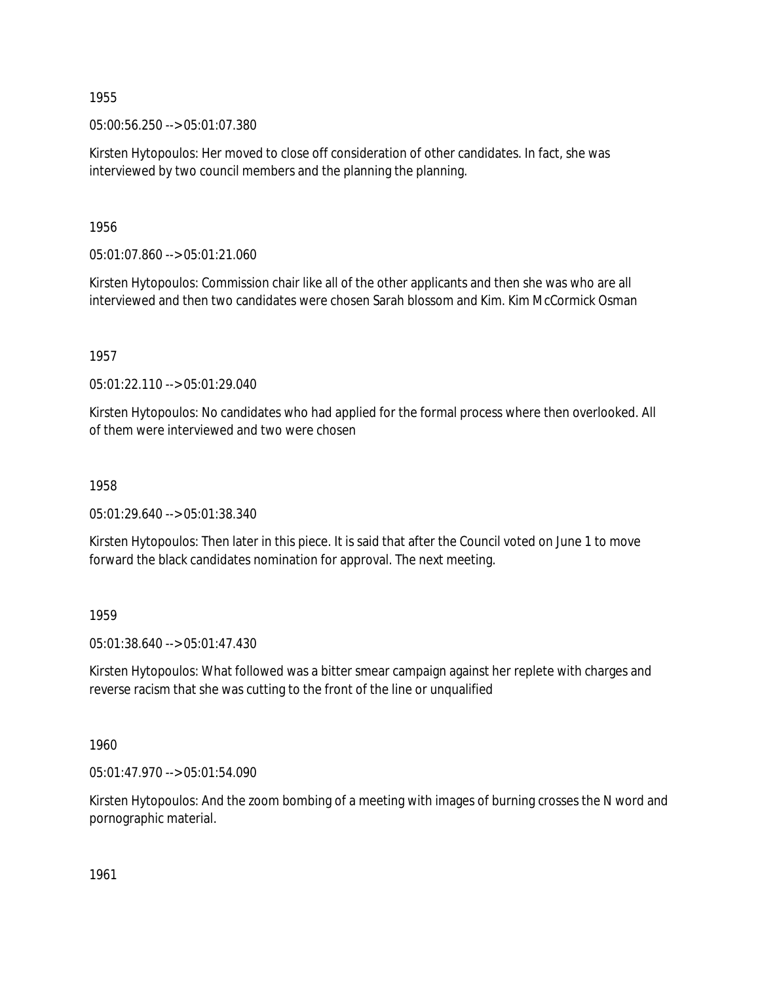05:00:56.250 --> 05:01:07.380

Kirsten Hytopoulos: Her moved to close off consideration of other candidates. In fact, she was interviewed by two council members and the planning the planning.

1956

05:01:07.860 --> 05:01:21.060

Kirsten Hytopoulos: Commission chair like all of the other applicants and then she was who are all interviewed and then two candidates were chosen Sarah blossom and Kim. Kim McCormick Osman

1957

05:01:22.110 --> 05:01:29.040

Kirsten Hytopoulos: No candidates who had applied for the formal process where then overlooked. All of them were interviewed and two were chosen

1958

05:01:29.640 --> 05:01:38.340

Kirsten Hytopoulos: Then later in this piece. It is said that after the Council voted on June 1 to move forward the black candidates nomination for approval. The next meeting.

1959

05:01:38.640 --> 05:01:47.430

Kirsten Hytopoulos: What followed was a bitter smear campaign against her replete with charges and reverse racism that she was cutting to the front of the line or unqualified

1960

05:01:47.970 --> 05:01:54.090

Kirsten Hytopoulos: And the zoom bombing of a meeting with images of burning crosses the N word and pornographic material.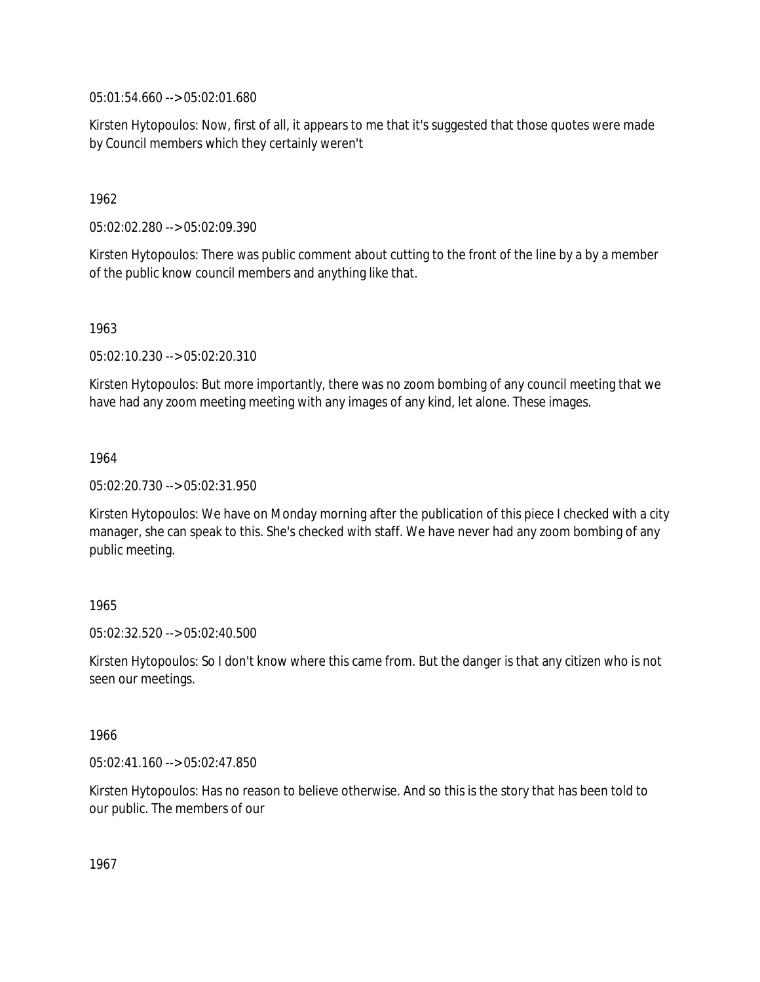05:01:54.660 --> 05:02:01.680

Kirsten Hytopoulos: Now, first of all, it appears to me that it's suggested that those quotes were made by Council members which they certainly weren't

1962

05:02:02.280 --> 05:02:09.390

Kirsten Hytopoulos: There was public comment about cutting to the front of the line by a by a member of the public know council members and anything like that.

1963

05:02:10.230 --> 05:02:20.310

Kirsten Hytopoulos: But more importantly, there was no zoom bombing of any council meeting that we have had any zoom meeting meeting with any images of any kind, let alone. These images.

1964

05:02:20.730 --> 05:02:31.950

Kirsten Hytopoulos: We have on Monday morning after the publication of this piece I checked with a city manager, she can speak to this. She's checked with staff. We have never had any zoom bombing of any public meeting.

## 1965

05:02:32.520 --> 05:02:40.500

Kirsten Hytopoulos: So I don't know where this came from. But the danger is that any citizen who is not seen our meetings.

## 1966

05:02:41.160 --> 05:02:47.850

Kirsten Hytopoulos: Has no reason to believe otherwise. And so this is the story that has been told to our public. The members of our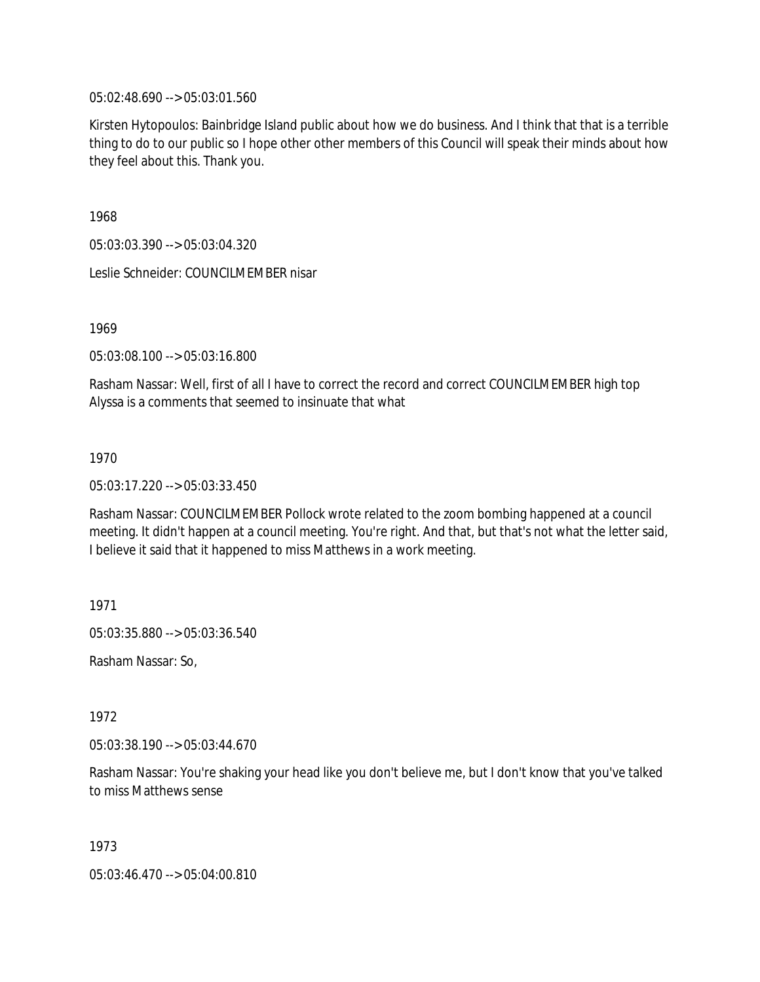05:02:48.690 --> 05:03:01.560

Kirsten Hytopoulos: Bainbridge Island public about how we do business. And I think that that is a terrible thing to do to our public so I hope other other members of this Council will speak their minds about how they feel about this. Thank you.

1968

05:03:03.390 --> 05:03:04.320

Leslie Schneider: COUNCILMEMBER nisar

1969

05:03:08.100 --> 05:03:16.800

Rasham Nassar: Well, first of all I have to correct the record and correct COUNCILMEMBER high top Alyssa is a comments that seemed to insinuate that what

1970

05:03:17.220 --> 05:03:33.450

Rasham Nassar: COUNCILMEMBER Pollock wrote related to the zoom bombing happened at a council meeting. It didn't happen at a council meeting. You're right. And that, but that's not what the letter said, I believe it said that it happened to miss Matthews in a work meeting.

1971

05:03:35.880 --> 05:03:36.540

Rasham Nassar: So,

1972

05:03:38.190 --> 05:03:44.670

Rasham Nassar: You're shaking your head like you don't believe me, but I don't know that you've talked to miss Matthews sense

1973

05:03:46.470 --> 05:04:00.810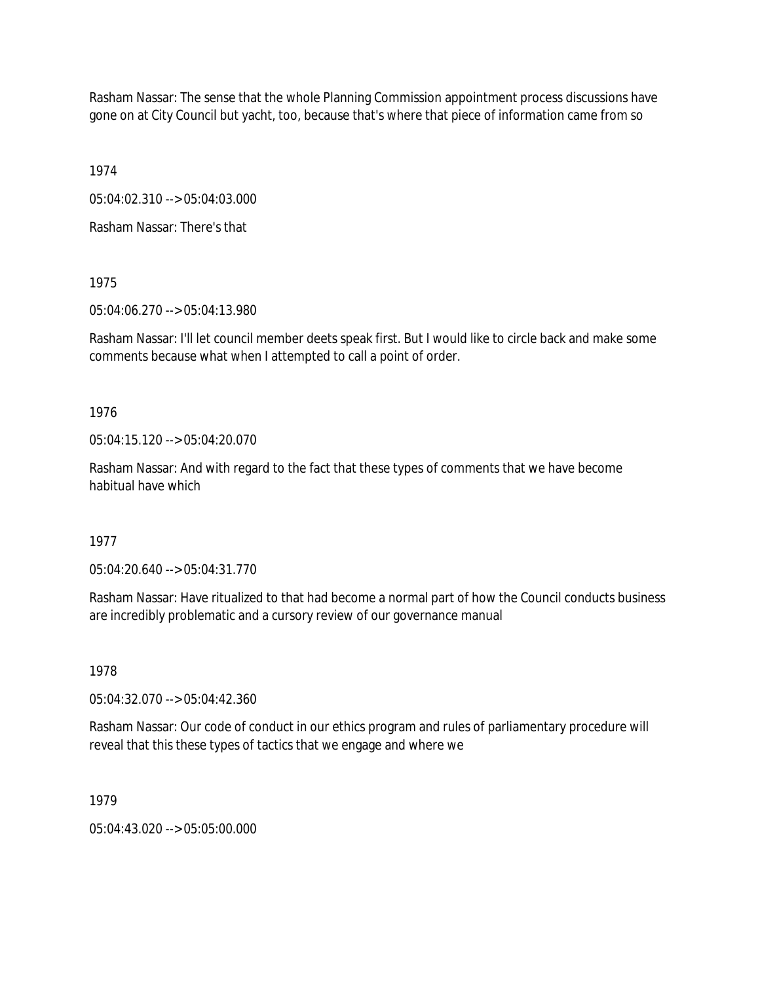Rasham Nassar: The sense that the whole Planning Commission appointment process discussions have gone on at City Council but yacht, too, because that's where that piece of information came from so

1974

05:04:02.310 --> 05:04:03.000

Rasham Nassar: There's that

1975

05:04:06.270 --> 05:04:13.980

Rasham Nassar: I'll let council member deets speak first. But I would like to circle back and make some comments because what when I attempted to call a point of order.

1976

05:04:15.120 --> 05:04:20.070

Rasham Nassar: And with regard to the fact that these types of comments that we have become habitual have which

1977

05:04:20.640 --> 05:04:31.770

Rasham Nassar: Have ritualized to that had become a normal part of how the Council conducts business are incredibly problematic and a cursory review of our governance manual

1978

05:04:32.070 --> 05:04:42.360

Rasham Nassar: Our code of conduct in our ethics program and rules of parliamentary procedure will reveal that this these types of tactics that we engage and where we

1979

05:04:43.020 --> 05:05:00.000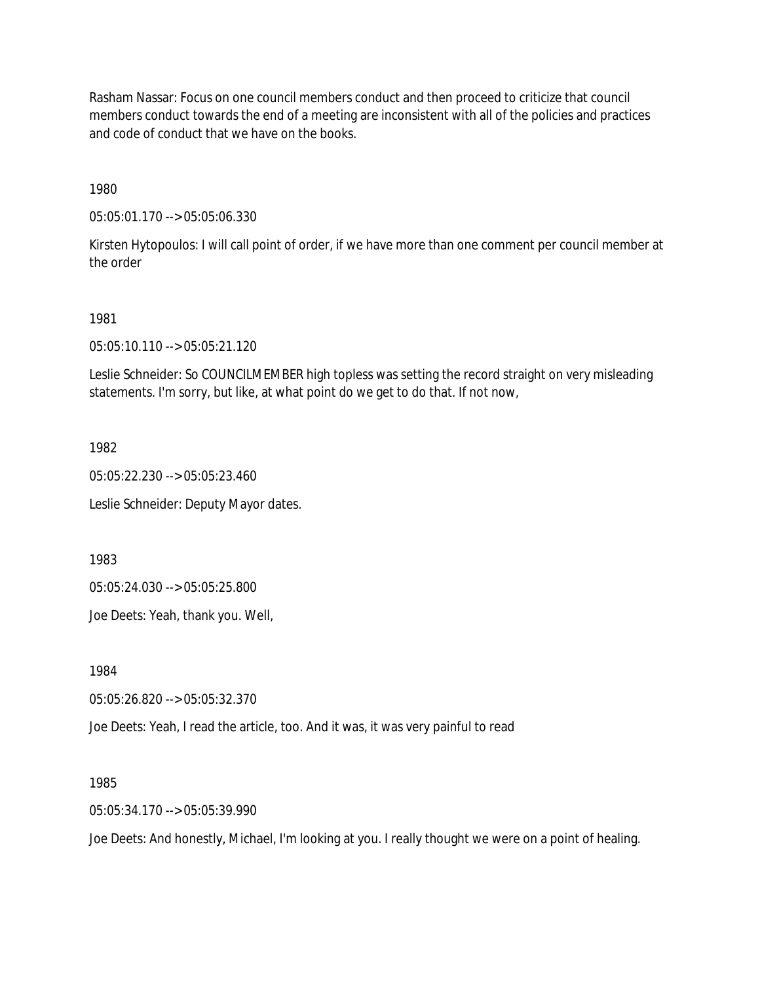Rasham Nassar: Focus on one council members conduct and then proceed to criticize that council members conduct towards the end of a meeting are inconsistent with all of the policies and practices and code of conduct that we have on the books.

1980

05:05:01.170 --> 05:05:06.330

Kirsten Hytopoulos: I will call point of order, if we have more than one comment per council member at the order

#### 1981

05:05:10.110 --> 05:05:21.120

Leslie Schneider: So COUNCILMEMBER high topless was setting the record straight on very misleading statements. I'm sorry, but like, at what point do we get to do that. If not now,

1982

05:05:22.230 --> 05:05:23.460

Leslie Schneider: Deputy Mayor dates.

1983

05:05:24.030 --> 05:05:25.800

Joe Deets: Yeah, thank you. Well,

1984

05:05:26.820 --> 05:05:32.370

Joe Deets: Yeah, I read the article, too. And it was, it was very painful to read

1985

05:05:34.170 --> 05:05:39.990

Joe Deets: And honestly, Michael, I'm looking at you. I really thought we were on a point of healing.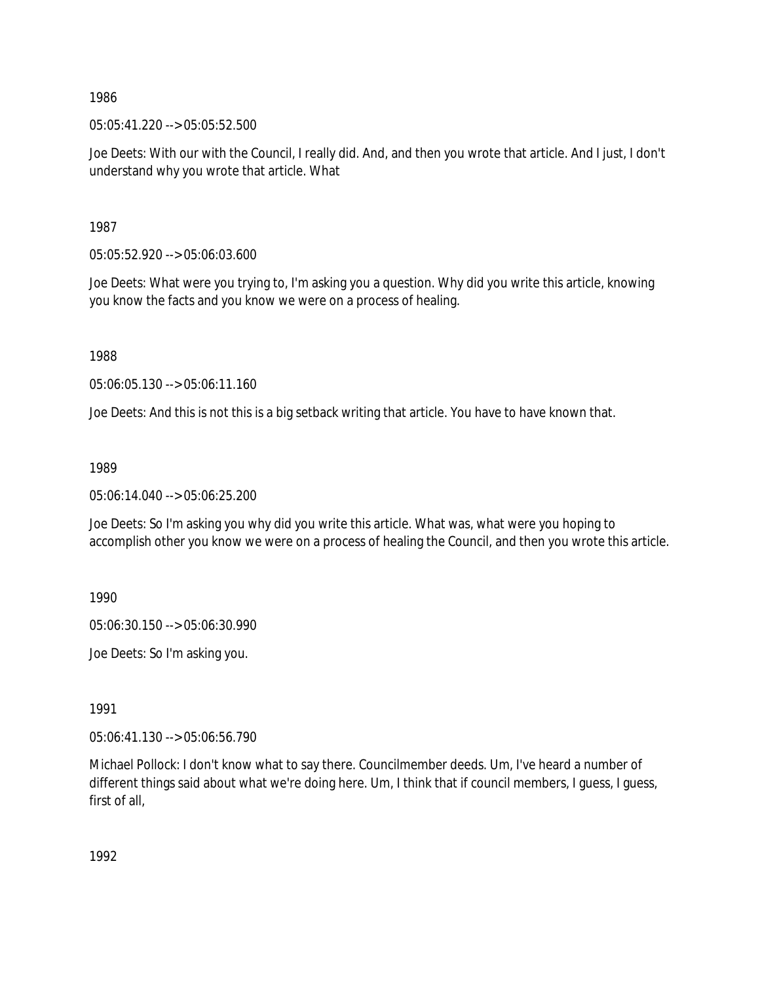05:05:41.220 --> 05:05:52.500

Joe Deets: With our with the Council, I really did. And, and then you wrote that article. And I just, I don't understand why you wrote that article. What

1987

05:05:52.920 --> 05:06:03.600

Joe Deets: What were you trying to, I'm asking you a question. Why did you write this article, knowing you know the facts and you know we were on a process of healing.

1988

05:06:05.130 --> 05:06:11.160

Joe Deets: And this is not this is a big setback writing that article. You have to have known that.

1989

05:06:14.040 --> 05:06:25.200

Joe Deets: So I'm asking you why did you write this article. What was, what were you hoping to accomplish other you know we were on a process of healing the Council, and then you wrote this article.

1990

05:06:30.150 --> 05:06:30.990

Joe Deets: So I'm asking you.

1991

05:06:41.130 --> 05:06:56.790

Michael Pollock: I don't know what to say there. Councilmember deeds. Um, I've heard a number of different things said about what we're doing here. Um, I think that if council members, I guess, I guess, first of all,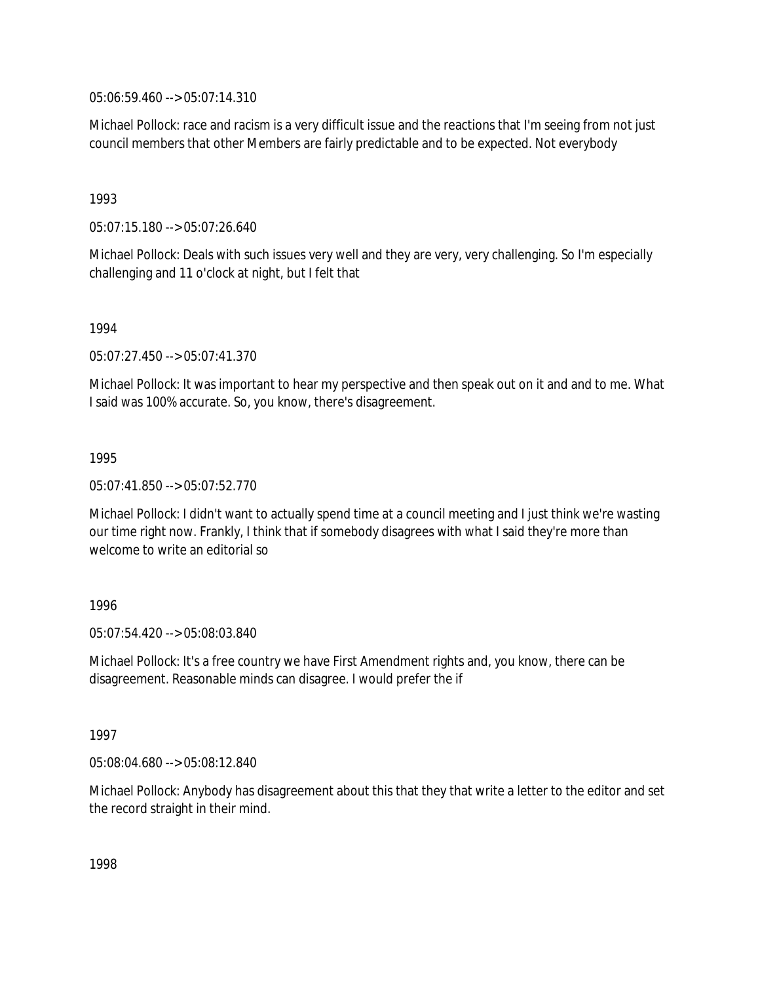05:06:59.460 --> 05:07:14.310

Michael Pollock: race and racism is a very difficult issue and the reactions that I'm seeing from not just council members that other Members are fairly predictable and to be expected. Not everybody

1993

05:07:15.180 --> 05:07:26.640

Michael Pollock: Deals with such issues very well and they are very, very challenging. So I'm especially challenging and 11 o'clock at night, but I felt that

1994

05:07:27.450 --> 05:07:41.370

Michael Pollock: It was important to hear my perspective and then speak out on it and and to me. What I said was 100% accurate. So, you know, there's disagreement.

1995

05:07:41.850 --> 05:07:52.770

Michael Pollock: I didn't want to actually spend time at a council meeting and I just think we're wasting our time right now. Frankly, I think that if somebody disagrees with what I said they're more than welcome to write an editorial so

1996

05:07:54.420 --> 05:08:03.840

Michael Pollock: It's a free country we have First Amendment rights and, you know, there can be disagreement. Reasonable minds can disagree. I would prefer the if

1997

05:08:04.680 --> 05:08:12.840

Michael Pollock: Anybody has disagreement about this that they that write a letter to the editor and set the record straight in their mind.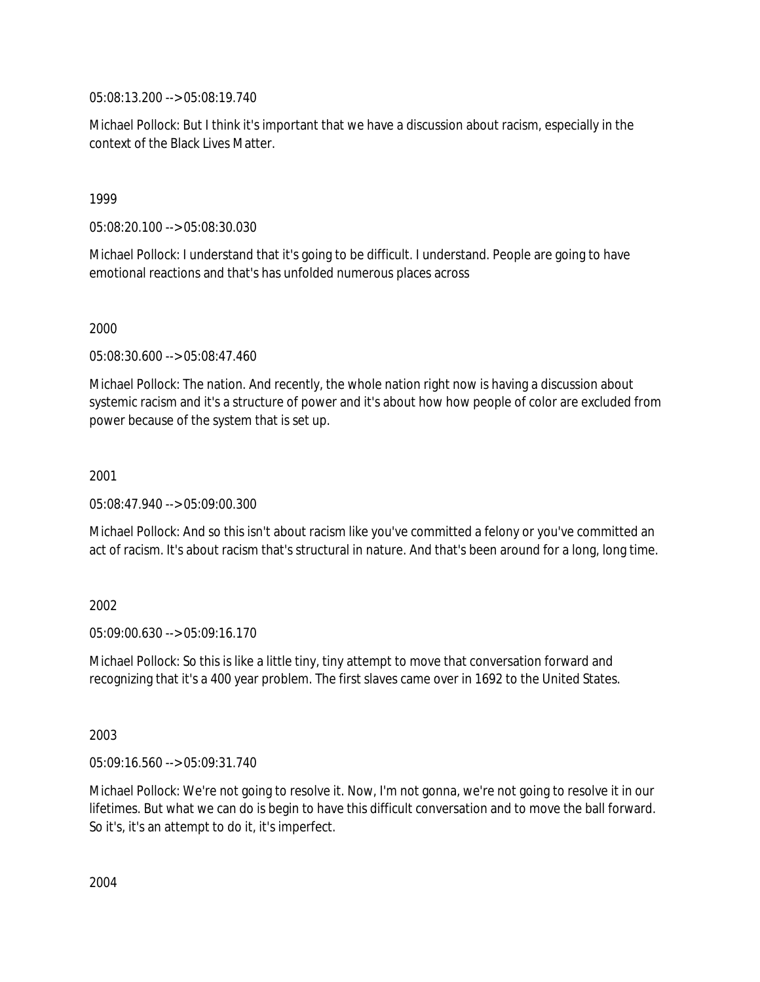05:08:13.200 --> 05:08:19.740

Michael Pollock: But I think it's important that we have a discussion about racism, especially in the context of the Black Lives Matter.

1999

05:08:20.100 --> 05:08:30.030

Michael Pollock: I understand that it's going to be difficult. I understand. People are going to have emotional reactions and that's has unfolded numerous places across

2000

05:08:30.600 --> 05:08:47.460

Michael Pollock: The nation. And recently, the whole nation right now is having a discussion about systemic racism and it's a structure of power and it's about how how people of color are excluded from power because of the system that is set up.

2001

05:08:47.940 --> 05:09:00.300

Michael Pollock: And so this isn't about racism like you've committed a felony or you've committed an act of racism. It's about racism that's structural in nature. And that's been around for a long, long time.

2002

05:09:00.630 --> 05:09:16.170

Michael Pollock: So this is like a little tiny, tiny attempt to move that conversation forward and recognizing that it's a 400 year problem. The first slaves came over in 1692 to the United States.

2003

05:09:16.560 --> 05:09:31.740

Michael Pollock: We're not going to resolve it. Now, I'm not gonna, we're not going to resolve it in our lifetimes. But what we can do is begin to have this difficult conversation and to move the ball forward. So it's, it's an attempt to do it, it's imperfect.